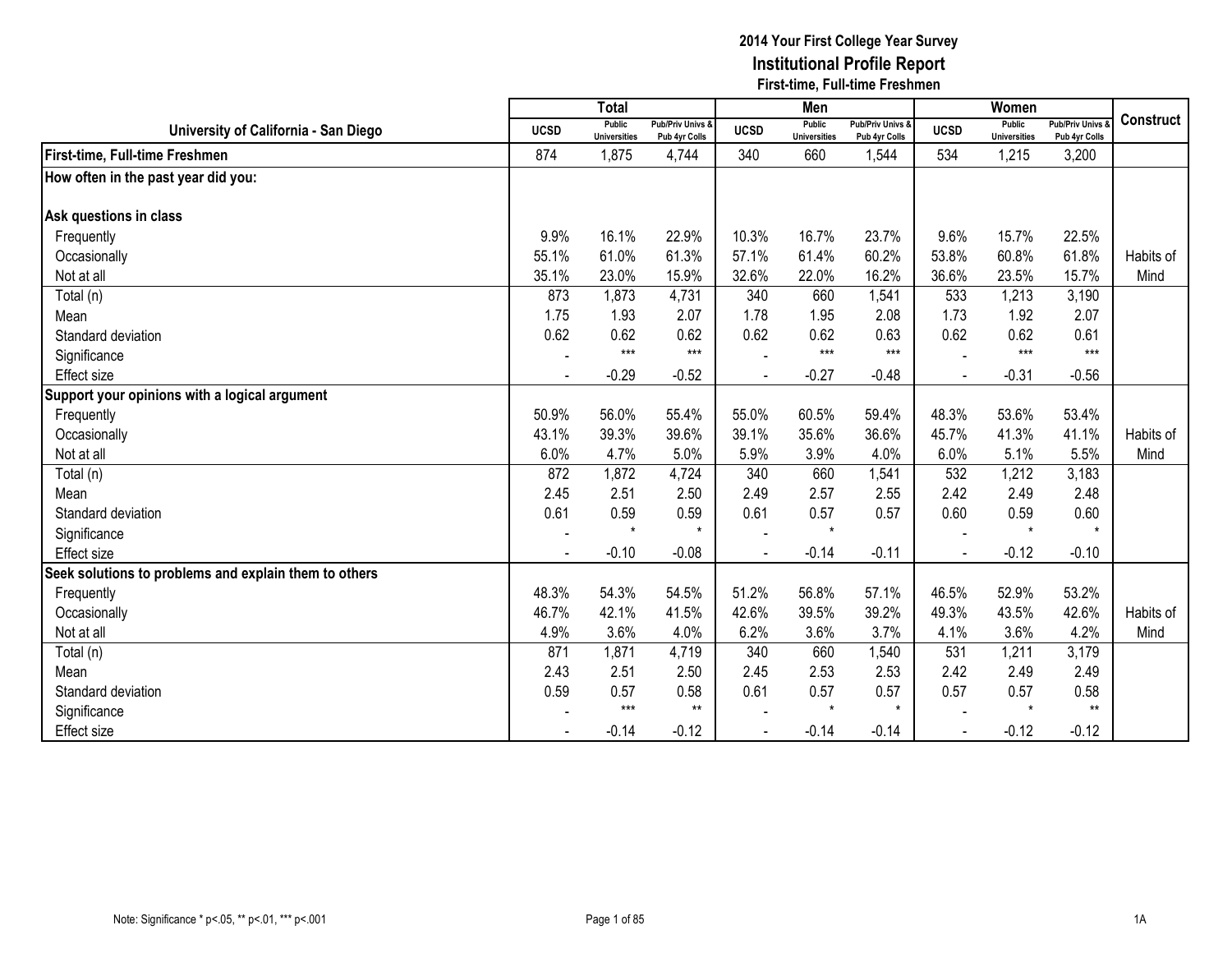|                                                       |                | <b>Total</b>                         |                                   |                | Men                           |                                   |                | Women                         |                                        |                  |
|-------------------------------------------------------|----------------|--------------------------------------|-----------------------------------|----------------|-------------------------------|-----------------------------------|----------------|-------------------------------|----------------------------------------|------------------|
| University of California - San Diego                  | <b>UCSD</b>    | <b>Public</b><br><b>Universities</b> | Pub/Priv Univs &<br>Pub 4yr Colls | <b>UCSD</b>    | Public<br><b>Universities</b> | Pub/Priv Univs &<br>Pub 4yr Colls | <b>UCSD</b>    | Public<br><b>Universities</b> | <b>Pub/Priv Univs</b><br>Pub 4yr Colls | <b>Construct</b> |
| First-time, Full-time Freshmen                        | 874            | 1,875                                | 4,744                             | 340            | 660                           | 1,544                             | 534            | 1,215                         | 3,200                                  |                  |
| How often in the past year did you:                   |                |                                      |                                   |                |                               |                                   |                |                               |                                        |                  |
|                                                       |                |                                      |                                   |                |                               |                                   |                |                               |                                        |                  |
| Ask questions in class                                |                |                                      |                                   |                |                               |                                   |                |                               |                                        |                  |
| Frequently                                            | 9.9%           | 16.1%                                | 22.9%                             | 10.3%          | 16.7%                         | 23.7%                             | 9.6%           | 15.7%                         | 22.5%                                  |                  |
| Occasionally                                          | 55.1%          | 61.0%                                | 61.3%                             | 57.1%          | 61.4%                         | 60.2%                             | 53.8%          | 60.8%                         | 61.8%                                  | Habits of        |
| Not at all                                            | 35.1%          | 23.0%                                | 15.9%                             | 32.6%          | 22.0%                         | 16.2%                             | 36.6%          | 23.5%                         | 15.7%                                  | Mind             |
| Total (n)                                             | 873            | 1,873                                | 4,731                             | 340            | 660                           | 1,541                             | 533            | 1,213                         | 3,190                                  |                  |
| Mean                                                  | 1.75           | 1.93                                 | 2.07                              | 1.78           | 1.95                          | 2.08                              | 1.73           | 1.92                          | 2.07                                   |                  |
| Standard deviation                                    | 0.62           | 0.62                                 | 0.62                              | 0.62           | 0.62                          | 0.63                              | 0.62           | 0.62                          | 0.61                                   |                  |
| Significance                                          |                | $***$                                | $***$                             |                | $***$                         | $***$                             |                | $***$                         | $***$                                  |                  |
| <b>Effect size</b>                                    | $\blacksquare$ | $-0.29$                              | $-0.52$                           | $\blacksquare$ | $-0.27$                       | $-0.48$                           | $\overline{a}$ | $-0.31$                       | $-0.56$                                |                  |
| Support your opinions with a logical argument         |                |                                      |                                   |                |                               |                                   |                |                               |                                        |                  |
| Frequently                                            | 50.9%          | 56.0%                                | 55.4%                             | 55.0%          | 60.5%                         | 59.4%                             | 48.3%          | 53.6%                         | 53.4%                                  |                  |
| Occasionally                                          | 43.1%          | 39.3%                                | 39.6%                             | 39.1%          | 35.6%                         | 36.6%                             | 45.7%          | 41.3%                         | 41.1%                                  | Habits of        |
| Not at all                                            | 6.0%           | 4.7%                                 | 5.0%                              | 5.9%           | 3.9%                          | 4.0%                              | 6.0%           | 5.1%                          | 5.5%                                   | Mind             |
| Total (n)                                             | 872            | 1,872                                | 4,724                             | 340            | 660                           | 1,541                             | 532            | 1,212                         | 3,183                                  |                  |
| Mean                                                  | 2.45           | 2.51                                 | 2.50                              | 2.49           | 2.57                          | 2.55                              | 2.42           | 2.49                          | 2.48                                   |                  |
| Standard deviation                                    | 0.61           | 0.59                                 | 0.59                              | 0.61           | 0.57                          | 0.57                              | 0.60           | 0.59                          | 0.60                                   |                  |
| Significance                                          |                | $\star$                              | $\star$                           |                | $\star$                       |                                   |                | $\star$                       | $\star$                                |                  |
| Effect size                                           |                | $-0.10$                              | $-0.08$                           |                | $-0.14$                       | $-0.11$                           |                | $-0.12$                       | $-0.10$                                |                  |
| Seek solutions to problems and explain them to others |                |                                      |                                   |                |                               |                                   |                |                               |                                        |                  |
| Frequently                                            | 48.3%          | 54.3%                                | 54.5%                             | 51.2%          | 56.8%                         | 57.1%                             | 46.5%          | 52.9%                         | 53.2%                                  |                  |
| Occasionally                                          | 46.7%          | 42.1%                                | 41.5%                             | 42.6%          | 39.5%                         | 39.2%                             | 49.3%          | 43.5%                         | 42.6%                                  | Habits of        |
| Not at all                                            | 4.9%           | 3.6%                                 | 4.0%                              | 6.2%           | 3.6%                          | 3.7%                              | 4.1%           | 3.6%                          | 4.2%                                   | Mind             |
| Total (n)                                             | 871            | 1,871                                | 4,719                             | 340            | 660                           | 1,540                             | 531            | 1,211                         | 3,179                                  |                  |
| Mean                                                  | 2.43           | 2.51                                 | 2.50                              | 2.45           | 2.53                          | 2.53                              | 2.42           | 2.49                          | 2.49                                   |                  |
| Standard deviation                                    | 0.59           | 0.57                                 | 0.58                              | 0.61           | 0.57                          | 0.57                              | 0.57           | 0.57                          | 0.58                                   |                  |
| Significance                                          |                | $***$                                | $***$                             |                | $\star$                       | $\star$                           |                | $\star$                       | $***$                                  |                  |
| <b>Effect size</b>                                    |                | $-0.14$                              | $-0.12$                           |                | $-0.14$                       | $-0.14$                           |                | $-0.12$                       | $-0.12$                                |                  |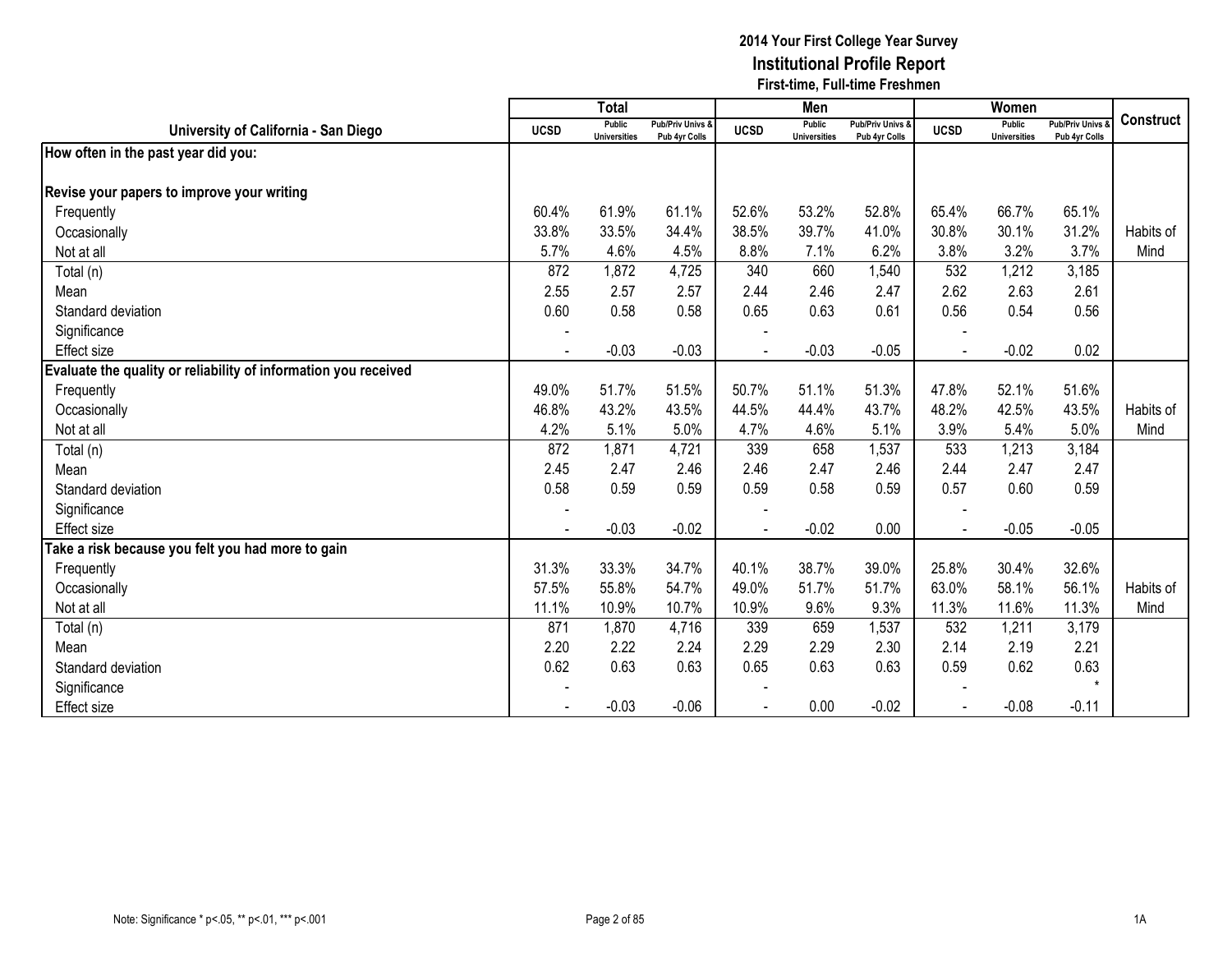|                                                                 |                | <b>Total</b>                         |                                   |                | Men                           |                                   |             | Women                         |                                        |                  |
|-----------------------------------------------------------------|----------------|--------------------------------------|-----------------------------------|----------------|-------------------------------|-----------------------------------|-------------|-------------------------------|----------------------------------------|------------------|
| University of California - San Diego                            | <b>UCSD</b>    | <b>Public</b><br><b>Universities</b> | Pub/Priv Univs &<br>Pub 4yr Colls | <b>UCSD</b>    | Public<br><b>Universities</b> | Pub/Priv Univs &<br>Pub 4yr Colls | <b>UCSD</b> | Public<br><b>Universities</b> | <b>Pub/Priv Univs</b><br>Pub 4yr Colls | <b>Construct</b> |
| How often in the past year did you:                             |                |                                      |                                   |                |                               |                                   |             |                               |                                        |                  |
|                                                                 |                |                                      |                                   |                |                               |                                   |             |                               |                                        |                  |
| Revise your papers to improve your writing                      |                |                                      |                                   |                |                               |                                   |             |                               |                                        |                  |
| Frequently                                                      | 60.4%          | 61.9%                                | 61.1%                             | 52.6%          | 53.2%                         | 52.8%                             | 65.4%       | 66.7%                         | 65.1%                                  |                  |
| Occasionally                                                    | 33.8%          | 33.5%                                | 34.4%                             | 38.5%          | 39.7%                         | 41.0%                             | 30.8%       | 30.1%                         | 31.2%                                  | Habits of        |
| Not at all                                                      | 5.7%           | 4.6%                                 | 4.5%                              | 8.8%           | 7.1%                          | 6.2%                              | 3.8%        | 3.2%                          | 3.7%                                   | Mind             |
| Total (n)                                                       | 872            | 1,872                                | 4,725                             | 340            | 660                           | 1,540                             | 532         | 1,212                         | 3,185                                  |                  |
| Mean                                                            | 2.55           | 2.57                                 | 2.57                              | 2.44           | 2.46                          | 2.47                              | 2.62        | 2.63                          | 2.61                                   |                  |
| Standard deviation                                              | 0.60           | 0.58                                 | 0.58                              | 0.65           | 0.63                          | 0.61                              | 0.56        | 0.54                          | 0.56                                   |                  |
| Significance                                                    |                |                                      |                                   |                |                               |                                   |             |                               |                                        |                  |
| <b>Effect size</b>                                              | $\blacksquare$ | $-0.03$                              | $-0.03$                           | $\blacksquare$ | $-0.03$                       | $-0.05$                           |             | $-0.02$                       | 0.02                                   |                  |
| Evaluate the quality or reliability of information you received |                |                                      |                                   |                |                               |                                   |             |                               |                                        |                  |
| Frequently                                                      | 49.0%          | 51.7%                                | 51.5%                             | 50.7%          | 51.1%                         | 51.3%                             | 47.8%       | 52.1%                         | 51.6%                                  |                  |
| Occasionally                                                    | 46.8%          | 43.2%                                | 43.5%                             | 44.5%          | 44.4%                         | 43.7%                             | 48.2%       | 42.5%                         | 43.5%                                  | Habits of        |
| Not at all                                                      | 4.2%           | 5.1%                                 | 5.0%                              | 4.7%           | 4.6%                          | 5.1%                              | 3.9%        | 5.4%                          | 5.0%                                   | Mind             |
| Total (n)                                                       | 872            | 1,871                                | 4,721                             | 339            | 658                           | 1,537                             | 533         | 1,213                         | 3,184                                  |                  |
| Mean                                                            | 2.45           | 2.47                                 | 2.46                              | 2.46           | 2.47                          | 2.46                              | 2.44        | 2.47                          | 2.47                                   |                  |
| Standard deviation                                              | 0.58           | 0.59                                 | 0.59                              | 0.59           | 0.58                          | 0.59                              | 0.57        | 0.60                          | 0.59                                   |                  |
| Significance                                                    |                |                                      |                                   |                |                               |                                   |             |                               |                                        |                  |
| <b>Effect size</b>                                              |                | $-0.03$                              | $-0.02$                           |                | $-0.02$                       | 0.00                              |             | $-0.05$                       | $-0.05$                                |                  |
| Take a risk because you felt you had more to gain               |                |                                      |                                   |                |                               |                                   |             |                               |                                        |                  |
| Frequently                                                      | 31.3%          | 33.3%                                | 34.7%                             | 40.1%          | 38.7%                         | 39.0%                             | 25.8%       | 30.4%                         | 32.6%                                  |                  |
| Occasionally                                                    | 57.5%          | 55.8%                                | 54.7%                             | 49.0%          | 51.7%                         | 51.7%                             | 63.0%       | 58.1%                         | 56.1%                                  | Habits of        |
| Not at all                                                      | 11.1%          | 10.9%                                | 10.7%                             | 10.9%          | 9.6%                          | 9.3%                              | 11.3%       | 11.6%                         | 11.3%                                  | Mind             |
| Total (n)                                                       | 871            | 1,870                                | 4,716                             | 339            | 659                           | 1,537                             | 532         | 1,211                         | 3,179                                  |                  |
| Mean                                                            | 2.20           | 2.22                                 | 2.24                              | 2.29           | 2.29                          | 2.30                              | 2.14        | 2.19                          | 2.21                                   |                  |
| Standard deviation                                              | 0.62           | 0.63                                 | 0.63                              | 0.65           | 0.63                          | 0.63                              | 0.59        | 0.62                          | 0.63                                   |                  |
| Significance                                                    |                |                                      |                                   |                |                               |                                   |             |                               | $\star$                                |                  |
| Effect size                                                     |                | $-0.03$                              | $-0.06$                           |                | 0.00                          | $-0.02$                           |             | $-0.08$                       | $-0.11$                                |                  |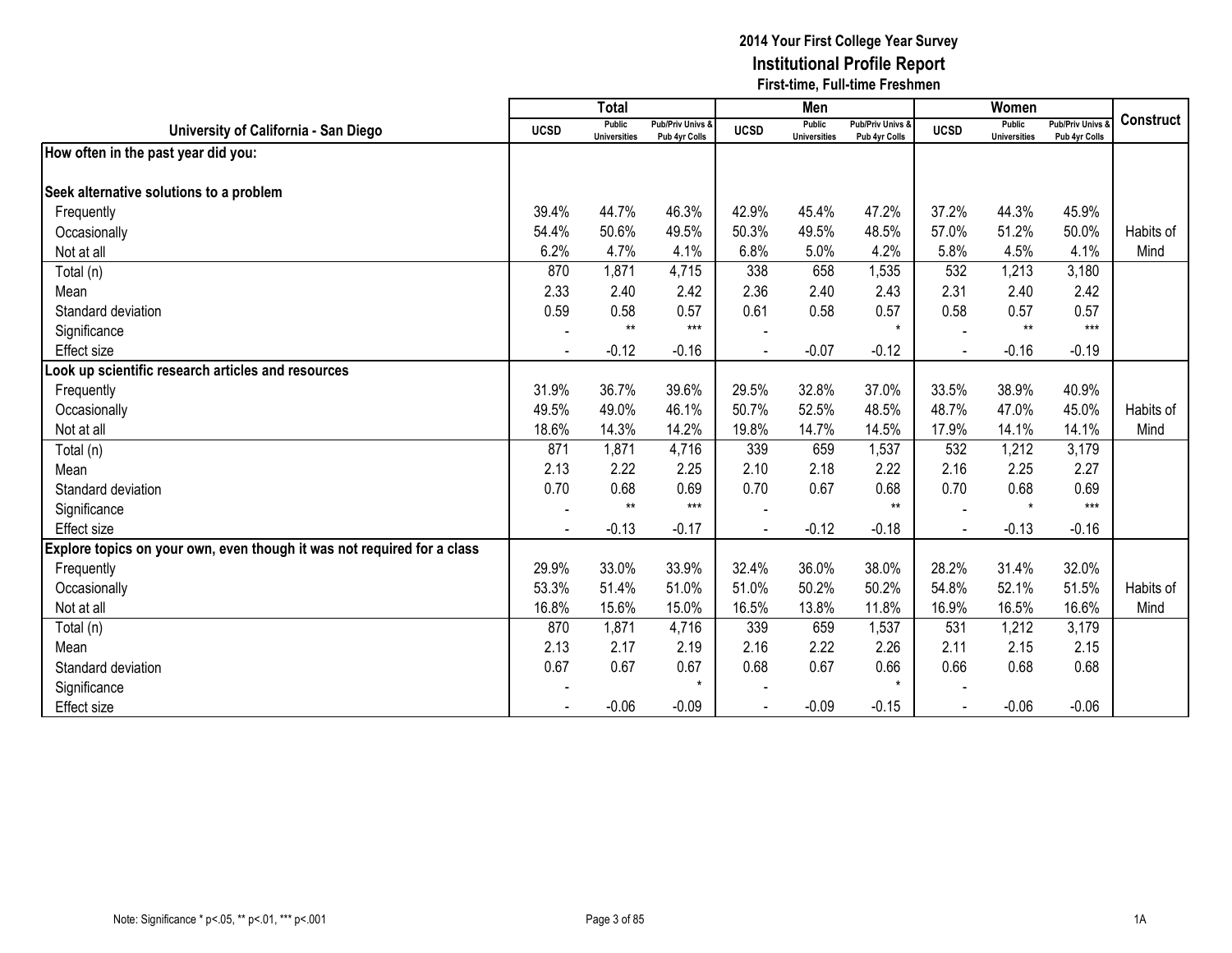|                                                                         |                | <b>Total</b>                         |                                   |                | Men                           |                                   |                | Women                                |                                        |                  |
|-------------------------------------------------------------------------|----------------|--------------------------------------|-----------------------------------|----------------|-------------------------------|-----------------------------------|----------------|--------------------------------------|----------------------------------------|------------------|
| University of California - San Diego                                    | <b>UCSD</b>    | <b>Public</b><br><b>Universities</b> | Pub/Priv Univs &<br>Pub 4yr Colls | <b>UCSD</b>    | Public<br><b>Universities</b> | Pub/Priv Univs &<br>Pub 4yr Colls | <b>UCSD</b>    | <b>Public</b><br><b>Universities</b> | <b>Pub/Priv Univs</b><br>Pub 4yr Colls | <b>Construct</b> |
| How often in the past year did you:                                     |                |                                      |                                   |                |                               |                                   |                |                                      |                                        |                  |
| Seek alternative solutions to a problem                                 |                |                                      |                                   |                |                               |                                   |                |                                      |                                        |                  |
| Frequently                                                              | 39.4%          | 44.7%                                | 46.3%                             | 42.9%          | 45.4%                         | 47.2%                             | 37.2%          | 44.3%                                | 45.9%                                  |                  |
| Occasionally                                                            | 54.4%          | 50.6%                                | 49.5%                             | 50.3%          | 49.5%                         | 48.5%                             | 57.0%          | 51.2%                                | 50.0%                                  | Habits of        |
| Not at all                                                              | 6.2%           | 4.7%                                 | 4.1%                              | 6.8%           | 5.0%                          | 4.2%                              | 5.8%           | 4.5%                                 | 4.1%                                   | Mind             |
| Total (n)                                                               | 870            | 1,871                                | 4,715                             | 338            | 658                           | 1,535                             | 532            | 1,213                                | 3,180                                  |                  |
| Mean                                                                    | 2.33           | 2.40                                 | 2.42                              | 2.36           | 2.40                          | 2.43                              | 2.31           | 2.40                                 | 2.42                                   |                  |
| Standard deviation                                                      | 0.59           | 0.58                                 | 0.57                              | 0.61           | 0.58                          | 0.57                              | 0.58           | 0.57                                 | 0.57                                   |                  |
| Significance                                                            |                | $**$                                 | $***$                             |                |                               | $\star$                           |                | $**$                                 | $***$                                  |                  |
| Effect size                                                             | $\blacksquare$ | $-0.12$                              | $-0.16$                           | $\blacksquare$ | $-0.07$                       | $-0.12$                           | $\blacksquare$ | $-0.16$                              | $-0.19$                                |                  |
| Look up scientific research articles and resources                      |                |                                      |                                   |                |                               |                                   |                |                                      |                                        |                  |
| Frequently                                                              | 31.9%          | 36.7%                                | 39.6%                             | 29.5%          | 32.8%                         | 37.0%                             | 33.5%          | 38.9%                                | 40.9%                                  |                  |
| Occasionally                                                            | 49.5%          | 49.0%                                | 46.1%                             | 50.7%          | 52.5%                         | 48.5%                             | 48.7%          | 47.0%                                | 45.0%                                  | Habits of        |
| Not at all                                                              | 18.6%          | 14.3%                                | 14.2%                             | 19.8%          | 14.7%                         | 14.5%                             | 17.9%          | 14.1%                                | 14.1%                                  | Mind             |
| Total (n)                                                               | 871            | 1,871                                | 4,716                             | 339            | 659                           | 1,537                             | 532            | 1,212                                | 3,179                                  |                  |
| Mean                                                                    | 2.13           | 2.22                                 | 2.25                              | 2.10           | 2.18                          | 2.22                              | 2.16           | 2.25                                 | 2.27                                   |                  |
| Standard deviation                                                      | 0.70           | 0.68                                 | 0.69                              | 0.70           | 0.67                          | 0.68                              | 0.70           | 0.68                                 | 0.69                                   |                  |
| Significance                                                            |                | $**$                                 | $***$                             |                |                               | $**$                              |                | $\star$                              | $***$                                  |                  |
| Effect size                                                             |                | $-0.13$                              | $-0.17$                           |                | $-0.12$                       | $-0.18$                           |                | $-0.13$                              | $-0.16$                                |                  |
| Explore topics on your own, even though it was not required for a class |                |                                      |                                   |                |                               |                                   |                |                                      |                                        |                  |
| Frequently                                                              | 29.9%          | 33.0%                                | 33.9%                             | 32.4%          | 36.0%                         | 38.0%                             | 28.2%          | 31.4%                                | 32.0%                                  |                  |
| Occasionally                                                            | 53.3%          | 51.4%                                | 51.0%                             | 51.0%          | 50.2%                         | 50.2%                             | 54.8%          | 52.1%                                | 51.5%                                  | Habits of        |
| Not at all                                                              | 16.8%          | 15.6%                                | 15.0%                             | 16.5%          | 13.8%                         | 11.8%                             | 16.9%          | 16.5%                                | 16.6%                                  | Mind             |
| Total (n)                                                               | 870            | 1,871                                | 4,716                             | 339            | 659                           | 1,537                             | 531            | 1,212                                | 3,179                                  |                  |
| Mean                                                                    | 2.13           | 2.17                                 | 2.19                              | 2.16           | 2.22                          | 2.26                              | 2.11           | 2.15                                 | 2.15                                   |                  |
| Standard deviation                                                      | 0.67           | 0.67                                 | 0.67                              | 0.68           | 0.67                          | 0.66                              | 0.66           | 0.68                                 | 0.68                                   |                  |
| Significance                                                            |                |                                      | $\star$                           |                |                               | $\star$                           |                |                                      |                                        |                  |
| <b>Effect size</b>                                                      |                | $-0.06$                              | $-0.09$                           |                | $-0.09$                       | $-0.15$                           |                | $-0.06$                              | $-0.06$                                |                  |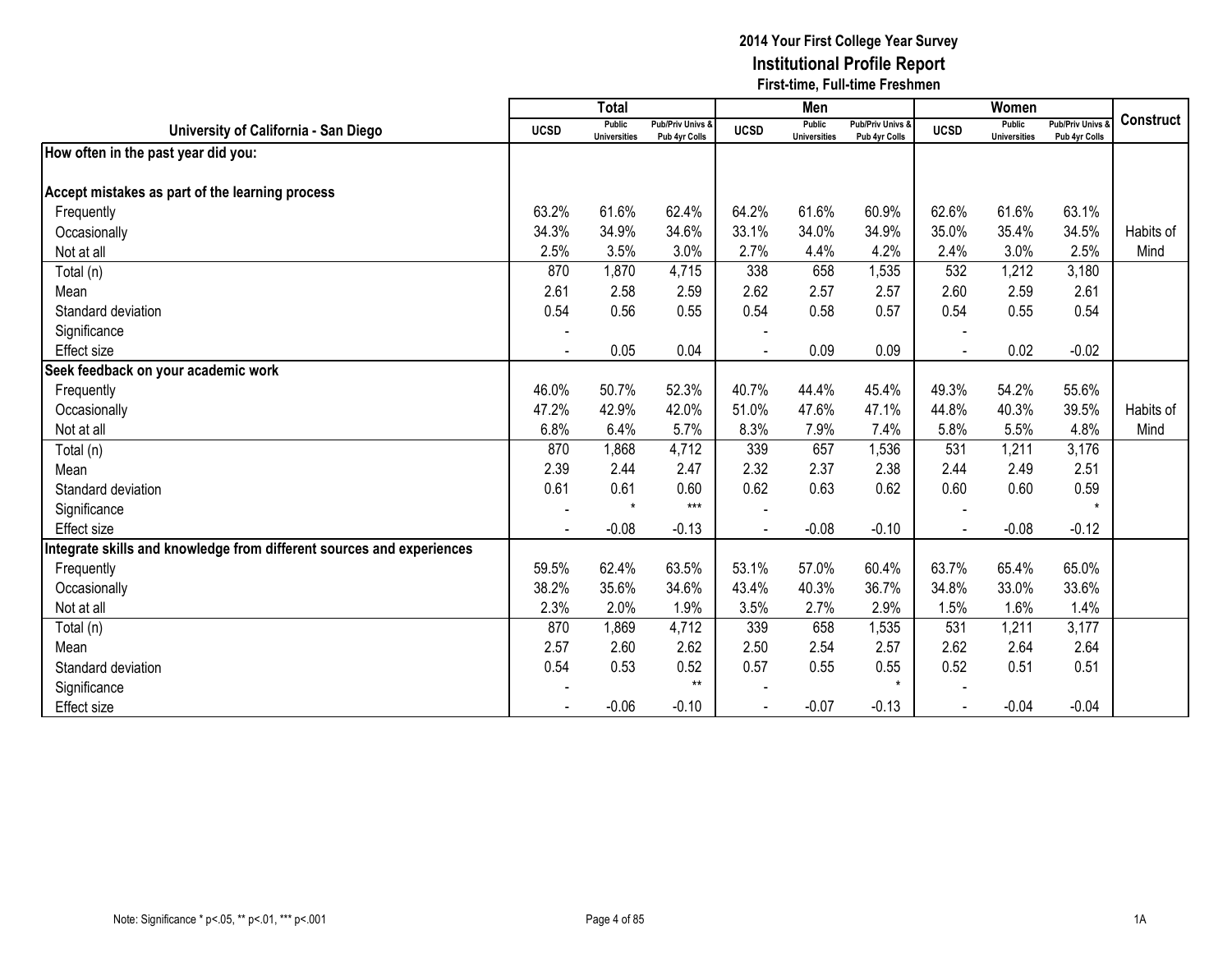|                                                                      |                | <b>Total</b>                         |                                   |                | Men                                  |                                   |                | Women                         |                                        |                  |
|----------------------------------------------------------------------|----------------|--------------------------------------|-----------------------------------|----------------|--------------------------------------|-----------------------------------|----------------|-------------------------------|----------------------------------------|------------------|
| University of California - San Diego                                 | <b>UCSD</b>    | <b>Public</b><br><b>Universities</b> | Pub/Priv Univs &<br>Pub 4yr Colls | <b>UCSD</b>    | <b>Public</b><br><b>Universities</b> | Pub/Priv Univs &<br>Pub 4yr Colls | <b>UCSD</b>    | Public<br><b>Universities</b> | <b>Pub/Priv Univs</b><br>Pub 4yr Colls | <b>Construct</b> |
| How often in the past year did you:                                  |                |                                      |                                   |                |                                      |                                   |                |                               |                                        |                  |
| Accept mistakes as part of the learning process                      |                |                                      |                                   |                |                                      |                                   |                |                               |                                        |                  |
| Frequently                                                           | 63.2%          | 61.6%                                | 62.4%                             | 64.2%          | 61.6%                                | 60.9%                             | 62.6%          | 61.6%                         | 63.1%                                  |                  |
| Occasionally                                                         | 34.3%          | 34.9%                                | 34.6%                             | 33.1%          | 34.0%                                | 34.9%                             | 35.0%          | 35.4%                         | 34.5%                                  | Habits of        |
| Not at all                                                           | 2.5%           | 3.5%                                 | 3.0%                              | 2.7%           | 4.4%                                 | 4.2%                              | 2.4%           | 3.0%                          | 2.5%                                   | Mind             |
| Total (n)                                                            | 870            | 1,870                                | 4,715                             | 338            | 658                                  | 1,535                             | 532            | 1,212                         | 3,180                                  |                  |
| Mean                                                                 | 2.61           | 2.58                                 | 2.59                              | 2.62           | 2.57                                 | 2.57                              | 2.60           | 2.59                          | 2.61                                   |                  |
| Standard deviation                                                   | 0.54           | 0.56                                 | 0.55                              | 0.54           | 0.58                                 | 0.57                              | 0.54           | 0.55                          | 0.54                                   |                  |
| Significance                                                         |                |                                      |                                   |                |                                      |                                   |                |                               |                                        |                  |
| <b>Effect size</b>                                                   | $\blacksquare$ | 0.05                                 | 0.04                              | $\blacksquare$ | 0.09                                 | 0.09                              | $\blacksquare$ | 0.02                          | $-0.02$                                |                  |
| Seek feedback on your academic work                                  |                |                                      |                                   |                |                                      |                                   |                |                               |                                        |                  |
| Frequently                                                           | 46.0%          | 50.7%                                | 52.3%                             | 40.7%          | 44.4%                                | 45.4%                             | 49.3%          | 54.2%                         | 55.6%                                  |                  |
| Occasionally                                                         | 47.2%          | 42.9%                                | 42.0%                             | 51.0%          | 47.6%                                | 47.1%                             | 44.8%          | 40.3%                         | 39.5%                                  | Habits of        |
| Not at all                                                           | 6.8%           | 6.4%                                 | 5.7%                              | 8.3%           | 7.9%                                 | 7.4%                              | 5.8%           | 5.5%                          | 4.8%                                   | Mind             |
| Total (n)                                                            | 870            | 1,868                                | 4,712                             | 339            | 657                                  | 1,536                             | 531            | 1,211                         | 3,176                                  |                  |
| Mean                                                                 | 2.39           | 2.44                                 | 2.47                              | 2.32           | 2.37                                 | 2.38                              | 2.44           | 2.49                          | 2.51                                   |                  |
| Standard deviation                                                   | 0.61           | 0.61                                 | 0.60                              | 0.62           | 0.63                                 | 0.62                              | 0.60           | 0.60                          | 0.59                                   |                  |
| Significance                                                         |                | $\star$                              | $***$                             |                |                                      |                                   |                |                               |                                        |                  |
| <b>Effect size</b>                                                   |                | $-0.08$                              | $-0.13$                           |                | $-0.08$                              | $-0.10$                           |                | $-0.08$                       | $-0.12$                                |                  |
| ntegrate skills and knowledge from different sources and experiences |                |                                      |                                   |                |                                      |                                   |                |                               |                                        |                  |
| Frequently                                                           | 59.5%          | 62.4%                                | 63.5%                             | 53.1%          | 57.0%                                | 60.4%                             | 63.7%          | 65.4%                         | 65.0%                                  |                  |
| Occasionally                                                         | 38.2%          | 35.6%                                | 34.6%                             | 43.4%          | 40.3%                                | 36.7%                             | 34.8%          | 33.0%                         | 33.6%                                  |                  |
| Not at all                                                           | 2.3%           | 2.0%                                 | 1.9%                              | 3.5%           | 2.7%                                 | 2.9%                              | 1.5%           | 1.6%                          | 1.4%                                   |                  |
| Total (n)                                                            | 870            | 1,869                                | 4,712                             | 339            | 658                                  | 1,535                             | 531            | 1,211                         | 3,177                                  |                  |
| Mean                                                                 | 2.57           | 2.60                                 | 2.62                              | 2.50           | 2.54                                 | 2.57                              | 2.62           | 2.64                          | 2.64                                   |                  |
| Standard deviation                                                   | 0.54           | 0.53                                 | 0.52                              | 0.57           | 0.55                                 | 0.55                              | 0.52           | 0.51                          | 0.51                                   |                  |
| Significance                                                         |                |                                      | $***$                             |                |                                      | $\star$                           |                |                               |                                        |                  |
| Effect size                                                          |                | $-0.06$                              | $-0.10$                           |                | $-0.07$                              | $-0.13$                           |                | $-0.04$                       | $-0.04$                                |                  |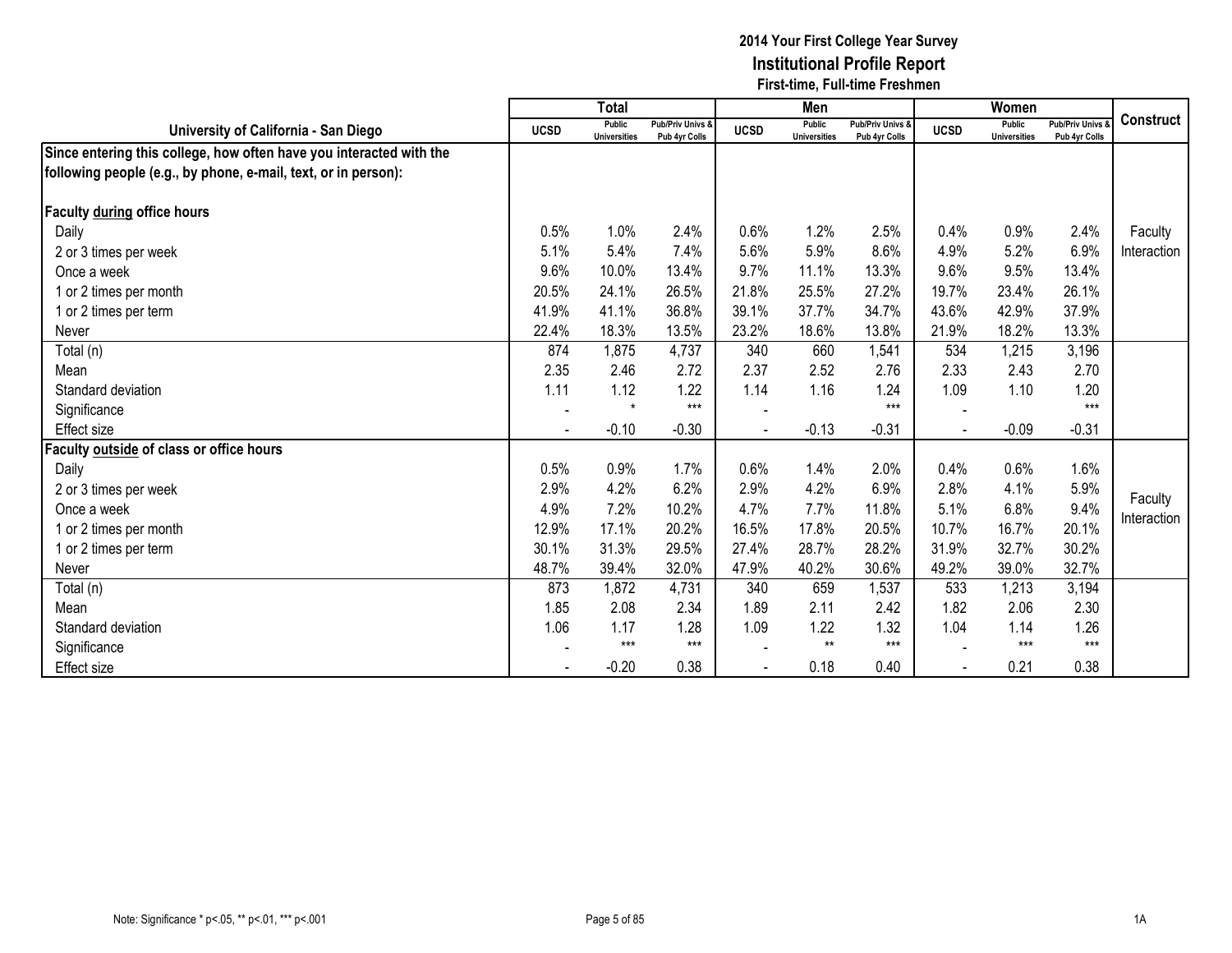|                                                                     |             | <b>Total</b>                  |                                   |             | Men                           |                                              |                          | Women                                |                                              |                    |
|---------------------------------------------------------------------|-------------|-------------------------------|-----------------------------------|-------------|-------------------------------|----------------------------------------------|--------------------------|--------------------------------------|----------------------------------------------|--------------------|
| University of California - San Diego                                | <b>UCSD</b> | Public<br><b>Universities</b> | Pub/Priv Univs &<br>Pub 4yr Colls | <b>UCSD</b> | Public<br><b>Universities</b> | <b>Pub/Priv Univs &amp;</b><br>Pub 4yr Colls | <b>UCSD</b>              | <b>Public</b><br><b>Universities</b> | <b>Pub/Priv Univs &amp;</b><br>Pub 4yr Colls | <b>Construct</b>   |
| Since entering this college, how often have you interacted with the |             |                               |                                   |             |                               |                                              |                          |                                      |                                              |                    |
| following people (e.g., by phone, e-mail, text, or in person):      |             |                               |                                   |             |                               |                                              |                          |                                      |                                              |                    |
| Faculty during office hours                                         |             |                               |                                   |             |                               |                                              |                          |                                      |                                              |                    |
| Daily                                                               | 0.5%        | 1.0%                          | 2.4%                              | 0.6%        | 1.2%                          | 2.5%                                         | 0.4%                     | 0.9%                                 | 2.4%                                         | Faculty            |
| 2 or 3 times per week                                               | 5.1%        | 5.4%                          | 7.4%                              | 5.6%        | 5.9%                          | 8.6%                                         | 4.9%                     | 5.2%                                 | 6.9%                                         | Interaction        |
| Once a week                                                         | 9.6%        | 10.0%                         | 13.4%                             | 9.7%        | 11.1%                         | 13.3%                                        | 9.6%                     | 9.5%                                 | 13.4%                                        |                    |
| 1 or 2 times per month                                              | 20.5%       | 24.1%                         | 26.5%                             | 21.8%       | 25.5%                         | 27.2%                                        | 19.7%                    | 23.4%                                | 26.1%                                        |                    |
| 1 or 2 times per term                                               | 41.9%       | 41.1%                         | 36.8%                             | 39.1%       | 37.7%                         | 34.7%                                        | 43.6%                    | 42.9%                                | 37.9%                                        |                    |
| Never                                                               | 22.4%       | 18.3%                         | 13.5%                             | 23.2%       | 18.6%                         | 13.8%                                        | 21.9%                    | 18.2%                                | 13.3%                                        |                    |
| Total (n)                                                           | 874         | 1,875                         | 4,737                             | 340         | 660                           | 1,541                                        | 534                      | 1,215                                | 3,196                                        |                    |
| Mean                                                                | 2.35        | 2.46                          | 2.72                              | 2.37        | 2.52                          | 2.76                                         | 2.33                     | 2.43                                 | 2.70                                         |                    |
| Standard deviation                                                  | 1.11        | 1.12                          | 1.22                              | 1.14        | 1.16                          | 1.24                                         | 1.09                     | 1.10                                 | 1.20                                         |                    |
| Significance                                                        |             | $\star$                       | $***$                             |             |                               | $***$                                        |                          |                                      | $***$                                        |                    |
| <b>Effect size</b>                                                  |             | $-0.10$                       | $-0.30$                           |             | $-0.13$                       | $-0.31$                                      | $\overline{\phantom{a}}$ | $-0.09$                              | $-0.31$                                      |                    |
| Faculty outside of class or office hours                            |             |                               |                                   |             |                               |                                              |                          |                                      |                                              |                    |
| Daily                                                               | 0.5%        | 0.9%                          | 1.7%                              | 0.6%        | 1.4%                          | 2.0%                                         | 0.4%                     | 0.6%                                 | 1.6%                                         |                    |
| 2 or 3 times per week                                               | 2.9%        | 4.2%                          | 6.2%                              | 2.9%        | 4.2%                          | 6.9%                                         | 2.8%                     | 4.1%                                 | 5.9%                                         | Faculty            |
| Once a week                                                         | 4.9%        | 7.2%                          | 10.2%                             | 4.7%        | 7.7%                          | 11.8%                                        | 5.1%                     | 6.8%                                 | 9.4%                                         | <b>Interaction</b> |
| 1 or 2 times per month                                              | 12.9%       | 17.1%                         | 20.2%                             | 16.5%       | 17.8%                         | 20.5%                                        | 10.7%                    | 16.7%                                | 20.1%                                        |                    |
| 1 or 2 times per term                                               | 30.1%       | 31.3%                         | 29.5%                             | 27.4%       | 28.7%                         | 28.2%                                        | 31.9%                    | 32.7%                                | 30.2%                                        |                    |
| Never                                                               | 48.7%       | 39.4%                         | 32.0%                             | 47.9%       | 40.2%                         | 30.6%                                        | 49.2%                    | 39.0%                                | 32.7%                                        |                    |
| Total (n)                                                           | 873         | 1,872                         | 4,731                             | 340         | 659                           | 1,537                                        | 533                      | 1,213                                | 3,194                                        |                    |
| Mean                                                                | 1.85        | 2.08                          | 2.34                              | 1.89        | 2.11                          | 2.42                                         | 1.82                     | 2.06                                 | 2.30                                         |                    |
| Standard deviation                                                  | 1.06        | 1.17                          | 1.28                              | 1.09        | 1.22                          | 1.32                                         | 1.04                     | 1.14                                 | 1.26                                         |                    |
| Significance                                                        |             | $***$                         | $***$                             |             | $***$                         | $***$                                        |                          | $***$                                | $***$                                        |                    |
| <b>Effect size</b>                                                  |             | $-0.20$                       | 0.38                              |             | 0.18                          | 0.40                                         |                          | 0.21                                 | 0.38                                         |                    |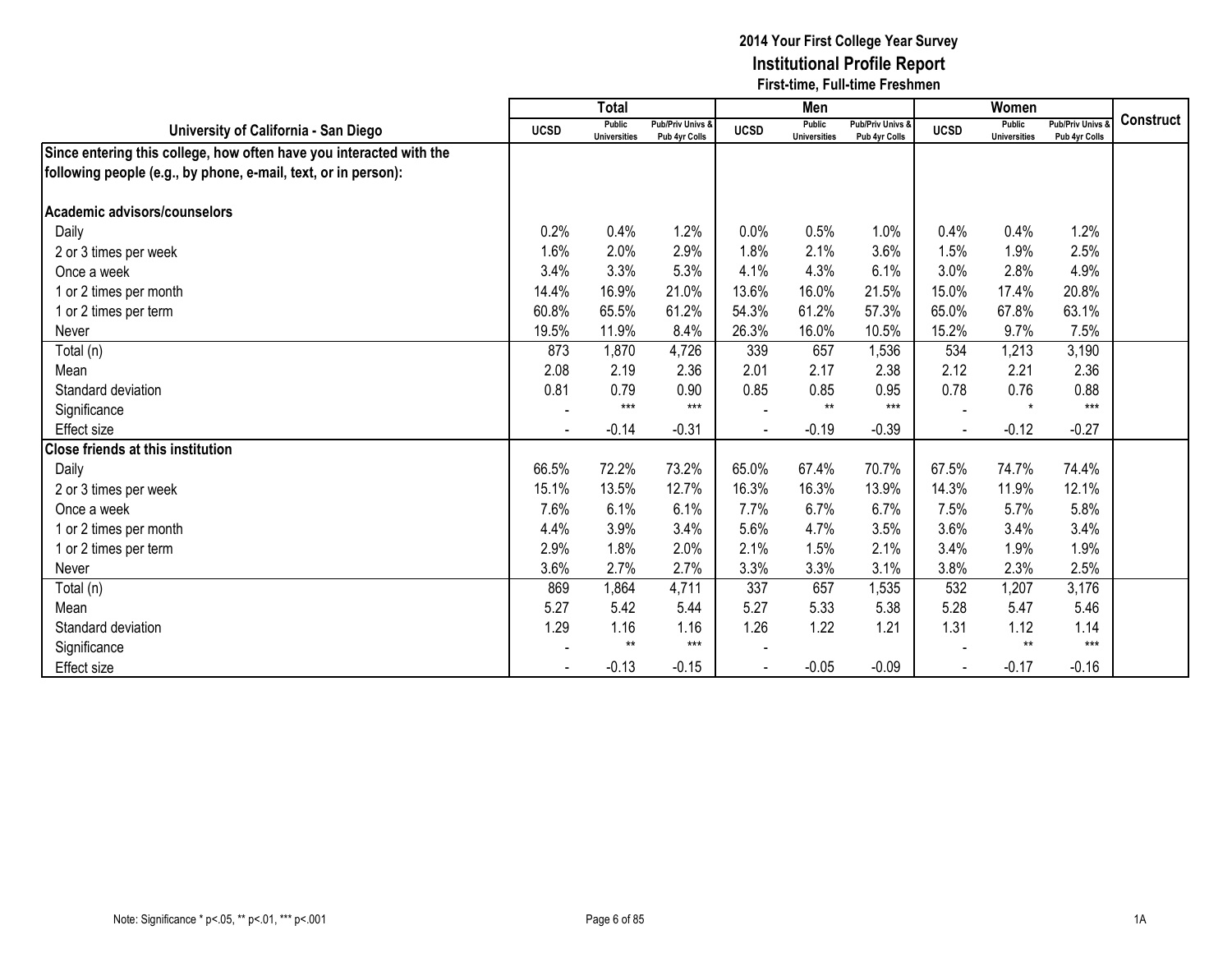|                                                                     |             | <b>Total</b>                  |                                   |             | Men                           |                                   |             | Women                                |                                              |                  |
|---------------------------------------------------------------------|-------------|-------------------------------|-----------------------------------|-------------|-------------------------------|-----------------------------------|-------------|--------------------------------------|----------------------------------------------|------------------|
| University of California - San Diego                                | <b>UCSD</b> | Public<br><b>Universities</b> | Pub/Priv Univs &<br>Pub 4yr Colls | <b>UCSD</b> | Public<br><b>Universities</b> | Pub/Priv Univs &<br>Pub 4yr Colls | <b>UCSD</b> | <b>Public</b><br><b>Universities</b> | <b>Pub/Priv Univs &amp;</b><br>Pub 4yr Colls | <b>Construct</b> |
| Since entering this college, how often have you interacted with the |             |                               |                                   |             |                               |                                   |             |                                      |                                              |                  |
| following people (e.g., by phone, e-mail, text, or in person):      |             |                               |                                   |             |                               |                                   |             |                                      |                                              |                  |
|                                                                     |             |                               |                                   |             |                               |                                   |             |                                      |                                              |                  |
| Academic advisors/counselors                                        |             |                               |                                   |             |                               |                                   |             |                                      |                                              |                  |
| Daily                                                               | 0.2%        | 0.4%                          | 1.2%                              | 0.0%        | 0.5%                          | 1.0%                              | 0.4%        | 0.4%                                 | 1.2%                                         |                  |
| 2 or 3 times per week                                               | 1.6%        | 2.0%                          | 2.9%                              | 1.8%        | 2.1%                          | 3.6%                              | 1.5%        | 1.9%                                 | 2.5%                                         |                  |
| Once a week                                                         | 3.4%        | 3.3%                          | 5.3%                              | 4.1%        | 4.3%                          | 6.1%                              | 3.0%        | 2.8%                                 | 4.9%                                         |                  |
| 1 or 2 times per month                                              | 14.4%       | 16.9%                         | 21.0%                             | 13.6%       | 16.0%                         | 21.5%                             | 15.0%       | 17.4%                                | 20.8%                                        |                  |
| 1 or 2 times per term                                               | 60.8%       | 65.5%                         | 61.2%                             | 54.3%       | 61.2%                         | 57.3%                             | 65.0%       | 67.8%                                | 63.1%                                        |                  |
| Never                                                               | 19.5%       | 11.9%                         | 8.4%                              | 26.3%       | 16.0%                         | 10.5%                             | 15.2%       | 9.7%                                 | 7.5%                                         |                  |
| Total (n)                                                           | 873         | 1,870                         | 4,726                             | 339         | 657                           | 1,536                             | 534         | 1,213                                | 3,190                                        |                  |
| Mean                                                                | 2.08        | 2.19                          | 2.36                              | 2.01        | 2.17                          | 2.38                              | 2.12        | 2.21                                 | 2.36                                         |                  |
| Standard deviation                                                  | 0.81        | 0.79                          | 0.90                              | 0.85        | 0.85                          | 0.95                              | 0.78        | 0.76                                 | 0.88                                         |                  |
| Significance                                                        |             | $***$                         | $***$                             |             | $**$                          | $***$                             |             | $\star$                              | $***$                                        |                  |
| <b>Effect size</b>                                                  |             | $-0.14$                       | $-0.31$                           |             | $-0.19$                       | $-0.39$                           |             | $-0.12$                              | $-0.27$                                      |                  |
| <b>Close friends at this institution</b>                            |             |                               |                                   |             |                               |                                   |             |                                      |                                              |                  |
| Daily                                                               | 66.5%       | 72.2%                         | 73.2%                             | 65.0%       | 67.4%                         | 70.7%                             | 67.5%       | 74.7%                                | 74.4%                                        |                  |
| 2 or 3 times per week                                               | 15.1%       | 13.5%                         | 12.7%                             | 16.3%       | 16.3%                         | 13.9%                             | 14.3%       | 11.9%                                | 12.1%                                        |                  |
| Once a week                                                         | 7.6%        | 6.1%                          | 6.1%                              | 7.7%        | 6.7%                          | 6.7%                              | 7.5%        | 5.7%                                 | 5.8%                                         |                  |
| 1 or 2 times per month                                              | 4.4%        | 3.9%                          | 3.4%                              | 5.6%        | 4.7%                          | 3.5%                              | 3.6%        | 3.4%                                 | 3.4%                                         |                  |
| 1 or 2 times per term                                               | 2.9%        | 1.8%                          | 2.0%                              | 2.1%        | 1.5%                          | 2.1%                              | 3.4%        | 1.9%                                 | 1.9%                                         |                  |
| Never                                                               | 3.6%        | 2.7%                          | 2.7%                              | 3.3%        | 3.3%                          | 3.1%                              | 3.8%        | 2.3%                                 | 2.5%                                         |                  |
| Total (n)                                                           | 869         | 1,864                         | 4,711                             | 337         | 657                           | 1,535                             | 532         | 1,207                                | 3,176                                        |                  |
| Mean                                                                | 5.27        | 5.42                          | 5.44                              | 5.27        | 5.33                          | 5.38                              | 5.28        | 5.47                                 | 5.46                                         |                  |
| Standard deviation                                                  | 1.29        | 1.16                          | 1.16                              | 1.26        | 1.22                          | 1.21                              | 1.31        | 1.12                                 | 1.14                                         |                  |
| Significance                                                        |             | $***$                         | $***$                             |             |                               |                                   |             | $**$                                 | $***$                                        |                  |
| Effect size                                                         |             | $-0.13$                       | $-0.15$                           |             | $-0.05$                       | $-0.09$                           |             | $-0.17$                              | $-0.16$                                      |                  |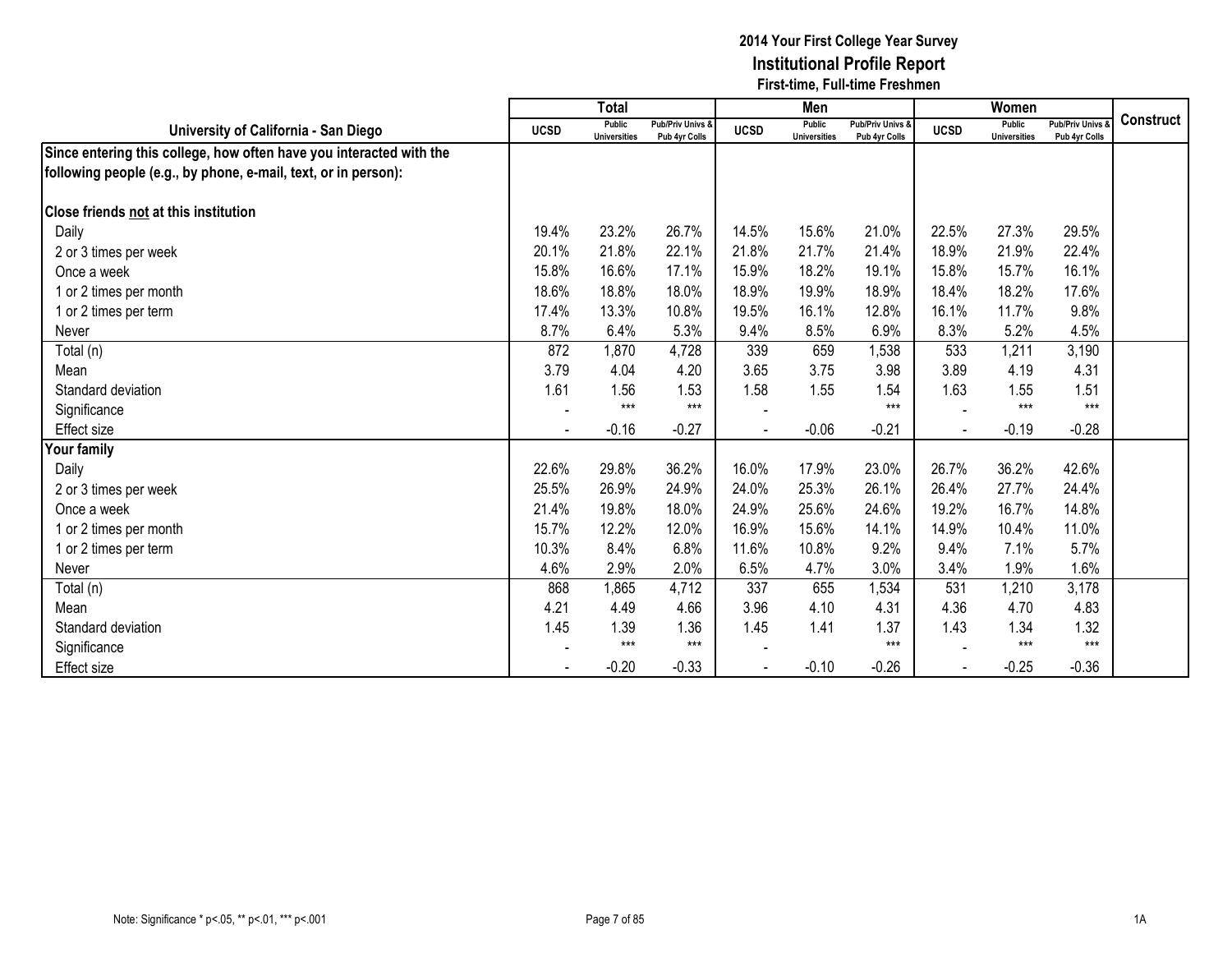|                                                                     |             | <b>Total</b>                  |                                   |             | Men                                  |                                   |             | Women                                |                                        |                  |
|---------------------------------------------------------------------|-------------|-------------------------------|-----------------------------------|-------------|--------------------------------------|-----------------------------------|-------------|--------------------------------------|----------------------------------------|------------------|
| University of California - San Diego                                | <b>UCSD</b> | Public<br><b>Universities</b> | Pub/Priv Univs &<br>Pub 4yr Colls | <b>UCSD</b> | <b>Public</b><br><b>Universities</b> | Pub/Priv Univs &<br>Pub 4yr Colls | <b>UCSD</b> | <b>Public</b><br><b>Universities</b> | <b>Pub/Priv Univs</b><br>Pub 4yr Colls | <b>Construct</b> |
| Since entering this college, how often have you interacted with the |             |                               |                                   |             |                                      |                                   |             |                                      |                                        |                  |
| following people (e.g., by phone, e-mail, text, or in person):      |             |                               |                                   |             |                                      |                                   |             |                                      |                                        |                  |
| Close friends not at this institution                               |             |                               |                                   |             |                                      |                                   |             |                                      |                                        |                  |
| Daily                                                               | 19.4%       | 23.2%                         | 26.7%                             | 14.5%       | 15.6%                                | 21.0%                             | 22.5%       | 27.3%                                | 29.5%                                  |                  |
| 2 or 3 times per week                                               | 20.1%       | 21.8%                         | 22.1%                             | 21.8%       | 21.7%                                | 21.4%                             | 18.9%       | 21.9%                                | 22.4%                                  |                  |
| Once a week                                                         | 15.8%       | 16.6%                         | 17.1%                             | 15.9%       | 18.2%                                | 19.1%                             | 15.8%       | 15.7%                                | 16.1%                                  |                  |
| 1 or 2 times per month                                              | 18.6%       | 18.8%                         | 18.0%                             | 18.9%       | 19.9%                                | 18.9%                             | 18.4%       | 18.2%                                | 17.6%                                  |                  |
| 1 or 2 times per term                                               | 17.4%       | 13.3%                         | 10.8%                             | 19.5%       | 16.1%                                | 12.8%                             | 16.1%       | 11.7%                                | 9.8%                                   |                  |
| Never                                                               | 8.7%        | 6.4%                          | 5.3%                              | 9.4%        | 8.5%                                 | 6.9%                              | 8.3%        | 5.2%                                 | 4.5%                                   |                  |
| Total (n)                                                           | 872         | 1,870                         | 4,728                             | 339         | 659                                  | 1,538                             | 533         | 1,211                                | 3,190                                  |                  |
| Mean                                                                | 3.79        | 4.04                          | 4.20                              | 3.65        | 3.75                                 | 3.98                              | 3.89        | 4.19                                 | 4.31                                   |                  |
| Standard deviation                                                  | 1.61        | 1.56                          | 1.53                              | 1.58        | 1.55                                 | 1.54                              | 1.63        | 1.55                                 | 1.51                                   |                  |
| Significance                                                        |             | $***$                         | $***$                             |             |                                      | $***$                             |             | $***$                                | $***$                                  |                  |
| Effect size                                                         |             | $-0.16$                       | $-0.27$                           |             | $-0.06$                              | $-0.21$                           |             | $-0.19$                              | $-0.28$                                |                  |
| <b>Your family</b>                                                  |             |                               |                                   |             |                                      |                                   |             |                                      |                                        |                  |
| Daily                                                               | 22.6%       | 29.8%                         | 36.2%                             | 16.0%       | 17.9%                                | 23.0%                             | 26.7%       | 36.2%                                | 42.6%                                  |                  |
| 2 or 3 times per week                                               | 25.5%       | 26.9%                         | 24.9%                             | 24.0%       | 25.3%                                | 26.1%                             | 26.4%       | 27.7%                                | 24.4%                                  |                  |
| Once a week                                                         | 21.4%       | 19.8%                         | 18.0%                             | 24.9%       | 25.6%                                | 24.6%                             | 19.2%       | 16.7%                                | 14.8%                                  |                  |
| 1 or 2 times per month                                              | 15.7%       | 12.2%                         | 12.0%                             | 16.9%       | 15.6%                                | 14.1%                             | 14.9%       | 10.4%                                | 11.0%                                  |                  |
| 1 or 2 times per term                                               | 10.3%       | 8.4%                          | 6.8%                              | 11.6%       | 10.8%                                | 9.2%                              | 9.4%        | 7.1%                                 | 5.7%                                   |                  |
| Never                                                               | 4.6%        | 2.9%                          | 2.0%                              | 6.5%        | 4.7%                                 | 3.0%                              | 3.4%        | 1.9%                                 | 1.6%                                   |                  |
| Total (n)                                                           | 868         | 1,865                         | 4,712                             | 337         | 655                                  | 1,534                             | 531         | 1,210                                | 3,178                                  |                  |
| Mean                                                                | 4.21        | 4.49                          | 4.66                              | 3.96        | 4.10                                 | 4.31                              | 4.36        | 4.70                                 | 4.83                                   |                  |
| Standard deviation                                                  | 1.45        | 1.39                          | 1.36                              | 1.45        | 1.41                                 | 1.37                              | 1.43        | 1.34                                 | 1.32                                   |                  |
| Significance                                                        |             | $***$                         | $***$                             |             |                                      | $***$                             |             | $***$                                | $***$                                  |                  |
| <b>Effect size</b>                                                  |             | $-0.20$                       | $-0.33$                           |             | $-0.10$                              | $-0.26$                           |             | $-0.25$                              | $-0.36$                                |                  |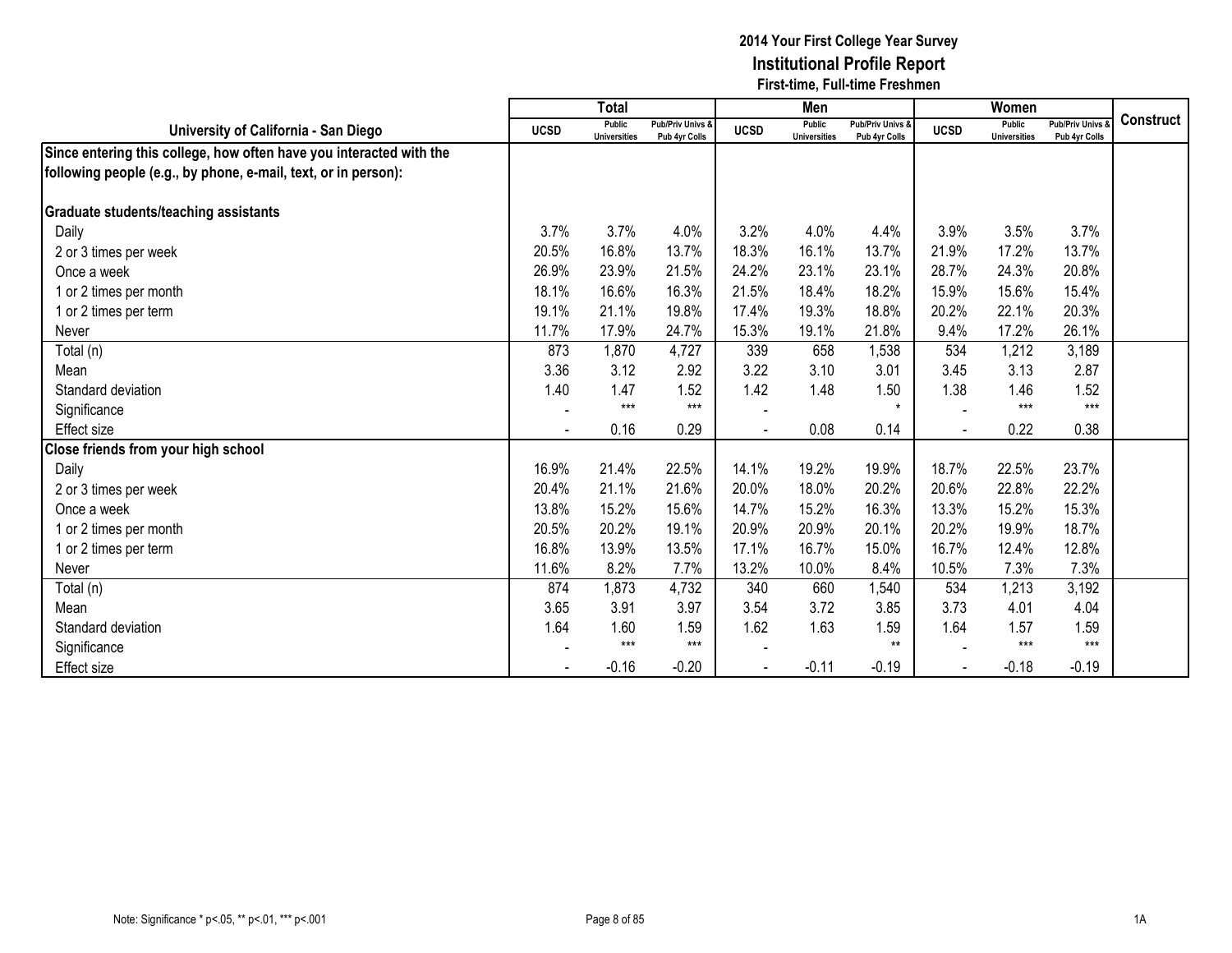|                                                                     |             | <b>Total</b>                  |                                              |             | Men                                  |                                              |             | Women                                |                                        |                  |
|---------------------------------------------------------------------|-------------|-------------------------------|----------------------------------------------|-------------|--------------------------------------|----------------------------------------------|-------------|--------------------------------------|----------------------------------------|------------------|
| University of California - San Diego                                | <b>UCSD</b> | Public<br><b>Universities</b> | <b>Pub/Priv Univs &amp;</b><br>Pub 4yr Colls | <b>UCSD</b> | <b>Public</b><br><b>Universities</b> | <b>Pub/Priv Univs &amp;</b><br>Pub 4yr Colls | <b>UCSD</b> | <b>Public</b><br><b>Universities</b> | <b>Pub/Priv Univs</b><br>Pub 4yr Colls | <b>Construct</b> |
| Since entering this college, how often have you interacted with the |             |                               |                                              |             |                                      |                                              |             |                                      |                                        |                  |
| following people (e.g., by phone, e-mail, text, or in person):      |             |                               |                                              |             |                                      |                                              |             |                                      |                                        |                  |
|                                                                     |             |                               |                                              |             |                                      |                                              |             |                                      |                                        |                  |
| <b>Graduate students/teaching assistants</b>                        |             |                               |                                              |             |                                      |                                              |             |                                      |                                        |                  |
| Daily                                                               | 3.7%        | 3.7%                          | 4.0%                                         | 3.2%        | 4.0%                                 | 4.4%                                         | 3.9%        | 3.5%                                 | 3.7%                                   |                  |
| 2 or 3 times per week                                               | 20.5%       | 16.8%                         | 13.7%                                        | 18.3%       | 16.1%                                | 13.7%                                        | 21.9%       | 17.2%                                | 13.7%                                  |                  |
| Once a week                                                         | 26.9%       | 23.9%                         | 21.5%                                        | 24.2%       | 23.1%                                | 23.1%                                        | 28.7%       | 24.3%                                | 20.8%                                  |                  |
| 1 or 2 times per month                                              | 18.1%       | 16.6%                         | 16.3%                                        | 21.5%       | 18.4%                                | 18.2%                                        | 15.9%       | 15.6%                                | 15.4%                                  |                  |
| 1 or 2 times per term                                               | 19.1%       | 21.1%                         | 19.8%                                        | 17.4%       | 19.3%                                | 18.8%                                        | 20.2%       | 22.1%                                | 20.3%                                  |                  |
| Never                                                               | 11.7%       | 17.9%                         | 24.7%                                        | 15.3%       | 19.1%                                | 21.8%                                        | 9.4%        | 17.2%                                | 26.1%                                  |                  |
| Total (n)                                                           | 873         | 1,870                         | 4,727                                        | 339         | 658                                  | 1,538                                        | 534         | 1,212                                | 3,189                                  |                  |
| Mean                                                                | 3.36        | 3.12                          | 2.92                                         | 3.22        | 3.10                                 | 3.01                                         | 3.45        | 3.13                                 | 2.87                                   |                  |
| Standard deviation                                                  | 1.40        | 1.47                          | 1.52                                         | 1.42        | 1.48                                 | 1.50                                         | 1.38        | 1.46                                 | 1.52                                   |                  |
| Significance                                                        |             | $***$                         | $***$                                        |             |                                      | $\star$                                      |             | $***$                                | $***$                                  |                  |
| <b>Effect size</b>                                                  |             | 0.16                          | 0.29                                         |             | 0.08                                 | 0.14                                         |             | 0.22                                 | 0.38                                   |                  |
| Close friends from your high school                                 |             |                               |                                              |             |                                      |                                              |             |                                      |                                        |                  |
| Daily                                                               | 16.9%       | 21.4%                         | 22.5%                                        | 14.1%       | 19.2%                                | 19.9%                                        | 18.7%       | 22.5%                                | 23.7%                                  |                  |
| 2 or 3 times per week                                               | 20.4%       | 21.1%                         | 21.6%                                        | 20.0%       | 18.0%                                | 20.2%                                        | 20.6%       | 22.8%                                | 22.2%                                  |                  |
| Once a week                                                         | 13.8%       | 15.2%                         | 15.6%                                        | 14.7%       | 15.2%                                | 16.3%                                        | 13.3%       | 15.2%                                | 15.3%                                  |                  |
| 1 or 2 times per month                                              | 20.5%       | 20.2%                         | 19.1%                                        | 20.9%       | 20.9%                                | 20.1%                                        | 20.2%       | 19.9%                                | 18.7%                                  |                  |
| 1 or 2 times per term                                               | 16.8%       | 13.9%                         | 13.5%                                        | 17.1%       | 16.7%                                | 15.0%                                        | 16.7%       | 12.4%                                | 12.8%                                  |                  |
| Never                                                               | 11.6%       | 8.2%                          | 7.7%                                         | 13.2%       | 10.0%                                | 8.4%                                         | 10.5%       | 7.3%                                 | 7.3%                                   |                  |
| Total (n)                                                           | 874         | 1,873                         | 4,732                                        | 340         | 660                                  | 1,540                                        | 534         | 1,213                                | 3,192                                  |                  |
| Mean                                                                | 3.65        | 3.91                          | 3.97                                         | 3.54        | 3.72                                 | 3.85                                         | 3.73        | 4.01                                 | 4.04                                   |                  |
| Standard deviation                                                  | 1.64        | 1.60                          | 1.59                                         | 1.62        | 1.63                                 | 1.59                                         | 1.64        | 1.57                                 | 1.59                                   |                  |
| Significance                                                        |             | $***$                         | $***$                                        |             |                                      | $**$                                         |             | $***$                                | $***$                                  |                  |
| <b>Effect size</b>                                                  |             | $-0.16$                       | $-0.20$                                      |             | $-0.11$                              | $-0.19$                                      |             | $-0.18$                              | $-0.19$                                |                  |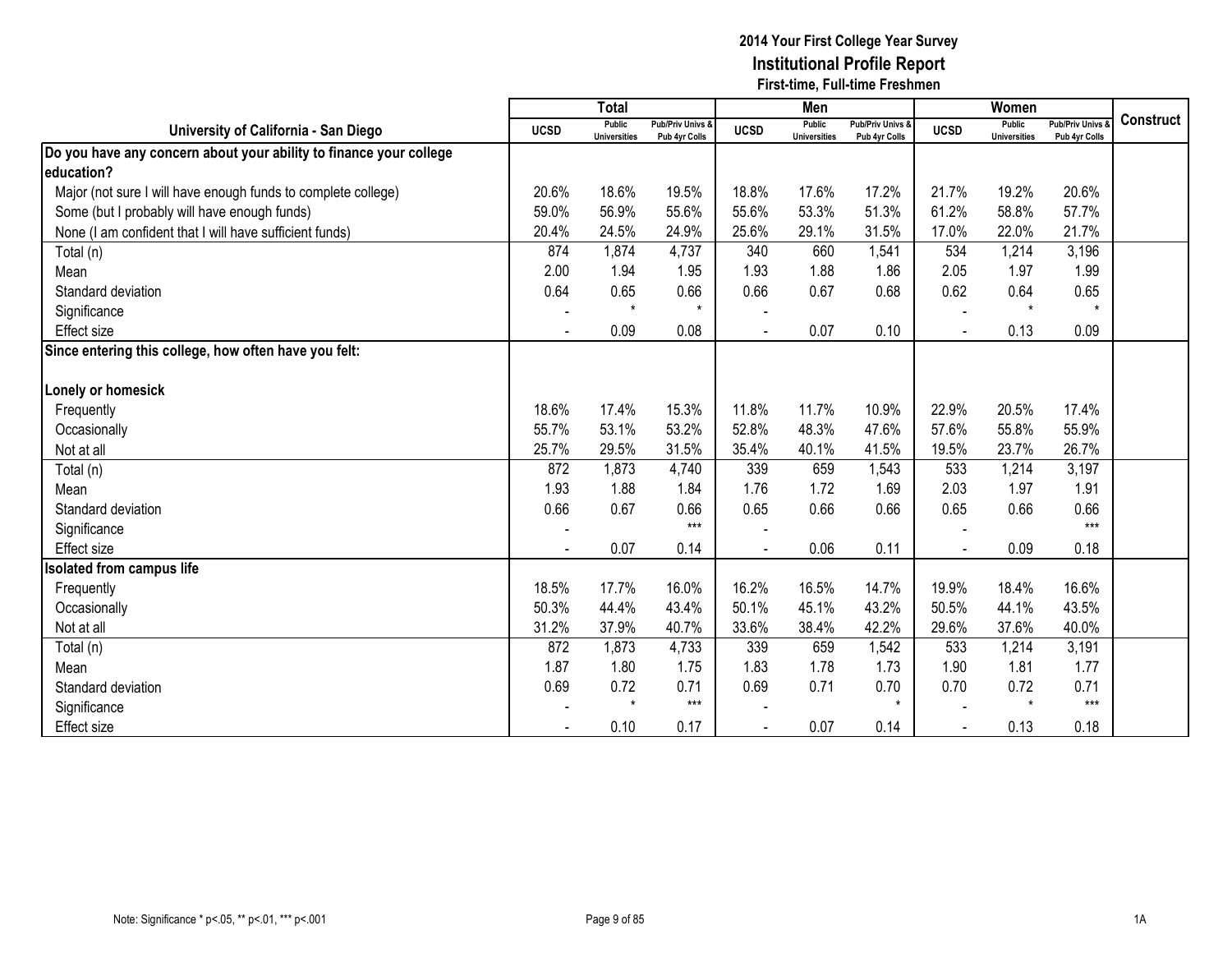|                                                                    |             | Total                                |                                   |             | Men                                  |                                   |                | Women                                |                                        |                  |
|--------------------------------------------------------------------|-------------|--------------------------------------|-----------------------------------|-------------|--------------------------------------|-----------------------------------|----------------|--------------------------------------|----------------------------------------|------------------|
| University of California - San Diego                               | <b>UCSD</b> | <b>Public</b><br><b>Universities</b> | Pub/Priv Univs &<br>Pub 4yr Colls | <b>UCSD</b> | <b>Public</b><br><b>Universities</b> | Pub/Priv Univs &<br>Pub 4yr Colls | <b>UCSD</b>    | <b>Public</b><br><b>Universities</b> | <b>Pub/Priv Univs</b><br>Pub 4yr Colls | <b>Construct</b> |
| Do you have any concern about your ability to finance your college |             |                                      |                                   |             |                                      |                                   |                |                                      |                                        |                  |
| education?                                                         |             |                                      |                                   |             |                                      |                                   |                |                                      |                                        |                  |
| Major (not sure I will have enough funds to complete college)      | 20.6%       | 18.6%                                | 19.5%                             | 18.8%       | 17.6%                                | 17.2%                             | 21.7%          | 19.2%                                | 20.6%                                  |                  |
| Some (but I probably will have enough funds)                       | 59.0%       | 56.9%                                | 55.6%                             | 55.6%       | 53.3%                                | 51.3%                             | 61.2%          | 58.8%                                | 57.7%                                  |                  |
| None (I am confident that I will have sufficient funds)            | 20.4%       | 24.5%                                | 24.9%                             | 25.6%       | 29.1%                                | 31.5%                             | 17.0%          | 22.0%                                | 21.7%                                  |                  |
| Total (n)                                                          | 874         | 1,874                                | 4,737                             | 340         | 660                                  | 1,541                             | 534            | 1,214                                | 3,196                                  |                  |
| Mean                                                               | 2.00        | 1.94                                 | 1.95                              | 1.93        | 1.88                                 | 1.86                              | 2.05           | 1.97                                 | 1.99                                   |                  |
| Standard deviation                                                 | 0.64        | 0.65                                 | 0.66                              | 0.66        | 0.67                                 | 0.68                              | 0.62           | 0.64                                 | 0.65                                   |                  |
| Significance                                                       |             | $\star$                              | $\star$                           |             |                                      |                                   |                | $\star$                              | $\star$                                |                  |
| <b>Effect size</b>                                                 |             | 0.09                                 | 0.08                              |             | 0.07                                 | 0.10                              |                | 0.13                                 | 0.09                                   |                  |
| Since entering this college, how often have you felt:              |             |                                      |                                   |             |                                      |                                   |                |                                      |                                        |                  |
|                                                                    |             |                                      |                                   |             |                                      |                                   |                |                                      |                                        |                  |
| Lonely or homesick                                                 |             |                                      |                                   |             |                                      |                                   |                |                                      |                                        |                  |
| Frequently                                                         | 18.6%       | 17.4%                                | 15.3%                             | 11.8%       | 11.7%                                | 10.9%                             | 22.9%          | 20.5%                                | 17.4%                                  |                  |
| Occasionally                                                       | 55.7%       | 53.1%                                | 53.2%                             | 52.8%       | 48.3%                                | 47.6%                             | 57.6%          | 55.8%                                | 55.9%                                  |                  |
| Not at all                                                         | 25.7%       | 29.5%                                | 31.5%                             | 35.4%       | 40.1%                                | 41.5%                             | 19.5%          | 23.7%                                | 26.7%                                  |                  |
| Total (n)                                                          | 872         | 1,873                                | 4,740                             | 339         | 659                                  | 1,543                             | 533            | 1,214                                | 3,197                                  |                  |
| Mean                                                               | 1.93        | 1.88                                 | 1.84                              | 1.76        | 1.72                                 | 1.69                              | 2.03           | 1.97                                 | 1.91                                   |                  |
| Standard deviation                                                 | 0.66        | 0.67                                 | 0.66                              | 0.65        | 0.66                                 | 0.66                              | 0.65           | 0.66                                 | 0.66                                   |                  |
| Significance                                                       |             |                                      | $***$                             |             |                                      |                                   |                |                                      | $***$                                  |                  |
| <b>Effect</b> size                                                 |             | 0.07                                 | 0.14                              |             | 0.06                                 | 0.11                              | $\blacksquare$ | 0.09                                 | 0.18                                   |                  |
| <b>Isolated from campus life</b>                                   |             |                                      |                                   |             |                                      |                                   |                |                                      |                                        |                  |
| Frequently                                                         | 18.5%       | 17.7%                                | 16.0%                             | 16.2%       | 16.5%                                | 14.7%                             | 19.9%          | 18.4%                                | 16.6%                                  |                  |
| Occasionally                                                       | 50.3%       | 44.4%                                | 43.4%                             | 50.1%       | 45.1%                                | 43.2%                             | 50.5%          | 44.1%                                | 43.5%                                  |                  |
| Not at all                                                         | 31.2%       | 37.9%                                | 40.7%                             | 33.6%       | 38.4%                                | 42.2%                             | 29.6%          | 37.6%                                | 40.0%                                  |                  |
| Total (n)                                                          | 872         | 1,873                                | 4,733                             | 339         | 659                                  | 1,542                             | 533            | 1,214                                | 3,191                                  |                  |
| Mean                                                               | 1.87        | 1.80                                 | 1.75                              | 1.83        | 1.78                                 | 1.73                              | 1.90           | 1.81                                 | 1.77                                   |                  |
| Standard deviation                                                 | 0.69        | 0.72                                 | 0.71                              | 0.69        | 0.71                                 | 0.70                              | 0.70           | 0.72                                 | 0.71                                   |                  |
| Significance                                                       |             | $\star$                              | $***$                             |             |                                      | $\star$                           |                | $\star$                              | $***$                                  |                  |
| <b>Effect size</b>                                                 |             | 0.10                                 | 0.17                              |             | 0.07                                 | 0.14                              |                | 0.13                                 | 0.18                                   |                  |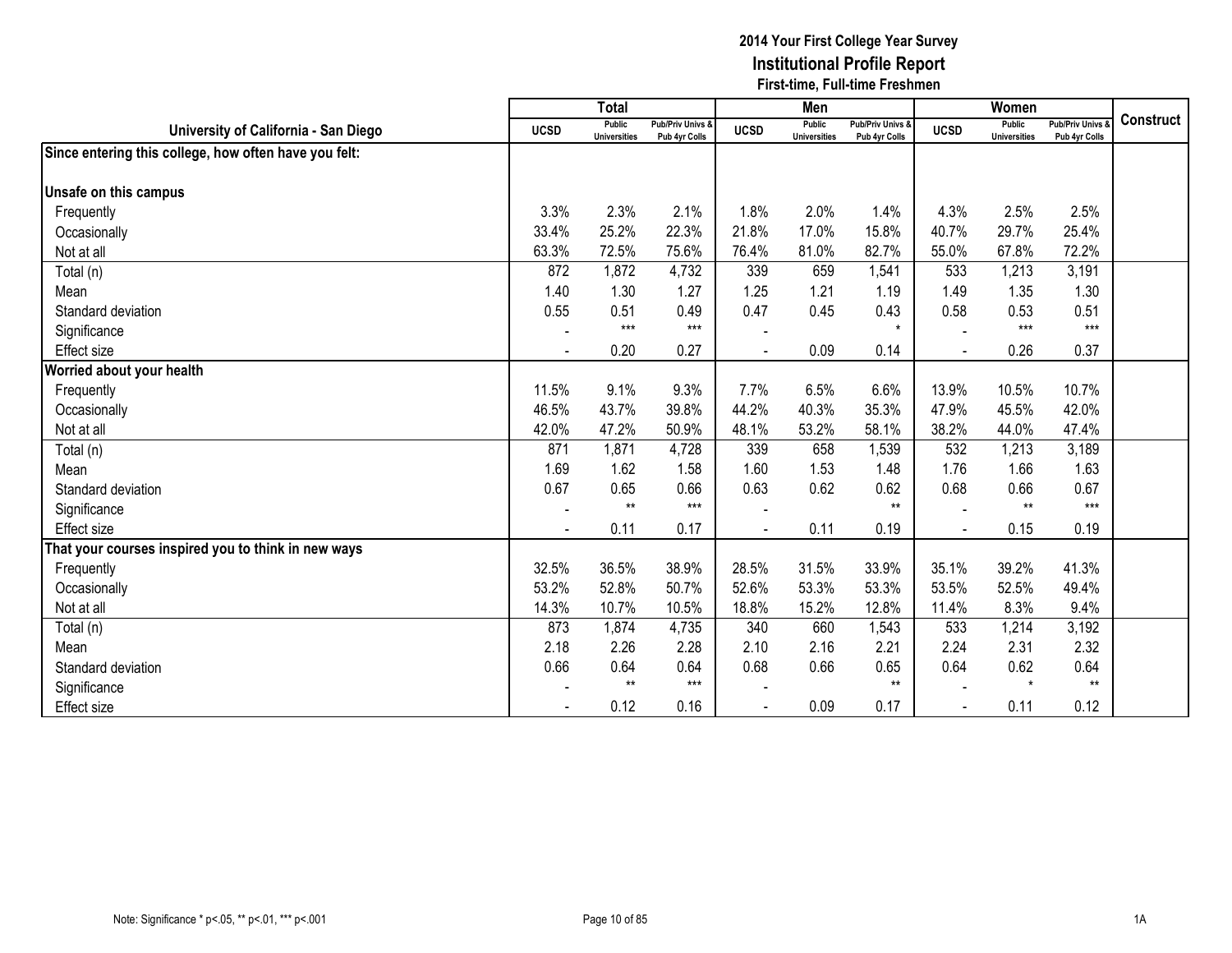|                                                       |                | <b>Total</b>                         |                                   |             | Men                           |                                   |                | Women                                |                                        |                  |
|-------------------------------------------------------|----------------|--------------------------------------|-----------------------------------|-------------|-------------------------------|-----------------------------------|----------------|--------------------------------------|----------------------------------------|------------------|
| University of California - San Diego                  | <b>UCSD</b>    | <b>Public</b><br><b>Universities</b> | Pub/Priv Univs &<br>Pub 4yr Colls | <b>UCSD</b> | Public<br><b>Universities</b> | Pub/Priv Univs &<br>Pub 4yr Colls | <b>UCSD</b>    | <b>Public</b><br><b>Universities</b> | <b>Pub/Priv Univs</b><br>Pub 4yr Colls | <b>Construct</b> |
| Since entering this college, how often have you felt: |                |                                      |                                   |             |                               |                                   |                |                                      |                                        |                  |
|                                                       |                |                                      |                                   |             |                               |                                   |                |                                      |                                        |                  |
| Unsafe on this campus                                 |                |                                      |                                   |             |                               |                                   |                |                                      |                                        |                  |
| Frequently                                            | 3.3%           | 2.3%                                 | 2.1%                              | 1.8%        | 2.0%                          | 1.4%                              | 4.3%           | 2.5%                                 | 2.5%                                   |                  |
| Occasionally                                          | 33.4%          | 25.2%                                | 22.3%                             | 21.8%       | 17.0%                         | 15.8%                             | 40.7%          | 29.7%                                | 25.4%                                  |                  |
| Not at all                                            | 63.3%          | 72.5%                                | 75.6%                             | 76.4%       | 81.0%                         | 82.7%                             | 55.0%          | 67.8%                                | 72.2%                                  |                  |
| Total (n)                                             | 872            | 1,872                                | 4,732                             | 339         | 659                           | 1,541                             | 533            | 1,213                                | 3,191                                  |                  |
| Mean                                                  | 1.40           | 1.30                                 | 1.27                              | 1.25        | 1.21                          | 1.19                              | 1.49           | 1.35                                 | 1.30                                   |                  |
| Standard deviation                                    | 0.55           | 0.51                                 | 0.49                              | 0.47        | 0.45                          | 0.43                              | 0.58           | 0.53                                 | 0.51                                   |                  |
| Significance                                          |                | $***$                                | $***$                             |             |                               | $\star$                           |                | $***$                                | $***$                                  |                  |
| Effect size                                           | $\blacksquare$ | 0.20                                 | 0.27                              |             | 0.09                          | 0.14                              |                | 0.26                                 | 0.37                                   |                  |
| Worried about your health                             |                |                                      |                                   |             |                               |                                   |                |                                      |                                        |                  |
| Frequently                                            | 11.5%          | 9.1%                                 | 9.3%                              | 7.7%        | 6.5%                          | 6.6%                              | 13.9%          | 10.5%                                | 10.7%                                  |                  |
| Occasionally                                          | 46.5%          | 43.7%                                | 39.8%                             | 44.2%       | 40.3%                         | 35.3%                             | 47.9%          | 45.5%                                | 42.0%                                  |                  |
| Not at all                                            | 42.0%          | 47.2%                                | 50.9%                             | 48.1%       | 53.2%                         | 58.1%                             | 38.2%          | 44.0%                                | 47.4%                                  |                  |
| Total (n)                                             | 871            | 1,871                                | 4,728                             | 339         | 658                           | 1,539                             | 532            | 1,213                                | 3,189                                  |                  |
| Mean                                                  | 1.69           | 1.62                                 | 1.58                              | 1.60        | 1.53                          | 1.48                              | 1.76           | 1.66                                 | 1.63                                   |                  |
| Standard deviation                                    | 0.67           | 0.65                                 | 0.66                              | 0.63        | 0.62                          | 0.62                              | 0.68           | 0.66                                 | 0.67                                   |                  |
| Significance                                          |                | $**$                                 | $***$                             |             |                               | $**$                              |                | $**$                                 | $***$                                  |                  |
| Effect size                                           |                | 0.11                                 | 0.17                              |             | 0.11                          | 0.19                              | $\sim$         | 0.15                                 | 0.19                                   |                  |
| That your courses inspired you to think in new ways   |                |                                      |                                   |             |                               |                                   |                |                                      |                                        |                  |
| Frequently                                            | 32.5%          | 36.5%                                | 38.9%                             | 28.5%       | 31.5%                         | 33.9%                             | 35.1%          | 39.2%                                | 41.3%                                  |                  |
| Occasionally                                          | 53.2%          | 52.8%                                | 50.7%                             | 52.6%       | 53.3%                         | 53.3%                             | 53.5%          | 52.5%                                | 49.4%                                  |                  |
| Not at all                                            | 14.3%          | 10.7%                                | 10.5%                             | 18.8%       | 15.2%                         | 12.8%                             | 11.4%          | 8.3%                                 | 9.4%                                   |                  |
| Total (n)                                             | 873            | 1,874                                | 4,735                             | 340         | 660                           | 1,543                             | 533            | 1,214                                | 3,192                                  |                  |
| Mean                                                  | 2.18           | 2.26                                 | 2.28                              | 2.10        | 2.16                          | 2.21                              | 2.24           | 2.31                                 | 2.32                                   |                  |
| Standard deviation                                    | 0.66           | 0.64                                 | 0.64                              | 0.68        | 0.66                          | 0.65                              | 0.64           | 0.62                                 | 0.64                                   |                  |
| Significance                                          |                | $***$                                | $***$                             |             |                               | $**$                              |                | $\star$                              | $**$                                   |                  |
| <b>Effect size</b>                                    |                | 0.12                                 | 0.16                              |             | 0.09                          | 0.17                              | $\blacksquare$ | 0.11                                 | 0.12                                   |                  |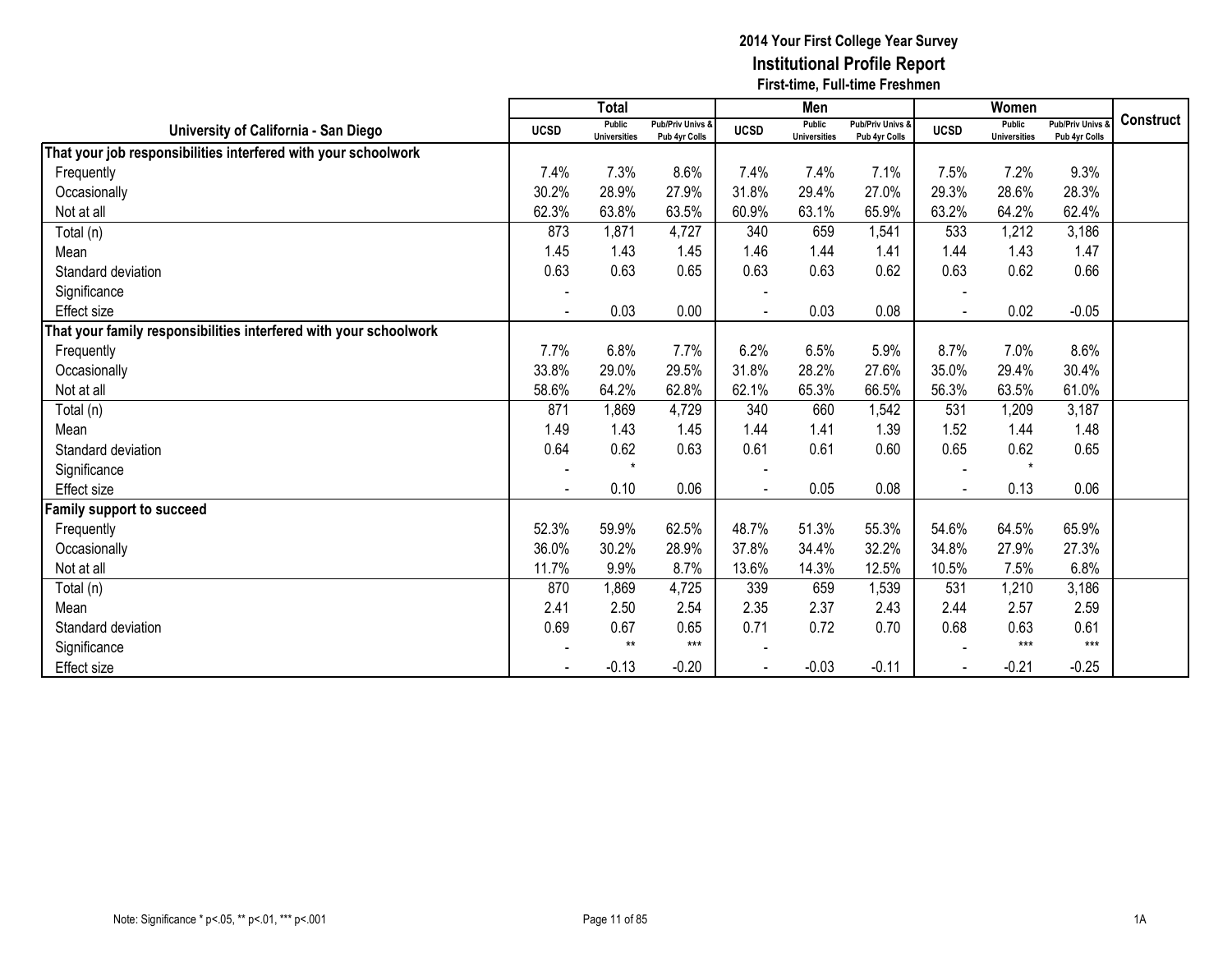|                                                                   |                | <b>Total</b>                  |                                   |                | Men                                  |                                              |             | Women                                |                                        |                  |
|-------------------------------------------------------------------|----------------|-------------------------------|-----------------------------------|----------------|--------------------------------------|----------------------------------------------|-------------|--------------------------------------|----------------------------------------|------------------|
| University of California - San Diego                              | <b>UCSD</b>    | Public<br><b>Universities</b> | Pub/Priv Univs &<br>Pub 4yr Colls | <b>UCSD</b>    | <b>Public</b><br><b>Universities</b> | <b>Pub/Priv Univs &amp;</b><br>Pub 4yr Colls | <b>UCSD</b> | <b>Public</b><br><b>Universities</b> | <b>Pub/Priv Univs</b><br>Pub 4yr Colls | <b>Construct</b> |
| That your job responsibilities interfered with your schoolwork    |                |                               |                                   |                |                                      |                                              |             |                                      |                                        |                  |
| Frequently                                                        | 7.4%           | 7.3%                          | 8.6%                              | 7.4%           | 7.4%                                 | 7.1%                                         | 7.5%        | 7.2%                                 | 9.3%                                   |                  |
| Occasionally                                                      | 30.2%          | 28.9%                         | 27.9%                             | 31.8%          | 29.4%                                | 27.0%                                        | 29.3%       | 28.6%                                | 28.3%                                  |                  |
| Not at all                                                        | 62.3%          | 63.8%                         | 63.5%                             | 60.9%          | 63.1%                                | 65.9%                                        | 63.2%       | 64.2%                                | 62.4%                                  |                  |
| Total (n)                                                         | 873            | 1,871                         | 4,727                             | 340            | 659                                  | 1,541                                        | 533         | 1,212                                | 3,186                                  |                  |
| Mean                                                              | 1.45           | 1.43                          | 1.45                              | 1.46           | 1.44                                 | 1.41                                         | 1.44        | 1.43                                 | 1.47                                   |                  |
| Standard deviation                                                | 0.63           | 0.63                          | 0.65                              | 0.63           | 0.63                                 | 0.62                                         | 0.63        | 0.62                                 | 0.66                                   |                  |
| Significance                                                      |                |                               |                                   |                |                                      |                                              |             |                                      |                                        |                  |
| Effect size                                                       |                | 0.03                          | 0.00                              |                | 0.03                                 | 0.08                                         |             | 0.02                                 | $-0.05$                                |                  |
| That your family responsibilities interfered with your schoolwork |                |                               |                                   |                |                                      |                                              |             |                                      |                                        |                  |
| Frequently                                                        | 7.7%           | 6.8%                          | 7.7%                              | 6.2%           | 6.5%                                 | 5.9%                                         | 8.7%        | 7.0%                                 | 8.6%                                   |                  |
| Occasionally                                                      | 33.8%          | 29.0%                         | 29.5%                             | 31.8%          | 28.2%                                | 27.6%                                        | 35.0%       | 29.4%                                | 30.4%                                  |                  |
| Not at all                                                        | 58.6%          | 64.2%                         | 62.8%                             | 62.1%          | 65.3%                                | 66.5%                                        | 56.3%       | 63.5%                                | 61.0%                                  |                  |
| Total (n)                                                         | 871            | 1,869                         | 4,729                             | 340            | 660                                  | 1,542                                        | 531         | 1,209                                | 3,187                                  |                  |
| Mean                                                              | 1.49           | 1.43                          | 1.45                              | 1.44           | 1.41                                 | 1.39                                         | 1.52        | 1.44                                 | 1.48                                   |                  |
| Standard deviation                                                | 0.64           | 0.62                          | 0.63                              | 0.61           | 0.61                                 | 0.60                                         | 0.65        | 0.62                                 | 0.65                                   |                  |
| Significance                                                      | $\sim$         | $\star$                       |                                   |                |                                      |                                              |             | $\star$                              |                                        |                  |
| <b>Effect size</b>                                                | $\blacksquare$ | 0.10                          | 0.06                              | $\blacksquare$ | 0.05                                 | 0.08                                         |             | 0.13                                 | 0.06                                   |                  |
| amily support to succeed                                          |                |                               |                                   |                |                                      |                                              |             |                                      |                                        |                  |
| Frequently                                                        | 52.3%          | 59.9%                         | 62.5%                             | 48.7%          | 51.3%                                | 55.3%                                        | 54.6%       | 64.5%                                | 65.9%                                  |                  |
| Occasionally                                                      | 36.0%          | 30.2%                         | 28.9%                             | 37.8%          | 34.4%                                | 32.2%                                        | 34.8%       | 27.9%                                | 27.3%                                  |                  |
| Not at all                                                        | 11.7%          | 9.9%                          | 8.7%                              | 13.6%          | 14.3%                                | 12.5%                                        | 10.5%       | 7.5%                                 | 6.8%                                   |                  |
| Total (n)                                                         | 870            | 1,869                         | 4,725                             | 339            | 659                                  | 1,539                                        | 531         | 1,210                                | 3,186                                  |                  |
| Mean                                                              | 2.41           | 2.50                          | 2.54                              | 2.35           | 2.37                                 | 2.43                                         | 2.44        | 2.57                                 | 2.59                                   |                  |
| Standard deviation                                                | 0.69           | 0.67                          | 0.65                              | 0.71           | 0.72                                 | 0.70                                         | 0.68        | 0.63                                 | 0.61                                   |                  |
| Significance                                                      |                | $***$                         | $***$                             |                |                                      |                                              |             | $***$                                | $***$                                  |                  |
| Effect size                                                       |                | $-0.13$                       | $-0.20$                           |                | $-0.03$                              | $-0.11$                                      |             | $-0.21$                              | $-0.25$                                |                  |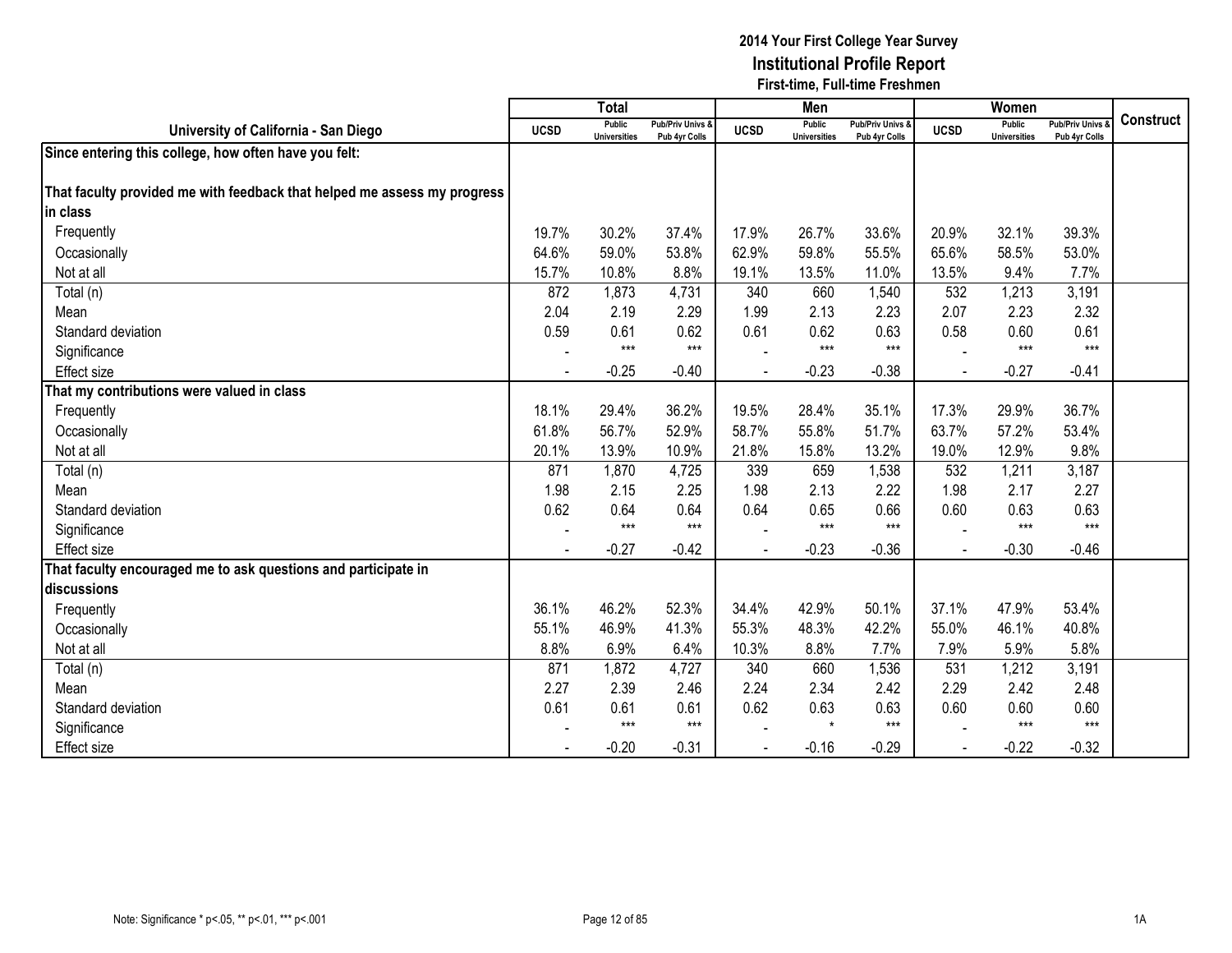|                                                                          |             | <b>Total</b>                  |                                   |             | Men                                  |                                   |             | Women                         |                                        |                  |
|--------------------------------------------------------------------------|-------------|-------------------------------|-----------------------------------|-------------|--------------------------------------|-----------------------------------|-------------|-------------------------------|----------------------------------------|------------------|
| University of California - San Diego                                     | <b>UCSD</b> | Public<br><b>Universities</b> | Pub/Priv Univs &<br>Pub 4yr Colls | <b>UCSD</b> | <b>Public</b><br><b>Universities</b> | Pub/Priv Univs &<br>Pub 4yr Colls | <b>UCSD</b> | Public<br><b>Universities</b> | <b>Pub/Priv Univs</b><br>Pub 4yr Colls | <b>Construct</b> |
| Since entering this college, how often have you felt:                    |             |                               |                                   |             |                                      |                                   |             |                               |                                        |                  |
|                                                                          |             |                               |                                   |             |                                      |                                   |             |                               |                                        |                  |
| That faculty provided me with feedback that helped me assess my progress |             |                               |                                   |             |                                      |                                   |             |                               |                                        |                  |
| lin class                                                                |             |                               |                                   |             |                                      |                                   |             |                               |                                        |                  |
| Frequently                                                               | 19.7%       | 30.2%                         | 37.4%                             | 17.9%       | 26.7%                                | 33.6%                             | 20.9%       | 32.1%                         | 39.3%                                  |                  |
| Occasionally                                                             | 64.6%       | 59.0%                         | 53.8%                             | 62.9%       | 59.8%                                | 55.5%                             | 65.6%       | 58.5%                         | 53.0%                                  |                  |
| Not at all                                                               | 15.7%       | 10.8%                         | 8.8%                              | 19.1%       | 13.5%                                | 11.0%                             | 13.5%       | 9.4%                          | 7.7%                                   |                  |
| Total (n)                                                                | 872         | 1,873                         | 4,731                             | 340         | 660                                  | 1,540                             | 532         | 1,213                         | 3,191                                  |                  |
| Mean                                                                     | 2.04        | 2.19                          | 2.29                              | 1.99        | 2.13                                 | 2.23                              | 2.07        | 2.23                          | 2.32                                   |                  |
| Standard deviation                                                       | 0.59        | 0.61                          | 0.62                              | 0.61        | 0.62                                 | 0.63                              | 0.58        | 0.60                          | 0.61                                   |                  |
| Significance                                                             |             | $***$                         | $***$                             |             | $***$                                | $***$                             |             | $***$                         | $***$                                  |                  |
| <b>Effect</b> size                                                       |             | $-0.25$                       | $-0.40$                           |             | $-0.23$                              | $-0.38$                           |             | $-0.27$                       | $-0.41$                                |                  |
| That my contributions were valued in class                               |             |                               |                                   |             |                                      |                                   |             |                               |                                        |                  |
| Frequently                                                               | 18.1%       | 29.4%                         | 36.2%                             | 19.5%       | 28.4%                                | 35.1%                             | 17.3%       | 29.9%                         | 36.7%                                  |                  |
| Occasionally                                                             | 61.8%       | 56.7%                         | 52.9%                             | 58.7%       | 55.8%                                | 51.7%                             | 63.7%       | 57.2%                         | 53.4%                                  |                  |
| Not at all                                                               | 20.1%       | 13.9%                         | 10.9%                             | 21.8%       | 15.8%                                | 13.2%                             | 19.0%       | 12.9%                         | 9.8%                                   |                  |
| Total (n)                                                                | 871         | 1,870                         | 4,725                             | 339         | 659                                  | 1,538                             | 532         | 1,211                         | 3,187                                  |                  |
| Mean                                                                     | 1.98        | 2.15                          | 2.25                              | 1.98        | 2.13                                 | 2.22                              | 1.98        | 2.17                          | 2.27                                   |                  |
| Standard deviation                                                       | 0.62        | 0.64                          | 0.64                              | 0.64        | 0.65                                 | 0.66                              | 0.60        | 0.63                          | 0.63                                   |                  |
| Significance                                                             |             | $***$                         | $***$                             |             | $***$                                | $***$                             |             | $***$                         | $***$                                  |                  |
| <b>Effect size</b>                                                       |             | $-0.27$                       | $-0.42$                           |             | $-0.23$                              | $-0.36$                           |             | $-0.30$                       | $-0.46$                                |                  |
| That faculty encouraged me to ask questions and participate in           |             |                               |                                   |             |                                      |                                   |             |                               |                                        |                  |
| discussions                                                              |             |                               |                                   |             |                                      |                                   |             |                               |                                        |                  |
| Frequently                                                               | 36.1%       | 46.2%                         | 52.3%                             | 34.4%       | 42.9%                                | 50.1%                             | 37.1%       | 47.9%                         | 53.4%                                  |                  |
| Occasionally                                                             | 55.1%       | 46.9%                         | 41.3%                             | 55.3%       | 48.3%                                | 42.2%                             | 55.0%       | 46.1%                         | 40.8%                                  |                  |
| Not at all                                                               | 8.8%        | 6.9%                          | 6.4%                              | 10.3%       | 8.8%                                 | 7.7%                              | 7.9%        | 5.9%                          | 5.8%                                   |                  |
| Total (n)                                                                | 871         | 1,872                         | 4,727                             | 340         | 660                                  | 1,536                             | 531         | 1,212                         | 3,191                                  |                  |
| Mean                                                                     | 2.27        | 2.39                          | 2.46                              | 2.24        | 2.34                                 | 2.42                              | 2.29        | 2.42                          | 2.48                                   |                  |
| Standard deviation                                                       | 0.61        | 0.61                          | 0.61                              | 0.62        | 0.63                                 | 0.63                              | 0.60        | 0.60                          | 0.60                                   |                  |
| Significance                                                             |             | $***$                         | $***$                             |             | $\star$                              | $***$                             |             | $***$                         | $***$                                  |                  |
| <b>Effect size</b>                                                       |             | $-0.20$                       | $-0.31$                           |             | $-0.16$                              | $-0.29$                           |             | $-0.22$                       | $-0.32$                                |                  |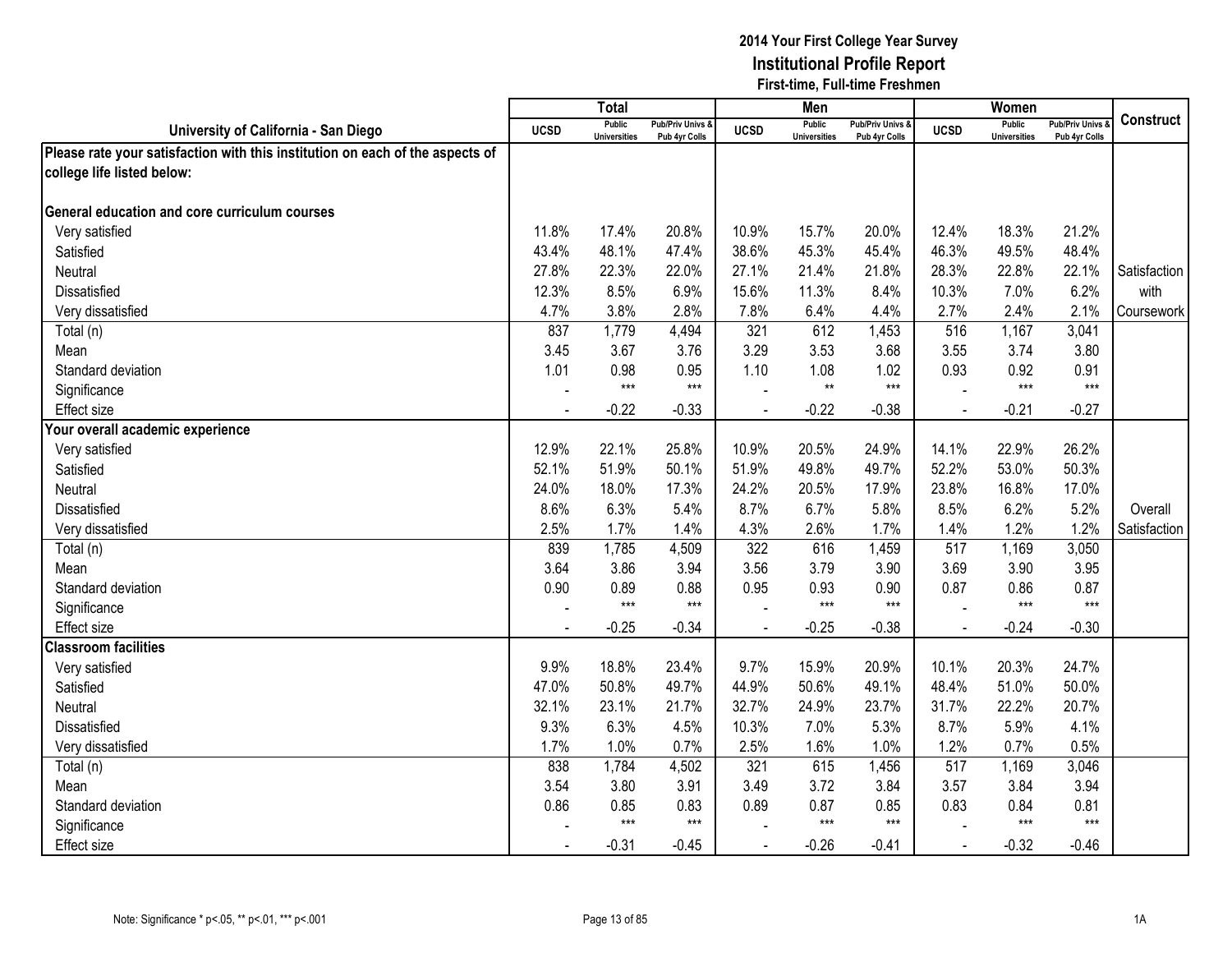|                                                                               |             | <b>Total</b>                         |                                              |                | Men                                  |                                   |                | Women                                |                                        |                  |
|-------------------------------------------------------------------------------|-------------|--------------------------------------|----------------------------------------------|----------------|--------------------------------------|-----------------------------------|----------------|--------------------------------------|----------------------------------------|------------------|
| University of California - San Diego                                          | <b>UCSD</b> | <b>Public</b><br><b>Universities</b> | <b>Pub/Priv Univs &amp;</b><br>Pub 4yr Colls | <b>UCSD</b>    | <b>Public</b><br><b>Universities</b> | Pub/Priv Univs &<br>Pub 4yr Colls | <b>UCSD</b>    | <b>Public</b><br><b>Universities</b> | <b>Pub/Priv Univs</b><br>Pub 4yr Colls | <b>Construct</b> |
| Please rate your satisfaction with this institution on each of the aspects of |             |                                      |                                              |                |                                      |                                   |                |                                      |                                        |                  |
| college life listed below:                                                    |             |                                      |                                              |                |                                      |                                   |                |                                      |                                        |                  |
|                                                                               |             |                                      |                                              |                |                                      |                                   |                |                                      |                                        |                  |
| <b>General education and core curriculum courses</b>                          |             |                                      |                                              |                |                                      |                                   |                |                                      |                                        |                  |
| Very satisfied                                                                | 11.8%       | 17.4%                                | 20.8%                                        | 10.9%          | 15.7%                                | 20.0%                             | 12.4%          | 18.3%                                | 21.2%                                  |                  |
| Satisfied                                                                     | 43.4%       | 48.1%                                | 47.4%                                        | 38.6%          | 45.3%                                | 45.4%                             | 46.3%          | 49.5%                                | 48.4%                                  |                  |
| Neutral                                                                       | 27.8%       | 22.3%                                | 22.0%                                        | 27.1%          | 21.4%                                | 21.8%                             | 28.3%          | 22.8%                                | 22.1%                                  | Satisfaction     |
| Dissatisfied                                                                  | 12.3%       | 8.5%                                 | 6.9%                                         | 15.6%          | 11.3%                                | 8.4%                              | 10.3%          | 7.0%                                 | 6.2%                                   | with             |
| Very dissatisfied                                                             | 4.7%        | 3.8%                                 | 2.8%                                         | 7.8%           | 6.4%                                 | 4.4%                              | 2.7%           | 2.4%                                 | 2.1%                                   | Coursework       |
| Total (n)                                                                     | 837         | 1,779                                | 4,494                                        | 321            | 612                                  | 1,453                             | 516            | 1,167                                | 3,041                                  |                  |
| Mean                                                                          | 3.45        | 3.67                                 | 3.76                                         | 3.29           | 3.53                                 | 3.68                              | 3.55           | 3.74                                 | 3.80                                   |                  |
| Standard deviation                                                            | 1.01        | 0.98                                 | 0.95                                         | 1.10           | 1.08                                 | 1.02                              | 0.93           | 0.92                                 | 0.91                                   |                  |
| Significance                                                                  |             | $***$                                | $***$                                        |                | $**$                                 | $***$                             |                | $***$                                | $***$                                  |                  |
| <b>Effect size</b>                                                            |             | $-0.22$                              | $-0.33$                                      |                | $-0.22$                              | $-0.38$                           |                | $-0.21$                              | $-0.27$                                |                  |
| Your overall academic experience                                              |             |                                      |                                              |                |                                      |                                   |                |                                      |                                        |                  |
| Very satisfied                                                                | 12.9%       | 22.1%                                | 25.8%                                        | 10.9%          | 20.5%                                | 24.9%                             | 14.1%          | 22.9%                                | 26.2%                                  |                  |
| Satisfied                                                                     | 52.1%       | 51.9%                                | 50.1%                                        | 51.9%          | 49.8%                                | 49.7%                             | 52.2%          | 53.0%                                | 50.3%                                  |                  |
| Neutral                                                                       | 24.0%       | 18.0%                                | 17.3%                                        | 24.2%          | 20.5%                                | 17.9%                             | 23.8%          | 16.8%                                | 17.0%                                  |                  |
| Dissatisfied                                                                  | 8.6%        | 6.3%                                 | 5.4%                                         | 8.7%           | 6.7%                                 | 5.8%                              | 8.5%           | 6.2%                                 | 5.2%                                   | Overall          |
| Very dissatisfied                                                             | 2.5%        | 1.7%                                 | 1.4%                                         | 4.3%           | 2.6%                                 | 1.7%                              | 1.4%           | 1.2%                                 | 1.2%                                   | Satisfaction     |
| Total (n)                                                                     | 839         | 1,785                                | 4,509                                        | 322            | 616                                  | 1,459                             | 517            | 1,169                                | 3,050                                  |                  |
| Mean                                                                          | 3.64        | 3.86                                 | 3.94                                         | 3.56           | 3.79                                 | 3.90                              | 3.69           | 3.90                                 | 3.95                                   |                  |
| Standard deviation                                                            | 0.90        | 0.89                                 | 0.88                                         | 0.95           | 0.93                                 | 0.90                              | 0.87           | 0.86                                 | 0.87                                   |                  |
| Significance                                                                  |             | $***$                                | $***$                                        |                | $***$                                | $***$                             |                | $***$                                | $***$                                  |                  |
| <b>Effect size</b>                                                            |             | $-0.25$                              | $-0.34$                                      |                | $-0.25$                              | $-0.38$                           | $\overline{a}$ | $-0.24$                              | $-0.30$                                |                  |
| <b>Classroom facilities</b>                                                   |             |                                      |                                              |                |                                      |                                   |                |                                      |                                        |                  |
| Very satisfied                                                                | 9.9%        | 18.8%                                | 23.4%                                        | 9.7%           | 15.9%                                | 20.9%                             | 10.1%          | 20.3%                                | 24.7%                                  |                  |
| Satisfied                                                                     | 47.0%       | 50.8%                                | 49.7%                                        | 44.9%          | 50.6%                                | 49.1%                             | 48.4%          | 51.0%                                | 50.0%                                  |                  |
| Neutral                                                                       | 32.1%       | 23.1%                                | 21.7%                                        | 32.7%          | 24.9%                                | 23.7%                             | 31.7%          | 22.2%                                | 20.7%                                  |                  |
| Dissatisfied                                                                  | 9.3%        | 6.3%                                 | 4.5%                                         | 10.3%          | 7.0%                                 | 5.3%                              | 8.7%           | 5.9%                                 | 4.1%                                   |                  |
| Very dissatisfied                                                             | 1.7%        | 1.0%                                 | 0.7%                                         | 2.5%           | 1.6%                                 | 1.0%                              | 1.2%           | 0.7%                                 | 0.5%                                   |                  |
| Total (n)                                                                     | 838         | 1,784                                | 4,502                                        | 321            | 615                                  | 1,456                             | 517            | 1,169                                | 3,046                                  |                  |
| Mean                                                                          | 3.54        | 3.80                                 | 3.91                                         | 3.49           | 3.72                                 | 3.84                              | 3.57           | 3.84                                 | 3.94                                   |                  |
| Standard deviation                                                            | 0.86        | 0.85                                 | 0.83                                         | 0.89           | 0.87                                 | 0.85                              | 0.83           | 0.84                                 | 0.81                                   |                  |
| Significance                                                                  |             | $***$                                | $***$                                        |                | $***$                                | $***$                             |                | $***$                                | $***$                                  |                  |
| <b>Effect size</b>                                                            |             | $-0.31$                              | $-0.45$                                      | $\blacksquare$ | $-0.26$                              | $-0.41$                           | $\blacksquare$ | $-0.32$                              | $-0.46$                                |                  |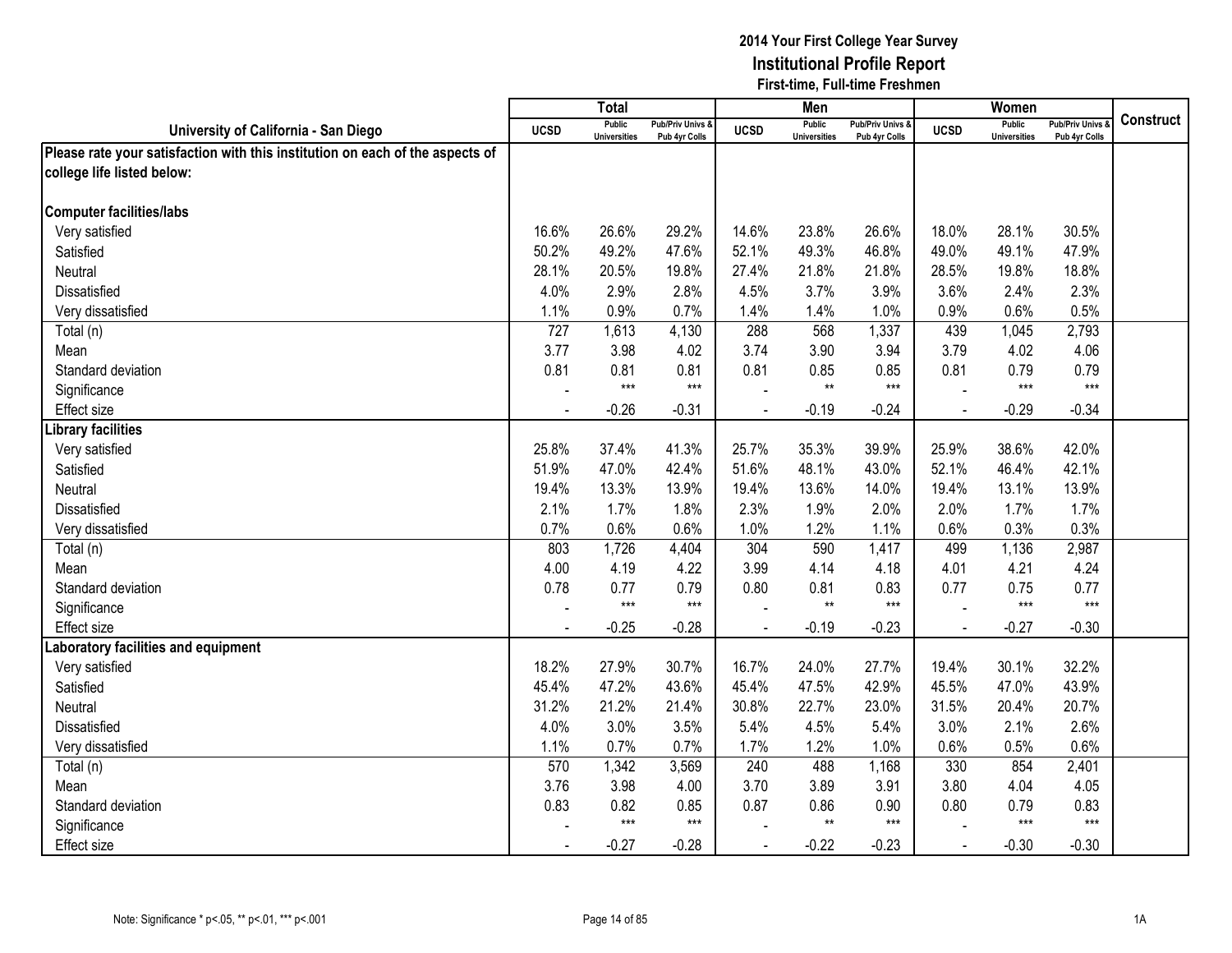|                                                                               |                | <b>Total</b>                         |                                   |             | Men                                  |                                   |                | Women                                |                                        |                  |
|-------------------------------------------------------------------------------|----------------|--------------------------------------|-----------------------------------|-------------|--------------------------------------|-----------------------------------|----------------|--------------------------------------|----------------------------------------|------------------|
| University of California - San Diego                                          | <b>UCSD</b>    | <b>Public</b><br><b>Universities</b> | Pub/Priv Univs &<br>Pub 4yr Colls | <b>UCSD</b> | <b>Public</b><br><b>Universities</b> | Pub/Priv Univs &<br>Pub 4yr Colls | <b>UCSD</b>    | <b>Public</b><br><b>Universities</b> | <b>Pub/Priv Univs</b><br>Pub 4yr Colls | <b>Construct</b> |
| Please rate your satisfaction with this institution on each of the aspects of |                |                                      |                                   |             |                                      |                                   |                |                                      |                                        |                  |
| college life listed below:                                                    |                |                                      |                                   |             |                                      |                                   |                |                                      |                                        |                  |
|                                                                               |                |                                      |                                   |             |                                      |                                   |                |                                      |                                        |                  |
| <b>Computer facilities/labs</b>                                               |                |                                      |                                   |             |                                      |                                   |                |                                      |                                        |                  |
| Very satisfied                                                                | 16.6%          | 26.6%                                | 29.2%                             | 14.6%       | 23.8%                                | 26.6%                             | 18.0%          | 28.1%                                | 30.5%                                  |                  |
| Satisfied                                                                     | 50.2%          | 49.2%                                | 47.6%                             | 52.1%       | 49.3%                                | 46.8%                             | 49.0%          | 49.1%                                | 47.9%                                  |                  |
| Neutral                                                                       | 28.1%          | 20.5%                                | 19.8%                             | 27.4%       | 21.8%                                | 21.8%                             | 28.5%          | 19.8%                                | 18.8%                                  |                  |
| Dissatisfied                                                                  | 4.0%           | 2.9%                                 | 2.8%                              | 4.5%        | 3.7%                                 | 3.9%                              | 3.6%           | 2.4%                                 | 2.3%                                   |                  |
| Very dissatisfied                                                             | 1.1%           | 0.9%                                 | 0.7%                              | 1.4%        | 1.4%                                 | 1.0%                              | 0.9%           | 0.6%                                 | 0.5%                                   |                  |
| Total (n)                                                                     | 727            | 1,613                                | 4,130                             | 288         | 568                                  | 1,337                             | 439            | 1,045                                | 2,793                                  |                  |
| Mean                                                                          | 3.77           | 3.98                                 | 4.02                              | 3.74        | 3.90                                 | 3.94                              | 3.79           | 4.02                                 | 4.06                                   |                  |
| Standard deviation                                                            | 0.81           | 0.81                                 | 0.81                              | 0.81        | 0.85                                 | 0.85                              | 0.81           | 0.79                                 | 0.79                                   |                  |
| Significance                                                                  |                | $***$                                | $***$                             |             | $\star\star$                         | $***$                             |                | $***$                                | $***$                                  |                  |
| <b>Effect size</b>                                                            |                | $-0.26$                              | $-0.31$                           |             | $-0.19$                              | $-0.24$                           |                | $-0.29$                              | $-0.34$                                |                  |
| ibrary facilities                                                             |                |                                      |                                   |             |                                      |                                   |                |                                      |                                        |                  |
| Very satisfied                                                                | 25.8%          | 37.4%                                | 41.3%                             | 25.7%       | 35.3%                                | 39.9%                             | 25.9%          | 38.6%                                | 42.0%                                  |                  |
| Satisfied                                                                     | 51.9%          | 47.0%                                | 42.4%                             | 51.6%       | 48.1%                                | 43.0%                             | 52.1%          | 46.4%                                | 42.1%                                  |                  |
| <b>Neutral</b>                                                                | 19.4%          | 13.3%                                | 13.9%                             | 19.4%       | 13.6%                                | 14.0%                             | 19.4%          | 13.1%                                | 13.9%                                  |                  |
| <b>Dissatisfied</b>                                                           | 2.1%           | 1.7%                                 | 1.8%                              | 2.3%        | 1.9%                                 | 2.0%                              | 2.0%           | 1.7%                                 | 1.7%                                   |                  |
| Very dissatisfied                                                             | 0.7%           | 0.6%                                 | 0.6%                              | 1.0%        | 1.2%                                 | 1.1%                              | 0.6%           | 0.3%                                 | 0.3%                                   |                  |
| Total (n)                                                                     | 803            | 1,726                                | 4,404                             | 304         | 590                                  | 1,417                             | 499            | 1,136                                | 2,987                                  |                  |
| Mean                                                                          | 4.00           | 4.19                                 | 4.22                              | 3.99        | 4.14                                 | 4.18                              | 4.01           | 4.21                                 | 4.24                                   |                  |
| Standard deviation                                                            | 0.78           | 0.77                                 | 0.79                              | 0.80        | 0.81                                 | 0.83                              | 0.77           | 0.75                                 | 0.77                                   |                  |
| Significance                                                                  |                | $***$                                | $***$                             |             | $**$                                 | $***$                             |                | $***$                                | $***$                                  |                  |
| Effect size                                                                   |                | $-0.25$                              | $-0.28$                           |             | $-0.19$                              | $-0.23$                           | $\sim$         | $-0.27$                              | $-0.30$                                |                  |
| aboratory facilities and equipment                                            |                |                                      |                                   |             |                                      |                                   |                |                                      |                                        |                  |
| Very satisfied                                                                | 18.2%          | 27.9%                                | 30.7%                             | 16.7%       | 24.0%                                | 27.7%                             | 19.4%          | 30.1%                                | 32.2%                                  |                  |
| Satisfied                                                                     | 45.4%          | 47.2%                                | 43.6%                             | 45.4%       | 47.5%                                | 42.9%                             | 45.5%          | 47.0%                                | 43.9%                                  |                  |
| Neutral                                                                       | 31.2%          | 21.2%                                | 21.4%                             | 30.8%       | 22.7%                                | 23.0%                             | 31.5%          | 20.4%                                | 20.7%                                  |                  |
| Dissatisfied                                                                  | 4.0%           | 3.0%                                 | 3.5%                              | 5.4%        | 4.5%                                 | 5.4%                              | 3.0%           | 2.1%                                 | 2.6%                                   |                  |
| Very dissatisfied                                                             | 1.1%           | 0.7%                                 | 0.7%                              | 1.7%        | 1.2%                                 | 1.0%                              | 0.6%           | 0.5%                                 | 0.6%                                   |                  |
| Total (n)                                                                     | 570            | 1,342                                | 3,569                             | 240         | 488                                  | 1,168                             | 330            | 854                                  | 2,401                                  |                  |
| Mean                                                                          | 3.76           | 3.98                                 | 4.00                              | 3.70        | 3.89                                 | 3.91                              | 3.80           | 4.04                                 | 4.05                                   |                  |
| Standard deviation                                                            | 0.83           | 0.82                                 | 0.85                              | 0.87        | 0.86                                 | 0.90                              | 0.80           | 0.79                                 | 0.83                                   |                  |
| Significance                                                                  |                | $***$                                | $***$                             |             | $***$                                | $***$                             |                | $***$                                | $***$                                  |                  |
| <b>Effect size</b>                                                            | $\blacksquare$ | $-0.27$                              | $-0.28$                           | $\sim$      | $-0.22$                              | $-0.23$                           | $\blacksquare$ | $-0.30$                              | $-0.30$                                |                  |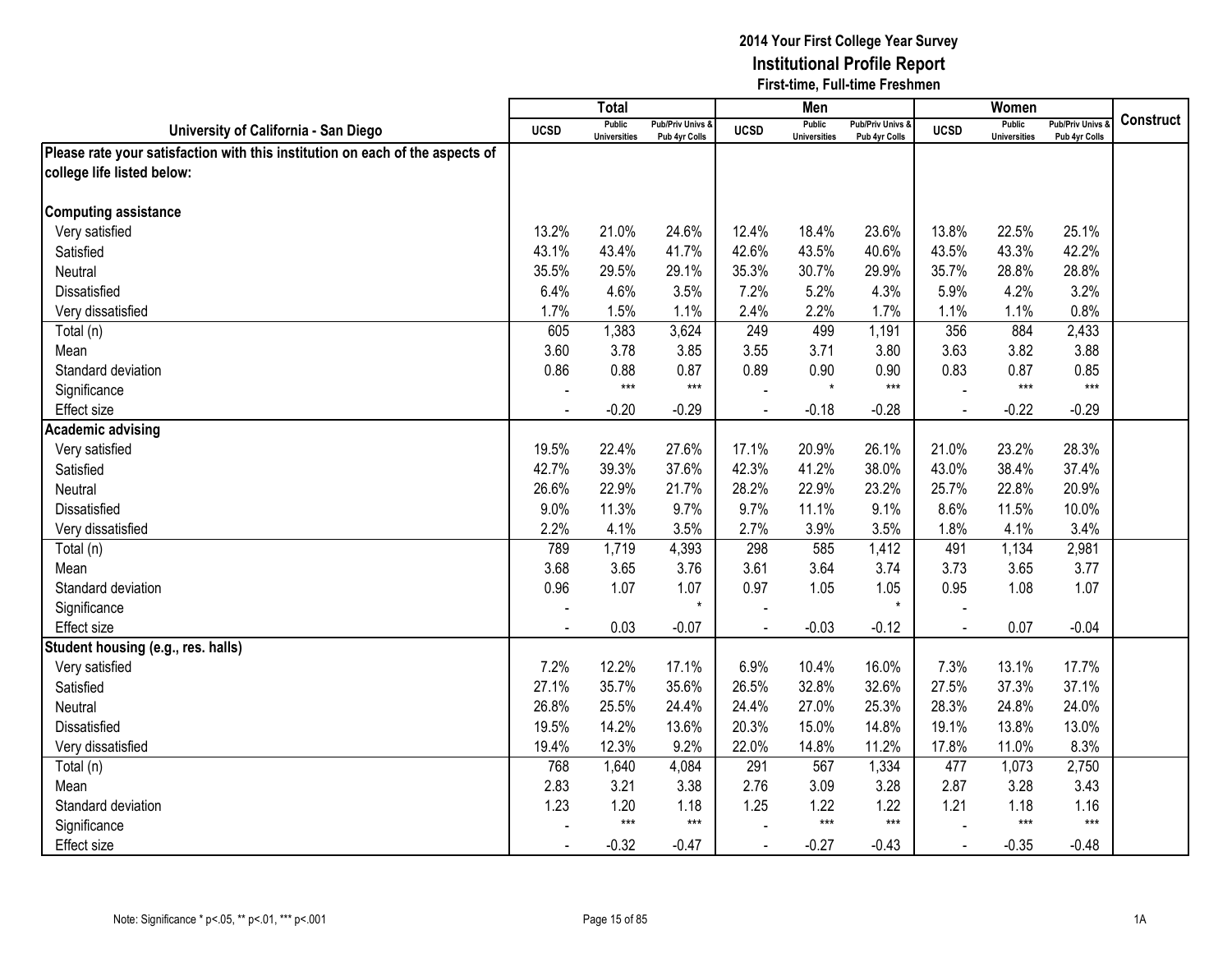|                                                                               |             | <b>Total</b>                         |                                              |                | Men                                  |                                   |              | Women                                |                                        |                  |
|-------------------------------------------------------------------------------|-------------|--------------------------------------|----------------------------------------------|----------------|--------------------------------------|-----------------------------------|--------------|--------------------------------------|----------------------------------------|------------------|
| University of California - San Diego                                          | <b>UCSD</b> | <b>Public</b><br><b>Universities</b> | <b>Pub/Priv Univs &amp;</b><br>Pub 4yr Colls | <b>UCSD</b>    | <b>Public</b><br><b>Universities</b> | Pub/Priv Univs &<br>Pub 4yr Colls | <b>UCSD</b>  | <b>Public</b><br><b>Universities</b> | <b>Pub/Priv Univs</b><br>Pub 4yr Colls | <b>Construct</b> |
| Please rate your satisfaction with this institution on each of the aspects of |             |                                      |                                              |                |                                      |                                   |              |                                      |                                        |                  |
| college life listed below:                                                    |             |                                      |                                              |                |                                      |                                   |              |                                      |                                        |                  |
|                                                                               |             |                                      |                                              |                |                                      |                                   |              |                                      |                                        |                  |
| <b>Computing assistance</b>                                                   |             |                                      |                                              |                |                                      |                                   |              |                                      |                                        |                  |
| Very satisfied                                                                | 13.2%       | 21.0%                                | 24.6%                                        | 12.4%          | 18.4%                                | 23.6%                             | 13.8%        | 22.5%                                | 25.1%                                  |                  |
| Satisfied                                                                     | 43.1%       | 43.4%                                | 41.7%                                        | 42.6%          | 43.5%                                | 40.6%                             | 43.5%        | 43.3%                                | 42.2%                                  |                  |
| Neutral                                                                       | 35.5%       | 29.5%                                | 29.1%                                        | 35.3%          | 30.7%                                | 29.9%                             | 35.7%        | 28.8%                                | 28.8%                                  |                  |
| Dissatisfied                                                                  | 6.4%        | 4.6%                                 | 3.5%                                         | 7.2%           | 5.2%                                 | 4.3%                              | 5.9%         | 4.2%                                 | 3.2%                                   |                  |
| Very dissatisfied                                                             | 1.7%        | 1.5%                                 | 1.1%                                         | 2.4%           | 2.2%                                 | 1.7%                              | 1.1%         | 1.1%                                 | 0.8%                                   |                  |
| Total (n)                                                                     | 605         | 1,383                                | 3,624                                        | 249            | 499                                  | 1,191                             | 356          | 884                                  | 2,433                                  |                  |
| Mean                                                                          | 3.60        | 3.78                                 | 3.85                                         | 3.55           | 3.71                                 | 3.80                              | 3.63         | 3.82                                 | 3.88                                   |                  |
| Standard deviation                                                            | 0.86        | 0.88                                 | 0.87                                         | 0.89           | 0.90                                 | 0.90                              | 0.83         | 0.87                                 | 0.85                                   |                  |
| Significance                                                                  |             | $***$                                | $***$                                        |                | $^\star$                             | $***$                             |              | $***$                                | $***$                                  |                  |
| <b>Effect size</b>                                                            |             | $-0.20$                              | $-0.29$                                      |                | $-0.18$                              | $-0.28$                           |              | $-0.22$                              | $-0.29$                                |                  |
| <b>Academic advising</b>                                                      |             |                                      |                                              |                |                                      |                                   |              |                                      |                                        |                  |
| Very satisfied                                                                | 19.5%       | 22.4%                                | 27.6%                                        | 17.1%          | 20.9%                                | 26.1%                             | 21.0%        | 23.2%                                | 28.3%                                  |                  |
| Satisfied                                                                     | 42.7%       | 39.3%                                | 37.6%                                        | 42.3%          | 41.2%                                | 38.0%                             | 43.0%        | 38.4%                                | 37.4%                                  |                  |
| <b>Neutral</b>                                                                | 26.6%       | 22.9%                                | 21.7%                                        | 28.2%          | 22.9%                                | 23.2%                             | 25.7%        | 22.8%                                | 20.9%                                  |                  |
| <b>Dissatisfied</b>                                                           | 9.0%        | 11.3%                                | 9.7%                                         | 9.7%           | 11.1%                                | 9.1%                              | 8.6%         | 11.5%                                | 10.0%                                  |                  |
| Very dissatisfied                                                             | 2.2%        | 4.1%                                 | 3.5%                                         | 2.7%           | 3.9%                                 | 3.5%                              | 1.8%         | 4.1%                                 | 3.4%                                   |                  |
| Total (n)                                                                     | 789         | 1,719                                | 4,393                                        | 298            | 585                                  | 1,412                             | 491          | 1,134                                | 2,981                                  |                  |
| Mean                                                                          | 3.68        | 3.65                                 | 3.76                                         | 3.61           | 3.64                                 | 3.74                              | 3.73         | 3.65                                 | 3.77                                   |                  |
| Standard deviation                                                            | 0.96        | 1.07                                 | 1.07                                         | 0.97           | 1.05                                 | 1.05                              | 0.95         | 1.08                                 | 1.07                                   |                  |
| Significance                                                                  |             |                                      | $\star$                                      |                |                                      | $\star$                           |              |                                      |                                        |                  |
| Effect size                                                                   |             | 0.03                                 | $-0.07$                                      |                | $-0.03$                              | $-0.12$                           | $\sim$       | 0.07                                 | $-0.04$                                |                  |
| Student housing (e.g., res. halls)                                            |             |                                      |                                              |                |                                      |                                   |              |                                      |                                        |                  |
| Very satisfied                                                                | 7.2%        | 12.2%                                | 17.1%                                        | 6.9%           | 10.4%                                | 16.0%                             | 7.3%         | 13.1%                                | 17.7%                                  |                  |
| Satisfied                                                                     | 27.1%       | 35.7%                                | 35.6%                                        | 26.5%          | 32.8%                                | 32.6%                             | 27.5%        | 37.3%                                | 37.1%                                  |                  |
| Neutral                                                                       | 26.8%       | 25.5%                                | 24.4%                                        | 24.4%          | 27.0%                                | 25.3%                             | 28.3%        | 24.8%                                | 24.0%                                  |                  |
| Dissatisfied                                                                  | 19.5%       | 14.2%                                | 13.6%                                        | 20.3%          | 15.0%                                | 14.8%                             | 19.1%        | 13.8%                                | 13.0%                                  |                  |
| Very dissatisfied                                                             | 19.4%       | 12.3%                                | 9.2%                                         | 22.0%          | 14.8%                                | 11.2%                             | 17.8%        | 11.0%                                | 8.3%                                   |                  |
| Total (n)                                                                     | 768         | 1,640                                | 4,084                                        | 291            | 567                                  | 1,334                             | 477          | 1,073                                | 2,750                                  |                  |
| Mean                                                                          | 2.83        | 3.21                                 | 3.38                                         | 2.76           | 3.09                                 | 3.28                              | 2.87         | 3.28                                 | 3.43                                   |                  |
| Standard deviation                                                            | 1.23        | 1.20                                 | 1.18                                         | 1.25           | 1.22                                 | 1.22                              | 1.21         | 1.18                                 | 1.16                                   |                  |
| Significance                                                                  |             | $***$                                | $***$                                        |                | $***$                                | $***$                             |              | $***$                                | $***$                                  |                  |
| Effect size                                                                   |             | $-0.32$                              | $-0.47$                                      | $\overline{a}$ | $-0.27$                              | $-0.43$                           | $\mathbf{r}$ | $-0.35$                              | $-0.48$                                |                  |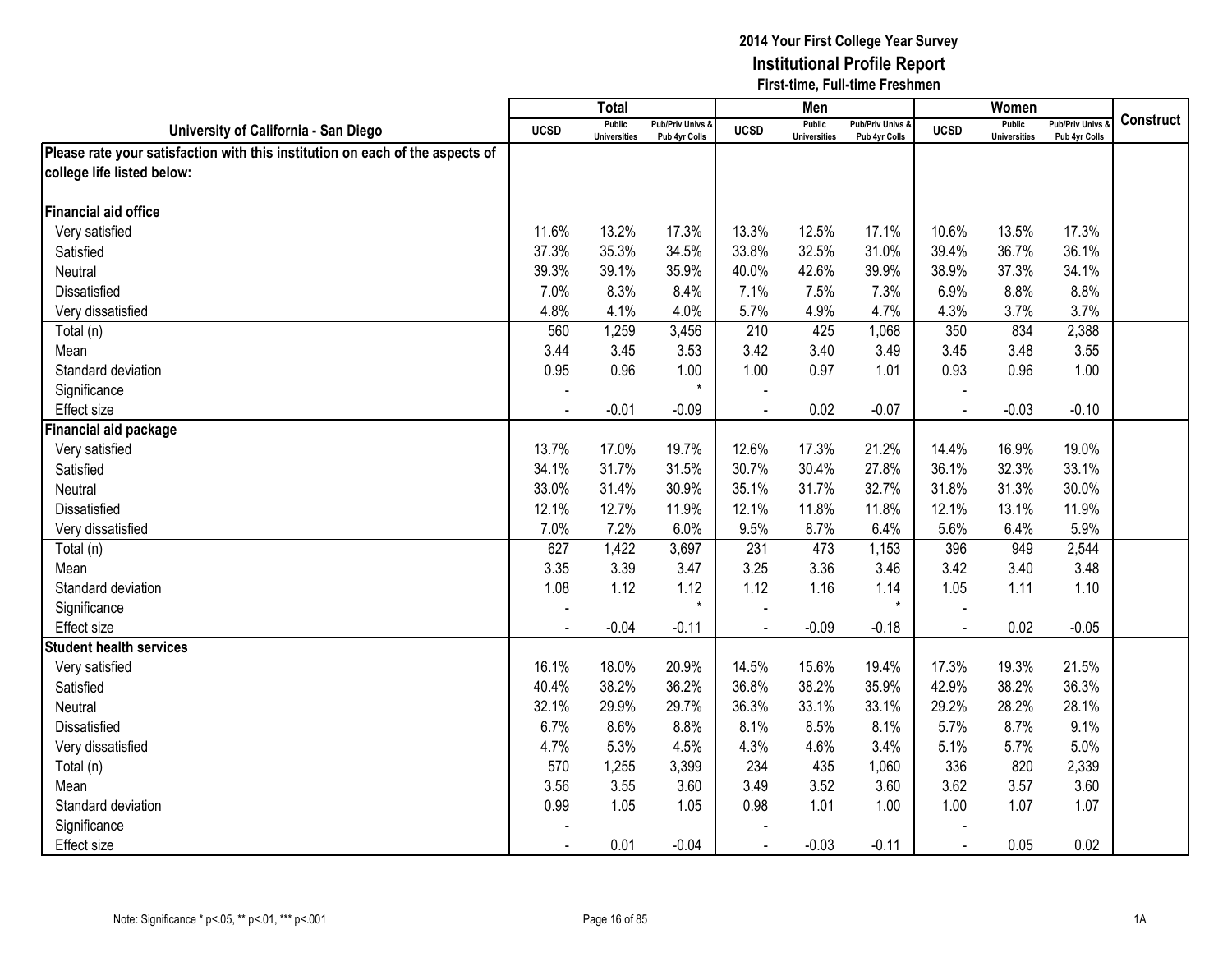|                                                                               |             | <b>Total</b>                         |                                   |                | <b>Men</b>                           |                                 |                | Women                                |                                 |                  |
|-------------------------------------------------------------------------------|-------------|--------------------------------------|-----------------------------------|----------------|--------------------------------------|---------------------------------|----------------|--------------------------------------|---------------------------------|------------------|
| University of California - San Diego                                          | <b>UCSD</b> | <b>Public</b><br><b>Universities</b> | Pub/Priv Univs &<br>Pub 4yr Colls | <b>UCSD</b>    | <b>Public</b><br><b>Universities</b> | Pub/Priv Univs<br>Pub 4yr Colls | <b>UCSD</b>    | <b>Public</b><br><b>Universities</b> | Pub/Priv Univs<br>Pub 4yr Colls | <b>Construct</b> |
| Please rate your satisfaction with this institution on each of the aspects of |             |                                      |                                   |                |                                      |                                 |                |                                      |                                 |                  |
| college life listed below:                                                    |             |                                      |                                   |                |                                      |                                 |                |                                      |                                 |                  |
|                                                                               |             |                                      |                                   |                |                                      |                                 |                |                                      |                                 |                  |
| Financial aid office                                                          |             |                                      |                                   |                |                                      |                                 |                |                                      |                                 |                  |
| Very satisfied                                                                | 11.6%       | 13.2%                                | 17.3%                             | 13.3%          | 12.5%                                | 17.1%                           | 10.6%          | 13.5%                                | 17.3%                           |                  |
| Satisfied                                                                     | 37.3%       | 35.3%                                | 34.5%                             | 33.8%          | 32.5%                                | 31.0%                           | 39.4%          | 36.7%                                | 36.1%                           |                  |
| Neutral                                                                       | 39.3%       | 39.1%                                | 35.9%                             | 40.0%          | 42.6%                                | 39.9%                           | 38.9%          | 37.3%                                | 34.1%                           |                  |
| Dissatisfied                                                                  | 7.0%        | 8.3%                                 | 8.4%                              | 7.1%           | 7.5%                                 | 7.3%                            | 6.9%           | 8.8%                                 | 8.8%                            |                  |
| Very dissatisfied                                                             | 4.8%        | 4.1%                                 | 4.0%                              | 5.7%           | 4.9%                                 | 4.7%                            | 4.3%           | 3.7%                                 | 3.7%                            |                  |
| Total (n)                                                                     | 560         | 1,259                                | 3,456                             | 210            | 425                                  | 1,068                           | 350            | 834                                  | 2,388                           |                  |
| Mean                                                                          | 3.44        | 3.45                                 | 3.53                              | 3.42           | 3.40                                 | 3.49                            | 3.45           | 3.48                                 | 3.55                            |                  |
| Standard deviation                                                            | 0.95        | 0.96                                 | 1.00                              | 1.00           | 0.97                                 | 1.01                            | 0.93           | 0.96                                 | 1.00                            |                  |
| Significance                                                                  |             |                                      | $\star$                           |                |                                      |                                 |                |                                      |                                 |                  |
| <b>Effect size</b>                                                            |             | $-0.01$                              | $-0.09$                           |                | 0.02                                 | $-0.07$                         |                | $-0.03$                              | $-0.10$                         |                  |
| Financial aid package                                                         |             |                                      |                                   |                |                                      |                                 |                |                                      |                                 |                  |
| Very satisfied                                                                | 13.7%       | 17.0%                                | 19.7%                             | 12.6%          | 17.3%                                | 21.2%                           | 14.4%          | 16.9%                                | 19.0%                           |                  |
| Satisfied                                                                     | 34.1%       | 31.7%                                | 31.5%                             | 30.7%          | 30.4%                                | 27.8%                           | 36.1%          | 32.3%                                | 33.1%                           |                  |
| Neutral                                                                       | 33.0%       | 31.4%                                | 30.9%                             | 35.1%          | 31.7%                                | 32.7%                           | 31.8%          | 31.3%                                | 30.0%                           |                  |
| Dissatisfied                                                                  | 12.1%       | 12.7%                                | 11.9%                             | 12.1%          | 11.8%                                | 11.8%                           | 12.1%          | 13.1%                                | 11.9%                           |                  |
| Very dissatisfied                                                             | 7.0%        | 7.2%                                 | 6.0%                              | 9.5%           | 8.7%                                 | 6.4%                            | 5.6%           | 6.4%                                 | 5.9%                            |                  |
| Total (n)                                                                     | 627         | 1,422                                | 3,697                             | 231            | 473                                  | 1,153                           | 396            | 949                                  | 2,544                           |                  |
| Mean                                                                          | 3.35        | 3.39                                 | 3.47                              | 3.25           | 3.36                                 | 3.46                            | 3.42           | 3.40                                 | 3.48                            |                  |
| Standard deviation                                                            | 1.08        | 1.12                                 | 1.12                              | 1.12           | 1.16                                 | 1.14                            | 1.05           | 1.11                                 | 1.10                            |                  |
| Significance                                                                  |             |                                      | $\star$                           |                |                                      | $\star$                         |                |                                      |                                 |                  |
| <b>Effect size</b>                                                            |             | $-0.04$                              | $-0.11$                           |                | $-0.09$                              | $-0.18$                         | $\sim$         | 0.02                                 | $-0.05$                         |                  |
| <b>Student health services</b>                                                |             |                                      |                                   |                |                                      |                                 |                |                                      |                                 |                  |
| Very satisfied                                                                | 16.1%       | 18.0%                                | 20.9%                             | 14.5%          | 15.6%                                | 19.4%                           | 17.3%          | 19.3%                                | 21.5%                           |                  |
| Satisfied                                                                     | 40.4%       | 38.2%                                | 36.2%                             | 36.8%          | 38.2%                                | 35.9%                           | 42.9%          | 38.2%                                | 36.3%                           |                  |
| Neutral                                                                       | 32.1%       | 29.9%                                | 29.7%                             | 36.3%          | 33.1%                                | 33.1%                           | 29.2%          | 28.2%                                | 28.1%                           |                  |
| Dissatisfied                                                                  | 6.7%        | 8.6%                                 | 8.8%                              | 8.1%           | 8.5%                                 | 8.1%                            | 5.7%           | 8.7%                                 | 9.1%                            |                  |
| Very dissatisfied                                                             | 4.7%        | 5.3%                                 | 4.5%                              | 4.3%           | 4.6%                                 | 3.4%                            | 5.1%           | 5.7%                                 | 5.0%                            |                  |
| Total (n)                                                                     | 570         | 1,255                                | 3,399                             | 234            | 435                                  | 1,060                           | 336            | 820                                  | 2,339                           |                  |
| Mean                                                                          | 3.56        | 3.55                                 | 3.60                              | 3.49           | 3.52                                 | 3.60                            | 3.62           | 3.57                                 | 3.60                            |                  |
| Standard deviation                                                            | 0.99        | 1.05                                 | 1.05                              | 0.98           | 1.01                                 | 1.00                            | 1.00           | 1.07                                 | 1.07                            |                  |
| Significance                                                                  |             |                                      |                                   |                |                                      |                                 |                |                                      |                                 |                  |
| <b>Effect size</b>                                                            |             | 0.01                                 | $-0.04$                           | $\blacksquare$ | $-0.03$                              | $-0.11$                         | $\blacksquare$ | 0.05                                 | 0.02                            |                  |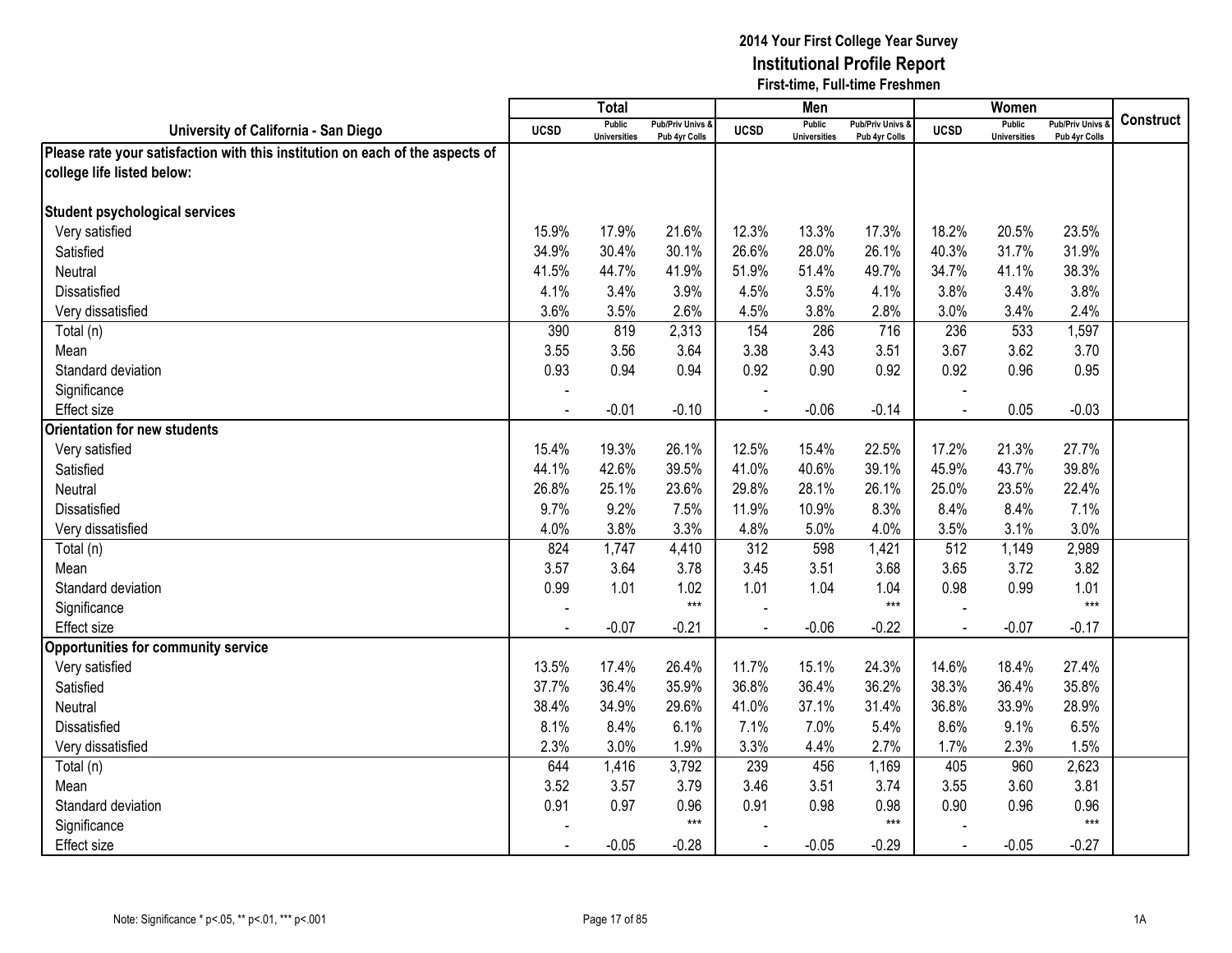|                                                                               |                | <b>Total</b>                         |                                   |                | Men                           |                                   |                | Women                                |                                        |                  |
|-------------------------------------------------------------------------------|----------------|--------------------------------------|-----------------------------------|----------------|-------------------------------|-----------------------------------|----------------|--------------------------------------|----------------------------------------|------------------|
| University of California - San Diego                                          | <b>UCSD</b>    | <b>Public</b><br><b>Universities</b> | Pub/Priv Univs &<br>Pub 4yr Colls | <b>UCSD</b>    | Public<br><b>Universities</b> | Pub/Priv Univs &<br>Pub 4yr Colls | <b>UCSD</b>    | <b>Public</b><br><b>Universities</b> | <b>Pub/Priv Univs</b><br>Pub 4yr Colls | <b>Construct</b> |
| Please rate your satisfaction with this institution on each of the aspects of |                |                                      |                                   |                |                               |                                   |                |                                      |                                        |                  |
| college life listed below:                                                    |                |                                      |                                   |                |                               |                                   |                |                                      |                                        |                  |
|                                                                               |                |                                      |                                   |                |                               |                                   |                |                                      |                                        |                  |
| <b>Student psychological services</b>                                         |                |                                      |                                   |                |                               |                                   |                |                                      |                                        |                  |
| Very satisfied                                                                | 15.9%          | 17.9%                                | 21.6%                             | 12.3%          | 13.3%                         | 17.3%                             | 18.2%          | 20.5%                                | 23.5%                                  |                  |
| Satisfied                                                                     | 34.9%          | 30.4%                                | 30.1%                             | 26.6%          | 28.0%                         | 26.1%                             | 40.3%          | 31.7%                                | 31.9%                                  |                  |
| Neutral                                                                       | 41.5%          | 44.7%                                | 41.9%                             | 51.9%          | 51.4%                         | 49.7%                             | 34.7%          | 41.1%                                | 38.3%                                  |                  |
| Dissatisfied                                                                  | 4.1%           | 3.4%                                 | 3.9%                              | 4.5%           | 3.5%                          | 4.1%                              | 3.8%           | 3.4%                                 | 3.8%                                   |                  |
| Very dissatisfied                                                             | 3.6%           | 3.5%                                 | 2.6%                              | 4.5%           | 3.8%                          | 2.8%                              | 3.0%           | 3.4%                                 | 2.4%                                   |                  |
| Total (n)                                                                     | 390            | 819                                  | 2,313                             | 154            | 286                           | 716                               | 236            | 533                                  | 1,597                                  |                  |
| Mean                                                                          | 3.55           | 3.56                                 | 3.64                              | 3.38           | 3.43                          | 3.51                              | 3.67           | 3.62                                 | 3.70                                   |                  |
| Standard deviation                                                            | 0.93           | 0.94                                 | 0.94                              | 0.92           | 0.90                          | 0.92                              | 0.92           | 0.96                                 | 0.95                                   |                  |
| Significance                                                                  |                |                                      |                                   |                |                               |                                   |                |                                      |                                        |                  |
| Effect size                                                                   |                | $-0.01$                              | $-0.10$                           |                | $-0.06$                       | $-0.14$                           |                | 0.05                                 | $-0.03$                                |                  |
| <b>Orientation for new students</b>                                           |                |                                      |                                   |                |                               |                                   |                |                                      |                                        |                  |
| Very satisfied                                                                | 15.4%          | 19.3%                                | 26.1%                             | 12.5%          | 15.4%                         | 22.5%                             | 17.2%          | 21.3%                                | 27.7%                                  |                  |
| Satisfied                                                                     | 44.1%          | 42.6%                                | 39.5%                             | 41.0%          | 40.6%                         | 39.1%                             | 45.9%          | 43.7%                                | 39.8%                                  |                  |
| Neutral                                                                       | 26.8%          | 25.1%                                | 23.6%                             | 29.8%          | 28.1%                         | 26.1%                             | 25.0%          | 23.5%                                | 22.4%                                  |                  |
| <b>Dissatisfied</b>                                                           | 9.7%           | 9.2%                                 | 7.5%                              | 11.9%          | 10.9%                         | 8.3%                              | 8.4%           | 8.4%                                 | 7.1%                                   |                  |
| Very dissatisfied                                                             | 4.0%           | 3.8%                                 | 3.3%                              | 4.8%           | 5.0%                          | 4.0%                              | 3.5%           | 3.1%                                 | 3.0%                                   |                  |
| Total (n)                                                                     | 824            | 1,747                                | 4,410                             | 312            | 598                           | 1,421                             | 512            | 1,149                                | 2,989                                  |                  |
| Mean                                                                          | 3.57           | 3.64                                 | 3.78                              | 3.45           | 3.51                          | 3.68                              | 3.65           | 3.72                                 | 3.82                                   |                  |
| Standard deviation                                                            | 0.99           | 1.01                                 | 1.02                              | 1.01           | 1.04                          | 1.04                              | 0.98           | 0.99                                 | 1.01                                   |                  |
| Significance                                                                  |                |                                      | $***$                             |                |                               | $***$                             |                |                                      | $***$                                  |                  |
| <b>Effect size</b>                                                            |                | $-0.07$                              | $-0.21$                           |                | $-0.06$                       | $-0.22$                           | $\blacksquare$ | $-0.07$                              | $-0.17$                                |                  |
| <b>Opportunities for community service</b>                                    |                |                                      |                                   |                |                               |                                   |                |                                      |                                        |                  |
| Very satisfied                                                                | 13.5%          | 17.4%                                | 26.4%                             | 11.7%          | 15.1%                         | 24.3%                             | 14.6%          | 18.4%                                | 27.4%                                  |                  |
| Satisfied                                                                     | 37.7%          | 36.4%                                | 35.9%                             | 36.8%          | 36.4%                         | 36.2%                             | 38.3%          | 36.4%                                | 35.8%                                  |                  |
| Neutral                                                                       | 38.4%          | 34.9%                                | 29.6%                             | 41.0%          | 37.1%                         | 31.4%                             | 36.8%          | 33.9%                                | 28.9%                                  |                  |
| <b>Dissatisfied</b>                                                           | 8.1%           | 8.4%                                 | 6.1%                              | 7.1%           | 7.0%                          | 5.4%                              | 8.6%           | 9.1%                                 | 6.5%                                   |                  |
| Very dissatisfied                                                             | 2.3%           | 3.0%                                 | 1.9%                              | 3.3%           | 4.4%                          | 2.7%                              | 1.7%           | 2.3%                                 | 1.5%                                   |                  |
| Total (n)                                                                     | 644            | 1,416                                | 3,792                             | 239            | 456                           | 1,169                             | 405            | 960                                  | 2,623                                  |                  |
| Mean                                                                          | 3.52           | 3.57                                 | 3.79                              | 3.46           | 3.51                          | 3.74                              | 3.55           | 3.60                                 | 3.81                                   |                  |
| Standard deviation                                                            | 0.91           | 0.97                                 | 0.96<br>$***$                     | 0.91           | 0.98                          | 0.98<br>$***$                     | 0.90           | 0.96                                 | 0.96<br>$***$                          |                  |
| Significance                                                                  |                |                                      |                                   |                |                               |                                   |                |                                      |                                        |                  |
| <b>Effect size</b>                                                            | $\blacksquare$ | $-0.05$                              | $-0.28$                           | $\blacksquare$ | $-0.05$                       | $-0.29$                           | $\blacksquare$ | $-0.05$                              | $-0.27$                                |                  |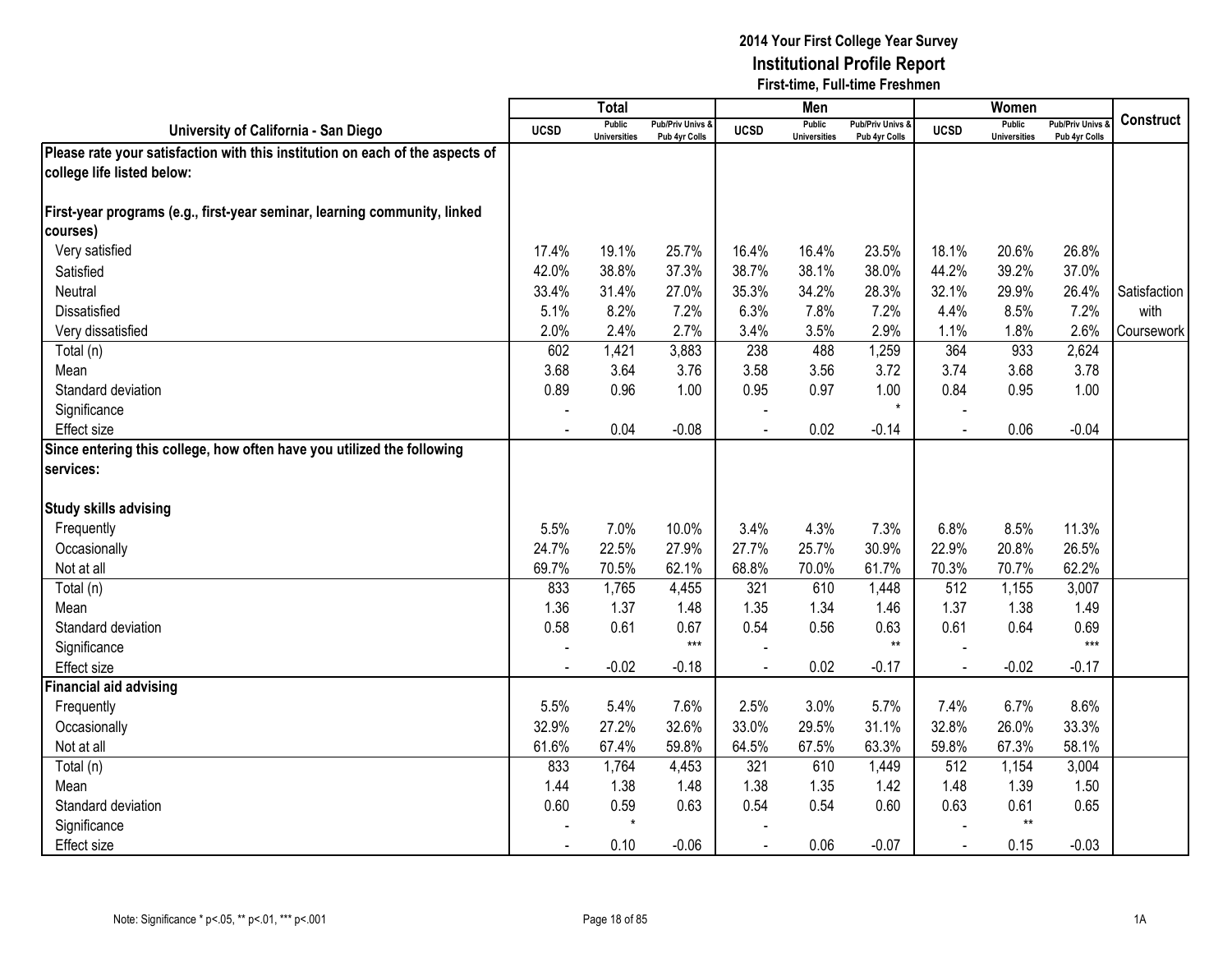|                                                                               |                | <b>Total</b>                         |                                   |                | Men                                  |                                   |             | Women                         |                                        |              |
|-------------------------------------------------------------------------------|----------------|--------------------------------------|-----------------------------------|----------------|--------------------------------------|-----------------------------------|-------------|-------------------------------|----------------------------------------|--------------|
| University of California - San Diego                                          | <b>UCSD</b>    | <b>Public</b><br><b>Universities</b> | Pub/Priv Univs &<br>Pub 4yr Colls | <b>UCSD</b>    | <b>Public</b><br><b>Universities</b> | Pub/Priv Univs &<br>Pub 4yr Colls | <b>UCSD</b> | <b>Public</b><br>Universities | <b>Pub/Priv Univs</b><br>Pub 4yr Colls | Construct    |
| Please rate your satisfaction with this institution on each of the aspects of |                |                                      |                                   |                |                                      |                                   |             |                               |                                        |              |
| college life listed below:                                                    |                |                                      |                                   |                |                                      |                                   |             |                               |                                        |              |
|                                                                               |                |                                      |                                   |                |                                      |                                   |             |                               |                                        |              |
| First-year programs (e.g., first-year seminar, learning community, linked     |                |                                      |                                   |                |                                      |                                   |             |                               |                                        |              |
| courses)                                                                      |                |                                      |                                   |                |                                      |                                   |             |                               |                                        |              |
| Very satisfied                                                                | 17.4%          | 19.1%                                | 25.7%                             | 16.4%          | 16.4%                                | 23.5%                             | 18.1%       | 20.6%                         | 26.8%                                  |              |
| Satisfied                                                                     | 42.0%          | 38.8%                                | 37.3%                             | 38.7%          | 38.1%                                | 38.0%                             | 44.2%       | 39.2%                         | 37.0%                                  |              |
| Neutral                                                                       | 33.4%          | 31.4%                                | 27.0%                             | 35.3%          | 34.2%                                | 28.3%                             | 32.1%       | 29.9%                         | 26.4%                                  | Satisfaction |
| Dissatisfied                                                                  | 5.1%           | 8.2%                                 | 7.2%                              | 6.3%           | 7.8%                                 | 7.2%                              | 4.4%        | 8.5%                          | 7.2%                                   | with         |
| Very dissatisfied                                                             | 2.0%           | 2.4%                                 | 2.7%                              | 3.4%           | 3.5%                                 | 2.9%                              | 1.1%        | 1.8%                          | 2.6%                                   | Coursework   |
| Total (n)                                                                     | 602            | 1,421                                | 3,883                             | 238            | 488                                  | 1,259                             | 364         | 933                           | 2,624                                  |              |
| Mean                                                                          | 3.68           | 3.64                                 | 3.76                              | 3.58           | 3.56                                 | 3.72                              | 3.74        | 3.68                          | 3.78                                   |              |
| Standard deviation                                                            | 0.89           | 0.96                                 | 1.00                              | 0.95           | 0.97                                 | 1.00                              | 0.84        | 0.95                          | 1.00                                   |              |
| Significance                                                                  |                |                                      |                                   |                |                                      | $\star$                           |             |                               |                                        |              |
| <b>Effect size</b>                                                            |                | 0.04                                 | $-0.08$                           |                | 0.02                                 | $-0.14$                           |             | 0.06                          | $-0.04$                                |              |
| Since entering this college, how often have you utilized the following        |                |                                      |                                   |                |                                      |                                   |             |                               |                                        |              |
| services:                                                                     |                |                                      |                                   |                |                                      |                                   |             |                               |                                        |              |
|                                                                               |                |                                      |                                   |                |                                      |                                   |             |                               |                                        |              |
| <b>Study skills advising</b>                                                  |                |                                      |                                   |                |                                      |                                   |             |                               |                                        |              |
| Frequently                                                                    | 5.5%           | 7.0%                                 | 10.0%                             | 3.4%           | 4.3%                                 | 7.3%                              | 6.8%        | 8.5%                          | 11.3%                                  |              |
| Occasionally                                                                  | 24.7%          | 22.5%                                | 27.9%                             | 27.7%          | 25.7%                                | 30.9%                             | 22.9%       | 20.8%                         | 26.5%                                  |              |
| Not at all                                                                    | 69.7%          | 70.5%                                | 62.1%                             | 68.8%          | 70.0%                                | 61.7%                             | 70.3%       | 70.7%                         | 62.2%                                  |              |
| Total (n)                                                                     | 833            | 1,765                                | 4,455                             | 321            | 610                                  | 1,448                             | 512         | 1,155                         | 3,007                                  |              |
| Mean                                                                          | 1.36           | 1.37                                 | 1.48                              | 1.35           | 1.34                                 | 1.46                              | 1.37        | 1.38                          | 1.49                                   |              |
| Standard deviation                                                            | 0.58           | 0.61                                 | 0.67                              | 0.54           | 0.56                                 | 0.63                              | 0.61        | 0.64                          | 0.69                                   |              |
| Significance                                                                  |                |                                      | $***$                             |                |                                      | $**$                              |             |                               | $***$                                  |              |
| Effect size                                                                   | $\sim$         | $-0.02$                              | $-0.18$                           | $\blacksquare$ | 0.02                                 | $-0.17$                           | $\sim$      | $-0.02$                       | $-0.17$                                |              |
| <b>Financial aid advising</b>                                                 |                |                                      |                                   |                |                                      |                                   |             |                               |                                        |              |
| Frequently                                                                    | 5.5%           | 5.4%                                 | 7.6%                              | 2.5%           | 3.0%                                 | 5.7%                              | 7.4%        | 6.7%                          | 8.6%                                   |              |
| Occasionally                                                                  | 32.9%          | 27.2%                                | 32.6%                             | 33.0%          | 29.5%                                | 31.1%                             | 32.8%       | 26.0%                         | 33.3%                                  |              |
| Not at all                                                                    | 61.6%          | 67.4%                                | 59.8%                             | 64.5%          | 67.5%                                | 63.3%                             | 59.8%       | 67.3%                         | 58.1%                                  |              |
| Total (n)                                                                     | 833            | 1,764                                | 4,453                             | 321            | 610                                  | 1,449                             | 512         | 1,154                         | 3,004                                  |              |
| Mean                                                                          | 1.44           | 1.38                                 | 1.48                              | 1.38           | 1.35                                 | 1.42                              | 1.48        | 1.39                          | 1.50                                   |              |
| Standard deviation                                                            | 0.60           | 0.59                                 | 0.63                              | 0.54           | 0.54                                 | 0.60                              | 0.63        | 0.61                          | 0.65                                   |              |
| Significance                                                                  |                | $\star$                              |                                   |                |                                      |                                   |             | $^{\star\star}$               |                                        |              |
| <b>Effect size</b>                                                            | $\blacksquare$ | 0.10                                 | $-0.06$                           | $\blacksquare$ | 0.06                                 | $-0.07$                           | $\sim$      | 0.15                          | $-0.03$                                |              |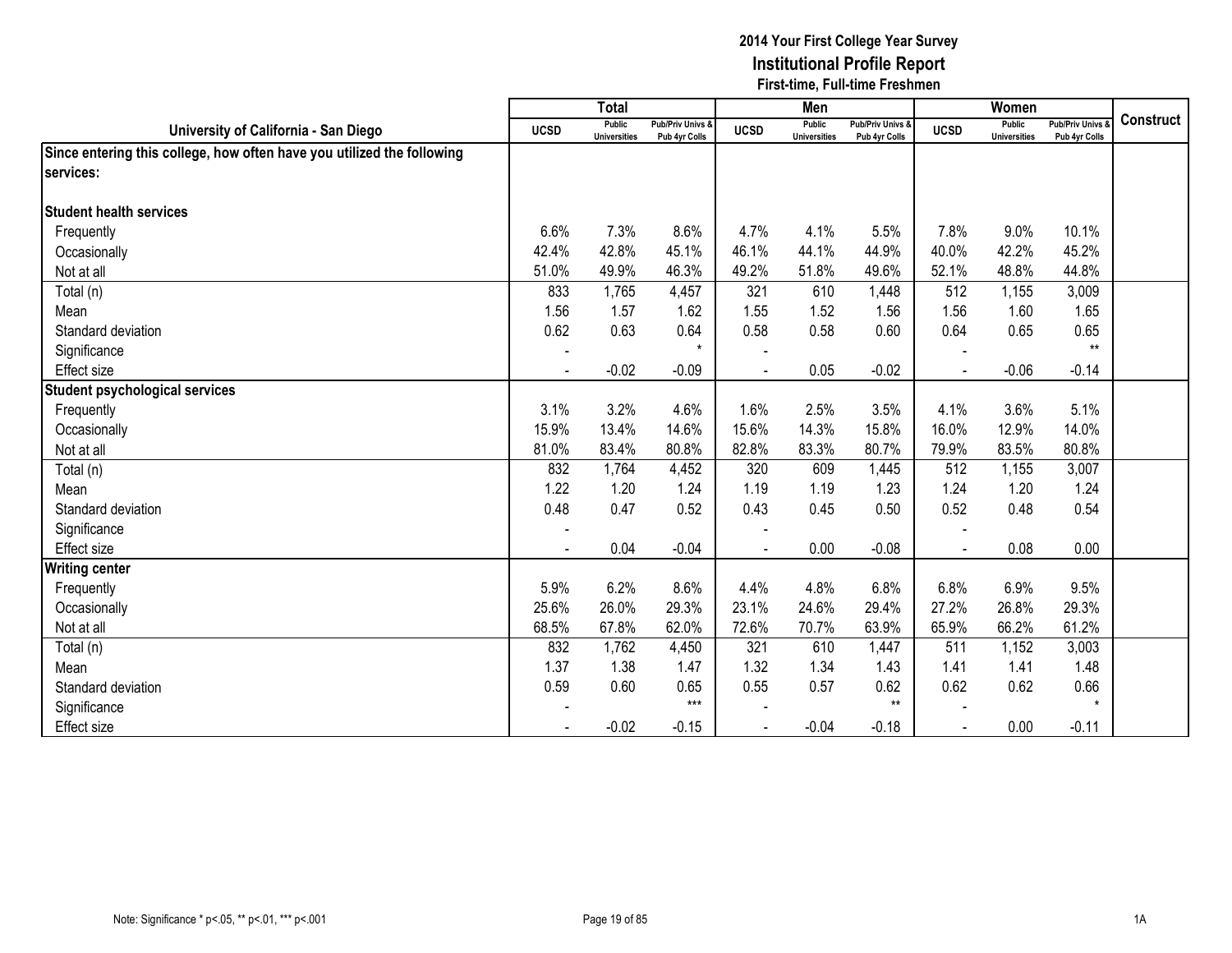|                                                                        |                          | <b>Total</b>                  |                                   |                          | Men                           |                                   |             | Women                                |                                        |                  |
|------------------------------------------------------------------------|--------------------------|-------------------------------|-----------------------------------|--------------------------|-------------------------------|-----------------------------------|-------------|--------------------------------------|----------------------------------------|------------------|
| University of California - San Diego                                   | <b>UCSD</b>              | Public<br><b>Universities</b> | Pub/Priv Univs &<br>Pub 4yr Colls | <b>UCSD</b>              | Public<br><b>Universities</b> | Pub/Priv Univs &<br>Pub 4yr Colls | <b>UCSD</b> | <b>Public</b><br><b>Universities</b> | <b>Pub/Priv Univs</b><br>Pub 4yr Colls | <b>Construct</b> |
| Since entering this college, how often have you utilized the following |                          |                               |                                   |                          |                               |                                   |             |                                      |                                        |                  |
| services:                                                              |                          |                               |                                   |                          |                               |                                   |             |                                      |                                        |                  |
|                                                                        |                          |                               |                                   |                          |                               |                                   |             |                                      |                                        |                  |
| <b>Student health services</b>                                         |                          |                               |                                   |                          |                               |                                   |             |                                      |                                        |                  |
| Frequently                                                             | 6.6%                     | 7.3%                          | 8.6%                              | 4.7%                     | 4.1%                          | 5.5%                              | 7.8%        | 9.0%                                 | 10.1%                                  |                  |
| Occasionally                                                           | 42.4%                    | 42.8%                         | 45.1%                             | 46.1%                    | 44.1%                         | 44.9%                             | 40.0%       | 42.2%                                | 45.2%                                  |                  |
| Not at all                                                             | 51.0%                    | 49.9%                         | 46.3%                             | 49.2%                    | 51.8%                         | 49.6%                             | 52.1%       | 48.8%                                | 44.8%                                  |                  |
| Total (n)                                                              | 833                      | 1,765                         | 4,457                             | 321                      | 610                           | 1,448                             | 512         | 1,155                                | 3,009                                  |                  |
| Mean                                                                   | 1.56                     | 1.57                          | 1.62                              | 1.55                     | 1.52                          | 1.56                              | 1.56        | 1.60                                 | 1.65                                   |                  |
| Standard deviation                                                     | 0.62                     | 0.63                          | 0.64                              | 0.58                     | 0.58                          | 0.60                              | 0.64        | 0.65                                 | 0.65                                   |                  |
| Significance                                                           |                          |                               |                                   |                          |                               |                                   |             |                                      | $**$                                   |                  |
| <b>Effect size</b>                                                     | $\blacksquare$           | $-0.02$                       | $-0.09$                           | $\blacksquare$           | 0.05                          | $-0.02$                           | $\sim$      | $-0.06$                              | $-0.14$                                |                  |
| <b>Student psychological services</b>                                  |                          |                               |                                   |                          |                               |                                   |             |                                      |                                        |                  |
| Frequently                                                             | 3.1%                     | 3.2%                          | 4.6%                              | 1.6%                     | 2.5%                          | 3.5%                              | 4.1%        | 3.6%                                 | 5.1%                                   |                  |
| Occasionally                                                           | 15.9%                    | 13.4%                         | 14.6%                             | 15.6%                    | 14.3%                         | 15.8%                             | 16.0%       | 12.9%                                | 14.0%                                  |                  |
| Not at all                                                             | 81.0%                    | 83.4%                         | 80.8%                             | 82.8%                    | 83.3%                         | 80.7%                             | 79.9%       | 83.5%                                | 80.8%                                  |                  |
| Total (n)                                                              | 832                      | 1,764                         | 4,452                             | 320                      | 609                           | 1,445                             | 512         | 1,155                                | 3,007                                  |                  |
| Mean                                                                   | 1.22                     | 1.20                          | 1.24                              | 1.19                     | 1.19                          | 1.23                              | 1.24        | 1.20                                 | 1.24                                   |                  |
| Standard deviation                                                     | 0.48                     | 0.47                          | 0.52                              | 0.43                     | 0.45                          | 0.50                              | 0.52        | 0.48                                 | 0.54                                   |                  |
| Significance                                                           |                          |                               |                                   | $\overline{\phantom{a}}$ |                               |                                   |             |                                      |                                        |                  |
| <b>Effect size</b>                                                     |                          | 0.04                          | $-0.04$                           |                          | 0.00                          | $-0.08$                           |             | 0.08                                 | 0.00                                   |                  |
| <b>Writing center</b>                                                  |                          |                               |                                   |                          |                               |                                   |             |                                      |                                        |                  |
| Frequently                                                             | 5.9%                     | 6.2%                          | 8.6%                              | 4.4%                     | 4.8%                          | 6.8%                              | 6.8%        | 6.9%                                 | 9.5%                                   |                  |
| Occasionally                                                           | 25.6%                    | 26.0%                         | 29.3%                             | 23.1%                    | 24.6%                         | 29.4%                             | 27.2%       | 26.8%                                | 29.3%                                  |                  |
| Not at all                                                             | 68.5%                    | 67.8%                         | 62.0%                             | 72.6%                    | 70.7%                         | 63.9%                             | 65.9%       | 66.2%                                | 61.2%                                  |                  |
| Total (n)                                                              | 832                      | 1,762                         | 4,450                             | 321                      | 610                           | 1,447                             | 511         | 1,152                                | 3,003                                  |                  |
| Mean                                                                   | 1.37                     | 1.38                          | 1.47                              | 1.32                     | 1.34                          | 1.43                              | 1.41        | 1.41                                 | 1.48                                   |                  |
| Standard deviation                                                     | 0.59                     | 0.60                          | 0.65                              | 0.55                     | 0.57                          | 0.62                              | 0.62        | 0.62                                 | 0.66                                   |                  |
| Significance                                                           |                          |                               | $***$                             |                          |                               | $**$                              |             |                                      |                                        |                  |
| <b>Effect size</b>                                                     | $\overline{\phantom{a}}$ | $-0.02$                       | $-0.15$                           |                          | $-0.04$                       | $-0.18$                           | $\sim$      | 0.00                                 | $-0.11$                                |                  |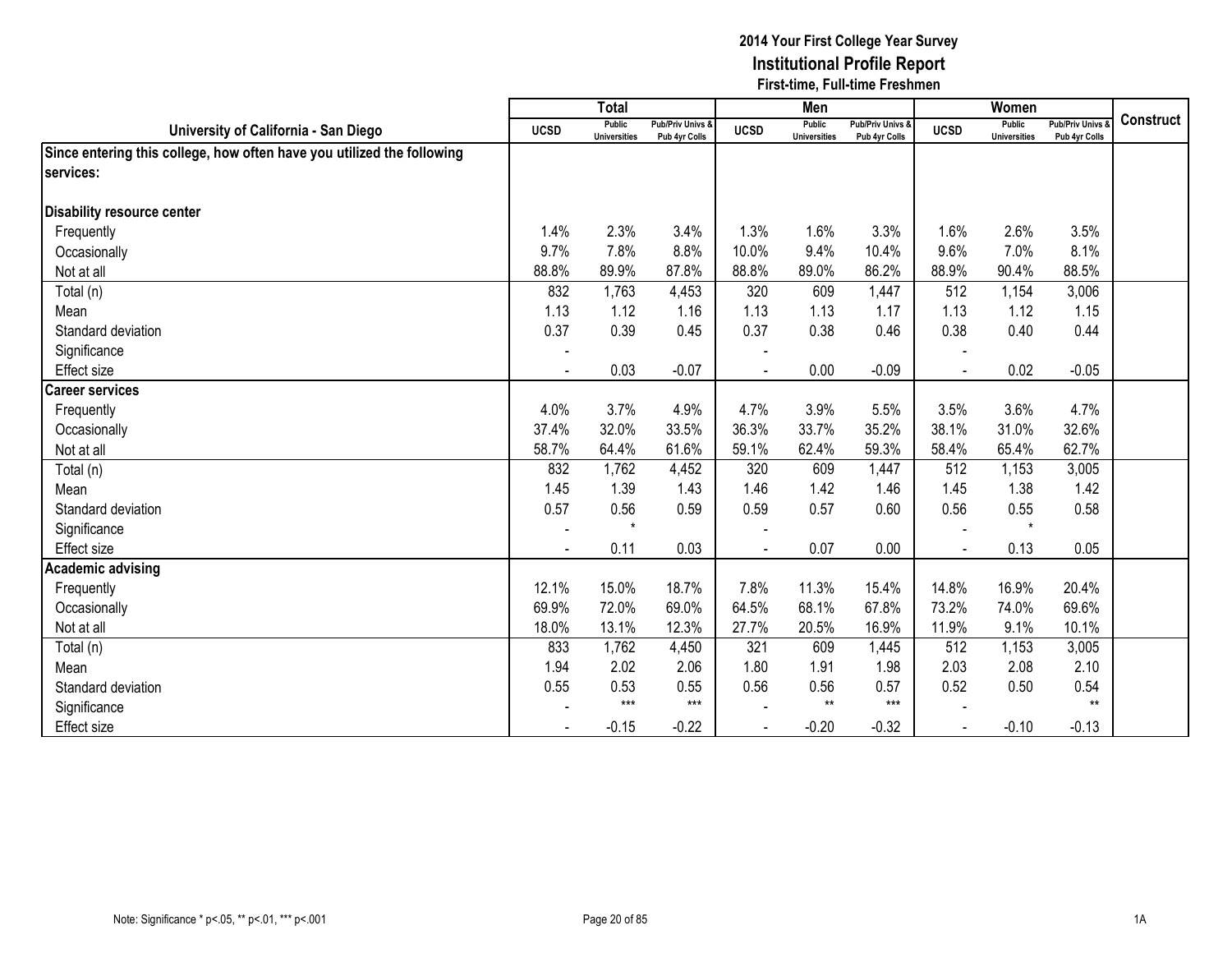|                                                                        |             | <b>Total</b>                  |                                   |             | Men                           |                                   |             | Women                         |                                        |                  |
|------------------------------------------------------------------------|-------------|-------------------------------|-----------------------------------|-------------|-------------------------------|-----------------------------------|-------------|-------------------------------|----------------------------------------|------------------|
| University of California - San Diego                                   | <b>UCSD</b> | Public<br><b>Universities</b> | Pub/Priv Univs &<br>Pub 4yr Colls | <b>UCSD</b> | Public<br><b>Universities</b> | Pub/Priv Univs &<br>Pub 4yr Colls | <b>UCSD</b> | Public<br><b>Universities</b> | <b>Pub/Priv Univs</b><br>Pub 4yr Colls | <b>Construct</b> |
| Since entering this college, how often have you utilized the following |             |                               |                                   |             |                               |                                   |             |                               |                                        |                  |
| services:                                                              |             |                               |                                   |             |                               |                                   |             |                               |                                        |                  |
|                                                                        |             |                               |                                   |             |                               |                                   |             |                               |                                        |                  |
| Disability resource center                                             |             |                               |                                   |             |                               |                                   |             |                               |                                        |                  |
| Frequently                                                             | 1.4%        | 2.3%                          | 3.4%                              | 1.3%        | 1.6%                          | 3.3%                              | 1.6%        | 2.6%                          | 3.5%                                   |                  |
| Occasionally                                                           | 9.7%        | 7.8%                          | 8.8%                              | 10.0%       | 9.4%                          | 10.4%                             | 9.6%        | 7.0%                          | 8.1%                                   |                  |
| Not at all                                                             | 88.8%       | 89.9%                         | 87.8%                             | 88.8%       | 89.0%                         | 86.2%                             | 88.9%       | 90.4%                         | 88.5%                                  |                  |
| Total (n)                                                              | 832         | 1,763                         | 4,453                             | 320         | 609                           | 1,447                             | 512         | 1,154                         | 3,006                                  |                  |
| Mean                                                                   | 1.13        | 1.12                          | 1.16                              | 1.13        | 1.13                          | 1.17                              | 1.13        | 1.12                          | 1.15                                   |                  |
| Standard deviation                                                     | 0.37        | 0.39                          | 0.45                              | 0.37        | 0.38                          | 0.46                              | 0.38        | 0.40                          | 0.44                                   |                  |
| Significance                                                           |             |                               |                                   |             |                               |                                   |             |                               |                                        |                  |
| Effect size                                                            |             | 0.03                          | $-0.07$                           |             | 0.00                          | $-0.09$                           |             | 0.02                          | $-0.05$                                |                  |
| <b>Career services</b>                                                 |             |                               |                                   |             |                               |                                   |             |                               |                                        |                  |
| Frequently                                                             | 4.0%        | 3.7%                          | 4.9%                              | 4.7%        | 3.9%                          | 5.5%                              | 3.5%        | 3.6%                          | 4.7%                                   |                  |
| Occasionally                                                           | 37.4%       | 32.0%                         | 33.5%                             | 36.3%       | 33.7%                         | 35.2%                             | 38.1%       | 31.0%                         | 32.6%                                  |                  |
| Not at all                                                             | 58.7%       | 64.4%                         | 61.6%                             | 59.1%       | 62.4%                         | 59.3%                             | 58.4%       | 65.4%                         | 62.7%                                  |                  |
| Total (n)                                                              | 832         | 1,762                         | 4,452                             | 320         | 609                           | 1,447                             | 512         | 1,153                         | 3,005                                  |                  |
| Mean                                                                   | 1.45        | 1.39                          | 1.43                              | 1.46        | 1.42                          | 1.46                              | 1.45        | 1.38                          | 1.42                                   |                  |
| Standard deviation                                                     | 0.57        | 0.56                          | 0.59                              | 0.59        | 0.57                          | 0.60                              | 0.56        | 0.55                          | 0.58                                   |                  |
| Significance                                                           |             | $\star$                       |                                   |             |                               |                                   |             | $\star$                       |                                        |                  |
| Effect size                                                            |             | 0.11                          | 0.03                              |             | 0.07                          | 0.00                              |             | 0.13                          | 0.05                                   |                  |
| <b>Academic advising</b>                                               |             |                               |                                   |             |                               |                                   |             |                               |                                        |                  |
| Frequently                                                             | 12.1%       | 15.0%                         | 18.7%                             | 7.8%        | 11.3%                         | 15.4%                             | 14.8%       | 16.9%                         | 20.4%                                  |                  |
| Occasionally                                                           | 69.9%       | 72.0%                         | 69.0%                             | 64.5%       | 68.1%                         | 67.8%                             | 73.2%       | 74.0%                         | 69.6%                                  |                  |
| Not at all                                                             | 18.0%       | 13.1%                         | 12.3%                             | 27.7%       | 20.5%                         | 16.9%                             | 11.9%       | 9.1%                          | 10.1%                                  |                  |
| Total (n)                                                              | 833         | 1,762                         | 4,450                             | 321         | 609                           | 1,445                             | 512         | 1,153                         | 3,005                                  |                  |
| Mean                                                                   | 1.94        | 2.02                          | 2.06                              | 1.80        | 1.91                          | 1.98                              | 2.03        | 2.08                          | 2.10                                   |                  |
| Standard deviation                                                     | 0.55        | 0.53                          | 0.55                              | 0.56        | 0.56                          | 0.57                              | 0.52        | 0.50                          | 0.54                                   |                  |
| Significance                                                           |             | $***$                         | $***$                             |             | $***$                         | $***$                             |             |                               | $**$                                   |                  |
| <b>Effect size</b>                                                     |             | $-0.15$                       | $-0.22$                           |             | $-0.20$                       | $-0.32$                           | $\sim$      | $-0.10$                       | $-0.13$                                |                  |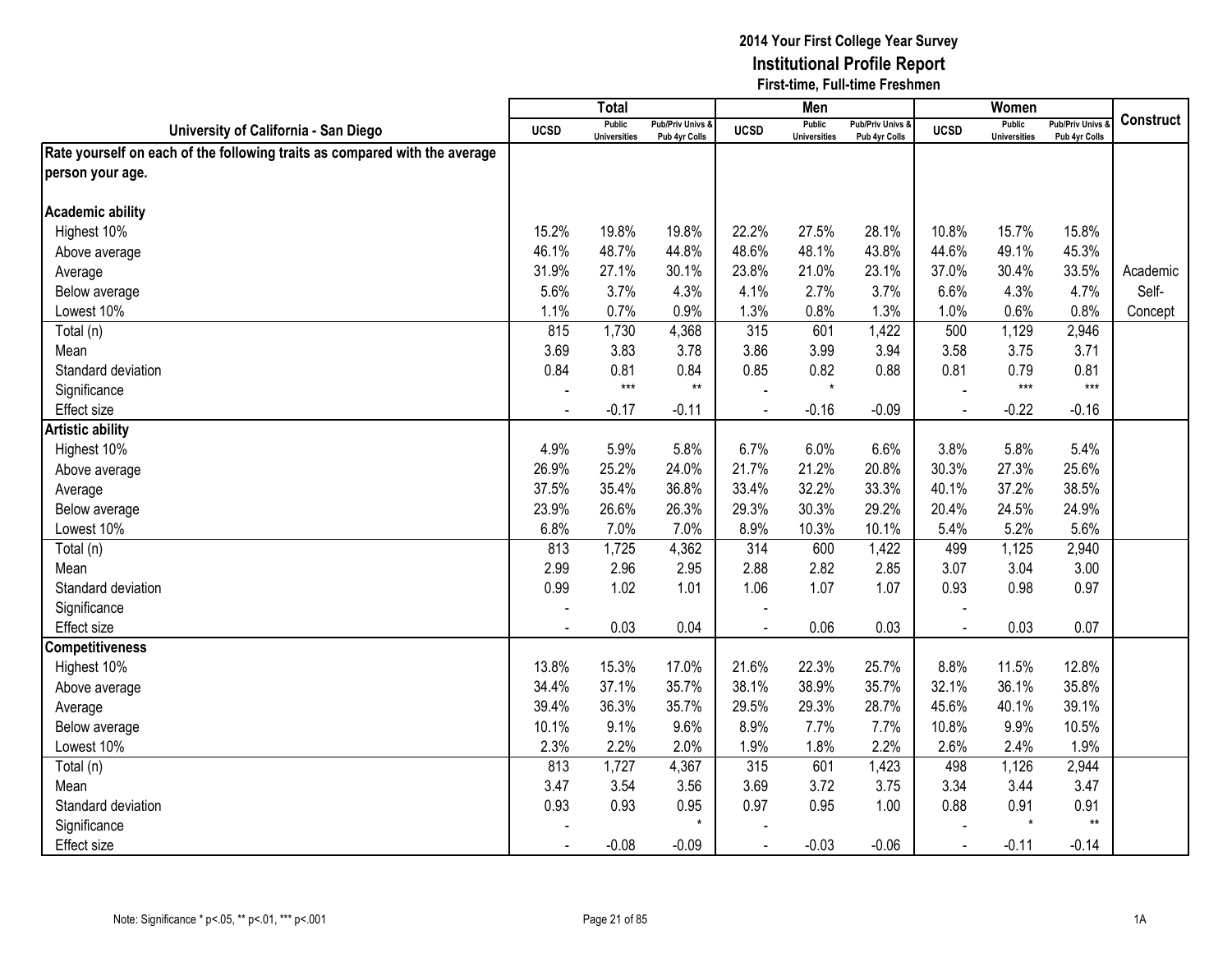|                                                                            |                | $\overline{\text{Total}}$            |                                   |             | Men                                  |                                              |                | Women                                |                                        |                  |
|----------------------------------------------------------------------------|----------------|--------------------------------------|-----------------------------------|-------------|--------------------------------------|----------------------------------------------|----------------|--------------------------------------|----------------------------------------|------------------|
| University of California - San Diego                                       | <b>UCSD</b>    | <b>Public</b><br><b>Universities</b> | Pub/Priv Univs &<br>Pub 4yr Colls | <b>UCSD</b> | <b>Public</b><br><b>Universities</b> | <b>Pub/Priv Univs &amp;</b><br>Pub 4yr Colls | <b>UCSD</b>    | <b>Public</b><br><b>Universities</b> | <b>Pub/Priv Univs</b><br>Pub 4yr Colls | <b>Construct</b> |
| Rate yourself on each of the following traits as compared with the average |                |                                      |                                   |             |                                      |                                              |                |                                      |                                        |                  |
| person your age.                                                           |                |                                      |                                   |             |                                      |                                              |                |                                      |                                        |                  |
|                                                                            |                |                                      |                                   |             |                                      |                                              |                |                                      |                                        |                  |
| <b>Academic ability</b>                                                    |                |                                      |                                   |             |                                      |                                              |                |                                      |                                        |                  |
| Highest 10%                                                                | 15.2%          | 19.8%                                | 19.8%                             | 22.2%       | 27.5%                                | 28.1%                                        | 10.8%          | 15.7%                                | 15.8%                                  |                  |
| Above average                                                              | 46.1%          | 48.7%                                | 44.8%                             | 48.6%       | 48.1%                                | 43.8%                                        | 44.6%          | 49.1%                                | 45.3%                                  |                  |
| Average                                                                    | 31.9%          | 27.1%                                | 30.1%                             | 23.8%       | 21.0%                                | 23.1%                                        | 37.0%          | 30.4%                                | 33.5%                                  | Academic         |
| Below average                                                              | 5.6%           | 3.7%                                 | 4.3%                              | 4.1%        | 2.7%                                 | 3.7%                                         | 6.6%           | 4.3%                                 | 4.7%                                   | Self-            |
| Lowest 10%                                                                 | 1.1%           | 0.7%                                 | 0.9%                              | 1.3%        | 0.8%                                 | 1.3%                                         | 1.0%           | 0.6%                                 | 0.8%                                   | Concept          |
| Total (n)                                                                  | 815            | 1,730                                | 4,368                             | 315         | 601                                  | 1,422                                        | 500            | 1,129                                | 2,946                                  |                  |
| Mean                                                                       | 3.69           | 3.83                                 | 3.78                              | 3.86        | 3.99                                 | 3.94                                         | 3.58           | 3.75                                 | 3.71                                   |                  |
| Standard deviation                                                         | 0.84           | 0.81                                 | 0.84                              | 0.85        | 0.82                                 | 0.88                                         | 0.81           | 0.79                                 | 0.81                                   |                  |
| Significance                                                               |                | $***$                                | $^{\star\star}$                   |             | $\star$                              |                                              |                | $***$                                | $***$                                  |                  |
| <b>Effect size</b>                                                         |                | $-0.17$                              | $-0.11$                           |             | $-0.16$                              | $-0.09$                                      |                | $-0.22$                              | $-0.16$                                |                  |
| <b>Artistic ability</b>                                                    |                |                                      |                                   |             |                                      |                                              |                |                                      |                                        |                  |
| Highest 10%                                                                | 4.9%           | 5.9%                                 | 5.8%                              | 6.7%        | 6.0%                                 | 6.6%                                         | 3.8%           | 5.8%                                 | 5.4%                                   |                  |
| Above average                                                              | 26.9%          | 25.2%                                | 24.0%                             | 21.7%       | 21.2%                                | 20.8%                                        | 30.3%          | 27.3%                                | 25.6%                                  |                  |
| Average                                                                    | 37.5%          | 35.4%                                | 36.8%                             | 33.4%       | 32.2%                                | 33.3%                                        | 40.1%          | 37.2%                                | 38.5%                                  |                  |
| Below average                                                              | 23.9%          | 26.6%                                | 26.3%                             | 29.3%       | 30.3%                                | 29.2%                                        | 20.4%          | 24.5%                                | 24.9%                                  |                  |
| Lowest 10%                                                                 | 6.8%           | 7.0%                                 | 7.0%                              | 8.9%        | 10.3%                                | 10.1%                                        | 5.4%           | 5.2%                                 | 5.6%                                   |                  |
| Total (n)                                                                  | 813            | 1,725                                | 4,362                             | 314         | 600                                  | 1,422                                        | 499            | 1,125                                | 2,940                                  |                  |
| Mean                                                                       | 2.99           | 2.96                                 | 2.95                              | 2.88        | 2.82                                 | 2.85                                         | 3.07           | 3.04                                 | 3.00                                   |                  |
| Standard deviation                                                         | 0.99           | 1.02                                 | 1.01                              | 1.06        | 1.07                                 | 1.07                                         | 0.93           | 0.98                                 | 0.97                                   |                  |
| Significance                                                               |                |                                      |                                   |             |                                      |                                              |                |                                      |                                        |                  |
| <b>Effect size</b>                                                         |                | 0.03                                 | 0.04                              |             | 0.06                                 | 0.03                                         | $\blacksquare$ | 0.03                                 | 0.07                                   |                  |
| <b>Competitiveness</b>                                                     |                |                                      |                                   |             |                                      |                                              |                |                                      |                                        |                  |
| Highest 10%                                                                | 13.8%          | 15.3%                                | 17.0%                             | 21.6%       | 22.3%                                | 25.7%                                        | 8.8%           | 11.5%                                | 12.8%                                  |                  |
| Above average                                                              | 34.4%          | 37.1%                                | 35.7%                             | 38.1%       | 38.9%                                | 35.7%                                        | 32.1%          | 36.1%                                | 35.8%                                  |                  |
| Average                                                                    | 39.4%          | 36.3%                                | 35.7%                             | 29.5%       | 29.3%                                | 28.7%                                        | 45.6%          | 40.1%                                | 39.1%                                  |                  |
| Below average                                                              | 10.1%          | 9.1%                                 | 9.6%                              | 8.9%        | 7.7%                                 | 7.7%                                         | 10.8%          | 9.9%                                 | 10.5%                                  |                  |
| Lowest 10%                                                                 | 2.3%           | 2.2%                                 | 2.0%                              | 1.9%        | 1.8%                                 | 2.2%                                         | 2.6%           | 2.4%                                 | 1.9%                                   |                  |
| Total (n)                                                                  | 813            | 1,727                                | 4,367                             | 315         | 601                                  | 1,423                                        | 498            | 1,126                                | 2,944                                  |                  |
| Mean                                                                       | 3.47           | 3.54                                 | 3.56                              | 3.69        | 3.72                                 | 3.75                                         | 3.34           | 3.44                                 | 3.47                                   |                  |
| Standard deviation                                                         | 0.93           | 0.93                                 | 0.95                              | 0.97        | 0.95                                 | 1.00                                         | 0.88           | 0.91                                 | 0.91                                   |                  |
| Significance                                                               |                |                                      | $\star$                           |             |                                      |                                              |                | $\star$                              | $***$                                  |                  |
| Effect size                                                                | $\blacksquare$ | $-0.08$                              | $-0.09$                           | $\sim$      | $-0.03$                              | $-0.06$                                      | $\blacksquare$ | $-0.11$                              | $-0.14$                                |                  |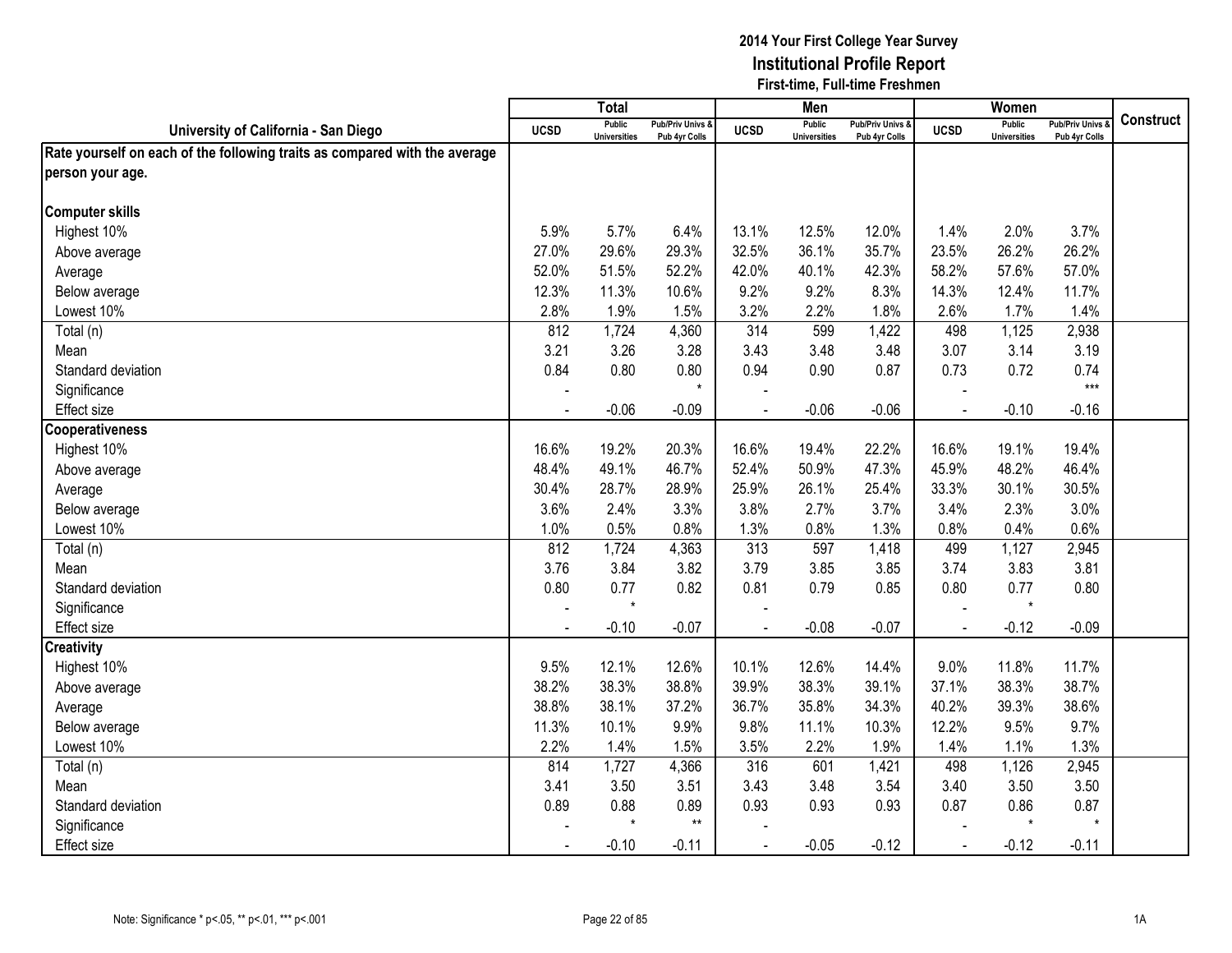|                                                                            |             | Total                                |                                   |                | Men                                  |                                   |                | Women                                |                                        |                  |
|----------------------------------------------------------------------------|-------------|--------------------------------------|-----------------------------------|----------------|--------------------------------------|-----------------------------------|----------------|--------------------------------------|----------------------------------------|------------------|
| University of California - San Diego                                       | <b>UCSD</b> | <b>Public</b><br><b>Universities</b> | Pub/Priv Univs &<br>Pub 4yr Colls | <b>UCSD</b>    | <b>Public</b><br><b>Universities</b> | Pub/Priv Univs &<br>Pub 4yr Colls | <b>UCSD</b>    | <b>Public</b><br><b>Universities</b> | <b>Pub/Priv Univs</b><br>Pub 4yr Colls | <b>Construct</b> |
| Rate yourself on each of the following traits as compared with the average |             |                                      |                                   |                |                                      |                                   |                |                                      |                                        |                  |
| person your age.                                                           |             |                                      |                                   |                |                                      |                                   |                |                                      |                                        |                  |
|                                                                            |             |                                      |                                   |                |                                      |                                   |                |                                      |                                        |                  |
| <b>Computer skills</b>                                                     |             |                                      |                                   |                |                                      |                                   |                |                                      |                                        |                  |
| Highest 10%                                                                | 5.9%        | 5.7%                                 | 6.4%                              | 13.1%          | 12.5%                                | 12.0%                             | 1.4%           | 2.0%                                 | 3.7%                                   |                  |
| Above average                                                              | 27.0%       | 29.6%                                | 29.3%                             | 32.5%          | 36.1%                                | 35.7%                             | 23.5%          | 26.2%                                | 26.2%                                  |                  |
| Average                                                                    | 52.0%       | 51.5%                                | 52.2%                             | 42.0%          | 40.1%                                | 42.3%                             | 58.2%          | 57.6%                                | 57.0%                                  |                  |
| Below average                                                              | 12.3%       | 11.3%                                | 10.6%                             | 9.2%           | 9.2%                                 | 8.3%                              | 14.3%          | 12.4%                                | 11.7%                                  |                  |
| Lowest 10%                                                                 | 2.8%        | 1.9%                                 | 1.5%                              | 3.2%           | 2.2%                                 | 1.8%                              | 2.6%           | 1.7%                                 | 1.4%                                   |                  |
| Total (n)                                                                  | 812         | 1,724                                | 4,360                             | 314            | 599                                  | 1,422                             | 498            | 1,125                                | 2,938                                  |                  |
| Mean                                                                       | 3.21        | 3.26                                 | 3.28                              | 3.43           | 3.48                                 | 3.48                              | 3.07           | 3.14                                 | 3.19                                   |                  |
| Standard deviation                                                         | 0.84        | 0.80                                 | 0.80                              | 0.94           | 0.90                                 | 0.87                              | 0.73           | 0.72                                 | 0.74                                   |                  |
| Significance                                                               |             |                                      | $\star$                           |                |                                      |                                   |                |                                      | $***$                                  |                  |
| Effect size                                                                |             | $-0.06$                              | $-0.09$                           |                | $-0.06$                              | $-0.06$                           |                | $-0.10$                              | $-0.16$                                |                  |
| <b>Cooperativeness</b>                                                     |             |                                      |                                   |                |                                      |                                   |                |                                      |                                        |                  |
| Highest 10%                                                                | 16.6%       | 19.2%                                | 20.3%                             | 16.6%          | 19.4%                                | 22.2%                             | 16.6%          | 19.1%                                | 19.4%                                  |                  |
| Above average                                                              | 48.4%       | 49.1%                                | 46.7%                             | 52.4%          | 50.9%                                | 47.3%                             | 45.9%          | 48.2%                                | 46.4%                                  |                  |
| Average                                                                    | 30.4%       | 28.7%                                | 28.9%                             | 25.9%          | 26.1%                                | 25.4%                             | 33.3%          | 30.1%                                | 30.5%                                  |                  |
| Below average                                                              | 3.6%        | 2.4%                                 | 3.3%                              | 3.8%           | 2.7%                                 | 3.7%                              | 3.4%           | 2.3%                                 | 3.0%                                   |                  |
| Lowest 10%                                                                 | 1.0%        | 0.5%                                 | 0.8%                              | 1.3%           | 0.8%                                 | 1.3%                              | 0.8%           | 0.4%                                 | 0.6%                                   |                  |
| Total (n)                                                                  | 812         | 1,724                                | 4,363                             | 313            | 597                                  | 1,418                             | 499            | 1,127                                | 2,945                                  |                  |
| Mean                                                                       | 3.76        | 3.84                                 | 3.82                              | 3.79           | 3.85                                 | 3.85                              | 3.74           | 3.83                                 | 3.81                                   |                  |
| Standard deviation                                                         | 0.80        | 0.77                                 | 0.82                              | 0.81           | 0.79                                 | 0.85                              | 0.80           | 0.77                                 | 0.80                                   |                  |
| Significance                                                               |             | $\star$                              |                                   |                |                                      |                                   |                | $\star$                              |                                        |                  |
| Effect size                                                                |             | $-0.10$                              | $-0.07$                           |                | $-0.08$                              | $-0.07$                           | $\overline{a}$ | $-0.12$                              | $-0.09$                                |                  |
| <b>Creativity</b>                                                          |             |                                      |                                   |                |                                      |                                   |                |                                      |                                        |                  |
| Highest 10%                                                                | 9.5%        | 12.1%                                | 12.6%                             | 10.1%          | 12.6%                                | 14.4%                             | 9.0%           | 11.8%                                | 11.7%                                  |                  |
| Above average                                                              | 38.2%       | 38.3%                                | 38.8%                             | 39.9%          | 38.3%                                | 39.1%                             | 37.1%          | 38.3%                                | 38.7%                                  |                  |
| Average                                                                    | 38.8%       | 38.1%                                | 37.2%                             | 36.7%          | 35.8%                                | 34.3%                             | 40.2%          | 39.3%                                | 38.6%                                  |                  |
| Below average                                                              | 11.3%       | 10.1%                                | 9.9%                              | 9.8%           | 11.1%                                | 10.3%                             | 12.2%          | 9.5%                                 | 9.7%                                   |                  |
| Lowest 10%                                                                 | 2.2%        | 1.4%                                 | 1.5%                              | 3.5%           | 2.2%                                 | 1.9%                              | 1.4%           | 1.1%                                 | 1.3%                                   |                  |
| Total (n)                                                                  | 814         | 1,727                                | 4,366                             | 316            | 601                                  | 1,421                             | 498            | 1,126                                | 2,945                                  |                  |
| Mean                                                                       | 3.41        | 3.50                                 | 3.51                              | 3.43           | 3.48                                 | 3.54                              | 3.40           | 3.50                                 | 3.50                                   |                  |
| Standard deviation                                                         | 0.89        | 0.88                                 | 0.89                              | 0.93           | 0.93                                 | 0.93                              | 0.87           | 0.86                                 | 0.87                                   |                  |
| Significance                                                               |             | $\star$                              | $***$                             |                |                                      |                                   |                | $\star$                              | $^\star$                               |                  |
| Effect size                                                                |             | $-0.10$                              | $-0.11$                           | $\blacksquare$ | $-0.05$                              | $-0.12$                           | $\sim$         | $-0.12$                              | $-0.11$                                |                  |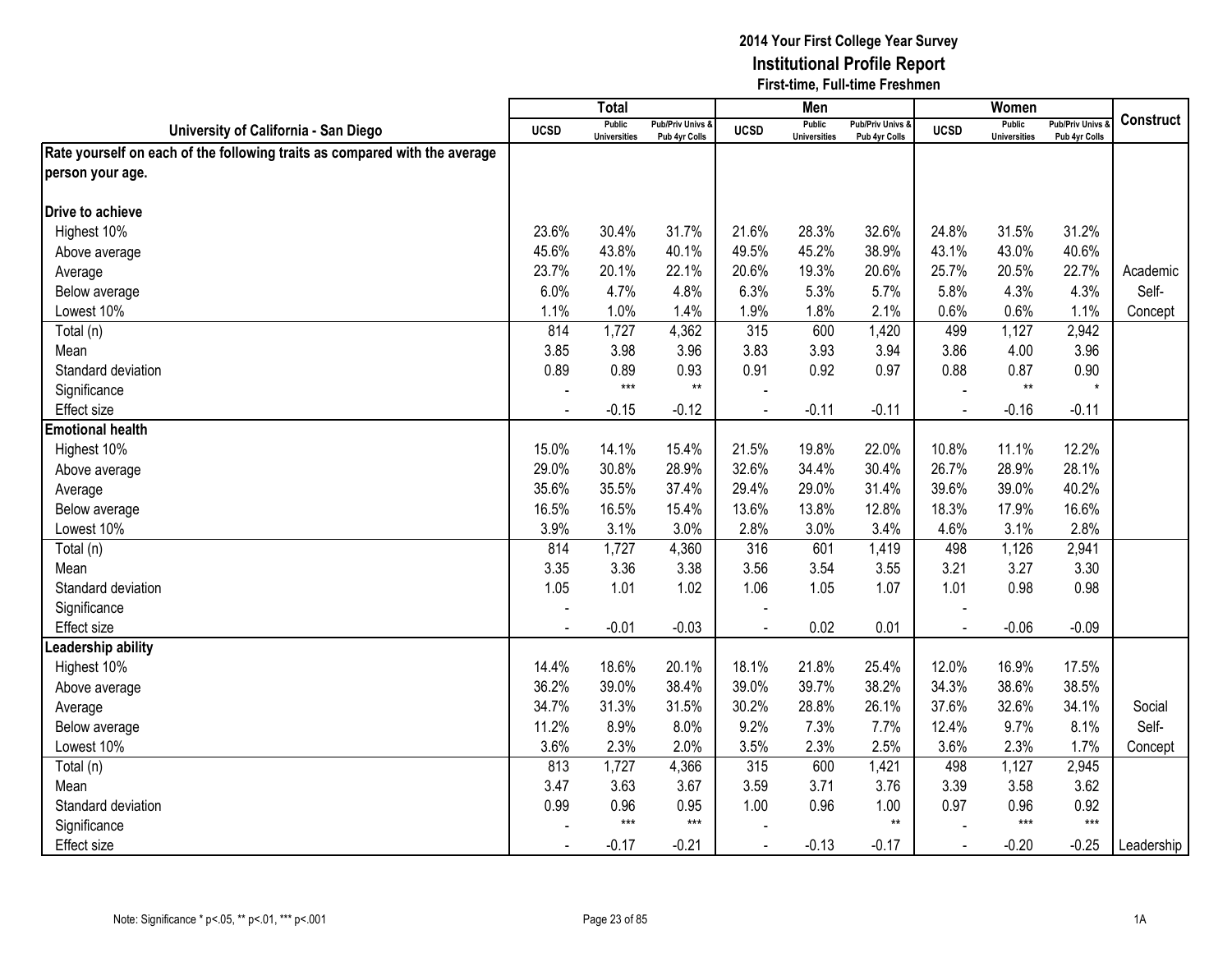|                                                                            |                | <b>Total</b>                         |                                   |                | Men                                  |                                   |                | Women                                |                                        |                  |
|----------------------------------------------------------------------------|----------------|--------------------------------------|-----------------------------------|----------------|--------------------------------------|-----------------------------------|----------------|--------------------------------------|----------------------------------------|------------------|
| University of California - San Diego                                       | <b>UCSD</b>    | <b>Public</b><br><b>Universities</b> | Pub/Priv Univs &<br>Pub 4yr Colls | <b>UCSD</b>    | <b>Public</b><br><b>Universities</b> | Pub/Priv Univs &<br>Pub 4yr Colls | <b>UCSD</b>    | <b>Public</b><br><b>Universities</b> | <b>Pub/Priv Univs</b><br>Pub 4yr Colls | <b>Construct</b> |
| Rate yourself on each of the following traits as compared with the average |                |                                      |                                   |                |                                      |                                   |                |                                      |                                        |                  |
| person your age.                                                           |                |                                      |                                   |                |                                      |                                   |                |                                      |                                        |                  |
|                                                                            |                |                                      |                                   |                |                                      |                                   |                |                                      |                                        |                  |
| Drive to achieve                                                           |                |                                      |                                   |                |                                      |                                   |                |                                      |                                        |                  |
| Highest 10%                                                                | 23.6%          | 30.4%                                | 31.7%                             | 21.6%          | 28.3%                                | 32.6%                             | 24.8%          | 31.5%                                | 31.2%                                  |                  |
| Above average                                                              | 45.6%          | 43.8%                                | 40.1%                             | 49.5%          | 45.2%                                | 38.9%                             | 43.1%          | 43.0%                                | 40.6%                                  |                  |
| Average                                                                    | 23.7%          | 20.1%                                | 22.1%                             | 20.6%          | 19.3%                                | 20.6%                             | 25.7%          | 20.5%                                | 22.7%                                  | Academic         |
| Below average                                                              | 6.0%           | 4.7%                                 | 4.8%                              | 6.3%           | 5.3%                                 | 5.7%                              | 5.8%           | 4.3%                                 | 4.3%                                   | Self-            |
| Lowest 10%                                                                 | 1.1%           | 1.0%                                 | 1.4%                              | 1.9%           | 1.8%                                 | 2.1%                              | 0.6%           | 0.6%                                 | 1.1%                                   | Concept          |
| Total (n)                                                                  | 814            | 1,727                                | 4,362                             | 315            | 600                                  | 1,420                             | 499            | 1,127                                | 2,942                                  |                  |
| Mean                                                                       | 3.85           | 3.98                                 | 3.96                              | 3.83           | 3.93                                 | 3.94                              | 3.86           | 4.00                                 | 3.96                                   |                  |
| Standard deviation                                                         | 0.89           | 0.89                                 | 0.93                              | 0.91           | 0.92                                 | 0.97                              | 0.88           | 0.87                                 | 0.90                                   |                  |
| Significance                                                               |                | $***$                                | $^{\star\star}$                   |                |                                      |                                   |                | $^{\star\star}$                      | $\star$                                |                  |
| Effect size                                                                |                | $-0.15$                              | $-0.12$                           |                | $-0.11$                              | $-0.11$                           |                | $-0.16$                              | $-0.11$                                |                  |
| <b>Emotional health</b>                                                    |                |                                      |                                   |                |                                      |                                   |                |                                      |                                        |                  |
| Highest 10%                                                                | 15.0%          | 14.1%                                | 15.4%                             | 21.5%          | 19.8%                                | 22.0%                             | 10.8%          | 11.1%                                | 12.2%                                  |                  |
| Above average                                                              | 29.0%          | 30.8%                                | 28.9%                             | 32.6%          | 34.4%                                | 30.4%                             | 26.7%          | 28.9%                                | 28.1%                                  |                  |
| Average                                                                    | 35.6%          | 35.5%                                | 37.4%                             | 29.4%          | 29.0%                                | 31.4%                             | 39.6%          | 39.0%                                | 40.2%                                  |                  |
| Below average                                                              | 16.5%          | 16.5%                                | 15.4%                             | 13.6%          | 13.8%                                | 12.8%                             | 18.3%          | 17.9%                                | 16.6%                                  |                  |
| Lowest 10%                                                                 | 3.9%           | 3.1%                                 | 3.0%                              | 2.8%           | 3.0%                                 | 3.4%                              | 4.6%           | 3.1%                                 | 2.8%                                   |                  |
| Total (n)                                                                  | 814            | 1,727                                | 4,360                             | 316            | 601                                  | 1,419                             | 498            | 1,126                                | 2,941                                  |                  |
| Mean                                                                       | 3.35           | 3.36                                 | 3.38                              | 3.56           | 3.54                                 | 3.55                              | 3.21           | 3.27                                 | 3.30                                   |                  |
| Standard deviation                                                         | 1.05           | 1.01                                 | 1.02                              | 1.06           | 1.05                                 | 1.07                              | 1.01           | 0.98                                 | 0.98                                   |                  |
| Significance                                                               |                |                                      |                                   |                |                                      |                                   |                |                                      |                                        |                  |
| Effect size                                                                | $\blacksquare$ | $-0.01$                              | $-0.03$                           |                | 0.02                                 | 0.01                              | $\blacksquare$ | $-0.06$                              | $-0.09$                                |                  |
| eadership ability                                                          |                |                                      |                                   |                |                                      |                                   |                |                                      |                                        |                  |
| Highest 10%                                                                | 14.4%          | 18.6%                                | 20.1%                             | 18.1%          | 21.8%                                | 25.4%                             | 12.0%          | 16.9%                                | 17.5%                                  |                  |
| Above average                                                              | 36.2%          | 39.0%                                | 38.4%                             | 39.0%          | 39.7%                                | 38.2%                             | 34.3%          | 38.6%                                | 38.5%                                  |                  |
| Average                                                                    | 34.7%          | 31.3%                                | 31.5%                             | 30.2%          | 28.8%                                | 26.1%                             | 37.6%          | 32.6%                                | 34.1%                                  | Social           |
| Below average                                                              | 11.2%          | 8.9%                                 | 8.0%                              | 9.2%           | 7.3%                                 | 7.7%                              | 12.4%          | 9.7%                                 | 8.1%                                   | Self-            |
| Lowest 10%                                                                 | 3.6%           | 2.3%                                 | 2.0%                              | 3.5%           | 2.3%                                 | 2.5%                              | 3.6%           | 2.3%                                 | 1.7%                                   | Concept          |
| Total (n)                                                                  | 813            | 1,727                                | 4,366                             | 315            | 600                                  | 1,421                             | 498            | 1,127                                | 2,945                                  |                  |
| Mean                                                                       | 3.47           | 3.63                                 | 3.67                              | 3.59           | 3.71                                 | 3.76                              | 3.39           | 3.58                                 | 3.62                                   |                  |
| Standard deviation                                                         | 0.99           | 0.96                                 | 0.95                              | 1.00           | 0.96                                 | 1.00                              | 0.97           | 0.96                                 | 0.92                                   |                  |
| Significance                                                               |                | $***$                                | $***$                             |                |                                      | $**$                              |                | $***$                                | $***$                                  |                  |
| <b>Effect size</b>                                                         | $\blacksquare$ | $-0.17$                              | $-0.21$                           | $\blacksquare$ | $-0.13$                              | $-0.17$                           | $\blacksquare$ | $-0.20$                              | $-0.25$                                | Leadership       |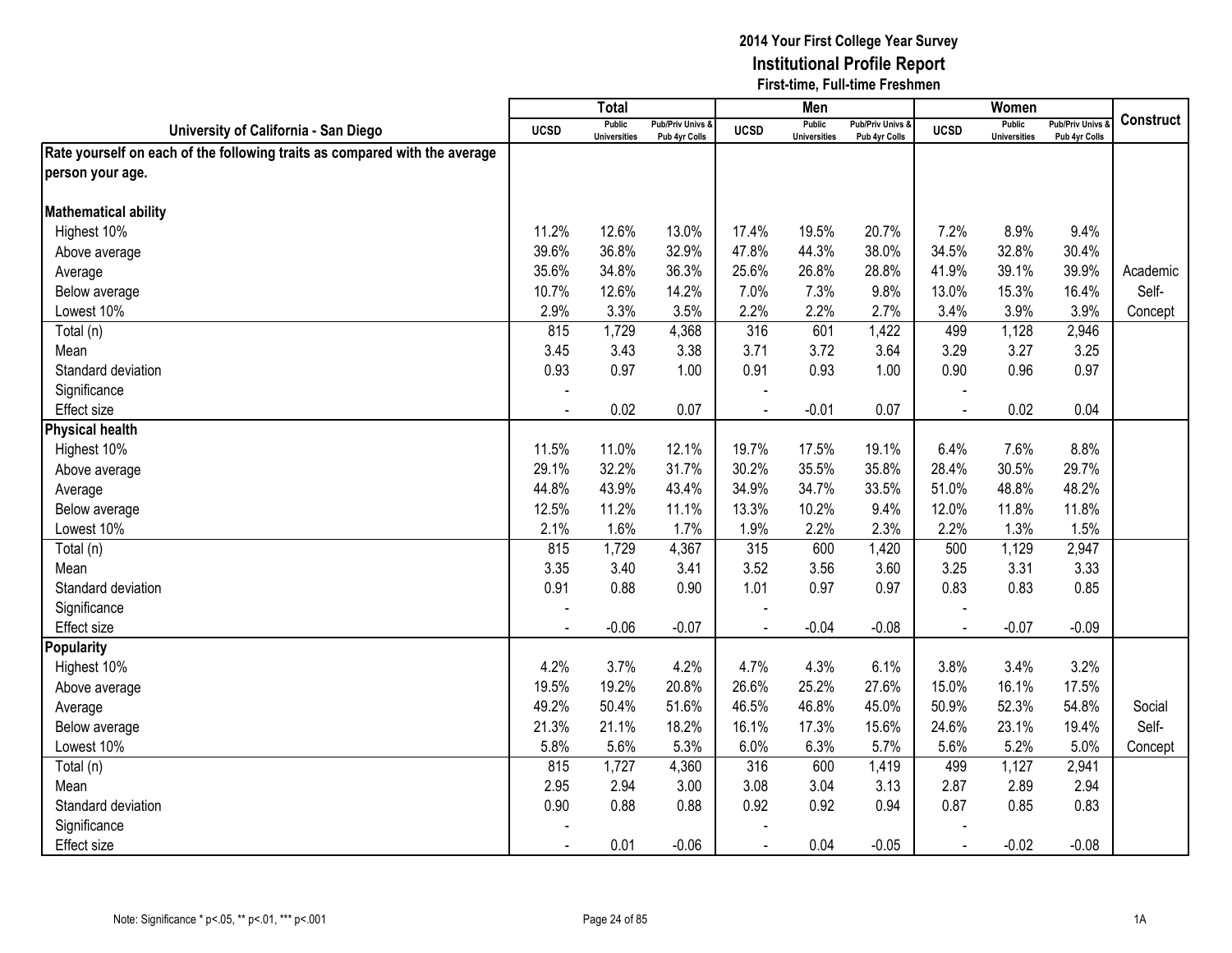|                                                                            |                | $\overline{T}$ <sub>O</sub> tal      |                                   |                | Men                                  |                                   |                | Women                                |                                        |                  |
|----------------------------------------------------------------------------|----------------|--------------------------------------|-----------------------------------|----------------|--------------------------------------|-----------------------------------|----------------|--------------------------------------|----------------------------------------|------------------|
| University of California - San Diego                                       | <b>UCSD</b>    | <b>Public</b><br><b>Universities</b> | Pub/Priv Univs &<br>Pub 4yr Colls | <b>UCSD</b>    | <b>Public</b><br><b>Universities</b> | Pub/Priv Univs &<br>Pub 4yr Colls | <b>UCSD</b>    | <b>Public</b><br><b>Universities</b> | <b>Pub/Priv Univs</b><br>Pub 4yr Colls | <b>Construct</b> |
| Rate yourself on each of the following traits as compared with the average |                |                                      |                                   |                |                                      |                                   |                |                                      |                                        |                  |
| person your age.                                                           |                |                                      |                                   |                |                                      |                                   |                |                                      |                                        |                  |
|                                                                            |                |                                      |                                   |                |                                      |                                   |                |                                      |                                        |                  |
| <b>Mathematical ability</b>                                                |                |                                      |                                   |                |                                      |                                   |                |                                      |                                        |                  |
| Highest 10%                                                                | 11.2%          | 12.6%                                | 13.0%                             | 17.4%          | 19.5%                                | 20.7%                             | 7.2%           | 8.9%                                 | 9.4%                                   |                  |
| Above average                                                              | 39.6%          | 36.8%                                | 32.9%                             | 47.8%          | 44.3%                                | 38.0%                             | 34.5%          | 32.8%                                | 30.4%                                  |                  |
| Average                                                                    | 35.6%          | 34.8%                                | 36.3%                             | 25.6%          | 26.8%                                | 28.8%                             | 41.9%          | 39.1%                                | 39.9%                                  | Academic         |
| Below average                                                              | 10.7%          | 12.6%                                | 14.2%                             | 7.0%           | 7.3%                                 | 9.8%                              | 13.0%          | 15.3%                                | 16.4%                                  | Self-            |
| Lowest 10%                                                                 | 2.9%           | 3.3%                                 | 3.5%                              | 2.2%           | 2.2%                                 | 2.7%                              | 3.4%           | 3.9%                                 | 3.9%                                   | Concept          |
| Total (n)                                                                  | 815            | 1,729                                | 4,368                             | 316            | 601                                  | 1,422                             | 499            | 1,128                                | 2,946                                  |                  |
| Mean                                                                       | 3.45           | 3.43                                 | 3.38                              | 3.71           | 3.72                                 | 3.64                              | 3.29           | 3.27                                 | 3.25                                   |                  |
| Standard deviation                                                         | 0.93           | 0.97                                 | 1.00                              | 0.91           | 0.93                                 | 1.00                              | 0.90           | 0.96                                 | 0.97                                   |                  |
| Significance                                                               |                |                                      |                                   |                |                                      |                                   |                |                                      |                                        |                  |
| Effect size                                                                |                | 0.02                                 | 0.07                              |                | $-0.01$                              | 0.07                              |                | 0.02                                 | 0.04                                   |                  |
| <b>Physical health</b>                                                     |                |                                      |                                   |                |                                      |                                   |                |                                      |                                        |                  |
| Highest 10%                                                                | 11.5%          | 11.0%                                | 12.1%                             | 19.7%          | 17.5%                                | 19.1%                             | 6.4%           | 7.6%                                 | 8.8%                                   |                  |
| Above average                                                              | 29.1%          | 32.2%                                | 31.7%                             | 30.2%          | 35.5%                                | 35.8%                             | 28.4%          | 30.5%                                | 29.7%                                  |                  |
| Average                                                                    | 44.8%          | 43.9%                                | 43.4%                             | 34.9%          | 34.7%                                | 33.5%                             | 51.0%          | 48.8%                                | 48.2%                                  |                  |
| Below average                                                              | 12.5%          | 11.2%                                | 11.1%                             | 13.3%          | 10.2%                                | 9.4%                              | 12.0%          | 11.8%                                | 11.8%                                  |                  |
| Lowest 10%                                                                 | 2.1%           | 1.6%                                 | 1.7%                              | 1.9%           | 2.2%                                 | 2.3%                              | 2.2%           | 1.3%                                 | 1.5%                                   |                  |
| Total (n)                                                                  | 815            | 1,729                                | 4,367                             | 315            | 600                                  | 1,420                             | 500            | 1,129                                | 2,947                                  |                  |
| Mean                                                                       | 3.35           | 3.40                                 | 3.41                              | 3.52           | 3.56                                 | 3.60                              | 3.25           | 3.31                                 | 3.33                                   |                  |
| Standard deviation                                                         | 0.91           | 0.88                                 | 0.90                              | 1.01           | 0.97                                 | 0.97                              | 0.83           | 0.83                                 | 0.85                                   |                  |
| Significance                                                               |                |                                      |                                   |                |                                      |                                   |                |                                      |                                        |                  |
| Effect size                                                                |                | $-0.06$                              | $-0.07$                           |                | $-0.04$                              | $-0.08$                           | $\blacksquare$ | $-0.07$                              | $-0.09$                                |                  |
| <b>Popularity</b>                                                          |                |                                      |                                   |                |                                      |                                   |                |                                      |                                        |                  |
| Highest 10%                                                                | 4.2%           | 3.7%                                 | 4.2%                              | 4.7%           | 4.3%                                 | 6.1%                              | 3.8%           | 3.4%                                 | 3.2%                                   |                  |
| Above average                                                              | 19.5%          | 19.2%                                | 20.8%                             | 26.6%          | 25.2%                                | 27.6%                             | 15.0%          | 16.1%                                | 17.5%                                  |                  |
| Average                                                                    | 49.2%          | 50.4%                                | 51.6%                             | 46.5%          | 46.8%                                | 45.0%                             | 50.9%          | 52.3%                                | 54.8%                                  | Social           |
| Below average                                                              | 21.3%          | 21.1%                                | 18.2%                             | 16.1%          | 17.3%                                | 15.6%                             | 24.6%          | 23.1%                                | 19.4%                                  | Self-            |
| Lowest 10%                                                                 | 5.8%           | 5.6%                                 | 5.3%                              | 6.0%           | 6.3%                                 | 5.7%                              | 5.6%           | 5.2%                                 | 5.0%                                   | Concept          |
| Total (n)                                                                  | 815            | 1,727                                | 4,360                             | 316            | 600                                  | 1,419                             | 499            | 1,127                                | 2,941                                  |                  |
| Mean                                                                       | 2.95           | 2.94                                 | 3.00                              | 3.08           | 3.04                                 | 3.13                              | 2.87           | 2.89                                 | 2.94                                   |                  |
| Standard deviation                                                         | 0.90           | 0.88                                 | 0.88                              | 0.92           | 0.92                                 | 0.94                              | 0.87           | 0.85                                 | 0.83                                   |                  |
| Significance                                                               |                |                                      |                                   |                |                                      |                                   |                |                                      |                                        |                  |
| <b>Effect size</b>                                                         | $\blacksquare$ | 0.01                                 | $-0.06$                           | $\blacksquare$ | 0.04                                 | $-0.05$                           | $\blacksquare$ | $-0.02$                              | $-0.08$                                |                  |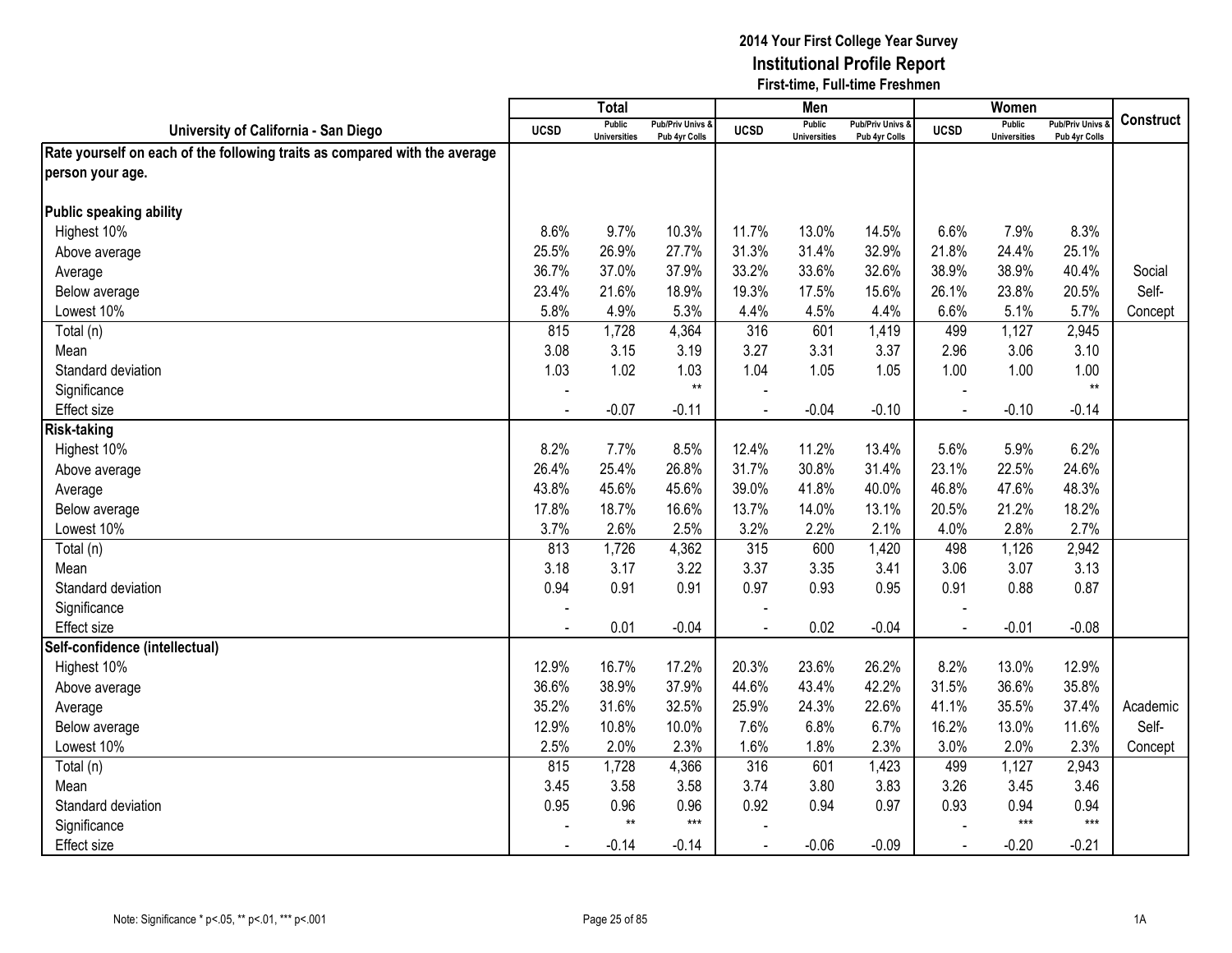|                                                                            |             | <b>Total</b>                         |                                              |             | Men                                  |                                   |                | Women                         |                                        |           |
|----------------------------------------------------------------------------|-------------|--------------------------------------|----------------------------------------------|-------------|--------------------------------------|-----------------------------------|----------------|-------------------------------|----------------------------------------|-----------|
| University of California - San Diego                                       | <b>UCSD</b> | <b>Public</b><br><b>Universities</b> | <b>Pub/Priv Univs &amp;</b><br>Pub 4yr Colls | <b>UCSD</b> | <b>Public</b><br><b>Universities</b> | Pub/Priv Univs &<br>Pub 4yr Colls | <b>UCSD</b>    | Public<br><b>Universities</b> | <b>Pub/Priv Univs</b><br>Pub 4yr Colls | Construct |
| Rate yourself on each of the following traits as compared with the average |             |                                      |                                              |             |                                      |                                   |                |                               |                                        |           |
| person your age.                                                           |             |                                      |                                              |             |                                      |                                   |                |                               |                                        |           |
|                                                                            |             |                                      |                                              |             |                                      |                                   |                |                               |                                        |           |
| Public speaking ability                                                    |             |                                      |                                              |             |                                      |                                   |                |                               |                                        |           |
| Highest 10%                                                                | 8.6%        | 9.7%                                 | 10.3%                                        | 11.7%       | 13.0%                                | 14.5%                             | 6.6%           | 7.9%                          | 8.3%                                   |           |
| Above average                                                              | 25.5%       | 26.9%                                | 27.7%                                        | 31.3%       | 31.4%                                | 32.9%                             | 21.8%          | 24.4%                         | 25.1%                                  |           |
| Average                                                                    | 36.7%       | 37.0%                                | 37.9%                                        | 33.2%       | 33.6%                                | 32.6%                             | 38.9%          | 38.9%                         | 40.4%                                  | Social    |
| Below average                                                              | 23.4%       | 21.6%                                | 18.9%                                        | 19.3%       | 17.5%                                | 15.6%                             | 26.1%          | 23.8%                         | 20.5%                                  | Self-     |
| Lowest 10%                                                                 | 5.8%        | 4.9%                                 | 5.3%                                         | 4.4%        | 4.5%                                 | 4.4%                              | 6.6%           | 5.1%                          | 5.7%                                   | Concept   |
| Total (n)                                                                  | 815         | 1,728                                | 4,364                                        | 316         | 601                                  | 1,419                             | 499            | 1,127                         | 2,945                                  |           |
| Mean                                                                       | 3.08        | 3.15                                 | 3.19                                         | 3.27        | 3.31                                 | 3.37                              | 2.96           | 3.06                          | 3.10                                   |           |
| Standard deviation                                                         | 1.03        | 1.02                                 | 1.03                                         | 1.04        | 1.05                                 | 1.05                              | 1.00           | 1.00                          | 1.00                                   |           |
| Significance                                                               |             |                                      | $**$                                         |             |                                      |                                   |                |                               | $**$                                   |           |
| <b>Effect size</b>                                                         |             | $-0.07$                              | $-0.11$                                      |             | $-0.04$                              | $-0.10$                           |                | $-0.10$                       | $-0.14$                                |           |
| <b>Risk-taking</b>                                                         |             |                                      |                                              |             |                                      |                                   |                |                               |                                        |           |
| Highest 10%                                                                | 8.2%        | 7.7%                                 | 8.5%                                         | 12.4%       | 11.2%                                | 13.4%                             | 5.6%           | 5.9%                          | 6.2%                                   |           |
| Above average                                                              | 26.4%       | 25.4%                                | 26.8%                                        | 31.7%       | 30.8%                                | 31.4%                             | 23.1%          | 22.5%                         | 24.6%                                  |           |
| Average                                                                    | 43.8%       | 45.6%                                | 45.6%                                        | 39.0%       | 41.8%                                | 40.0%                             | 46.8%          | 47.6%                         | 48.3%                                  |           |
| Below average                                                              | 17.8%       | 18.7%                                | 16.6%                                        | 13.7%       | 14.0%                                | 13.1%                             | 20.5%          | 21.2%                         | 18.2%                                  |           |
| Lowest 10%                                                                 | 3.7%        | 2.6%                                 | 2.5%                                         | 3.2%        | 2.2%                                 | 2.1%                              | 4.0%           | 2.8%                          | 2.7%                                   |           |
| Total (n)                                                                  | 813         | 1,726                                | 4,362                                        | 315         | 600                                  | 1,420                             | 498            | 1,126                         | 2,942                                  |           |
| Mean                                                                       | 3.18        | 3.17                                 | 3.22                                         | 3.37        | 3.35                                 | 3.41                              | 3.06           | 3.07                          | 3.13                                   |           |
| Standard deviation                                                         | 0.94        | 0.91                                 | 0.91                                         | 0.97        | 0.93                                 | 0.95                              | 0.91           | 0.88                          | 0.87                                   |           |
| Significance                                                               |             |                                      |                                              |             |                                      |                                   |                |                               |                                        |           |
| <b>Effect size</b>                                                         |             | 0.01                                 | $-0.04$                                      |             | 0.02                                 | $-0.04$                           | $\overline{a}$ | $-0.01$                       | $-0.08$                                |           |
| Self-confidence (intellectual)                                             |             |                                      |                                              |             |                                      |                                   |                |                               |                                        |           |
| Highest 10%                                                                | 12.9%       | 16.7%                                | 17.2%                                        | 20.3%       | 23.6%                                | 26.2%                             | 8.2%           | 13.0%                         | 12.9%                                  |           |
| Above average                                                              | 36.6%       | 38.9%                                | 37.9%                                        | 44.6%       | 43.4%                                | 42.2%                             | 31.5%          | 36.6%                         | 35.8%                                  |           |
| Average                                                                    | 35.2%       | 31.6%                                | 32.5%                                        | 25.9%       | 24.3%                                | 22.6%                             | 41.1%          | 35.5%                         | 37.4%                                  | Academic  |
| Below average                                                              | 12.9%       | 10.8%                                | 10.0%                                        | 7.6%        | 6.8%                                 | 6.7%                              | 16.2%          | 13.0%                         | 11.6%                                  | Self-     |
| Lowest 10%                                                                 | 2.5%        | 2.0%                                 | 2.3%                                         | 1.6%        | 1.8%                                 | 2.3%                              | 3.0%           | 2.0%                          | 2.3%                                   | Concept   |
| Total (n)                                                                  | 815         | 1,728                                | 4,366                                        | 316         | 601                                  | 1,423                             | 499            | 1,127                         | 2,943                                  |           |
| Mean                                                                       | 3.45        | 3.58                                 | 3.58                                         | 3.74        | 3.80                                 | 3.83                              | 3.26           | 3.45                          | 3.46                                   |           |
| Standard deviation                                                         | 0.95        | 0.96                                 | 0.96                                         | 0.92        | 0.94                                 | 0.97                              | 0.93           | 0.94                          | 0.94                                   |           |
| Significance                                                               |             | $***$                                | $***$                                        |             |                                      |                                   |                | $***$                         | $***$                                  |           |
| Effect size                                                                |             | $-0.14$                              | $-0.14$                                      |             | $-0.06$                              | $-0.09$                           | $\blacksquare$ | $-0.20$                       | $-0.21$                                |           |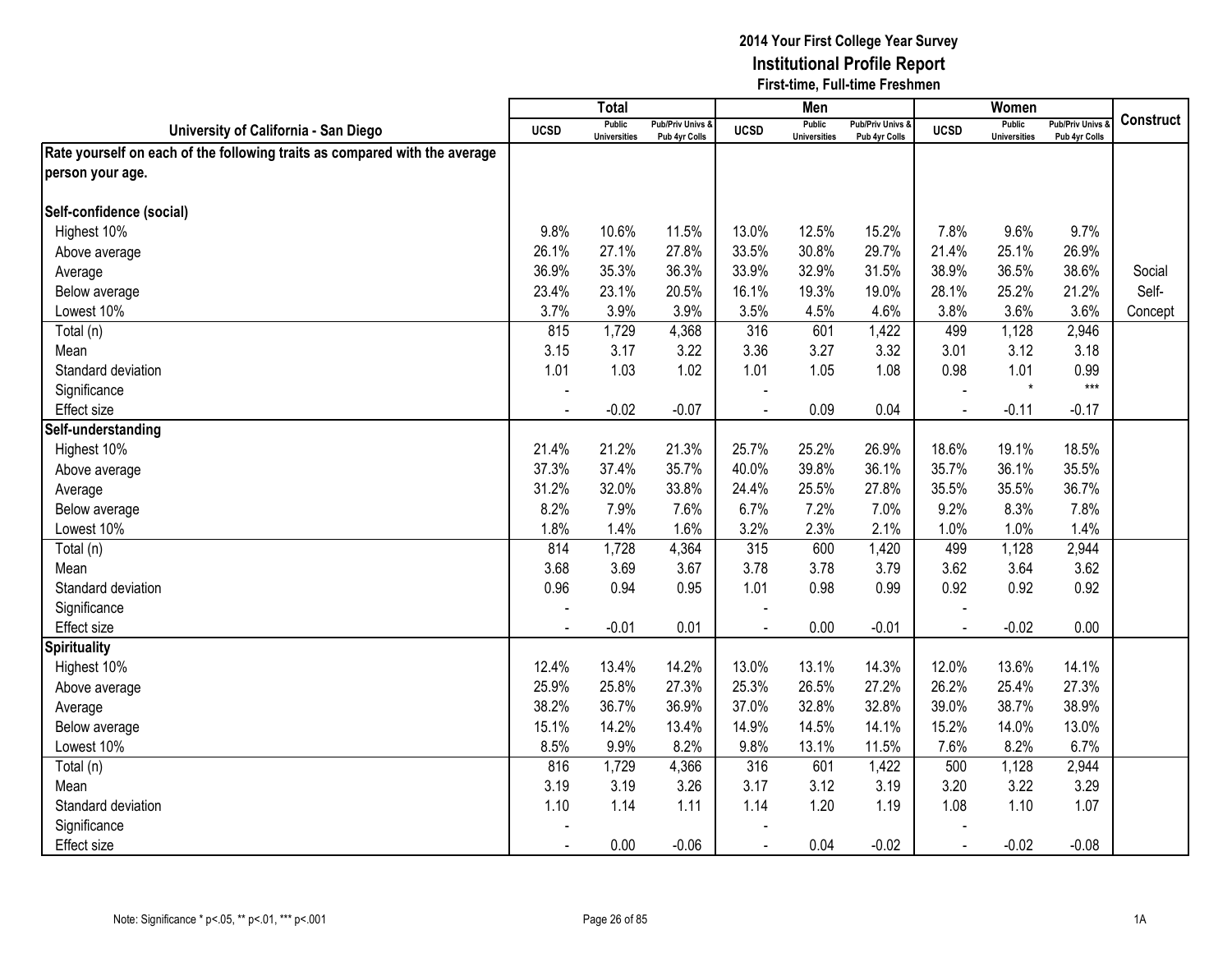|                                                                            |                | $\overline{T}$ <sub>O</sub> tal      |                                   |                | Men                                  |                                   |             | Women                                |                                        |                  |
|----------------------------------------------------------------------------|----------------|--------------------------------------|-----------------------------------|----------------|--------------------------------------|-----------------------------------|-------------|--------------------------------------|----------------------------------------|------------------|
| University of California - San Diego                                       | <b>UCSD</b>    | <b>Public</b><br><b>Universities</b> | Pub/Priv Univs &<br>Pub 4yr Colls | <b>UCSD</b>    | <b>Public</b><br><b>Universities</b> | Pub/Priv Univs &<br>Pub 4yr Colls | <b>UCSD</b> | <b>Public</b><br><b>Universities</b> | <b>Pub/Priv Univs</b><br>Pub 4yr Colls | <b>Construct</b> |
| Rate yourself on each of the following traits as compared with the average |                |                                      |                                   |                |                                      |                                   |             |                                      |                                        |                  |
| person your age.                                                           |                |                                      |                                   |                |                                      |                                   |             |                                      |                                        |                  |
|                                                                            |                |                                      |                                   |                |                                      |                                   |             |                                      |                                        |                  |
| Self-confidence (social)                                                   |                |                                      |                                   |                |                                      |                                   |             |                                      |                                        |                  |
| Highest 10%                                                                | 9.8%           | 10.6%                                | 11.5%                             | 13.0%          | 12.5%                                | 15.2%                             | 7.8%        | 9.6%                                 | 9.7%                                   |                  |
| Above average                                                              | 26.1%          | 27.1%                                | 27.8%                             | 33.5%          | 30.8%                                | 29.7%                             | 21.4%       | 25.1%                                | 26.9%                                  |                  |
| Average                                                                    | 36.9%          | 35.3%                                | 36.3%                             | 33.9%          | 32.9%                                | 31.5%                             | 38.9%       | 36.5%                                | 38.6%                                  | Social           |
| Below average                                                              | 23.4%          | 23.1%                                | 20.5%                             | 16.1%          | 19.3%                                | 19.0%                             | 28.1%       | 25.2%                                | 21.2%                                  | Self-            |
| Lowest 10%                                                                 | 3.7%           | 3.9%                                 | 3.9%                              | 3.5%           | 4.5%                                 | 4.6%                              | 3.8%        | 3.6%                                 | 3.6%                                   | Concept          |
| Total (n)                                                                  | 815            | 1,729                                | 4,368                             | 316            | 601                                  | 1,422                             | 499         | 1,128                                | 2,946                                  |                  |
| Mean                                                                       | 3.15           | 3.17                                 | 3.22                              | 3.36           | 3.27                                 | 3.32                              | 3.01        | 3.12                                 | 3.18                                   |                  |
| Standard deviation                                                         | 1.01           | 1.03                                 | 1.02                              | 1.01           | 1.05                                 | 1.08                              | 0.98        | 1.01                                 | 0.99                                   |                  |
| Significance                                                               |                |                                      |                                   |                |                                      |                                   |             | $\star$                              | $***$                                  |                  |
| <b>Effect size</b>                                                         |                | $-0.02$                              | $-0.07$                           |                | 0.09                                 | 0.04                              |             | $-0.11$                              | $-0.17$                                |                  |
| Self-understanding                                                         |                |                                      |                                   |                |                                      |                                   |             |                                      |                                        |                  |
| Highest 10%                                                                | 21.4%          | 21.2%                                | 21.3%                             | 25.7%          | 25.2%                                | 26.9%                             | 18.6%       | 19.1%                                | 18.5%                                  |                  |
| Above average                                                              | 37.3%          | 37.4%                                | 35.7%                             | 40.0%          | 39.8%                                | 36.1%                             | 35.7%       | 36.1%                                | 35.5%                                  |                  |
| Average                                                                    | 31.2%          | 32.0%                                | 33.8%                             | 24.4%          | 25.5%                                | 27.8%                             | 35.5%       | 35.5%                                | 36.7%                                  |                  |
| Below average                                                              | 8.2%           | 7.9%                                 | 7.6%                              | 6.7%           | 7.2%                                 | 7.0%                              | 9.2%        | 8.3%                                 | 7.8%                                   |                  |
| Lowest 10%                                                                 | 1.8%           | 1.4%                                 | 1.6%                              | 3.2%           | 2.3%                                 | 2.1%                              | 1.0%        | 1.0%                                 | 1.4%                                   |                  |
| Total (n)                                                                  | 814            | 1,728                                | 4,364                             | 315            | 600                                  | 1,420                             | 499         | 1,128                                | 2,944                                  |                  |
| Mean                                                                       | 3.68           | 3.69                                 | 3.67                              | 3.78           | 3.78                                 | 3.79                              | 3.62        | 3.64                                 | 3.62                                   |                  |
| Standard deviation                                                         | 0.96           | 0.94                                 | 0.95                              | 1.01           | 0.98                                 | 0.99                              | 0.92        | 0.92                                 | 0.92                                   |                  |
| Significance                                                               |                |                                      |                                   |                |                                      |                                   |             |                                      |                                        |                  |
| <b>Effect size</b>                                                         |                | $-0.01$                              | 0.01                              | $\overline{a}$ | 0.00                                 | $-0.01$                           | $\sim$      | $-0.02$                              | 0.00                                   |                  |
| <b>Spirituality</b>                                                        |                |                                      |                                   |                |                                      |                                   |             |                                      |                                        |                  |
| Highest 10%                                                                | 12.4%          | 13.4%                                | 14.2%                             | 13.0%          | 13.1%                                | 14.3%                             | 12.0%       | 13.6%                                | 14.1%                                  |                  |
| Above average                                                              | 25.9%          | 25.8%                                | 27.3%                             | 25.3%          | 26.5%                                | 27.2%                             | 26.2%       | 25.4%                                | 27.3%                                  |                  |
| Average                                                                    | 38.2%          | 36.7%                                | 36.9%                             | 37.0%          | 32.8%                                | 32.8%                             | 39.0%       | 38.7%                                | 38.9%                                  |                  |
| Below average                                                              | 15.1%          | 14.2%                                | 13.4%                             | 14.9%          | 14.5%                                | 14.1%                             | 15.2%       | 14.0%                                | 13.0%                                  |                  |
| Lowest 10%                                                                 | 8.5%           | 9.9%                                 | 8.2%                              | 9.8%           | 13.1%                                | 11.5%                             | 7.6%        | 8.2%                                 | 6.7%                                   |                  |
| Total (n)                                                                  | 816            | 1,729                                | 4,366                             | 316            | 601                                  | 1,422                             | 500         | 1,128                                | 2,944                                  |                  |
| Mean                                                                       | 3.19           | 3.19                                 | 3.26                              | 3.17           | 3.12                                 | 3.19                              | 3.20        | 3.22                                 | 3.29                                   |                  |
| Standard deviation                                                         | 1.10           | 1.14                                 | 1.11                              | 1.14           | 1.20                                 | 1.19                              | 1.08        | 1.10                                 | 1.07                                   |                  |
| Significance                                                               |                |                                      |                                   |                |                                      |                                   |             |                                      |                                        |                  |
| <b>Effect size</b>                                                         | $\blacksquare$ | 0.00                                 | $-0.06$                           | $\blacksquare$ | 0.04                                 | $-0.02$                           | $\sim$      | $-0.02$                              | $-0.08$                                |                  |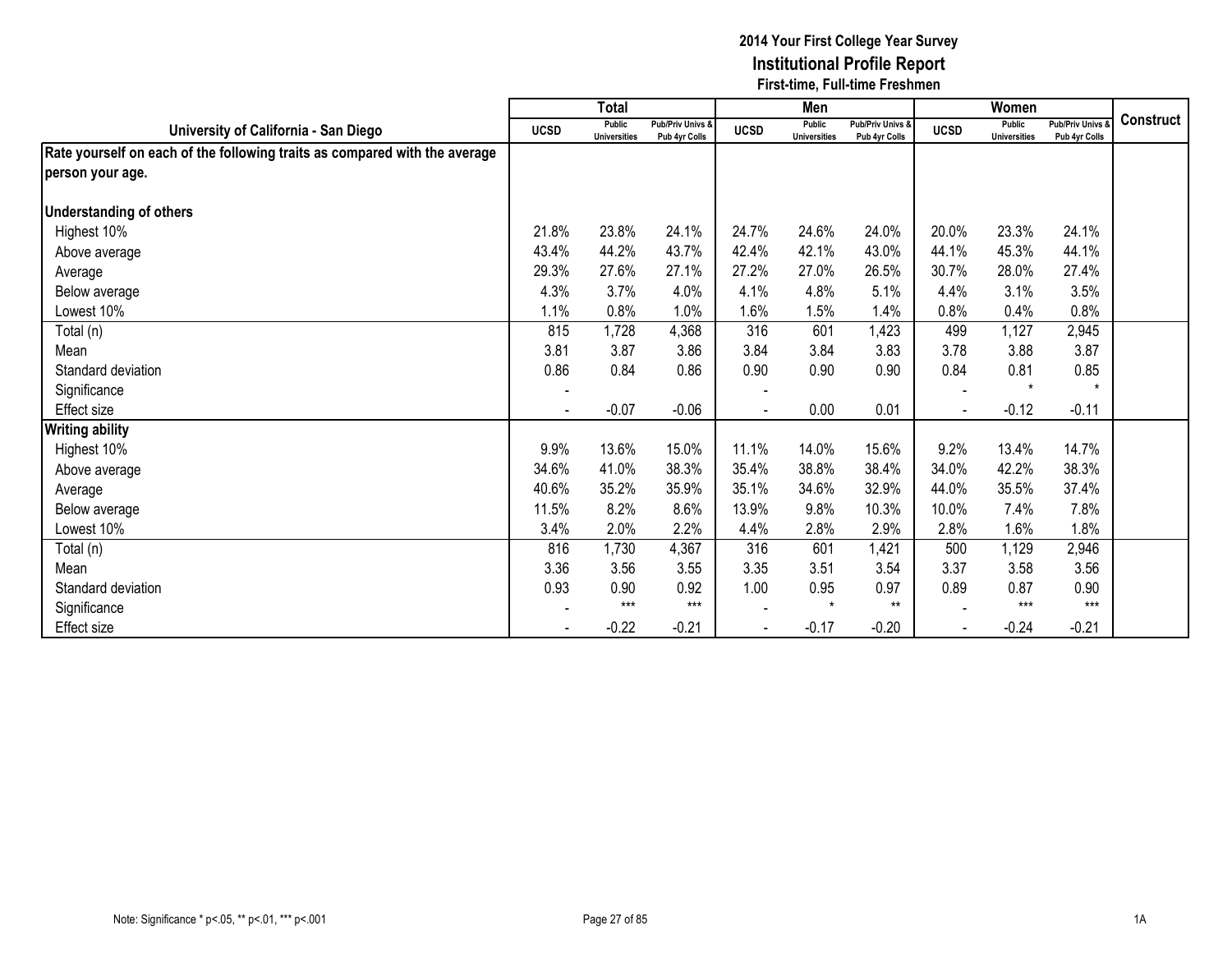|                                                                            |                          | <b>Total</b>                         |                                   |             | Men                                  |                                   |             | Women                                |                                        |                  |
|----------------------------------------------------------------------------|--------------------------|--------------------------------------|-----------------------------------|-------------|--------------------------------------|-----------------------------------|-------------|--------------------------------------|----------------------------------------|------------------|
| University of California - San Diego                                       | <b>UCSD</b>              | <b>Public</b><br><b>Universities</b> | Pub/Priv Univs &<br>Pub 4yr Colls | <b>UCSD</b> | <b>Public</b><br><b>Universities</b> | Pub/Priv Univs &<br>Pub 4yr Colls | <b>UCSD</b> | <b>Public</b><br><b>Universities</b> | <b>Pub/Priv Univs</b><br>Pub 4yr Colls | <b>Construct</b> |
| Rate yourself on each of the following traits as compared with the average |                          |                                      |                                   |             |                                      |                                   |             |                                      |                                        |                  |
| person your age.                                                           |                          |                                      |                                   |             |                                      |                                   |             |                                      |                                        |                  |
|                                                                            |                          |                                      |                                   |             |                                      |                                   |             |                                      |                                        |                  |
| <b>Understanding of others</b>                                             |                          |                                      |                                   |             |                                      |                                   |             |                                      |                                        |                  |
| Highest 10%                                                                | 21.8%                    | 23.8%                                | 24.1%                             | 24.7%       | 24.6%                                | 24.0%                             | 20.0%       | 23.3%                                | 24.1%                                  |                  |
| Above average                                                              | 43.4%                    | 44.2%                                | 43.7%                             | 42.4%       | 42.1%                                | 43.0%                             | 44.1%       | 45.3%                                | 44.1%                                  |                  |
| Average                                                                    | 29.3%                    | 27.6%                                | 27.1%                             | 27.2%       | 27.0%                                | 26.5%                             | 30.7%       | 28.0%                                | 27.4%                                  |                  |
| Below average                                                              | 4.3%                     | 3.7%                                 | 4.0%                              | 4.1%        | 4.8%                                 | 5.1%                              | 4.4%        | 3.1%                                 | 3.5%                                   |                  |
| Lowest 10%                                                                 | 1.1%                     | 0.8%                                 | 1.0%                              | 1.6%        | 1.5%                                 | 1.4%                              | 0.8%        | 0.4%                                 | 0.8%                                   |                  |
| Total (n)                                                                  | 815                      | 1,728                                | 4,368                             | 316         | 601                                  | 1,423                             | 499         | 1,127                                | 2,945                                  |                  |
| Mean                                                                       | 3.81                     | 3.87                                 | 3.86                              | 3.84        | 3.84                                 | 3.83                              | 3.78        | 3.88                                 | 3.87                                   |                  |
| Standard deviation                                                         | 0.86                     | 0.84                                 | 0.86                              | 0.90        | 0.90                                 | 0.90                              | 0.84        | 0.81                                 | 0.85                                   |                  |
| Significance                                                               | $\overline{\phantom{a}}$ |                                      |                                   |             |                                      |                                   |             | $\star$                              | $\star$                                |                  |
| <b>Effect size</b>                                                         |                          | $-0.07$                              | $-0.06$                           |             | 0.00                                 | 0.01                              |             | $-0.12$                              | $-0.11$                                |                  |
| <b>Writing ability</b>                                                     |                          |                                      |                                   |             |                                      |                                   |             |                                      |                                        |                  |
| Highest 10%                                                                | 9.9%                     | 13.6%                                | 15.0%                             | 11.1%       | 14.0%                                | 15.6%                             | 9.2%        | 13.4%                                | 14.7%                                  |                  |
| Above average                                                              | 34.6%                    | 41.0%                                | 38.3%                             | 35.4%       | 38.8%                                | 38.4%                             | 34.0%       | 42.2%                                | 38.3%                                  |                  |
| Average                                                                    | 40.6%                    | 35.2%                                | 35.9%                             | 35.1%       | 34.6%                                | 32.9%                             | 44.0%       | 35.5%                                | 37.4%                                  |                  |
| Below average                                                              | 11.5%                    | 8.2%                                 | 8.6%                              | 13.9%       | 9.8%                                 | 10.3%                             | 10.0%       | 7.4%                                 | 7.8%                                   |                  |
| Lowest 10%                                                                 | 3.4%                     | 2.0%                                 | 2.2%                              | 4.4%        | 2.8%                                 | 2.9%                              | 2.8%        | 1.6%                                 | 1.8%                                   |                  |
| Total (n)                                                                  | 816                      | 1,730                                | 4,367                             | 316         | 601                                  | 1,421                             | 500         | 1,129                                | 2,946                                  |                  |
| Mean                                                                       | 3.36                     | 3.56                                 | 3.55                              | 3.35        | 3.51                                 | 3.54                              | 3.37        | 3.58                                 | 3.56                                   |                  |
| Standard deviation                                                         | 0.93                     | 0.90                                 | 0.92                              | 1.00        | 0.95                                 | 0.97                              | 0.89        | 0.87                                 | 0.90                                   |                  |
| Significance                                                               |                          | $***$                                | $***$                             |             | $\star$                              | $**$                              |             | $***$                                | $***$                                  |                  |
| Effect size                                                                |                          | $-0.22$                              | $-0.21$                           |             | $-0.17$                              | $-0.20$                           |             | $-0.24$                              | $-0.21$                                |                  |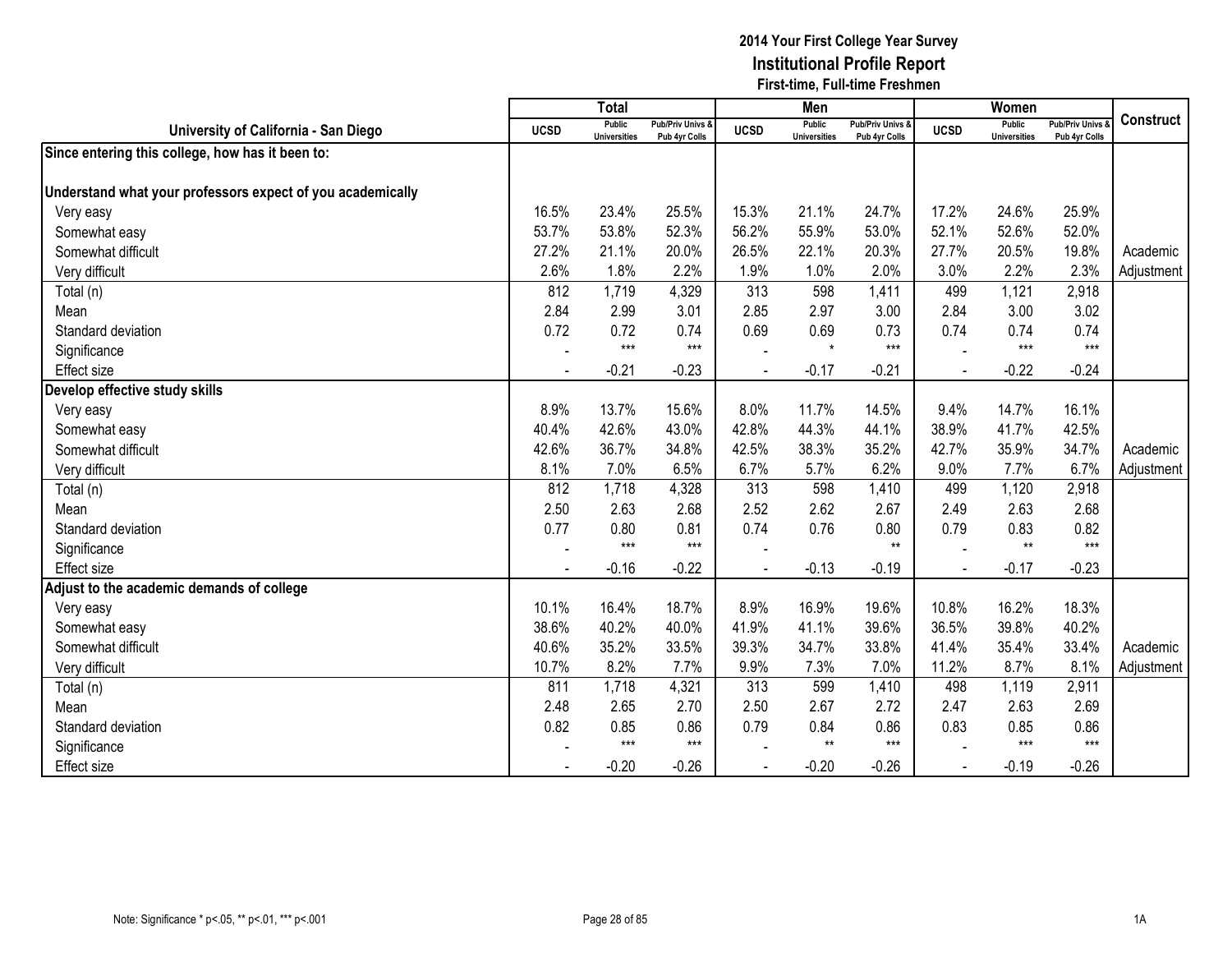|                                                            |                | <b>Total</b>                         |                                   |                | Men                                  |                                   |             | Women                                |                                        |                  |
|------------------------------------------------------------|----------------|--------------------------------------|-----------------------------------|----------------|--------------------------------------|-----------------------------------|-------------|--------------------------------------|----------------------------------------|------------------|
| University of California - San Diego                       | <b>UCSD</b>    | <b>Public</b><br><b>Universities</b> | Pub/Priv Univs &<br>Pub 4yr Colls | <b>UCSD</b>    | <b>Public</b><br><b>Universities</b> | Pub/Priv Univs &<br>Pub 4yr Colls | <b>UCSD</b> | <b>Public</b><br><b>Universities</b> | <b>Pub/Priv Univs</b><br>Pub 4yr Colls | <b>Construct</b> |
| Since entering this college, how has it been to:           |                |                                      |                                   |                |                                      |                                   |             |                                      |                                        |                  |
|                                                            |                |                                      |                                   |                |                                      |                                   |             |                                      |                                        |                  |
| Understand what your professors expect of you academically |                |                                      |                                   |                |                                      |                                   |             |                                      |                                        |                  |
| Very easy                                                  | 16.5%          | 23.4%                                | 25.5%                             | 15.3%          | 21.1%                                | 24.7%                             | 17.2%       | 24.6%                                | 25.9%                                  |                  |
| Somewhat easy                                              | 53.7%          | 53.8%                                | 52.3%                             | 56.2%          | 55.9%                                | 53.0%                             | 52.1%       | 52.6%                                | 52.0%                                  |                  |
| Somewhat difficult                                         | 27.2%          | 21.1%                                | 20.0%                             | 26.5%          | 22.1%                                | 20.3%                             | 27.7%       | 20.5%                                | 19.8%                                  | Academic         |
| Very difficult                                             | 2.6%           | 1.8%                                 | 2.2%                              | 1.9%           | 1.0%                                 | 2.0%                              | 3.0%        | 2.2%                                 | 2.3%                                   | Adjustment       |
| Total (n)                                                  | 812            | 1,719                                | 4,329                             | 313            | 598                                  | 1,411                             | 499         | 1,121                                | 2,918                                  |                  |
| Mean                                                       | 2.84           | 2.99                                 | 3.01                              | 2.85           | 2.97                                 | 3.00                              | 2.84        | 3.00                                 | 3.02                                   |                  |
| Standard deviation                                         | 0.72           | 0.72                                 | 0.74                              | 0.69           | 0.69                                 | 0.73                              | 0.74        | 0.74                                 | 0.74                                   |                  |
| Significance                                               |                | $***$                                | $***$                             |                | $\star$                              | $***$                             |             | $***$                                | $***$                                  |                  |
| <b>Effect size</b>                                         | $\blacksquare$ | $-0.21$                              | $-0.23$                           | $\blacksquare$ | $-0.17$                              | $-0.21$                           | $\sim$      | $-0.22$                              | $-0.24$                                |                  |
| Develop effective study skills                             |                |                                      |                                   |                |                                      |                                   |             |                                      |                                        |                  |
| Very easy                                                  | 8.9%           | 13.7%                                | 15.6%                             | 8.0%           | 11.7%                                | 14.5%                             | 9.4%        | 14.7%                                | 16.1%                                  |                  |
| Somewhat easy                                              | 40.4%          | 42.6%                                | 43.0%                             | 42.8%          | 44.3%                                | 44.1%                             | 38.9%       | 41.7%                                | 42.5%                                  |                  |
| Somewhat difficult                                         | 42.6%          | 36.7%                                | 34.8%                             | 42.5%          | 38.3%                                | 35.2%                             | 42.7%       | 35.9%                                | 34.7%                                  | Academic         |
| Very difficult                                             | 8.1%           | 7.0%                                 | 6.5%                              | 6.7%           | 5.7%                                 | 6.2%                              | 9.0%        | 7.7%                                 | 6.7%                                   | Adjustment       |
| Total (n)                                                  | 812            | 1,718                                | 4,328                             | 313            | 598                                  | 1,410                             | 499         | 1,120                                | 2,918                                  |                  |
| Mean                                                       | 2.50           | 2.63                                 | 2.68                              | 2.52           | 2.62                                 | 2.67                              | 2.49        | 2.63                                 | 2.68                                   |                  |
| Standard deviation                                         | 0.77           | 0.80                                 | 0.81                              | 0.74           | 0.76                                 | 0.80                              | 0.79        | 0.83                                 | 0.82                                   |                  |
| Significance                                               |                | $***$                                | $***$                             |                |                                      | $**$                              |             | $**$                                 | $***$                                  |                  |
| <b>Effect size</b>                                         |                | $-0.16$                              | $-0.22$                           |                | $-0.13$                              | $-0.19$                           |             | $-0.17$                              | $-0.23$                                |                  |
| Adjust to the academic demands of college                  |                |                                      |                                   |                |                                      |                                   |             |                                      |                                        |                  |
| Very easy                                                  | 10.1%          | 16.4%                                | 18.7%                             | 8.9%           | 16.9%                                | 19.6%                             | 10.8%       | 16.2%                                | 18.3%                                  |                  |
| Somewhat easy                                              | 38.6%          | 40.2%                                | 40.0%                             | 41.9%          | 41.1%                                | 39.6%                             | 36.5%       | 39.8%                                | 40.2%                                  |                  |
| Somewhat difficult                                         | 40.6%          | 35.2%                                | 33.5%                             | 39.3%          | 34.7%                                | 33.8%                             | 41.4%       | 35.4%                                | 33.4%                                  | Academic         |
| Very difficult                                             | 10.7%          | 8.2%                                 | 7.7%                              | 9.9%           | 7.3%                                 | 7.0%                              | 11.2%       | 8.7%                                 | 8.1%                                   | Adjustment       |
| Total (n)                                                  | 811            | 1,718                                | 4,321                             | 313            | 599                                  | 1,410                             | 498         | 1,119                                | 2,911                                  |                  |
| Mean                                                       | 2.48           | 2.65                                 | 2.70                              | 2.50           | 2.67                                 | 2.72                              | 2.47        | 2.63                                 | 2.69                                   |                  |
| Standard deviation                                         | 0.82           | 0.85                                 | 0.86                              | 0.79           | 0.84                                 | 0.86                              | 0.83        | 0.85                                 | 0.86                                   |                  |
| Significance                                               |                | $***$                                | $***$                             |                | $**$                                 | $***$                             |             | $***$                                | $***$                                  |                  |
| <b>Effect</b> size                                         |                | $-0.20$                              | $-0.26$                           |                | $-0.20$                              | $-0.26$                           |             | $-0.19$                              | $-0.26$                                |                  |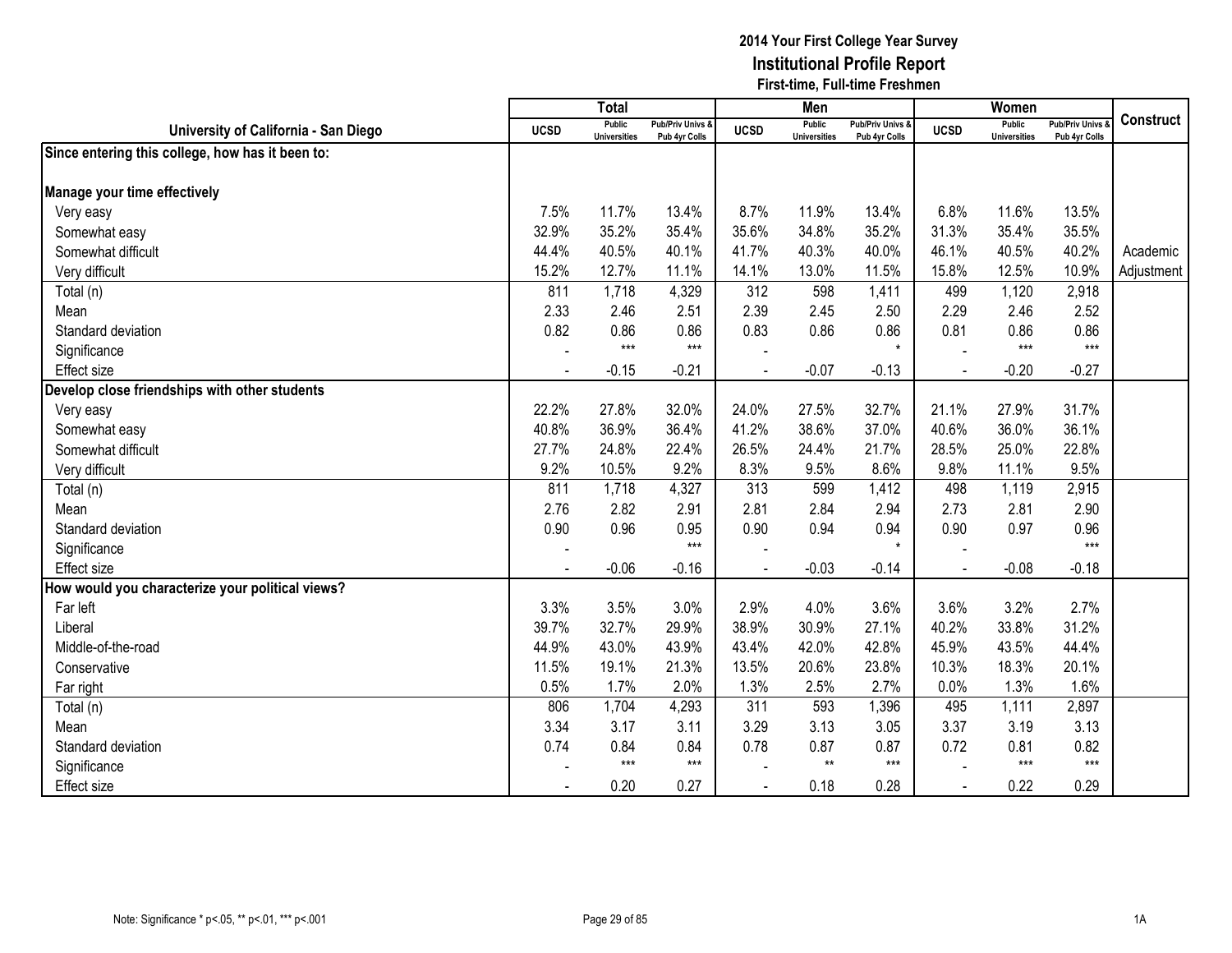|                                                  |             | <b>Total</b>                         |                                   |             | Men                                  |                                   |             | <b>Women</b>                         |                                        |                  |
|--------------------------------------------------|-------------|--------------------------------------|-----------------------------------|-------------|--------------------------------------|-----------------------------------|-------------|--------------------------------------|----------------------------------------|------------------|
| University of California - San Diego             | <b>UCSD</b> | <b>Public</b><br><b>Universities</b> | Pub/Priv Univs &<br>Pub 4yr Colls | <b>UCSD</b> | <b>Public</b><br><b>Universities</b> | Pub/Priv Univs &<br>Pub 4yr Colls | <b>UCSD</b> | <b>Public</b><br><b>Universities</b> | <b>Pub/Priv Univs</b><br>Pub 4yr Colls | <b>Construct</b> |
| Since entering this college, how has it been to: |             |                                      |                                   |             |                                      |                                   |             |                                      |                                        |                  |
|                                                  |             |                                      |                                   |             |                                      |                                   |             |                                      |                                        |                  |
| Manage your time effectively                     |             |                                      |                                   |             |                                      |                                   |             |                                      |                                        |                  |
| Very easy                                        | 7.5%        | 11.7%                                | 13.4%                             | 8.7%        | 11.9%                                | 13.4%                             | 6.8%        | 11.6%                                | 13.5%                                  |                  |
| Somewhat easy                                    | 32.9%       | 35.2%                                | 35.4%                             | 35.6%       | 34.8%                                | 35.2%                             | 31.3%       | 35.4%                                | 35.5%                                  |                  |
| Somewhat difficult                               | 44.4%       | 40.5%                                | 40.1%                             | 41.7%       | 40.3%                                | 40.0%                             | 46.1%       | 40.5%                                | 40.2%                                  | Academic         |
| Very difficult                                   | 15.2%       | 12.7%                                | 11.1%                             | 14.1%       | 13.0%                                | 11.5%                             | 15.8%       | 12.5%                                | 10.9%                                  | Adjustment       |
| Total (n)                                        | 811         | 1,718                                | 4,329                             | 312         | 598                                  | 1,411                             | 499         | 1,120                                | 2,918                                  |                  |
| Mean                                             | 2.33        | 2.46                                 | 2.51                              | 2.39        | 2.45                                 | 2.50                              | 2.29        | 2.46                                 | 2.52                                   |                  |
| Standard deviation                               | 0.82        | 0.86                                 | 0.86                              | 0.83        | 0.86                                 | 0.86                              | 0.81        | 0.86                                 | 0.86                                   |                  |
| Significance                                     |             | $***$                                | $***$                             |             |                                      | $\star$                           |             | $***$                                | $***$                                  |                  |
| <b>Effect size</b>                               |             | $-0.15$                              | $-0.21$                           |             | $-0.07$                              | $-0.13$                           |             | $-0.20$                              | $-0.27$                                |                  |
| Develop close friendships with other students    |             |                                      |                                   |             |                                      |                                   |             |                                      |                                        |                  |
| Very easy                                        | 22.2%       | 27.8%                                | 32.0%                             | 24.0%       | 27.5%                                | 32.7%                             | 21.1%       | 27.9%                                | 31.7%                                  |                  |
| Somewhat easy                                    | 40.8%       | 36.9%                                | 36.4%                             | 41.2%       | 38.6%                                | 37.0%                             | 40.6%       | 36.0%                                | 36.1%                                  |                  |
| Somewhat difficult                               | 27.7%       | 24.8%                                | 22.4%                             | 26.5%       | 24.4%                                | 21.7%                             | 28.5%       | 25.0%                                | 22.8%                                  |                  |
| Very difficult                                   | 9.2%        | 10.5%                                | 9.2%                              | 8.3%        | 9.5%                                 | 8.6%                              | 9.8%        | 11.1%                                | 9.5%                                   |                  |
| Total (n)                                        | 811         | 1,718                                | 4,327                             | 313         | 599                                  | 1,412                             | 498         | 1,119                                | 2,915                                  |                  |
| Mean                                             | 2.76        | 2.82                                 | 2.91                              | 2.81        | 2.84                                 | 2.94                              | 2.73        | 2.81                                 | 2.90                                   |                  |
| Standard deviation                               | 0.90        | 0.96                                 | 0.95                              | 0.90        | 0.94                                 | 0.94                              | 0.90        | 0.97                                 | 0.96                                   |                  |
| Significance                                     |             |                                      | $***$                             |             |                                      | $\star$                           |             |                                      | $***$                                  |                  |
| <b>Effect size</b>                               |             | $-0.06$                              | $-0.16$                           |             | $-0.03$                              | $-0.14$                           |             | $-0.08$                              | $-0.18$                                |                  |
| How would you characterize your political views? |             |                                      |                                   |             |                                      |                                   |             |                                      |                                        |                  |
| Far left                                         | 3.3%        | 3.5%                                 | 3.0%                              | 2.9%        | 4.0%                                 | 3.6%                              | 3.6%        | 3.2%                                 | 2.7%                                   |                  |
| Liberal                                          | 39.7%       | 32.7%                                | 29.9%                             | 38.9%       | 30.9%                                | 27.1%                             | 40.2%       | 33.8%                                | 31.2%                                  |                  |
| Middle-of-the-road                               | 44.9%       | 43.0%                                | 43.9%                             | 43.4%       | 42.0%                                | 42.8%                             | 45.9%       | 43.5%                                | 44.4%                                  |                  |
| Conservative                                     | 11.5%       | 19.1%                                | 21.3%                             | 13.5%       | 20.6%                                | 23.8%                             | 10.3%       | 18.3%                                | 20.1%                                  |                  |
| Far right                                        | 0.5%        | 1.7%                                 | 2.0%                              | 1.3%        | 2.5%                                 | 2.7%                              | 0.0%        | 1.3%                                 | 1.6%                                   |                  |
| Total (n)                                        | 806         | 1,704                                | 4,293                             | 311         | 593                                  | 1,396                             | 495         | 1,111                                | 2,897                                  |                  |
| Mean                                             | 3.34        | 3.17                                 | 3.11                              | 3.29        | 3.13                                 | 3.05                              | 3.37        | 3.19                                 | 3.13                                   |                  |
| Standard deviation                               | 0.74        | 0.84                                 | 0.84                              | 0.78        | 0.87                                 | 0.87                              | 0.72        | 0.81                                 | 0.82                                   |                  |
| Significance                                     |             | $***$                                | $***$                             |             | $**$                                 | $***$                             |             | $***$                                | $***$                                  |                  |
| <b>Effect</b> size                               |             | 0.20                                 | 0.27                              |             | 0.18                                 | 0.28                              |             | 0.22                                 | 0.29                                   |                  |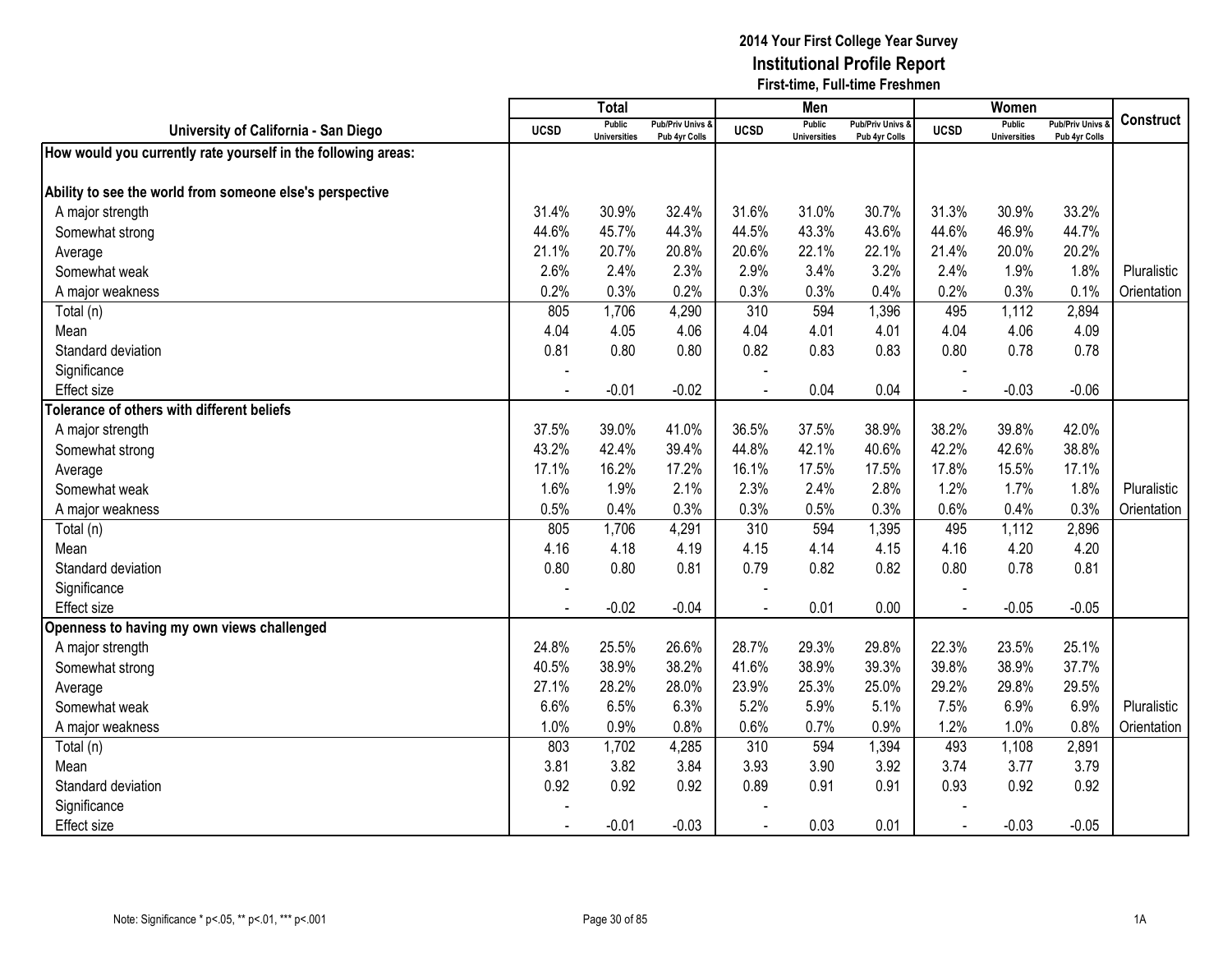|                                                               |                | <b>Total</b>                         |                                   |                | Men                                  |                                   |                | Women                                |                                        |                  |
|---------------------------------------------------------------|----------------|--------------------------------------|-----------------------------------|----------------|--------------------------------------|-----------------------------------|----------------|--------------------------------------|----------------------------------------|------------------|
| University of California - San Diego                          | <b>UCSD</b>    | <b>Public</b><br><b>Universities</b> | Pub/Priv Univs &<br>Pub 4yr Colls | <b>UCSD</b>    | <b>Public</b><br><b>Universities</b> | Pub/Priv Univs &<br>Pub 4yr Colls | <b>UCSD</b>    | <b>Public</b><br><b>Universities</b> | <b>Pub/Priv Univs</b><br>Pub 4yr Colls | <b>Construct</b> |
| How would you currently rate yourself in the following areas: |                |                                      |                                   |                |                                      |                                   |                |                                      |                                        |                  |
|                                                               |                |                                      |                                   |                |                                      |                                   |                |                                      |                                        |                  |
| Ability to see the world from someone else's perspective      |                |                                      |                                   |                |                                      |                                   |                |                                      |                                        |                  |
| A major strength                                              | 31.4%          | 30.9%                                | 32.4%                             | 31.6%          | 31.0%                                | 30.7%                             | 31.3%          | 30.9%                                | 33.2%                                  |                  |
| Somewhat strong                                               | 44.6%          | 45.7%                                | 44.3%                             | 44.5%          | 43.3%                                | 43.6%                             | 44.6%          | 46.9%                                | 44.7%                                  |                  |
| Average                                                       | 21.1%          | 20.7%                                | 20.8%                             | 20.6%          | 22.1%                                | 22.1%                             | 21.4%          | 20.0%                                | 20.2%                                  |                  |
| Somewhat weak                                                 | 2.6%           | 2.4%                                 | 2.3%                              | 2.9%           | 3.4%                                 | 3.2%                              | 2.4%           | 1.9%                                 | 1.8%                                   | Pluralistic      |
| A major weakness                                              | 0.2%           | 0.3%                                 | 0.2%                              | 0.3%           | 0.3%                                 | 0.4%                              | 0.2%           | 0.3%                                 | 0.1%                                   | Orientation      |
| Total (n)                                                     | 805            | 1,706                                | 4,290                             | 310            | 594                                  | 1,396                             | 495            | 1,112                                | 2,894                                  |                  |
| Mean                                                          | 4.04           | 4.05                                 | 4.06                              | 4.04           | 4.01                                 | 4.01                              | 4.04           | 4.06                                 | 4.09                                   |                  |
| Standard deviation                                            | 0.81           | 0.80                                 | 0.80                              | 0.82           | 0.83                                 | 0.83                              | 0.80           | 0.78                                 | 0.78                                   |                  |
| Significance                                                  |                |                                      |                                   |                |                                      |                                   |                |                                      |                                        |                  |
| <b>Effect size</b>                                            |                | $-0.01$                              | $-0.02$                           | $\overline{a}$ | 0.04                                 | 0.04                              | $\blacksquare$ | $-0.03$                              | $-0.06$                                |                  |
| Tolerance of others with different beliefs                    |                |                                      |                                   |                |                                      |                                   |                |                                      |                                        |                  |
| A major strength                                              | 37.5%          | 39.0%                                | 41.0%                             | 36.5%          | 37.5%                                | 38.9%                             | 38.2%          | 39.8%                                | 42.0%                                  |                  |
| Somewhat strong                                               | 43.2%          | 42.4%                                | 39.4%                             | 44.8%          | 42.1%                                | 40.6%                             | 42.2%          | 42.6%                                | 38.8%                                  |                  |
| Average                                                       | 17.1%          | 16.2%                                | 17.2%                             | 16.1%          | 17.5%                                | 17.5%                             | 17.8%          | 15.5%                                | 17.1%                                  |                  |
| Somewhat weak                                                 | 1.6%           | 1.9%                                 | 2.1%                              | 2.3%           | 2.4%                                 | 2.8%                              | 1.2%           | 1.7%                                 | 1.8%                                   | Pluralistic      |
| A major weakness                                              | 0.5%           | 0.4%                                 | 0.3%                              | 0.3%           | 0.5%                                 | 0.3%                              | 0.6%           | 0.4%                                 | 0.3%                                   | Orientation      |
| Total (n)                                                     | 805            | 1,706                                | 4,291                             | 310            | 594                                  | 1,395                             | 495            | 1,112                                | 2,896                                  |                  |
| Mean                                                          | 4.16           | 4.18                                 | 4.19                              | 4.15           | 4.14                                 | 4.15                              | 4.16           | 4.20                                 | 4.20                                   |                  |
| Standard deviation                                            | 0.80           | 0.80                                 | 0.81                              | 0.79           | 0.82                                 | 0.82                              | 0.80           | 0.78                                 | 0.81                                   |                  |
| Significance                                                  |                |                                      |                                   |                |                                      |                                   |                |                                      |                                        |                  |
| Effect size                                                   | $\blacksquare$ | $-0.02$                              | $-0.04$                           |                | 0.01                                 | 0.00                              | $\blacksquare$ | $-0.05$                              | $-0.05$                                |                  |
| Openness to having my own views challenged                    |                |                                      |                                   |                |                                      |                                   |                |                                      |                                        |                  |
| A major strength                                              | 24.8%          | 25.5%                                | 26.6%                             | 28.7%          | 29.3%                                | 29.8%                             | 22.3%          | 23.5%                                | 25.1%                                  |                  |
| Somewhat strong                                               | 40.5%          | 38.9%                                | 38.2%                             | 41.6%          | 38.9%                                | 39.3%                             | 39.8%          | 38.9%                                | 37.7%                                  |                  |
| Average                                                       | 27.1%          | 28.2%                                | 28.0%                             | 23.9%          | 25.3%                                | 25.0%                             | 29.2%          | 29.8%                                | 29.5%                                  |                  |
| Somewhat weak                                                 | 6.6%           | 6.5%                                 | 6.3%                              | 5.2%           | 5.9%                                 | 5.1%                              | 7.5%           | 6.9%                                 | 6.9%                                   | Pluralistic      |
| A major weakness                                              | 1.0%           | 0.9%                                 | 0.8%                              | 0.6%           | 0.7%                                 | 0.9%                              | 1.2%           | 1.0%                                 | 0.8%                                   | Orientation      |
| Total (n)                                                     | 803            | 1,702                                | 4,285                             | 310            | 594                                  | 1,394                             | 493            | 1,108                                | 2,891                                  |                  |
| Mean                                                          | 3.81           | 3.82                                 | 3.84                              | 3.93           | 3.90                                 | 3.92                              | 3.74           | 3.77                                 | 3.79                                   |                  |
| Standard deviation                                            | 0.92           | 0.92                                 | 0.92                              | 0.89           | 0.91                                 | 0.91                              | 0.93           | 0.92                                 | 0.92                                   |                  |
| Significance                                                  |                |                                      |                                   |                |                                      |                                   |                |                                      |                                        |                  |
| <b>Effect size</b>                                            |                | $-0.01$                              | $-0.03$                           |                | 0.03                                 | 0.01                              |                | $-0.03$                              | $-0.05$                                |                  |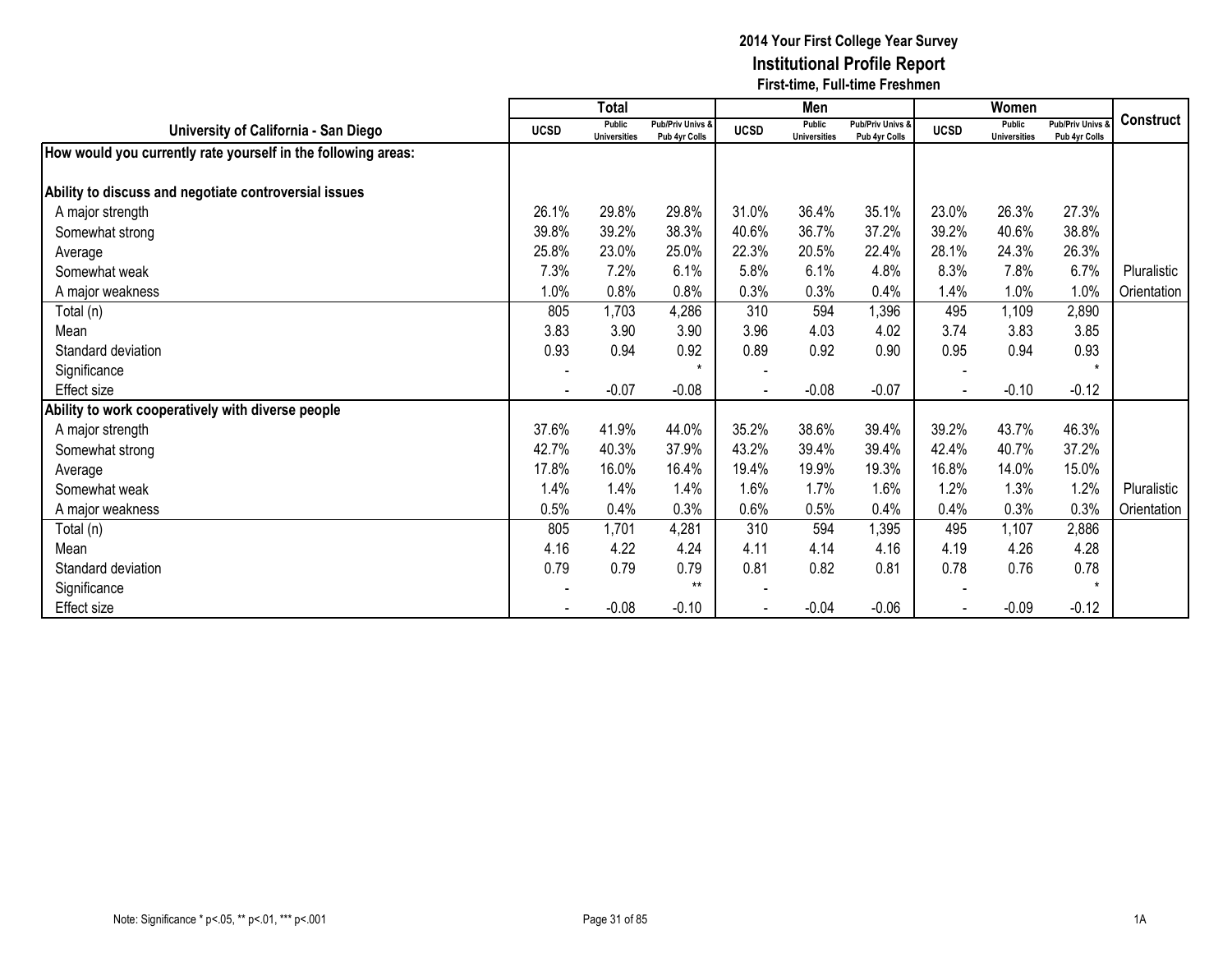|                                                               |             | <b>Total</b>                         |                                   |             | Men                           |                                   |             | Women                                |                                              |                  |
|---------------------------------------------------------------|-------------|--------------------------------------|-----------------------------------|-------------|-------------------------------|-----------------------------------|-------------|--------------------------------------|----------------------------------------------|------------------|
| University of California - San Diego                          | <b>UCSD</b> | <b>Public</b><br><b>Universities</b> | Pub/Priv Univs &<br>Pub 4yr Colls | <b>UCSD</b> | Public<br><b>Universities</b> | Pub/Priv Univs &<br>Pub 4yr Colls | <b>UCSD</b> | <b>Public</b><br><b>Universities</b> | <b>Pub/Priv Univs &amp;</b><br>Pub 4yr Colls | <b>Construct</b> |
| How would you currently rate yourself in the following areas: |             |                                      |                                   |             |                               |                                   |             |                                      |                                              |                  |
| Ability to discuss and negotiate controversial issues         |             |                                      |                                   |             |                               |                                   |             |                                      |                                              |                  |
| A major strength                                              | 26.1%       | 29.8%                                | 29.8%                             | 31.0%       | 36.4%                         | 35.1%                             | 23.0%       | 26.3%                                | 27.3%                                        |                  |
| Somewhat strong                                               | 39.8%       | 39.2%                                | 38.3%                             | 40.6%       | 36.7%                         | 37.2%                             | 39.2%       | 40.6%                                | 38.8%                                        |                  |
| Average                                                       | 25.8%       | 23.0%                                | 25.0%                             | 22.3%       | 20.5%                         | 22.4%                             | 28.1%       | 24.3%                                | 26.3%                                        |                  |
| Somewhat weak                                                 | 7.3%        | 7.2%                                 | 6.1%                              | 5.8%        | 6.1%                          | 4.8%                              | 8.3%        | 7.8%                                 | 6.7%                                         | Pluralistic      |
| A major weakness                                              | 1.0%        | 0.8%                                 | 0.8%                              | 0.3%        | 0.3%                          | 0.4%                              | 1.4%        | 1.0%                                 | 1.0%                                         | Orientation      |
| Total (n)                                                     | 805         | 1,703                                | 4,286                             | 310         | 594                           | 1,396                             | 495         | 1,109                                | 2,890                                        |                  |
| Mean                                                          | 3.83        | 3.90                                 | 3.90                              | 3.96        | 4.03                          | 4.02                              | 3.74        | 3.83                                 | 3.85                                         |                  |
| Standard deviation                                            | 0.93        | 0.94                                 | 0.92                              | 0.89        | 0.92                          | 0.90                              | 0.95        | 0.94                                 | 0.93                                         |                  |
| Significance                                                  |             |                                      | $\star$                           |             |                               |                                   |             |                                      | $\star$                                      |                  |
| Effect size                                                   |             | $-0.07$                              | $-0.08$                           |             | $-0.08$                       | $-0.07$                           |             | $-0.10$                              | $-0.12$                                      |                  |
| Ability to work cooperatively with diverse people             |             |                                      |                                   |             |                               |                                   |             |                                      |                                              |                  |
| A major strength                                              | 37.6%       | 41.9%                                | 44.0%                             | 35.2%       | 38.6%                         | 39.4%                             | 39.2%       | 43.7%                                | 46.3%                                        |                  |
| Somewhat strong                                               | 42.7%       | 40.3%                                | 37.9%                             | 43.2%       | 39.4%                         | 39.4%                             | 42.4%       | 40.7%                                | 37.2%                                        |                  |
| Average                                                       | 17.8%       | 16.0%                                | 16.4%                             | 19.4%       | 19.9%                         | 19.3%                             | 16.8%       | 14.0%                                | 15.0%                                        |                  |
| Somewhat weak                                                 | 1.4%        | 1.4%                                 | 1.4%                              | 1.6%        | 1.7%                          | 1.6%                              | 1.2%        | 1.3%                                 | 1.2%                                         | Pluralistic      |
| A major weakness                                              | 0.5%        | 0.4%                                 | 0.3%                              | 0.6%        | 0.5%                          | 0.4%                              | 0.4%        | 0.3%                                 | 0.3%                                         | Orientation      |
| Total (n)                                                     | 805         | 1,701                                | 4,281                             | 310         | 594                           | 1,395                             | 495         | 1,107                                | 2,886                                        |                  |
| Mean                                                          | 4.16        | 4.22                                 | 4.24                              | 4.11        | 4.14                          | 4.16                              | 4.19        | 4.26                                 | 4.28                                         |                  |
| Standard deviation                                            | 0.79        | 0.79                                 | 0.79                              | 0.81        | 0.82                          | 0.81                              | 0.78        | 0.76                                 | 0.78                                         |                  |
| Significance                                                  |             |                                      | $***$                             |             |                               |                                   |             |                                      | $\star$                                      |                  |
| Effect size                                                   |             | $-0.08$                              | $-0.10$                           |             | $-0.04$                       | $-0.06$                           |             | $-0.09$                              | $-0.12$                                      |                  |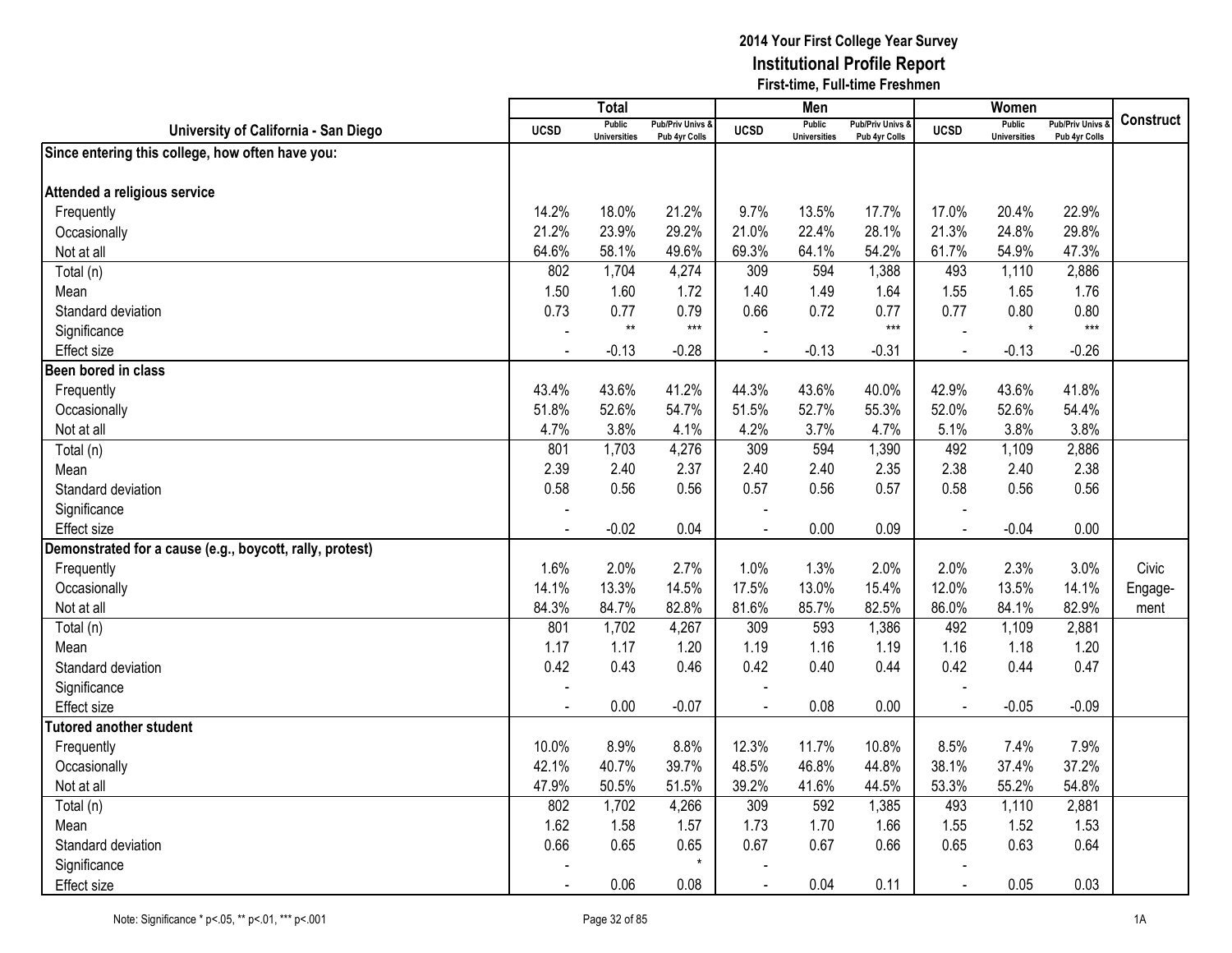|                                                          |             | <b>Total</b>                         |                                              |             | Men                                  |                                              |                | Women                         |                                   |                  |
|----------------------------------------------------------|-------------|--------------------------------------|----------------------------------------------|-------------|--------------------------------------|----------------------------------------------|----------------|-------------------------------|-----------------------------------|------------------|
| University of California - San Diego                     | <b>UCSD</b> | <b>Public</b><br><b>Universities</b> | <b>Pub/Priv Univs &amp;</b><br>Pub 4yr Colls | <b>UCSD</b> | <b>Public</b><br><b>Universities</b> | <b>Pub/Priv Univs &amp;</b><br>Pub 4yr Colls | <b>UCSD</b>    | Public<br><b>Universities</b> | Pub/Priv Univs &<br>Pub 4yr Colls | <b>Construct</b> |
| Since entering this college, how often have you:         |             |                                      |                                              |             |                                      |                                              |                |                               |                                   |                  |
|                                                          |             |                                      |                                              |             |                                      |                                              |                |                               |                                   |                  |
| Attended a religious service                             |             |                                      |                                              |             |                                      |                                              |                |                               |                                   |                  |
| Frequently                                               | 14.2%       | 18.0%                                | 21.2%                                        | 9.7%        | 13.5%                                | 17.7%                                        | 17.0%          | 20.4%                         | 22.9%                             |                  |
| Occasionally                                             | 21.2%       | 23.9%                                | 29.2%                                        | 21.0%       | 22.4%                                | 28.1%                                        | 21.3%          | 24.8%                         | 29.8%                             |                  |
| Not at all                                               | 64.6%       | 58.1%                                | 49.6%                                        | 69.3%       | 64.1%                                | 54.2%                                        | 61.7%          | 54.9%                         | 47.3%                             |                  |
| Total (n)                                                | 802         | 1,704                                | 4,274                                        | 309         | 594                                  | 1,388                                        | 493            | 1,110                         | 2,886                             |                  |
| Mean                                                     | 1.50        | 1.60                                 | 1.72                                         | 1.40        | 1.49                                 | 1.64                                         | 1.55           | 1.65                          | 1.76                              |                  |
| Standard deviation                                       | 0.73        | 0.77                                 | 0.79                                         | 0.66        | 0.72                                 | 0.77                                         | 0.77           | 0.80                          | 0.80                              |                  |
| Significance                                             |             | $\star\star$                         | $***$                                        |             |                                      | $***$                                        |                | $\star$                       | $***$                             |                  |
| <b>Effect size</b>                                       | $\sim$      | $-0.13$                              | $-0.28$                                      | $\sim$      | $-0.13$                              | $-0.31$                                      | $\blacksquare$ | $-0.13$                       | $-0.26$                           |                  |
| Been bored in class                                      |             |                                      |                                              |             |                                      |                                              |                |                               |                                   |                  |
| Frequently                                               | 43.4%       | 43.6%                                | 41.2%                                        | 44.3%       | 43.6%                                | 40.0%                                        | 42.9%          | 43.6%                         | 41.8%                             |                  |
| Occasionally                                             | 51.8%       | 52.6%                                | 54.7%                                        | 51.5%       | 52.7%                                | 55.3%                                        | 52.0%          | 52.6%                         | 54.4%                             |                  |
| Not at all                                               | 4.7%        | 3.8%                                 | 4.1%                                         | 4.2%        | 3.7%                                 | 4.7%                                         | 5.1%           | 3.8%                          | 3.8%                              |                  |
| Total (n)                                                | 801         | 1,703                                | 4,276                                        | 309         | 594                                  | 1,390                                        | 492            | 1,109                         | 2,886                             |                  |
| Mean                                                     | 2.39        | 2.40                                 | 2.37                                         | 2.40        | 2.40                                 | 2.35                                         | 2.38           | 2.40                          | 2.38                              |                  |
| Standard deviation                                       | 0.58        | 0.56                                 | 0.56                                         | 0.57        | 0.56                                 | 0.57                                         | 0.58           | 0.56                          | 0.56                              |                  |
| Significance                                             |             |                                      |                                              |             |                                      |                                              |                |                               |                                   |                  |
| <b>Effect size</b>                                       | $\sim$      | $-0.02$                              | 0.04                                         |             | 0.00                                 | 0.09                                         | $\sim$         | $-0.04$                       | 0.00                              |                  |
| Demonstrated for a cause (e.g., boycott, rally, protest) |             |                                      |                                              |             |                                      |                                              |                |                               |                                   |                  |
| Frequently                                               | 1.6%        | 2.0%                                 | 2.7%                                         | 1.0%        | 1.3%                                 | 2.0%                                         | 2.0%           | 2.3%                          | 3.0%                              | Civic            |
| Occasionally                                             | 14.1%       | 13.3%                                | 14.5%                                        | 17.5%       | 13.0%                                | 15.4%                                        | 12.0%          | 13.5%                         | 14.1%                             | Engage-          |
| Not at all                                               | 84.3%       | 84.7%                                | 82.8%                                        | 81.6%       | 85.7%                                | 82.5%                                        | 86.0%          | 84.1%                         | 82.9%                             | ment             |
| Total (n)                                                | 801         | 1,702                                | 4,267                                        | 309         | 593                                  | 1,386                                        | 492            | 1,109                         | 2,881                             |                  |
| Mean                                                     | 1.17        | 1.17                                 | 1.20                                         | 1.19        | 1.16                                 | 1.19                                         | 1.16           | 1.18                          | 1.20                              |                  |
| Standard deviation                                       | 0.42        | 0.43                                 | 0.46                                         | 0.42        | 0.40                                 | 0.44                                         | 0.42           | 0.44                          | 0.47                              |                  |
| Significance                                             |             |                                      |                                              |             |                                      |                                              |                |                               |                                   |                  |
| <b>Effect</b> size                                       |             | 0.00                                 | $-0.07$                                      |             | 0.08                                 | 0.00                                         |                | $-0.05$                       | $-0.09$                           |                  |
| <b>Tutored another student</b>                           |             |                                      |                                              |             |                                      |                                              |                |                               |                                   |                  |
| Frequently                                               | 10.0%       | 8.9%                                 | 8.8%                                         | 12.3%       | 11.7%                                | 10.8%                                        | 8.5%           | 7.4%                          | 7.9%                              |                  |
| Occasionally                                             | 42.1%       | 40.7%                                | 39.7%                                        | 48.5%       | 46.8%                                | 44.8%                                        | 38.1%          | 37.4%                         | 37.2%                             |                  |
| Not at all                                               | 47.9%       | 50.5%                                | 51.5%                                        | 39.2%       | 41.6%                                | 44.5%                                        | 53.3%          | 55.2%                         | 54.8%                             |                  |
| Total (n)                                                | 802         | 1,702                                | 4,266                                        | 309         | 592                                  | 1,385                                        | 493            | 1,110                         | 2,881                             |                  |
| Mean                                                     | 1.62        | 1.58                                 | 1.57                                         | 1.73        | 1.70                                 | 1.66                                         | 1.55           | 1.52                          | 1.53                              |                  |
| Standard deviation                                       | 0.66        | 0.65                                 | 0.65                                         | 0.67        | 0.67                                 | 0.66                                         | 0.65           | 0.63                          | 0.64                              |                  |
| Significance                                             |             |                                      | $\star$                                      |             |                                      |                                              |                |                               |                                   |                  |
| <b>Effect size</b>                                       |             | 0.06                                 | 0.08                                         |             | 0.04                                 | 0.11                                         |                | 0.05                          | 0.03                              |                  |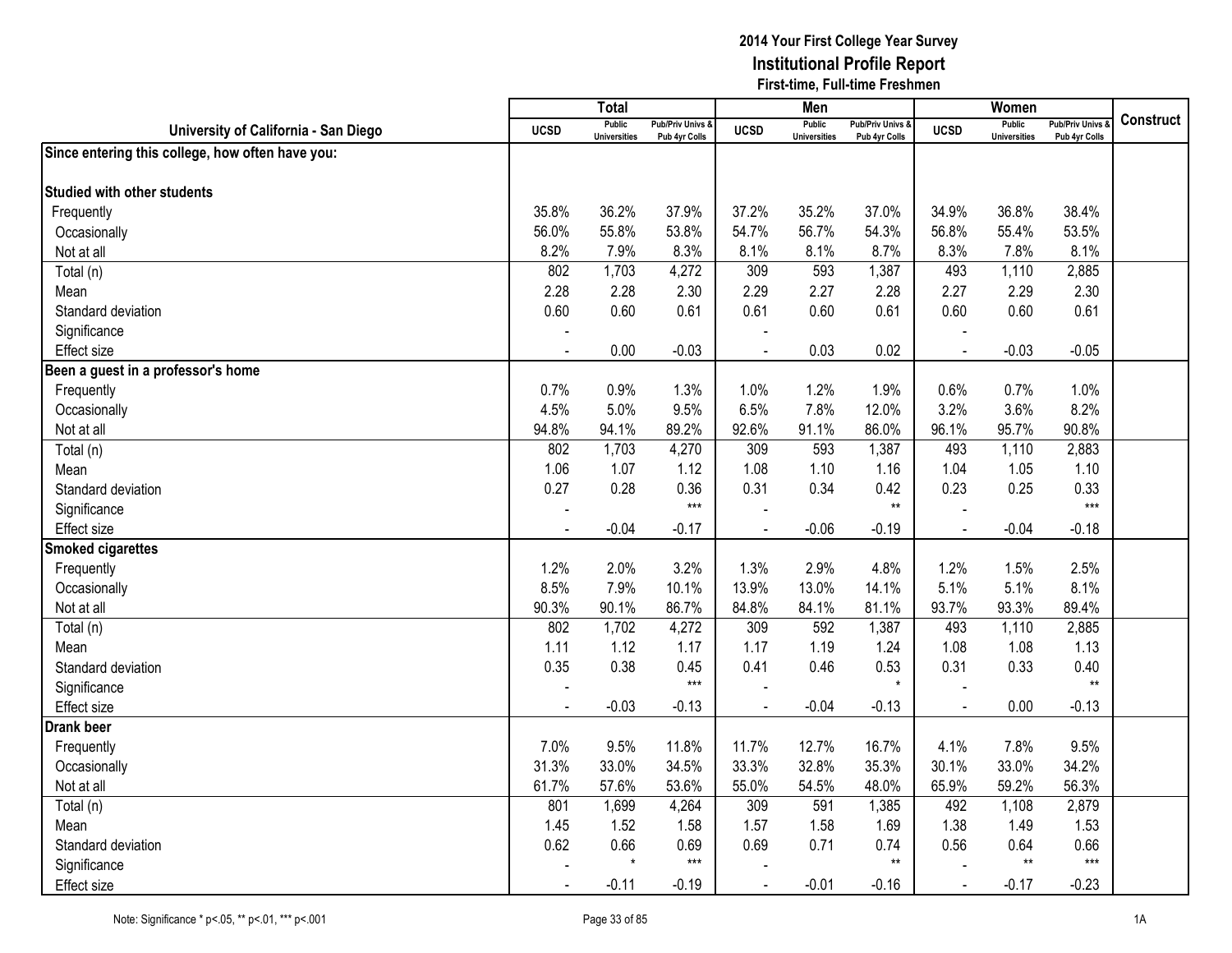|                                                  |             | Total                                |                                              |             | Men                                  |                                              |                | Women                                |                                        |                  |
|--------------------------------------------------|-------------|--------------------------------------|----------------------------------------------|-------------|--------------------------------------|----------------------------------------------|----------------|--------------------------------------|----------------------------------------|------------------|
| University of California - San Diego             | <b>UCSD</b> | <b>Public</b><br><b>Universities</b> | <b>Pub/Priv Univs &amp;</b><br>Pub 4yr Colls | <b>UCSD</b> | <b>Public</b><br><b>Universities</b> | <b>Pub/Priv Univs &amp;</b><br>Pub 4yr Colls | <b>UCSD</b>    | <b>Public</b><br><b>Universities</b> | <b>Pub/Priv Univs</b><br>Pub 4yr Colls | <b>Construct</b> |
| Since entering this college, how often have you: |             |                                      |                                              |             |                                      |                                              |                |                                      |                                        |                  |
| <b>Studied with other students</b>               |             |                                      |                                              |             |                                      |                                              |                |                                      |                                        |                  |
|                                                  |             |                                      |                                              |             |                                      |                                              |                |                                      |                                        |                  |
| Frequently                                       | 35.8%       | 36.2%                                | 37.9%                                        | 37.2%       | 35.2%                                | 37.0%                                        | 34.9%          | 36.8%                                | 38.4%                                  |                  |
| Occasionally                                     | 56.0%       | 55.8%                                | 53.8%                                        | 54.7%       | 56.7%                                | 54.3%                                        | 56.8%          | 55.4%                                | 53.5%                                  |                  |
| Not at all                                       | 8.2%        | 7.9%                                 | 8.3%                                         | 8.1%        | 8.1%                                 | 8.7%                                         | 8.3%           | 7.8%                                 | 8.1%                                   |                  |
| Total (n)                                        | 802         | 1,703                                | 4,272                                        | 309         | 593                                  | 1,387                                        | 493            | 1,110                                | 2,885                                  |                  |
| Mean                                             | 2.28        | 2.28                                 | 2.30                                         | 2.29        | 2.27                                 | 2.28                                         | 2.27           | 2.29                                 | 2.30                                   |                  |
| Standard deviation                               | 0.60        | 0.60                                 | 0.61                                         | 0.61        | 0.60                                 | 0.61                                         | 0.60           | 0.60                                 | 0.61                                   |                  |
| Significance                                     |             |                                      |                                              |             |                                      |                                              |                |                                      |                                        |                  |
| <b>Effect size</b>                               |             | 0.00                                 | $-0.03$                                      |             | 0.03                                 | 0.02                                         | $\overline{a}$ | $-0.03$                              | $-0.05$                                |                  |
| Been a guest in a professor's home               |             |                                      |                                              |             |                                      |                                              |                |                                      |                                        |                  |
| Frequently                                       | 0.7%        | 0.9%                                 | 1.3%                                         | 1.0%        | 1.2%                                 | 1.9%                                         | 0.6%           | 0.7%                                 | 1.0%                                   |                  |
| Occasionally                                     | 4.5%        | 5.0%                                 | 9.5%                                         | 6.5%        | 7.8%                                 | 12.0%                                        | 3.2%           | 3.6%                                 | 8.2%                                   |                  |
| Not at all                                       | 94.8%       | 94.1%                                | 89.2%                                        | 92.6%       | 91.1%                                | 86.0%                                        | 96.1%          | 95.7%                                | 90.8%                                  |                  |
| Total (n)                                        | 802         | 1,703                                | 4,270                                        | 309         | 593                                  | 1,387                                        | 493            | 1,110                                | 2,883                                  |                  |
| Mean                                             | 1.06        | 1.07                                 | 1.12                                         | 1.08        | 1.10                                 | 1.16                                         | 1.04           | 1.05                                 | 1.10                                   |                  |
| Standard deviation                               | 0.27        | 0.28                                 | 0.36                                         | 0.31        | 0.34                                 | 0.42                                         | 0.23           | 0.25                                 | 0.33                                   |                  |
| Significance                                     |             |                                      | $***$                                        |             |                                      | $**$                                         |                |                                      | $***$                                  |                  |
| <b>Effect size</b>                               |             | $-0.04$                              | $-0.17$                                      |             | $-0.06$                              | $-0.19$                                      | $\overline{a}$ | $-0.04$                              | $-0.18$                                |                  |
| <b>Smoked cigarettes</b>                         |             |                                      |                                              |             |                                      |                                              |                |                                      |                                        |                  |
| Frequently                                       | 1.2%        | 2.0%                                 | 3.2%                                         | 1.3%        | 2.9%                                 | 4.8%                                         | 1.2%           | 1.5%                                 | 2.5%                                   |                  |
| Occasionally                                     | 8.5%        | 7.9%                                 | 10.1%                                        | 13.9%       | 13.0%                                | 14.1%                                        | 5.1%           | 5.1%                                 | 8.1%                                   |                  |
| Not at all                                       | 90.3%       | 90.1%                                | 86.7%                                        | 84.8%       | 84.1%                                | 81.1%                                        | 93.7%          | 93.3%                                | 89.4%                                  |                  |
| Total (n)                                        | 802         | 1,702                                | 4,272                                        | 309         | 592                                  | 1,387                                        | 493            | 1,110                                | 2,885                                  |                  |
| Mean                                             | 1.11        | 1.12                                 | 1.17                                         | 1.17        | 1.19                                 | 1.24                                         | 1.08           | 1.08                                 | 1.13                                   |                  |
| Standard deviation                               | 0.35        | 0.38                                 | 0.45                                         | 0.41        | 0.46                                 | 0.53                                         | 0.31           | 0.33                                 | 0.40                                   |                  |
| Significance                                     |             |                                      | $***$                                        |             |                                      | $\star$                                      |                |                                      | $**$                                   |                  |
| <b>Effect size</b>                               |             | $-0.03$                              | $-0.13$                                      |             | $-0.04$                              | $-0.13$                                      | $\overline{a}$ | 0.00                                 | $-0.13$                                |                  |
| <b>Drank beer</b>                                |             |                                      |                                              |             |                                      |                                              |                |                                      |                                        |                  |
| Frequently                                       | 7.0%        | 9.5%                                 | 11.8%                                        | 11.7%       | 12.7%                                | 16.7%                                        | 4.1%           | 7.8%                                 | 9.5%                                   |                  |
| Occasionally                                     | 31.3%       | 33.0%                                | 34.5%                                        | 33.3%       | 32.8%                                | 35.3%                                        | 30.1%          | 33.0%                                | 34.2%                                  |                  |
| Not at all                                       | 61.7%       | 57.6%                                | 53.6%                                        | 55.0%       | 54.5%                                | 48.0%                                        | 65.9%          | 59.2%                                | 56.3%                                  |                  |
| Total (n)                                        | 801         | 1,699                                | 4,264                                        | 309         | 591                                  | 1,385                                        | 492            | 1,108                                | 2,879                                  |                  |
| Mean                                             | 1.45        | 1.52                                 | 1.58                                         | 1.57        | 1.58                                 | 1.69                                         | 1.38           | 1.49                                 | 1.53                                   |                  |
| Standard deviation                               | 0.62        | 0.66                                 | 0.69                                         | 0.69        | 0.71                                 | 0.74                                         | 0.56           | 0.64                                 | 0.66                                   |                  |
| Significance                                     |             | $\star$                              | $***$                                        |             |                                      | $^{\star\star}$                              |                | $^{\star\star}$                      | $***$                                  |                  |
| <b>Effect size</b>                               |             | $-0.11$                              | $-0.19$                                      | $\sim$      | $-0.01$                              | $-0.16$                                      | $\blacksquare$ | $-0.17$                              | $-0.23$                                |                  |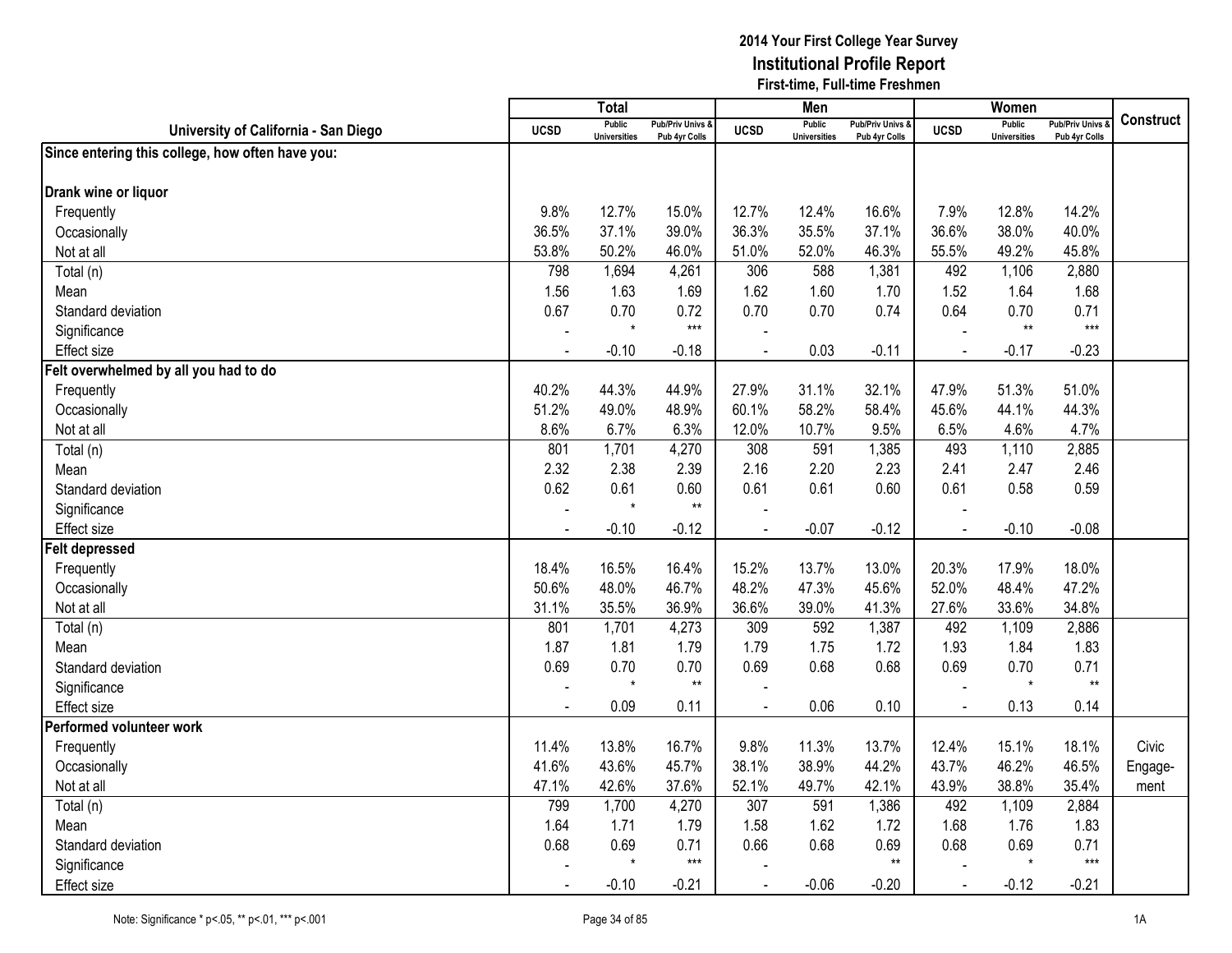|                                                  |             | <b>Total</b>                         |                                              |             | Men                                  |                                              |                | Women                                |                                              |                  |
|--------------------------------------------------|-------------|--------------------------------------|----------------------------------------------|-------------|--------------------------------------|----------------------------------------------|----------------|--------------------------------------|----------------------------------------------|------------------|
| University of California - San Diego             | <b>UCSD</b> | <b>Public</b><br><b>Universities</b> | <b>Pub/Priv Univs &amp;</b><br>Pub 4yr Colls | <b>UCSD</b> | <b>Public</b><br><b>Universities</b> | <b>Pub/Priv Univs &amp;</b><br>Pub 4yr Colls | <b>UCSD</b>    | <b>Public</b><br><b>Universities</b> | <b>Pub/Priv Univs &amp;</b><br>Pub 4yr Colls | <b>Construct</b> |
| Since entering this college, how often have you: |             |                                      |                                              |             |                                      |                                              |                |                                      |                                              |                  |
| Drank wine or liquor                             |             |                                      |                                              |             |                                      |                                              |                |                                      |                                              |                  |
| Frequently                                       | 9.8%        | 12.7%                                | 15.0%                                        | 12.7%       | 12.4%                                | 16.6%                                        | 7.9%           | 12.8%                                | 14.2%                                        |                  |
| Occasionally                                     | 36.5%       | 37.1%                                | 39.0%                                        | 36.3%       | 35.5%                                | 37.1%                                        | 36.6%          | 38.0%                                | 40.0%                                        |                  |
| Not at all                                       | 53.8%       | 50.2%                                | 46.0%                                        | 51.0%       | 52.0%                                | 46.3%                                        | 55.5%          | 49.2%                                | 45.8%                                        |                  |
| Total (n)                                        | 798         | 1,694                                | 4,261                                        | 306         | 588                                  | 1,381                                        | 492            | 1,106                                | 2,880                                        |                  |
| Mean                                             | 1.56        | 1.63                                 | 1.69                                         | 1.62        | 1.60                                 | 1.70                                         | 1.52           | 1.64                                 | 1.68                                         |                  |
| Standard deviation                               | 0.67        | 0.70                                 | 0.72                                         | 0.70        | 0.70                                 | 0.74                                         | 0.64           | 0.70                                 | 0.71                                         |                  |
| Significance                                     |             | $\star$                              | $***$                                        |             |                                      |                                              |                | $**$                                 | $***$                                        |                  |
| <b>Effect size</b>                               |             | $-0.10$                              | $-0.18$                                      |             | 0.03                                 | $-0.11$                                      | $\blacksquare$ | $-0.17$                              | $-0.23$                                      |                  |
| Felt overwhelmed by all you had to do            |             |                                      |                                              |             |                                      |                                              |                |                                      |                                              |                  |
| Frequently                                       | 40.2%       | 44.3%                                | 44.9%                                        | 27.9%       | 31.1%                                | 32.1%                                        | 47.9%          | 51.3%                                | 51.0%                                        |                  |
| Occasionally                                     | 51.2%       | 49.0%                                | 48.9%                                        | 60.1%       | 58.2%                                | 58.4%                                        | 45.6%          | 44.1%                                | 44.3%                                        |                  |
| Not at all                                       | 8.6%        | 6.7%                                 | 6.3%                                         | 12.0%       | 10.7%                                | 9.5%                                         | 6.5%           | 4.6%                                 | 4.7%                                         |                  |
| Total (n)                                        | 801         | 1,701                                | 4,270                                        | 308         | 591                                  | 1,385                                        | 493            | 1,110                                | 2,885                                        |                  |
| Mean                                             | 2.32        | 2.38                                 | 2.39                                         | 2.16        | 2.20                                 | 2.23                                         | 2.41           | 2.47                                 | 2.46                                         |                  |
| Standard deviation                               | 0.62        | 0.61                                 | 0.60                                         | 0.61        | 0.61                                 | 0.60                                         | 0.61           | 0.58                                 | 0.59                                         |                  |
| Significance                                     |             | $\star$                              | $***$                                        |             |                                      |                                              |                |                                      |                                              |                  |
| <b>Effect size</b>                               |             | $-0.10$                              | $-0.12$                                      |             | $-0.07$                              | $-0.12$                                      | $\blacksquare$ | $-0.10$                              | $-0.08$                                      |                  |
| <b>Felt depressed</b>                            |             |                                      |                                              |             |                                      |                                              |                |                                      |                                              |                  |
| Frequently                                       | 18.4%       | 16.5%                                | 16.4%                                        | 15.2%       | 13.7%                                | 13.0%                                        | 20.3%          | 17.9%                                | 18.0%                                        |                  |
| Occasionally                                     | 50.6%       | 48.0%                                | 46.7%                                        | 48.2%       | 47.3%                                | 45.6%                                        | 52.0%          | 48.4%                                | 47.2%                                        |                  |
| Not at all                                       | 31.1%       | 35.5%                                | 36.9%                                        | 36.6%       | 39.0%                                | 41.3%                                        | 27.6%          | 33.6%                                | 34.8%                                        |                  |
| Total (n)                                        | 801         | 1,701                                | 4,273                                        | 309         | 592                                  | 1,387                                        | 492            | 1,109                                | 2,886                                        |                  |
| Mean                                             | 1.87        | 1.81                                 | 1.79                                         | 1.79        | 1.75                                 | 1.72                                         | 1.93           | 1.84                                 | 1.83                                         |                  |
| Standard deviation                               | 0.69        | 0.70                                 | 0.70                                         | 0.69        | 0.68                                 | 0.68                                         | 0.69           | 0.70                                 | 0.71                                         |                  |
| Significance                                     |             | $\star$                              | $\star\star$                                 |             |                                      |                                              |                | $\star$                              | $\star\star$                                 |                  |
| <b>Effect size</b>                               |             | 0.09                                 | 0.11                                         |             | 0.06                                 | 0.10                                         | $\sim$         | 0.13                                 | 0.14                                         |                  |
| Performed volunteer work                         |             |                                      |                                              |             |                                      |                                              |                |                                      |                                              |                  |
| Frequently                                       | 11.4%       | 13.8%                                | 16.7%                                        | 9.8%        | 11.3%                                | 13.7%                                        | 12.4%          | 15.1%                                | 18.1%                                        | Civic            |
| Occasionally                                     | 41.6%       | 43.6%                                | 45.7%                                        | 38.1%       | 38.9%                                | 44.2%                                        | 43.7%          | 46.2%                                | 46.5%                                        | Engage-          |
| Not at all                                       | 47.1%       | 42.6%                                | 37.6%                                        | 52.1%       | 49.7%                                | 42.1%                                        | 43.9%          | 38.8%                                | 35.4%                                        | ment             |
| Total (n)                                        | 799         | 1,700                                | 4,270                                        | 307         | 591                                  | 1,386                                        | 492            | 1,109                                | 2,884                                        |                  |
| Mean                                             | 1.64        | 1.71                                 | 1.79                                         | 1.58        | 1.62                                 | 1.72                                         | 1.68           | 1.76                                 | 1.83                                         |                  |
| Standard deviation                               | 0.68        | 0.69                                 | 0.71                                         | 0.66        | 0.68                                 | 0.69                                         | 0.68           | 0.69                                 | 0.71                                         |                  |
| Significance                                     |             | $\star$                              | $***$                                        |             |                                      | $**$                                         |                | $^\star$                             | $***$                                        |                  |
| <b>Effect size</b>                               |             | $-0.10$                              | $-0.21$                                      |             | $-0.06$                              | $-0.20$                                      | $\blacksquare$ | $-0.12$                              | $-0.21$                                      |                  |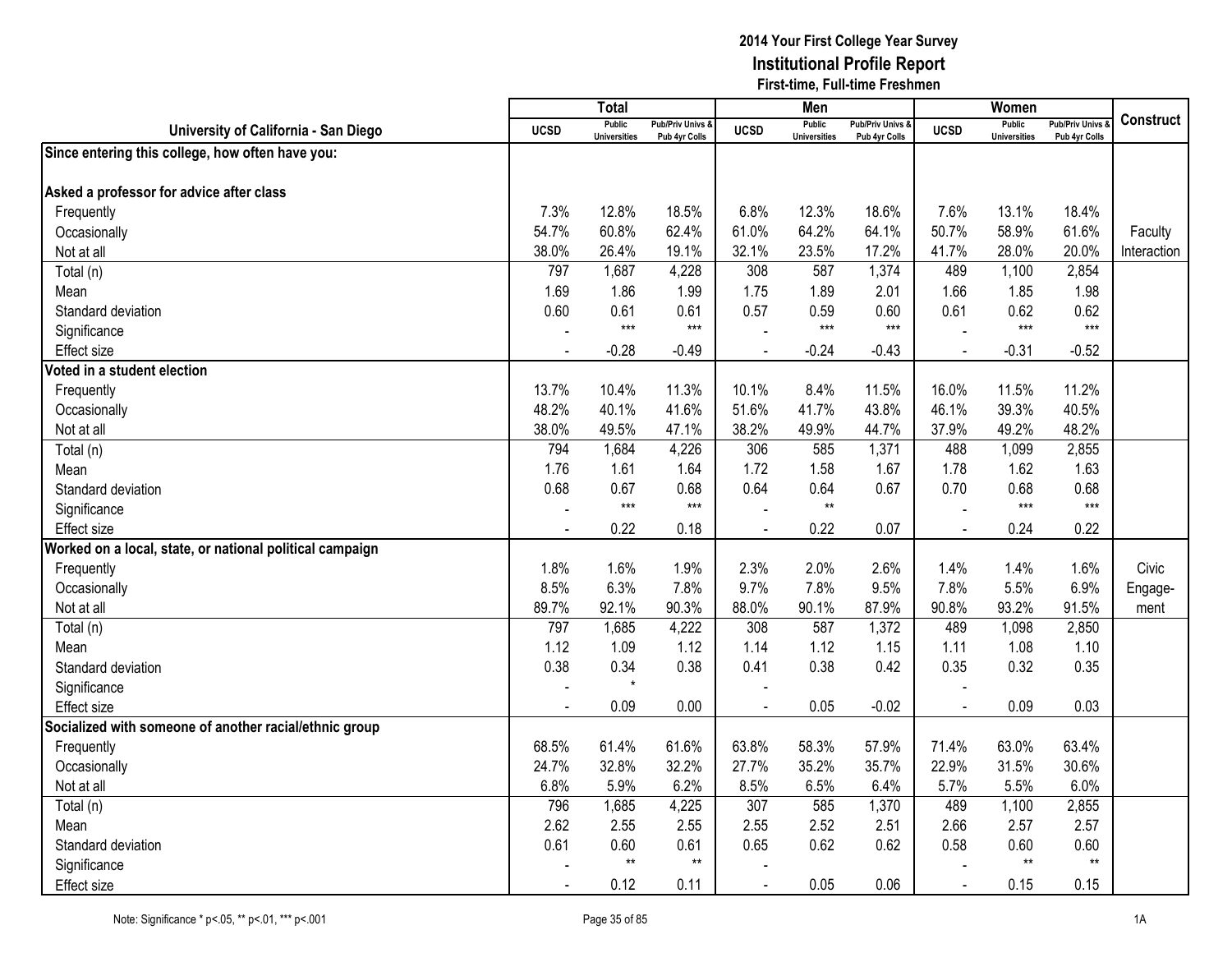|                                                          |             | <b>Total</b>                         |                                              |             | Men                                  |                                              |                | Women                                |                                              |                  |
|----------------------------------------------------------|-------------|--------------------------------------|----------------------------------------------|-------------|--------------------------------------|----------------------------------------------|----------------|--------------------------------------|----------------------------------------------|------------------|
| University of California - San Diego                     | <b>UCSD</b> | <b>Public</b><br><b>Universities</b> | <b>Pub/Priv Univs &amp;</b><br>Pub 4yr Colls | <b>UCSD</b> | <b>Public</b><br><b>Universities</b> | <b>Pub/Priv Univs &amp;</b><br>Pub 4yr Colls | <b>UCSD</b>    | <b>Public</b><br><b>Universities</b> | <b>Pub/Priv Univs &amp;</b><br>Pub 4yr Colls | <b>Construct</b> |
| Since entering this college, how often have you:         |             |                                      |                                              |             |                                      |                                              |                |                                      |                                              |                  |
| Asked a professor for advice after class                 |             |                                      |                                              |             |                                      |                                              |                |                                      |                                              |                  |
| Frequently                                               | 7.3%        | 12.8%                                | 18.5%                                        | 6.8%        | 12.3%                                | 18.6%                                        | 7.6%           | 13.1%                                | 18.4%                                        |                  |
| Occasionally                                             | 54.7%       | 60.8%                                | 62.4%                                        | 61.0%       | 64.2%                                | 64.1%                                        | 50.7%          | 58.9%                                | 61.6%                                        | Faculty          |
| Not at all                                               | 38.0%       | 26.4%                                | 19.1%                                        | 32.1%       | 23.5%                                | 17.2%                                        | 41.7%          | 28.0%                                | 20.0%                                        | Interaction      |
| Total (n)                                                | 797         | 1,687                                | 4,228                                        | 308         | 587                                  | 1,374                                        | 489            | 1,100                                | 2,854                                        |                  |
| Mean                                                     | 1.69        | 1.86                                 | 1.99                                         | 1.75        | 1.89                                 | 2.01                                         | 1.66           | 1.85                                 | 1.98                                         |                  |
| Standard deviation                                       | 0.60        | 0.61                                 | 0.61                                         | 0.57        | 0.59                                 | 0.60                                         | 0.61           | 0.62                                 | 0.62                                         |                  |
| Significance                                             |             | $***$                                | $***$                                        |             | $***$                                | $***$                                        |                | $***$                                | $***$                                        |                  |
| <b>Effect size</b>                                       |             | $-0.28$                              | $-0.49$                                      |             | $-0.24$                              | $-0.43$                                      | $\blacksquare$ | $-0.31$                              | $-0.52$                                      |                  |
| Voted in a student election                              |             |                                      |                                              |             |                                      |                                              |                |                                      |                                              |                  |
| Frequently                                               | 13.7%       | 10.4%                                | 11.3%                                        | 10.1%       | 8.4%                                 | 11.5%                                        | 16.0%          | 11.5%                                | 11.2%                                        |                  |
| Occasionally                                             | 48.2%       | 40.1%                                | 41.6%                                        | 51.6%       | 41.7%                                | 43.8%                                        | 46.1%          | 39.3%                                | 40.5%                                        |                  |
| Not at all                                               | 38.0%       | 49.5%                                | 47.1%                                        | 38.2%       | 49.9%                                | 44.7%                                        | 37.9%          | 49.2%                                | 48.2%                                        |                  |
| Total (n)                                                | 794         | 1,684                                | 4,226                                        | 306         | 585                                  | 1,371                                        | 488            | 1,099                                | 2,855                                        |                  |
| Mean                                                     | 1.76        | 1.61                                 | 1.64                                         | 1.72        | 1.58                                 | 1.67                                         | 1.78           | 1.62                                 | 1.63                                         |                  |
| Standard deviation                                       | 0.68        | 0.67                                 | 0.68                                         | 0.64        | 0.64                                 | 0.67                                         | 0.70           | 0.68                                 | 0.68                                         |                  |
| Significance                                             |             | $***$                                | $***$                                        |             | $^{\star\star}$                      |                                              |                | $***$                                | $***$                                        |                  |
| <b>Effect size</b>                                       |             | 0.22                                 | 0.18                                         |             | 0.22                                 | 0.07                                         | $\blacksquare$ | 0.24                                 | 0.22                                         |                  |
| Worked on a local, state, or national political campaign |             |                                      |                                              |             |                                      |                                              |                |                                      |                                              |                  |
| Frequently                                               | 1.8%        | 1.6%                                 | 1.9%                                         | 2.3%        | 2.0%                                 | 2.6%                                         | 1.4%           | 1.4%                                 | 1.6%                                         | Civic            |
| Occasionally                                             | 8.5%        | 6.3%                                 | 7.8%                                         | 9.7%        | 7.8%                                 | 9.5%                                         | 7.8%           | 5.5%                                 | 6.9%                                         | Engage-          |
| Not at all                                               | 89.7%       | 92.1%                                | 90.3%                                        | 88.0%       | 90.1%                                | 87.9%                                        | 90.8%          | 93.2%                                | 91.5%                                        | ment             |
| Total (n)                                                | 797         | 1,685                                | 4,222                                        | 308         | 587                                  | 1,372                                        | 489            | 1,098                                | 2,850                                        |                  |
| Mean                                                     | 1.12        | 1.09                                 | 1.12                                         | 1.14        | 1.12                                 | 1.15                                         | 1.11           | 1.08                                 | 1.10                                         |                  |
| Standard deviation                                       | 0.38        | 0.34                                 | 0.38                                         | 0.41        | 0.38                                 | 0.42                                         | 0.35           | 0.32                                 | 0.35                                         |                  |
| Significance                                             |             | $\star$                              |                                              |             |                                      |                                              |                |                                      |                                              |                  |
| <b>Effect size</b>                                       |             | 0.09                                 | 0.00                                         |             | 0.05                                 | $-0.02$                                      |                | 0.09                                 | 0.03                                         |                  |
| Socialized with someone of another racial/ethnic group   |             |                                      |                                              |             |                                      |                                              |                |                                      |                                              |                  |
| Frequently                                               | 68.5%       | 61.4%                                | 61.6%                                        | 63.8%       | 58.3%                                | 57.9%                                        | 71.4%          | 63.0%                                | 63.4%                                        |                  |
| Occasionally                                             | 24.7%       | 32.8%                                | 32.2%                                        | 27.7%       | 35.2%                                | 35.7%                                        | 22.9%          | 31.5%                                | 30.6%                                        |                  |
| Not at all                                               | 6.8%        | 5.9%                                 | 6.2%                                         | 8.5%        | 6.5%                                 | 6.4%                                         | 5.7%           | 5.5%                                 | 6.0%                                         |                  |
| Total (n)                                                | 796         | 1,685                                | 4,225                                        | 307         | 585                                  | 1,370                                        | 489            | 1,100                                | 2,855                                        |                  |
| Mean                                                     | 2.62        | 2.55                                 | 2.55                                         | 2.55        | 2.52                                 | 2.51                                         | 2.66           | 2.57                                 | 2.57                                         |                  |
| Standard deviation                                       | 0.61        | 0.60                                 | 0.61                                         | 0.65        | 0.62                                 | 0.62                                         | 0.58           | 0.60                                 | 0.60                                         |                  |
| Significance                                             |             | $\star\star$                         | $**$                                         |             |                                      |                                              |                | $^{\star\star}$                      | $\star\star$                                 |                  |
| <b>Effect size</b>                                       |             | 0.12                                 | 0.11                                         |             | 0.05                                 | 0.06                                         |                | 0.15                                 | 0.15                                         |                  |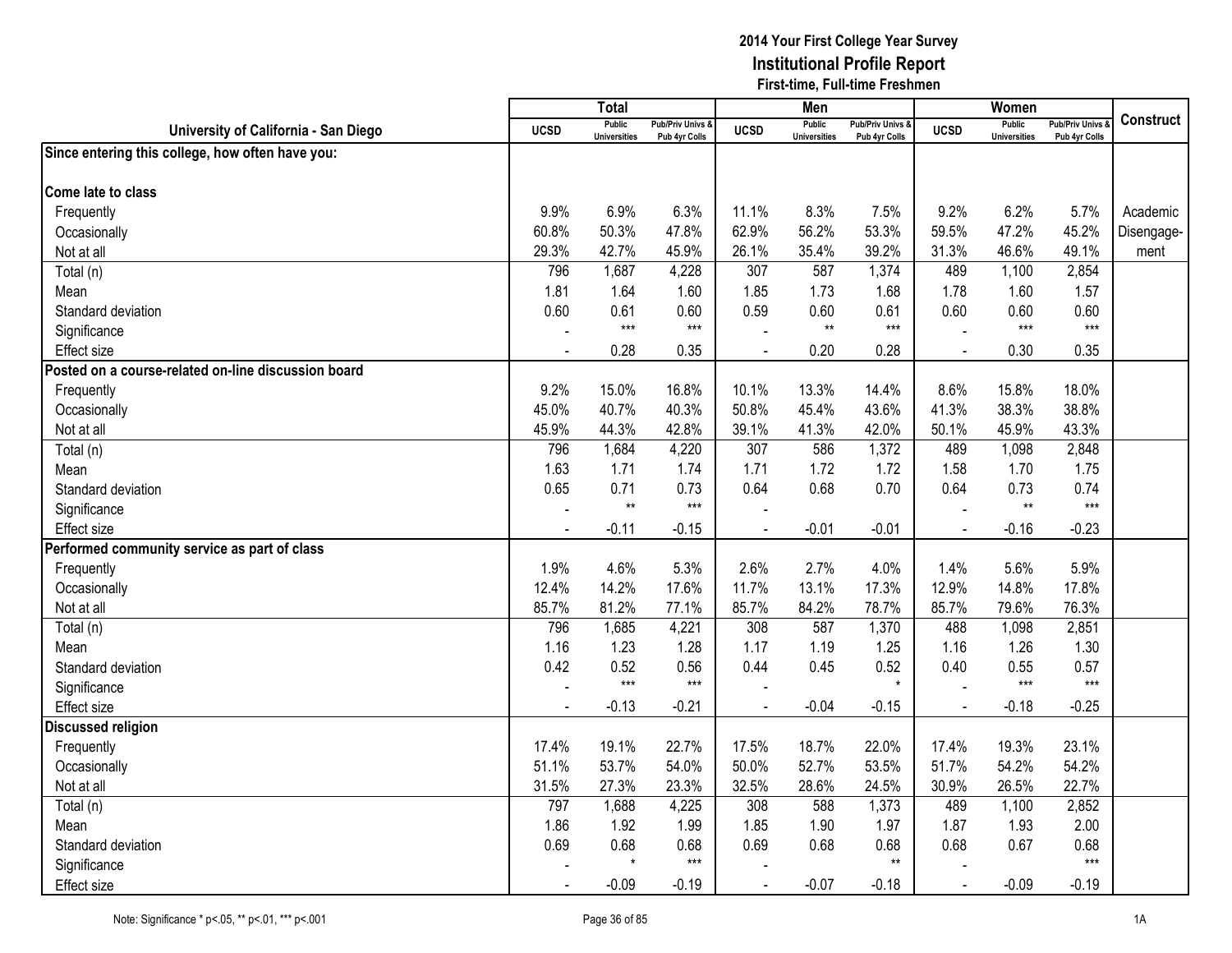|                                                     |                | <b>Total</b>                         |                                   |             | Men                           |                                   |                | Women                                |                                        |                  |
|-----------------------------------------------------|----------------|--------------------------------------|-----------------------------------|-------------|-------------------------------|-----------------------------------|----------------|--------------------------------------|----------------------------------------|------------------|
| University of California - San Diego                | <b>UCSD</b>    | <b>Public</b><br><b>Universities</b> | Pub/Priv Univs &<br>Pub 4yr Colls | <b>UCSD</b> | Public<br><b>Universities</b> | Pub/Priv Univs &<br>Pub 4yr Colls | <b>UCSD</b>    | <b>Public</b><br><b>Universities</b> | <b>Pub/Priv Univs</b><br>Pub 4yr Colls | <b>Construct</b> |
| Since entering this college, how often have you:    |                |                                      |                                   |             |                               |                                   |                |                                      |                                        |                  |
|                                                     |                |                                      |                                   |             |                               |                                   |                |                                      |                                        |                  |
| Come late to class                                  |                |                                      |                                   |             |                               |                                   |                |                                      |                                        |                  |
| Frequently                                          | 9.9%           | 6.9%                                 | 6.3%                              | 11.1%       | 8.3%                          | 7.5%                              | 9.2%           | 6.2%                                 | 5.7%                                   | Academic         |
| Occasionally                                        | 60.8%          | 50.3%                                | 47.8%                             | 62.9%       | 56.2%                         | 53.3%                             | 59.5%          | 47.2%                                | 45.2%                                  | Disengage-       |
| Not at all                                          | 29.3%          | 42.7%                                | 45.9%                             | 26.1%       | 35.4%                         | 39.2%                             | 31.3%          | 46.6%                                | 49.1%                                  | ment             |
| Total (n)                                           | 796            | 1,687                                | 4,228                             | 307         | 587                           | 1,374                             | 489            | 1,100                                | 2,854                                  |                  |
| Mean                                                | 1.81           | 1.64                                 | 1.60                              | 1.85        | 1.73                          | 1.68                              | 1.78           | 1.60                                 | 1.57                                   |                  |
| Standard deviation                                  | 0.60           | 0.61                                 | 0.60                              | 0.59        | 0.60                          | 0.61                              | 0.60           | 0.60                                 | 0.60                                   |                  |
| Significance                                        |                | $***$                                | $***$                             |             | $^{\star\star}$               | $***$                             |                | $***$                                | $***$                                  |                  |
| <b>Effect size</b>                                  | $\overline{a}$ | 0.28                                 | 0.35                              |             | 0.20                          | 0.28                              | $\Delta$       | 0.30                                 | 0.35                                   |                  |
| Posted on a course-related on-line discussion board |                |                                      |                                   |             |                               |                                   |                |                                      |                                        |                  |
| Frequently                                          | 9.2%           | 15.0%                                | 16.8%                             | 10.1%       | 13.3%                         | 14.4%                             | 8.6%           | 15.8%                                | 18.0%                                  |                  |
| Occasionally                                        | 45.0%          | 40.7%                                | 40.3%                             | 50.8%       | 45.4%                         | 43.6%                             | 41.3%          | 38.3%                                | 38.8%                                  |                  |
| Not at all                                          | 45.9%          | 44.3%                                | 42.8%                             | 39.1%       | 41.3%                         | 42.0%                             | 50.1%          | 45.9%                                | 43.3%                                  |                  |
| Total (n)                                           | 796            | 1,684                                | 4,220                             | 307         | 586                           | 1,372                             | 489            | 1,098                                | 2,848                                  |                  |
| Mean                                                | 1.63           | 1.71                                 | 1.74                              | 1.71        | 1.72                          | 1.72                              | 1.58           | 1.70                                 | 1.75                                   |                  |
| Standard deviation                                  | 0.65           | 0.71                                 | 0.73                              | 0.64        | 0.68                          | 0.70                              | 0.64           | 0.73                                 | 0.74                                   |                  |
| Significance                                        |                | $**$                                 | $***$                             |             |                               |                                   |                | $**$                                 | $***$                                  |                  |
| <b>Effect size</b>                                  | $\blacksquare$ | $-0.11$                              | $-0.15$                           |             | $-0.01$                       | $-0.01$                           | $\blacksquare$ | $-0.16$                              | $-0.23$                                |                  |
| Performed community service as part of class        |                |                                      |                                   |             |                               |                                   |                |                                      |                                        |                  |
| Frequently                                          | 1.9%           | 4.6%                                 | 5.3%                              | 2.6%        | 2.7%                          | 4.0%                              | 1.4%           | 5.6%                                 | 5.9%                                   |                  |
| Occasionally                                        | 12.4%          | 14.2%                                | 17.6%                             | 11.7%       | 13.1%                         | 17.3%                             | 12.9%          | 14.8%                                | 17.8%                                  |                  |
| Not at all                                          | 85.7%          | 81.2%                                | 77.1%                             | 85.7%       | 84.2%                         | 78.7%                             | 85.7%          | 79.6%                                | 76.3%                                  |                  |
| Total (n)                                           | 796            | 1,685                                | 4,221                             | 308         | 587                           | 1,370                             | 488            | 1,098                                | 2,851                                  |                  |
| Mean                                                | 1.16           | 1.23                                 | 1.28                              | 1.17        | 1.19                          | 1.25                              | 1.16           | 1.26                                 | 1.30                                   |                  |
| Standard deviation                                  | 0.42           | 0.52                                 | 0.56                              | 0.44        | 0.45                          | 0.52                              | 0.40           | 0.55                                 | 0.57                                   |                  |
| Significance                                        |                | $***$                                | $***$                             |             |                               | $\star$                           |                | $***$                                | $***$                                  |                  |
| <b>Effect size</b>                                  |                | $-0.13$                              | $-0.21$                           |             | $-0.04$                       | $-0.15$                           |                | $-0.18$                              | $-0.25$                                |                  |
| <b>Discussed religion</b>                           |                |                                      |                                   |             |                               |                                   |                |                                      |                                        |                  |
| Frequently                                          | 17.4%          | 19.1%                                | 22.7%                             | 17.5%       | 18.7%                         | 22.0%                             | 17.4%          | 19.3%                                | 23.1%                                  |                  |
| Occasionally                                        | 51.1%          | 53.7%                                | 54.0%                             | 50.0%       | 52.7%                         | 53.5%                             | 51.7%          | 54.2%                                | 54.2%                                  |                  |
| Not at all                                          | 31.5%          | 27.3%                                | 23.3%                             | 32.5%       | 28.6%                         | 24.5%                             | 30.9%          | 26.5%                                | 22.7%                                  |                  |
| Total (n)                                           | 797            | 1,688                                | 4,225                             | 308         | 588                           | 1,373                             | 489            | 1,100                                | 2,852                                  |                  |
| Mean                                                | 1.86           | 1.92                                 | 1.99                              | 1.85        | 1.90                          | 1.97                              | 1.87           | 1.93                                 | 2.00                                   |                  |
| Standard deviation                                  | 0.69           | 0.68                                 | 0.68                              | 0.69        | 0.68                          | 0.68                              | 0.68           | 0.67                                 | 0.68                                   |                  |
| Significance                                        |                | $\star$                              | $***$                             |             |                               | $**$                              |                |                                      | $***$                                  |                  |
| <b>Effect size</b>                                  |                | $-0.09$                              | $-0.19$                           |             | $-0.07$                       | $-0.18$                           |                | $-0.09$                              | $-0.19$                                |                  |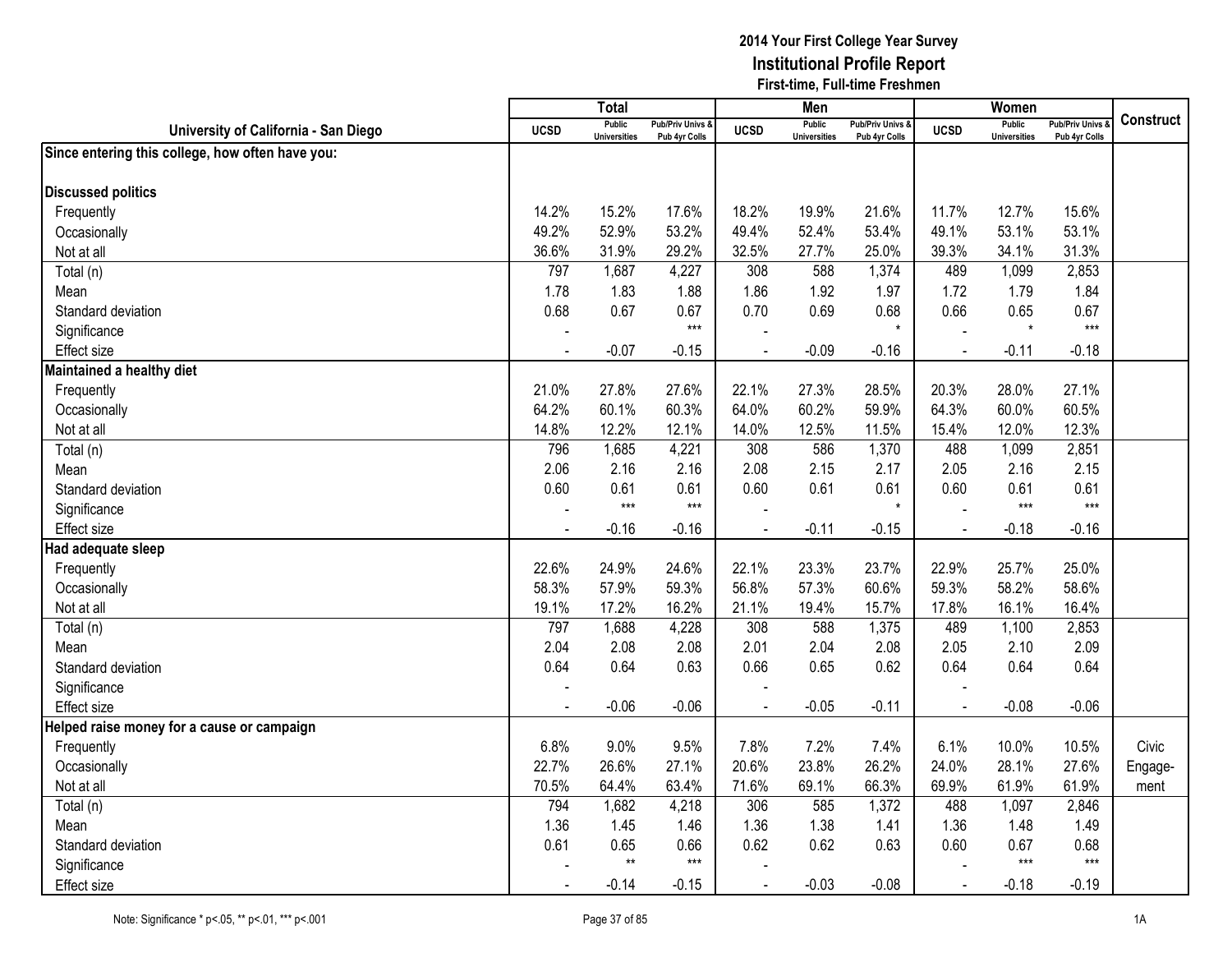|                                                  |             | Total                                |                                              |             | Men                                  |                                              |                | Women                                |                                              |                  |
|--------------------------------------------------|-------------|--------------------------------------|----------------------------------------------|-------------|--------------------------------------|----------------------------------------------|----------------|--------------------------------------|----------------------------------------------|------------------|
| University of California - San Diego             | <b>UCSD</b> | <b>Public</b><br><b>Universities</b> | <b>Pub/Priv Univs &amp;</b><br>Pub 4yr Colls | <b>UCSD</b> | <b>Public</b><br><b>Universities</b> | <b>Pub/Priv Univs &amp;</b><br>Pub 4yr Colls | <b>UCSD</b>    | <b>Public</b><br><b>Universities</b> | <b>Pub/Priv Univs &amp;</b><br>Pub 4yr Colls | <b>Construct</b> |
| Since entering this college, how often have you: |             |                                      |                                              |             |                                      |                                              |                |                                      |                                              |                  |
|                                                  |             |                                      |                                              |             |                                      |                                              |                |                                      |                                              |                  |
| <b>Discussed politics</b>                        |             |                                      |                                              |             |                                      |                                              |                |                                      |                                              |                  |
| Frequently                                       | 14.2%       | 15.2%                                | 17.6%                                        | 18.2%       | 19.9%                                | 21.6%                                        | 11.7%          | 12.7%                                | 15.6%                                        |                  |
| Occasionally                                     | 49.2%       | 52.9%                                | 53.2%                                        | 49.4%       | 52.4%                                | 53.4%                                        | 49.1%          | 53.1%                                | 53.1%                                        |                  |
| Not at all                                       | 36.6%       | 31.9%                                | 29.2%                                        | 32.5%       | 27.7%                                | 25.0%                                        | 39.3%          | 34.1%                                | 31.3%                                        |                  |
| Total (n)                                        | 797         | 1,687                                | 4,227                                        | 308         | 588                                  | 1,374                                        | 489            | 1,099                                | 2,853                                        |                  |
| Mean                                             | 1.78        | 1.83                                 | 1.88                                         | 1.86        | 1.92                                 | 1.97                                         | 1.72           | 1.79                                 | 1.84                                         |                  |
| Standard deviation                               | 0.68        | 0.67                                 | 0.67<br>$***$                                | 0.70        | 0.69                                 | 0.68<br>$\star$                              | 0.66           | 0.65<br>$\star$                      | 0.67<br>$***$                                |                  |
| Significance                                     |             |                                      |                                              |             |                                      |                                              |                |                                      |                                              |                  |
| <b>Effect size</b>                               |             | $-0.07$                              | $-0.15$                                      |             | $-0.09$                              | $-0.16$                                      | $\blacksquare$ | $-0.11$                              | $-0.18$                                      |                  |
| Maintained a healthy diet                        |             |                                      |                                              |             |                                      |                                              |                |                                      |                                              |                  |
| Frequently                                       | 21.0%       | 27.8%                                | 27.6%                                        | 22.1%       | 27.3%                                | 28.5%                                        | 20.3%          | 28.0%                                | 27.1%                                        |                  |
| Occasionally                                     | 64.2%       | 60.1%                                | 60.3%                                        | 64.0%       | 60.2%                                | 59.9%                                        | 64.3%          | 60.0%                                | 60.5%                                        |                  |
| Not at all                                       | 14.8%       | 12.2%                                | 12.1%                                        | 14.0%       | 12.5%                                | 11.5%                                        | 15.4%          | 12.0%                                | 12.3%                                        |                  |
| Total (n)                                        | 796         | 1,685                                | 4,221                                        | 308         | 586                                  | 1,370                                        | 488            | 1,099                                | 2,851                                        |                  |
| Mean                                             | 2.06        | 2.16                                 | 2.16                                         | 2.08        | 2.15                                 | 2.17                                         | 2.05           | 2.16                                 | 2.15                                         |                  |
| Standard deviation                               | 0.60        | 0.61                                 | 0.61                                         | 0.60        | 0.61                                 | 0.61                                         | 0.60           | 0.61                                 | 0.61                                         |                  |
| Significance                                     |             | $***$                                | $***$                                        |             |                                      | $\star$                                      |                | $***$                                | $***$                                        |                  |
| <b>Effect size</b>                               |             | $-0.16$                              | $-0.16$                                      |             | $-0.11$                              | $-0.15$                                      | $\blacksquare$ | $-0.18$                              | $-0.16$                                      |                  |
| Had adequate sleep                               |             |                                      |                                              |             |                                      |                                              |                |                                      |                                              |                  |
| Frequently                                       | 22.6%       | 24.9%                                | 24.6%                                        | 22.1%       | 23.3%                                | 23.7%                                        | 22.9%          | 25.7%                                | 25.0%                                        |                  |
| Occasionally                                     | 58.3%       | 57.9%                                | 59.3%                                        | 56.8%       | 57.3%                                | 60.6%                                        | 59.3%          | 58.2%                                | 58.6%                                        |                  |
| Not at all                                       | 19.1%       | 17.2%                                | 16.2%                                        | 21.1%       | 19.4%                                | 15.7%                                        | 17.8%          | 16.1%                                | 16.4%                                        |                  |
| Total (n)                                        | 797         | 1,688                                | 4,228                                        | 308         | 588                                  | 1,375                                        | 489            | 1,100                                | 2,853                                        |                  |
| Mean                                             | 2.04        | 2.08                                 | 2.08                                         | 2.01        | 2.04                                 | 2.08                                         | 2.05           | 2.10                                 | 2.09                                         |                  |
| Standard deviation                               | 0.64        | 0.64                                 | 0.63                                         | 0.66        | 0.65                                 | 0.62                                         | 0.64           | 0.64                                 | 0.64                                         |                  |
| Significance                                     |             |                                      |                                              |             |                                      |                                              |                |                                      |                                              |                  |
| <b>Effect size</b>                               |             | $-0.06$                              | $-0.06$                                      |             | $-0.05$                              | $-0.11$                                      |                | $-0.08$                              | $-0.06$                                      |                  |
| Helped raise money for a cause or campaign       |             |                                      |                                              |             |                                      |                                              |                |                                      |                                              |                  |
| Frequently                                       | 6.8%        | 9.0%                                 | 9.5%                                         | 7.8%        | 7.2%                                 | 7.4%                                         | 6.1%           | 10.0%                                | 10.5%                                        | Civic            |
| Occasionally                                     | 22.7%       | 26.6%                                | 27.1%                                        | 20.6%       | 23.8%                                | 26.2%                                        | 24.0%          | 28.1%                                | 27.6%                                        | Engage-          |
| Not at all                                       | 70.5%       | 64.4%                                | 63.4%                                        | 71.6%       | 69.1%                                | 66.3%                                        | 69.9%          | 61.9%                                | 61.9%                                        | ment             |
| Total (n)                                        | 794         | 1,682                                | 4,218                                        | 306         | 585                                  | 1,372                                        | 488            | 1,097                                | 2,846                                        |                  |
| Mean                                             | 1.36        | 1.45                                 | 1.46                                         | 1.36        | 1.38                                 | 1.41                                         | 1.36           | 1.48                                 | 1.49                                         |                  |
| Standard deviation                               | 0.61        | 0.65                                 | 0.66                                         | 0.62        | 0.62                                 | 0.63                                         | 0.60           | 0.67                                 | 0.68                                         |                  |
| Significance                                     |             | $\star\star$                         | $***$                                        |             |                                      |                                              |                | $***$                                | $***$                                        |                  |
| <b>Effect size</b>                               |             | $-0.14$                              | $-0.15$                                      |             | $-0.03$                              | $-0.08$                                      |                | $-0.18$                              | $-0.19$                                      |                  |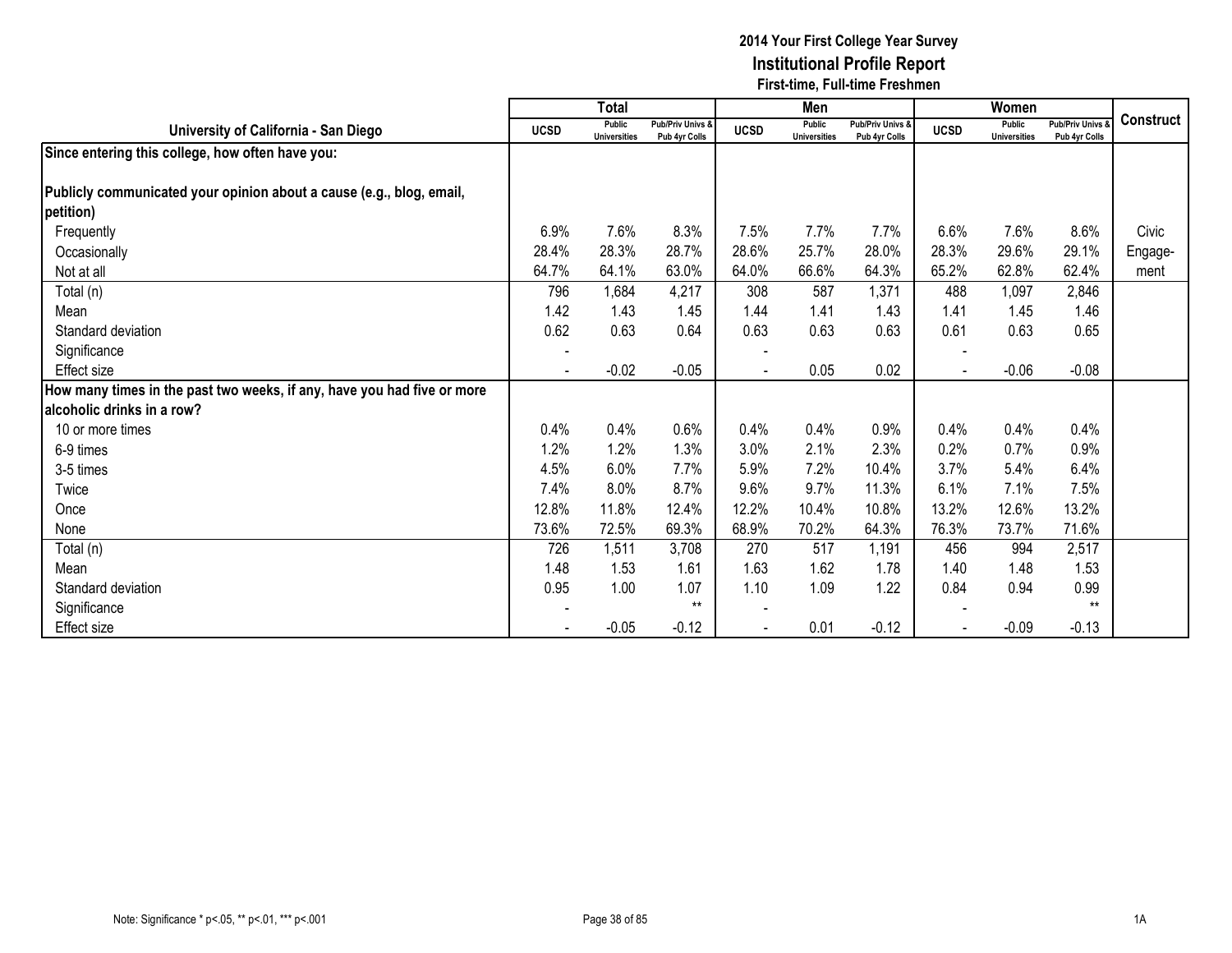|                                                                         |             | <b>Total</b>                  |                                   |             | Men                                  |                                   |             | Women                                |                                        |                  |
|-------------------------------------------------------------------------|-------------|-------------------------------|-----------------------------------|-------------|--------------------------------------|-----------------------------------|-------------|--------------------------------------|----------------------------------------|------------------|
| University of California - San Diego                                    | <b>UCSD</b> | Public<br><b>Universities</b> | Pub/Priv Univs &<br>Pub 4yr Colls | <b>UCSD</b> | <b>Public</b><br><b>Universities</b> | Pub/Priv Univs &<br>Pub 4yr Colls | <b>UCSD</b> | <b>Public</b><br><b>Universities</b> | <b>Pub/Priv Univs</b><br>Pub 4yr Colls | <b>Construct</b> |
| Since entering this college, how often have you:                        |             |                               |                                   |             |                                      |                                   |             |                                      |                                        |                  |
|                                                                         |             |                               |                                   |             |                                      |                                   |             |                                      |                                        |                  |
| Publicly communicated your opinion about a cause (e.g., blog, email,    |             |                               |                                   |             |                                      |                                   |             |                                      |                                        |                  |
| petition)                                                               |             |                               |                                   |             |                                      |                                   |             |                                      |                                        |                  |
| Frequently                                                              | 6.9%        | 7.6%                          | 8.3%                              | 7.5%        | 7.7%                                 | 7.7%                              | 6.6%        | 7.6%                                 | 8.6%                                   | Civic            |
| Occasionally                                                            | 28.4%       | 28.3%                         | 28.7%                             | 28.6%       | 25.7%                                | 28.0%                             | 28.3%       | 29.6%                                | 29.1%                                  | Engage-          |
| Not at all                                                              | 64.7%       | 64.1%                         | 63.0%                             | 64.0%       | 66.6%                                | 64.3%                             | 65.2%       | 62.8%                                | 62.4%                                  | ment             |
| Total (n)                                                               | 796         | 1,684                         | 4,217                             | 308         | 587                                  | 1,371                             | 488         | 1,097                                | 2,846                                  |                  |
| Mean                                                                    | 1.42        | 1.43                          | 1.45                              | 1.44        | 1.41                                 | 1.43                              | 1.41        | 1.45                                 | 1.46                                   |                  |
| Standard deviation                                                      | 0.62        | 0.63                          | 0.64                              | 0.63        | 0.63                                 | 0.63                              | 0.61        | 0.63                                 | 0.65                                   |                  |
| Significance                                                            |             |                               |                                   |             |                                      |                                   |             |                                      |                                        |                  |
| Effect size                                                             |             | $-0.02$                       | $-0.05$                           |             | 0.05                                 | 0.02                              |             | $-0.06$                              | $-0.08$                                |                  |
| How many times in the past two weeks, if any, have you had five or more |             |                               |                                   |             |                                      |                                   |             |                                      |                                        |                  |
| alcoholic drinks in a row?                                              |             |                               |                                   |             |                                      |                                   |             |                                      |                                        |                  |
| 10 or more times                                                        | 0.4%        | 0.4%                          | 0.6%                              | 0.4%        | 0.4%                                 | 0.9%                              | 0.4%        | 0.4%                                 | 0.4%                                   |                  |
| 6-9 times                                                               | 1.2%        | 1.2%                          | 1.3%                              | 3.0%        | 2.1%                                 | 2.3%                              | 0.2%        | 0.7%                                 | 0.9%                                   |                  |
| 3-5 times                                                               | 4.5%        | 6.0%                          | 7.7%                              | 5.9%        | 7.2%                                 | 10.4%                             | 3.7%        | 5.4%                                 | 6.4%                                   |                  |
| Twice                                                                   | 7.4%        | 8.0%                          | 8.7%                              | 9.6%        | 9.7%                                 | 11.3%                             | 6.1%        | 7.1%                                 | 7.5%                                   |                  |
| Once                                                                    | 12.8%       | 11.8%                         | 12.4%                             | 12.2%       | 10.4%                                | 10.8%                             | 13.2%       | 12.6%                                | 13.2%                                  |                  |
| None                                                                    | 73.6%       | 72.5%                         | 69.3%                             | 68.9%       | 70.2%                                | 64.3%                             | 76.3%       | 73.7%                                | 71.6%                                  |                  |
| Total (n)                                                               | 726         | 1,511                         | 3,708                             | 270         | 517                                  | 1,191                             | 456         | 994                                  | 2,517                                  |                  |
| Mean                                                                    | 1.48        | 1.53                          | 1.61                              | 1.63        | 1.62                                 | 1.78                              | 1.40        | 1.48                                 | 1.53                                   |                  |
| Standard deviation                                                      | 0.95        | 1.00                          | 1.07                              | 1.10        | 1.09                                 | 1.22                              | 0.84        | 0.94                                 | 0.99                                   |                  |
| Significance                                                            |             |                               | $***$                             |             |                                      |                                   |             |                                      | $**$                                   |                  |
| Effect size                                                             |             | $-0.05$                       | $-0.12$                           |             | 0.01                                 | $-0.12$                           |             | $-0.09$                              | $-0.13$                                |                  |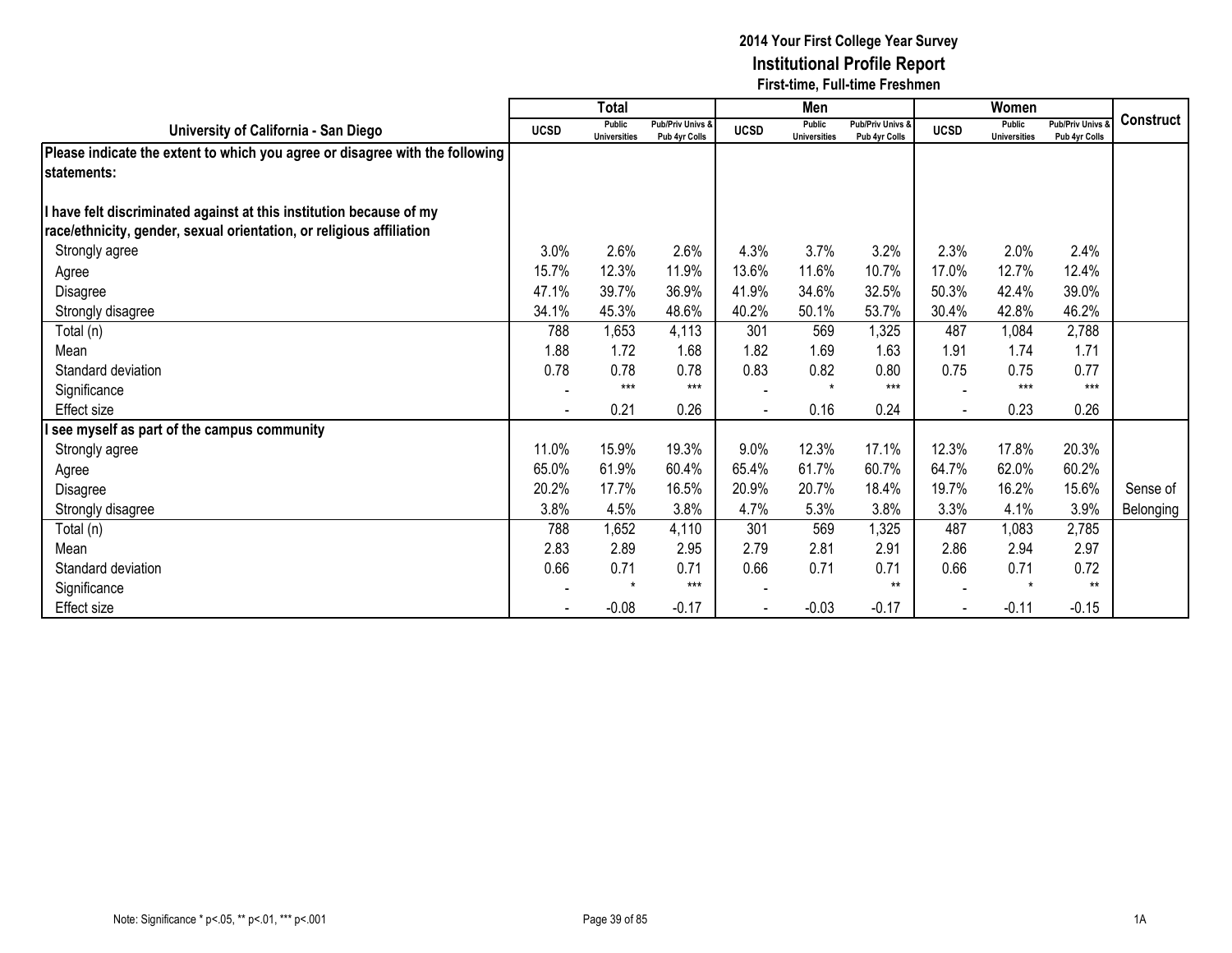|                                                                              |             | <b>Total</b>                         |                                   |             | Men                                  |                                   |             | Women                                |                                        |                  |
|------------------------------------------------------------------------------|-------------|--------------------------------------|-----------------------------------|-------------|--------------------------------------|-----------------------------------|-------------|--------------------------------------|----------------------------------------|------------------|
| University of California - San Diego                                         | <b>UCSD</b> | <b>Public</b><br><b>Universities</b> | Pub/Priv Univs &<br>Pub 4yr Colls | <b>UCSD</b> | <b>Public</b><br><b>Universities</b> | Pub/Priv Univs &<br>Pub 4yr Colls | <b>UCSD</b> | <b>Public</b><br><b>Universities</b> | <b>Pub/Priv Univs</b><br>Pub 4yr Colls | <b>Construct</b> |
| Please indicate the extent to which you agree or disagree with the following |             |                                      |                                   |             |                                      |                                   |             |                                      |                                        |                  |
| lstatements:                                                                 |             |                                      |                                   |             |                                      |                                   |             |                                      |                                        |                  |
| I have felt discriminated against at this institution because of my          |             |                                      |                                   |             |                                      |                                   |             |                                      |                                        |                  |
| race/ethnicity, gender, sexual orientation, or religious affiliation         |             |                                      |                                   |             |                                      |                                   |             |                                      |                                        |                  |
| Strongly agree                                                               | 3.0%        | 2.6%                                 | 2.6%                              | 4.3%        | 3.7%                                 | 3.2%                              | 2.3%        | 2.0%                                 | 2.4%                                   |                  |
| Agree                                                                        | 15.7%       | 12.3%                                | 11.9%                             | 13.6%       | 11.6%                                | 10.7%                             | 17.0%       | 12.7%                                | 12.4%                                  |                  |
| Disagree                                                                     | 47.1%       | 39.7%                                | 36.9%                             | 41.9%       | 34.6%                                | 32.5%                             | 50.3%       | 42.4%                                | 39.0%                                  |                  |
| Strongly disagree                                                            | 34.1%       | 45.3%                                | 48.6%                             | 40.2%       | 50.1%                                | 53.7%                             | 30.4%       | 42.8%                                | 46.2%                                  |                  |
| Total (n)                                                                    | 788         | 1,653                                | 4,113                             | 301         | 569                                  | 1,325                             | 487         | 1,084                                | 2,788                                  |                  |
| Mean                                                                         | 1.88        | 1.72                                 | 1.68                              | 1.82        | 1.69                                 | 1.63                              | 1.91        | 1.74                                 | 1.71                                   |                  |
| Standard deviation                                                           | 0.78        | 0.78                                 | 0.78                              | 0.83        | 0.82                                 | 0.80                              | 0.75        | 0.75                                 | 0.77                                   |                  |
| Significance                                                                 |             | $***$                                | $***$                             |             | $\star$                              | $***$                             |             | $***$                                | $***$                                  |                  |
| <b>Effect size</b>                                                           |             | 0.21                                 | 0.26                              |             | 0.16                                 | 0.24                              |             | 0.23                                 | 0.26                                   |                  |
| see myself as part of the campus community                                   |             |                                      |                                   |             |                                      |                                   |             |                                      |                                        |                  |
| Strongly agree                                                               | 11.0%       | 15.9%                                | 19.3%                             | 9.0%        | 12.3%                                | 17.1%                             | 12.3%       | 17.8%                                | 20.3%                                  |                  |
| Agree                                                                        | 65.0%       | 61.9%                                | 60.4%                             | 65.4%       | 61.7%                                | 60.7%                             | 64.7%       | 62.0%                                | 60.2%                                  |                  |
| Disagree                                                                     | 20.2%       | 17.7%                                | 16.5%                             | 20.9%       | 20.7%                                | 18.4%                             | 19.7%       | 16.2%                                | 15.6%                                  | Sense of         |
| Strongly disagree                                                            | 3.8%        | 4.5%                                 | 3.8%                              | 4.7%        | 5.3%                                 | 3.8%                              | 3.3%        | 4.1%                                 | 3.9%                                   | Belonging        |
| Total (n)                                                                    | 788         | 1,652                                | 4,110                             | 301         | 569                                  | 1,325                             | 487         | 1,083                                | 2,785                                  |                  |
| Mean                                                                         | 2.83        | 2.89                                 | 2.95                              | 2.79        | 2.81                                 | 2.91                              | 2.86        | 2.94                                 | 2.97                                   |                  |
| Standard deviation                                                           | 0.66        | 0.71                                 | 0.71                              | 0.66        | 0.71                                 | 0.71                              | 0.66        | 0.71                                 | 0.72                                   |                  |
| Significance                                                                 |             | $\star$                              | $***$                             |             |                                      | $**$                              |             | $\star$                              | $**$                                   |                  |
| Effect size                                                                  |             | $-0.08$                              | $-0.17$                           |             | $-0.03$                              | $-0.17$                           |             | $-0.11$                              | $-0.15$                                |                  |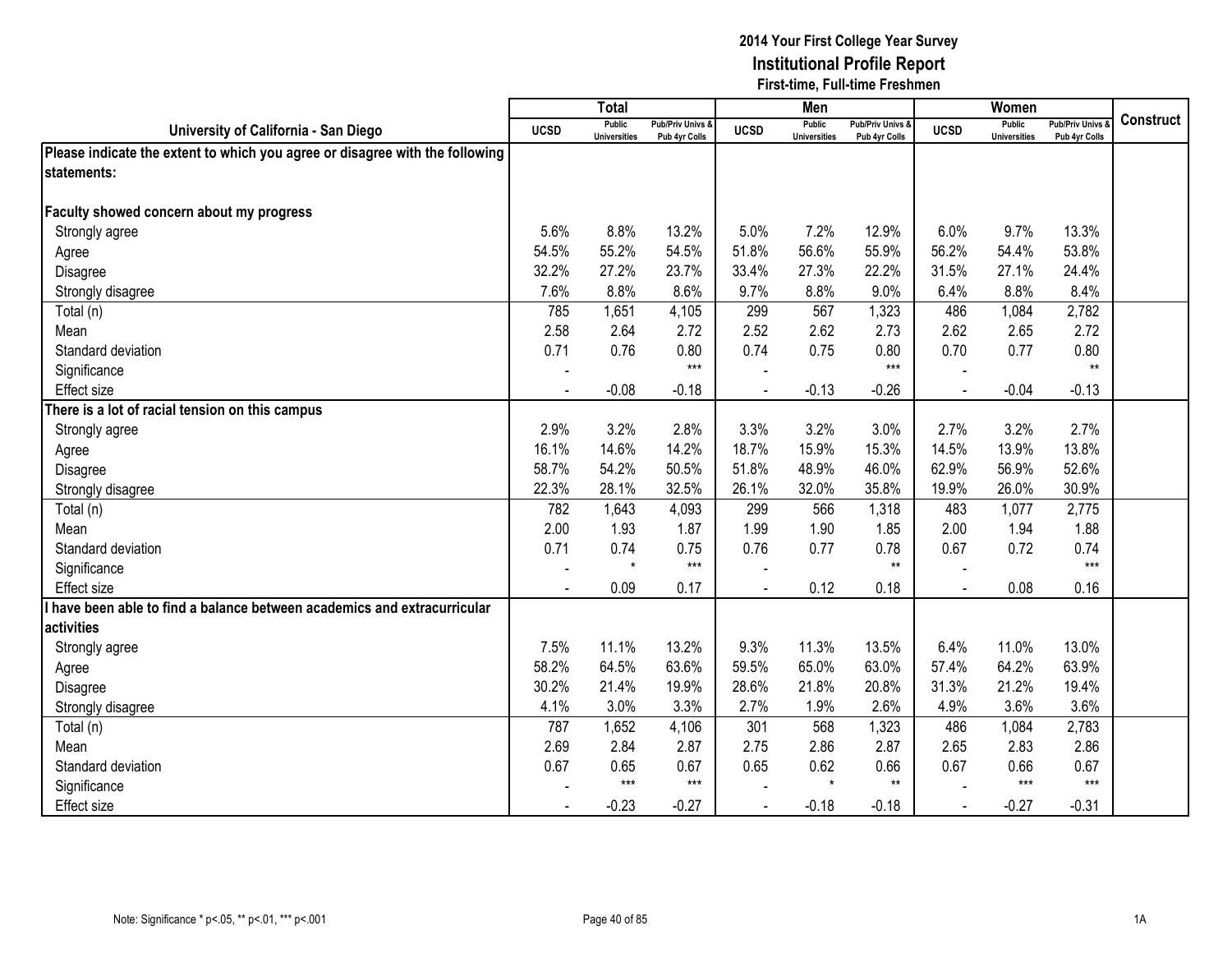|                                                                              |                          | <b>Total</b>                         |                                              |                | Men                                  |                                   |                | Women                                |                                        |                  |
|------------------------------------------------------------------------------|--------------------------|--------------------------------------|----------------------------------------------|----------------|--------------------------------------|-----------------------------------|----------------|--------------------------------------|----------------------------------------|------------------|
| University of California - San Diego                                         | <b>UCSD</b>              | <b>Public</b><br><b>Universities</b> | <b>Pub/Priv Univs &amp;</b><br>Pub 4yr Colls | <b>UCSD</b>    | <b>Public</b><br><b>Universities</b> | Pub/Priv Univs &<br>Pub 4yr Colls | <b>UCSD</b>    | <b>Public</b><br><b>Universities</b> | <b>Pub/Priv Univs</b><br>Pub 4yr Colls | <b>Construct</b> |
| Please indicate the extent to which you agree or disagree with the following |                          |                                      |                                              |                |                                      |                                   |                |                                      |                                        |                  |
| statements:                                                                  |                          |                                      |                                              |                |                                      |                                   |                |                                      |                                        |                  |
|                                                                              |                          |                                      |                                              |                |                                      |                                   |                |                                      |                                        |                  |
| Faculty showed concern about my progress                                     |                          |                                      |                                              |                |                                      |                                   |                |                                      |                                        |                  |
| Strongly agree                                                               | 5.6%                     | 8.8%                                 | 13.2%                                        | 5.0%           | 7.2%                                 | 12.9%                             | 6.0%           | 9.7%                                 | 13.3%                                  |                  |
| Agree                                                                        | 54.5%                    | 55.2%                                | 54.5%                                        | 51.8%          | 56.6%                                | 55.9%                             | 56.2%          | 54.4%                                | 53.8%                                  |                  |
| Disagree                                                                     | 32.2%                    | 27.2%                                | 23.7%                                        | 33.4%          | 27.3%                                | 22.2%                             | 31.5%          | 27.1%                                | 24.4%                                  |                  |
| Strongly disagree                                                            | 7.6%                     | 8.8%                                 | 8.6%                                         | 9.7%           | 8.8%                                 | 9.0%                              | 6.4%           | 8.8%                                 | 8.4%                                   |                  |
| Total (n)                                                                    | 785                      | 1,651                                | 4,105                                        | 299            | 567                                  | 1,323                             | 486            | 1,084                                | 2,782                                  |                  |
| Mean                                                                         | 2.58                     | 2.64                                 | 2.72                                         | 2.52           | 2.62                                 | 2.73                              | 2.62           | 2.65                                 | 2.72                                   |                  |
| Standard deviation                                                           | 0.71                     | 0.76                                 | 0.80                                         | 0.74           | 0.75                                 | 0.80                              | 0.70           | 0.77                                 | 0.80                                   |                  |
| Significance                                                                 | $\blacksquare$           |                                      | $***$                                        |                |                                      | $***$                             |                |                                      | $***$                                  |                  |
| Effect size                                                                  | $\overline{\phantom{a}}$ | $-0.08$                              | $-0.18$                                      | $\blacksquare$ | $-0.13$                              | $-0.26$                           | $\blacksquare$ | $-0.04$                              | $-0.13$                                |                  |
| There is a lot of racial tension on this campus                              |                          |                                      |                                              |                |                                      |                                   |                |                                      |                                        |                  |
| Strongly agree                                                               | 2.9%                     | 3.2%                                 | 2.8%                                         | 3.3%           | 3.2%                                 | 3.0%                              | 2.7%           | 3.2%                                 | 2.7%                                   |                  |
| Agree                                                                        | 16.1%                    | 14.6%                                | 14.2%                                        | 18.7%          | 15.9%                                | 15.3%                             | 14.5%          | 13.9%                                | 13.8%                                  |                  |
| Disagree                                                                     | 58.7%                    | 54.2%                                | 50.5%                                        | 51.8%          | 48.9%                                | 46.0%                             | 62.9%          | 56.9%                                | 52.6%                                  |                  |
| Strongly disagree                                                            | 22.3%                    | 28.1%                                | 32.5%                                        | 26.1%          | 32.0%                                | 35.8%                             | 19.9%          | 26.0%                                | 30.9%                                  |                  |
| Total (n)                                                                    | 782                      | 1,643                                | 4,093                                        | 299            | 566                                  | 1,318                             | 483            | 1,077                                | 2,775                                  |                  |
| Mean                                                                         | 2.00                     | 1.93                                 | 1.87                                         | 1.99           | 1.90                                 | 1.85                              | 2.00           | 1.94                                 | 1.88                                   |                  |
| Standard deviation                                                           | 0.71                     | 0.74                                 | 0.75                                         | 0.76           | 0.77                                 | 0.78                              | 0.67           | 0.72                                 | 0.74                                   |                  |
| Significance                                                                 | $\blacksquare$           | $\star$                              | $***$                                        |                |                                      | $**$                              |                |                                      | $***$                                  |                  |
| <b>Effect size</b>                                                           |                          | 0.09                                 | 0.17                                         |                | 0.12                                 | 0.18                              | $\overline{a}$ | 0.08                                 | 0.16                                   |                  |
| have been able to find a balance between academics and extracurricular       |                          |                                      |                                              |                |                                      |                                   |                |                                      |                                        |                  |
| activities                                                                   |                          |                                      |                                              |                |                                      |                                   |                |                                      |                                        |                  |
| Strongly agree                                                               | 7.5%                     | 11.1%                                | 13.2%                                        | 9.3%           | 11.3%                                | 13.5%                             | 6.4%           | 11.0%                                | 13.0%                                  |                  |
| Agree                                                                        | 58.2%                    | 64.5%                                | 63.6%                                        | 59.5%          | 65.0%                                | 63.0%                             | 57.4%          | 64.2%                                | 63.9%                                  |                  |
| Disagree                                                                     | 30.2%                    | 21.4%                                | 19.9%                                        | 28.6%          | 21.8%                                | 20.8%                             | 31.3%          | 21.2%                                | 19.4%                                  |                  |
| Strongly disagree                                                            | 4.1%                     | 3.0%                                 | 3.3%                                         | 2.7%           | 1.9%                                 | 2.6%                              | 4.9%           | 3.6%                                 | 3.6%                                   |                  |
| Total (n)                                                                    | 787                      | 1,652                                | 4,106                                        | 301            | 568                                  | 1,323                             | 486            | 1,084                                | 2,783                                  |                  |
| Mean                                                                         | 2.69                     | 2.84                                 | 2.87                                         | 2.75           | 2.86                                 | 2.87                              | 2.65           | 2.83                                 | 2.86                                   |                  |
| Standard deviation                                                           | 0.67                     | 0.65                                 | 0.67                                         | 0.65           | 0.62                                 | 0.66                              | 0.67           | 0.66                                 | 0.67                                   |                  |
| Significance                                                                 |                          | $***$                                | $***$                                        |                | $\star$                              | $***$                             |                | $***$                                | $***$                                  |                  |
| <b>Effect size</b>                                                           |                          | $-0.23$                              | $-0.27$                                      | $\blacksquare$ | $-0.18$                              | $-0.18$                           | $\sim$         | $-0.27$                              | $-0.31$                                |                  |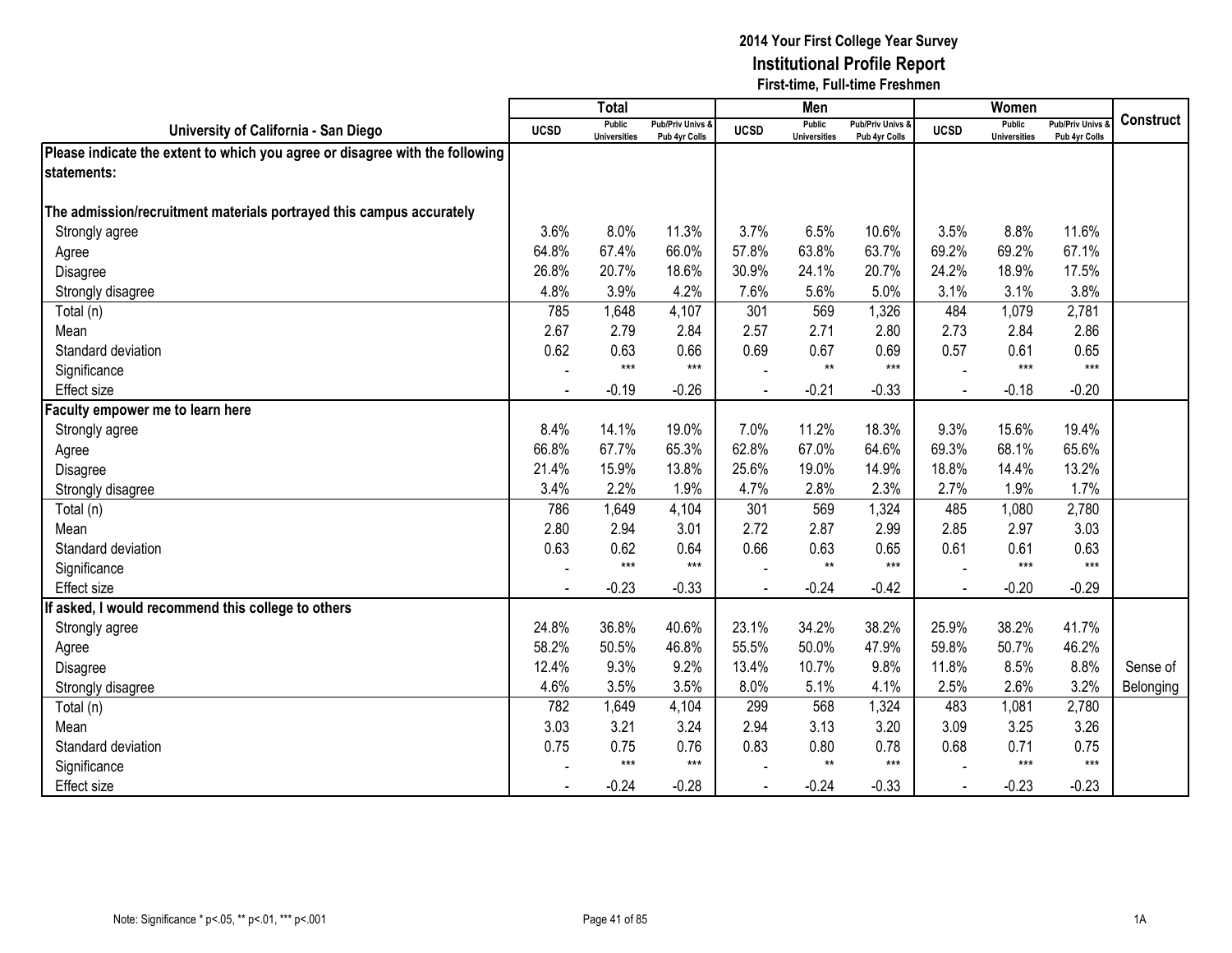|                                                                              |             | <b>Total</b>                         |                                   |             | Men                                  |                                   |                | Women                                |                                        |                  |
|------------------------------------------------------------------------------|-------------|--------------------------------------|-----------------------------------|-------------|--------------------------------------|-----------------------------------|----------------|--------------------------------------|----------------------------------------|------------------|
| University of California - San Diego                                         | <b>UCSD</b> | <b>Public</b><br><b>Universities</b> | Pub/Priv Univs &<br>Pub 4yr Colls | <b>UCSD</b> | <b>Public</b><br><b>Universities</b> | Pub/Priv Univs &<br>Pub 4yr Colls | <b>UCSD</b>    | <b>Public</b><br><b>Universities</b> | <b>Pub/Priv Univs</b><br>Pub 4yr Colls | <b>Construct</b> |
| Please indicate the extent to which you agree or disagree with the following |             |                                      |                                   |             |                                      |                                   |                |                                      |                                        |                  |
| statements:                                                                  |             |                                      |                                   |             |                                      |                                   |                |                                      |                                        |                  |
|                                                                              |             |                                      |                                   |             |                                      |                                   |                |                                      |                                        |                  |
| The admission/recruitment materials portrayed this campus accurately         |             |                                      |                                   |             |                                      |                                   |                |                                      |                                        |                  |
| Strongly agree                                                               | 3.6%        | 8.0%                                 | 11.3%                             | 3.7%        | 6.5%                                 | 10.6%                             | 3.5%           | 8.8%                                 | 11.6%                                  |                  |
| Agree                                                                        | 64.8%       | 67.4%                                | 66.0%                             | 57.8%       | 63.8%                                | 63.7%                             | 69.2%          | 69.2%                                | 67.1%                                  |                  |
| Disagree                                                                     | 26.8%       | 20.7%                                | 18.6%                             | 30.9%       | 24.1%                                | 20.7%                             | 24.2%          | 18.9%                                | 17.5%                                  |                  |
| Strongly disagree                                                            | 4.8%        | 3.9%                                 | 4.2%                              | 7.6%        | 5.6%                                 | 5.0%                              | 3.1%           | 3.1%                                 | 3.8%                                   |                  |
| Total (n)                                                                    | 785         | 1,648                                | 4,107                             | 301         | 569                                  | 1,326                             | 484            | 1,079                                | 2,781                                  |                  |
| Mean                                                                         | 2.67        | 2.79                                 | 2.84                              | 2.57        | 2.71                                 | 2.80                              | 2.73           | 2.84                                 | 2.86                                   |                  |
| Standard deviation                                                           | 0.62        | 0.63                                 | 0.66                              | 0.69        | 0.67                                 | 0.69                              | 0.57           | 0.61                                 | 0.65                                   |                  |
| Significance                                                                 |             | $***$                                | $***$                             |             | $^{\star\star}$                      | $***$                             |                | $***$                                | $***$                                  |                  |
| <b>Effect size</b>                                                           |             | $-0.19$                              | $-0.26$                           |             | $-0.21$                              | $-0.33$                           | $\blacksquare$ | $-0.18$                              | $-0.20$                                |                  |
| aculty empower me to learn here                                              |             |                                      |                                   |             |                                      |                                   |                |                                      |                                        |                  |
| Strongly agree                                                               | 8.4%        | 14.1%                                | 19.0%                             | 7.0%        | 11.2%                                | 18.3%                             | 9.3%           | 15.6%                                | 19.4%                                  |                  |
| Agree                                                                        | 66.8%       | 67.7%                                | 65.3%                             | 62.8%       | 67.0%                                | 64.6%                             | 69.3%          | 68.1%                                | 65.6%                                  |                  |
| Disagree                                                                     | 21.4%       | 15.9%                                | 13.8%                             | 25.6%       | 19.0%                                | 14.9%                             | 18.8%          | 14.4%                                | 13.2%                                  |                  |
| Strongly disagree                                                            | 3.4%        | 2.2%                                 | 1.9%                              | 4.7%        | 2.8%                                 | 2.3%                              | 2.7%           | 1.9%                                 | 1.7%                                   |                  |
| Total (n)                                                                    | 786         | 1,649                                | 4,104                             | 301         | 569                                  | 1,324                             | 485            | 1,080                                | 2,780                                  |                  |
| Mean                                                                         | 2.80        | 2.94                                 | 3.01                              | 2.72        | 2.87                                 | 2.99                              | 2.85           | 2.97                                 | 3.03                                   |                  |
| Standard deviation                                                           | 0.63        | 0.62                                 | 0.64                              | 0.66        | 0.63                                 | 0.65                              | 0.61           | 0.61                                 | 0.63                                   |                  |
| Significance                                                                 |             | $***$                                | $***$                             |             | $***$                                | $***$                             |                | $***$                                | $***$                                  |                  |
| <b>Effect size</b>                                                           |             | $-0.23$                              | $-0.33$                           |             | $-0.24$                              | $-0.42$                           |                | $-0.20$                              | $-0.29$                                |                  |
| If asked, I would recommend this college to others                           |             |                                      |                                   |             |                                      |                                   |                |                                      |                                        |                  |
| Strongly agree                                                               | 24.8%       | 36.8%                                | 40.6%                             | 23.1%       | 34.2%                                | 38.2%                             | 25.9%          | 38.2%                                | 41.7%                                  |                  |
| Agree                                                                        | 58.2%       | 50.5%                                | 46.8%                             | 55.5%       | 50.0%                                | 47.9%                             | 59.8%          | 50.7%                                | 46.2%                                  |                  |
| Disagree                                                                     | 12.4%       | 9.3%                                 | 9.2%                              | 13.4%       | 10.7%                                | 9.8%                              | 11.8%          | 8.5%                                 | 8.8%                                   | Sense of         |
| Strongly disagree                                                            | 4.6%        | 3.5%                                 | 3.5%                              | 8.0%        | 5.1%                                 | 4.1%                              | 2.5%           | 2.6%                                 | 3.2%                                   | Belonging        |
| Total (n)                                                                    | 782         | 1,649                                | 4,104                             | 299         | 568                                  | 1,324                             | 483            | 1,081                                | 2,780                                  |                  |
| Mean                                                                         | 3.03        | 3.21                                 | 3.24                              | 2.94        | 3.13                                 | 3.20                              | 3.09           | 3.25                                 | 3.26                                   |                  |
| Standard deviation                                                           | 0.75        | 0.75                                 | 0.76                              | 0.83        | 0.80                                 | 0.78                              | 0.68           | 0.71                                 | 0.75                                   |                  |
| Significance                                                                 |             | $***$                                | $***$                             |             | $**$                                 | $***$                             |                | $***$                                | $***$                                  |                  |
| <b>Effect size</b>                                                           |             | $-0.24$                              | $-0.28$                           |             | $-0.24$                              | $-0.33$                           |                | $-0.23$                              | $-0.23$                                |                  |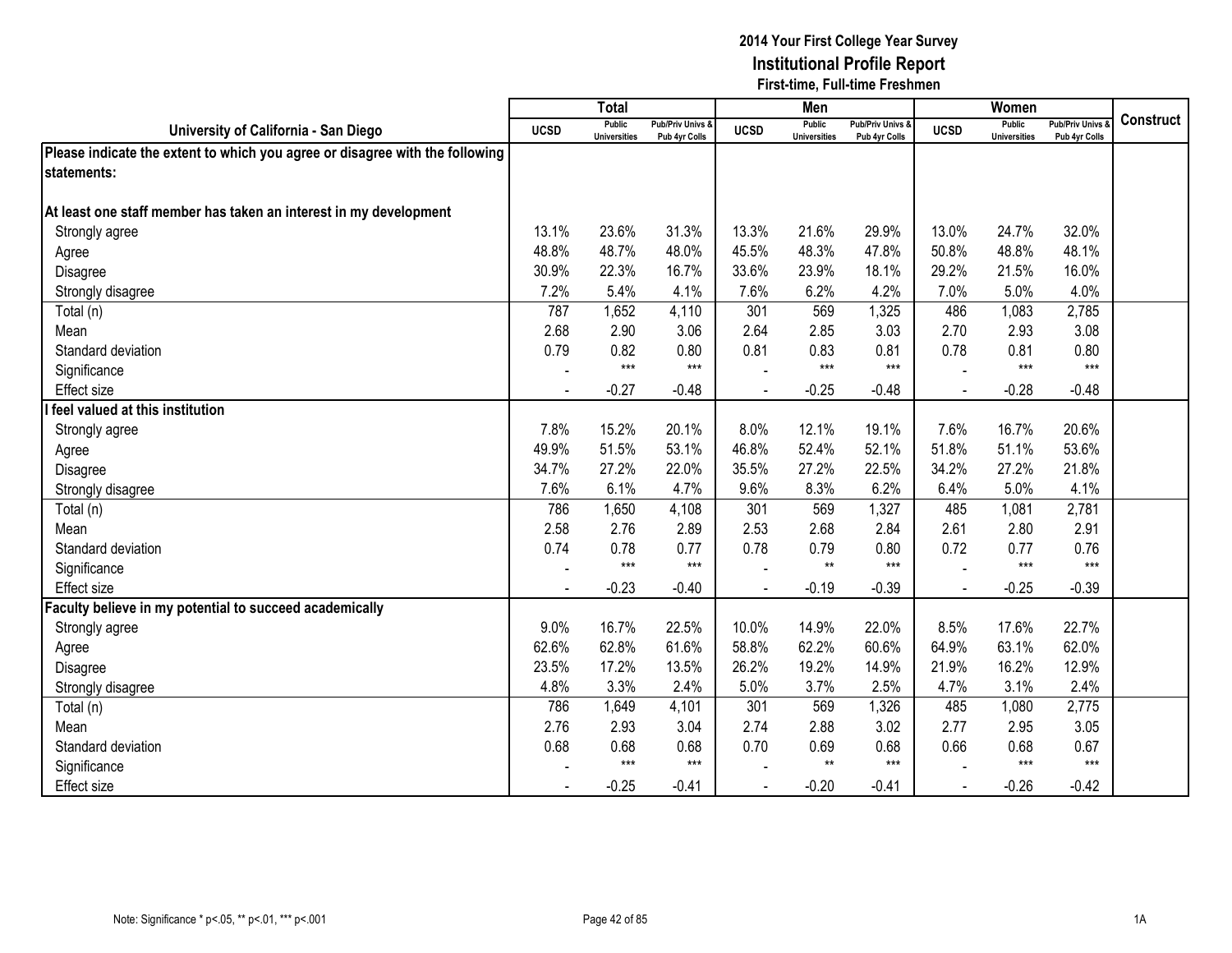|                                                                              |             | <b>Total</b>                         |                                   |             | Men                                  |                                   |             | Women                                |                                        |                  |
|------------------------------------------------------------------------------|-------------|--------------------------------------|-----------------------------------|-------------|--------------------------------------|-----------------------------------|-------------|--------------------------------------|----------------------------------------|------------------|
| University of California - San Diego                                         | <b>UCSD</b> | <b>Public</b><br><b>Universities</b> | Pub/Priv Univs &<br>Pub 4yr Colls | <b>UCSD</b> | <b>Public</b><br><b>Universities</b> | Pub/Priv Univs &<br>Pub 4yr Colls | <b>UCSD</b> | <b>Public</b><br><b>Universities</b> | <b>Pub/Priv Univs</b><br>Pub 4yr Colls | <b>Construct</b> |
| Please indicate the extent to which you agree or disagree with the following |             |                                      |                                   |             |                                      |                                   |             |                                      |                                        |                  |
| statements:                                                                  |             |                                      |                                   |             |                                      |                                   |             |                                      |                                        |                  |
|                                                                              |             |                                      |                                   |             |                                      |                                   |             |                                      |                                        |                  |
| At least one staff member has taken an interest in my development            |             |                                      |                                   |             |                                      |                                   |             |                                      |                                        |                  |
| Strongly agree                                                               | 13.1%       | 23.6%                                | 31.3%                             | 13.3%       | 21.6%                                | 29.9%                             | 13.0%       | 24.7%                                | 32.0%                                  |                  |
| Agree                                                                        | 48.8%       | 48.7%                                | 48.0%                             | 45.5%       | 48.3%                                | 47.8%                             | 50.8%       | 48.8%                                | 48.1%                                  |                  |
| Disagree                                                                     | 30.9%       | 22.3%                                | 16.7%                             | 33.6%       | 23.9%                                | 18.1%                             | 29.2%       | 21.5%                                | 16.0%                                  |                  |
| Strongly disagree                                                            | 7.2%        | 5.4%                                 | 4.1%                              | 7.6%        | 6.2%                                 | 4.2%                              | 7.0%        | 5.0%                                 | 4.0%                                   |                  |
| Total (n)                                                                    | 787         | 1,652                                | 4,110                             | 301         | 569                                  | 1,325                             | 486         | 1,083                                | 2,785                                  |                  |
| Mean                                                                         | 2.68        | 2.90                                 | 3.06                              | 2.64        | 2.85                                 | 3.03                              | 2.70        | 2.93                                 | 3.08                                   |                  |
| Standard deviation                                                           | 0.79        | 0.82                                 | 0.80                              | 0.81        | 0.83                                 | 0.81                              | 0.78        | 0.81                                 | 0.80                                   |                  |
| Significance                                                                 |             | $***$                                | $***$                             |             | $***$                                | $***$                             |             | $***$                                | $***$                                  |                  |
| <b>Effect size</b>                                                           |             | $-0.27$                              | $-0.48$                           |             | $-0.25$                              | $-0.48$                           |             | $-0.28$                              | $-0.48$                                |                  |
| feel valued at this institution                                              |             |                                      |                                   |             |                                      |                                   |             |                                      |                                        |                  |
| Strongly agree                                                               | 7.8%        | 15.2%                                | 20.1%                             | 8.0%        | 12.1%                                | 19.1%                             | 7.6%        | 16.7%                                | 20.6%                                  |                  |
| Agree                                                                        | 49.9%       | 51.5%                                | 53.1%                             | 46.8%       | 52.4%                                | 52.1%                             | 51.8%       | 51.1%                                | 53.6%                                  |                  |
| Disagree                                                                     | 34.7%       | 27.2%                                | 22.0%                             | 35.5%       | 27.2%                                | 22.5%                             | 34.2%       | 27.2%                                | 21.8%                                  |                  |
| Strongly disagree                                                            | 7.6%        | 6.1%                                 | 4.7%                              | 9.6%        | 8.3%                                 | 6.2%                              | 6.4%        | 5.0%                                 | 4.1%                                   |                  |
| Total (n)                                                                    | 786         | 1,650                                | 4,108                             | 301         | 569                                  | 1,327                             | 485         | 1,081                                | 2,781                                  |                  |
| Mean                                                                         | 2.58        | 2.76                                 | 2.89                              | 2.53        | 2.68                                 | 2.84                              | 2.61        | 2.80                                 | 2.91                                   |                  |
| Standard deviation                                                           | 0.74        | 0.78                                 | 0.77                              | 0.78        | 0.79                                 | 0.80                              | 0.72        | 0.77                                 | 0.76                                   |                  |
| Significance                                                                 |             | $***$                                | $***$                             |             | $**$                                 | $***$                             |             | $***$                                | $***$                                  |                  |
| Effect size                                                                  |             | $-0.23$                              | $-0.40$                           |             | $-0.19$                              | $-0.39$                           |             | $-0.25$                              | $-0.39$                                |                  |
| Faculty believe in my potential to succeed academically                      |             |                                      |                                   |             |                                      |                                   |             |                                      |                                        |                  |
| Strongly agree                                                               | 9.0%        | 16.7%                                | 22.5%                             | 10.0%       | 14.9%                                | 22.0%                             | 8.5%        | 17.6%                                | 22.7%                                  |                  |
| Agree                                                                        | 62.6%       | 62.8%                                | 61.6%                             | 58.8%       | 62.2%                                | 60.6%                             | 64.9%       | 63.1%                                | 62.0%                                  |                  |
| Disagree                                                                     | 23.5%       | 17.2%                                | 13.5%                             | 26.2%       | 19.2%                                | 14.9%                             | 21.9%       | 16.2%                                | 12.9%                                  |                  |
| Strongly disagree                                                            | 4.8%        | 3.3%                                 | 2.4%                              | 5.0%        | 3.7%                                 | 2.5%                              | 4.7%        | 3.1%                                 | 2.4%                                   |                  |
| Total (n)                                                                    | 786         | 1,649                                | 4,101                             | 301         | 569                                  | 1,326                             | 485         | 1,080                                | 2,775                                  |                  |
| Mean                                                                         | 2.76        | 2.93                                 | 3.04                              | 2.74        | 2.88                                 | 3.02                              | 2.77        | 2.95                                 | 3.05                                   |                  |
| Standard deviation                                                           | 0.68        | 0.68                                 | 0.68                              | 0.70        | 0.69                                 | 0.68                              | 0.66        | 0.68                                 | 0.67                                   |                  |
| Significance                                                                 |             | $***$                                | $***$                             |             | $**$                                 | $***$                             |             | $***$                                | $***$                                  |                  |
| <b>Effect size</b>                                                           |             | $-0.25$                              | $-0.41$                           |             | $-0.20$                              | $-0.41$                           |             | $-0.26$                              | $-0.42$                                |                  |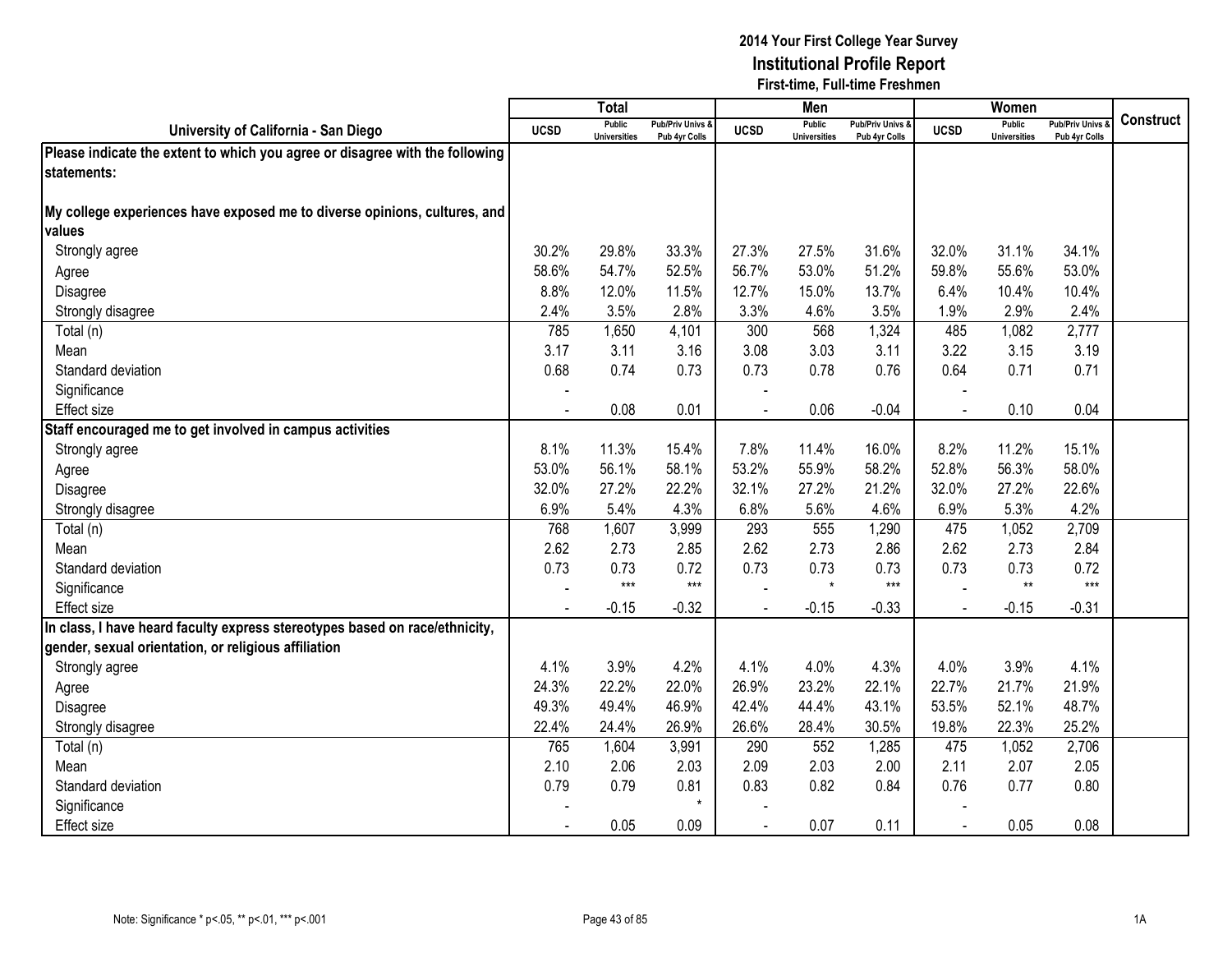|                                                                              |                | <b>Total</b>                         |                                   |                | Men                                  |                                   |                | Women                                |                                        |           |
|------------------------------------------------------------------------------|----------------|--------------------------------------|-----------------------------------|----------------|--------------------------------------|-----------------------------------|----------------|--------------------------------------|----------------------------------------|-----------|
| University of California - San Diego                                         | <b>UCSD</b>    | <b>Public</b><br><b>Universities</b> | Pub/Priv Univs &<br>Pub 4yr Colls | <b>UCSD</b>    | <b>Public</b><br><b>Universities</b> | Pub/Priv Univs &<br>Pub 4yr Colls | <b>UCSD</b>    | <b>Public</b><br><b>Universities</b> | <b>Pub/Priv Univs</b><br>Pub 4yr Colls | Construct |
| Please indicate the extent to which you agree or disagree with the following |                |                                      |                                   |                |                                      |                                   |                |                                      |                                        |           |
| statements:                                                                  |                |                                      |                                   |                |                                      |                                   |                |                                      |                                        |           |
|                                                                              |                |                                      |                                   |                |                                      |                                   |                |                                      |                                        |           |
| My college experiences have exposed me to diverse opinions, cultures, and    |                |                                      |                                   |                |                                      |                                   |                |                                      |                                        |           |
| values                                                                       |                |                                      |                                   |                |                                      |                                   |                |                                      |                                        |           |
| Strongly agree                                                               | 30.2%          | 29.8%                                | 33.3%                             | 27.3%          | 27.5%                                | 31.6%                             | 32.0%          | 31.1%                                | 34.1%                                  |           |
| Agree                                                                        | 58.6%          | 54.7%                                | 52.5%                             | 56.7%          | 53.0%                                | 51.2%                             | 59.8%          | 55.6%                                | 53.0%                                  |           |
| Disagree                                                                     | 8.8%           | 12.0%                                | 11.5%                             | 12.7%          | 15.0%                                | 13.7%                             | 6.4%           | 10.4%                                | 10.4%                                  |           |
| Strongly disagree                                                            | 2.4%           | 3.5%                                 | 2.8%                              | 3.3%           | 4.6%                                 | 3.5%                              | 1.9%           | 2.9%                                 | 2.4%                                   |           |
| Total (n)                                                                    | 785            | 1,650                                | 4,101                             | 300            | 568                                  | 1,324                             | 485            | 1,082                                | 2,777                                  |           |
| Mean                                                                         | 3.17           | 3.11                                 | 3.16                              | 3.08           | 3.03                                 | 3.11                              | 3.22           | 3.15                                 | 3.19                                   |           |
| Standard deviation                                                           | 0.68           | 0.74                                 | 0.73                              | 0.73           | 0.78                                 | 0.76                              | 0.64           | 0.71                                 | 0.71                                   |           |
| Significance                                                                 |                |                                      |                                   |                |                                      |                                   |                |                                      |                                        |           |
| <b>Effect size</b>                                                           | $\overline{a}$ | 0.08                                 | 0.01                              | $\overline{a}$ | 0.06                                 | $-0.04$                           |                | 0.10                                 | 0.04                                   |           |
| Staff encouraged me to get involved in campus activities                     |                |                                      |                                   |                |                                      |                                   |                |                                      |                                        |           |
| Strongly agree                                                               | 8.1%           | 11.3%                                | 15.4%                             | 7.8%           | 11.4%                                | 16.0%                             | 8.2%           | 11.2%                                | 15.1%                                  |           |
| Agree                                                                        | 53.0%          | 56.1%                                | 58.1%                             | 53.2%          | 55.9%                                | 58.2%                             | 52.8%          | 56.3%                                | 58.0%                                  |           |
| Disagree                                                                     | 32.0%          | 27.2%                                | 22.2%                             | 32.1%          | 27.2%                                | 21.2%                             | 32.0%          | 27.2%                                | 22.6%                                  |           |
| Strongly disagree                                                            | 6.9%           | 5.4%                                 | 4.3%                              | 6.8%           | 5.6%                                 | 4.6%                              | 6.9%           | 5.3%                                 | 4.2%                                   |           |
| Total (n)                                                                    | 768            | 1,607                                | 3,999                             | 293            | 555                                  | 1,290                             | 475            | 1,052                                | 2,709                                  |           |
| Mean                                                                         | 2.62           | 2.73                                 | 2.85                              | 2.62           | 2.73                                 | 2.86                              | 2.62           | 2.73                                 | 2.84                                   |           |
| Standard deviation                                                           | 0.73           | 0.73                                 | 0.72                              | 0.73           | 0.73                                 | 0.73                              | 0.73           | 0.73                                 | 0.72                                   |           |
| Significance                                                                 |                | $***$                                | $***$                             |                | $\star$                              | $***$                             |                | $**$                                 | $***$                                  |           |
| <b>Effect size</b>                                                           |                | $-0.15$                              | $-0.32$                           |                | $-0.15$                              | $-0.33$                           | $\overline{a}$ | $-0.15$                              | $-0.31$                                |           |
| In class, I have heard faculty express stereotypes based on race/ethnicity,  |                |                                      |                                   |                |                                      |                                   |                |                                      |                                        |           |
| gender, sexual orientation, or religious affiliation                         |                |                                      |                                   |                |                                      |                                   |                |                                      |                                        |           |
| Strongly agree                                                               | 4.1%           | 3.9%                                 | 4.2%                              | 4.1%           | 4.0%                                 | 4.3%                              | 4.0%           | 3.9%                                 | 4.1%                                   |           |
| Agree                                                                        | 24.3%          | 22.2%                                | 22.0%                             | 26.9%          | 23.2%                                | 22.1%                             | 22.7%          | 21.7%                                | 21.9%                                  |           |
| Disagree                                                                     | 49.3%          | 49.4%                                | 46.9%                             | 42.4%          | 44.4%                                | 43.1%                             | 53.5%          | 52.1%                                | 48.7%                                  |           |
| Strongly disagree                                                            | 22.4%          | 24.4%                                | 26.9%                             | 26.6%          | 28.4%                                | 30.5%                             | 19.8%          | 22.3%                                | 25.2%                                  |           |
| Total (n)                                                                    | 765            | 1,604                                | 3,991                             | 290            | 552                                  | 1,285                             | 475            | 1,052                                | 2,706                                  |           |
| Mean                                                                         | 2.10           | 2.06                                 | 2.03                              | 2.09           | 2.03                                 | 2.00                              | 2.11           | 2.07                                 | 2.05                                   |           |
| Standard deviation                                                           | 0.79           | 0.79                                 | 0.81                              | 0.83           | 0.82                                 | 0.84                              | 0.76           | 0.77                                 | 0.80                                   |           |
| Significance                                                                 |                |                                      | $\star$                           |                |                                      |                                   |                |                                      |                                        |           |
| <b>Effect size</b>                                                           |                | 0.05                                 | 0.09                              |                | 0.07                                 | 0.11                              |                | 0.05                                 | 0.08                                   |           |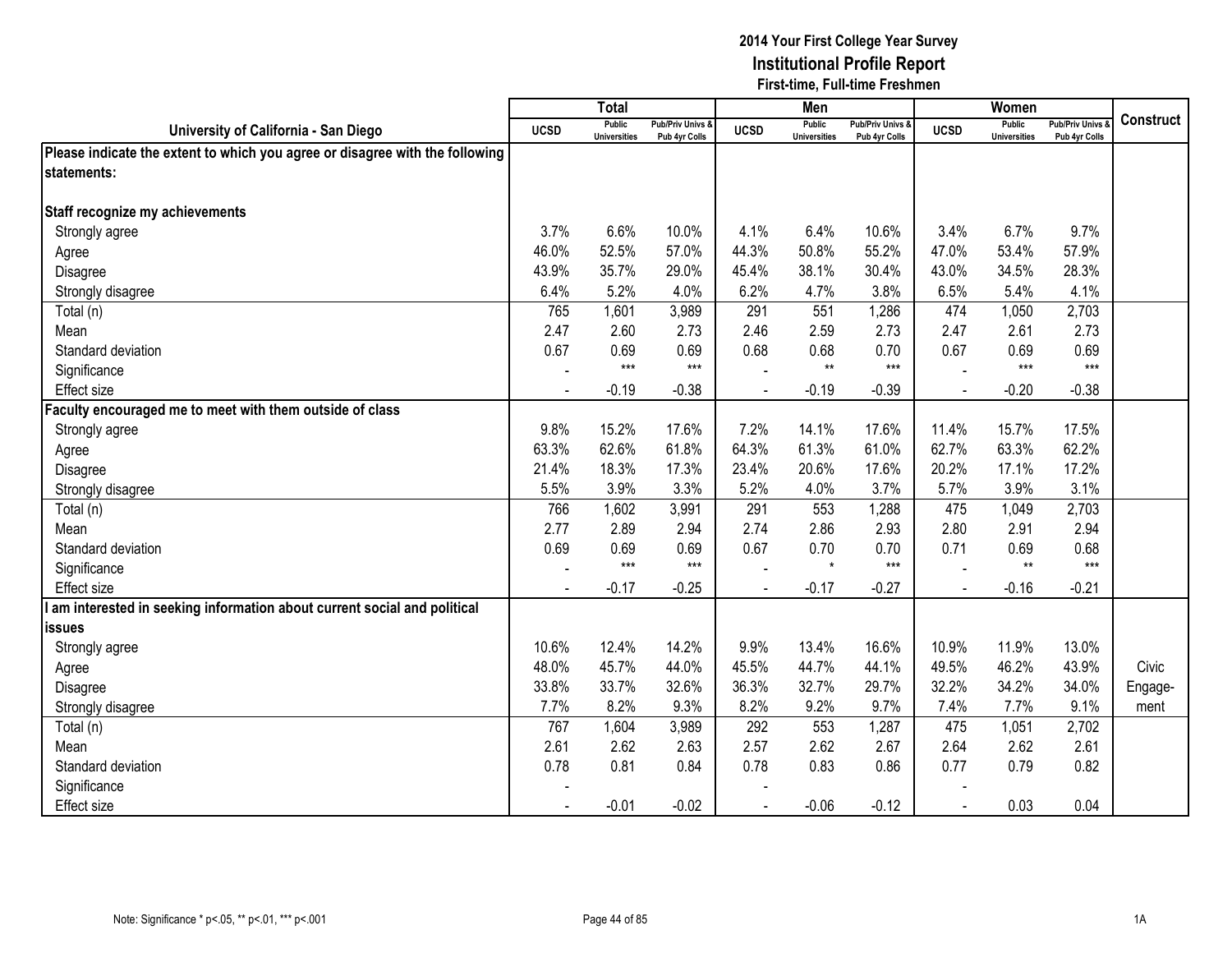|                                                                              |                | <b>Total</b>                         |                                              |                          | Men                                  |                                   |             | Women                                |                                        |                  |
|------------------------------------------------------------------------------|----------------|--------------------------------------|----------------------------------------------|--------------------------|--------------------------------------|-----------------------------------|-------------|--------------------------------------|----------------------------------------|------------------|
| University of California - San Diego                                         | <b>UCSD</b>    | <b>Public</b><br><b>Universities</b> | <b>Pub/Priv Univs &amp;</b><br>Pub 4yr Colls | <b>UCSD</b>              | <b>Public</b><br><b>Universities</b> | Pub/Priv Univs &<br>Pub 4yr Colls | <b>UCSD</b> | <b>Public</b><br><b>Universities</b> | <b>Pub/Priv Univs</b><br>Pub 4yr Colls | <b>Construct</b> |
| Please indicate the extent to which you agree or disagree with the following |                |                                      |                                              |                          |                                      |                                   |             |                                      |                                        |                  |
| statements:                                                                  |                |                                      |                                              |                          |                                      |                                   |             |                                      |                                        |                  |
|                                                                              |                |                                      |                                              |                          |                                      |                                   |             |                                      |                                        |                  |
| Staff recognize my achievements                                              |                |                                      |                                              |                          |                                      |                                   |             |                                      |                                        |                  |
| Strongly agree                                                               | 3.7%           | 6.6%                                 | 10.0%                                        | 4.1%                     | 6.4%                                 | 10.6%                             | 3.4%        | 6.7%                                 | 9.7%                                   |                  |
| Agree                                                                        | 46.0%          | 52.5%                                | 57.0%                                        | 44.3%                    | 50.8%                                | 55.2%                             | 47.0%       | 53.4%                                | 57.9%                                  |                  |
| Disagree                                                                     | 43.9%          | 35.7%                                | 29.0%                                        | 45.4%                    | 38.1%                                | 30.4%                             | 43.0%       | 34.5%                                | 28.3%                                  |                  |
| Strongly disagree                                                            | 6.4%           | 5.2%                                 | 4.0%                                         | 6.2%                     | 4.7%                                 | 3.8%                              | 6.5%        | 5.4%                                 | 4.1%                                   |                  |
| Total (n)                                                                    | 765            | 1,601                                | 3,989                                        | 291                      | 551                                  | 1,286                             | 474         | 1,050                                | 2,703                                  |                  |
| Mean                                                                         | 2.47           | 2.60                                 | 2.73                                         | 2.46                     | 2.59                                 | 2.73                              | 2.47        | 2.61                                 | 2.73                                   |                  |
| Standard deviation                                                           | 0.67           | 0.69                                 | 0.69                                         | 0.68                     | 0.68                                 | 0.70                              | 0.67        | 0.69                                 | 0.69                                   |                  |
| Significance                                                                 |                | $***$                                | $***$                                        |                          | $***$                                | $***$                             |             | $***$                                | $***$                                  |                  |
| <b>Effect size</b>                                                           | $\blacksquare$ | $-0.19$                              | $-0.38$                                      | $\overline{\phantom{a}}$ | $-0.19$                              | $-0.39$                           |             | $-0.20$                              | $-0.38$                                |                  |
| aculty encouraged me to meet with them outside of class                      |                |                                      |                                              |                          |                                      |                                   |             |                                      |                                        |                  |
| Strongly agree                                                               | 9.8%           | 15.2%                                | 17.6%                                        | 7.2%                     | 14.1%                                | 17.6%                             | 11.4%       | 15.7%                                | 17.5%                                  |                  |
| Agree                                                                        | 63.3%          | 62.6%                                | 61.8%                                        | 64.3%                    | 61.3%                                | 61.0%                             | 62.7%       | 63.3%                                | 62.2%                                  |                  |
| Disagree                                                                     | 21.4%          | 18.3%                                | 17.3%                                        | 23.4%                    | 20.6%                                | 17.6%                             | 20.2%       | 17.1%                                | 17.2%                                  |                  |
| Strongly disagree                                                            | 5.5%           | 3.9%                                 | 3.3%                                         | 5.2%                     | 4.0%                                 | 3.7%                              | 5.7%        | 3.9%                                 | 3.1%                                   |                  |
| Total (n)                                                                    | 766            | 1,602                                | 3,991                                        | 291                      | 553                                  | 1,288                             | 475         | 1,049                                | 2,703                                  |                  |
| Mean                                                                         | 2.77           | 2.89                                 | 2.94                                         | 2.74                     | 2.86                                 | 2.93                              | 2.80        | 2.91                                 | 2.94                                   |                  |
| Standard deviation                                                           | 0.69           | 0.69                                 | 0.69                                         | 0.67                     | 0.70                                 | 0.70                              | 0.71        | 0.69                                 | 0.68                                   |                  |
| Significance                                                                 |                | $***$                                | $***$                                        |                          | $\star$                              | $***$                             |             | $**$                                 | $***$                                  |                  |
| <b>Effect size</b>                                                           |                | $-0.17$                              | $-0.25$                                      | $\blacksquare$           | $-0.17$                              | $-0.27$                           |             | $-0.16$                              | $-0.21$                                |                  |
| am interested in seeking information about current social and political      |                |                                      |                                              |                          |                                      |                                   |             |                                      |                                        |                  |
| <i><b>issues</b></i>                                                         |                |                                      |                                              |                          |                                      |                                   |             |                                      |                                        |                  |
| Strongly agree                                                               | 10.6%          | 12.4%                                | 14.2%                                        | 9.9%                     | 13.4%                                | 16.6%                             | 10.9%       | 11.9%                                | 13.0%                                  |                  |
| Agree                                                                        | 48.0%          | 45.7%                                | 44.0%                                        | 45.5%                    | 44.7%                                | 44.1%                             | 49.5%       | 46.2%                                | 43.9%                                  | Civic            |
| Disagree                                                                     | 33.8%          | 33.7%                                | 32.6%                                        | 36.3%                    | 32.7%                                | 29.7%                             | 32.2%       | 34.2%                                | 34.0%                                  | Engage-          |
| Strongly disagree                                                            | 7.7%           | 8.2%                                 | 9.3%                                         | 8.2%                     | 9.2%                                 | 9.7%                              | 7.4%        | 7.7%                                 | 9.1%                                   | ment             |
| Total (n)                                                                    | 767            | 1,604                                | 3,989                                        | 292                      | 553                                  | 1,287                             | 475         | 1,051                                | 2,702                                  |                  |
| Mean                                                                         | 2.61           | 2.62                                 | 2.63                                         | 2.57                     | 2.62                                 | 2.67                              | 2.64        | 2.62                                 | 2.61                                   |                  |
| Standard deviation                                                           | 0.78           | 0.81                                 | 0.84                                         | 0.78                     | 0.83                                 | 0.86                              | 0.77        | 0.79                                 | 0.82                                   |                  |
| Significance                                                                 |                |                                      |                                              |                          |                                      |                                   |             |                                      |                                        |                  |
| Effect size                                                                  | $\blacksquare$ | $-0.01$                              | $-0.02$                                      | $\blacksquare$           | $-0.06$                              | $-0.12$                           | $\sim$      | 0.03                                 | 0.04                                   |                  |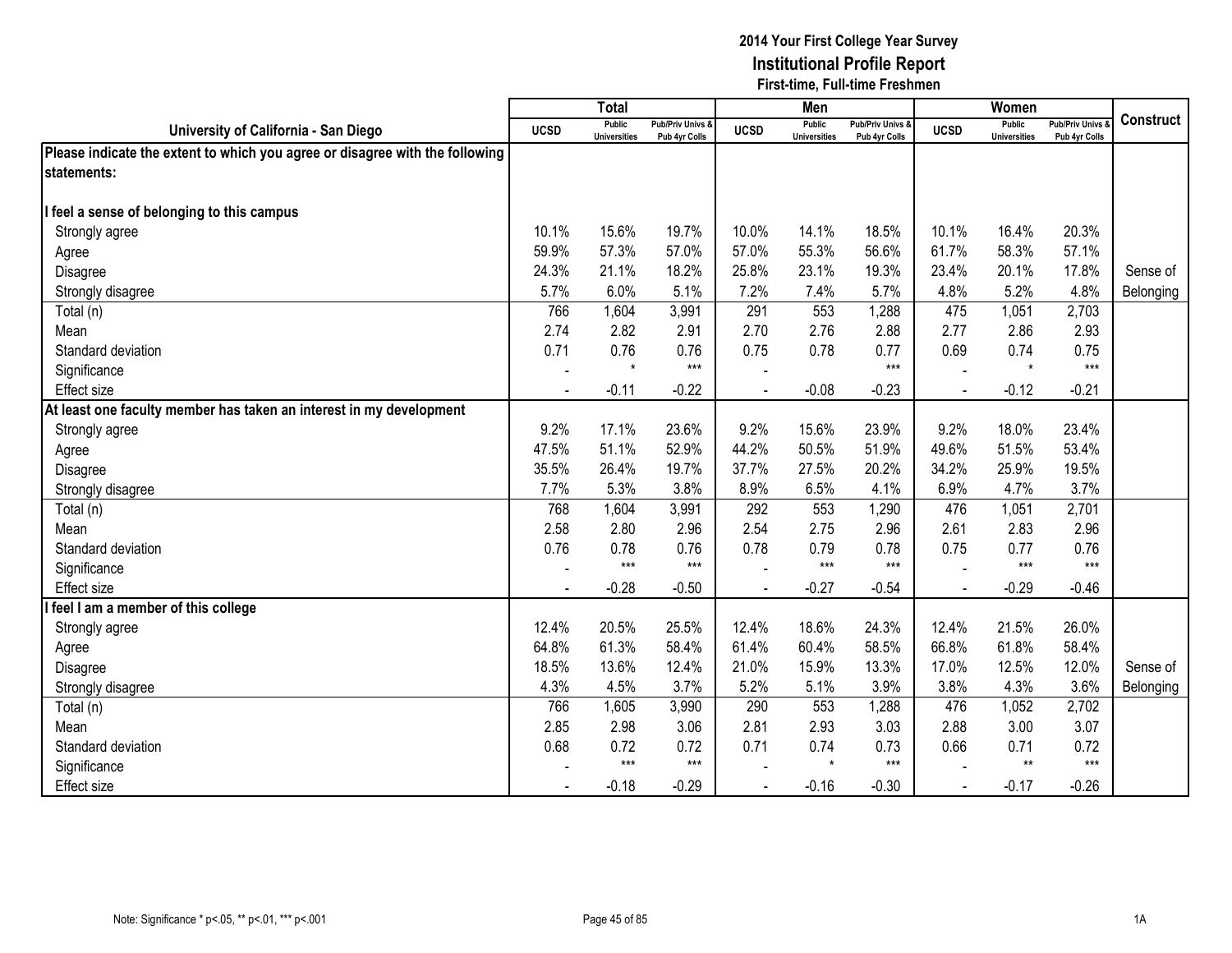|                                                                              |             | <b>Total</b>                         |                                   |             | Men                                  |                                   |                | Women                                |                                        |                  |
|------------------------------------------------------------------------------|-------------|--------------------------------------|-----------------------------------|-------------|--------------------------------------|-----------------------------------|----------------|--------------------------------------|----------------------------------------|------------------|
| University of California - San Diego                                         | <b>UCSD</b> | <b>Public</b><br><b>Universities</b> | Pub/Priv Univs &<br>Pub 4yr Colls | <b>UCSD</b> | <b>Public</b><br><b>Universities</b> | Pub/Priv Univs &<br>Pub 4yr Colls | <b>UCSD</b>    | <b>Public</b><br><b>Universities</b> | <b>Pub/Priv Univs</b><br>Pub 4yr Colls | <b>Construct</b> |
| Please indicate the extent to which you agree or disagree with the following |             |                                      |                                   |             |                                      |                                   |                |                                      |                                        |                  |
| statements:                                                                  |             |                                      |                                   |             |                                      |                                   |                |                                      |                                        |                  |
|                                                                              |             |                                      |                                   |             |                                      |                                   |                |                                      |                                        |                  |
| feel a sense of belonging to this campus                                     |             |                                      |                                   |             |                                      |                                   |                |                                      |                                        |                  |
| Strongly agree                                                               | 10.1%       | 15.6%                                | 19.7%                             | 10.0%       | 14.1%                                | 18.5%                             | 10.1%          | 16.4%                                | 20.3%                                  |                  |
| Agree                                                                        | 59.9%       | 57.3%                                | 57.0%                             | 57.0%       | 55.3%                                | 56.6%                             | 61.7%          | 58.3%                                | 57.1%                                  |                  |
| Disagree                                                                     | 24.3%       | 21.1%                                | 18.2%                             | 25.8%       | 23.1%                                | 19.3%                             | 23.4%          | 20.1%                                | 17.8%                                  | Sense of         |
| Strongly disagree                                                            | 5.7%        | 6.0%                                 | 5.1%                              | 7.2%        | 7.4%                                 | 5.7%                              | 4.8%           | 5.2%                                 | 4.8%                                   | Belonging        |
| Total (n)                                                                    | 766         | 1,604                                | 3,991                             | 291         | 553                                  | 1,288                             | 475            | 1,051                                | 2,703                                  |                  |
| Mean                                                                         | 2.74        | 2.82                                 | 2.91                              | 2.70        | 2.76                                 | 2.88                              | 2.77           | 2.86                                 | 2.93                                   |                  |
| Standard deviation                                                           | 0.71        | 0.76                                 | 0.76                              | 0.75        | 0.78                                 | 0.77                              | 0.69           | 0.74                                 | 0.75                                   |                  |
| Significance                                                                 |             | $\star$                              | $***$                             |             |                                      | $***$                             |                | $\star$                              | $***$                                  |                  |
| <b>Effect size</b>                                                           |             | $-0.11$                              | $-0.22$                           |             | $-0.08$                              | $-0.23$                           | $\blacksquare$ | $-0.12$                              | $-0.21$                                |                  |
| At least one faculty member has taken an interest in my development          |             |                                      |                                   |             |                                      |                                   |                |                                      |                                        |                  |
| Strongly agree                                                               | 9.2%        | 17.1%                                | 23.6%                             | 9.2%        | 15.6%                                | 23.9%                             | 9.2%           | 18.0%                                | 23.4%                                  |                  |
| Agree                                                                        | 47.5%       | 51.1%                                | 52.9%                             | 44.2%       | 50.5%                                | 51.9%                             | 49.6%          | 51.5%                                | 53.4%                                  |                  |
| Disagree                                                                     | 35.5%       | 26.4%                                | 19.7%                             | 37.7%       | 27.5%                                | 20.2%                             | 34.2%          | 25.9%                                | 19.5%                                  |                  |
| Strongly disagree                                                            | 7.7%        | 5.3%                                 | 3.8%                              | 8.9%        | 6.5%                                 | 4.1%                              | 6.9%           | 4.7%                                 | 3.7%                                   |                  |
| Total (n)                                                                    | 768         | 1,604                                | 3,991                             | 292         | 553                                  | 1,290                             | 476            | 1,051                                | 2,701                                  |                  |
| Mean                                                                         | 2.58        | 2.80                                 | 2.96                              | 2.54        | 2.75                                 | 2.96                              | 2.61           | 2.83                                 | 2.96                                   |                  |
| Standard deviation                                                           | 0.76        | 0.78                                 | 0.76                              | 0.78        | 0.79                                 | 0.78                              | 0.75           | 0.77                                 | 0.76                                   |                  |
| Significance                                                                 |             | $***$                                | $***$                             |             | $***$                                | $***$                             |                | $***$                                | $***$                                  |                  |
| <b>Effect size</b>                                                           |             | $-0.28$                              | $-0.50$                           |             | $-0.27$                              | $-0.54$                           |                | $-0.29$                              | $-0.46$                                |                  |
| feel I am a member of this college                                           |             |                                      |                                   |             |                                      |                                   |                |                                      |                                        |                  |
| Strongly agree                                                               | 12.4%       | 20.5%                                | 25.5%                             | 12.4%       | 18.6%                                | 24.3%                             | 12.4%          | 21.5%                                | 26.0%                                  |                  |
| Agree                                                                        | 64.8%       | 61.3%                                | 58.4%                             | 61.4%       | 60.4%                                | 58.5%                             | 66.8%          | 61.8%                                | 58.4%                                  |                  |
| Disagree                                                                     | 18.5%       | 13.6%                                | 12.4%                             | 21.0%       | 15.9%                                | 13.3%                             | 17.0%          | 12.5%                                | 12.0%                                  | Sense of         |
| Strongly disagree                                                            | 4.3%        | 4.5%                                 | 3.7%                              | 5.2%        | 5.1%                                 | 3.9%                              | 3.8%           | 4.3%                                 | 3.6%                                   | Belonging        |
| Total (n)                                                                    | 766         | 1,605                                | 3,990                             | 290         | 553                                  | 1,288                             | 476            | 1,052                                | 2,702                                  |                  |
| Mean                                                                         | 2.85        | 2.98                                 | 3.06                              | 2.81        | 2.93                                 | 3.03                              | 2.88           | 3.00                                 | 3.07                                   |                  |
| Standard deviation                                                           | 0.68        | 0.72                                 | 0.72                              | 0.71        | 0.74                                 | 0.73                              | 0.66           | 0.71                                 | 0.72                                   |                  |
| Significance                                                                 |             | $***$                                | $***$                             |             | $\star$                              | $***$                             |                | $**$                                 | $***$                                  |                  |
| <b>Effect size</b>                                                           |             | $-0.18$                              | $-0.29$                           |             | $-0.16$                              | $-0.30$                           |                | $-0.17$                              | $-0.26$                                |                  |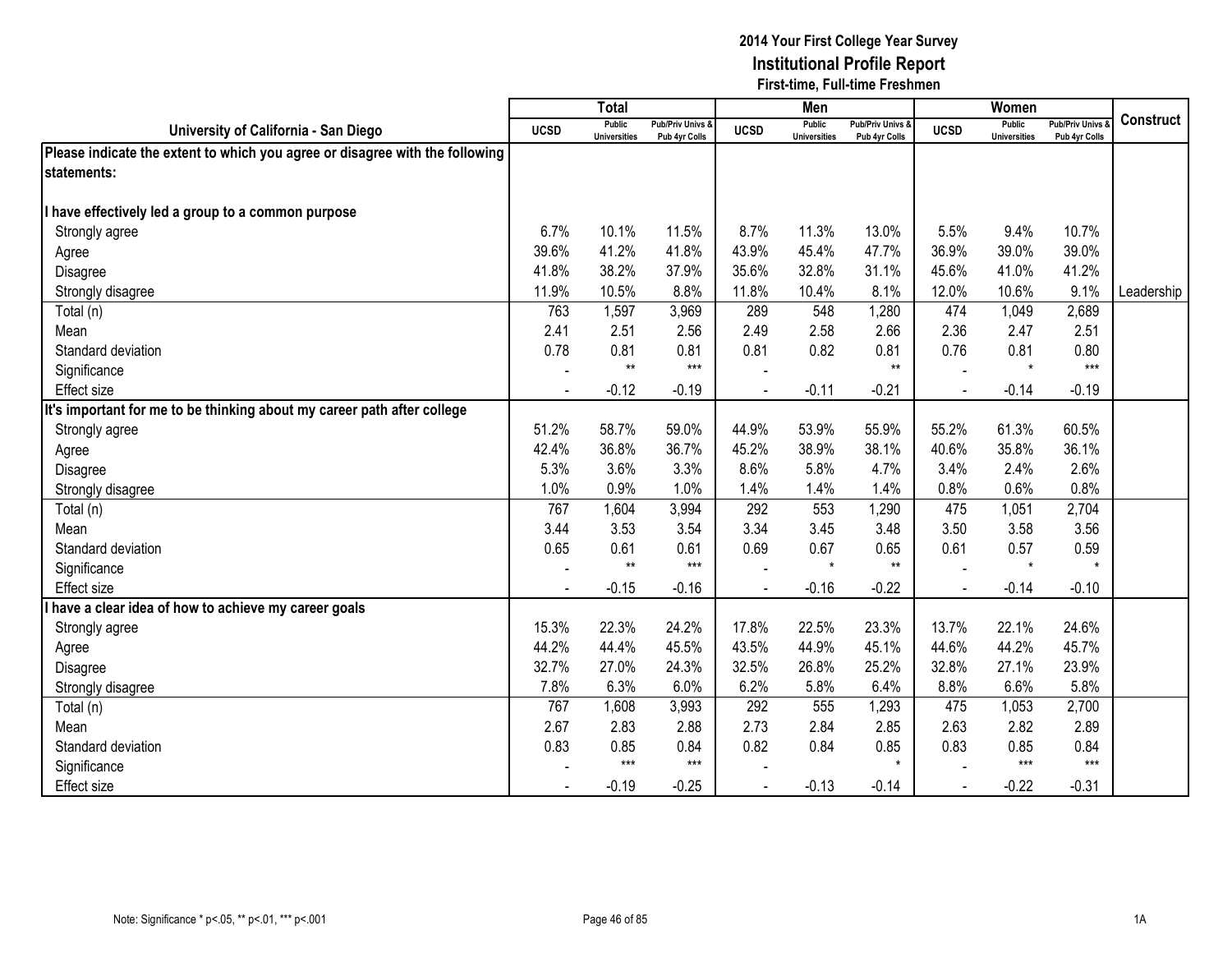|                                                                              |             | <b>Total</b>                         |                                   |             | Men                                  |                                   |             | Women                                |                                        |                  |
|------------------------------------------------------------------------------|-------------|--------------------------------------|-----------------------------------|-------------|--------------------------------------|-----------------------------------|-------------|--------------------------------------|----------------------------------------|------------------|
| University of California - San Diego                                         | <b>UCSD</b> | <b>Public</b><br><b>Universities</b> | Pub/Priv Univs &<br>Pub 4yr Colls | <b>UCSD</b> | <b>Public</b><br><b>Universities</b> | Pub/Priv Univs &<br>Pub 4yr Colls | <b>UCSD</b> | <b>Public</b><br><b>Universities</b> | <b>Pub/Priv Univs</b><br>Pub 4yr Colls | <b>Construct</b> |
| Please indicate the extent to which you agree or disagree with the following |             |                                      |                                   |             |                                      |                                   |             |                                      |                                        |                  |
| statements:                                                                  |             |                                      |                                   |             |                                      |                                   |             |                                      |                                        |                  |
|                                                                              |             |                                      |                                   |             |                                      |                                   |             |                                      |                                        |                  |
| have effectively led a group to a common purpose                             |             |                                      |                                   |             |                                      |                                   |             |                                      |                                        |                  |
| Strongly agree                                                               | 6.7%        | 10.1%                                | 11.5%                             | 8.7%        | 11.3%                                | 13.0%                             | 5.5%        | 9.4%                                 | 10.7%                                  |                  |
| Agree                                                                        | 39.6%       | 41.2%                                | 41.8%                             | 43.9%       | 45.4%                                | 47.7%                             | 36.9%       | 39.0%                                | 39.0%                                  |                  |
| Disagree                                                                     | 41.8%       | 38.2%                                | 37.9%                             | 35.6%       | 32.8%                                | 31.1%                             | 45.6%       | 41.0%                                | 41.2%                                  |                  |
| Strongly disagree                                                            | 11.9%       | 10.5%                                | 8.8%                              | 11.8%       | 10.4%                                | 8.1%                              | 12.0%       | 10.6%                                | 9.1%                                   | Leadership       |
| Total (n)                                                                    | 763         | 1,597                                | 3,969                             | 289         | 548                                  | 1,280                             | 474         | 1,049                                | 2,689                                  |                  |
| Mean                                                                         | 2.41        | 2.51                                 | 2.56                              | 2.49        | 2.58                                 | 2.66                              | 2.36        | 2.47                                 | 2.51                                   |                  |
| Standard deviation                                                           | 0.78        | 0.81                                 | 0.81                              | 0.81        | 0.82                                 | 0.81                              | 0.76        | 0.81                                 | 0.80                                   |                  |
| Significance                                                                 |             | $**$                                 | $***$                             |             |                                      | $***$                             |             | $\star$                              | $***$                                  |                  |
| <b>Effect size</b>                                                           |             | $-0.12$                              | $-0.19$                           |             | $-0.11$                              | $-0.21$                           |             | $-0.14$                              | $-0.19$                                |                  |
| It's important for me to be thinking about my career path after college      |             |                                      |                                   |             |                                      |                                   |             |                                      |                                        |                  |
| Strongly agree                                                               | 51.2%       | 58.7%                                | 59.0%                             | 44.9%       | 53.9%                                | 55.9%                             | 55.2%       | 61.3%                                | 60.5%                                  |                  |
| Agree                                                                        | 42.4%       | 36.8%                                | 36.7%                             | 45.2%       | 38.9%                                | 38.1%                             | 40.6%       | 35.8%                                | 36.1%                                  |                  |
| Disagree                                                                     | 5.3%        | 3.6%                                 | 3.3%                              | 8.6%        | 5.8%                                 | 4.7%                              | 3.4%        | 2.4%                                 | 2.6%                                   |                  |
| Strongly disagree                                                            | 1.0%        | 0.9%                                 | 1.0%                              | 1.4%        | 1.4%                                 | 1.4%                              | 0.8%        | 0.6%                                 | 0.8%                                   |                  |
| Total (n)                                                                    | 767         | 1,604                                | 3,994                             | 292         | 553                                  | 1,290                             | 475         | 1,051                                | 2,704                                  |                  |
| Mean                                                                         | 3.44        | 3.53                                 | 3.54                              | 3.34        | 3.45                                 | 3.48                              | 3.50        | 3.58                                 | 3.56                                   |                  |
| Standard deviation                                                           | 0.65        | 0.61                                 | 0.61                              | 0.69        | 0.67                                 | 0.65                              | 0.61        | 0.57                                 | 0.59                                   |                  |
| Significance                                                                 |             | $**$                                 | $***$                             |             | $\star$                              | $**$                              |             | $\star$                              | $\star$                                |                  |
| <b>Effect size</b>                                                           |             | $-0.15$                              | $-0.16$                           |             | $-0.16$                              | $-0.22$                           |             | $-0.14$                              | $-0.10$                                |                  |
| have a clear idea of how to achieve my career goals                          |             |                                      |                                   |             |                                      |                                   |             |                                      |                                        |                  |
| Strongly agree                                                               | 15.3%       | 22.3%                                | 24.2%                             | 17.8%       | 22.5%                                | 23.3%                             | 13.7%       | 22.1%                                | 24.6%                                  |                  |
| Agree                                                                        | 44.2%       | 44.4%                                | 45.5%                             | 43.5%       | 44.9%                                | 45.1%                             | 44.6%       | 44.2%                                | 45.7%                                  |                  |
| Disagree                                                                     | 32.7%       | 27.0%                                | 24.3%                             | 32.5%       | 26.8%                                | 25.2%                             | 32.8%       | 27.1%                                | 23.9%                                  |                  |
| Strongly disagree                                                            | 7.8%        | 6.3%                                 | 6.0%                              | 6.2%        | 5.8%                                 | 6.4%                              | 8.8%        | 6.6%                                 | 5.8%                                   |                  |
| Total (n)                                                                    | 767         | 1,608                                | 3,993                             | 292         | 555                                  | 1,293                             | 475         | 1,053                                | 2,700                                  |                  |
| Mean                                                                         | 2.67        | 2.83                                 | 2.88                              | 2.73        | 2.84                                 | 2.85                              | 2.63        | 2.82                                 | 2.89                                   |                  |
| Standard deviation                                                           | 0.83        | 0.85                                 | 0.84                              | 0.82        | 0.84                                 | 0.85                              | 0.83        | 0.85                                 | 0.84                                   |                  |
| Significance                                                                 |             | $***$                                | $***$                             |             |                                      | $\star$                           |             | $***$                                | $***$                                  |                  |
| Effect size                                                                  |             | $-0.19$                              | $-0.25$                           |             | $-0.13$                              | $-0.14$                           |             | $-0.22$                              | $-0.31$                                |                  |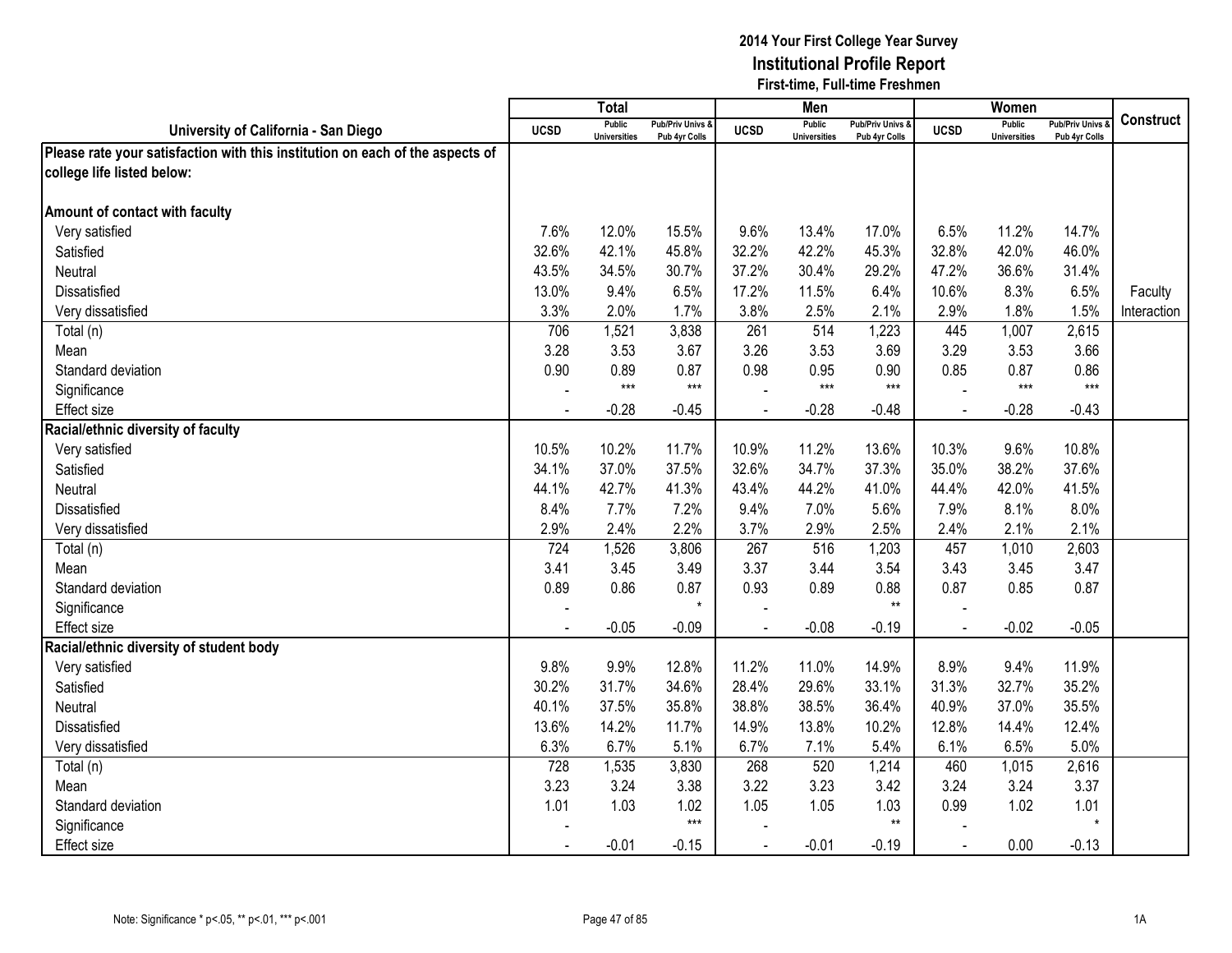|                                                                               |                | Total                                |                                   |                | Men                                  |                                              |                | Women                                |                                        |                  |
|-------------------------------------------------------------------------------|----------------|--------------------------------------|-----------------------------------|----------------|--------------------------------------|----------------------------------------------|----------------|--------------------------------------|----------------------------------------|------------------|
| University of California - San Diego                                          | <b>UCSD</b>    | <b>Public</b><br><b>Universities</b> | Pub/Priv Univs &<br>Pub 4yr Colls | <b>UCSD</b>    | <b>Public</b><br><b>Universities</b> | <b>Pub/Priv Univs &amp;</b><br>Pub 4yr Colls | <b>UCSD</b>    | <b>Public</b><br><b>Universities</b> | <b>Pub/Priv Univs</b><br>Pub 4yr Colls | <b>Construct</b> |
| Please rate your satisfaction with this institution on each of the aspects of |                |                                      |                                   |                |                                      |                                              |                |                                      |                                        |                  |
| college life listed below:                                                    |                |                                      |                                   |                |                                      |                                              |                |                                      |                                        |                  |
|                                                                               |                |                                      |                                   |                |                                      |                                              |                |                                      |                                        |                  |
| Amount of contact with faculty                                                |                |                                      |                                   |                |                                      |                                              |                |                                      |                                        |                  |
| Very satisfied                                                                | 7.6%           | 12.0%                                | 15.5%                             | 9.6%           | 13.4%                                | 17.0%                                        | 6.5%           | 11.2%                                | 14.7%                                  |                  |
| Satisfied                                                                     | 32.6%          | 42.1%                                | 45.8%                             | 32.2%          | 42.2%                                | 45.3%                                        | 32.8%          | 42.0%                                | 46.0%                                  |                  |
| Neutral                                                                       | 43.5%          | 34.5%                                | 30.7%                             | 37.2%          | 30.4%                                | 29.2%                                        | 47.2%          | 36.6%                                | 31.4%                                  |                  |
| Dissatisfied                                                                  | 13.0%          | 9.4%                                 | 6.5%                              | 17.2%          | 11.5%                                | 6.4%                                         | 10.6%          | 8.3%                                 | 6.5%                                   | Faculty          |
| Very dissatisfied                                                             | 3.3%           | 2.0%                                 | 1.7%                              | 3.8%           | 2.5%                                 | 2.1%                                         | 2.9%           | 1.8%                                 | 1.5%                                   | Interaction      |
| Total (n)                                                                     | 706            | 1,521                                | 3,838                             | 261            | 514                                  | 1,223                                        | 445            | 1,007                                | 2,615                                  |                  |
| Mean                                                                          | 3.28           | 3.53                                 | 3.67                              | 3.26           | 3.53                                 | 3.69                                         | 3.29           | 3.53                                 | 3.66                                   |                  |
| Standard deviation                                                            | 0.90           | 0.89                                 | 0.87                              | 0.98           | 0.95                                 | 0.90                                         | 0.85           | 0.87                                 | 0.86                                   |                  |
| Significance                                                                  |                | $***$                                | $***$                             |                | $***$                                | $***$                                        |                | $***$                                | $***$                                  |                  |
| <b>Effect size</b>                                                            |                | $-0.28$                              | $-0.45$                           |                | $-0.28$                              | $-0.48$                                      |                | $-0.28$                              | $-0.43$                                |                  |
| Racial/ethnic diversity of faculty                                            |                |                                      |                                   |                |                                      |                                              |                |                                      |                                        |                  |
| Very satisfied                                                                | 10.5%          | 10.2%                                | 11.7%                             | 10.9%          | 11.2%                                | 13.6%                                        | 10.3%          | 9.6%                                 | 10.8%                                  |                  |
| Satisfied                                                                     | 34.1%          | 37.0%                                | 37.5%                             | 32.6%          | 34.7%                                | 37.3%                                        | 35.0%          | 38.2%                                | 37.6%                                  |                  |
| Neutral                                                                       | 44.1%          | 42.7%                                | 41.3%                             | 43.4%          | 44.2%                                | 41.0%                                        | 44.4%          | 42.0%                                | 41.5%                                  |                  |
| Dissatisfied                                                                  | 8.4%           | 7.7%                                 | 7.2%                              | 9.4%           | 7.0%                                 | 5.6%                                         | 7.9%           | 8.1%                                 | 8.0%                                   |                  |
| Very dissatisfied                                                             | 2.9%           | 2.4%                                 | 2.2%                              | 3.7%           | 2.9%                                 | 2.5%                                         | 2.4%           | 2.1%                                 | 2.1%                                   |                  |
| Total (n)                                                                     | 724            | 1,526                                | 3,806                             | 267            | 516                                  | 1,203                                        | 457            | 1,010                                | 2,603                                  |                  |
| Mean                                                                          | 3.41           | 3.45                                 | 3.49                              | 3.37           | 3.44                                 | 3.54                                         | 3.43           | 3.45                                 | 3.47                                   |                  |
| Standard deviation                                                            | 0.89           | 0.86                                 | 0.87                              | 0.93           | 0.89                                 | 0.88                                         | 0.87           | 0.85                                 | 0.87                                   |                  |
| Significance                                                                  |                |                                      | $\star$                           |                |                                      | $**$                                         |                |                                      |                                        |                  |
| <b>Effect size</b>                                                            |                | $-0.05$                              | $-0.09$                           |                | $-0.08$                              | $-0.19$                                      | $\overline{a}$ | $-0.02$                              | $-0.05$                                |                  |
| Racial/ethnic diversity of student body                                       |                |                                      |                                   |                |                                      |                                              |                |                                      |                                        |                  |
| Very satisfied                                                                | 9.8%           | 9.9%                                 | 12.8%                             | 11.2%          | 11.0%                                | 14.9%                                        | 8.9%           | 9.4%                                 | 11.9%                                  |                  |
| Satisfied                                                                     | 30.2%          | 31.7%                                | 34.6%                             | 28.4%          | 29.6%                                | 33.1%                                        | 31.3%          | 32.7%                                | 35.2%                                  |                  |
| Neutral                                                                       | 40.1%          | 37.5%                                | 35.8%                             | 38.8%          | 38.5%                                | 36.4%                                        | 40.9%          | 37.0%                                | 35.5%                                  |                  |
| <b>Dissatisfied</b>                                                           | 13.6%          | 14.2%                                | 11.7%                             | 14.9%          | 13.8%                                | 10.2%                                        | 12.8%          | 14.4%                                | 12.4%                                  |                  |
| Very dissatisfied                                                             | 6.3%           | 6.7%                                 | 5.1%                              | 6.7%           | 7.1%                                 | 5.4%                                         | 6.1%           | 6.5%                                 | 5.0%                                   |                  |
| Total (n)                                                                     | 728            | 1,535                                | 3,830                             | 268            | 520                                  | 1,214                                        | 460            | 1,015                                | 2,616                                  |                  |
| Mean                                                                          | 3.23           | 3.24                                 | 3.38                              | 3.22           | 3.23                                 | 3.42                                         | 3.24           | 3.24                                 | 3.37                                   |                  |
| Standard deviation                                                            | 1.01           | 1.03                                 | 1.02                              | 1.05           | 1.05                                 | 1.03                                         | 0.99           | 1.02                                 | 1.01                                   |                  |
| Significance                                                                  |                |                                      | $***$                             |                |                                      | $\star\star$                                 |                |                                      |                                        |                  |
| <b>Effect size</b>                                                            | $\blacksquare$ | $-0.01$                              | $-0.15$                           | $\blacksquare$ | $-0.01$                              | $-0.19$                                      | $\blacksquare$ | 0.00                                 | $-0.13$                                |                  |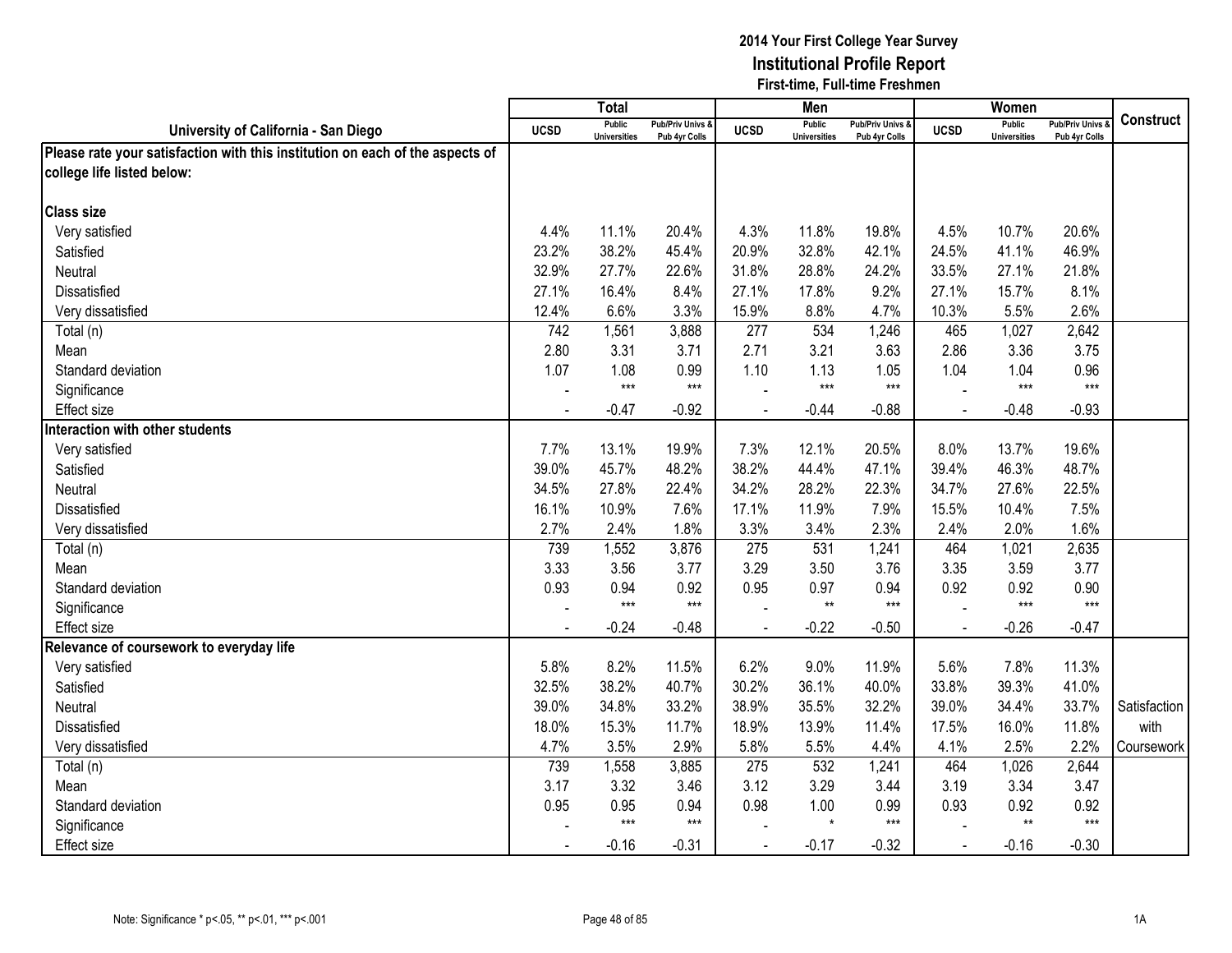|                                                                               |                | Total                                |                                 |             | Men                                  |                                        |             | Women                                |                                        |              |
|-------------------------------------------------------------------------------|----------------|--------------------------------------|---------------------------------|-------------|--------------------------------------|----------------------------------------|-------------|--------------------------------------|----------------------------------------|--------------|
| University of California - San Diego                                          | <b>UCSD</b>    | <b>Public</b><br><b>Universities</b> | Pub/Priv Univs<br>Pub 4yr Colls | <b>UCSD</b> | <b>Public</b><br><b>Universities</b> | <b>Pub/Priv Univs</b><br>Pub 4yr Colls | <b>UCSD</b> | <b>Public</b><br><b>Universities</b> | <b>Pub/Priv Univs</b><br>Pub 4yr Colls | Construct    |
| Please rate your satisfaction with this institution on each of the aspects of |                |                                      |                                 |             |                                      |                                        |             |                                      |                                        |              |
| college life listed below:                                                    |                |                                      |                                 |             |                                      |                                        |             |                                      |                                        |              |
|                                                                               |                |                                      |                                 |             |                                      |                                        |             |                                      |                                        |              |
| <b>Class size</b>                                                             |                |                                      |                                 |             |                                      |                                        |             |                                      |                                        |              |
| Very satisfied                                                                | 4.4%           | 11.1%                                | 20.4%                           | 4.3%        | 11.8%                                | 19.8%                                  | 4.5%        | 10.7%                                | 20.6%                                  |              |
| Satisfied                                                                     | 23.2%          | 38.2%                                | 45.4%                           | 20.9%       | 32.8%                                | 42.1%                                  | 24.5%       | 41.1%                                | 46.9%                                  |              |
| Neutral                                                                       | 32.9%          | 27.7%                                | 22.6%                           | 31.8%       | 28.8%                                | 24.2%                                  | 33.5%       | 27.1%                                | 21.8%                                  |              |
| Dissatisfied                                                                  | 27.1%          | 16.4%                                | 8.4%                            | 27.1%       | 17.8%                                | 9.2%                                   | 27.1%       | 15.7%                                | 8.1%                                   |              |
| Very dissatisfied                                                             | 12.4%          | 6.6%                                 | 3.3%                            | 15.9%       | 8.8%                                 | 4.7%                                   | 10.3%       | 5.5%                                 | 2.6%                                   |              |
| Total (n)                                                                     | 742            | 1,561                                | 3,888                           | 277         | 534                                  | 1,246                                  | 465         | 1,027                                | 2,642                                  |              |
| Mean                                                                          | 2.80           | 3.31                                 | 3.71                            | 2.71        | 3.21                                 | 3.63                                   | 2.86        | 3.36                                 | 3.75                                   |              |
| Standard deviation                                                            | 1.07           | 1.08                                 | 0.99                            | 1.10        | 1.13                                 | 1.05                                   | 1.04        | 1.04                                 | 0.96                                   |              |
| Significance                                                                  |                | $***$                                | $***$                           |             | $***$                                | $***$                                  |             | $***$                                | $***$                                  |              |
| <b>Effect size</b>                                                            |                | $-0.47$                              | $-0.92$                         |             | $-0.44$                              | $-0.88$                                |             | $-0.48$                              | $-0.93$                                |              |
| Interaction with other students                                               |                |                                      |                                 |             |                                      |                                        |             |                                      |                                        |              |
| Very satisfied                                                                | 7.7%           | 13.1%                                | 19.9%                           | 7.3%        | 12.1%                                | 20.5%                                  | 8.0%        | 13.7%                                | 19.6%                                  |              |
| Satisfied                                                                     | 39.0%          | 45.7%                                | 48.2%                           | 38.2%       | 44.4%                                | 47.1%                                  | 39.4%       | 46.3%                                | 48.7%                                  |              |
| Neutral                                                                       | 34.5%          | 27.8%                                | 22.4%                           | 34.2%       | 28.2%                                | 22.3%                                  | 34.7%       | 27.6%                                | 22.5%                                  |              |
| Dissatisfied                                                                  | 16.1%          | 10.9%                                | 7.6%                            | 17.1%       | 11.9%                                | 7.9%                                   | 15.5%       | 10.4%                                | 7.5%                                   |              |
| Very dissatisfied                                                             | 2.7%           | 2.4%                                 | 1.8%                            | 3.3%        | 3.4%                                 | 2.3%                                   | 2.4%        | 2.0%                                 | 1.6%                                   |              |
| Total (n)                                                                     | 739            | 1,552                                | 3,876                           | 275         | 531                                  | 1,241                                  | 464         | 1,021                                | 2,635                                  |              |
| Mean                                                                          | 3.33           | 3.56                                 | 3.77                            | 3.29        | 3.50                                 | 3.76                                   | 3.35        | 3.59                                 | 3.77                                   |              |
| Standard deviation                                                            | 0.93           | 0.94                                 | 0.92                            | 0.95        | 0.97                                 | 0.94                                   | 0.92        | 0.92                                 | 0.90                                   |              |
| Significance                                                                  |                | $***$                                | $***$                           |             | $**$                                 | $***$                                  |             | $***$                                | $***$                                  |              |
| Effect size                                                                   |                | $-0.24$                              | $-0.48$                         |             | $-0.22$                              | $-0.50$                                |             | $-0.26$                              | $-0.47$                                |              |
| Relevance of coursework to everyday life                                      |                |                                      |                                 |             |                                      |                                        |             |                                      |                                        |              |
| Very satisfied                                                                | 5.8%           | 8.2%                                 | 11.5%                           | 6.2%        | 9.0%                                 | 11.9%                                  | 5.6%        | 7.8%                                 | 11.3%                                  |              |
| Satisfied                                                                     | 32.5%          | 38.2%                                | 40.7%                           | 30.2%       | 36.1%                                | 40.0%                                  | 33.8%       | 39.3%                                | 41.0%                                  |              |
| Neutral                                                                       | 39.0%          | 34.8%                                | 33.2%                           | 38.9%       | 35.5%                                | 32.2%                                  | 39.0%       | 34.4%                                | 33.7%                                  | Satisfaction |
| Dissatisfied                                                                  | 18.0%          | 15.3%                                | 11.7%                           | 18.9%       | 13.9%                                | 11.4%                                  | 17.5%       | 16.0%                                | 11.8%                                  | with         |
| Very dissatisfied                                                             | 4.7%           | 3.5%                                 | 2.9%                            | 5.8%        | 5.5%                                 | 4.4%                                   | 4.1%        | 2.5%                                 | 2.2%                                   | Coursework   |
| Total (n)                                                                     | 739            | 1,558                                | 3,885                           | 275         | 532                                  | 1,241                                  | 464         | 1,026                                | 2,644                                  |              |
| Mean                                                                          | 3.17           | 3.32                                 | 3.46                            | 3.12        | 3.29                                 | 3.44                                   | 3.19        | 3.34                                 | 3.47                                   |              |
| Standard deviation                                                            | 0.95           | 0.95                                 | 0.94                            | 0.98        | 1.00                                 | 0.99                                   | 0.93        | 0.92                                 | 0.92                                   |              |
| Significance                                                                  |                | $***$                                | $***$                           |             | $\star$                              | $***$                                  |             | $***$                                | $***$                                  |              |
| <b>Effect size</b>                                                            | $\blacksquare$ | $-0.16$                              | $-0.31$                         | $\sim$      | $-0.17$                              | $-0.32$                                | $\sim$      | $-0.16$                              | $-0.30$                                |              |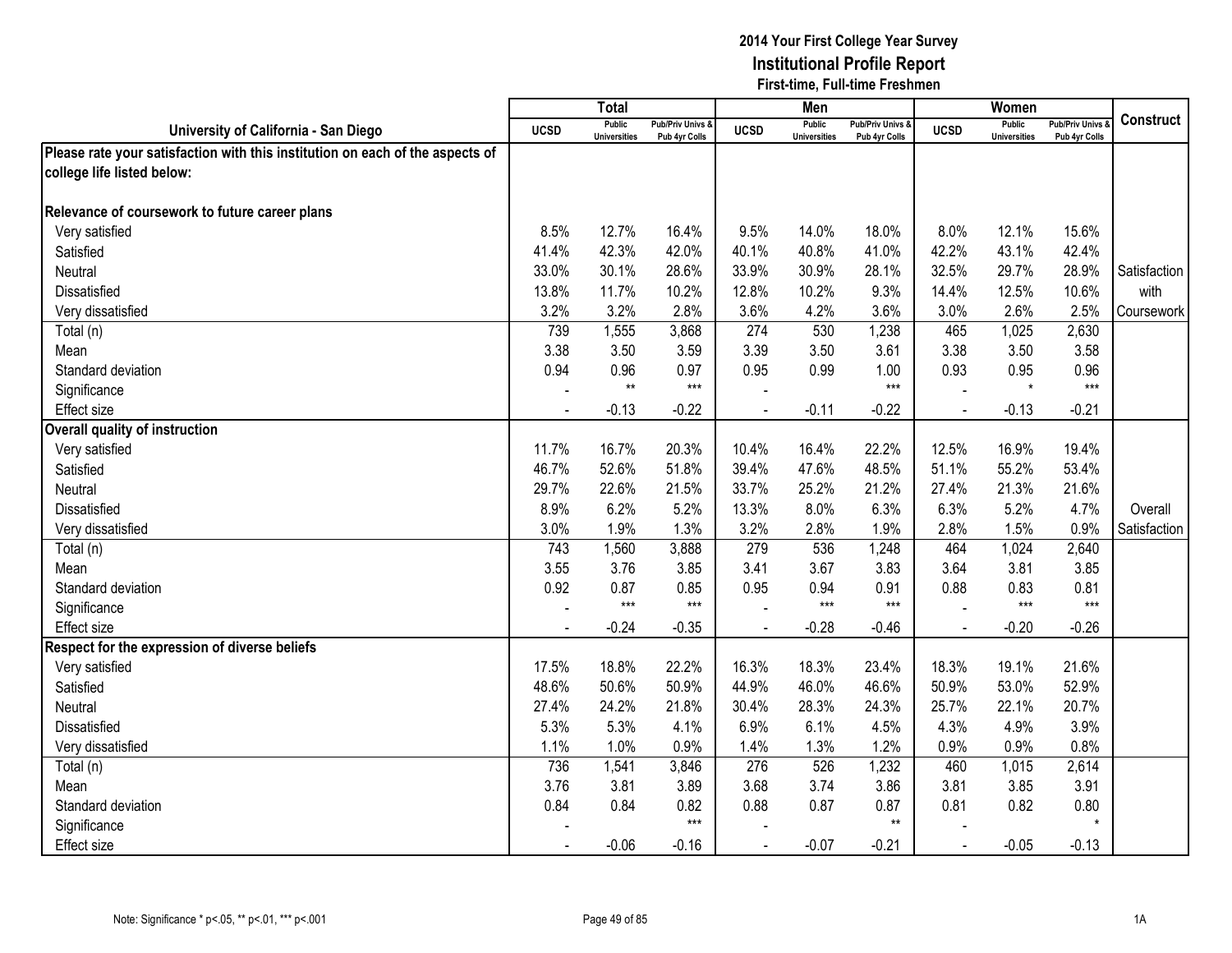|                                                                               |             | Total                                |                                 |                | Men                                  |                                   |                | Women                                |                                        |                  |
|-------------------------------------------------------------------------------|-------------|--------------------------------------|---------------------------------|----------------|--------------------------------------|-----------------------------------|----------------|--------------------------------------|----------------------------------------|------------------|
| University of California - San Diego                                          | <b>UCSD</b> | <b>Public</b><br><b>Universities</b> | Pub/Priv Univs<br>Pub 4yr Colls | <b>UCSD</b>    | <b>Public</b><br><b>Universities</b> | Pub/Priv Univs &<br>Pub 4yr Colls | <b>UCSD</b>    | <b>Public</b><br><b>Universities</b> | <b>Pub/Priv Univs</b><br>Pub 4yr Colls | <b>Construct</b> |
| Please rate your satisfaction with this institution on each of the aspects of |             |                                      |                                 |                |                                      |                                   |                |                                      |                                        |                  |
| college life listed below:                                                    |             |                                      |                                 |                |                                      |                                   |                |                                      |                                        |                  |
|                                                                               |             |                                      |                                 |                |                                      |                                   |                |                                      |                                        |                  |
| Relevance of coursework to future career plans                                |             |                                      |                                 |                |                                      |                                   |                |                                      |                                        |                  |
| Very satisfied                                                                | 8.5%        | 12.7%                                | 16.4%                           | 9.5%           | 14.0%                                | 18.0%                             | 8.0%           | 12.1%                                | 15.6%                                  |                  |
| Satisfied                                                                     | 41.4%       | 42.3%                                | 42.0%                           | 40.1%          | 40.8%                                | 41.0%                             | 42.2%          | 43.1%                                | 42.4%                                  |                  |
| Neutral                                                                       | 33.0%       | 30.1%                                | 28.6%                           | 33.9%          | 30.9%                                | 28.1%                             | 32.5%          | 29.7%                                | 28.9%                                  | Satisfaction     |
| Dissatisfied                                                                  | 13.8%       | 11.7%                                | 10.2%                           | 12.8%          | 10.2%                                | 9.3%                              | 14.4%          | 12.5%                                | 10.6%                                  | with             |
| Very dissatisfied                                                             | 3.2%        | 3.2%                                 | 2.8%                            | 3.6%           | 4.2%                                 | 3.6%                              | 3.0%           | 2.6%                                 | 2.5%                                   | Coursework       |
| Total (n)                                                                     | 739         | 1,555                                | 3,868                           | 274            | 530                                  | 1,238                             | 465            | 1,025                                | 2,630                                  |                  |
| Mean                                                                          | 3.38        | 3.50                                 | 3.59                            | 3.39           | 3.50                                 | 3.61                              | 3.38           | 3.50                                 | 3.58                                   |                  |
| Standard deviation                                                            | 0.94        | 0.96                                 | 0.97                            | 0.95           | 0.99                                 | 1.00                              | 0.93           | 0.95                                 | 0.96                                   |                  |
| Significance                                                                  |             | $**$                                 | $***$                           |                |                                      | $***$                             |                | $\star$                              | $***$                                  |                  |
| <b>Effect size</b>                                                            |             | $-0.13$                              | $-0.22$                         |                | $-0.11$                              | $-0.22$                           |                | $-0.13$                              | $-0.21$                                |                  |
| Overall quality of instruction                                                |             |                                      |                                 |                |                                      |                                   |                |                                      |                                        |                  |
| Very satisfied                                                                | 11.7%       | 16.7%                                | 20.3%                           | 10.4%          | 16.4%                                | 22.2%                             | 12.5%          | 16.9%                                | 19.4%                                  |                  |
| Satisfied                                                                     | 46.7%       | 52.6%                                | 51.8%                           | 39.4%          | 47.6%                                | 48.5%                             | 51.1%          | 55.2%                                | 53.4%                                  |                  |
| Neutral                                                                       | 29.7%       | 22.6%                                | 21.5%                           | 33.7%          | 25.2%                                | 21.2%                             | 27.4%          | 21.3%                                | 21.6%                                  |                  |
| Dissatisfied                                                                  | 8.9%        | 6.2%                                 | 5.2%                            | 13.3%          | 8.0%                                 | 6.3%                              | 6.3%           | 5.2%                                 | 4.7%                                   | Overall          |
| Very dissatisfied                                                             | 3.0%        | 1.9%                                 | 1.3%                            | 3.2%           | 2.8%                                 | 1.9%                              | 2.8%           | 1.5%                                 | 0.9%                                   | Satisfaction     |
| Total (n)                                                                     | 743         | 1,560                                | 3,888                           | 279            | 536                                  | 1,248                             | 464            | 1,024                                | 2,640                                  |                  |
| Mean                                                                          | 3.55        | 3.76                                 | 3.85                            | 3.41           | 3.67                                 | 3.83                              | 3.64           | 3.81                                 | 3.85                                   |                  |
| Standard deviation                                                            | 0.92        | 0.87                                 | 0.85                            | 0.95           | 0.94                                 | 0.91                              | 0.88           | 0.83                                 | 0.81                                   |                  |
| Significance                                                                  |             | $***$                                | $***$                           |                | $***$                                | $***$                             |                | $***$                                | $***$                                  |                  |
| <b>Effect size</b>                                                            |             | $-0.24$                              | $-0.35$                         |                | $-0.28$                              | $-0.46$                           | $\overline{a}$ | $-0.20$                              | $-0.26$                                |                  |
| Respect for the expression of diverse beliefs                                 |             |                                      |                                 |                |                                      |                                   |                |                                      |                                        |                  |
| Very satisfied                                                                | 17.5%       | 18.8%                                | 22.2%                           | 16.3%          | 18.3%                                | 23.4%                             | 18.3%          | 19.1%                                | 21.6%                                  |                  |
| Satisfied                                                                     | 48.6%       | 50.6%                                | 50.9%                           | 44.9%          | 46.0%                                | 46.6%                             | 50.9%          | 53.0%                                | 52.9%                                  |                  |
| Neutral                                                                       | 27.4%       | 24.2%                                | 21.8%                           | 30.4%          | 28.3%                                | 24.3%                             | 25.7%          | 22.1%                                | 20.7%                                  |                  |
| Dissatisfied                                                                  | 5.3%        | 5.3%                                 | 4.1%                            | 6.9%           | 6.1%                                 | 4.5%                              | 4.3%           | 4.9%                                 | 3.9%                                   |                  |
| Very dissatisfied                                                             | 1.1%        | 1.0%                                 | 0.9%                            | 1.4%           | 1.3%                                 | 1.2%                              | 0.9%           | 0.9%                                 | 0.8%                                   |                  |
| Total (n)                                                                     | 736         | 1,541                                | 3,846                           | 276            | 526                                  | 1,232                             | 460            | 1,015                                | 2,614                                  |                  |
| Mean                                                                          | 3.76        | 3.81                                 | 3.89                            | 3.68           | 3.74                                 | 3.86                              | 3.81           | 3.85                                 | 3.91                                   |                  |
| Standard deviation                                                            | 0.84        | 0.84                                 | 0.82                            | 0.88           | 0.87                                 | 0.87                              | 0.81           | 0.82                                 | 0.80                                   |                  |
| Significance                                                                  |             |                                      | $***$                           |                |                                      | $***$                             |                |                                      | $\star$                                |                  |
| <b>Effect size</b>                                                            |             | $-0.06$                              | $-0.16$                         | $\blacksquare$ | $-0.07$                              | $-0.21$                           | $\blacksquare$ | $-0.05$                              | $-0.13$                                |                  |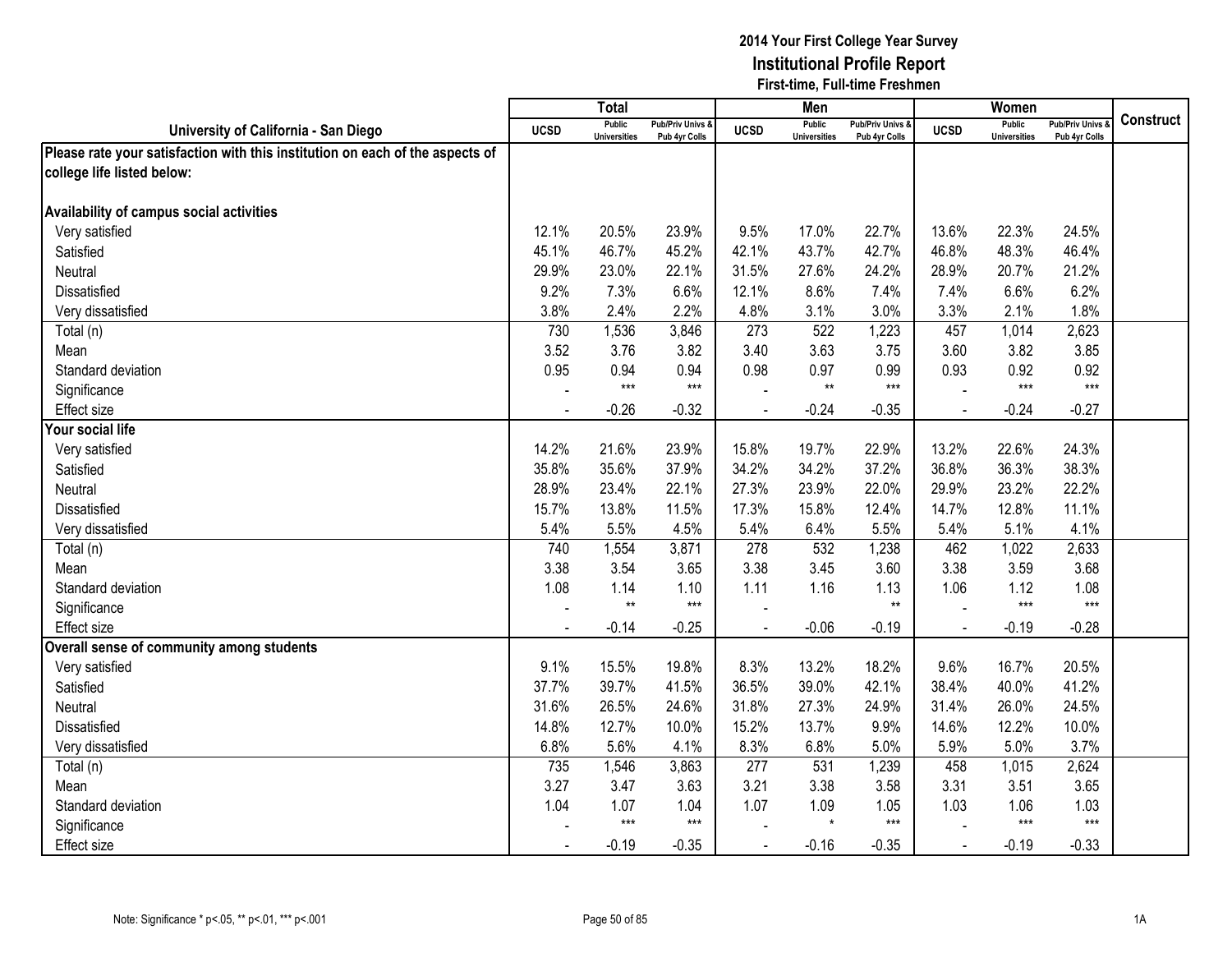|                                                                               |             | $\overline{T}$ <sub>Otal</sub>       |                                   |                | Men                                  |                                   |                | Women                                |                                        |                  |
|-------------------------------------------------------------------------------|-------------|--------------------------------------|-----------------------------------|----------------|--------------------------------------|-----------------------------------|----------------|--------------------------------------|----------------------------------------|------------------|
| University of California - San Diego                                          | <b>UCSD</b> | <b>Public</b><br><b>Universities</b> | Pub/Priv Univs &<br>Pub 4yr Colls | <b>UCSD</b>    | <b>Public</b><br><b>Universities</b> | Pub/Priv Univs &<br>Pub 4yr Colls | <b>UCSD</b>    | <b>Public</b><br><b>Universities</b> | <b>Pub/Priv Univs</b><br>Pub 4yr Colls | <b>Construct</b> |
| Please rate your satisfaction with this institution on each of the aspects of |             |                                      |                                   |                |                                      |                                   |                |                                      |                                        |                  |
| college life listed below:                                                    |             |                                      |                                   |                |                                      |                                   |                |                                      |                                        |                  |
|                                                                               |             |                                      |                                   |                |                                      |                                   |                |                                      |                                        |                  |
| Availability of campus social activities                                      |             |                                      |                                   |                |                                      |                                   |                |                                      |                                        |                  |
| Very satisfied                                                                | 12.1%       | 20.5%                                | 23.9%                             | 9.5%           | 17.0%                                | 22.7%                             | 13.6%          | 22.3%                                | 24.5%                                  |                  |
| Satisfied                                                                     | 45.1%       | 46.7%                                | 45.2%                             | 42.1%          | 43.7%                                | 42.7%                             | 46.8%          | 48.3%                                | 46.4%                                  |                  |
| Neutral                                                                       | 29.9%       | 23.0%                                | 22.1%                             | 31.5%          | 27.6%                                | 24.2%                             | 28.9%          | 20.7%                                | 21.2%                                  |                  |
| Dissatisfied                                                                  | 9.2%        | 7.3%                                 | 6.6%                              | 12.1%          | 8.6%                                 | 7.4%                              | 7.4%           | 6.6%                                 | 6.2%                                   |                  |
| Very dissatisfied                                                             | 3.8%        | 2.4%                                 | 2.2%                              | 4.8%           | 3.1%                                 | 3.0%                              | 3.3%           | 2.1%                                 | 1.8%                                   |                  |
| Total (n)                                                                     | 730         | 1,536                                | 3,846                             | 273            | 522                                  | 1,223                             | 457            | 1,014                                | 2,623                                  |                  |
| Mean                                                                          | 3.52        | 3.76                                 | 3.82                              | 3.40           | 3.63                                 | 3.75                              | 3.60           | 3.82                                 | 3.85                                   |                  |
| Standard deviation                                                            | 0.95        | 0.94                                 | 0.94                              | 0.98           | 0.97                                 | 0.99                              | 0.93           | 0.92                                 | 0.92                                   |                  |
| Significance                                                                  |             | $***$                                | $***$                             |                | $**$                                 | $***$                             |                | $***$                                | $***$                                  |                  |
| Effect size                                                                   |             | $-0.26$                              | $-0.32$                           |                | $-0.24$                              | $-0.35$                           |                | $-0.24$                              | $-0.27$                                |                  |
| Your social life                                                              |             |                                      |                                   |                |                                      |                                   |                |                                      |                                        |                  |
| Very satisfied                                                                | 14.2%       | 21.6%                                | 23.9%                             | 15.8%          | 19.7%                                | 22.9%                             | 13.2%          | 22.6%                                | 24.3%                                  |                  |
| Satisfied                                                                     | 35.8%       | 35.6%                                | 37.9%                             | 34.2%          | 34.2%                                | 37.2%                             | 36.8%          | 36.3%                                | 38.3%                                  |                  |
| <b>Neutral</b>                                                                | 28.9%       | 23.4%                                | 22.1%                             | 27.3%          | 23.9%                                | 22.0%                             | 29.9%          | 23.2%                                | 22.2%                                  |                  |
| <b>Dissatisfied</b>                                                           | 15.7%       | 13.8%                                | 11.5%                             | 17.3%          | 15.8%                                | 12.4%                             | 14.7%          | 12.8%                                | 11.1%                                  |                  |
| Very dissatisfied                                                             | 5.4%        | 5.5%                                 | 4.5%                              | 5.4%           | 6.4%                                 | 5.5%                              | 5.4%           | 5.1%                                 | 4.1%                                   |                  |
| Total (n)                                                                     | 740         | 1,554                                | 3,871                             | 278            | 532                                  | 1,238                             | 462            | 1,022                                | 2,633                                  |                  |
| Mean                                                                          | 3.38        | 3.54                                 | 3.65                              | 3.38           | 3.45                                 | 3.60                              | 3.38           | 3.59                                 | 3.68                                   |                  |
| Standard deviation                                                            | 1.08        | 1.14                                 | 1.10                              | 1.11           | 1.16                                 | 1.13                              | 1.06           | 1.12                                 | 1.08                                   |                  |
| Significance                                                                  |             | $^{\star\star}$                      | $***$                             |                |                                      | $**$                              |                | $***$                                | $***$                                  |                  |
| Effect size                                                                   |             | $-0.14$                              | $-0.25$                           |                | $-0.06$                              | $-0.19$                           | $\overline{a}$ | $-0.19$                              | $-0.28$                                |                  |
| Overall sense of community among students                                     |             |                                      |                                   |                |                                      |                                   |                |                                      |                                        |                  |
| Very satisfied                                                                | 9.1%        | 15.5%                                | 19.8%                             | 8.3%           | 13.2%                                | 18.2%                             | 9.6%           | 16.7%                                | 20.5%                                  |                  |
| Satisfied                                                                     | 37.7%       | 39.7%                                | 41.5%                             | 36.5%          | 39.0%                                | 42.1%                             | 38.4%          | 40.0%                                | 41.2%                                  |                  |
| Neutral                                                                       | 31.6%       | 26.5%                                | 24.6%                             | 31.8%          | 27.3%                                | 24.9%                             | 31.4%          | 26.0%                                | 24.5%                                  |                  |
| <b>Dissatisfied</b>                                                           | 14.8%       | 12.7%                                | 10.0%                             | 15.2%          | 13.7%                                | 9.9%                              | 14.6%          | 12.2%                                | 10.0%                                  |                  |
| Very dissatisfied                                                             | 6.8%        | 5.6%                                 | 4.1%                              | 8.3%           | 6.8%                                 | 5.0%                              | 5.9%           | 5.0%                                 | 3.7%                                   |                  |
| Total (n)                                                                     | 735         | 1,546                                | 3,863                             | 277            | 531                                  | 1,239                             | 458            | 1,015                                | 2,624                                  |                  |
| Mean                                                                          | 3.27        | 3.47                                 | 3.63                              | 3.21           | 3.38                                 | 3.58                              | 3.31           | 3.51                                 | 3.65                                   |                  |
| Standard deviation                                                            | 1.04        | 1.07                                 | 1.04                              | 1.07           | 1.09                                 | 1.05                              | 1.03           | 1.06                                 | 1.03                                   |                  |
| Significance                                                                  |             | $***$                                | $***$                             |                | $\star$                              | $***$                             |                | $***$                                | $***$                                  |                  |
| <b>Effect size</b>                                                            |             | $-0.19$                              | $-0.35$                           | $\blacksquare$ | $-0.16$                              | $-0.35$                           | $\blacksquare$ | $-0.19$                              | $-0.33$                                |                  |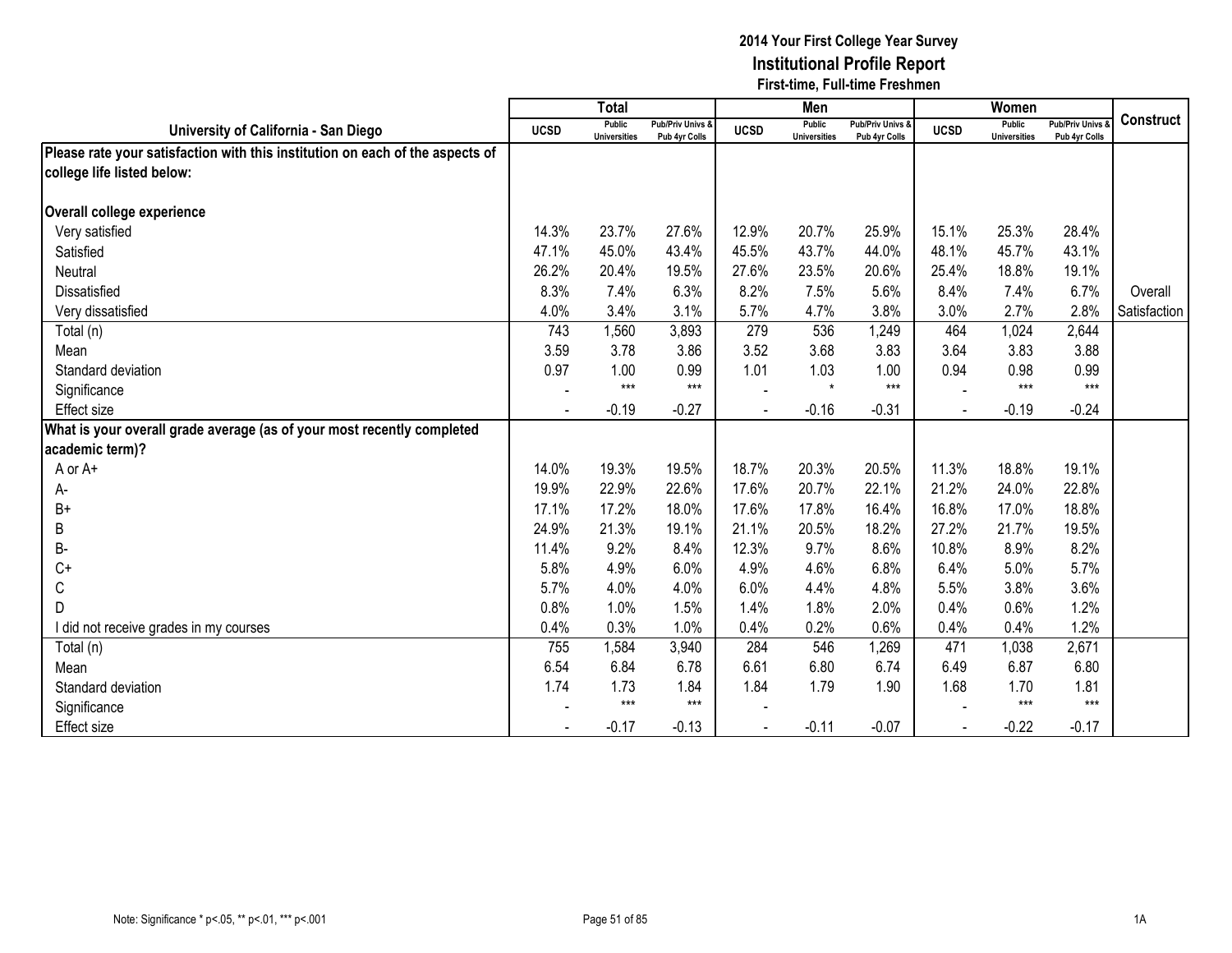|                                                                               |             | <b>Total</b>                  |                                   |             | Men                                  |                                   |             | Women                         |                                        |                  |
|-------------------------------------------------------------------------------|-------------|-------------------------------|-----------------------------------|-------------|--------------------------------------|-----------------------------------|-------------|-------------------------------|----------------------------------------|------------------|
| University of California - San Diego                                          | <b>UCSD</b> | Public<br><b>Universities</b> | Pub/Priv Univs &<br>Pub 4yr Colls | <b>UCSD</b> | <b>Public</b><br><b>Universities</b> | Pub/Priv Univs &<br>Pub 4yr Colls | <b>UCSD</b> | Public<br><b>Universities</b> | <b>Pub/Priv Univs</b><br>Pub 4yr Colls | <b>Construct</b> |
| Please rate your satisfaction with this institution on each of the aspects of |             |                               |                                   |             |                                      |                                   |             |                               |                                        |                  |
| college life listed below:                                                    |             |                               |                                   |             |                                      |                                   |             |                               |                                        |                  |
|                                                                               |             |                               |                                   |             |                                      |                                   |             |                               |                                        |                  |
| Overall college experience                                                    |             |                               |                                   |             |                                      |                                   |             |                               |                                        |                  |
| Very satisfied                                                                | 14.3%       | 23.7%                         | 27.6%                             | 12.9%       | 20.7%                                | 25.9%                             | 15.1%       | 25.3%                         | 28.4%                                  |                  |
| Satisfied                                                                     | 47.1%       | 45.0%                         | 43.4%                             | 45.5%       | 43.7%                                | 44.0%                             | 48.1%       | 45.7%                         | 43.1%                                  |                  |
| Neutral                                                                       | 26.2%       | 20.4%                         | 19.5%                             | 27.6%       | 23.5%                                | 20.6%                             | 25.4%       | 18.8%                         | 19.1%                                  |                  |
| Dissatisfied                                                                  | 8.3%        | 7.4%                          | 6.3%                              | 8.2%        | 7.5%                                 | 5.6%                              | 8.4%        | 7.4%                          | 6.7%                                   | Overall          |
| Very dissatisfied                                                             | 4.0%        | 3.4%                          | 3.1%                              | 5.7%        | 4.7%                                 | 3.8%                              | 3.0%        | 2.7%                          | 2.8%                                   | Satisfaction     |
| Total (n)                                                                     | 743         | 1,560                         | 3,893                             | 279         | 536                                  | 1,249                             | 464         | 1,024                         | 2,644                                  |                  |
| Mean                                                                          | 3.59        | 3.78                          | 3.86                              | 3.52        | 3.68                                 | 3.83                              | 3.64        | 3.83                          | 3.88                                   |                  |
| Standard deviation                                                            | 0.97        | 1.00                          | 0.99                              | 1.01        | 1.03                                 | 1.00                              | 0.94        | 0.98                          | 0.99                                   |                  |
| Significance                                                                  |             | $***$                         | $***$                             |             | $\star$                              | $***$                             |             | $***$                         | $***$                                  |                  |
| Effect size                                                                   |             | $-0.19$                       | $-0.27$                           |             | $-0.16$                              | $-0.31$                           |             | $-0.19$                       | $-0.24$                                |                  |
| What is your overall grade average (as of your most recently completed        |             |                               |                                   |             |                                      |                                   |             |                               |                                        |                  |
| academic term)?                                                               |             |                               |                                   |             |                                      |                                   |             |                               |                                        |                  |
| A or A+                                                                       | 14.0%       | 19.3%                         | 19.5%                             | 18.7%       | 20.3%                                | 20.5%                             | 11.3%       | 18.8%                         | 19.1%                                  |                  |
| А-                                                                            | 19.9%       | 22.9%                         | 22.6%                             | 17.6%       | 20.7%                                | 22.1%                             | 21.2%       | 24.0%                         | 22.8%                                  |                  |
| $B+$                                                                          | 17.1%       | 17.2%                         | 18.0%                             | 17.6%       | 17.8%                                | 16.4%                             | 16.8%       | 17.0%                         | 18.8%                                  |                  |
| B                                                                             | 24.9%       | 21.3%                         | 19.1%                             | 21.1%       | 20.5%                                | 18.2%                             | 27.2%       | 21.7%                         | 19.5%                                  |                  |
| <b>B-</b>                                                                     | 11.4%       | 9.2%                          | 8.4%                              | 12.3%       | 9.7%                                 | 8.6%                              | 10.8%       | 8.9%                          | 8.2%                                   |                  |
| $C+$                                                                          | 5.8%        | 4.9%                          | 6.0%                              | 4.9%        | 4.6%                                 | 6.8%                              | 6.4%        | 5.0%                          | 5.7%                                   |                  |
| C                                                                             | 5.7%        | 4.0%                          | 4.0%                              | 6.0%        | 4.4%                                 | 4.8%                              | 5.5%        | 3.8%                          | 3.6%                                   |                  |
| D                                                                             | 0.8%        | 1.0%                          | 1.5%                              | 1.4%        | 1.8%                                 | 2.0%                              | 0.4%        | 0.6%                          | 1.2%                                   |                  |
| I did not receive grades in my courses                                        | 0.4%        | 0.3%                          | 1.0%                              | 0.4%        | 0.2%                                 | 0.6%                              | 0.4%        | 0.4%                          | 1.2%                                   |                  |
| Total (n)                                                                     | 755         | 1,584                         | 3,940                             | 284         | 546                                  | 1,269                             | 471         | 1,038                         | 2,671                                  |                  |
| Mean                                                                          | 6.54        | 6.84                          | 6.78                              | 6.61        | 6.80                                 | 6.74                              | 6.49        | 6.87                          | 6.80                                   |                  |
| Standard deviation                                                            | 1.74        | 1.73                          | 1.84                              | 1.84        | 1.79                                 | 1.90                              | 1.68        | 1.70                          | 1.81                                   |                  |
| Significance                                                                  |             | $***$                         | $***$                             |             |                                      |                                   |             | $***$                         | $***$                                  |                  |
| <b>Effect size</b>                                                            |             | $-0.17$                       | $-0.13$                           |             | $-0.11$                              | $-0.07$                           |             | $-0.22$                       | $-0.17$                                |                  |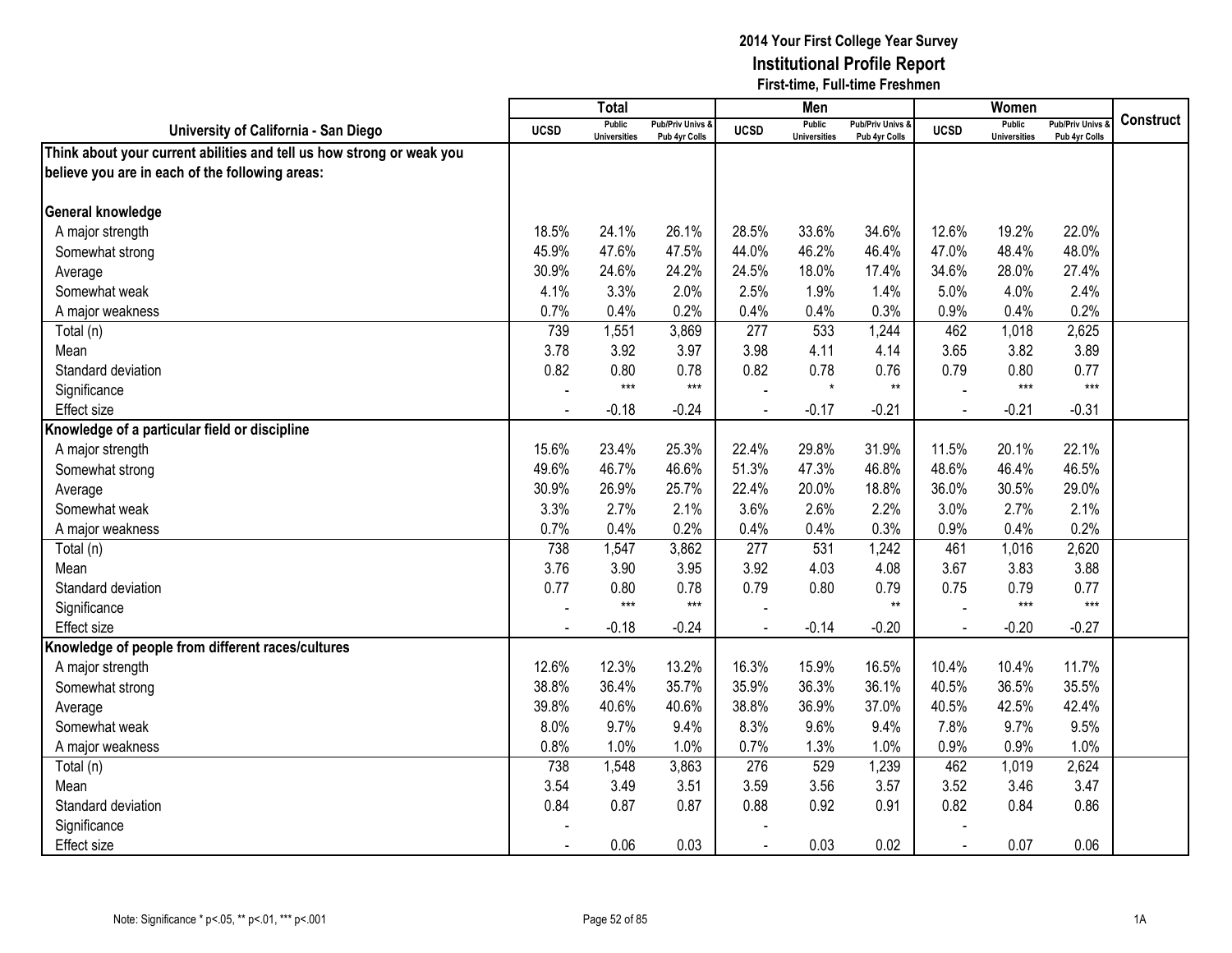|                                                                       |             | <b>Total</b>                         |                                   |                | Men                                  |                                              |                | Women                                |                                        |                  |
|-----------------------------------------------------------------------|-------------|--------------------------------------|-----------------------------------|----------------|--------------------------------------|----------------------------------------------|----------------|--------------------------------------|----------------------------------------|------------------|
| University of California - San Diego                                  | <b>UCSD</b> | <b>Public</b><br><b>Universities</b> | Pub/Priv Univs &<br>Pub 4yr Colls | <b>UCSD</b>    | <b>Public</b><br><b>Universities</b> | <b>Pub/Priv Univs &amp;</b><br>Pub 4yr Colls | <b>UCSD</b>    | <b>Public</b><br><b>Universities</b> | <b>Pub/Priv Univs</b><br>Pub 4yr Colls | <b>Construct</b> |
| Think about your current abilities and tell us how strong or weak you |             |                                      |                                   |                |                                      |                                              |                |                                      |                                        |                  |
| believe you are in each of the following areas:                       |             |                                      |                                   |                |                                      |                                              |                |                                      |                                        |                  |
|                                                                       |             |                                      |                                   |                |                                      |                                              |                |                                      |                                        |                  |
| General knowledge                                                     |             |                                      |                                   |                |                                      |                                              |                |                                      |                                        |                  |
| A major strength                                                      | 18.5%       | 24.1%                                | 26.1%                             | 28.5%          | 33.6%                                | 34.6%                                        | 12.6%          | 19.2%                                | 22.0%                                  |                  |
| Somewhat strong                                                       | 45.9%       | 47.6%                                | 47.5%                             | 44.0%          | 46.2%                                | 46.4%                                        | 47.0%          | 48.4%                                | 48.0%                                  |                  |
| Average                                                               | 30.9%       | 24.6%                                | 24.2%                             | 24.5%          | 18.0%                                | 17.4%                                        | 34.6%          | 28.0%                                | 27.4%                                  |                  |
| Somewhat weak                                                         | 4.1%        | 3.3%                                 | 2.0%                              | 2.5%           | 1.9%                                 | 1.4%                                         | 5.0%           | 4.0%                                 | 2.4%                                   |                  |
| A major weakness                                                      | 0.7%        | 0.4%                                 | 0.2%                              | 0.4%           | 0.4%                                 | 0.3%                                         | 0.9%           | 0.4%                                 | 0.2%                                   |                  |
| Total (n)                                                             | 739         | 1,551                                | 3,869                             | 277            | 533                                  | 1,244                                        | 462            | 1,018                                | 2,625                                  |                  |
| Mean                                                                  | 3.78        | 3.92                                 | 3.97                              | 3.98           | 4.11                                 | 4.14                                         | 3.65           | 3.82                                 | 3.89                                   |                  |
| Standard deviation                                                    | 0.82        | 0.80                                 | 0.78                              | 0.82           | 0.78                                 | 0.76                                         | 0.79           | 0.80                                 | 0.77                                   |                  |
| Significance                                                          |             | $***$                                | $***$                             |                | $\star$                              | $^{\star\star}$                              |                | $***$                                | $***$                                  |                  |
| Effect size                                                           |             | $-0.18$                              | $-0.24$                           |                | $-0.17$                              | $-0.21$                                      |                | $-0.21$                              | $-0.31$                                |                  |
| Knowledge of a particular field or discipline                         |             |                                      |                                   |                |                                      |                                              |                |                                      |                                        |                  |
| A major strength                                                      | 15.6%       | 23.4%                                | 25.3%                             | 22.4%          | 29.8%                                | 31.9%                                        | 11.5%          | 20.1%                                | 22.1%                                  |                  |
| Somewhat strong                                                       | 49.6%       | 46.7%                                | 46.6%                             | 51.3%          | 47.3%                                | 46.8%                                        | 48.6%          | 46.4%                                | 46.5%                                  |                  |
| Average                                                               | 30.9%       | 26.9%                                | 25.7%                             | 22.4%          | 20.0%                                | 18.8%                                        | 36.0%          | 30.5%                                | 29.0%                                  |                  |
| Somewhat weak                                                         | 3.3%        | 2.7%                                 | 2.1%                              | 3.6%           | 2.6%                                 | 2.2%                                         | 3.0%           | 2.7%                                 | 2.1%                                   |                  |
| A major weakness                                                      | 0.7%        | 0.4%                                 | 0.2%                              | 0.4%           | 0.4%                                 | 0.3%                                         | 0.9%           | 0.4%                                 | 0.2%                                   |                  |
| Total (n)                                                             | 738         | 1,547                                | 3,862                             | 277            | 531                                  | 1,242                                        | 461            | 1,016                                | 2,620                                  |                  |
| Mean                                                                  | 3.76        | 3.90                                 | 3.95                              | 3.92           | 4.03                                 | 4.08                                         | 3.67           | 3.83                                 | 3.88                                   |                  |
| Standard deviation                                                    | 0.77        | 0.80                                 | 0.78                              | 0.79           | 0.80                                 | 0.79                                         | 0.75           | 0.79                                 | 0.77                                   |                  |
| Significance                                                          |             | $***$                                | $***$                             |                |                                      | $***$                                        |                | $***$                                | $***$                                  |                  |
| <b>Effect size</b>                                                    |             | $-0.18$                              | $-0.24$                           |                | $-0.14$                              | $-0.20$                                      |                | $-0.20$                              | $-0.27$                                |                  |
| Knowledge of people from different races/cultures                     |             |                                      |                                   |                |                                      |                                              |                |                                      |                                        |                  |
| A major strength                                                      | 12.6%       | 12.3%                                | 13.2%                             | 16.3%          | 15.9%                                | 16.5%                                        | 10.4%          | 10.4%                                | 11.7%                                  |                  |
| Somewhat strong                                                       | 38.8%       | 36.4%                                | 35.7%                             | 35.9%          | 36.3%                                | 36.1%                                        | 40.5%          | 36.5%                                | 35.5%                                  |                  |
| Average                                                               | 39.8%       | 40.6%                                | 40.6%                             | 38.8%          | 36.9%                                | 37.0%                                        | 40.5%          | 42.5%                                | 42.4%                                  |                  |
| Somewhat weak                                                         | 8.0%        | 9.7%                                 | 9.4%                              | 8.3%           | 9.6%                                 | 9.4%                                         | 7.8%           | 9.7%                                 | 9.5%                                   |                  |
| A major weakness                                                      | 0.8%        | 1.0%                                 | 1.0%                              | 0.7%           | 1.3%                                 | 1.0%                                         | 0.9%           | 0.9%                                 | 1.0%                                   |                  |
| Total (n)                                                             | 738         | 1,548                                | 3,863                             | 276            | 529                                  | 1,239                                        | 462            | 1,019                                | 2,624                                  |                  |
| Mean                                                                  | 3.54        | 3.49                                 | 3.51                              | 3.59           | 3.56                                 | 3.57                                         | 3.52           | 3.46                                 | 3.47                                   |                  |
| Standard deviation                                                    | 0.84        | 0.87                                 | 0.87                              | 0.88           | 0.92                                 | 0.91                                         | 0.82           | 0.84                                 | 0.86                                   |                  |
| Significance                                                          |             |                                      |                                   |                |                                      |                                              |                |                                      |                                        |                  |
| <b>Effect size</b>                                                    |             | 0.06                                 | 0.03                              | $\blacksquare$ | 0.03                                 | 0.02                                         | $\blacksquare$ | 0.07                                 | 0.06                                   |                  |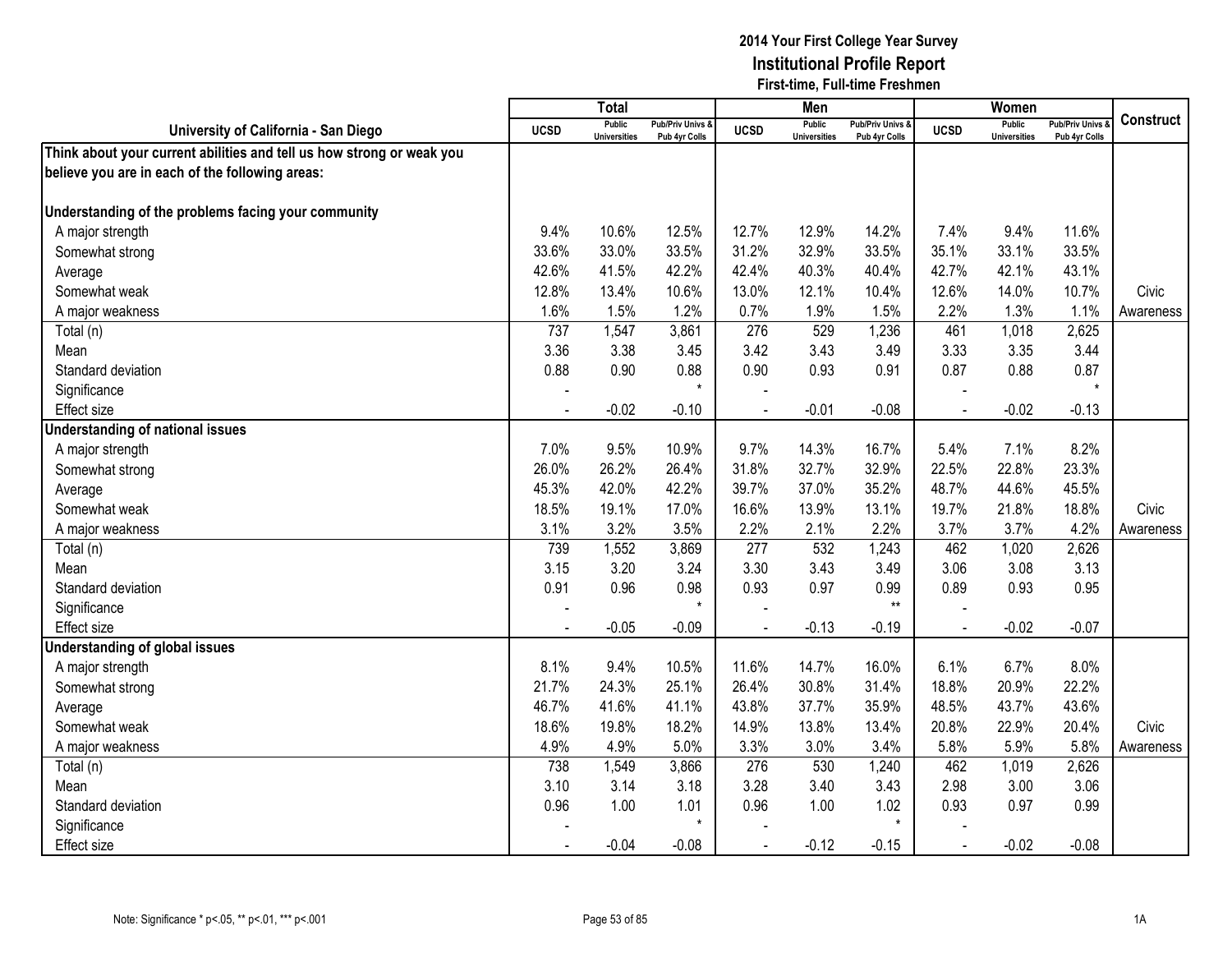|                                                                       |             | <b>Total</b>                         |                                   |                | Men                                  |                                 |             | Women                                |                                        |           |
|-----------------------------------------------------------------------|-------------|--------------------------------------|-----------------------------------|----------------|--------------------------------------|---------------------------------|-------------|--------------------------------------|----------------------------------------|-----------|
| University of California - San Diego                                  | <b>UCSD</b> | <b>Public</b><br><b>Universities</b> | Pub/Priv Univs &<br>Pub 4yr Colls | <b>UCSD</b>    | <b>Public</b><br><b>Universities</b> | Pub/Priv Univs<br>Pub 4yr Colls | <b>UCSD</b> | <b>Public</b><br><b>Universities</b> | <b>Pub/Priv Univs</b><br>Pub 4yr Colls | Construct |
| Think about your current abilities and tell us how strong or weak you |             |                                      |                                   |                |                                      |                                 |             |                                      |                                        |           |
| believe you are in each of the following areas:                       |             |                                      |                                   |                |                                      |                                 |             |                                      |                                        |           |
|                                                                       |             |                                      |                                   |                |                                      |                                 |             |                                      |                                        |           |
| Understanding of the problems facing your community                   |             |                                      |                                   |                |                                      |                                 |             |                                      |                                        |           |
| A major strength                                                      | 9.4%        | 10.6%                                | 12.5%                             | 12.7%          | 12.9%                                | 14.2%                           | 7.4%        | 9.4%                                 | 11.6%                                  |           |
| Somewhat strong                                                       | 33.6%       | 33.0%                                | 33.5%                             | 31.2%          | 32.9%                                | 33.5%                           | 35.1%       | 33.1%                                | 33.5%                                  |           |
| Average                                                               | 42.6%       | 41.5%                                | 42.2%                             | 42.4%          | 40.3%                                | 40.4%                           | 42.7%       | 42.1%                                | 43.1%                                  |           |
| Somewhat weak                                                         | 12.8%       | 13.4%                                | 10.6%                             | 13.0%          | 12.1%                                | 10.4%                           | 12.6%       | 14.0%                                | 10.7%                                  | Civic     |
| A major weakness                                                      | 1.6%        | 1.5%                                 | 1.2%                              | 0.7%           | 1.9%                                 | 1.5%                            | 2.2%        | 1.3%                                 | 1.1%                                   | Awareness |
| Total (n)                                                             | 737         | 1,547                                | 3,861                             | 276            | 529                                  | 1,236                           | 461         | 1,018                                | 2,625                                  |           |
| Mean                                                                  | 3.36        | 3.38                                 | 3.45                              | 3.42           | 3.43                                 | 3.49                            | 3.33        | 3.35                                 | 3.44                                   |           |
| Standard deviation                                                    | 0.88        | 0.90                                 | 0.88                              | 0.90           | 0.93                                 | 0.91                            | 0.87        | 0.88                                 | 0.87                                   |           |
| Significance                                                          |             |                                      | $\star$                           |                |                                      |                                 |             |                                      | $\star$                                |           |
| <b>Effect size</b>                                                    |             | $-0.02$                              | $-0.10$                           |                | $-0.01$                              | $-0.08$                         |             | $-0.02$                              | $-0.13$                                |           |
| <b>Understanding of national issues</b>                               |             |                                      |                                   |                |                                      |                                 |             |                                      |                                        |           |
| A major strength                                                      | 7.0%        | 9.5%                                 | 10.9%                             | 9.7%           | 14.3%                                | 16.7%                           | 5.4%        | 7.1%                                 | 8.2%                                   |           |
| Somewhat strong                                                       | 26.0%       | 26.2%                                | 26.4%                             | 31.8%          | 32.7%                                | 32.9%                           | 22.5%       | 22.8%                                | 23.3%                                  |           |
| Average                                                               | 45.3%       | 42.0%                                | 42.2%                             | 39.7%          | 37.0%                                | 35.2%                           | 48.7%       | 44.6%                                | 45.5%                                  |           |
| Somewhat weak                                                         | 18.5%       | 19.1%                                | 17.0%                             | 16.6%          | 13.9%                                | 13.1%                           | 19.7%       | 21.8%                                | 18.8%                                  | Civic     |
| A major weakness                                                      | 3.1%        | 3.2%                                 | 3.5%                              | 2.2%           | 2.1%                                 | 2.2%                            | 3.7%        | 3.7%                                 | 4.2%                                   | Awareness |
| Total (n)                                                             | 739         | 1,552                                | 3,869                             | 277            | 532                                  | 1,243                           | 462         | 1,020                                | 2,626                                  |           |
| Mean                                                                  | 3.15        | 3.20                                 | 3.24                              | 3.30           | 3.43                                 | 3.49                            | 3.06        | 3.08                                 | 3.13                                   |           |
| Standard deviation                                                    | 0.91        | 0.96                                 | 0.98                              | 0.93           | 0.97                                 | 0.99                            | 0.89        | 0.93                                 | 0.95                                   |           |
| Significance                                                          |             |                                      | $\star$                           |                |                                      | $**$                            |             |                                      |                                        |           |
| Effect size                                                           |             | $-0.05$                              | $-0.09$                           |                | $-0.13$                              | $-0.19$                         |             | $-0.02$                              | $-0.07$                                |           |
| Understanding of global issues                                        |             |                                      |                                   |                |                                      |                                 |             |                                      |                                        |           |
| A major strength                                                      | 8.1%        | 9.4%                                 | 10.5%                             | 11.6%          | 14.7%                                | 16.0%                           | 6.1%        | 6.7%                                 | 8.0%                                   |           |
| Somewhat strong                                                       | 21.7%       | 24.3%                                | 25.1%                             | 26.4%          | 30.8%                                | 31.4%                           | 18.8%       | 20.9%                                | 22.2%                                  |           |
| Average                                                               | 46.7%       | 41.6%                                | 41.1%                             | 43.8%          | 37.7%                                | 35.9%                           | 48.5%       | 43.7%                                | 43.6%                                  |           |
| Somewhat weak                                                         | 18.6%       | 19.8%                                | 18.2%                             | 14.9%          | 13.8%                                | 13.4%                           | 20.8%       | 22.9%                                | 20.4%                                  | Civic     |
| A major weakness                                                      | 4.9%        | 4.9%                                 | 5.0%                              | 3.3%           | 3.0%                                 | 3.4%                            | 5.8%        | 5.9%                                 | 5.8%                                   | Awareness |
| Total (n)                                                             | 738         | 1,549                                | 3,866                             | 276            | 530                                  | 1,240                           | 462         | 1,019                                | 2,626                                  |           |
| Mean                                                                  | 3.10        | 3.14                                 | 3.18                              | 3.28           | 3.40                                 | 3.43                            | 2.98        | 3.00                                 | 3.06                                   |           |
| Standard deviation                                                    | 0.96        | 1.00                                 | 1.01                              | 0.96           | 1.00                                 | 1.02                            | 0.93        | 0.97                                 | 0.99                                   |           |
| Significance                                                          |             |                                      | $\star$                           |                |                                      | $\star$                         |             |                                      |                                        |           |
| <b>Effect size</b>                                                    |             | $-0.04$                              | $-0.08$                           | $\overline{a}$ | $-0.12$                              | $-0.15$                         | $\sim$      | $-0.02$                              | $-0.08$                                |           |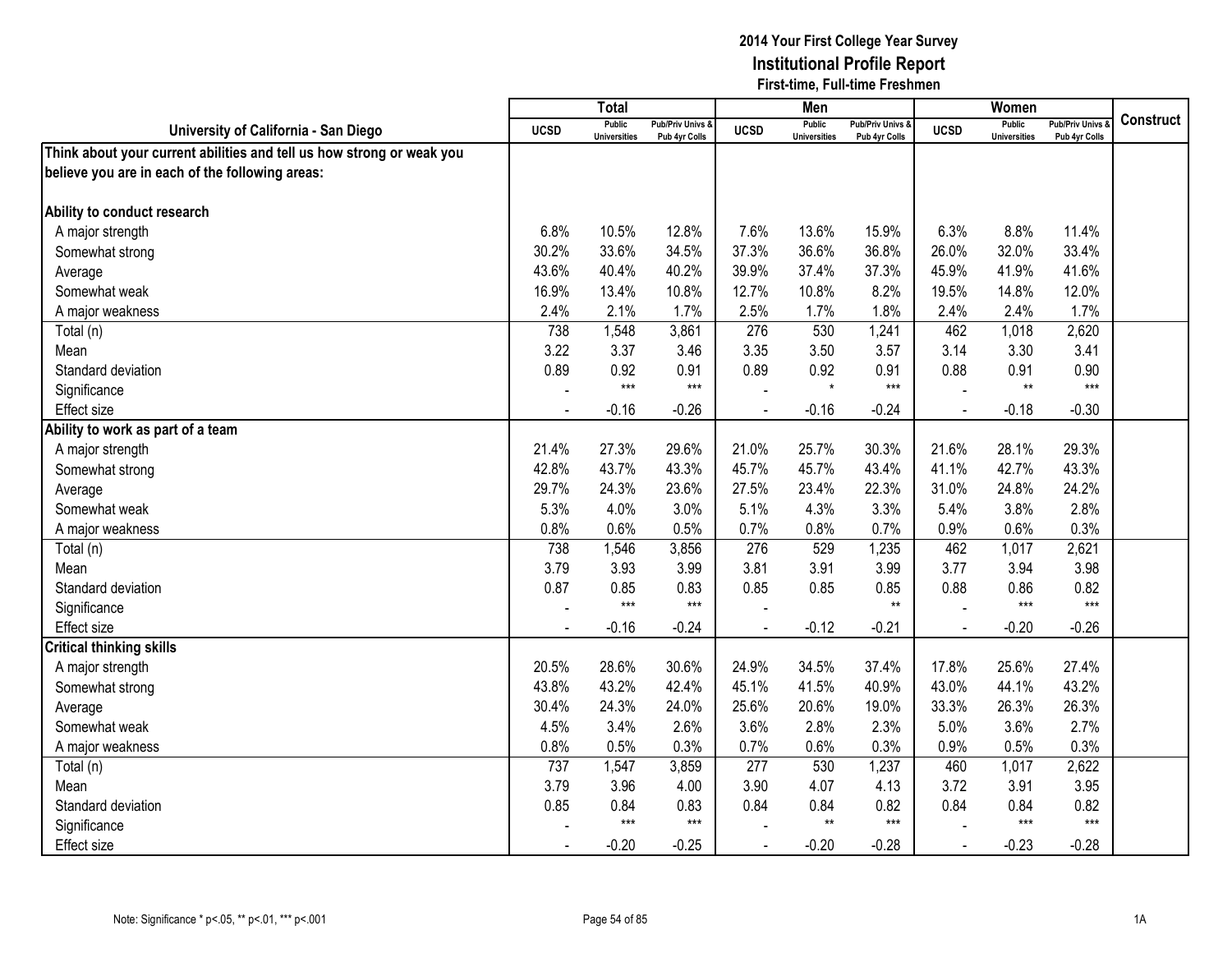|                                                                       |             | <b>Total</b>                         |                                   |                | Men                                  |                                              |                | Women                                |                                   |                  |
|-----------------------------------------------------------------------|-------------|--------------------------------------|-----------------------------------|----------------|--------------------------------------|----------------------------------------------|----------------|--------------------------------------|-----------------------------------|------------------|
| University of California - San Diego                                  | <b>UCSD</b> | <b>Public</b><br><b>Universities</b> | Pub/Priv Univs &<br>Pub 4yr Colls | <b>UCSD</b>    | <b>Public</b><br><b>Universities</b> | <b>Pub/Priv Univs &amp;</b><br>Pub 4yr Colls | <b>UCSD</b>    | <b>Public</b><br><b>Universities</b> | Pub/Priv Univs &<br>Pub 4yr Colls | <b>Construct</b> |
| Think about your current abilities and tell us how strong or weak you |             |                                      |                                   |                |                                      |                                              |                |                                      |                                   |                  |
| believe you are in each of the following areas:                       |             |                                      |                                   |                |                                      |                                              |                |                                      |                                   |                  |
|                                                                       |             |                                      |                                   |                |                                      |                                              |                |                                      |                                   |                  |
| Ability to conduct research                                           |             |                                      |                                   |                |                                      |                                              |                |                                      |                                   |                  |
| A major strength                                                      | 6.8%        | 10.5%                                | 12.8%                             | 7.6%           | 13.6%                                | 15.9%                                        | 6.3%           | 8.8%                                 | 11.4%                             |                  |
| Somewhat strong                                                       | 30.2%       | 33.6%                                | 34.5%                             | 37.3%          | 36.6%                                | 36.8%                                        | 26.0%          | 32.0%                                | 33.4%                             |                  |
| Average                                                               | 43.6%       | 40.4%                                | 40.2%                             | 39.9%          | 37.4%                                | 37.3%                                        | 45.9%          | 41.9%                                | 41.6%                             |                  |
| Somewhat weak                                                         | 16.9%       | 13.4%                                | 10.8%                             | 12.7%          | 10.8%                                | 8.2%                                         | 19.5%          | 14.8%                                | 12.0%                             |                  |
| A major weakness                                                      | 2.4%        | 2.1%                                 | 1.7%                              | 2.5%           | 1.7%                                 | 1.8%                                         | 2.4%           | 2.4%                                 | 1.7%                              |                  |
| Total (n)                                                             | 738         | 1,548                                | 3,861                             | 276            | 530                                  | 1,241                                        | 462            | 1,018                                | 2,620                             |                  |
| Mean                                                                  | 3.22        | 3.37                                 | 3.46                              | 3.35           | 3.50                                 | 3.57                                         | 3.14           | 3.30                                 | 3.41                              |                  |
| Standard deviation                                                    | 0.89        | 0.92                                 | 0.91                              | 0.89           | 0.92                                 | 0.91                                         | 0.88           | 0.91                                 | 0.90                              |                  |
| Significance                                                          |             | $***$                                | $***$                             |                | $\star$                              | $***$                                        |                | $**$                                 | $***$                             |                  |
| <b>Effect</b> size                                                    |             | $-0.16$                              | $-0.26$                           |                | $-0.16$                              | $-0.24$                                      |                | $-0.18$                              | $-0.30$                           |                  |
| Ability to work as part of a team                                     |             |                                      |                                   |                |                                      |                                              |                |                                      |                                   |                  |
| A major strength                                                      | 21.4%       | 27.3%                                | 29.6%                             | 21.0%          | 25.7%                                | 30.3%                                        | 21.6%          | 28.1%                                | 29.3%                             |                  |
| Somewhat strong                                                       | 42.8%       | 43.7%                                | 43.3%                             | 45.7%          | 45.7%                                | 43.4%                                        | 41.1%          | 42.7%                                | 43.3%                             |                  |
| Average                                                               | 29.7%       | 24.3%                                | 23.6%                             | 27.5%          | 23.4%                                | 22.3%                                        | 31.0%          | 24.8%                                | 24.2%                             |                  |
| Somewhat weak                                                         | 5.3%        | 4.0%                                 | 3.0%                              | 5.1%           | 4.3%                                 | 3.3%                                         | 5.4%           | 3.8%                                 | 2.8%                              |                  |
| A major weakness                                                      | 0.8%        | 0.6%                                 | 0.5%                              | 0.7%           | 0.8%                                 | 0.7%                                         | 0.9%           | 0.6%                                 | 0.3%                              |                  |
| Total (n)                                                             | 738         | 1,546                                | 3,856                             | 276            | 529                                  | 1,235                                        | 462            | 1,017                                | 2,621                             |                  |
| Mean                                                                  | 3.79        | 3.93                                 | 3.99                              | 3.81           | 3.91                                 | 3.99                                         | 3.77           | 3.94                                 | 3.98                              |                  |
| Standard deviation                                                    | 0.87        | 0.85                                 | 0.83                              | 0.85           | 0.85                                 | 0.85                                         | 0.88           | 0.86                                 | 0.82                              |                  |
| Significance                                                          |             | $***$                                | $***$                             |                |                                      | $**$                                         |                | $***$                                | $***$                             |                  |
| <b>Effect size</b>                                                    | $\sim$      | $-0.16$                              | $-0.24$                           |                | $-0.12$                              | $-0.21$                                      | $\overline{a}$ | $-0.20$                              | $-0.26$                           |                  |
| <b>Critical thinking skills</b>                                       |             |                                      |                                   |                |                                      |                                              |                |                                      |                                   |                  |
| A major strength                                                      | 20.5%       | 28.6%                                | 30.6%                             | 24.9%          | 34.5%                                | 37.4%                                        | 17.8%          | 25.6%                                | 27.4%                             |                  |
| Somewhat strong                                                       | 43.8%       | 43.2%                                | 42.4%                             | 45.1%          | 41.5%                                | 40.9%                                        | 43.0%          | 44.1%                                | 43.2%                             |                  |
| Average                                                               | 30.4%       | 24.3%                                | 24.0%                             | 25.6%          | 20.6%                                | 19.0%                                        | 33.3%          | 26.3%                                | 26.3%                             |                  |
| Somewhat weak                                                         | 4.5%        | 3.4%                                 | 2.6%                              | 3.6%           | 2.8%                                 | 2.3%                                         | 5.0%           | 3.6%                                 | 2.7%                              |                  |
| A major weakness                                                      | 0.8%        | 0.5%                                 | 0.3%                              | 0.7%           | 0.6%                                 | 0.3%                                         | 0.9%           | 0.5%                                 | 0.3%                              |                  |
| Total (n)                                                             | 737         | 1,547                                | 3,859                             | 277            | 530                                  | 1,237                                        | 460            | 1,017                                | 2,622                             |                  |
| Mean                                                                  | 3.79        | 3.96                                 | 4.00                              | 3.90           | 4.07                                 | 4.13                                         | 3.72           | 3.91                                 | 3.95                              |                  |
| Standard deviation                                                    | 0.85        | 0.84                                 | 0.83                              | 0.84           | 0.84                                 | 0.82                                         | 0.84           | 0.84                                 | 0.82                              |                  |
| Significance                                                          |             | $***$                                | $***$                             |                | $***$                                | $***$                                        |                | $***$                                | $***$                             |                  |
| <b>Effect size</b>                                                    |             | $-0.20$                              | $-0.25$                           | $\blacksquare$ | $-0.20$                              | $-0.28$                                      | $\blacksquare$ | $-0.23$                              | $-0.28$                           |                  |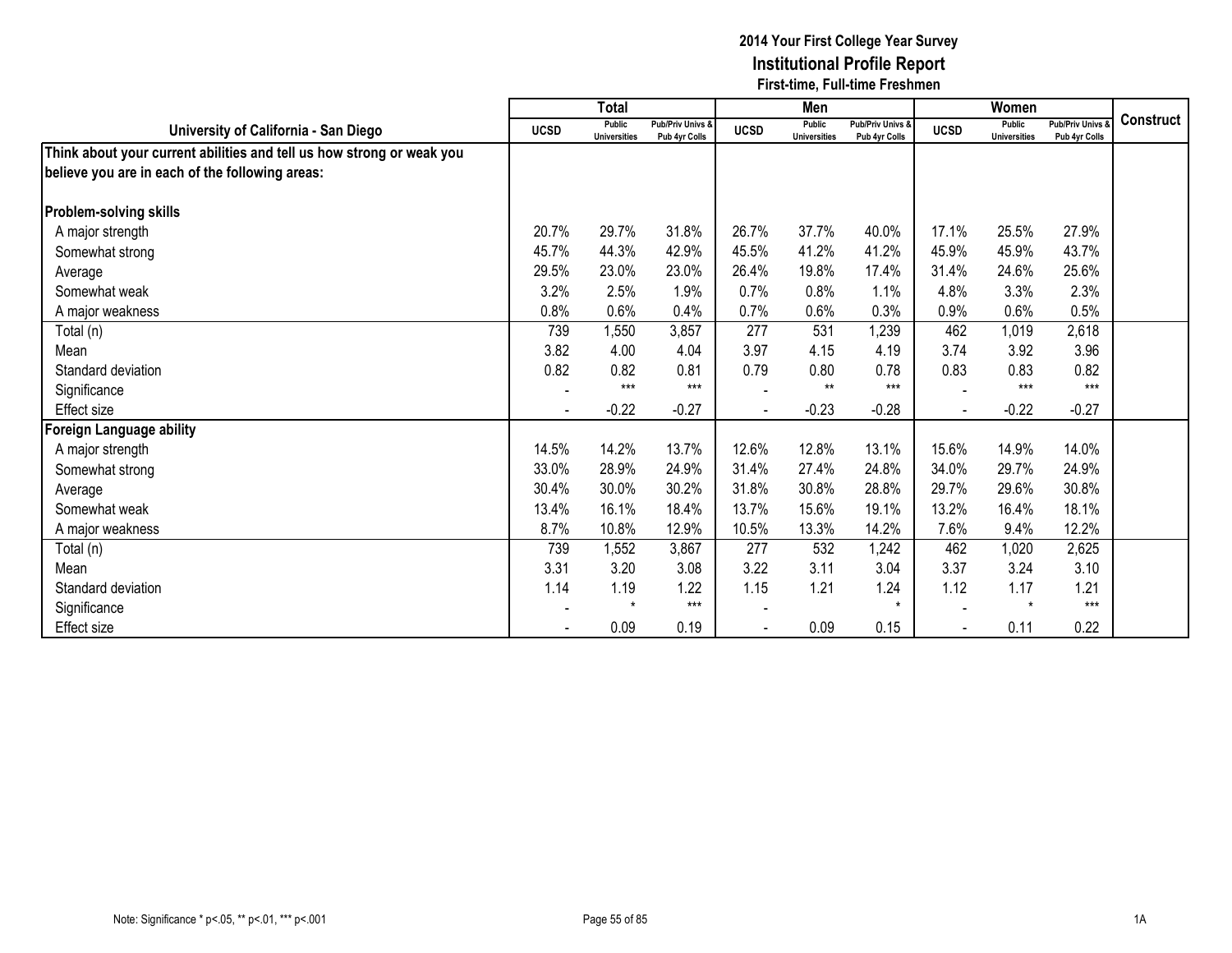|                                                                       |             | <b>Total</b>                         |                                              |             | Men                                  |                                   |             | Women                                |                                        |                  |
|-----------------------------------------------------------------------|-------------|--------------------------------------|----------------------------------------------|-------------|--------------------------------------|-----------------------------------|-------------|--------------------------------------|----------------------------------------|------------------|
| University of California - San Diego                                  | <b>UCSD</b> | <b>Public</b><br><b>Universities</b> | <b>Pub/Priv Univs &amp;</b><br>Pub 4yr Colls | <b>UCSD</b> | <b>Public</b><br><b>Universities</b> | Pub/Priv Univs &<br>Pub 4yr Colls | <b>UCSD</b> | <b>Public</b><br><b>Universities</b> | <b>Pub/Priv Univs</b><br>Pub 4yr Colls | <b>Construct</b> |
| Think about your current abilities and tell us how strong or weak you |             |                                      |                                              |             |                                      |                                   |             |                                      |                                        |                  |
| believe you are in each of the following areas:                       |             |                                      |                                              |             |                                      |                                   |             |                                      |                                        |                  |
|                                                                       |             |                                      |                                              |             |                                      |                                   |             |                                      |                                        |                  |
| <b>Problem-solving skills</b>                                         |             |                                      |                                              |             |                                      |                                   |             |                                      |                                        |                  |
| A major strength                                                      | 20.7%       | 29.7%                                | 31.8%                                        | 26.7%       | 37.7%                                | 40.0%                             | 17.1%       | 25.5%                                | 27.9%                                  |                  |
| Somewhat strong                                                       | 45.7%       | 44.3%                                | 42.9%                                        | 45.5%       | 41.2%                                | 41.2%                             | 45.9%       | 45.9%                                | 43.7%                                  |                  |
| Average                                                               | 29.5%       | 23.0%                                | 23.0%                                        | 26.4%       | 19.8%                                | 17.4%                             | 31.4%       | 24.6%                                | 25.6%                                  |                  |
| Somewhat weak                                                         | 3.2%        | 2.5%                                 | 1.9%                                         | 0.7%        | 0.8%                                 | 1.1%                              | 4.8%        | 3.3%                                 | 2.3%                                   |                  |
| A major weakness                                                      | 0.8%        | 0.6%                                 | 0.4%                                         | 0.7%        | 0.6%                                 | 0.3%                              | 0.9%        | 0.6%                                 | 0.5%                                   |                  |
| Total (n)                                                             | 739         | 1,550                                | 3,857                                        | 277         | 531                                  | 1,239                             | 462         | 1,019                                | 2,618                                  |                  |
| Mean                                                                  | 3.82        | 4.00                                 | 4.04                                         | 3.97        | 4.15                                 | 4.19                              | 3.74        | 3.92                                 | 3.96                                   |                  |
| Standard deviation                                                    | 0.82        | 0.82                                 | 0.81                                         | 0.79        | 0.80                                 | 0.78                              | 0.83        | 0.83                                 | 0.82                                   |                  |
| Significance                                                          |             | $***$                                | $***$                                        |             | $***$                                | $***$                             |             | $***$                                | $***$                                  |                  |
| Effect size                                                           |             | $-0.22$                              | $-0.27$                                      |             | $-0.23$                              | $-0.28$                           |             | $-0.22$                              | $-0.27$                                |                  |
| Foreign Language ability                                              |             |                                      |                                              |             |                                      |                                   |             |                                      |                                        |                  |
| A major strength                                                      | 14.5%       | 14.2%                                | 13.7%                                        | 12.6%       | 12.8%                                | 13.1%                             | 15.6%       | 14.9%                                | 14.0%                                  |                  |
| Somewhat strong                                                       | 33.0%       | 28.9%                                | 24.9%                                        | 31.4%       | 27.4%                                | 24.8%                             | 34.0%       | 29.7%                                | 24.9%                                  |                  |
| Average                                                               | 30.4%       | 30.0%                                | 30.2%                                        | 31.8%       | 30.8%                                | 28.8%                             | 29.7%       | 29.6%                                | 30.8%                                  |                  |
| Somewhat weak                                                         | 13.4%       | 16.1%                                | 18.4%                                        | 13.7%       | 15.6%                                | 19.1%                             | 13.2%       | 16.4%                                | 18.1%                                  |                  |
| A major weakness                                                      | 8.7%        | 10.8%                                | 12.9%                                        | 10.5%       | 13.3%                                | 14.2%                             | 7.6%        | 9.4%                                 | 12.2%                                  |                  |
| Total (n)                                                             | 739         | 1,552                                | 3,867                                        | 277         | 532                                  | 1,242                             | 462         | 1,020                                | 2,625                                  |                  |
| Mean                                                                  | 3.31        | 3.20                                 | 3.08                                         | 3.22        | 3.11                                 | 3.04                              | 3.37        | 3.24                                 | 3.10                                   |                  |
| Standard deviation                                                    | 1.14        | 1.19                                 | 1.22                                         | 1.15        | 1.21                                 | 1.24                              | 1.12        | 1.17                                 | 1.21                                   |                  |
| Significance                                                          |             | $\star$                              | $***$                                        |             |                                      | $\star$                           |             | $\star$                              | $***$                                  |                  |
| Effect size                                                           |             | 0.09                                 | 0.19                                         |             | 0.09                                 | 0.15                              |             | 0.11                                 | 0.22                                   |                  |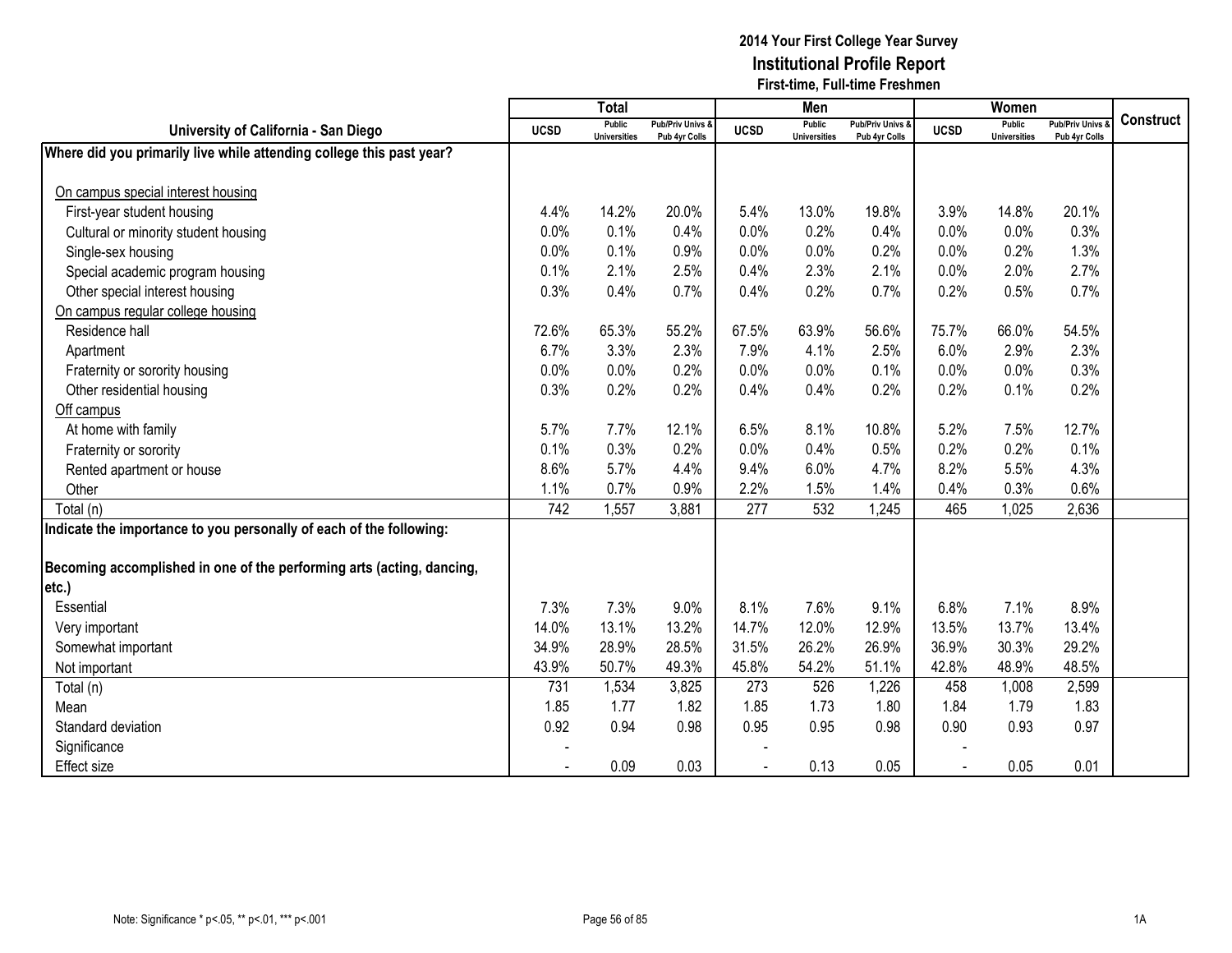|                                                                       |             | Total                                |                                   |             | Men                                  |                                   |             | Women                                |                                        |                  |
|-----------------------------------------------------------------------|-------------|--------------------------------------|-----------------------------------|-------------|--------------------------------------|-----------------------------------|-------------|--------------------------------------|----------------------------------------|------------------|
| University of California - San Diego                                  | <b>UCSD</b> | <b>Public</b><br><b>Universities</b> | Pub/Priv Univs &<br>Pub 4yr Colls | <b>UCSD</b> | <b>Public</b><br><b>Universities</b> | Pub/Priv Univs &<br>Pub 4yr Colls | <b>UCSD</b> | <b>Public</b><br><b>Universities</b> | <b>Pub/Priv Univs</b><br>Pub 4yr Colls | <b>Construct</b> |
| Where did you primarily live while attending college this past year?  |             |                                      |                                   |             |                                      |                                   |             |                                      |                                        |                  |
|                                                                       |             |                                      |                                   |             |                                      |                                   |             |                                      |                                        |                  |
| On campus special interest housing                                    |             |                                      |                                   |             |                                      |                                   |             |                                      |                                        |                  |
| First-year student housing                                            | 4.4%        | 14.2%                                | 20.0%                             | 5.4%        | 13.0%                                | 19.8%                             | 3.9%        | 14.8%                                | 20.1%                                  |                  |
| Cultural or minority student housing                                  | 0.0%        | 0.1%                                 | 0.4%                              | 0.0%        | 0.2%                                 | 0.4%                              | 0.0%        | 0.0%                                 | 0.3%                                   |                  |
| Single-sex housing                                                    | 0.0%        | 0.1%                                 | 0.9%                              | 0.0%        | 0.0%                                 | 0.2%                              | 0.0%        | 0.2%                                 | 1.3%                                   |                  |
| Special academic program housing                                      | 0.1%        | 2.1%                                 | 2.5%                              | 0.4%        | 2.3%                                 | 2.1%                              | 0.0%        | 2.0%                                 | 2.7%                                   |                  |
| Other special interest housing                                        | 0.3%        | 0.4%                                 | 0.7%                              | 0.4%        | 0.2%                                 | 0.7%                              | 0.2%        | 0.5%                                 | 0.7%                                   |                  |
| On campus regular college housing                                     |             |                                      |                                   |             |                                      |                                   |             |                                      |                                        |                  |
| Residence hall                                                        | 72.6%       | 65.3%                                | 55.2%                             | 67.5%       | 63.9%                                | 56.6%                             | 75.7%       | 66.0%                                | 54.5%                                  |                  |
| Apartment                                                             | 6.7%        | 3.3%                                 | 2.3%                              | 7.9%        | 4.1%                                 | 2.5%                              | 6.0%        | 2.9%                                 | 2.3%                                   |                  |
| Fraternity or sorority housing                                        | 0.0%        | 0.0%                                 | 0.2%                              | 0.0%        | 0.0%                                 | 0.1%                              | 0.0%        | 0.0%                                 | 0.3%                                   |                  |
| Other residential housing                                             | 0.3%        | 0.2%                                 | 0.2%                              | 0.4%        | 0.4%                                 | 0.2%                              | 0.2%        | 0.1%                                 | 0.2%                                   |                  |
| Off campus                                                            |             |                                      |                                   |             |                                      |                                   |             |                                      |                                        |                  |
| At home with family                                                   | 5.7%        | 7.7%                                 | 12.1%                             | 6.5%        | 8.1%                                 | 10.8%                             | 5.2%        | 7.5%                                 | 12.7%                                  |                  |
| Fraternity or sorority                                                | 0.1%        | 0.3%                                 | 0.2%                              | 0.0%        | 0.4%                                 | 0.5%                              | 0.2%        | 0.2%                                 | 0.1%                                   |                  |
| Rented apartment or house                                             | 8.6%        | 5.7%                                 | 4.4%                              | 9.4%        | 6.0%                                 | 4.7%                              | 8.2%        | 5.5%                                 | 4.3%                                   |                  |
| Other                                                                 | 1.1%        | 0.7%                                 | 0.9%                              | 2.2%        | 1.5%                                 | 1.4%                              | 0.4%        | 0.3%                                 | 0.6%                                   |                  |
| Total (n)                                                             | 742         | 1,557                                | 3,881                             | 277         | 532                                  | 1,245                             | 465         | 1,025                                | 2,636                                  |                  |
| Indicate the importance to you personally of each of the following:   |             |                                      |                                   |             |                                      |                                   |             |                                      |                                        |                  |
|                                                                       |             |                                      |                                   |             |                                      |                                   |             |                                      |                                        |                  |
| Becoming accomplished in one of the performing arts (acting, dancing, |             |                                      |                                   |             |                                      |                                   |             |                                      |                                        |                  |
| etc.)                                                                 |             |                                      |                                   |             |                                      |                                   |             |                                      |                                        |                  |
| Essential                                                             | 7.3%        | 7.3%                                 | 9.0%                              | 8.1%        | 7.6%                                 | 9.1%                              | 6.8%        | 7.1%                                 | 8.9%                                   |                  |
| Very important                                                        | 14.0%       | 13.1%                                | 13.2%                             | 14.7%       | 12.0%                                | 12.9%                             | 13.5%       | 13.7%                                | 13.4%                                  |                  |
| Somewhat important                                                    | 34.9%       | 28.9%                                | 28.5%                             | 31.5%       | 26.2%                                | 26.9%                             | 36.9%       | 30.3%                                | 29.2%                                  |                  |
| Not important                                                         | 43.9%       | 50.7%                                | 49.3%                             | 45.8%       | 54.2%                                | 51.1%                             | 42.8%       | 48.9%                                | 48.5%                                  |                  |
| Total (n)                                                             | 731         | 1,534                                | 3,825                             | 273         | 526                                  | 1,226                             | 458         | 1,008                                | 2,599                                  |                  |
| Mean                                                                  | 1.85        | 1.77                                 | 1.82                              | 1.85        | 1.73                                 | 1.80                              | 1.84        | 1.79                                 | 1.83                                   |                  |
| Standard deviation                                                    | 0.92        | 0.94                                 | 0.98                              | 0.95        | 0.95                                 | 0.98                              | 0.90        | 0.93                                 | 0.97                                   |                  |
| Significance                                                          |             |                                      |                                   |             |                                      |                                   |             |                                      |                                        |                  |
| <b>Effect</b> size                                                    |             | 0.09                                 | 0.03                              |             | 0.13                                 | 0.05                              | $\sim$      | 0.05                                 | 0.01                                   |                  |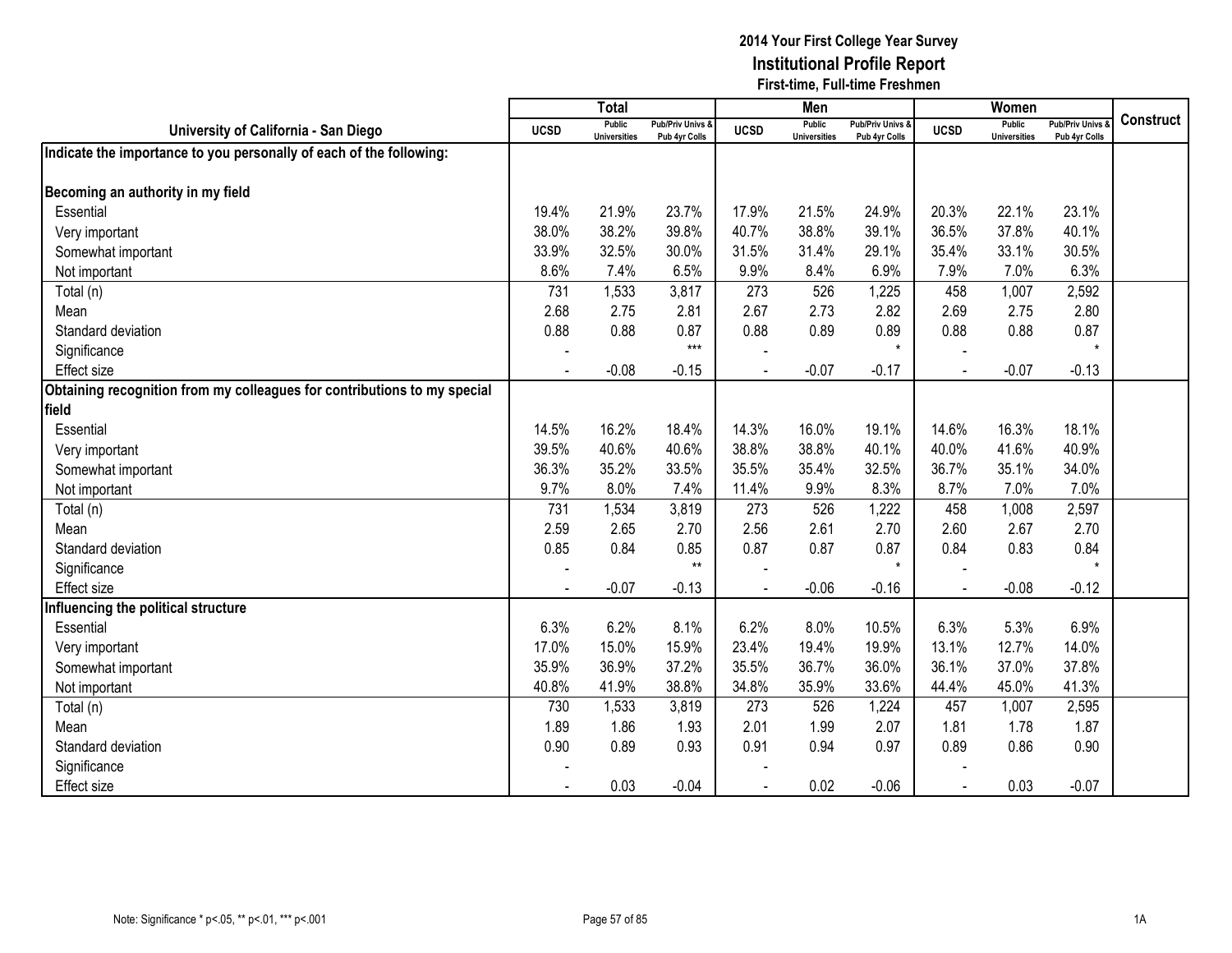|                                                                          |             | Total                                |                                   |             | Men                                  |                                   |             | Women                                |                                        |                  |
|--------------------------------------------------------------------------|-------------|--------------------------------------|-----------------------------------|-------------|--------------------------------------|-----------------------------------|-------------|--------------------------------------|----------------------------------------|------------------|
| University of California - San Diego                                     | <b>UCSD</b> | <b>Public</b><br><b>Universities</b> | Pub/Priv Univs &<br>Pub 4yr Colls | <b>UCSD</b> | <b>Public</b><br><b>Universities</b> | Pub/Priv Univs &<br>Pub 4yr Colls | <b>UCSD</b> | <b>Public</b><br><b>Universities</b> | <b>Pub/Priv Univs</b><br>Pub 4yr Colls | <b>Construct</b> |
| Indicate the importance to you personally of each of the following:      |             |                                      |                                   |             |                                      |                                   |             |                                      |                                        |                  |
|                                                                          |             |                                      |                                   |             |                                      |                                   |             |                                      |                                        |                  |
| Becoming an authority in my field                                        |             |                                      |                                   |             |                                      |                                   |             |                                      |                                        |                  |
| Essential                                                                | 19.4%       | 21.9%                                | 23.7%                             | 17.9%       | 21.5%                                | 24.9%                             | 20.3%       | 22.1%                                | 23.1%                                  |                  |
| Very important                                                           | 38.0%       | 38.2%                                | 39.8%                             | 40.7%       | 38.8%                                | 39.1%                             | 36.5%       | 37.8%                                | 40.1%                                  |                  |
| Somewhat important                                                       | 33.9%       | 32.5%                                | 30.0%                             | 31.5%       | 31.4%                                | 29.1%                             | 35.4%       | 33.1%                                | 30.5%                                  |                  |
| Not important                                                            | 8.6%        | 7.4%                                 | 6.5%                              | 9.9%        | 8.4%                                 | 6.9%                              | 7.9%        | 7.0%                                 | 6.3%                                   |                  |
| Total (n)                                                                | 731         | 1,533                                | 3,817                             | 273         | 526                                  | 1,225                             | 458         | 1,007                                | 2,592                                  |                  |
| Mean                                                                     | 2.68        | 2.75                                 | 2.81                              | 2.67        | 2.73                                 | 2.82                              | 2.69        | 2.75                                 | 2.80                                   |                  |
| Standard deviation                                                       | 0.88        | 0.88                                 | 0.87                              | 0.88        | 0.89                                 | 0.89                              | 0.88        | 0.88                                 | 0.87                                   |                  |
| Significance                                                             |             |                                      | $***$                             |             |                                      | $\star$                           |             |                                      | $\star$                                |                  |
| <b>Effect size</b>                                                       |             | $-0.08$                              | $-0.15$                           |             | $-0.07$                              | $-0.17$                           |             | $-0.07$                              | $-0.13$                                |                  |
| Obtaining recognition from my colleagues for contributions to my special |             |                                      |                                   |             |                                      |                                   |             |                                      |                                        |                  |
| field                                                                    |             |                                      |                                   |             |                                      |                                   |             |                                      |                                        |                  |
| Essential                                                                | 14.5%       | 16.2%                                | 18.4%                             | 14.3%       | 16.0%                                | 19.1%                             | 14.6%       | 16.3%                                | 18.1%                                  |                  |
| Very important                                                           | 39.5%       | 40.6%                                | 40.6%                             | 38.8%       | 38.8%                                | 40.1%                             | 40.0%       | 41.6%                                | 40.9%                                  |                  |
| Somewhat important                                                       | 36.3%       | 35.2%                                | 33.5%                             | 35.5%       | 35.4%                                | 32.5%                             | 36.7%       | 35.1%                                | 34.0%                                  |                  |
| Not important                                                            | 9.7%        | 8.0%                                 | 7.4%                              | 11.4%       | 9.9%                                 | 8.3%                              | 8.7%        | 7.0%                                 | 7.0%                                   |                  |
| Total (n)                                                                | 731         | 1,534                                | 3,819                             | 273         | 526                                  | 1,222                             | 458         | 1,008                                | 2,597                                  |                  |
| Mean                                                                     | 2.59        | 2.65                                 | 2.70                              | 2.56        | 2.61                                 | 2.70                              | 2.60        | 2.67                                 | 2.70                                   |                  |
| Standard deviation                                                       | 0.85        | 0.84                                 | 0.85                              | 0.87        | 0.87                                 | 0.87                              | 0.84        | 0.83                                 | 0.84                                   |                  |
| Significance                                                             |             |                                      | $**$                              |             |                                      | $\star$                           |             |                                      | $\star$                                |                  |
| <b>Effect size</b>                                                       |             | $-0.07$                              | $-0.13$                           |             | $-0.06$                              | $-0.16$                           |             | $-0.08$                              | $-0.12$                                |                  |
| Influencing the political structure                                      |             |                                      |                                   |             |                                      |                                   |             |                                      |                                        |                  |
| Essential                                                                | 6.3%        | 6.2%                                 | 8.1%                              | 6.2%        | 8.0%                                 | 10.5%                             | 6.3%        | 5.3%                                 | 6.9%                                   |                  |
| Very important                                                           | 17.0%       | 15.0%                                | 15.9%                             | 23.4%       | 19.4%                                | 19.9%                             | 13.1%       | 12.7%                                | 14.0%                                  |                  |
| Somewhat important                                                       | 35.9%       | 36.9%                                | 37.2%                             | 35.5%       | 36.7%                                | 36.0%                             | 36.1%       | 37.0%                                | 37.8%                                  |                  |
| Not important                                                            | 40.8%       | 41.9%                                | 38.8%                             | 34.8%       | 35.9%                                | 33.6%                             | 44.4%       | 45.0%                                | 41.3%                                  |                  |
| Total (n)                                                                | 730         | 1,533                                | 3,819                             | 273         | 526                                  | 1,224                             | 457         | 1,007                                | 2,595                                  |                  |
| Mean                                                                     | 1.89        | 1.86                                 | 1.93                              | 2.01        | 1.99                                 | 2.07                              | 1.81        | 1.78                                 | 1.87                                   |                  |
| Standard deviation                                                       | 0.90        | 0.89                                 | 0.93                              | 0.91        | 0.94                                 | 0.97                              | 0.89        | 0.86                                 | 0.90                                   |                  |
| Significance                                                             |             |                                      |                                   |             |                                      |                                   |             |                                      |                                        |                  |
| <b>Effect</b> size                                                       |             | 0.03                                 | $-0.04$                           |             | 0.02                                 | $-0.06$                           |             | 0.03                                 | $-0.07$                                |                  |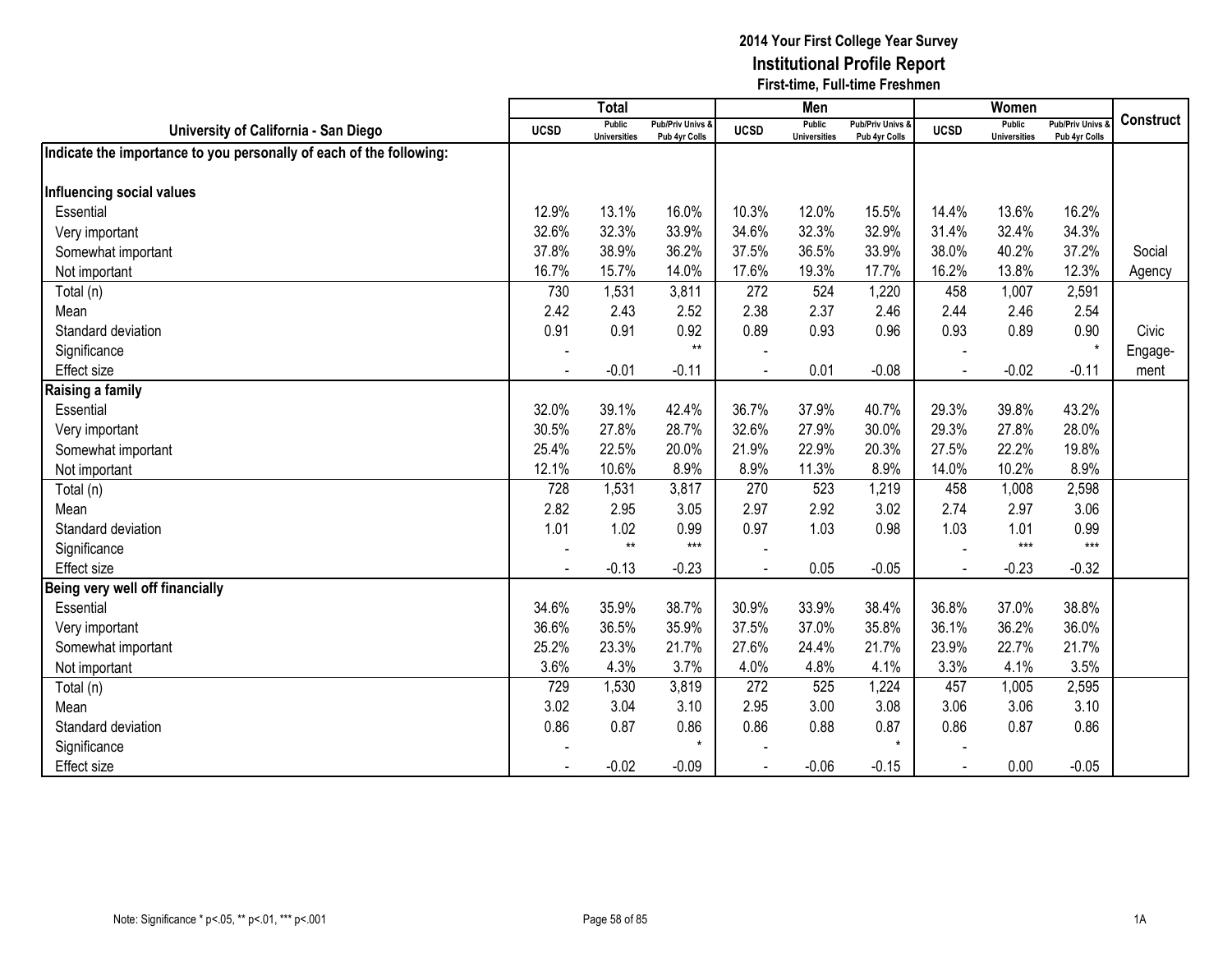|                                                                     |             | <b>Total</b>                         |                                   |             | Men                                  |                                   |             | Women                                |                                        |                  |
|---------------------------------------------------------------------|-------------|--------------------------------------|-----------------------------------|-------------|--------------------------------------|-----------------------------------|-------------|--------------------------------------|----------------------------------------|------------------|
| University of California - San Diego                                | <b>UCSD</b> | <b>Public</b><br><b>Universities</b> | Pub/Priv Univs &<br>Pub 4yr Colls | <b>UCSD</b> | <b>Public</b><br><b>Universities</b> | Pub/Priv Univs &<br>Pub 4yr Colls | <b>UCSD</b> | <b>Public</b><br><b>Universities</b> | <b>Pub/Priv Univs</b><br>Pub 4yr Colls | <b>Construct</b> |
| Indicate the importance to you personally of each of the following: |             |                                      |                                   |             |                                      |                                   |             |                                      |                                        |                  |
|                                                                     |             |                                      |                                   |             |                                      |                                   |             |                                      |                                        |                  |
| Influencing social values                                           |             |                                      |                                   |             |                                      |                                   |             |                                      |                                        |                  |
| Essential                                                           | 12.9%       | 13.1%                                | 16.0%                             | 10.3%       | 12.0%                                | 15.5%                             | 14.4%       | 13.6%                                | 16.2%                                  |                  |
| Very important                                                      | 32.6%       | 32.3%                                | 33.9%                             | 34.6%       | 32.3%                                | 32.9%                             | 31.4%       | 32.4%                                | 34.3%                                  |                  |
| Somewhat important                                                  | 37.8%       | 38.9%                                | 36.2%                             | 37.5%       | 36.5%                                | 33.9%                             | 38.0%       | 40.2%                                | 37.2%                                  | Social           |
| Not important                                                       | 16.7%       | 15.7%                                | 14.0%                             | 17.6%       | 19.3%                                | 17.7%                             | 16.2%       | 13.8%                                | 12.3%                                  | Agency           |
| Total (n)                                                           | 730         | 1,531                                | 3,811                             | 272         | 524                                  | 1,220                             | 458         | 1,007                                | 2,591                                  |                  |
| Mean                                                                | 2.42        | 2.43                                 | 2.52                              | 2.38        | 2.37                                 | 2.46                              | 2.44        | 2.46                                 | 2.54                                   |                  |
| Standard deviation                                                  | 0.91        | 0.91                                 | 0.92                              | 0.89        | 0.93                                 | 0.96                              | 0.93        | 0.89                                 | 0.90                                   | Civic            |
| Significance                                                        |             |                                      | $**$                              |             |                                      |                                   |             |                                      |                                        | Engage-          |
| <b>Effect size</b>                                                  |             | $-0.01$                              | $-0.11$                           | L.          | 0.01                                 | $-0.08$                           | $\sim$      | $-0.02$                              | $-0.11$                                | ment             |
| Raising a family                                                    |             |                                      |                                   |             |                                      |                                   |             |                                      |                                        |                  |
| Essential                                                           | 32.0%       | 39.1%                                | 42.4%                             | 36.7%       | 37.9%                                | 40.7%                             | 29.3%       | 39.8%                                | 43.2%                                  |                  |
| Very important                                                      | 30.5%       | 27.8%                                | 28.7%                             | 32.6%       | 27.9%                                | 30.0%                             | 29.3%       | 27.8%                                | 28.0%                                  |                  |
| Somewhat important                                                  | 25.4%       | 22.5%                                | 20.0%                             | 21.9%       | 22.9%                                | 20.3%                             | 27.5%       | 22.2%                                | 19.8%                                  |                  |
| Not important                                                       | 12.1%       | 10.6%                                | 8.9%                              | 8.9%        | 11.3%                                | 8.9%                              | 14.0%       | 10.2%                                | 8.9%                                   |                  |
| Total (n)                                                           | 728         | 1,531                                | 3,817                             | 270         | 523                                  | 1,219                             | 458         | 1,008                                | 2,598                                  |                  |
| Mean                                                                | 2.82        | 2.95                                 | 3.05                              | 2.97        | 2.92                                 | 3.02                              | 2.74        | 2.97                                 | 3.06                                   |                  |
| Standard deviation                                                  | 1.01        | 1.02                                 | 0.99                              | 0.97        | 1.03                                 | 0.98                              | 1.03        | 1.01                                 | 0.99                                   |                  |
| Significance                                                        |             | $**$                                 | $***$                             |             |                                      |                                   |             | $***$                                | $***$                                  |                  |
| <b>Effect size</b>                                                  |             | $-0.13$                              | $-0.23$                           |             | 0.05                                 | $-0.05$                           |             | $-0.23$                              | $-0.32$                                |                  |
| Being very well off financially                                     |             |                                      |                                   |             |                                      |                                   |             |                                      |                                        |                  |
| Essential                                                           | 34.6%       | 35.9%                                | 38.7%                             | 30.9%       | 33.9%                                | 38.4%                             | 36.8%       | 37.0%                                | 38.8%                                  |                  |
| Very important                                                      | 36.6%       | 36.5%                                | 35.9%                             | 37.5%       | 37.0%                                | 35.8%                             | 36.1%       | 36.2%                                | 36.0%                                  |                  |
| Somewhat important                                                  | 25.2%       | 23.3%                                | 21.7%                             | 27.6%       | 24.4%                                | 21.7%                             | 23.9%       | 22.7%                                | 21.7%                                  |                  |
| Not important                                                       | 3.6%        | 4.3%                                 | 3.7%                              | 4.0%        | 4.8%                                 | 4.1%                              | 3.3%        | 4.1%                                 | 3.5%                                   |                  |
| Total (n)                                                           | 729         | 1,530                                | 3,819                             | 272         | 525                                  | 1,224                             | 457         | 1,005                                | 2,595                                  |                  |
| Mean                                                                | 3.02        | 3.04                                 | 3.10                              | 2.95        | 3.00                                 | 3.08                              | 3.06        | 3.06                                 | 3.10                                   |                  |
| Standard deviation                                                  | 0.86        | 0.87                                 | 0.86                              | 0.86        | 0.88                                 | 0.87                              | 0.86        | 0.87                                 | 0.86                                   |                  |
| Significance                                                        |             |                                      | $\star$                           |             |                                      | $\star$                           |             |                                      |                                        |                  |
| <b>Effect size</b>                                                  |             | $-0.02$                              | $-0.09$                           |             | $-0.06$                              | $-0.15$                           |             | 0.00                                 | $-0.05$                                |                  |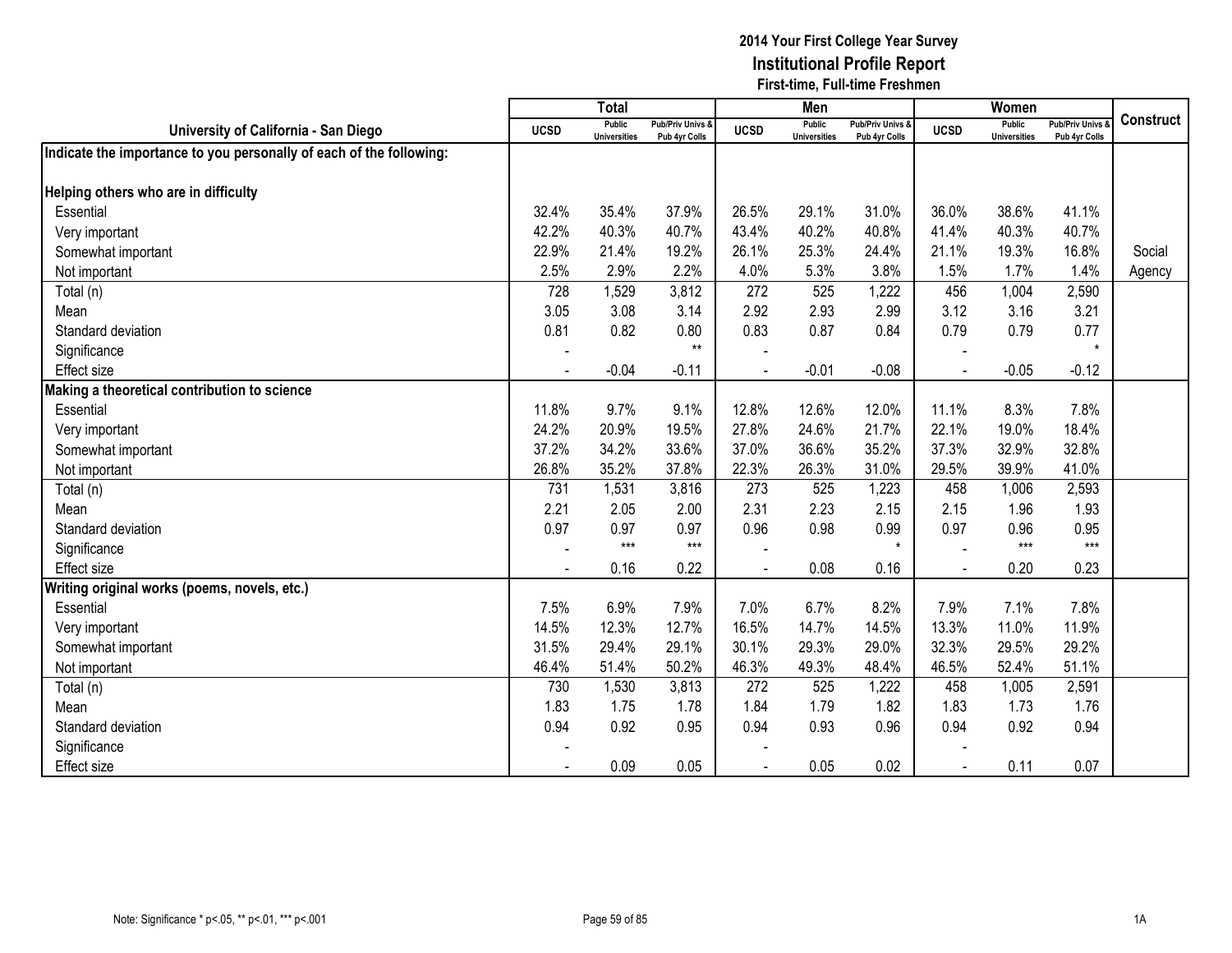|                                                                     |                | <b>Total</b>                         |                                   |                | Men                                  |                                              |             | Women                                |                                        |                  |
|---------------------------------------------------------------------|----------------|--------------------------------------|-----------------------------------|----------------|--------------------------------------|----------------------------------------------|-------------|--------------------------------------|----------------------------------------|------------------|
| University of California - San Diego                                | <b>UCSD</b>    | <b>Public</b><br><b>Universities</b> | Pub/Priv Univs &<br>Pub 4yr Colls | <b>UCSD</b>    | <b>Public</b><br><b>Universities</b> | <b>Pub/Priv Univs &amp;</b><br>Pub 4yr Colls | <b>UCSD</b> | <b>Public</b><br><b>Universities</b> | <b>Pub/Priv Univs</b><br>Pub 4yr Colls | <b>Construct</b> |
| Indicate the importance to you personally of each of the following: |                |                                      |                                   |                |                                      |                                              |             |                                      |                                        |                  |
|                                                                     |                |                                      |                                   |                |                                      |                                              |             |                                      |                                        |                  |
| Helping others who are in difficulty                                |                |                                      |                                   |                |                                      |                                              |             |                                      |                                        |                  |
| Essential                                                           | 32.4%          | 35.4%                                | 37.9%                             | 26.5%          | 29.1%                                | 31.0%                                        | 36.0%       | 38.6%                                | 41.1%                                  |                  |
| Very important                                                      | 42.2%          | 40.3%                                | 40.7%                             | 43.4%          | 40.2%                                | 40.8%                                        | 41.4%       | 40.3%                                | 40.7%                                  |                  |
| Somewhat important                                                  | 22.9%          | 21.4%                                | 19.2%                             | 26.1%          | 25.3%                                | 24.4%                                        | 21.1%       | 19.3%                                | 16.8%                                  | Social           |
| Not important                                                       | 2.5%           | 2.9%                                 | 2.2%                              | 4.0%           | 5.3%                                 | 3.8%                                         | 1.5%        | 1.7%                                 | 1.4%                                   | Agency           |
| Total (n)                                                           | 728            | 1,529                                | 3,812                             | 272            | 525                                  | 1,222                                        | 456         | 1,004                                | 2,590                                  |                  |
| Mean                                                                | 3.05           | 3.08                                 | 3.14                              | 2.92           | 2.93                                 | 2.99                                         | 3.12        | 3.16                                 | 3.21                                   |                  |
| Standard deviation                                                  | 0.81           | 0.82                                 | 0.80                              | 0.83           | 0.87                                 | 0.84                                         | 0.79        | 0.79                                 | 0.77                                   |                  |
| Significance                                                        |                |                                      | $**$                              |                |                                      |                                              |             |                                      | $\star$                                |                  |
| <b>Effect size</b>                                                  | $\blacksquare$ | $-0.04$                              | $-0.11$                           | $\overline{a}$ | $-0.01$                              | $-0.08$                                      | $\sim$      | $-0.05$                              | $-0.12$                                |                  |
| Making a theoretical contribution to science                        |                |                                      |                                   |                |                                      |                                              |             |                                      |                                        |                  |
| Essential                                                           | 11.8%          | 9.7%                                 | 9.1%                              | 12.8%          | 12.6%                                | 12.0%                                        | 11.1%       | 8.3%                                 | 7.8%                                   |                  |
| Very important                                                      | 24.2%          | 20.9%                                | 19.5%                             | 27.8%          | 24.6%                                | 21.7%                                        | 22.1%       | 19.0%                                | 18.4%                                  |                  |
| Somewhat important                                                  | 37.2%          | 34.2%                                | 33.6%                             | 37.0%          | 36.6%                                | 35.2%                                        | 37.3%       | 32.9%                                | 32.8%                                  |                  |
| Not important                                                       | 26.8%          | 35.2%                                | 37.8%                             | 22.3%          | 26.3%                                | 31.0%                                        | 29.5%       | 39.9%                                | 41.0%                                  |                  |
| Total (n)                                                           | 731            | 1,531                                | 3,816                             | 273            | 525                                  | 1,223                                        | 458         | 1,006                                | 2,593                                  |                  |
| Mean                                                                | 2.21           | 2.05                                 | 2.00                              | 2.31           | 2.23                                 | 2.15                                         | 2.15        | 1.96                                 | 1.93                                   |                  |
| Standard deviation                                                  | 0.97           | 0.97                                 | 0.97                              | 0.96           | 0.98                                 | 0.99                                         | 0.97        | 0.96                                 | 0.95                                   |                  |
| Significance                                                        |                | $***$                                | $***$                             |                |                                      | $\star$                                      |             | $***$                                | $***$                                  |                  |
| <b>Effect size</b>                                                  |                | 0.16                                 | 0.22                              |                | 0.08                                 | 0.16                                         |             | 0.20                                 | 0.23                                   |                  |
| Writing original works (poems, novels, etc.)                        |                |                                      |                                   |                |                                      |                                              |             |                                      |                                        |                  |
| Essential                                                           | 7.5%           | 6.9%                                 | 7.9%                              | 7.0%           | 6.7%                                 | 8.2%                                         | 7.9%        | 7.1%                                 | 7.8%                                   |                  |
| Very important                                                      | 14.5%          | 12.3%                                | 12.7%                             | 16.5%          | 14.7%                                | 14.5%                                        | 13.3%       | 11.0%                                | 11.9%                                  |                  |
| Somewhat important                                                  | 31.5%          | 29.4%                                | 29.1%                             | 30.1%          | 29.3%                                | 29.0%                                        | 32.3%       | 29.5%                                | 29.2%                                  |                  |
| Not important                                                       | 46.4%          | 51.4%                                | 50.2%                             | 46.3%          | 49.3%                                | 48.4%                                        | 46.5%       | 52.4%                                | 51.1%                                  |                  |
| Total (n)                                                           | 730            | 1,530                                | 3,813                             | 272            | 525                                  | 1,222                                        | 458         | 1,005                                | 2,591                                  |                  |
| Mean                                                                | 1.83           | 1.75                                 | 1.78                              | 1.84           | 1.79                                 | 1.82                                         | 1.83        | 1.73                                 | 1.76                                   |                  |
| Standard deviation                                                  | 0.94           | 0.92                                 | 0.95                              | 0.94           | 0.93                                 | 0.96                                         | 0.94        | 0.92                                 | 0.94                                   |                  |
| Significance                                                        |                |                                      |                                   |                |                                      |                                              |             |                                      |                                        |                  |
| <b>Effect size</b>                                                  |                | 0.09                                 | 0.05                              |                | 0.05                                 | 0.02                                         |             | 0.11                                 | 0.07                                   |                  |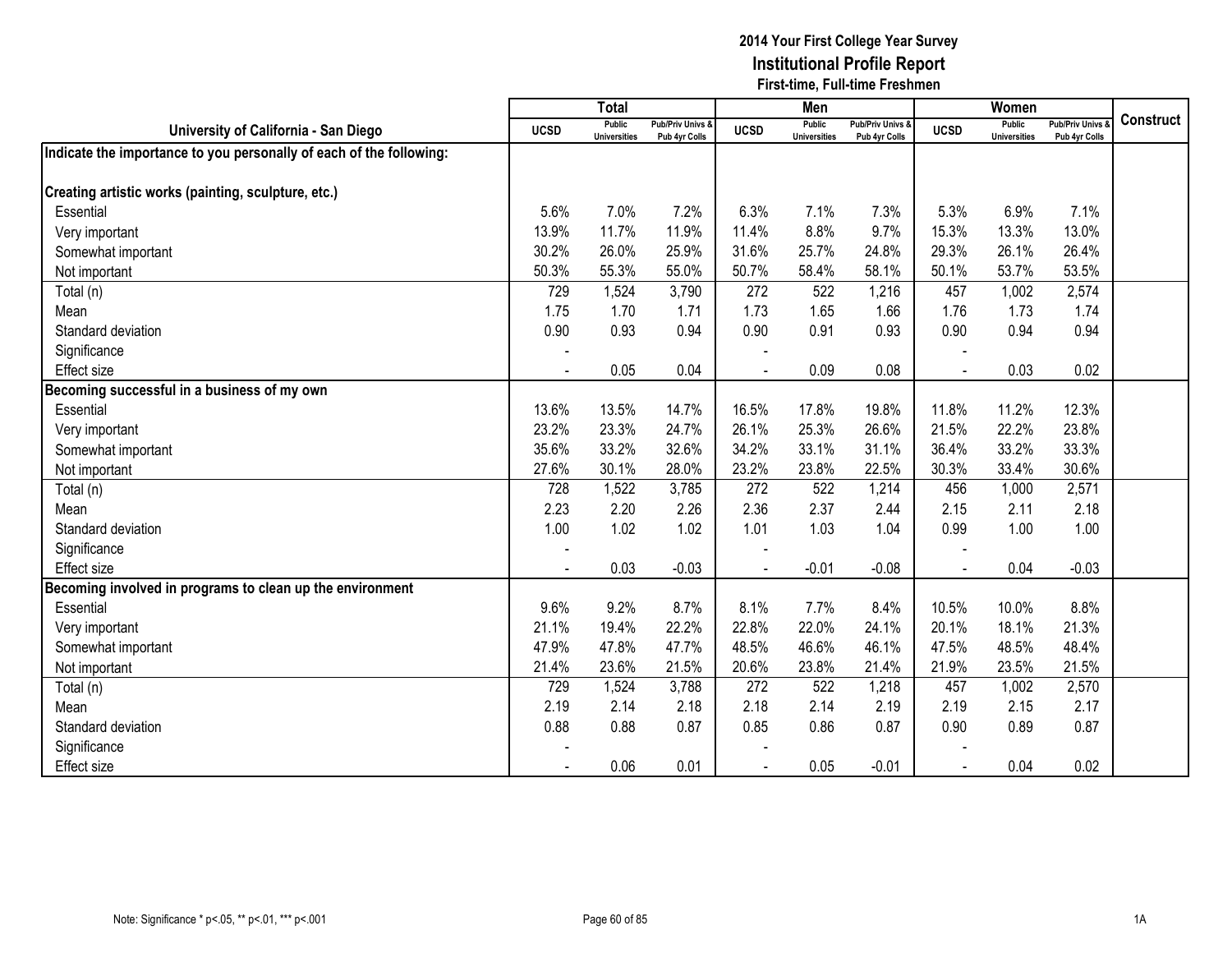|                                                                     |                | <b>Total</b>                         |                                   |                | Men                                  |                                              |                | Women                                |                                        |                  |
|---------------------------------------------------------------------|----------------|--------------------------------------|-----------------------------------|----------------|--------------------------------------|----------------------------------------------|----------------|--------------------------------------|----------------------------------------|------------------|
| University of California - San Diego                                | <b>UCSD</b>    | <b>Public</b><br><b>Universities</b> | Pub/Priv Univs &<br>Pub 4yr Colls | <b>UCSD</b>    | <b>Public</b><br><b>Universities</b> | <b>Pub/Priv Univs &amp;</b><br>Pub 4yr Colls | <b>UCSD</b>    | <b>Public</b><br><b>Universities</b> | <b>Pub/Priv Univs</b><br>Pub 4yr Colls | <b>Construct</b> |
| Indicate the importance to you personally of each of the following: |                |                                      |                                   |                |                                      |                                              |                |                                      |                                        |                  |
|                                                                     |                |                                      |                                   |                |                                      |                                              |                |                                      |                                        |                  |
| Creating artistic works (painting, sculpture, etc.)                 |                |                                      |                                   |                |                                      |                                              |                |                                      |                                        |                  |
| Essential                                                           | 5.6%           | 7.0%                                 | 7.2%                              | 6.3%           | 7.1%                                 | 7.3%                                         | 5.3%           | 6.9%                                 | 7.1%                                   |                  |
| Very important                                                      | 13.9%          | 11.7%                                | 11.9%                             | 11.4%          | 8.8%                                 | 9.7%                                         | 15.3%          | 13.3%                                | 13.0%                                  |                  |
| Somewhat important                                                  | 30.2%          | 26.0%                                | 25.9%                             | 31.6%          | 25.7%                                | 24.8%                                        | 29.3%          | 26.1%                                | 26.4%                                  |                  |
| Not important                                                       | 50.3%          | 55.3%                                | 55.0%                             | 50.7%          | 58.4%                                | 58.1%                                        | 50.1%          | 53.7%                                | 53.5%                                  |                  |
| Total (n)                                                           | 729            | 1,524                                | 3,790                             | 272            | 522                                  | 1,216                                        | 457            | 1,002                                | 2,574                                  |                  |
| Mean                                                                | 1.75           | 1.70                                 | 1.71                              | 1.73           | 1.65                                 | 1.66                                         | 1.76           | 1.73                                 | 1.74                                   |                  |
| Standard deviation                                                  | 0.90           | 0.93                                 | 0.94                              | 0.90           | 0.91                                 | 0.93                                         | 0.90           | 0.94                                 | 0.94                                   |                  |
| Significance                                                        |                |                                      |                                   |                |                                      |                                              |                |                                      |                                        |                  |
| <b>Effect size</b>                                                  | $\blacksquare$ | 0.05                                 | 0.04                              | $\overline{a}$ | 0.09                                 | 0.08                                         | $\overline{a}$ | 0.03                                 | 0.02                                   |                  |
| Becoming successful in a business of my own                         |                |                                      |                                   |                |                                      |                                              |                |                                      |                                        |                  |
| Essential                                                           | 13.6%          | 13.5%                                | 14.7%                             | 16.5%          | 17.8%                                | 19.8%                                        | 11.8%          | 11.2%                                | 12.3%                                  |                  |
| Very important                                                      | 23.2%          | 23.3%                                | 24.7%                             | 26.1%          | 25.3%                                | 26.6%                                        | 21.5%          | 22.2%                                | 23.8%                                  |                  |
| Somewhat important                                                  | 35.6%          | 33.2%                                | 32.6%                             | 34.2%          | 33.1%                                | 31.1%                                        | 36.4%          | 33.2%                                | 33.3%                                  |                  |
| Not important                                                       | 27.6%          | 30.1%                                | 28.0%                             | 23.2%          | 23.8%                                | 22.5%                                        | 30.3%          | 33.4%                                | 30.6%                                  |                  |
| Total (n)                                                           | 728            | 1,522                                | 3,785                             | 272            | 522                                  | 1,214                                        | 456            | 1,000                                | 2,571                                  |                  |
| Mean                                                                | 2.23           | 2.20                                 | 2.26                              | 2.36           | 2.37                                 | 2.44                                         | 2.15           | 2.11                                 | 2.18                                   |                  |
| Standard deviation                                                  | 1.00           | 1.02                                 | 1.02                              | 1.01           | 1.03                                 | 1.04                                         | 0.99           | 1.00                                 | 1.00                                   |                  |
| Significance                                                        |                |                                      |                                   |                |                                      |                                              |                |                                      |                                        |                  |
| <b>Effect size</b>                                                  |                | 0.03                                 | $-0.03$                           |                | $-0.01$                              | $-0.08$                                      |                | 0.04                                 | $-0.03$                                |                  |
| Becoming involved in programs to clean up the environment           |                |                                      |                                   |                |                                      |                                              |                |                                      |                                        |                  |
| Essential                                                           | 9.6%           | 9.2%                                 | 8.7%                              | 8.1%           | 7.7%                                 | 8.4%                                         | 10.5%          | 10.0%                                | 8.8%                                   |                  |
| Very important                                                      | 21.1%          | 19.4%                                | 22.2%                             | 22.8%          | 22.0%                                | 24.1%                                        | 20.1%          | 18.1%                                | 21.3%                                  |                  |
| Somewhat important                                                  | 47.9%          | 47.8%                                | 47.7%                             | 48.5%          | 46.6%                                | 46.1%                                        | 47.5%          | 48.5%                                | 48.4%                                  |                  |
| Not important                                                       | 21.4%          | 23.6%                                | 21.5%                             | 20.6%          | 23.8%                                | 21.4%                                        | 21.9%          | 23.5%                                | 21.5%                                  |                  |
| Total (n)                                                           | 729            | 1,524                                | 3,788                             | 272            | 522                                  | 1,218                                        | 457            | 1,002                                | 2,570                                  |                  |
| Mean                                                                | 2.19           | 2.14                                 | 2.18                              | 2.18           | 2.14                                 | 2.19                                         | 2.19           | 2.15                                 | 2.17                                   |                  |
| Standard deviation                                                  | 0.88           | 0.88                                 | 0.87                              | 0.85           | 0.86                                 | 0.87                                         | 0.90           | 0.89                                 | 0.87                                   |                  |
| Significance                                                        |                |                                      |                                   |                |                                      |                                              |                |                                      |                                        |                  |
| <b>Effect size</b>                                                  |                | 0.06                                 | 0.01                              |                | 0.05                                 | $-0.01$                                      |                | 0.04                                 | 0.02                                   |                  |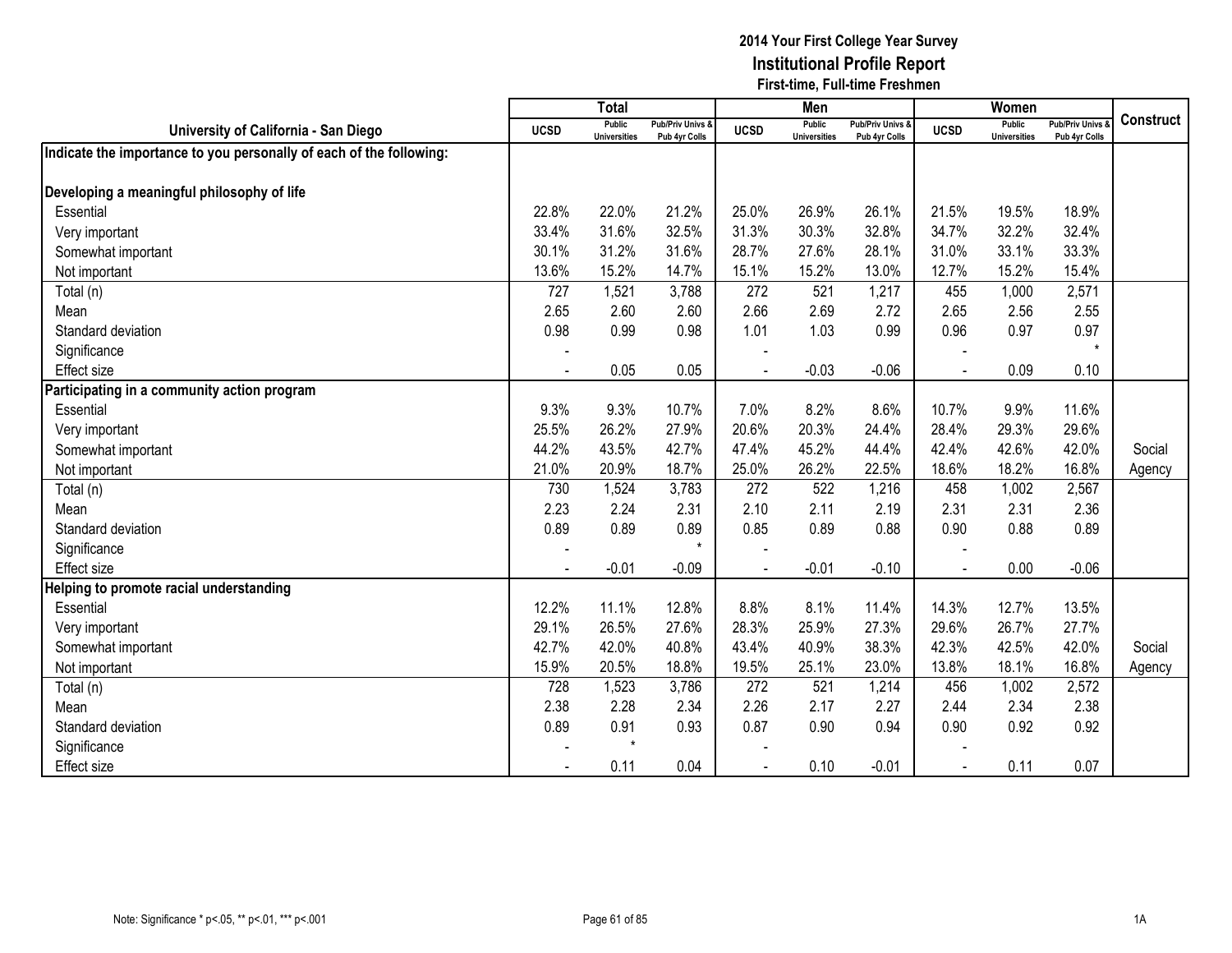|                                                                     |                | <b>Total</b>                         |                                   |                | Men                                  |                                              |                | Women                                |                                        |                  |
|---------------------------------------------------------------------|----------------|--------------------------------------|-----------------------------------|----------------|--------------------------------------|----------------------------------------------|----------------|--------------------------------------|----------------------------------------|------------------|
| University of California - San Diego                                | <b>UCSD</b>    | <b>Public</b><br><b>Universities</b> | Pub/Priv Univs &<br>Pub 4yr Colls | <b>UCSD</b>    | <b>Public</b><br><b>Universities</b> | <b>Pub/Priv Univs &amp;</b><br>Pub 4yr Colls | <b>UCSD</b>    | <b>Public</b><br><b>Universities</b> | <b>Pub/Priv Univs</b><br>Pub 4yr Colls | <b>Construct</b> |
| Indicate the importance to you personally of each of the following: |                |                                      |                                   |                |                                      |                                              |                |                                      |                                        |                  |
|                                                                     |                |                                      |                                   |                |                                      |                                              |                |                                      |                                        |                  |
| Developing a meaningful philosophy of life                          |                |                                      |                                   |                |                                      |                                              |                |                                      |                                        |                  |
| Essential                                                           | 22.8%          | 22.0%                                | 21.2%                             | 25.0%          | 26.9%                                | 26.1%                                        | 21.5%          | 19.5%                                | 18.9%                                  |                  |
| Very important                                                      | 33.4%          | 31.6%                                | 32.5%                             | 31.3%          | 30.3%                                | 32.8%                                        | 34.7%          | 32.2%                                | 32.4%                                  |                  |
| Somewhat important                                                  | 30.1%          | 31.2%                                | 31.6%                             | 28.7%          | 27.6%                                | 28.1%                                        | 31.0%          | 33.1%                                | 33.3%                                  |                  |
| Not important                                                       | 13.6%          | 15.2%                                | 14.7%                             | 15.1%          | 15.2%                                | 13.0%                                        | 12.7%          | 15.2%                                | 15.4%                                  |                  |
| Total (n)                                                           | 727            | 1,521                                | 3,788                             | 272            | 521                                  | 1,217                                        | 455            | 1,000                                | 2,571                                  |                  |
| Mean                                                                | 2.65           | 2.60                                 | 2.60                              | 2.66           | 2.69                                 | 2.72                                         | 2.65           | 2.56                                 | 2.55                                   |                  |
| Standard deviation                                                  | 0.98           | 0.99                                 | 0.98                              | 1.01           | 1.03                                 | 0.99                                         | 0.96           | 0.97                                 | 0.97                                   |                  |
| Significance                                                        |                |                                      |                                   |                |                                      |                                              |                |                                      |                                        |                  |
| <b>Effect size</b>                                                  | $\blacksquare$ | 0.05                                 | 0.05                              | $\overline{a}$ | $-0.03$                              | $-0.06$                                      | $\overline{a}$ | 0.09                                 | 0.10                                   |                  |
| Participating in a community action program                         |                |                                      |                                   |                |                                      |                                              |                |                                      |                                        |                  |
| Essential                                                           | 9.3%           | 9.3%                                 | 10.7%                             | 7.0%           | 8.2%                                 | 8.6%                                         | 10.7%          | 9.9%                                 | 11.6%                                  |                  |
| Very important                                                      | 25.5%          | 26.2%                                | 27.9%                             | 20.6%          | 20.3%                                | 24.4%                                        | 28.4%          | 29.3%                                | 29.6%                                  |                  |
| Somewhat important                                                  | 44.2%          | 43.5%                                | 42.7%                             | 47.4%          | 45.2%                                | 44.4%                                        | 42.4%          | 42.6%                                | 42.0%                                  | Social           |
| Not important                                                       | 21.0%          | 20.9%                                | 18.7%                             | 25.0%          | 26.2%                                | 22.5%                                        | 18.6%          | 18.2%                                | 16.8%                                  | Agency           |
| Total (n)                                                           | 730            | 1,524                                | 3,783                             | 272            | 522                                  | 1,216                                        | 458            | 1,002                                | 2,567                                  |                  |
| Mean                                                                | 2.23           | 2.24                                 | 2.31                              | 2.10           | 2.11                                 | 2.19                                         | 2.31           | 2.31                                 | 2.36                                   |                  |
| Standard deviation                                                  | 0.89           | 0.89                                 | 0.89                              | 0.85           | 0.89                                 | 0.88                                         | 0.90           | 0.88                                 | 0.89                                   |                  |
| Significance                                                        |                |                                      | $\star$                           |                |                                      |                                              |                |                                      |                                        |                  |
| <b>Effect size</b>                                                  |                | $-0.01$                              | $-0.09$                           |                | $-0.01$                              | $-0.10$                                      |                | 0.00                                 | $-0.06$                                |                  |
| Helping to promote racial understanding                             |                |                                      |                                   |                |                                      |                                              |                |                                      |                                        |                  |
| Essential                                                           | 12.2%          | 11.1%                                | 12.8%                             | 8.8%           | 8.1%                                 | 11.4%                                        | 14.3%          | 12.7%                                | 13.5%                                  |                  |
| Very important                                                      | 29.1%          | 26.5%                                | 27.6%                             | 28.3%          | 25.9%                                | 27.3%                                        | 29.6%          | 26.7%                                | 27.7%                                  |                  |
| Somewhat important                                                  | 42.7%          | 42.0%                                | 40.8%                             | 43.4%          | 40.9%                                | 38.3%                                        | 42.3%          | 42.5%                                | 42.0%                                  | Social           |
| Not important                                                       | 15.9%          | 20.5%                                | 18.8%                             | 19.5%          | 25.1%                                | 23.0%                                        | 13.8%          | 18.1%                                | 16.8%                                  | Agency           |
| Total (n)                                                           | 728            | 1,523                                | 3,786                             | 272            | 521                                  | 1,214                                        | 456            | 1,002                                | 2,572                                  |                  |
| Mean                                                                | 2.38           | 2.28                                 | 2.34                              | 2.26           | 2.17                                 | 2.27                                         | 2.44           | 2.34                                 | 2.38                                   |                  |
| Standard deviation                                                  | 0.89           | 0.91                                 | 0.93                              | 0.87           | 0.90                                 | 0.94                                         | 0.90           | 0.92                                 | 0.92                                   |                  |
| Significance                                                        |                | $\star$                              |                                   |                |                                      |                                              |                |                                      |                                        |                  |
| <b>Effect size</b>                                                  |                | 0.11                                 | 0.04                              |                | 0.10                                 | $-0.01$                                      |                | 0.11                                 | 0.07                                   |                  |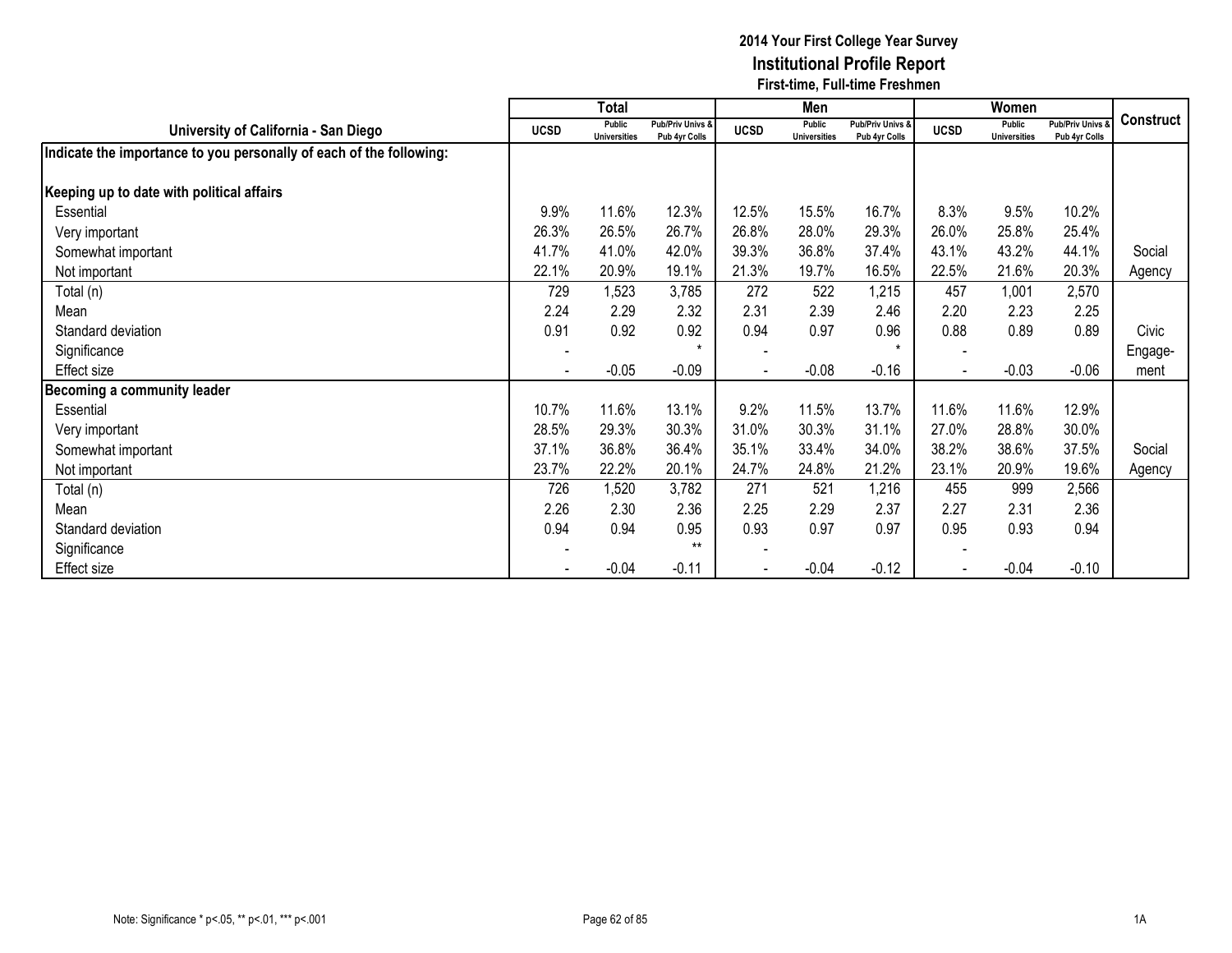|                                                                     |                              | <b>Total</b>                  |                                              |                          | Men                           |                                   |                          | Women                         |                                        |           |
|---------------------------------------------------------------------|------------------------------|-------------------------------|----------------------------------------------|--------------------------|-------------------------------|-----------------------------------|--------------------------|-------------------------------|----------------------------------------|-----------|
| University of California - San Diego                                | <b>UCSD</b>                  | Public<br><b>Universities</b> | <b>Pub/Priv Univs &amp;</b><br>Pub 4yr Colls | <b>UCSD</b>              | Public<br><b>Universities</b> | Pub/Priv Univs &<br>Pub 4yr Colls | <b>UCSD</b>              | Public<br><b>Universities</b> | <b>Pub/Priv Univs</b><br>Pub 4yr Colls | Construct |
| Indicate the importance to you personally of each of the following: |                              |                               |                                              |                          |                               |                                   |                          |                               |                                        |           |
| Keeping up to date with political affairs                           |                              |                               |                                              |                          |                               |                                   |                          |                               |                                        |           |
| Essential                                                           | 9.9%                         | 11.6%                         | 12.3%                                        | 12.5%                    | 15.5%                         | 16.7%                             | 8.3%                     | 9.5%                          | 10.2%                                  |           |
| Very important                                                      | 26.3%                        | 26.5%                         | 26.7%                                        | 26.8%                    | 28.0%                         | 29.3%                             | 26.0%                    | 25.8%                         | 25.4%                                  |           |
| Somewhat important                                                  | 41.7%                        | 41.0%                         | 42.0%                                        | 39.3%                    | 36.8%                         | 37.4%                             | 43.1%                    | 43.2%                         | 44.1%                                  | Social    |
| Not important                                                       | 22.1%                        | 20.9%                         | 19.1%                                        | 21.3%                    | 19.7%                         | 16.5%                             | 22.5%                    | 21.6%                         | 20.3%                                  | Agency    |
| Total (n)                                                           | 729                          | 1,523                         | 3,785                                        | 272                      | 522                           | 1,215                             | 457                      | 1,001                         | 2,570                                  |           |
| Mean                                                                | 2.24                         | 2.29                          | 2.32                                         | 2.31                     | 2.39                          | 2.46                              | 2.20                     | 2.23                          | 2.25                                   |           |
| Standard deviation                                                  | 0.91                         | 0.92                          | 0.92                                         | 0.94                     | 0.97                          | 0.96                              | 0.88                     | 0.89                          | 0.89                                   | Civic     |
| Significance                                                        | $\overline{\phantom{a}}$     |                               | $\star$                                      |                          |                               | $\star$                           |                          |                               |                                        | Engage-   |
| Effect size                                                         | $\qquad \qquad \blacksquare$ | $-0.05$                       | $-0.09$                                      | $\overline{\phantom{a}}$ | $-0.08$                       | $-0.16$                           | $\overline{\phantom{a}}$ | $-0.03$                       | $-0.06$                                | ment      |
| Becoming a community leader                                         |                              |                               |                                              |                          |                               |                                   |                          |                               |                                        |           |
| Essential                                                           | 10.7%                        | 11.6%                         | 13.1%                                        | 9.2%                     | 11.5%                         | 13.7%                             | 11.6%                    | 11.6%                         | 12.9%                                  |           |
| Very important                                                      | 28.5%                        | 29.3%                         | 30.3%                                        | 31.0%                    | 30.3%                         | 31.1%                             | 27.0%                    | 28.8%                         | 30.0%                                  |           |
| Somewhat important                                                  | 37.1%                        | 36.8%                         | 36.4%                                        | 35.1%                    | 33.4%                         | 34.0%                             | 38.2%                    | 38.6%                         | 37.5%                                  | Social    |
| Not important                                                       | 23.7%                        | 22.2%                         | 20.1%                                        | 24.7%                    | 24.8%                         | 21.2%                             | 23.1%                    | 20.9%                         | 19.6%                                  | Agency    |
| Total (n)                                                           | 726                          | 1,520                         | 3,782                                        | 271                      | 521                           | 1,216                             | 455                      | 999                           | 2,566                                  |           |
| Mean                                                                | 2.26                         | 2.30                          | 2.36                                         | 2.25                     | 2.29                          | 2.37                              | 2.27                     | 2.31                          | 2.36                                   |           |
| Standard deviation                                                  | 0.94                         | 0.94                          | 0.95                                         | 0.93                     | 0.97                          | 0.97                              | 0.95                     | 0.93                          | 0.94                                   |           |
| Significance                                                        |                              |                               | $***$                                        |                          |                               |                                   |                          |                               |                                        |           |
| Effect size                                                         |                              | $-0.04$                       | $-0.11$                                      |                          | $-0.04$                       | $-0.12$                           |                          | $-0.04$                       | $-0.10$                                |           |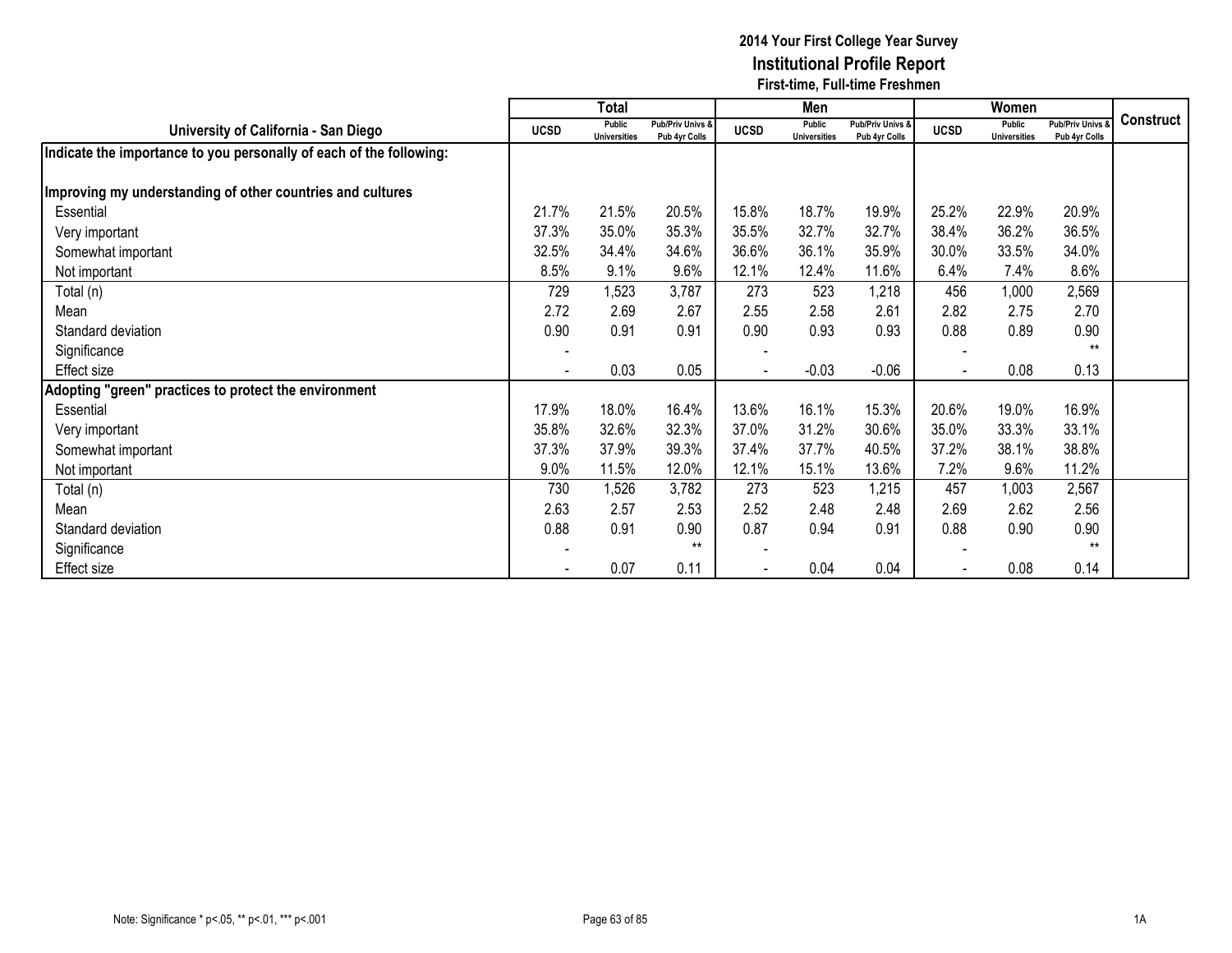|                                                                     |                | <b>Total</b>                  |                                   |                          | Men                           |                                   |                | Women                         |                                 |                  |
|---------------------------------------------------------------------|----------------|-------------------------------|-----------------------------------|--------------------------|-------------------------------|-----------------------------------|----------------|-------------------------------|---------------------------------|------------------|
| University of California - San Diego                                | <b>UCSD</b>    | Public<br><b>Universities</b> | Pub/Priv Univs &<br>Pub 4yr Colls | <b>UCSD</b>              | Public<br><b>Universities</b> | Pub/Priv Univs &<br>Pub 4yr Colls | <b>UCSD</b>    | Public<br><b>Universities</b> | Pub/Priv Univs<br>Pub 4yr Colls | <b>Construct</b> |
| Indicate the importance to you personally of each of the following: |                |                               |                                   |                          |                               |                                   |                |                               |                                 |                  |
| Improving my understanding of other countries and cultures          |                |                               |                                   |                          |                               |                                   |                |                               |                                 |                  |
| Essential                                                           | 21.7%          | 21.5%                         | 20.5%                             | 15.8%                    | 18.7%                         | 19.9%                             | 25.2%          | 22.9%                         | 20.9%                           |                  |
| Very important                                                      | 37.3%          | 35.0%                         | 35.3%                             | 35.5%                    | 32.7%                         | 32.7%                             | 38.4%          | 36.2%                         | 36.5%                           |                  |
| Somewhat important                                                  | 32.5%          | 34.4%                         | 34.6%                             | 36.6%                    | 36.1%                         | 35.9%                             | 30.0%          | 33.5%                         | 34.0%                           |                  |
| Not important                                                       | 8.5%           | 9.1%                          | 9.6%                              | 12.1%                    | 12.4%                         | 11.6%                             | 6.4%           | 7.4%                          | 8.6%                            |                  |
| Total (n)                                                           | 729            | 1,523                         | 3,787                             | 273                      | 523                           | 1,218                             | 456            | 1,000                         | 2,569                           |                  |
| Mean                                                                | 2.72           | 2.69                          | 2.67                              | 2.55                     | 2.58                          | 2.61                              | 2.82           | 2.75                          | 2.70                            |                  |
| Standard deviation                                                  | 0.90           | 0.91                          | 0.91                              | 0.90                     | 0.93                          | 0.93                              | 0.88           | 0.89                          | 0.90                            |                  |
| Significance                                                        |                |                               |                                   |                          |                               |                                   |                |                               | $**$                            |                  |
| Effect size                                                         | $\blacksquare$ | 0.03                          | 0.05                              | $\overline{\phantom{a}}$ | $-0.03$                       | $-0.06$                           | $\blacksquare$ | 0.08                          | 0.13                            |                  |
| Adopting "green" practices to protect the environment               |                |                               |                                   |                          |                               |                                   |                |                               |                                 |                  |
| Essential                                                           | 17.9%          | 18.0%                         | 16.4%                             | 13.6%                    | 16.1%                         | 15.3%                             | 20.6%          | 19.0%                         | 16.9%                           |                  |
| Very important                                                      | 35.8%          | 32.6%                         | 32.3%                             | 37.0%                    | 31.2%                         | 30.6%                             | 35.0%          | 33.3%                         | 33.1%                           |                  |
| Somewhat important                                                  | 37.3%          | 37.9%                         | 39.3%                             | 37.4%                    | 37.7%                         | 40.5%                             | 37.2%          | 38.1%                         | 38.8%                           |                  |
| Not important                                                       | 9.0%           | 11.5%                         | 12.0%                             | 12.1%                    | 15.1%                         | 13.6%                             | 7.2%           | 9.6%                          | 11.2%                           |                  |
| Total (n)                                                           | 730            | 1,526                         | 3,782                             | 273                      | 523                           | 1,215                             | 457            | 1,003                         | 2,567                           |                  |
| Mean                                                                | 2.63           | 2.57                          | 2.53                              | 2.52                     | 2.48                          | 2.48                              | 2.69           | 2.62                          | 2.56                            |                  |
| Standard deviation                                                  | 0.88           | 0.91                          | 0.90                              | 0.87                     | 0.94                          | 0.91                              | 0.88           | 0.90                          | 0.90                            |                  |
| Significance                                                        |                |                               | $***$                             |                          |                               |                                   |                |                               | $***$                           |                  |
| Effect size                                                         |                | 0.07                          | 0.11                              |                          | 0.04                          | 0.04                              |                | 0.08                          | 0.14                            |                  |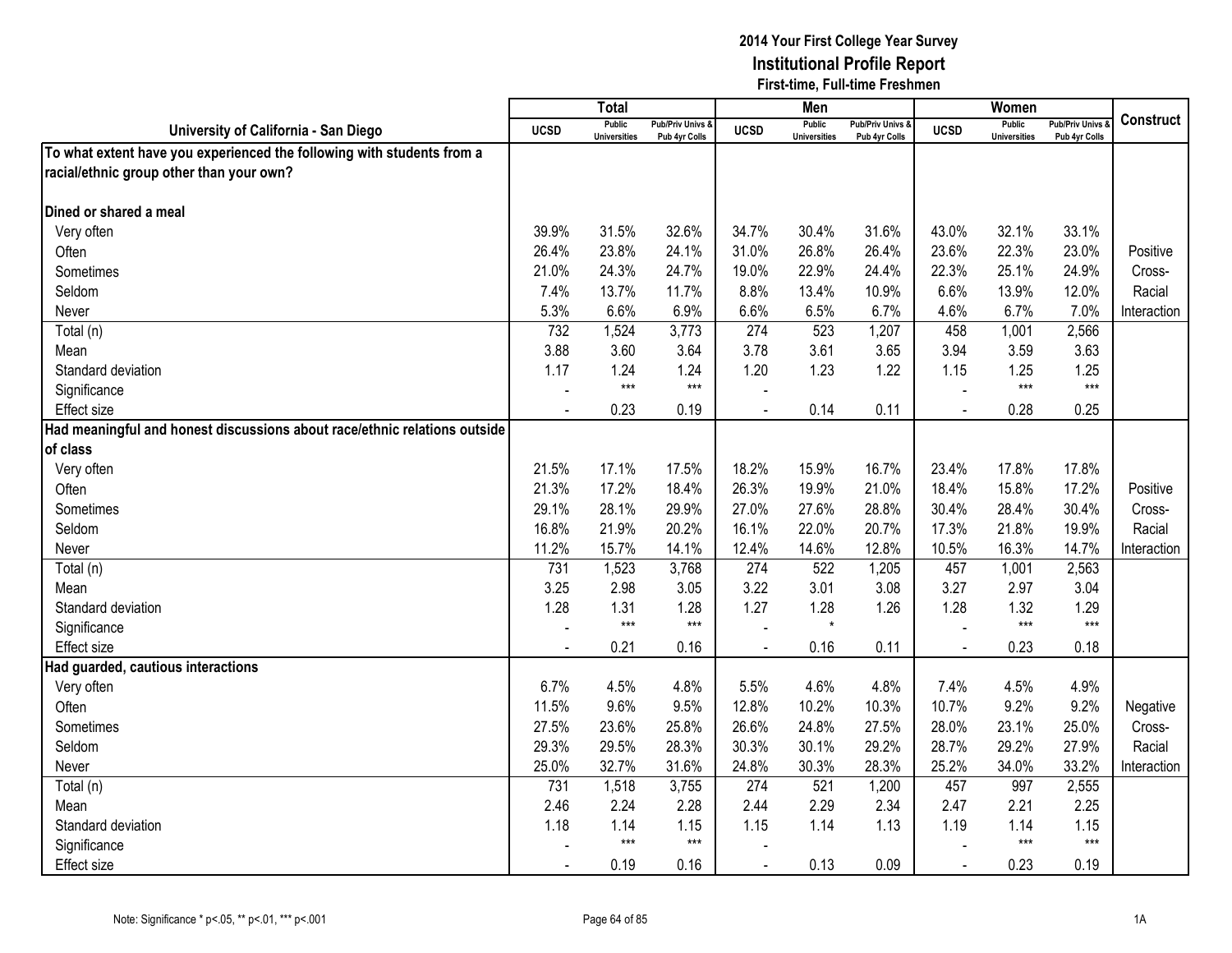|                                                                           |                | <b>Total</b>                         |                                   |                | Men                                  |                                   |                | Women                                |                                        |             |
|---------------------------------------------------------------------------|----------------|--------------------------------------|-----------------------------------|----------------|--------------------------------------|-----------------------------------|----------------|--------------------------------------|----------------------------------------|-------------|
| University of California - San Diego                                      | <b>UCSD</b>    | <b>Public</b><br><b>Universities</b> | Pub/Priv Univs &<br>Pub 4yr Colls | <b>UCSD</b>    | <b>Public</b><br><b>Universities</b> | Pub/Priv Univs &<br>Pub 4yr Colls | <b>UCSD</b>    | <b>Public</b><br><b>Universities</b> | <b>Pub/Priv Univs</b><br>Pub 4yr Colls | Construct   |
| To what extent have you experienced the following with students from a    |                |                                      |                                   |                |                                      |                                   |                |                                      |                                        |             |
| racial/ethnic group other than your own?                                  |                |                                      |                                   |                |                                      |                                   |                |                                      |                                        |             |
|                                                                           |                |                                      |                                   |                |                                      |                                   |                |                                      |                                        |             |
| Dined or shared a meal                                                    |                |                                      |                                   |                |                                      |                                   |                |                                      |                                        |             |
| Very often                                                                | 39.9%          | 31.5%                                | 32.6%                             | 34.7%          | 30.4%                                | 31.6%                             | 43.0%          | 32.1%                                | 33.1%                                  |             |
| Often                                                                     | 26.4%          | 23.8%                                | 24.1%                             | 31.0%          | 26.8%                                | 26.4%                             | 23.6%          | 22.3%                                | 23.0%                                  | Positive    |
| Sometimes                                                                 | 21.0%          | 24.3%                                | 24.7%                             | 19.0%          | 22.9%                                | 24.4%                             | 22.3%          | 25.1%                                | 24.9%                                  | Cross-      |
| Seldom                                                                    | 7.4%           | 13.7%                                | 11.7%                             | 8.8%           | 13.4%                                | 10.9%                             | 6.6%           | 13.9%                                | 12.0%                                  | Racial      |
| Never                                                                     | 5.3%           | 6.6%                                 | 6.9%                              | 6.6%           | 6.5%                                 | 6.7%                              | 4.6%           | 6.7%                                 | 7.0%                                   | Interaction |
| Total (n)                                                                 | 732            | 1,524                                | 3,773                             | 274            | 523                                  | 1,207                             | 458            | 1,001                                | 2,566                                  |             |
| Mean                                                                      | 3.88           | 3.60                                 | 3.64                              | 3.78           | 3.61                                 | 3.65                              | 3.94           | 3.59                                 | 3.63                                   |             |
| Standard deviation                                                        | 1.17           | 1.24                                 | 1.24                              | 1.20           | 1.23                                 | 1.22                              | 1.15           | 1.25                                 | 1.25                                   |             |
| Significance                                                              | $\overline{a}$ | $***$                                | $***$                             |                |                                      |                                   | $\overline{a}$ | $***$                                | $***$                                  |             |
| Effect size                                                               | $\blacksquare$ | 0.23                                 | 0.19                              | $\blacksquare$ | 0.14                                 | 0.11                              | $\sim$         | 0.28                                 | 0.25                                   |             |
| Had meaningful and honest discussions about race/ethnic relations outside |                |                                      |                                   |                |                                      |                                   |                |                                      |                                        |             |
| of class                                                                  |                |                                      |                                   |                |                                      |                                   |                |                                      |                                        |             |
| Very often                                                                | 21.5%          | 17.1%                                | 17.5%                             | 18.2%          | 15.9%                                | 16.7%                             | 23.4%          | 17.8%                                | 17.8%                                  |             |
| Often                                                                     | 21.3%          | 17.2%                                | 18.4%                             | 26.3%          | 19.9%                                | 21.0%                             | 18.4%          | 15.8%                                | 17.2%                                  | Positive    |
| Sometimes                                                                 | 29.1%          | 28.1%                                | 29.9%                             | 27.0%          | 27.6%                                | 28.8%                             | 30.4%          | 28.4%                                | 30.4%                                  | Cross-      |
| Seldom                                                                    | 16.8%          | 21.9%                                | 20.2%                             | 16.1%          | 22.0%                                | 20.7%                             | 17.3%          | 21.8%                                | 19.9%                                  | Racial      |
| Never                                                                     | 11.2%          | 15.7%                                | 14.1%                             | 12.4%          | 14.6%                                | 12.8%                             | 10.5%          | 16.3%                                | 14.7%                                  | Interaction |
| Total (n)                                                                 | 731            | 1,523                                | 3,768                             | 274            | 522                                  | 1,205                             | 457            | 1,001                                | 2,563                                  |             |
| Mean                                                                      | 3.25           | 2.98                                 | 3.05                              | 3.22           | 3.01                                 | 3.08                              | 3.27           | 2.97                                 | 3.04                                   |             |
| Standard deviation                                                        | 1.28           | 1.31                                 | 1.28                              | 1.27           | 1.28                                 | 1.26                              | 1.28           | 1.32                                 | 1.29                                   |             |
| Significance                                                              |                | $***$                                | $***$                             |                | $\star$                              |                                   |                | $***$                                | $***$                                  |             |
| Effect size                                                               |                | 0.21                                 | 0.16                              |                | 0.16                                 | 0.11                              |                | 0.23                                 | 0.18                                   |             |
| Had guarded, cautious interactions                                        |                |                                      |                                   |                |                                      |                                   |                |                                      |                                        |             |
| Very often                                                                | 6.7%           | 4.5%                                 | 4.8%                              | 5.5%           | 4.6%                                 | 4.8%                              | 7.4%           | 4.5%                                 | 4.9%                                   |             |
| Often                                                                     | 11.5%          | 9.6%                                 | 9.5%                              | 12.8%          | 10.2%                                | 10.3%                             | 10.7%          | 9.2%                                 | 9.2%                                   | Negative    |
| Sometimes                                                                 | 27.5%          | 23.6%                                | 25.8%                             | 26.6%          | 24.8%                                | 27.5%                             | 28.0%          | 23.1%                                | 25.0%                                  | Cross-      |
| Seldom                                                                    | 29.3%          | 29.5%                                | 28.3%                             | 30.3%          | 30.1%                                | 29.2%                             | 28.7%          | 29.2%                                | 27.9%                                  | Racial      |
| Never                                                                     | 25.0%          | 32.7%                                | 31.6%                             | 24.8%          | 30.3%                                | 28.3%                             | 25.2%          | 34.0%                                | 33.2%                                  | Interaction |
| Total (n)                                                                 | 731            | 1,518                                | 3,755                             | 274            | 521                                  | 1,200                             | 457            | 997                                  | 2,555                                  |             |
| Mean                                                                      | 2.46           | 2.24                                 | 2.28                              | 2.44           | 2.29                                 | 2.34                              | 2.47           | 2.21                                 | 2.25                                   |             |
| Standard deviation                                                        | 1.18           | 1.14                                 | 1.15                              | 1.15           | 1.14                                 | 1.13                              | 1.19           | 1.14                                 | 1.15                                   |             |
| Significance                                                              |                | $***$                                | $***$                             |                |                                      |                                   |                | $***$                                | $***$                                  |             |
| Effect size                                                               |                | 0.19                                 | 0.16                              | $\sim$         | 0.13                                 | 0.09                              | $\blacksquare$ | 0.23                                 | 0.19                                   |             |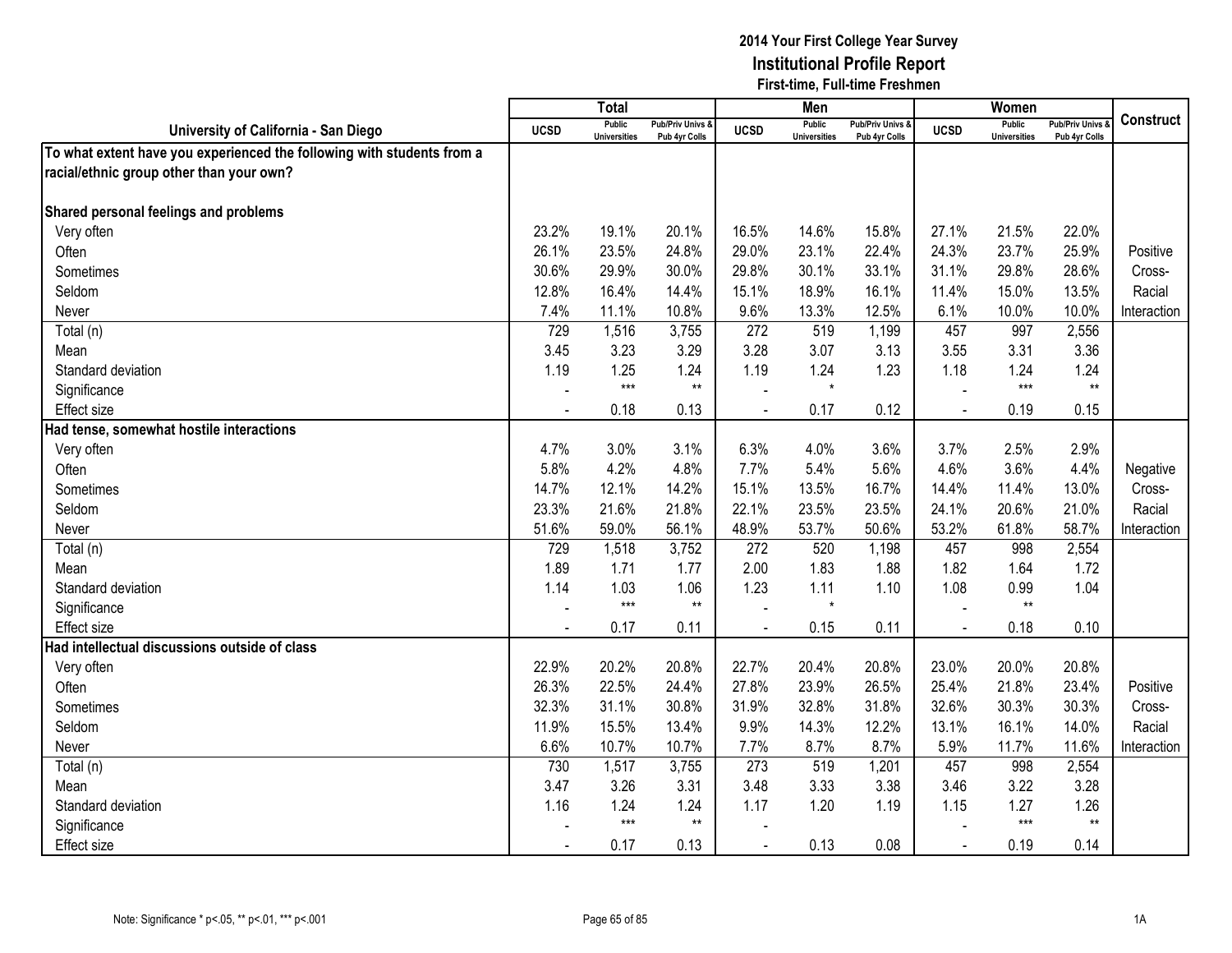|                                                                        |                | <b>Total</b>                         |                                   |                | Men                                  |                                   |                | Women                                |                                        |                  |
|------------------------------------------------------------------------|----------------|--------------------------------------|-----------------------------------|----------------|--------------------------------------|-----------------------------------|----------------|--------------------------------------|----------------------------------------|------------------|
| University of California - San Diego                                   | <b>UCSD</b>    | <b>Public</b><br><b>Universities</b> | Pub/Priv Univs &<br>Pub 4yr Colls | <b>UCSD</b>    | <b>Public</b><br><b>Universities</b> | Pub/Priv Univs &<br>Pub 4yr Colls | <b>UCSD</b>    | <b>Public</b><br><b>Universities</b> | <b>Pub/Priv Univs</b><br>Pub 4yr Colls | <b>Construct</b> |
| To what extent have you experienced the following with students from a |                |                                      |                                   |                |                                      |                                   |                |                                      |                                        |                  |
| racial/ethnic group other than your own?                               |                |                                      |                                   |                |                                      |                                   |                |                                      |                                        |                  |
|                                                                        |                |                                      |                                   |                |                                      |                                   |                |                                      |                                        |                  |
| Shared personal feelings and problems                                  |                |                                      |                                   |                |                                      |                                   |                |                                      |                                        |                  |
| Very often                                                             | 23.2%          | 19.1%                                | 20.1%                             | 16.5%          | 14.6%                                | 15.8%                             | 27.1%          | 21.5%                                | 22.0%                                  |                  |
| Often                                                                  | 26.1%          | 23.5%                                | 24.8%                             | 29.0%          | 23.1%                                | 22.4%                             | 24.3%          | 23.7%                                | 25.9%                                  | Positive         |
| Sometimes                                                              | 30.6%          | 29.9%                                | 30.0%                             | 29.8%          | 30.1%                                | 33.1%                             | 31.1%          | 29.8%                                | 28.6%                                  | Cross-           |
| Seldom                                                                 | 12.8%          | 16.4%                                | 14.4%                             | 15.1%          | 18.9%                                | 16.1%                             | 11.4%          | 15.0%                                | 13.5%                                  | Racial           |
| Never                                                                  | 7.4%           | 11.1%                                | 10.8%                             | 9.6%           | 13.3%                                | 12.5%                             | 6.1%           | 10.0%                                | 10.0%                                  | Interaction      |
| Total (n)                                                              | 729            | 1,516                                | 3,755                             | 272            | 519                                  | 1,199                             | 457            | 997                                  | 2,556                                  |                  |
| Mean                                                                   | 3.45           | 3.23                                 | 3.29                              | 3.28           | 3.07                                 | 3.13                              | 3.55           | 3.31                                 | 3.36                                   |                  |
| Standard deviation                                                     | 1.19           | 1.25                                 | 1.24                              | 1.19           | 1.24                                 | 1.23                              | 1.18           | 1.24                                 | 1.24                                   |                  |
| Significance                                                           |                | $***$                                | $\star\star$                      |                | $\star$                              |                                   |                | $***$                                | $\star\star$                           |                  |
| Effect size                                                            |                | 0.18                                 | 0.13                              |                | 0.17                                 | 0.12                              |                | 0.19                                 | 0.15                                   |                  |
| Had tense, somewhat hostile interactions                               |                |                                      |                                   |                |                                      |                                   |                |                                      |                                        |                  |
| Very often                                                             | 4.7%           | 3.0%                                 | 3.1%                              | 6.3%           | 4.0%                                 | 3.6%                              | 3.7%           | 2.5%                                 | 2.9%                                   |                  |
| Often                                                                  | 5.8%           | 4.2%                                 | 4.8%                              | 7.7%           | 5.4%                                 | 5.6%                              | 4.6%           | 3.6%                                 | 4.4%                                   | Negative         |
| Sometimes                                                              | 14.7%          | 12.1%                                | 14.2%                             | 15.1%          | 13.5%                                | 16.7%                             | 14.4%          | 11.4%                                | 13.0%                                  | Cross-           |
| Seldom                                                                 | 23.3%          | 21.6%                                | 21.8%                             | 22.1%          | 23.5%                                | 23.5%                             | 24.1%          | 20.6%                                | 21.0%                                  | Racial           |
| Never                                                                  | 51.6%          | 59.0%                                | 56.1%                             | 48.9%          | 53.7%                                | 50.6%                             | 53.2%          | 61.8%                                | 58.7%                                  | Interaction      |
| Total (n)                                                              | 729            | 1,518                                | 3,752                             | 272            | 520                                  | 1,198                             | 457            | 998                                  | 2,554                                  |                  |
| Mean                                                                   | 1.89           | 1.71                                 | 1.77                              | 2.00           | 1.83                                 | 1.88                              | 1.82           | 1.64                                 | 1.72                                   |                  |
| Standard deviation                                                     | 1.14           | 1.03                                 | 1.06                              | 1.23           | 1.11                                 | 1.10                              | 1.08           | 0.99                                 | 1.04                                   |                  |
| Significance                                                           |                | $***$                                | $\star\star$                      |                | $\star$                              |                                   |                | $\star\star$                         |                                        |                  |
| Effect size                                                            |                | 0.17                                 | 0.11                              |                | 0.15                                 | 0.11                              | $\overline{a}$ | 0.18                                 | 0.10                                   |                  |
| Had intellectual discussions outside of class                          |                |                                      |                                   |                |                                      |                                   |                |                                      |                                        |                  |
| Very often                                                             | 22.9%          | 20.2%                                | 20.8%                             | 22.7%          | 20.4%                                | 20.8%                             | 23.0%          | 20.0%                                | 20.8%                                  |                  |
| Often                                                                  | 26.3%          | 22.5%                                | 24.4%                             | 27.8%          | 23.9%                                | 26.5%                             | 25.4%          | 21.8%                                | 23.4%                                  | Positive         |
| Sometimes                                                              | 32.3%          | 31.1%                                | 30.8%                             | 31.9%          | 32.8%                                | 31.8%                             | 32.6%          | 30.3%                                | 30.3%                                  | Cross-           |
| Seldom                                                                 | 11.9%          | 15.5%                                | 13.4%                             | 9.9%           | 14.3%                                | 12.2%                             | 13.1%          | 16.1%                                | 14.0%                                  | Racial           |
| Never                                                                  | 6.6%           | 10.7%                                | 10.7%                             | 7.7%           | 8.7%                                 | 8.7%                              | 5.9%           | 11.7%                                | 11.6%                                  | Interaction      |
| Total (n)                                                              | 730            | 1,517                                | 3,755                             | 273            | 519                                  | 1,201                             | 457            | 998                                  | 2,554                                  |                  |
| Mean                                                                   | 3.47           | 3.26                                 | 3.31                              | 3.48           | 3.33                                 | 3.38                              | 3.46           | 3.22                                 | 3.28                                   |                  |
| Standard deviation                                                     | 1.16           | 1.24                                 | 1.24                              | 1.17           | 1.20                                 | 1.19                              | 1.15           | 1.27                                 | 1.26                                   |                  |
| Significance                                                           |                | $***$                                | $***$                             |                |                                      |                                   |                | $***$                                | $\star\star$                           |                  |
| Effect size                                                            | $\blacksquare$ | 0.17                                 | 0.13                              | $\blacksquare$ | 0.13                                 | 0.08                              | $\sim$         | 0.19                                 | 0.14                                   |                  |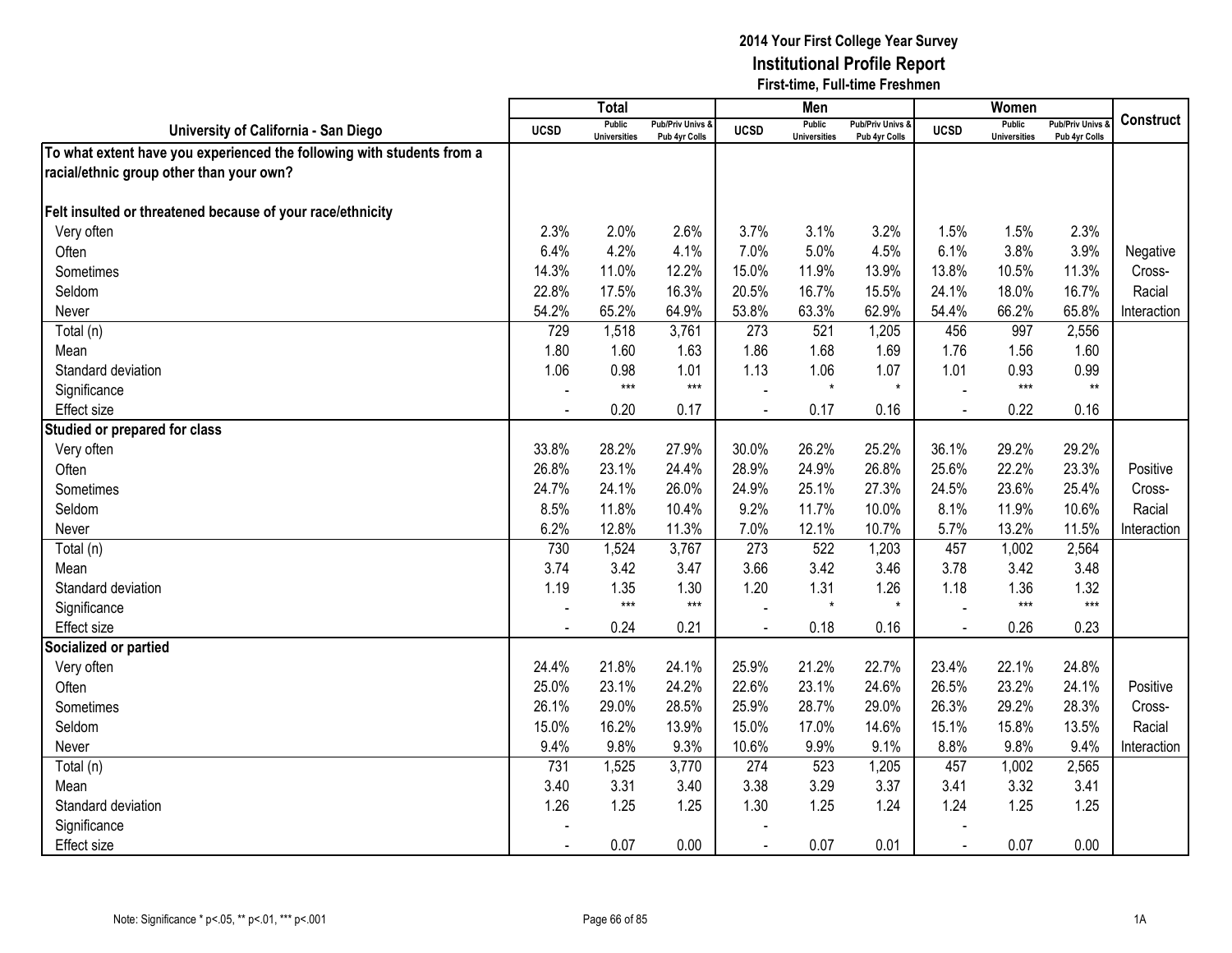|                                                                        |                | <b>Total</b>                         |                                   |                | Men                                  |                                   |                | Women                                |                                        |                  |
|------------------------------------------------------------------------|----------------|--------------------------------------|-----------------------------------|----------------|--------------------------------------|-----------------------------------|----------------|--------------------------------------|----------------------------------------|------------------|
| University of California - San Diego                                   | <b>UCSD</b>    | <b>Public</b><br><b>Universities</b> | Pub/Priv Univs &<br>Pub 4yr Colls | <b>UCSD</b>    | <b>Public</b><br><b>Universities</b> | Pub/Priv Univs &<br>Pub 4yr Colls | <b>UCSD</b>    | <b>Public</b><br><b>Universities</b> | <b>Pub/Priv Univs</b><br>Pub 4yr Colls | <b>Construct</b> |
| To what extent have you experienced the following with students from a |                |                                      |                                   |                |                                      |                                   |                |                                      |                                        |                  |
| racial/ethnic group other than your own?                               |                |                                      |                                   |                |                                      |                                   |                |                                      |                                        |                  |
|                                                                        |                |                                      |                                   |                |                                      |                                   |                |                                      |                                        |                  |
| Felt insulted or threatened because of your race/ethnicity             |                |                                      |                                   |                |                                      |                                   |                |                                      |                                        |                  |
| Very often                                                             | 2.3%           | 2.0%                                 | 2.6%                              | 3.7%           | 3.1%                                 | 3.2%                              | 1.5%           | 1.5%                                 | 2.3%                                   |                  |
| Often                                                                  | 6.4%           | 4.2%                                 | 4.1%                              | 7.0%           | 5.0%                                 | 4.5%                              | 6.1%           | 3.8%                                 | 3.9%                                   | Negative         |
| Sometimes                                                              | 14.3%          | 11.0%                                | 12.2%                             | 15.0%          | 11.9%                                | 13.9%                             | 13.8%          | 10.5%                                | 11.3%                                  | Cross-           |
| Seldom                                                                 | 22.8%          | 17.5%                                | 16.3%                             | 20.5%          | 16.7%                                | 15.5%                             | 24.1%          | 18.0%                                | 16.7%                                  | Racial           |
| Never                                                                  | 54.2%          | 65.2%                                | 64.9%                             | 53.8%          | 63.3%                                | 62.9%                             | 54.4%          | 66.2%                                | 65.8%                                  | Interaction      |
| Total (n)                                                              | 729            | 1,518                                | 3,761                             | 273            | 521                                  | 1,205                             | 456            | 997                                  | 2,556                                  |                  |
| Mean                                                                   | 1.80           | 1.60                                 | 1.63                              | 1.86           | 1.68                                 | 1.69                              | 1.76           | 1.56                                 | 1.60                                   |                  |
| Standard deviation                                                     | 1.06           | 0.98                                 | 1.01                              | 1.13           | 1.06                                 | 1.07                              | 1.01           | 0.93                                 | 0.99                                   |                  |
| Significance                                                           |                | $***$                                | $***$                             |                | $\star$                              | $\star$                           |                | $***$                                | $\star\star$                           |                  |
| Effect size                                                            |                | 0.20                                 | 0.17                              |                | 0.17                                 | 0.16                              |                | 0.22                                 | 0.16                                   |                  |
| Studied or prepared for class                                          |                |                                      |                                   |                |                                      |                                   |                |                                      |                                        |                  |
| Very often                                                             | 33.8%          | 28.2%                                | 27.9%                             | 30.0%          | 26.2%                                | 25.2%                             | 36.1%          | 29.2%                                | 29.2%                                  |                  |
| Often                                                                  | 26.8%          | 23.1%                                | 24.4%                             | 28.9%          | 24.9%                                | 26.8%                             | 25.6%          | 22.2%                                | 23.3%                                  | Positive         |
| Sometimes                                                              | 24.7%          | 24.1%                                | 26.0%                             | 24.9%          | 25.1%                                | 27.3%                             | 24.5%          | 23.6%                                | 25.4%                                  | Cross-           |
| Seldom                                                                 | 8.5%           | 11.8%                                | 10.4%                             | 9.2%           | 11.7%                                | 10.0%                             | 8.1%           | 11.9%                                | 10.6%                                  | Racial           |
| Never                                                                  | 6.2%           | 12.8%                                | 11.3%                             | 7.0%           | 12.1%                                | 10.7%                             | 5.7%           | 13.2%                                | 11.5%                                  | Interaction      |
| Total (n)                                                              | 730            | 1,524                                | 3,767                             | 273            | 522                                  | 1,203                             | 457            | 1,002                                | 2,564                                  |                  |
| Mean                                                                   | 3.74           | 3.42                                 | 3.47                              | 3.66           | 3.42                                 | 3.46                              | 3.78           | 3.42                                 | 3.48                                   |                  |
| Standard deviation                                                     | 1.19           | 1.35                                 | 1.30                              | 1.20           | 1.31                                 | 1.26                              | 1.18           | 1.36                                 | 1.32                                   |                  |
| Significance                                                           |                | $***$                                | $***$                             |                | $\star$                              | $\star$                           |                | $***$                                | $***$                                  |                  |
| Effect size                                                            |                | 0.24                                 | 0.21                              |                | 0.18                                 | 0.16                              | $\overline{a}$ | 0.26                                 | 0.23                                   |                  |
| Socialized or partied                                                  |                |                                      |                                   |                |                                      |                                   |                |                                      |                                        |                  |
| Very often                                                             | 24.4%          | 21.8%                                | 24.1%                             | 25.9%          | 21.2%                                | 22.7%                             | 23.4%          | 22.1%                                | 24.8%                                  |                  |
| Often                                                                  | 25.0%          | 23.1%                                | 24.2%                             | 22.6%          | 23.1%                                | 24.6%                             | 26.5%          | 23.2%                                | 24.1%                                  | Positive         |
| Sometimes                                                              | 26.1%          | 29.0%                                | 28.5%                             | 25.9%          | 28.7%                                | 29.0%                             | 26.3%          | 29.2%                                | 28.3%                                  | Cross-           |
| Seldom                                                                 | 15.0%          | 16.2%                                | 13.9%                             | 15.0%          | 17.0%                                | 14.6%                             | 15.1%          | 15.8%                                | 13.5%                                  | Racial           |
| Never                                                                  | 9.4%           | 9.8%                                 | 9.3%                              | 10.6%          | 9.9%                                 | 9.1%                              | 8.8%           | 9.8%                                 | 9.4%                                   | Interaction      |
| Total (n)                                                              | 731            | 1,525                                | 3,770                             | 274            | 523                                  | 1,205                             | 457            | 1,002                                | 2,565                                  |                  |
| Mean                                                                   | 3.40           | 3.31                                 | 3.40                              | 3.38           | 3.29                                 | 3.37                              | 3.41           | 3.32                                 | 3.41                                   |                  |
| Standard deviation                                                     | 1.26           | 1.25                                 | 1.25                              | 1.30           | 1.25                                 | 1.24                              | 1.24           | 1.25                                 | 1.25                                   |                  |
| Significance                                                           |                |                                      |                                   |                |                                      |                                   |                |                                      |                                        |                  |
| <b>Effect size</b>                                                     | $\blacksquare$ | 0.07                                 | 0.00                              | $\blacksquare$ | 0.07                                 | 0.01                              | $\blacksquare$ | 0.07                                 | 0.00                                   |                  |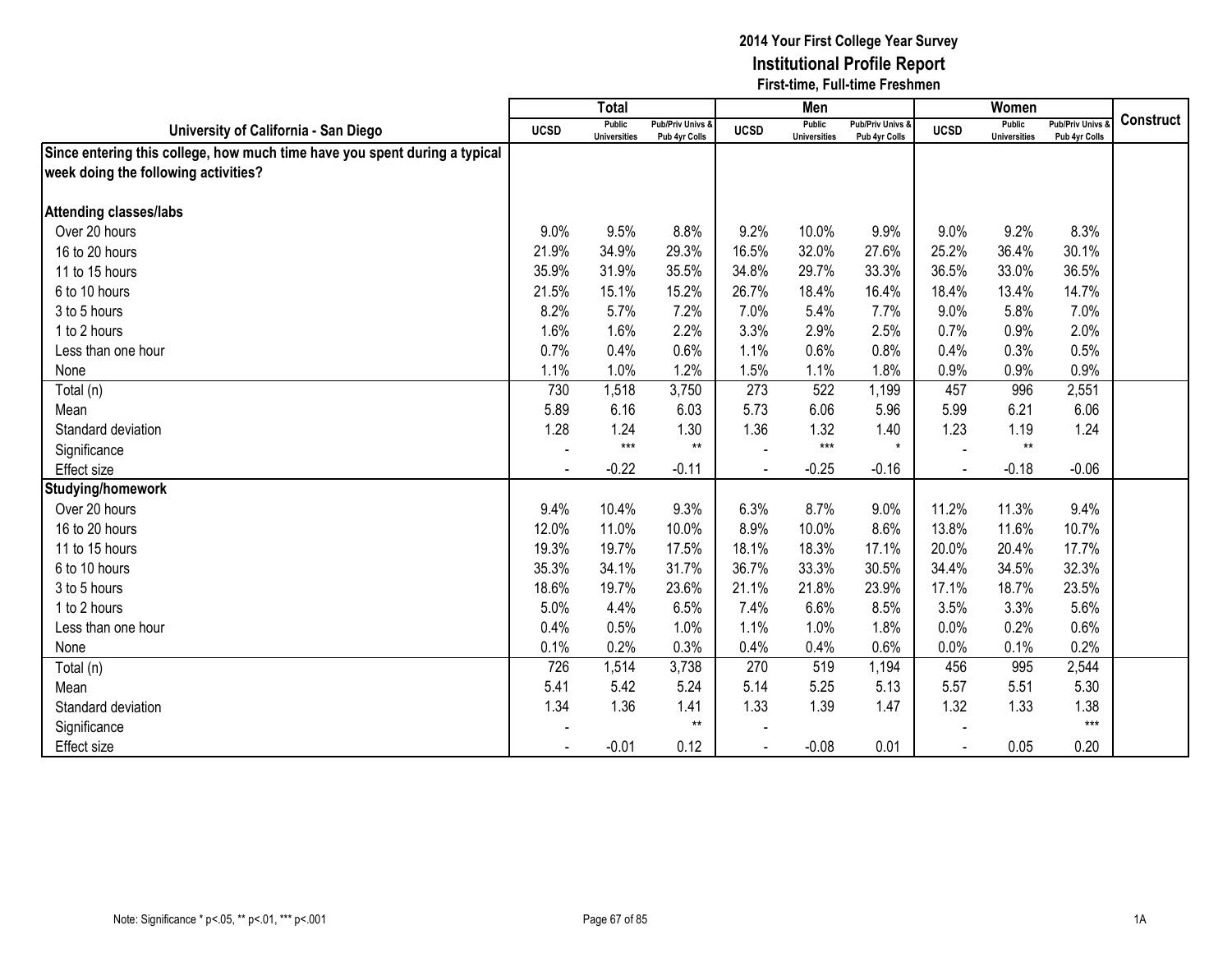|                                                                            |             | <b>Total</b>                  |                                   |             | Men                           |                                   |             | Women                                |                                        |                  |
|----------------------------------------------------------------------------|-------------|-------------------------------|-----------------------------------|-------------|-------------------------------|-----------------------------------|-------------|--------------------------------------|----------------------------------------|------------------|
| University of California - San Diego                                       | <b>UCSD</b> | Public<br><b>Universities</b> | Pub/Priv Univs &<br>Pub 4yr Colls | <b>UCSD</b> | Public<br><b>Universities</b> | Pub/Priv Univs &<br>Pub 4yr Colls | <b>UCSD</b> | <b>Public</b><br><b>Universities</b> | <b>Pub/Priv Univs</b><br>Pub 4yr Colls | <b>Construct</b> |
| Since entering this college, how much time have you spent during a typical |             |                               |                                   |             |                               |                                   |             |                                      |                                        |                  |
| week doing the following activities?                                       |             |                               |                                   |             |                               |                                   |             |                                      |                                        |                  |
|                                                                            |             |                               |                                   |             |                               |                                   |             |                                      |                                        |                  |
| <b>Attending classes/labs</b>                                              |             |                               |                                   |             |                               |                                   |             |                                      |                                        |                  |
| Over 20 hours                                                              | 9.0%        | 9.5%                          | 8.8%                              | 9.2%        | 10.0%                         | 9.9%                              | 9.0%        | 9.2%                                 | 8.3%                                   |                  |
| 16 to 20 hours                                                             | 21.9%       | 34.9%                         | 29.3%                             | 16.5%       | 32.0%                         | 27.6%                             | 25.2%       | 36.4%                                | 30.1%                                  |                  |
| 11 to 15 hours                                                             | 35.9%       | 31.9%                         | 35.5%                             | 34.8%       | 29.7%                         | 33.3%                             | 36.5%       | 33.0%                                | 36.5%                                  |                  |
| 6 to 10 hours                                                              | 21.5%       | 15.1%                         | 15.2%                             | 26.7%       | 18.4%                         | 16.4%                             | 18.4%       | 13.4%                                | 14.7%                                  |                  |
| 3 to 5 hours                                                               | 8.2%        | 5.7%                          | 7.2%                              | 7.0%        | 5.4%                          | 7.7%                              | 9.0%        | 5.8%                                 | 7.0%                                   |                  |
| 1 to 2 hours                                                               | 1.6%        | 1.6%                          | 2.2%                              | 3.3%        | 2.9%                          | 2.5%                              | 0.7%        | 0.9%                                 | 2.0%                                   |                  |
| Less than one hour                                                         | 0.7%        | 0.4%                          | 0.6%                              | 1.1%        | 0.6%                          | 0.8%                              | 0.4%        | 0.3%                                 | 0.5%                                   |                  |
| None                                                                       | 1.1%        | 1.0%                          | 1.2%                              | 1.5%        | 1.1%                          | 1.8%                              | 0.9%        | 0.9%                                 | 0.9%                                   |                  |
| Total (n)                                                                  | 730         | 1,518                         | 3,750                             | 273         | 522                           | 1,199                             | 457         | 996                                  | 2,551                                  |                  |
| Mean                                                                       | 5.89        | 6.16                          | 6.03                              | 5.73        | 6.06                          | 5.96                              | 5.99        | 6.21                                 | 6.06                                   |                  |
| Standard deviation                                                         | 1.28        | 1.24                          | 1.30                              | 1.36        | 1.32                          | 1.40                              | 1.23        | 1.19                                 | 1.24                                   |                  |
| Significance                                                               |             | $***$                         | $**$                              |             | $***$                         | $\star$                           |             | $^{\star\star}$                      |                                        |                  |
| <b>Effect size</b>                                                         |             | $-0.22$                       | $-0.11$                           |             | $-0.25$                       | $-0.16$                           |             | $-0.18$                              | $-0.06$                                |                  |
| Studying/homework                                                          |             |                               |                                   |             |                               |                                   |             |                                      |                                        |                  |
| Over 20 hours                                                              | 9.4%        | 10.4%                         | 9.3%                              | 6.3%        | 8.7%                          | 9.0%                              | 11.2%       | 11.3%                                | 9.4%                                   |                  |
| 16 to 20 hours                                                             | 12.0%       | 11.0%                         | 10.0%                             | 8.9%        | 10.0%                         | 8.6%                              | 13.8%       | 11.6%                                | 10.7%                                  |                  |
| 11 to 15 hours                                                             | 19.3%       | 19.7%                         | 17.5%                             | 18.1%       | 18.3%                         | 17.1%                             | 20.0%       | 20.4%                                | 17.7%                                  |                  |
| 6 to 10 hours                                                              | 35.3%       | 34.1%                         | 31.7%                             | 36.7%       | 33.3%                         | 30.5%                             | 34.4%       | 34.5%                                | 32.3%                                  |                  |
| 3 to 5 hours                                                               | 18.6%       | 19.7%                         | 23.6%                             | 21.1%       | 21.8%                         | 23.9%                             | 17.1%       | 18.7%                                | 23.5%                                  |                  |
| 1 to 2 hours                                                               | 5.0%        | 4.4%                          | 6.5%                              | 7.4%        | 6.6%                          | 8.5%                              | 3.5%        | 3.3%                                 | 5.6%                                   |                  |
| Less than one hour                                                         | 0.4%        | 0.5%                          | 1.0%                              | 1.1%        | 1.0%                          | 1.8%                              | 0.0%        | 0.2%                                 | 0.6%                                   |                  |
| None                                                                       | 0.1%        | 0.2%                          | 0.3%                              | 0.4%        | 0.4%                          | 0.6%                              | 0.0%        | 0.1%                                 | 0.2%                                   |                  |
| Total (n)                                                                  | 726         | 1,514                         | 3,738                             | 270         | 519                           | 1,194                             | 456         | 995                                  | 2,544                                  |                  |
| Mean                                                                       | 5.41        | 5.42                          | 5.24                              | 5.14        | 5.25                          | 5.13                              | 5.57        | 5.51                                 | 5.30                                   |                  |
| Standard deviation                                                         | 1.34        | 1.36                          | 1.41                              | 1.33        | 1.39                          | 1.47                              | 1.32        | 1.33                                 | 1.38                                   |                  |
| Significance                                                               |             |                               | $***$                             |             |                               |                                   |             |                                      | $***$                                  |                  |
| <b>Effect size</b>                                                         |             | $-0.01$                       | 0.12                              |             | $-0.08$                       | 0.01                              |             | 0.05                                 | 0.20                                   |                  |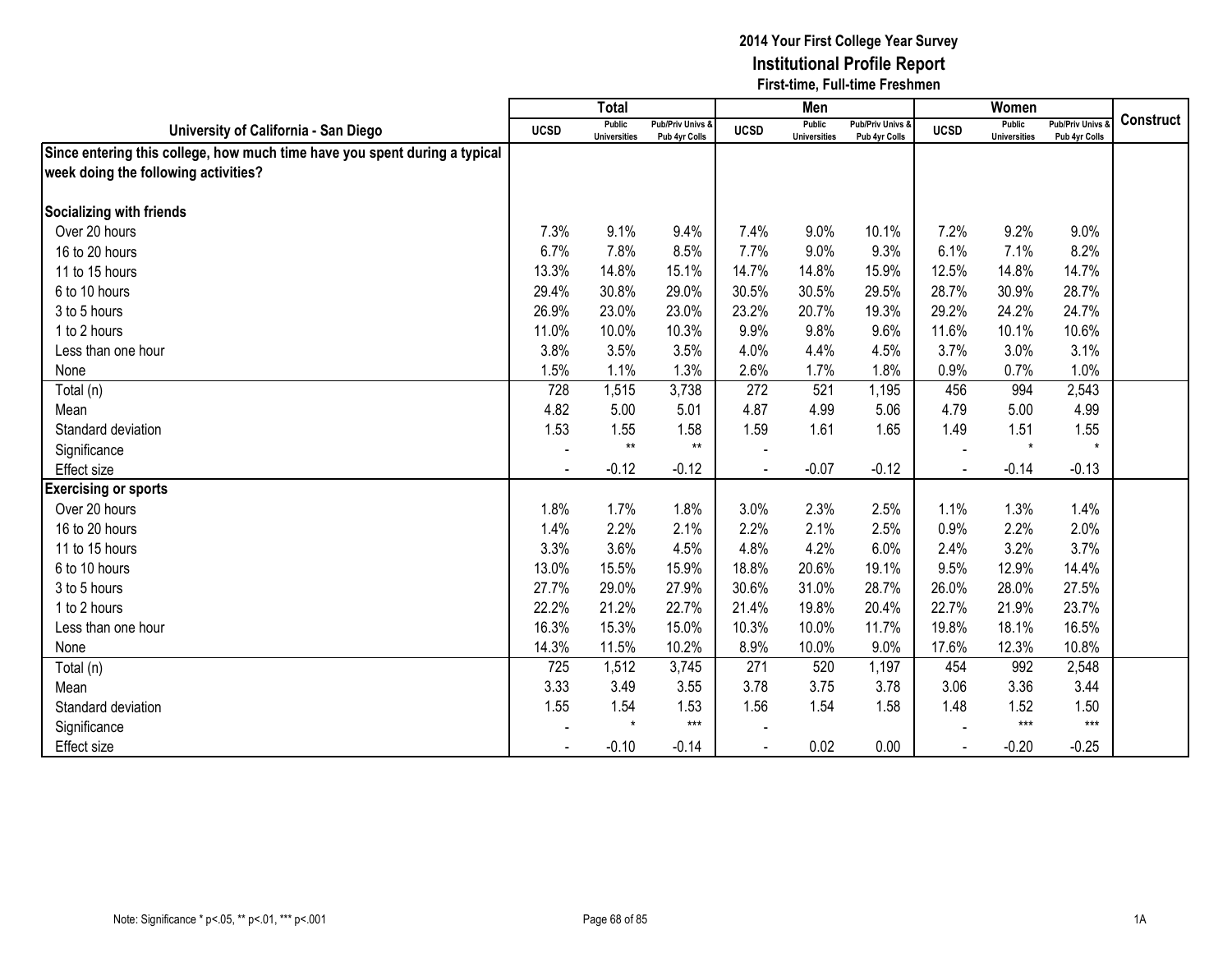|                                                                            |                | <b>Total</b>                  |                                   |             | Men                           |                                   |                | Women                                |                                        |                  |
|----------------------------------------------------------------------------|----------------|-------------------------------|-----------------------------------|-------------|-------------------------------|-----------------------------------|----------------|--------------------------------------|----------------------------------------|------------------|
| University of California - San Diego                                       | <b>UCSD</b>    | Public<br><b>Universities</b> | Pub/Priv Univs &<br>Pub 4yr Colls | <b>UCSD</b> | Public<br><b>Universities</b> | Pub/Priv Univs &<br>Pub 4yr Colls | <b>UCSD</b>    | <b>Public</b><br><b>Universities</b> | <b>Pub/Priv Univs</b><br>Pub 4yr Colls | <b>Construct</b> |
| Since entering this college, how much time have you spent during a typical |                |                               |                                   |             |                               |                                   |                |                                      |                                        |                  |
| week doing the following activities?                                       |                |                               |                                   |             |                               |                                   |                |                                      |                                        |                  |
|                                                                            |                |                               |                                   |             |                               |                                   |                |                                      |                                        |                  |
| Socializing with friends                                                   |                |                               |                                   |             |                               |                                   |                |                                      |                                        |                  |
| Over 20 hours                                                              | 7.3%           | 9.1%                          | 9.4%                              | 7.4%        | 9.0%                          | 10.1%                             | 7.2%           | 9.2%                                 | 9.0%                                   |                  |
| 16 to 20 hours                                                             | 6.7%           | 7.8%                          | 8.5%                              | 7.7%        | 9.0%                          | 9.3%                              | 6.1%           | 7.1%                                 | 8.2%                                   |                  |
| 11 to 15 hours                                                             | 13.3%          | 14.8%                         | 15.1%                             | 14.7%       | 14.8%                         | 15.9%                             | 12.5%          | 14.8%                                | 14.7%                                  |                  |
| 6 to 10 hours                                                              | 29.4%          | 30.8%                         | 29.0%                             | 30.5%       | 30.5%                         | 29.5%                             | 28.7%          | 30.9%                                | 28.7%                                  |                  |
| 3 to 5 hours                                                               | 26.9%          | 23.0%                         | 23.0%                             | 23.2%       | 20.7%                         | 19.3%                             | 29.2%          | 24.2%                                | 24.7%                                  |                  |
| 1 to 2 hours                                                               | 11.0%          | 10.0%                         | 10.3%                             | 9.9%        | 9.8%                          | 9.6%                              | 11.6%          | 10.1%                                | 10.6%                                  |                  |
| Less than one hour                                                         | 3.8%           | 3.5%                          | 3.5%                              | 4.0%        | 4.4%                          | 4.5%                              | 3.7%           | 3.0%                                 | 3.1%                                   |                  |
| None                                                                       | 1.5%           | 1.1%                          | 1.3%                              | 2.6%        | 1.7%                          | 1.8%                              | 0.9%           | 0.7%                                 | 1.0%                                   |                  |
| Total (n)                                                                  | 728            | 1,515                         | 3,738                             | 272         | 521                           | 1,195                             | 456            | 994                                  | 2,543                                  |                  |
| Mean                                                                       | 4.82           | 5.00                          | 5.01                              | 4.87        | 4.99                          | 5.06                              | 4.79           | 5.00                                 | 4.99                                   |                  |
| Standard deviation                                                         | 1.53           | 1.55                          | 1.58                              | 1.59        | 1.61                          | 1.65                              | 1.49           | 1.51                                 | 1.55                                   |                  |
| Significance                                                               | $\blacksquare$ | $***$                         | $***$                             |             |                               |                                   |                | $\star$                              | $\star$                                |                  |
| <b>Effect size</b>                                                         |                | $-0.12$                       | $-0.12$                           |             | $-0.07$                       | $-0.12$                           | $\blacksquare$ | $-0.14$                              | $-0.13$                                |                  |
| <b>Exercising or sports</b>                                                |                |                               |                                   |             |                               |                                   |                |                                      |                                        |                  |
| Over 20 hours                                                              | 1.8%           | 1.7%                          | 1.8%                              | 3.0%        | 2.3%                          | 2.5%                              | 1.1%           | 1.3%                                 | 1.4%                                   |                  |
| 16 to 20 hours                                                             | 1.4%           | 2.2%                          | 2.1%                              | 2.2%        | 2.1%                          | 2.5%                              | 0.9%           | 2.2%                                 | 2.0%                                   |                  |
| 11 to 15 hours                                                             | 3.3%           | 3.6%                          | 4.5%                              | 4.8%        | 4.2%                          | 6.0%                              | 2.4%           | 3.2%                                 | 3.7%                                   |                  |
| 6 to 10 hours                                                              | 13.0%          | 15.5%                         | 15.9%                             | 18.8%       | 20.6%                         | 19.1%                             | 9.5%           | 12.9%                                | 14.4%                                  |                  |
| 3 to 5 hours                                                               | 27.7%          | 29.0%                         | 27.9%                             | 30.6%       | 31.0%                         | 28.7%                             | 26.0%          | 28.0%                                | 27.5%                                  |                  |
| 1 to 2 hours                                                               | 22.2%          | 21.2%                         | 22.7%                             | 21.4%       | 19.8%                         | 20.4%                             | 22.7%          | 21.9%                                | 23.7%                                  |                  |
| Less than one hour                                                         | 16.3%          | 15.3%                         | 15.0%                             | 10.3%       | 10.0%                         | 11.7%                             | 19.8%          | 18.1%                                | 16.5%                                  |                  |
| None                                                                       | 14.3%          | 11.5%                         | 10.2%                             | 8.9%        | 10.0%                         | 9.0%                              | 17.6%          | 12.3%                                | 10.8%                                  |                  |
| Total (n)                                                                  | 725            | 1,512                         | 3,745                             | 271         | 520                           | 1,197                             | 454            | 992                                  | 2,548                                  |                  |
| Mean                                                                       | 3.33           | 3.49                          | 3.55                              | 3.78        | 3.75                          | 3.78                              | 3.06           | 3.36                                 | 3.44                                   |                  |
| Standard deviation                                                         | 1.55           | 1.54                          | 1.53                              | 1.56        | 1.54                          | 1.58                              | 1.48           | 1.52                                 | 1.50                                   |                  |
| Significance                                                               |                | $\star$                       | $***$                             |             |                               |                                   |                | $***$                                | $***$                                  |                  |
| <b>Effect size</b>                                                         |                | $-0.10$                       | $-0.14$                           |             | 0.02                          | 0.00                              |                | $-0.20$                              | $-0.25$                                |                  |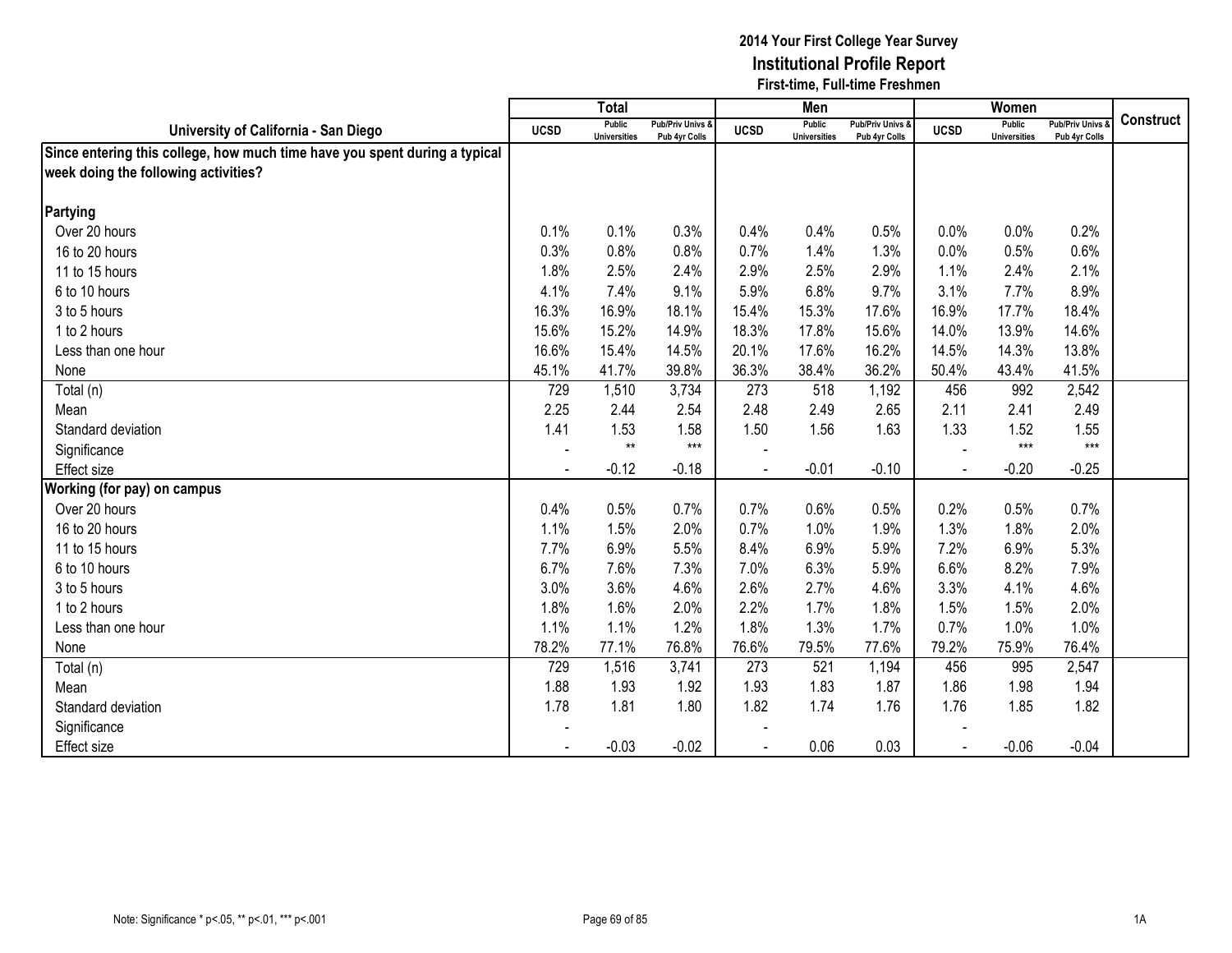|                                                                            |                | <b>Total</b>                  |                                   |             | Men                           |                                   |             | Women                                |                                        |                  |
|----------------------------------------------------------------------------|----------------|-------------------------------|-----------------------------------|-------------|-------------------------------|-----------------------------------|-------------|--------------------------------------|----------------------------------------|------------------|
| University of California - San Diego                                       | <b>UCSD</b>    | Public<br><b>Universities</b> | Pub/Priv Univs &<br>Pub 4yr Colls | <b>UCSD</b> | Public<br><b>Universities</b> | Pub/Priv Univs &<br>Pub 4yr Colls | <b>UCSD</b> | <b>Public</b><br><b>Universities</b> | <b>Pub/Priv Univs</b><br>Pub 4yr Colls | <b>Construct</b> |
| Since entering this college, how much time have you spent during a typical |                |                               |                                   |             |                               |                                   |             |                                      |                                        |                  |
| week doing the following activities?                                       |                |                               |                                   |             |                               |                                   |             |                                      |                                        |                  |
|                                                                            |                |                               |                                   |             |                               |                                   |             |                                      |                                        |                  |
| Partying                                                                   |                |                               |                                   |             |                               |                                   |             |                                      |                                        |                  |
| Over 20 hours                                                              | 0.1%           | 0.1%                          | 0.3%                              | 0.4%        | 0.4%                          | 0.5%                              | 0.0%        | 0.0%                                 | 0.2%                                   |                  |
| 16 to 20 hours                                                             | 0.3%           | 0.8%                          | 0.8%                              | 0.7%        | 1.4%                          | 1.3%                              | 0.0%        | 0.5%                                 | 0.6%                                   |                  |
| 11 to 15 hours                                                             | 1.8%           | 2.5%                          | 2.4%                              | 2.9%        | 2.5%                          | 2.9%                              | 1.1%        | 2.4%                                 | 2.1%                                   |                  |
| 6 to 10 hours                                                              | 4.1%           | 7.4%                          | 9.1%                              | 5.9%        | 6.8%                          | 9.7%                              | 3.1%        | 7.7%                                 | 8.9%                                   |                  |
| 3 to 5 hours                                                               | 16.3%          | 16.9%                         | 18.1%                             | 15.4%       | 15.3%                         | 17.6%                             | 16.9%       | 17.7%                                | 18.4%                                  |                  |
| 1 to 2 hours                                                               | 15.6%          | 15.2%                         | 14.9%                             | 18.3%       | 17.8%                         | 15.6%                             | 14.0%       | 13.9%                                | 14.6%                                  |                  |
| Less than one hour                                                         | 16.6%          | 15.4%                         | 14.5%                             | 20.1%       | 17.6%                         | 16.2%                             | 14.5%       | 14.3%                                | 13.8%                                  |                  |
| None                                                                       | 45.1%          | 41.7%                         | 39.8%                             | 36.3%       | 38.4%                         | 36.2%                             | 50.4%       | 43.4%                                | 41.5%                                  |                  |
| Total (n)                                                                  | 729            | 1,510                         | 3,734                             | 273         | 518                           | 1,192                             | 456         | 992                                  | 2,542                                  |                  |
| Mean                                                                       | 2.25           | 2.44                          | 2.54                              | 2.48        | 2.49                          | 2.65                              | 2.11        | 2.41                                 | 2.49                                   |                  |
| Standard deviation                                                         | 1.41           | 1.53                          | 1.58                              | 1.50        | 1.56                          | 1.63                              | 1.33        | 1.52                                 | 1.55                                   |                  |
| Significance                                                               | $\blacksquare$ | $**$                          | $***$                             |             |                               |                                   |             | $***$                                | $***$                                  |                  |
| <b>Effect size</b>                                                         |                | $-0.12$                       | $-0.18$                           |             | $-0.01$                       | $-0.10$                           | $\sim$      | $-0.20$                              | $-0.25$                                |                  |
| Working (for pay) on campus                                                |                |                               |                                   |             |                               |                                   |             |                                      |                                        |                  |
| Over 20 hours                                                              | 0.4%           | 0.5%                          | 0.7%                              | 0.7%        | 0.6%                          | 0.5%                              | 0.2%        | 0.5%                                 | 0.7%                                   |                  |
| 16 to 20 hours                                                             | 1.1%           | 1.5%                          | 2.0%                              | 0.7%        | 1.0%                          | 1.9%                              | 1.3%        | 1.8%                                 | 2.0%                                   |                  |
| 11 to 15 hours                                                             | 7.7%           | 6.9%                          | 5.5%                              | 8.4%        | 6.9%                          | 5.9%                              | 7.2%        | 6.9%                                 | 5.3%                                   |                  |
| 6 to 10 hours                                                              | 6.7%           | 7.6%                          | 7.3%                              | 7.0%        | 6.3%                          | 5.9%                              | 6.6%        | 8.2%                                 | 7.9%                                   |                  |
| 3 to 5 hours                                                               | 3.0%           | 3.6%                          | 4.6%                              | 2.6%        | 2.7%                          | 4.6%                              | 3.3%        | 4.1%                                 | 4.6%                                   |                  |
| 1 to 2 hours                                                               | 1.8%           | 1.6%                          | 2.0%                              | 2.2%        | 1.7%                          | 1.8%                              | 1.5%        | 1.5%                                 | 2.0%                                   |                  |
| Less than one hour                                                         | 1.1%           | 1.1%                          | 1.2%                              | 1.8%        | 1.3%                          | 1.7%                              | 0.7%        | 1.0%                                 | 1.0%                                   |                  |
| None                                                                       | 78.2%          | 77.1%                         | 76.8%                             | 76.6%       | 79.5%                         | 77.6%                             | 79.2%       | 75.9%                                | 76.4%                                  |                  |
| Total (n)                                                                  | 729            | 1,516                         | 3,741                             | 273         | 521                           | 1,194                             | 456         | 995                                  | 2,547                                  |                  |
| Mean                                                                       | 1.88           | 1.93                          | 1.92                              | 1.93        | 1.83                          | 1.87                              | 1.86        | 1.98                                 | 1.94                                   |                  |
| Standard deviation                                                         | 1.78           | 1.81                          | 1.80                              | 1.82        | 1.74                          | 1.76                              | 1.76        | 1.85                                 | 1.82                                   |                  |
| Significance                                                               |                |                               |                                   |             |                               |                                   |             |                                      |                                        |                  |
| <b>Effect size</b>                                                         |                | $-0.03$                       | $-0.02$                           |             | 0.06                          | 0.03                              |             | $-0.06$                              | $-0.04$                                |                  |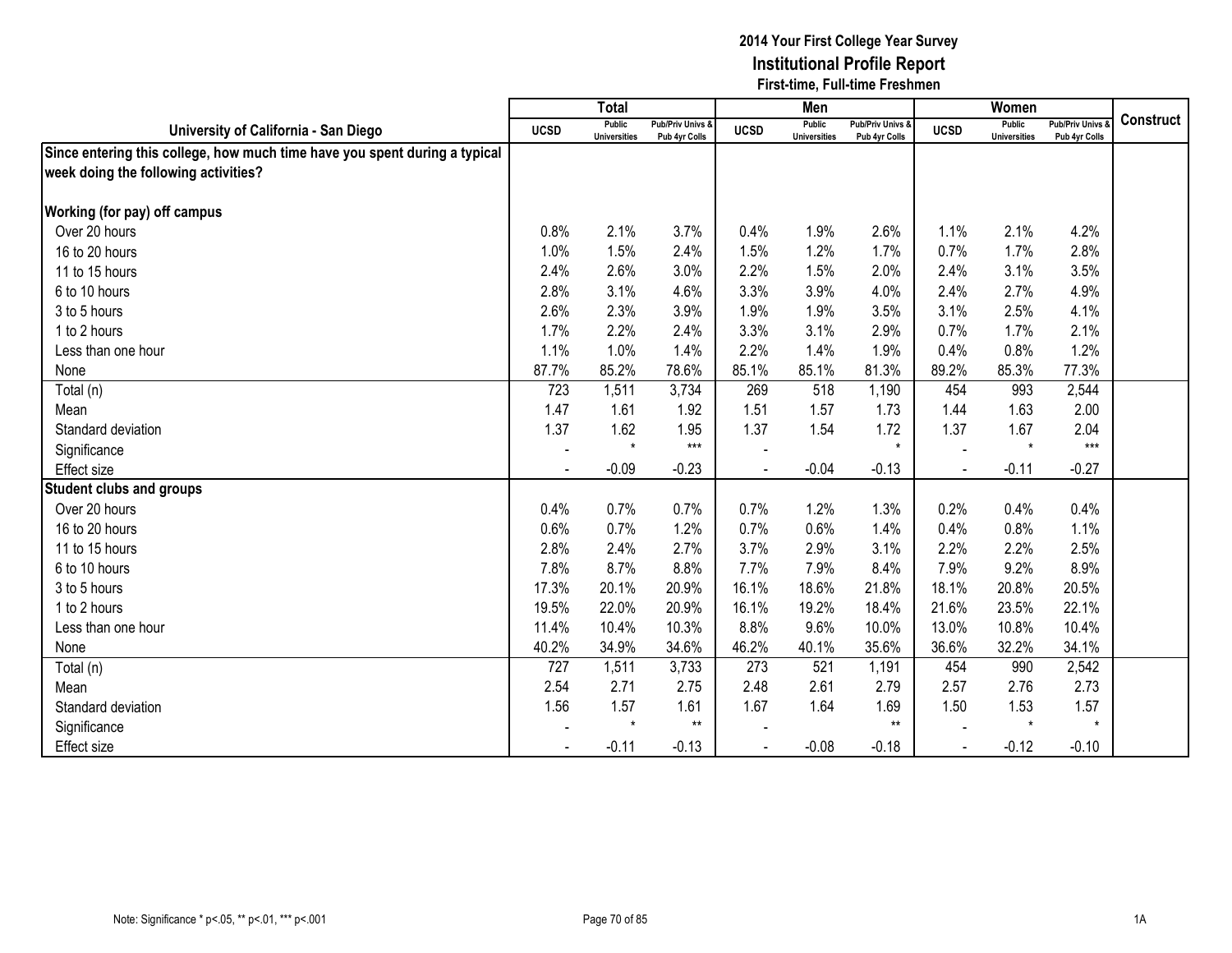|                                                                            |                          | <b>Total</b>                  |                                   |                          | Men                                  |                                   |             | Women                                |                                        |                  |
|----------------------------------------------------------------------------|--------------------------|-------------------------------|-----------------------------------|--------------------------|--------------------------------------|-----------------------------------|-------------|--------------------------------------|----------------------------------------|------------------|
| University of California - San Diego                                       | <b>UCSD</b>              | Public<br><b>Universities</b> | Pub/Priv Univs &<br>Pub 4yr Colls | <b>UCSD</b>              | <b>Public</b><br><b>Universities</b> | Pub/Priv Univs &<br>Pub 4yr Colls | <b>UCSD</b> | <b>Public</b><br><b>Universities</b> | <b>Pub/Priv Univs</b><br>Pub 4yr Colls | <b>Construct</b> |
| Since entering this college, how much time have you spent during a typical |                          |                               |                                   |                          |                                      |                                   |             |                                      |                                        |                  |
| week doing the following activities?                                       |                          |                               |                                   |                          |                                      |                                   |             |                                      |                                        |                  |
|                                                                            |                          |                               |                                   |                          |                                      |                                   |             |                                      |                                        |                  |
| <b>Working (for pay) off campus</b>                                        |                          |                               |                                   |                          |                                      |                                   |             |                                      |                                        |                  |
| Over 20 hours                                                              | 0.8%                     | 2.1%                          | 3.7%                              | 0.4%                     | 1.9%                                 | 2.6%                              | 1.1%        | 2.1%                                 | 4.2%                                   |                  |
| 16 to 20 hours                                                             | 1.0%                     | 1.5%                          | 2.4%                              | 1.5%                     | 1.2%                                 | 1.7%                              | 0.7%        | 1.7%                                 | 2.8%                                   |                  |
| 11 to 15 hours                                                             | 2.4%                     | 2.6%                          | 3.0%                              | 2.2%                     | 1.5%                                 | 2.0%                              | 2.4%        | 3.1%                                 | 3.5%                                   |                  |
| 6 to 10 hours                                                              | 2.8%                     | 3.1%                          | 4.6%                              | 3.3%                     | 3.9%                                 | 4.0%                              | 2.4%        | 2.7%                                 | 4.9%                                   |                  |
| 3 to 5 hours                                                               | 2.6%                     | 2.3%                          | 3.9%                              | 1.9%                     | 1.9%                                 | 3.5%                              | 3.1%        | 2.5%                                 | 4.1%                                   |                  |
| 1 to 2 hours                                                               | 1.7%                     | 2.2%                          | 2.4%                              | 3.3%                     | 3.1%                                 | 2.9%                              | 0.7%        | 1.7%                                 | 2.1%                                   |                  |
| Less than one hour                                                         | 1.1%                     | 1.0%                          | 1.4%                              | 2.2%                     | 1.4%                                 | 1.9%                              | 0.4%        | 0.8%                                 | 1.2%                                   |                  |
| None                                                                       | 87.7%                    | 85.2%                         | 78.6%                             | 85.1%                    | 85.1%                                | 81.3%                             | 89.2%       | 85.3%                                | 77.3%                                  |                  |
| Total (n)                                                                  | 723                      | 1,511                         | 3,734                             | 269                      | 518                                  | 1,190                             | 454         | 993                                  | 2,544                                  |                  |
| Mean                                                                       | 1.47                     | 1.61                          | 1.92                              | 1.51                     | 1.57                                 | 1.73                              | 1.44        | 1.63                                 | 2.00                                   |                  |
| Standard deviation                                                         | 1.37                     | 1.62                          | 1.95                              | 1.37                     | 1.54                                 | 1.72                              | 1.37        | 1.67                                 | 2.04                                   |                  |
| Significance                                                               | $\overline{\phantom{a}}$ | $\star$                       | $***$                             |                          |                                      | $\star$                           |             | $\star$                              | $***$                                  |                  |
| Effect size                                                                |                          | $-0.09$                       | $-0.23$                           | $\overline{\phantom{a}}$ | $-0.04$                              | $-0.13$                           |             | $-0.11$                              | $-0.27$                                |                  |
| <b>Student clubs and groups</b>                                            |                          |                               |                                   |                          |                                      |                                   |             |                                      |                                        |                  |
| Over 20 hours                                                              | 0.4%                     | 0.7%                          | 0.7%                              | 0.7%                     | 1.2%                                 | 1.3%                              | 0.2%        | 0.4%                                 | 0.4%                                   |                  |
| 16 to 20 hours                                                             | 0.6%                     | 0.7%                          | 1.2%                              | 0.7%                     | 0.6%                                 | 1.4%                              | 0.4%        | 0.8%                                 | 1.1%                                   |                  |
| 11 to 15 hours                                                             | 2.8%                     | 2.4%                          | 2.7%                              | 3.7%                     | 2.9%                                 | 3.1%                              | 2.2%        | 2.2%                                 | 2.5%                                   |                  |
| 6 to 10 hours                                                              | 7.8%                     | 8.7%                          | 8.8%                              | 7.7%                     | 7.9%                                 | 8.4%                              | 7.9%        | 9.2%                                 | 8.9%                                   |                  |
| 3 to 5 hours                                                               | 17.3%                    | 20.1%                         | 20.9%                             | 16.1%                    | 18.6%                                | 21.8%                             | 18.1%       | 20.8%                                | 20.5%                                  |                  |
| 1 to 2 hours                                                               | 19.5%                    | 22.0%                         | 20.9%                             | 16.1%                    | 19.2%                                | 18.4%                             | 21.6%       | 23.5%                                | 22.1%                                  |                  |
| Less than one hour                                                         | 11.4%                    | 10.4%                         | 10.3%                             | 8.8%                     | 9.6%                                 | 10.0%                             | 13.0%       | 10.8%                                | 10.4%                                  |                  |
| None                                                                       | 40.2%                    | 34.9%                         | 34.6%                             | 46.2%                    | 40.1%                                | 35.6%                             | 36.6%       | 32.2%                                | 34.1%                                  |                  |
| Total (n)                                                                  | 727                      | 1,511                         | 3,733                             | 273                      | 521                                  | 1,191                             | 454         | 990                                  | 2,542                                  |                  |
| Mean                                                                       | 2.54                     | 2.71                          | 2.75                              | 2.48                     | 2.61                                 | 2.79                              | 2.57        | 2.76                                 | 2.73                                   |                  |
| Standard deviation                                                         | 1.56                     | 1.57                          | 1.61                              | 1.67                     | 1.64                                 | 1.69                              | 1.50        | 1.53                                 | 1.57                                   |                  |
| Significance                                                               |                          | $\star$                       | $***$                             |                          |                                      | $**$                              |             | $\star$                              | $\star$                                |                  |
| Effect size                                                                |                          | $-0.11$                       | $-0.13$                           |                          | $-0.08$                              | $-0.18$                           |             | $-0.12$                              | $-0.10$                                |                  |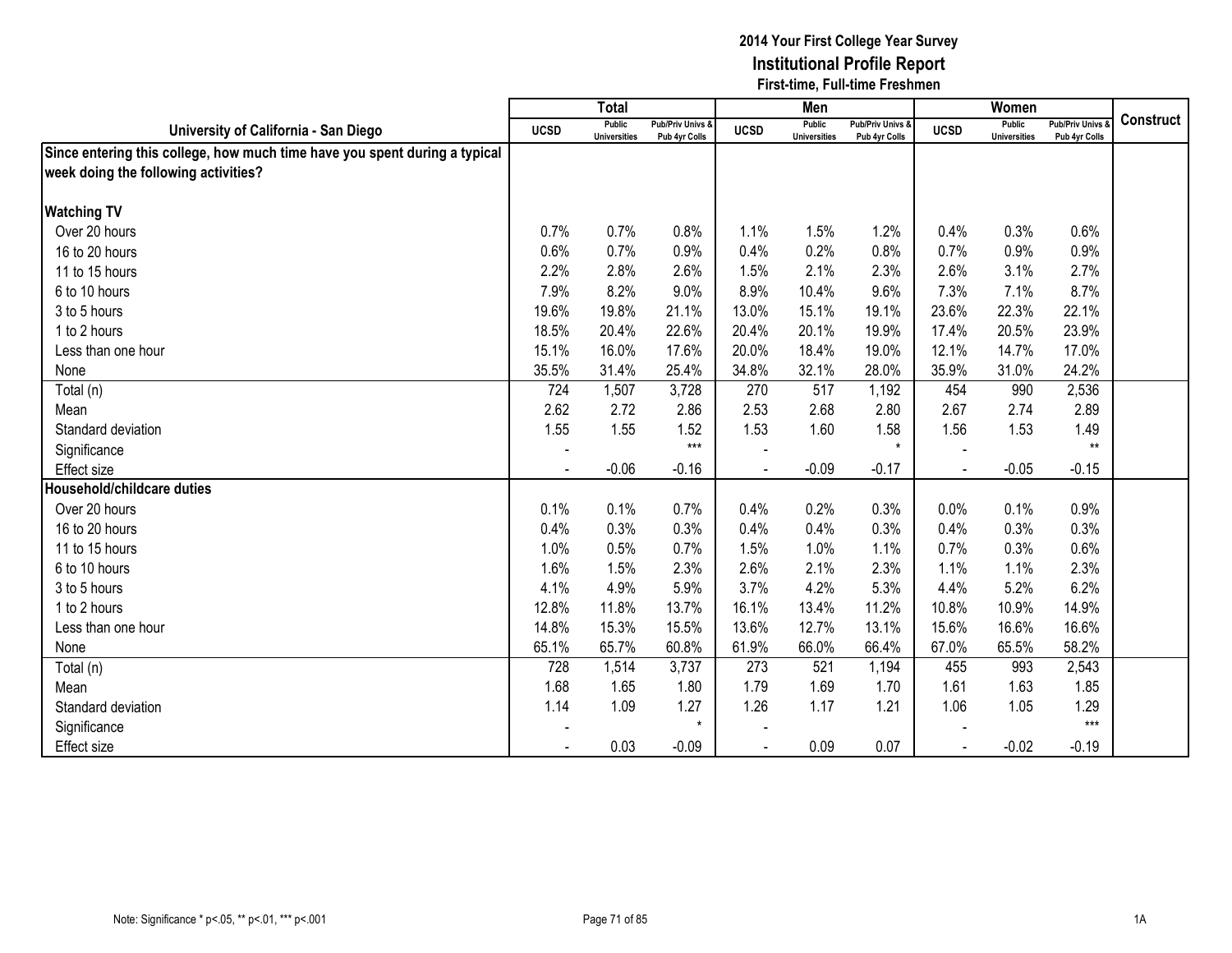|                                                                            |                          | <b>Total</b>                  |                                   |             | Men                           |                                   |             | Women                                |                                        |                  |
|----------------------------------------------------------------------------|--------------------------|-------------------------------|-----------------------------------|-------------|-------------------------------|-----------------------------------|-------------|--------------------------------------|----------------------------------------|------------------|
| University of California - San Diego                                       | <b>UCSD</b>              | Public<br><b>Universities</b> | Pub/Priv Univs &<br>Pub 4yr Colls | <b>UCSD</b> | Public<br><b>Universities</b> | Pub/Priv Univs &<br>Pub 4yr Colls | <b>UCSD</b> | <b>Public</b><br><b>Universities</b> | <b>Pub/Priv Univs</b><br>Pub 4yr Colls | <b>Construct</b> |
| Since entering this college, how much time have you spent during a typical |                          |                               |                                   |             |                               |                                   |             |                                      |                                        |                  |
| week doing the following activities?                                       |                          |                               |                                   |             |                               |                                   |             |                                      |                                        |                  |
|                                                                            |                          |                               |                                   |             |                               |                                   |             |                                      |                                        |                  |
| <b>Watching TV</b>                                                         |                          |                               |                                   |             |                               |                                   |             |                                      |                                        |                  |
| Over 20 hours                                                              | 0.7%                     | 0.7%                          | 0.8%                              | 1.1%        | 1.5%                          | 1.2%                              | 0.4%        | 0.3%                                 | 0.6%                                   |                  |
| 16 to 20 hours                                                             | 0.6%                     | 0.7%                          | 0.9%                              | 0.4%        | 0.2%                          | 0.8%                              | 0.7%        | 0.9%                                 | 0.9%                                   |                  |
| 11 to 15 hours                                                             | 2.2%                     | 2.8%                          | 2.6%                              | 1.5%        | 2.1%                          | 2.3%                              | 2.6%        | 3.1%                                 | 2.7%                                   |                  |
| 6 to 10 hours                                                              | 7.9%                     | 8.2%                          | 9.0%                              | 8.9%        | 10.4%                         | 9.6%                              | 7.3%        | 7.1%                                 | 8.7%                                   |                  |
| 3 to 5 hours                                                               | 19.6%                    | 19.8%                         | 21.1%                             | 13.0%       | 15.1%                         | 19.1%                             | 23.6%       | 22.3%                                | 22.1%                                  |                  |
| 1 to 2 hours                                                               | 18.5%                    | 20.4%                         | 22.6%                             | 20.4%       | 20.1%                         | 19.9%                             | 17.4%       | 20.5%                                | 23.9%                                  |                  |
| Less than one hour                                                         | 15.1%                    | 16.0%                         | 17.6%                             | 20.0%       | 18.4%                         | 19.0%                             | 12.1%       | 14.7%                                | 17.0%                                  |                  |
| None                                                                       | 35.5%                    | 31.4%                         | 25.4%                             | 34.8%       | 32.1%                         | 28.0%                             | 35.9%       | 31.0%                                | 24.2%                                  |                  |
| Total (n)                                                                  | 724                      | 1,507                         | 3,728                             | 270         | 517                           | 1,192                             | 454         | 990                                  | 2,536                                  |                  |
| Mean                                                                       | 2.62                     | 2.72                          | 2.86                              | 2.53        | 2.68                          | 2.80                              | 2.67        | 2.74                                 | 2.89                                   |                  |
| Standard deviation                                                         | 1.55                     | 1.55                          | 1.52                              | 1.53        | 1.60                          | 1.58                              | 1.56        | 1.53                                 | 1.49                                   |                  |
| Significance                                                               | $\overline{\phantom{a}}$ |                               | $***$                             |             |                               | $\star$                           |             |                                      | $***$                                  |                  |
| Effect size                                                                |                          | $-0.06$                       | $-0.16$                           | $\sim$      | $-0.09$                       | $-0.17$                           |             | $-0.05$                              | $-0.15$                                |                  |
| Household/childcare duties                                                 |                          |                               |                                   |             |                               |                                   |             |                                      |                                        |                  |
| Over 20 hours                                                              | 0.1%                     | 0.1%                          | 0.7%                              | 0.4%        | 0.2%                          | 0.3%                              | 0.0%        | 0.1%                                 | 0.9%                                   |                  |
| 16 to 20 hours                                                             | 0.4%                     | 0.3%                          | 0.3%                              | 0.4%        | 0.4%                          | 0.3%                              | 0.4%        | 0.3%                                 | 0.3%                                   |                  |
| 11 to 15 hours                                                             | 1.0%                     | 0.5%                          | 0.7%                              | 1.5%        | 1.0%                          | 1.1%                              | 0.7%        | 0.3%                                 | 0.6%                                   |                  |
| 6 to 10 hours                                                              | 1.6%                     | 1.5%                          | 2.3%                              | 2.6%        | 2.1%                          | 2.3%                              | 1.1%        | 1.1%                                 | 2.3%                                   |                  |
| 3 to 5 hours                                                               | 4.1%                     | 4.9%                          | 5.9%                              | 3.7%        | 4.2%                          | 5.3%                              | 4.4%        | 5.2%                                 | 6.2%                                   |                  |
| 1 to 2 hours                                                               | 12.8%                    | 11.8%                         | 13.7%                             | 16.1%       | 13.4%                         | 11.2%                             | 10.8%       | 10.9%                                | 14.9%                                  |                  |
| Less than one hour                                                         | 14.8%                    | 15.3%                         | 15.5%                             | 13.6%       | 12.7%                         | 13.1%                             | 15.6%       | 16.6%                                | 16.6%                                  |                  |
| None                                                                       | 65.1%                    | 65.7%                         | 60.8%                             | 61.9%       | 66.0%                         | 66.4%                             | 67.0%       | 65.5%                                | 58.2%                                  |                  |
| Total (n)                                                                  | 728                      | 1,514                         | 3,737                             | 273         | 521                           | 1,194                             | 455         | 993                                  | 2,543                                  |                  |
| Mean                                                                       | 1.68                     | 1.65                          | 1.80                              | 1.79        | 1.69                          | 1.70                              | 1.61        | 1.63                                 | 1.85                                   |                  |
| Standard deviation                                                         | 1.14                     | 1.09                          | 1.27                              | 1.26        | 1.17                          | 1.21                              | 1.06        | 1.05                                 | 1.29                                   |                  |
| Significance                                                               |                          |                               | $\star$                           |             |                               |                                   |             |                                      | $***$                                  |                  |
| <b>Effect size</b>                                                         |                          | 0.03                          | $-0.09$                           |             | 0.09                          | 0.07                              |             | $-0.02$                              | $-0.19$                                |                  |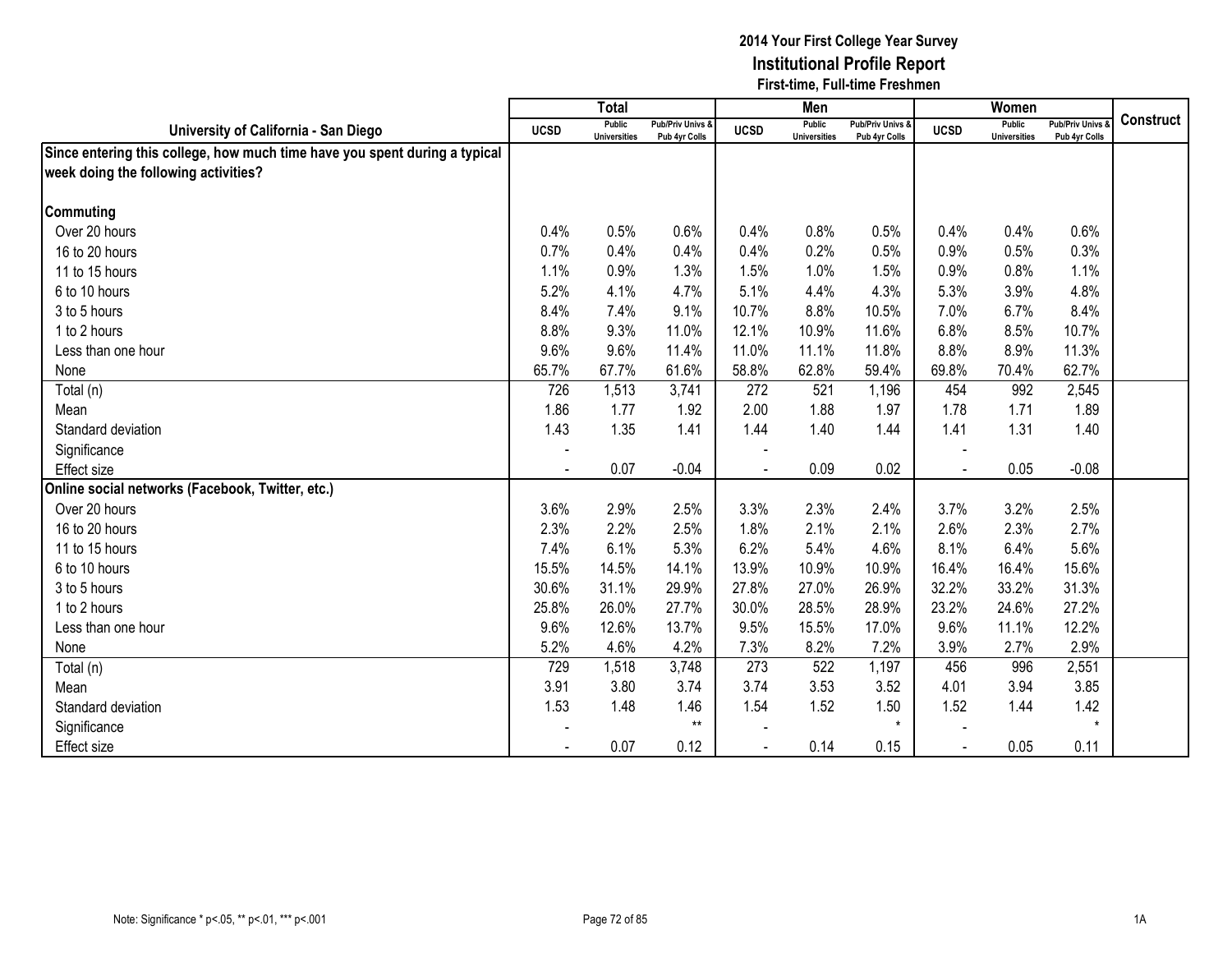|                                                                            |             | <b>Total</b>                  |                                   |             | Men                                  |                                   |                | Women                         |                                        |           |
|----------------------------------------------------------------------------|-------------|-------------------------------|-----------------------------------|-------------|--------------------------------------|-----------------------------------|----------------|-------------------------------|----------------------------------------|-----------|
| University of California - San Diego                                       | <b>UCSD</b> | Public<br><b>Universities</b> | Pub/Priv Univs &<br>Pub 4yr Colls | <b>UCSD</b> | <b>Public</b><br><b>Universities</b> | Pub/Priv Univs &<br>Pub 4yr Colls | <b>UCSD</b>    | Public<br><b>Universities</b> | <b>Pub/Priv Univs</b><br>Pub 4yr Colls | Construct |
| Since entering this college, how much time have you spent during a typical |             |                               |                                   |             |                                      |                                   |                |                               |                                        |           |
| week doing the following activities?                                       |             |                               |                                   |             |                                      |                                   |                |                               |                                        |           |
|                                                                            |             |                               |                                   |             |                                      |                                   |                |                               |                                        |           |
| <b>Commuting</b>                                                           |             |                               |                                   |             |                                      |                                   |                |                               |                                        |           |
| Over 20 hours                                                              | 0.4%        | 0.5%                          | 0.6%                              | 0.4%        | 0.8%                                 | 0.5%                              | 0.4%           | 0.4%                          | 0.6%                                   |           |
| 16 to 20 hours                                                             | 0.7%        | 0.4%                          | 0.4%                              | 0.4%        | 0.2%                                 | 0.5%                              | 0.9%           | 0.5%                          | 0.3%                                   |           |
| 11 to 15 hours                                                             | 1.1%        | 0.9%                          | 1.3%                              | 1.5%        | 1.0%                                 | 1.5%                              | 0.9%           | 0.8%                          | 1.1%                                   |           |
| 6 to 10 hours                                                              | 5.2%        | 4.1%                          | 4.7%                              | 5.1%        | 4.4%                                 | 4.3%                              | 5.3%           | 3.9%                          | 4.8%                                   |           |
| 3 to 5 hours                                                               | 8.4%        | 7.4%                          | 9.1%                              | 10.7%       | 8.8%                                 | 10.5%                             | 7.0%           | 6.7%                          | 8.4%                                   |           |
| 1 to 2 hours                                                               | 8.8%        | 9.3%                          | 11.0%                             | 12.1%       | 10.9%                                | 11.6%                             | 6.8%           | 8.5%                          | 10.7%                                  |           |
| Less than one hour                                                         | 9.6%        | 9.6%                          | 11.4%                             | 11.0%       | 11.1%                                | 11.8%                             | 8.8%           | 8.9%                          | 11.3%                                  |           |
| None                                                                       | 65.7%       | 67.7%                         | 61.6%                             | 58.8%       | 62.8%                                | 59.4%                             | 69.8%          | 70.4%                         | 62.7%                                  |           |
| Total (n)                                                                  | 726         | 1,513                         | 3,741                             | 272         | 521                                  | 1,196                             | 454            | 992                           | 2,545                                  |           |
| Mean                                                                       | 1.86        | 1.77                          | 1.92                              | 2.00        | 1.88                                 | 1.97                              | 1.78           | 1.71                          | 1.89                                   |           |
| Standard deviation                                                         | 1.43        | 1.35                          | 1.41                              | 1.44        | 1.40                                 | 1.44                              | 1.41           | 1.31                          | 1.40                                   |           |
| Significance                                                               |             |                               |                                   |             |                                      |                                   |                |                               |                                        |           |
| <b>Effect size</b>                                                         |             | 0.07                          | $-0.04$                           |             | 0.09                                 | 0.02                              | $\overline{a}$ | 0.05                          | $-0.08$                                |           |
| Online social networks (Facebook, Twitter, etc.)                           |             |                               |                                   |             |                                      |                                   |                |                               |                                        |           |
| Over 20 hours                                                              | 3.6%        | 2.9%                          | 2.5%                              | 3.3%        | 2.3%                                 | 2.4%                              | 3.7%           | 3.2%                          | 2.5%                                   |           |
| 16 to 20 hours                                                             | 2.3%        | 2.2%                          | 2.5%                              | 1.8%        | 2.1%                                 | 2.1%                              | 2.6%           | 2.3%                          | 2.7%                                   |           |
| 11 to 15 hours                                                             | 7.4%        | 6.1%                          | 5.3%                              | 6.2%        | 5.4%                                 | 4.6%                              | 8.1%           | 6.4%                          | 5.6%                                   |           |
| 6 to 10 hours                                                              | 15.5%       | 14.5%                         | 14.1%                             | 13.9%       | 10.9%                                | 10.9%                             | 16.4%          | 16.4%                         | 15.6%                                  |           |
| 3 to 5 hours                                                               | 30.6%       | 31.1%                         | 29.9%                             | 27.8%       | 27.0%                                | 26.9%                             | 32.2%          | 33.2%                         | 31.3%                                  |           |
| 1 to 2 hours                                                               | 25.8%       | 26.0%                         | 27.7%                             | 30.0%       | 28.5%                                | 28.9%                             | 23.2%          | 24.6%                         | 27.2%                                  |           |
| Less than one hour                                                         | 9.6%        | 12.6%                         | 13.7%                             | 9.5%        | 15.5%                                | 17.0%                             | 9.6%           | 11.1%                         | 12.2%                                  |           |
| None                                                                       | 5.2%        | 4.6%                          | 4.2%                              | 7.3%        | 8.2%                                 | 7.2%                              | 3.9%           | 2.7%                          | 2.9%                                   |           |
| Total (n)                                                                  | 729         | 1,518                         | 3,748                             | 273         | 522                                  | 1,197                             | 456            | 996                           | 2,551                                  |           |
| Mean                                                                       | 3.91        | 3.80                          | 3.74                              | 3.74        | 3.53                                 | 3.52                              | 4.01           | 3.94                          | 3.85                                   |           |
| Standard deviation                                                         | 1.53        | 1.48                          | 1.46                              | 1.54        | 1.52                                 | 1.50                              | 1.52           | 1.44                          | 1.42                                   |           |
| Significance                                                               |             |                               | $***$                             |             |                                      | $\star$                           |                |                               | $\star$                                |           |
| <b>Effect size</b>                                                         |             | 0.07                          | 0.12                              |             | 0.14                                 | 0.15                              | $\blacksquare$ | 0.05                          | 0.11                                   |           |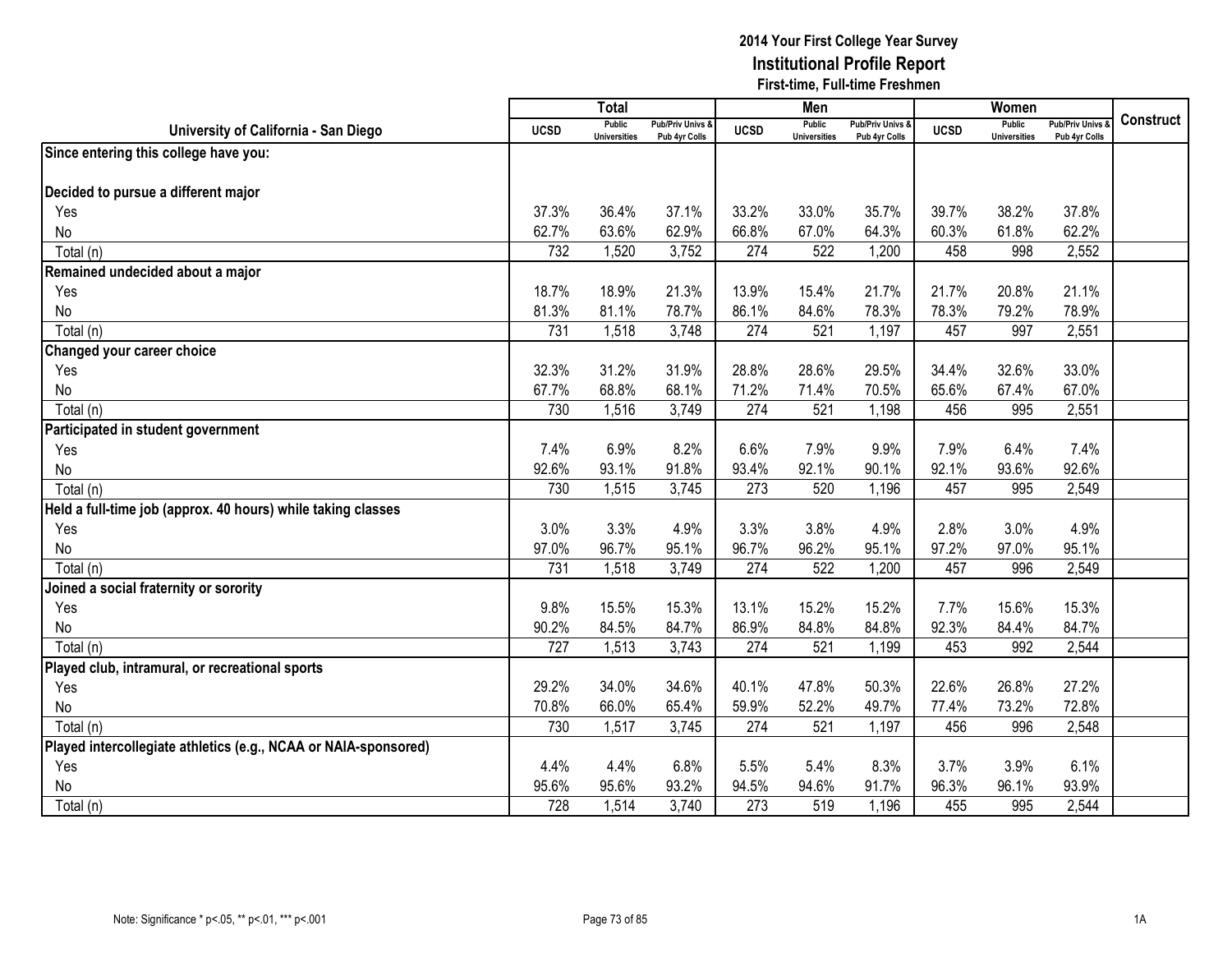|                                                                 |             | <b>Total</b>                         |                                   |             | Men                           |                                   |             | Women                                |                                        |                  |
|-----------------------------------------------------------------|-------------|--------------------------------------|-----------------------------------|-------------|-------------------------------|-----------------------------------|-------------|--------------------------------------|----------------------------------------|------------------|
| University of California - San Diego                            | <b>UCSD</b> | <b>Public</b><br><b>Universities</b> | Pub/Priv Univs &<br>Pub 4yr Colls | <b>UCSD</b> | Public<br><b>Universities</b> | Pub/Priv Univs &<br>Pub 4yr Colls | <b>UCSD</b> | <b>Public</b><br><b>Universities</b> | <b>Pub/Priv Univs</b><br>Pub 4yr Colls | <b>Construct</b> |
| Since entering this college have you:                           |             |                                      |                                   |             |                               |                                   |             |                                      |                                        |                  |
|                                                                 |             |                                      |                                   |             |                               |                                   |             |                                      |                                        |                  |
| Decided to pursue a different major                             |             |                                      |                                   |             |                               |                                   |             |                                      |                                        |                  |
| Yes                                                             | 37.3%       | 36.4%                                | 37.1%                             | 33.2%       | 33.0%                         | 35.7%                             | 39.7%       | 38.2%                                | 37.8%                                  |                  |
| No                                                              | 62.7%       | 63.6%                                | 62.9%                             | 66.8%       | 67.0%                         | 64.3%                             | 60.3%       | 61.8%                                | 62.2%                                  |                  |
| Total (n)                                                       | 732         | 1,520                                | 3,752                             | 274         | 522                           | 1,200                             | 458         | 998                                  | 2,552                                  |                  |
| Remained undecided about a major                                |             |                                      |                                   |             |                               |                                   |             |                                      |                                        |                  |
| Yes                                                             | 18.7%       | 18.9%                                | 21.3%                             | 13.9%       | 15.4%                         | 21.7%                             | 21.7%       | 20.8%                                | 21.1%                                  |                  |
| No                                                              | 81.3%       | 81.1%                                | 78.7%                             | 86.1%       | 84.6%                         | 78.3%                             | 78.3%       | 79.2%                                | 78.9%                                  |                  |
| Total (n)                                                       | 731         | 1,518                                | 3,748                             | 274         | 521                           | 1,197                             | 457         | 997                                  | 2,551                                  |                  |
| Changed your career choice                                      |             |                                      |                                   |             |                               |                                   |             |                                      |                                        |                  |
| Yes                                                             | 32.3%       | 31.2%                                | 31.9%                             | 28.8%       | 28.6%                         | 29.5%                             | 34.4%       | 32.6%                                | 33.0%                                  |                  |
| No                                                              | 67.7%       | 68.8%                                | 68.1%                             | 71.2%       | 71.4%                         | 70.5%                             | 65.6%       | 67.4%                                | 67.0%                                  |                  |
| Total (n)                                                       | 730         | 1,516                                | 3,749                             | 274         | 521                           | 1,198                             | 456         | 995                                  | 2,551                                  |                  |
| Participated in student government                              |             |                                      |                                   |             |                               |                                   |             |                                      |                                        |                  |
| Yes                                                             | 7.4%        | 6.9%                                 | 8.2%                              | 6.6%        | 7.9%                          | 9.9%                              | 7.9%        | 6.4%                                 | 7.4%                                   |                  |
| No                                                              | 92.6%       | 93.1%                                | 91.8%                             | 93.4%       | 92.1%                         | 90.1%                             | 92.1%       | 93.6%                                | 92.6%                                  |                  |
| Total (n)                                                       | 730         | 1,515                                | 3,745                             | 273         | 520                           | 1,196                             | 457         | 995                                  | 2,549                                  |                  |
| Held a full-time job (approx. 40 hours) while taking classes    |             |                                      |                                   |             |                               |                                   |             |                                      |                                        |                  |
| Yes                                                             | 3.0%        | 3.3%                                 | 4.9%                              | 3.3%        | 3.8%                          | 4.9%                              | 2.8%        | 3.0%                                 | 4.9%                                   |                  |
| No                                                              | 97.0%       | 96.7%                                | 95.1%                             | 96.7%       | 96.2%                         | 95.1%                             | 97.2%       | 97.0%                                | 95.1%                                  |                  |
| Total (n)                                                       | 731         | 1,518                                | 3,749                             | 274         | 522                           | 1,200                             | 457         | 996                                  | 2,549                                  |                  |
| Joined a social fraternity or sorority                          |             |                                      |                                   |             |                               |                                   |             |                                      |                                        |                  |
| Yes                                                             | 9.8%        | 15.5%                                | 15.3%                             | 13.1%       | 15.2%                         | 15.2%                             | 7.7%        | 15.6%                                | 15.3%                                  |                  |
| No                                                              | 90.2%       | 84.5%                                | 84.7%                             | 86.9%       | 84.8%                         | 84.8%                             | 92.3%       | 84.4%                                | 84.7%                                  |                  |
| Total (n)                                                       | 727         | 1,513                                | 3,743                             | 274         | 521                           | 1,199                             | 453         | 992                                  | 2,544                                  |                  |
| Played club, intramural, or recreational sports                 |             |                                      |                                   |             |                               |                                   |             |                                      |                                        |                  |
| Yes                                                             | 29.2%       | 34.0%                                | 34.6%                             | 40.1%       | 47.8%                         | 50.3%                             | 22.6%       | 26.8%                                | 27.2%                                  |                  |
| No                                                              | 70.8%       | 66.0%                                | 65.4%                             | 59.9%       | 52.2%                         | 49.7%                             | 77.4%       | 73.2%                                | 72.8%                                  |                  |
| Total (n)                                                       | 730         | 1,517                                | 3,745                             | 274         | 521                           | 1,197                             | 456         | 996                                  | 2,548                                  |                  |
| Played intercollegiate athletics (e.g., NCAA or NAIA-sponsored) |             |                                      |                                   |             |                               |                                   |             |                                      |                                        |                  |
| Yes                                                             | 4.4%        | 4.4%                                 | 6.8%                              | 5.5%        | 5.4%                          | 8.3%                              | 3.7%        | 3.9%                                 | 6.1%                                   |                  |
| No                                                              | 95.6%       | 95.6%                                | 93.2%                             | 94.5%       | 94.6%                         | 91.7%                             | 96.3%       | 96.1%                                | 93.9%                                  |                  |
| Total (n)                                                       | 728         | 1,514                                | 3,740                             | 273         | 519                           | 1,196                             | 455         | 995                                  | 2,544                                  |                  |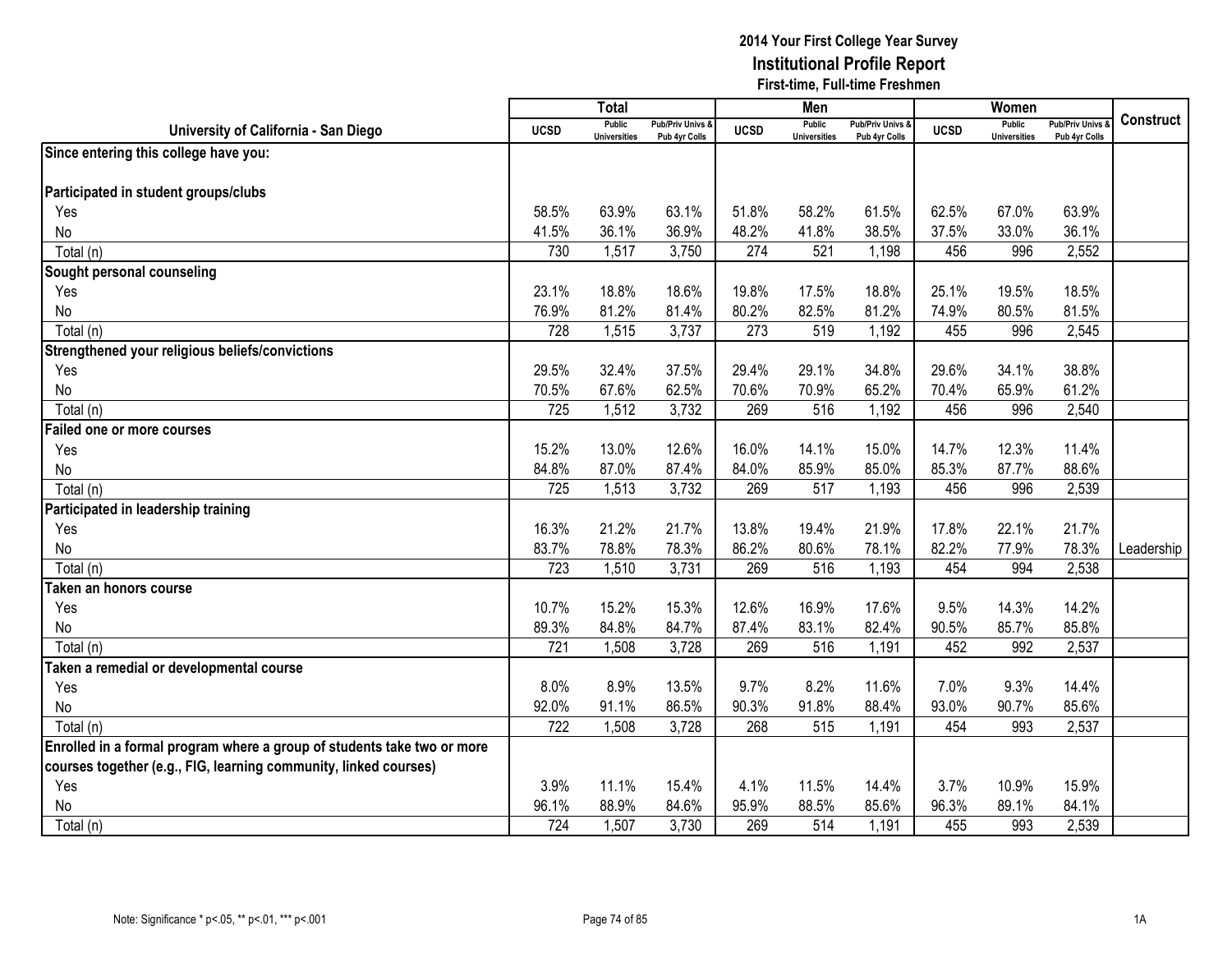|                                                                         |             | <b>Total</b>                         |                                   |             | Men                                  |                                   |             | Women                                |                                        |            |
|-------------------------------------------------------------------------|-------------|--------------------------------------|-----------------------------------|-------------|--------------------------------------|-----------------------------------|-------------|--------------------------------------|----------------------------------------|------------|
| University of California - San Diego                                    | <b>UCSD</b> | <b>Public</b><br><b>Universities</b> | Pub/Priv Univs &<br>Pub 4yr Colls | <b>UCSD</b> | <b>Public</b><br><b>Universities</b> | Pub/Priv Univs &<br>Pub 4yr Colls | <b>UCSD</b> | <b>Public</b><br><b>Universities</b> | <b>Pub/Priv Univs</b><br>Pub 4yr Colls | Construct  |
| Since entering this college have you:                                   |             |                                      |                                   |             |                                      |                                   |             |                                      |                                        |            |
|                                                                         |             |                                      |                                   |             |                                      |                                   |             |                                      |                                        |            |
| Participated in student groups/clubs                                    |             |                                      |                                   |             |                                      |                                   |             |                                      |                                        |            |
| Yes                                                                     | 58.5%       | 63.9%                                | 63.1%                             | 51.8%       | 58.2%                                | 61.5%                             | 62.5%       | 67.0%                                | 63.9%                                  |            |
| No                                                                      | 41.5%       | 36.1%                                | 36.9%                             | 48.2%       | 41.8%                                | 38.5%                             | 37.5%       | 33.0%                                | 36.1%                                  |            |
| Total (n)                                                               | 730         | 1,517                                | 3,750                             | 274         | 521                                  | 1,198                             | 456         | 996                                  | 2,552                                  |            |
| Sought personal counseling                                              |             |                                      |                                   |             |                                      |                                   |             |                                      |                                        |            |
| Yes                                                                     | 23.1%       | 18.8%                                | 18.6%                             | 19.8%       | 17.5%                                | 18.8%                             | 25.1%       | 19.5%                                | 18.5%                                  |            |
| No                                                                      | 76.9%       | 81.2%                                | 81.4%                             | 80.2%       | 82.5%                                | 81.2%                             | 74.9%       | 80.5%                                | 81.5%                                  |            |
| Total (n)                                                               | 728         | 1,515                                | 3,737                             | 273         | 519                                  | 1,192                             | 455         | 996                                  | 2,545                                  |            |
| Strengthened your religious beliefs/convictions                         |             |                                      |                                   |             |                                      |                                   |             |                                      |                                        |            |
| Yes                                                                     | 29.5%       | 32.4%                                | 37.5%                             | 29.4%       | 29.1%                                | 34.8%                             | 29.6%       | 34.1%                                | 38.8%                                  |            |
| No                                                                      | 70.5%       | 67.6%                                | 62.5%                             | 70.6%       | 70.9%                                | 65.2%                             | 70.4%       | 65.9%                                | 61.2%                                  |            |
| Total (n)                                                               | 725         | 1,512                                | 3,732                             | 269         | 516                                  | 1,192                             | 456         | 996                                  | 2,540                                  |            |
| <b>Failed one or more courses</b>                                       |             |                                      |                                   |             |                                      |                                   |             |                                      |                                        |            |
| Yes                                                                     | 15.2%       | 13.0%                                | 12.6%                             | 16.0%       | 14.1%                                | 15.0%                             | 14.7%       | 12.3%                                | 11.4%                                  |            |
| No                                                                      | 84.8%       | 87.0%                                | 87.4%                             | 84.0%       | 85.9%                                | 85.0%                             | 85.3%       | 87.7%                                | 88.6%                                  |            |
| Total (n)                                                               | 725         | 1,513                                | 3,732                             | 269         | 517                                  | 1,193                             | 456         | 996                                  | 2,539                                  |            |
| Participated in leadership training                                     |             |                                      |                                   |             |                                      |                                   |             |                                      |                                        |            |
| Yes                                                                     | 16.3%       | 21.2%                                | 21.7%                             | 13.8%       | 19.4%                                | 21.9%                             | 17.8%       | 22.1%                                | 21.7%                                  |            |
| No                                                                      | 83.7%       | 78.8%                                | 78.3%                             | 86.2%       | 80.6%                                | 78.1%                             | 82.2%       | 77.9%                                | 78.3%                                  | Leadership |
| Total (n)                                                               | 723         | 1,510                                | 3,731                             | 269         | 516                                  | 1,193                             | 454         | 994                                  | 2,538                                  |            |
| Taken an honors course                                                  |             |                                      |                                   |             |                                      |                                   |             |                                      |                                        |            |
| Yes                                                                     | 10.7%       | 15.2%                                | 15.3%                             | 12.6%       | 16.9%                                | 17.6%                             | 9.5%        | 14.3%                                | 14.2%                                  |            |
| No                                                                      | 89.3%       | 84.8%                                | 84.7%                             | 87.4%       | 83.1%                                | 82.4%                             | 90.5%       | 85.7%                                | 85.8%                                  |            |
| Total (n)                                                               | 721         | 1,508                                | 3,728                             | 269         | 516                                  | 1,191                             | 452         | 992                                  | 2,537                                  |            |
| Taken a remedial or developmental course                                |             |                                      |                                   |             |                                      |                                   |             |                                      |                                        |            |
| Yes                                                                     | 8.0%        | 8.9%                                 | 13.5%                             | 9.7%        | 8.2%                                 | 11.6%                             | 7.0%        | 9.3%                                 | 14.4%                                  |            |
| No                                                                      | 92.0%       | 91.1%                                | 86.5%                             | 90.3%       | 91.8%                                | 88.4%                             | 93.0%       | 90.7%                                | 85.6%                                  |            |
| Total (n)                                                               | 722         | 1,508                                | 3,728                             | 268         | 515                                  | 1,191                             | 454         | 993                                  | 2,537                                  |            |
| Enrolled in a formal program where a group of students take two or more |             |                                      |                                   |             |                                      |                                   |             |                                      |                                        |            |
| courses together (e.g., FIG, learning community, linked courses)        |             |                                      |                                   |             |                                      |                                   |             |                                      |                                        |            |
| Yes                                                                     | 3.9%        | 11.1%                                | 15.4%                             | 4.1%        | 11.5%                                | 14.4%                             | 3.7%        | 10.9%                                | 15.9%                                  |            |
| No                                                                      | 96.1%       | 88.9%                                | 84.6%                             | 95.9%       | 88.5%                                | 85.6%                             | 96.3%       | 89.1%                                | 84.1%                                  |            |
| Total (n)                                                               | 724         | 1,507                                | 3,730                             | 269         | 514                                  | 1,191                             | 455         | 993                                  | 2,539                                  |            |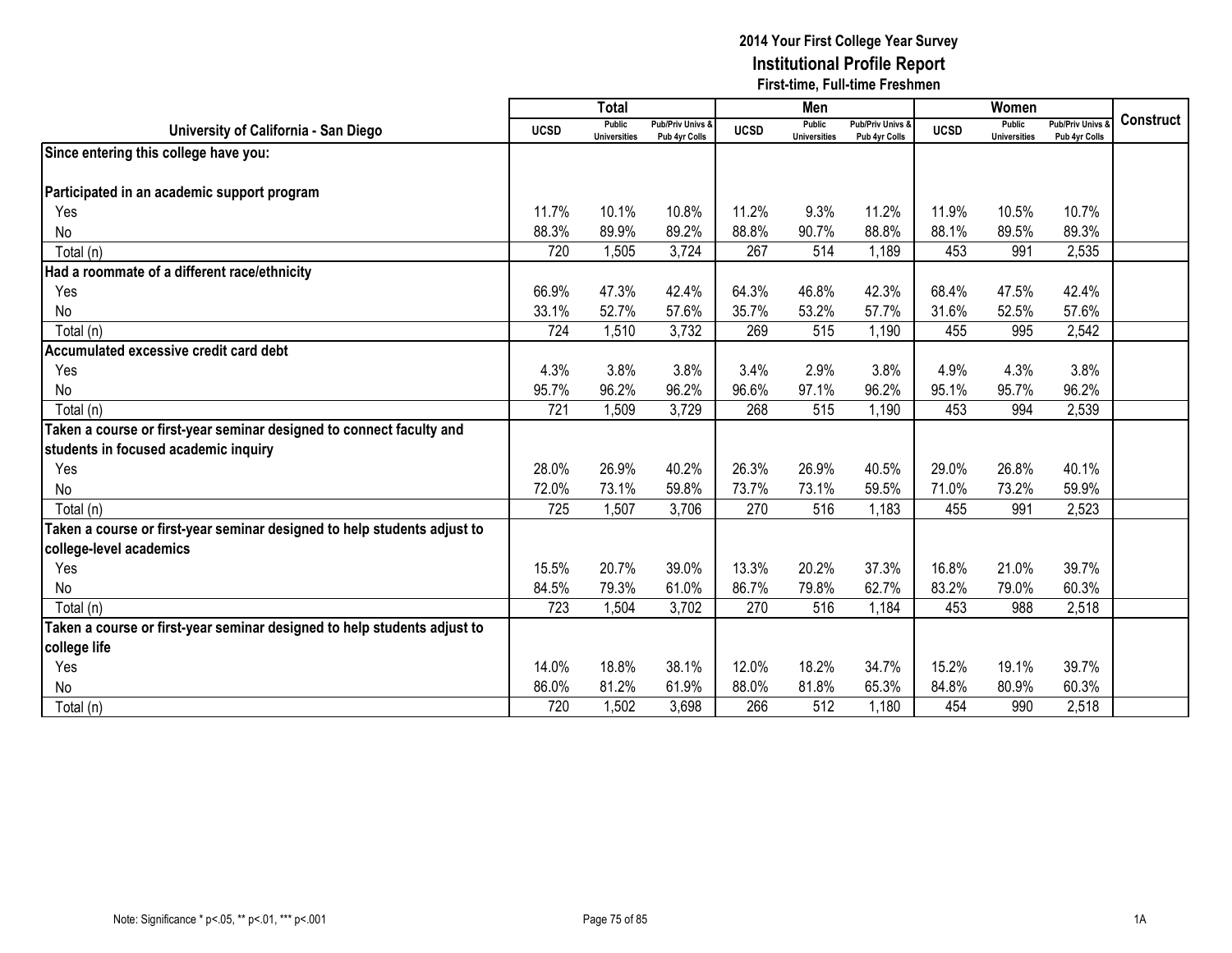|                                                                          |             | <b>Total</b>                  |                                   |             | Men                                  |                                   |             | Women                         |                                        |                  |
|--------------------------------------------------------------------------|-------------|-------------------------------|-----------------------------------|-------------|--------------------------------------|-----------------------------------|-------------|-------------------------------|----------------------------------------|------------------|
| University of California - San Diego                                     | <b>UCSD</b> | Public<br><b>Universities</b> | Pub/Priv Univs &<br>Pub 4yr Colls | <b>UCSD</b> | <b>Public</b><br><b>Universities</b> | Pub/Priv Univs &<br>Pub 4yr Colls | <b>UCSD</b> | Public<br><b>Universities</b> | <b>Pub/Priv Univs</b><br>Pub 4yr Colls | <b>Construct</b> |
| Since entering this college have you:                                    |             |                               |                                   |             |                                      |                                   |             |                               |                                        |                  |
|                                                                          |             |                               |                                   |             |                                      |                                   |             |                               |                                        |                  |
| Participated in an academic support program                              |             |                               |                                   |             |                                      |                                   |             |                               |                                        |                  |
| Yes                                                                      | 11.7%       | 10.1%                         | 10.8%                             | 11.2%       | 9.3%                                 | 11.2%                             | 11.9%       | 10.5%                         | 10.7%                                  |                  |
| No                                                                       | 88.3%       | 89.9%                         | 89.2%                             | 88.8%       | 90.7%                                | 88.8%                             | 88.1%       | 89.5%                         | 89.3%                                  |                  |
| Total (n)                                                                | 720         | 1,505                         | 3,724                             | 267         | 514                                  | 1,189                             | 453         | 991                           | 2,535                                  |                  |
| Had a roommate of a different race/ethnicity                             |             |                               |                                   |             |                                      |                                   |             |                               |                                        |                  |
| Yes                                                                      | 66.9%       | 47.3%                         | 42.4%                             | 64.3%       | 46.8%                                | 42.3%                             | 68.4%       | 47.5%                         | 42.4%                                  |                  |
| No                                                                       | 33.1%       | 52.7%                         | 57.6%                             | 35.7%       | 53.2%                                | 57.7%                             | 31.6%       | 52.5%                         | 57.6%                                  |                  |
| Total (n)                                                                | 724         | 1,510                         | 3,732                             | 269         | 515                                  | 1,190                             | 455         | 995                           | 2,542                                  |                  |
| Accumulated excessive credit card debt                                   |             |                               |                                   |             |                                      |                                   |             |                               |                                        |                  |
| Yes                                                                      | 4.3%        | 3.8%                          | 3.8%                              | 3.4%        | 2.9%                                 | 3.8%                              | 4.9%        | 4.3%                          | 3.8%                                   |                  |
| No                                                                       | 95.7%       | 96.2%                         | 96.2%                             | 96.6%       | 97.1%                                | 96.2%                             | 95.1%       | 95.7%                         | 96.2%                                  |                  |
| Total (n)                                                                | 721         | 1,509                         | 3,729                             | 268         | 515                                  | 1,190                             | 453         | 994                           | 2,539                                  |                  |
| Taken a course or first-year seminar designed to connect faculty and     |             |                               |                                   |             |                                      |                                   |             |                               |                                        |                  |
| students in focused academic inquiry                                     |             |                               |                                   |             |                                      |                                   |             |                               |                                        |                  |
| Yes                                                                      | 28.0%       | 26.9%                         | 40.2%                             | 26.3%       | 26.9%                                | 40.5%                             | 29.0%       | 26.8%                         | 40.1%                                  |                  |
| No                                                                       | 72.0%       | 73.1%                         | 59.8%                             | 73.7%       | 73.1%                                | 59.5%                             | 71.0%       | 73.2%                         | 59.9%                                  |                  |
| Total (n)                                                                | 725         | 1,507                         | 3,706                             | 270         | 516                                  | 1,183                             | 455         | 991                           | 2,523                                  |                  |
| Taken a course or first-year seminar designed to help students adjust to |             |                               |                                   |             |                                      |                                   |             |                               |                                        |                  |
| college-level academics                                                  |             |                               |                                   |             |                                      |                                   |             |                               |                                        |                  |
| Yes                                                                      | 15.5%       | 20.7%                         | 39.0%                             | 13.3%       | 20.2%                                | 37.3%                             | 16.8%       | 21.0%                         | 39.7%                                  |                  |
| No                                                                       | 84.5%       | 79.3%                         | 61.0%                             | 86.7%       | 79.8%                                | 62.7%                             | 83.2%       | 79.0%                         | 60.3%                                  |                  |
| Total (n)                                                                | 723         | 1,504                         | 3,702                             | 270         | 516                                  | 1,184                             | 453         | 988                           | 2,518                                  |                  |
| Taken a course or first-year seminar designed to help students adjust to |             |                               |                                   |             |                                      |                                   |             |                               |                                        |                  |
| college life                                                             |             |                               |                                   |             |                                      |                                   |             |                               |                                        |                  |
| Yes                                                                      | 14.0%       | 18.8%                         | 38.1%                             | 12.0%       | 18.2%                                | 34.7%                             | 15.2%       | 19.1%                         | 39.7%                                  |                  |
| No                                                                       | 86.0%       | 81.2%                         | 61.9%                             | 88.0%       | 81.8%                                | 65.3%                             | 84.8%       | 80.9%                         | 60.3%                                  |                  |
| Total (n)                                                                | 720         | 1,502                         | 3,698                             | 266         | 512                                  | 1,180                             | 454         | 990                           | 2,518                                  |                  |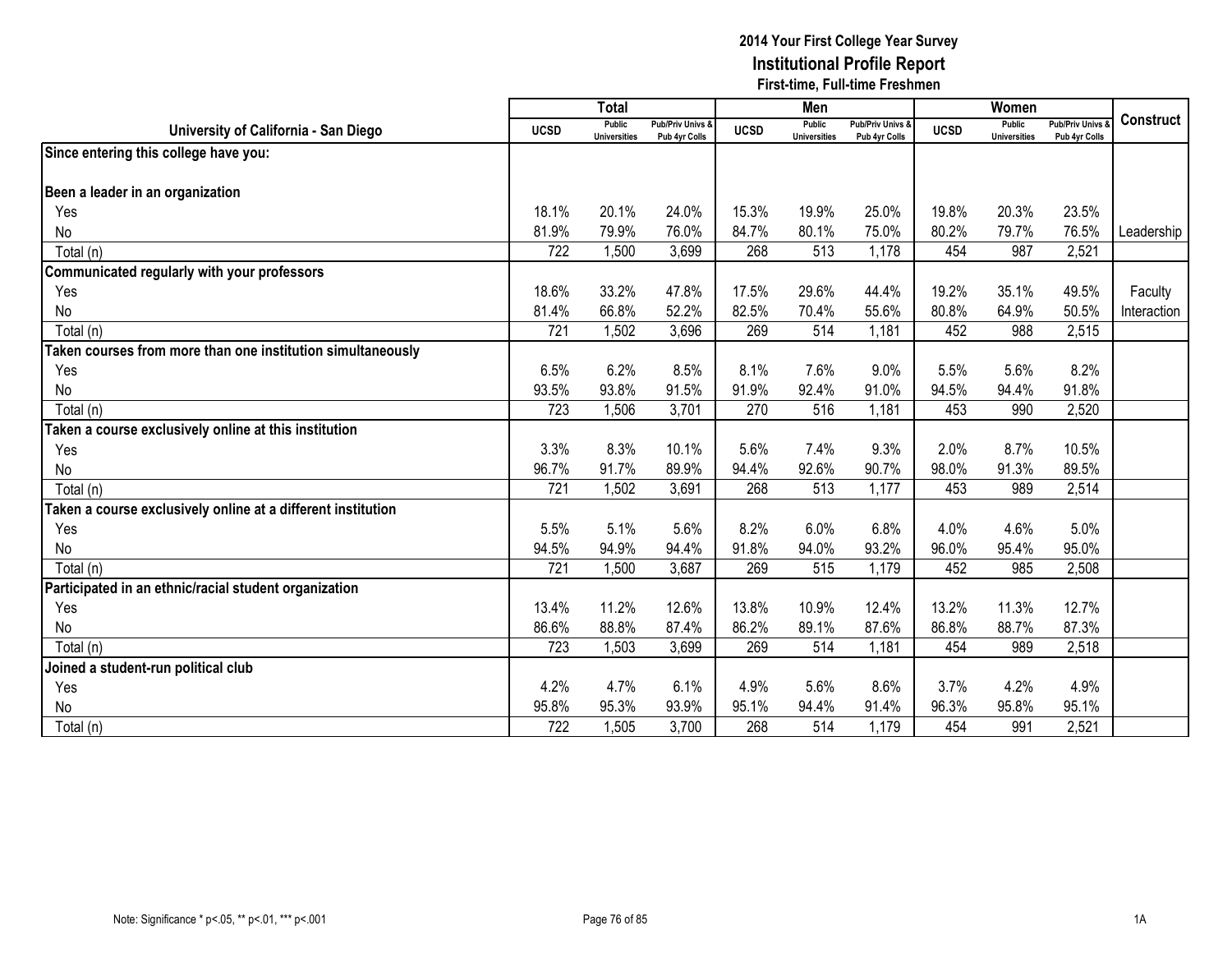|                                                                    |             | <b>Total</b>                         |                                   |             | Men                                  |                                   |             | Women                                |                                        |                  |
|--------------------------------------------------------------------|-------------|--------------------------------------|-----------------------------------|-------------|--------------------------------------|-----------------------------------|-------------|--------------------------------------|----------------------------------------|------------------|
| University of California - San Diego                               | <b>UCSD</b> | <b>Public</b><br><b>Universities</b> | Pub/Priv Univs &<br>Pub 4yr Colls | <b>UCSD</b> | <b>Public</b><br><b>Universities</b> | Pub/Priv Univs &<br>Pub 4yr Colls | <b>UCSD</b> | <b>Public</b><br><b>Universities</b> | <b>Pub/Priv Univs</b><br>Pub 4yr Colls | <b>Construct</b> |
| Since entering this college have you:                              |             |                                      |                                   |             |                                      |                                   |             |                                      |                                        |                  |
|                                                                    |             |                                      |                                   |             |                                      |                                   |             |                                      |                                        |                  |
| Been a leader in an organization                                   |             |                                      |                                   |             |                                      |                                   |             |                                      |                                        |                  |
| Yes                                                                | 18.1%       | 20.1%                                | 24.0%                             | 15.3%       | 19.9%                                | 25.0%                             | 19.8%       | 20.3%                                | 23.5%                                  |                  |
| No                                                                 | 81.9%       | 79.9%                                | 76.0%                             | 84.7%       | 80.1%                                | 75.0%                             | 80.2%       | 79.7%                                | 76.5%                                  | Leadership       |
| Total (n)                                                          | 722         | 1,500                                | 3,699                             | 268         | 513                                  | 1,178                             | 454         | 987                                  | 2,521                                  |                  |
| Communicated regularly with your professors                        |             |                                      |                                   |             |                                      |                                   |             |                                      |                                        |                  |
| Yes                                                                | 18.6%       | 33.2%                                | 47.8%                             | 17.5%       | 29.6%                                | 44.4%                             | 19.2%       | 35.1%                                | 49.5%                                  | Faculty          |
| No                                                                 | 81.4%       | 66.8%                                | 52.2%                             | 82.5%       | 70.4%                                | 55.6%                             | 80.8%       | 64.9%                                | 50.5%                                  | Interaction      |
| Total (n)                                                          | 721         | 1,502                                | 3,696                             | 269         | 514                                  | 1,181                             | 452         | 988                                  | 2,515                                  |                  |
| <b>Taken courses from more than one institution simultaneously</b> |             |                                      |                                   |             |                                      |                                   |             |                                      |                                        |                  |
| Yes                                                                | 6.5%        | 6.2%                                 | 8.5%                              | 8.1%        | 7.6%                                 | 9.0%                              | 5.5%        | 5.6%                                 | 8.2%                                   |                  |
| No                                                                 | 93.5%       | 93.8%                                | 91.5%                             | 91.9%       | 92.4%                                | 91.0%                             | 94.5%       | 94.4%                                | 91.8%                                  |                  |
| Total (n)                                                          | 723         | 1,506                                | 3,701                             | 270         | 516                                  | 1,181                             | 453         | 990                                  | 2,520                                  |                  |
| Taken a course exclusively online at this institution              |             |                                      |                                   |             |                                      |                                   |             |                                      |                                        |                  |
| Yes                                                                | 3.3%        | 8.3%                                 | 10.1%                             | 5.6%        | 7.4%                                 | 9.3%                              | 2.0%        | 8.7%                                 | 10.5%                                  |                  |
| No                                                                 | 96.7%       | 91.7%                                | 89.9%                             | 94.4%       | 92.6%                                | 90.7%                             | 98.0%       | 91.3%                                | 89.5%                                  |                  |
| Total (n)                                                          | 721         | 1,502                                | 3,691                             | 268         | 513                                  | 1,177                             | 453         | 989                                  | 2,514                                  |                  |
| Taken a course exclusively online at a different institution       |             |                                      |                                   |             |                                      |                                   |             |                                      |                                        |                  |
| Yes                                                                | 5.5%        | 5.1%                                 | 5.6%                              | 8.2%        | 6.0%                                 | 6.8%                              | 4.0%        | 4.6%                                 | 5.0%                                   |                  |
| No                                                                 | 94.5%       | 94.9%                                | 94.4%                             | 91.8%       | 94.0%                                | 93.2%                             | 96.0%       | 95.4%                                | 95.0%                                  |                  |
| Total (n)                                                          | 721         | 1,500                                | 3,687                             | 269         | 515                                  | 1,179                             | 452         | 985                                  | 2,508                                  |                  |
| Participated in an ethnic/racial student organization              |             |                                      |                                   |             |                                      |                                   |             |                                      |                                        |                  |
| Yes                                                                | 13.4%       | 11.2%                                | 12.6%                             | 13.8%       | 10.9%                                | 12.4%                             | 13.2%       | 11.3%                                | 12.7%                                  |                  |
| No                                                                 | 86.6%       | 88.8%                                | 87.4%                             | 86.2%       | 89.1%                                | 87.6%                             | 86.8%       | 88.7%                                | 87.3%                                  |                  |
| Total (n)                                                          | 723         | 1,503                                | 3,699                             | 269         | 514                                  | 1,181                             | 454         | 989                                  | 2,518                                  |                  |
| Joined a student-run political club                                |             |                                      |                                   |             |                                      |                                   |             |                                      |                                        |                  |
| Yes                                                                | 4.2%        | 4.7%                                 | 6.1%                              | 4.9%        | 5.6%                                 | 8.6%                              | 3.7%        | 4.2%                                 | 4.9%                                   |                  |
| No                                                                 | 95.8%       | 95.3%                                | 93.9%                             | 95.1%       | 94.4%                                | 91.4%                             | 96.3%       | 95.8%                                | 95.1%                                  |                  |
| Total (n)                                                          | 722         | 1,505                                | 3,700                             | 268         | 514                                  | 1,179                             | 454         | 991                                  | 2,521                                  |                  |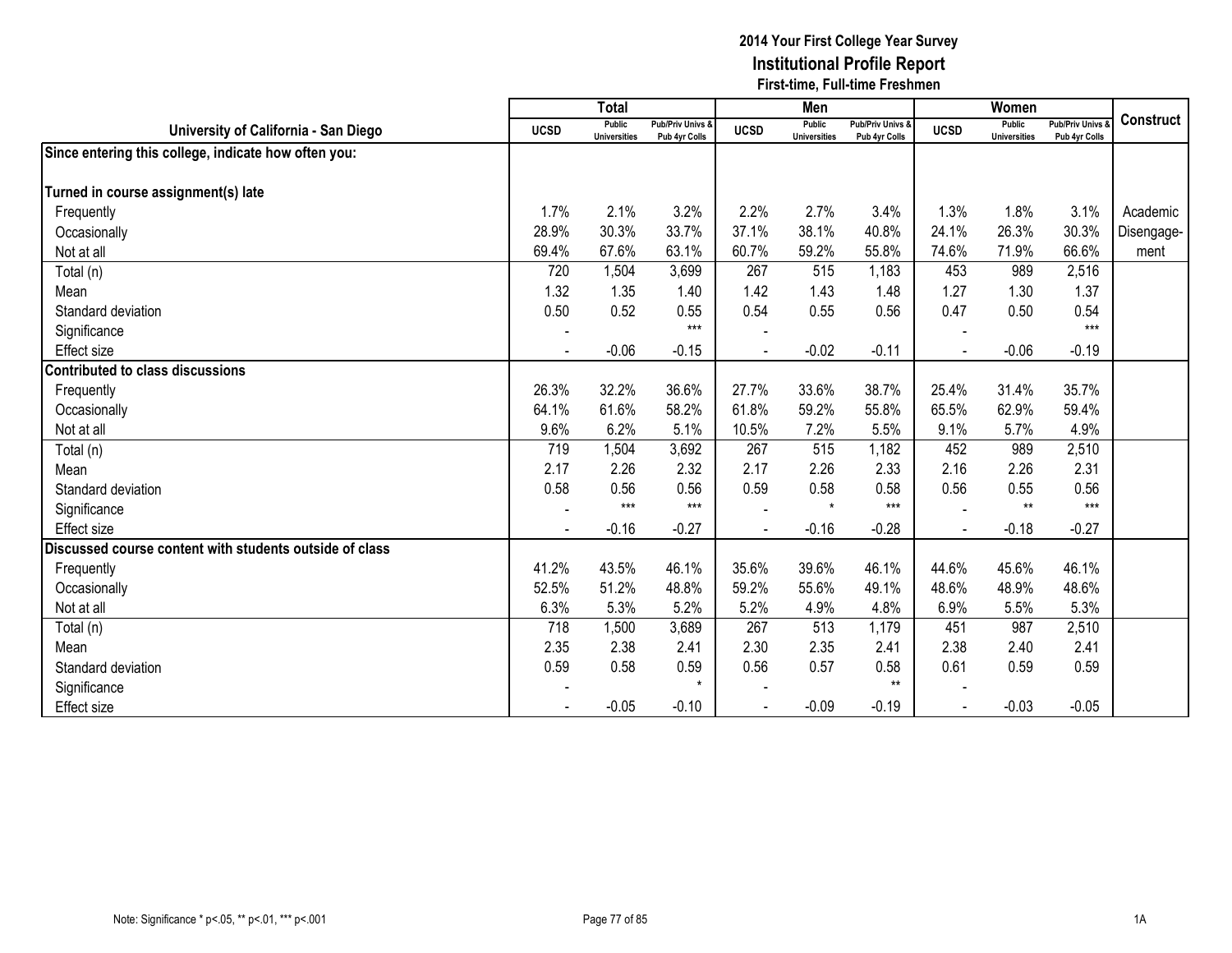|                                                         |                | <b>Total</b>                  |                                   |             | Men                           |                                              |             | Women                         |                                        |            |
|---------------------------------------------------------|----------------|-------------------------------|-----------------------------------|-------------|-------------------------------|----------------------------------------------|-------------|-------------------------------|----------------------------------------|------------|
| University of California - San Diego                    | <b>UCSD</b>    | Public<br><b>Universities</b> | Pub/Priv Univs &<br>Pub 4yr Colls | <b>UCSD</b> | Public<br><b>Universities</b> | <b>Pub/Priv Univs &amp;</b><br>Pub 4yr Colls | <b>UCSD</b> | Public<br><b>Universities</b> | <b>Pub/Priv Univs</b><br>Pub 4yr Colls | Construct  |
| Since entering this college, indicate how often you:    |                |                               |                                   |             |                               |                                              |             |                               |                                        |            |
|                                                         |                |                               |                                   |             |                               |                                              |             |                               |                                        |            |
| Turned in course assignment(s) late                     |                |                               |                                   |             |                               |                                              |             |                               |                                        |            |
| Frequently                                              | 1.7%           | 2.1%                          | 3.2%                              | 2.2%        | 2.7%                          | 3.4%                                         | 1.3%        | 1.8%                          | 3.1%                                   | Academic   |
| Occasionally                                            | 28.9%          | 30.3%                         | 33.7%                             | 37.1%       | 38.1%                         | 40.8%                                        | 24.1%       | 26.3%                         | 30.3%                                  | Disengage- |
| Not at all                                              | 69.4%          | 67.6%                         | 63.1%                             | 60.7%       | 59.2%                         | 55.8%                                        | 74.6%       | 71.9%                         | 66.6%                                  | ment       |
| Total (n)                                               | 720            | 1,504                         | 3,699                             | 267         | 515                           | 1,183                                        | 453         | 989                           | 2,516                                  |            |
| Mean                                                    | 1.32           | 1.35                          | 1.40                              | 1.42        | 1.43                          | 1.48                                         | 1.27        | 1.30                          | 1.37                                   |            |
| Standard deviation                                      | 0.50           | 0.52                          | 0.55                              | 0.54        | 0.55                          | 0.56                                         | 0.47        | 0.50                          | 0.54                                   |            |
| Significance                                            |                |                               | $***$                             |             |                               |                                              |             |                               | $***$                                  |            |
| Effect size                                             | $\blacksquare$ | $-0.06$                       | $-0.15$                           |             | $-0.02$                       | $-0.11$                                      |             | $-0.06$                       | $-0.19$                                |            |
| Contributed to class discussions                        |                |                               |                                   |             |                               |                                              |             |                               |                                        |            |
| Frequently                                              | 26.3%          | 32.2%                         | 36.6%                             | 27.7%       | 33.6%                         | 38.7%                                        | 25.4%       | 31.4%                         | 35.7%                                  |            |
| Occasionally                                            | 64.1%          | 61.6%                         | 58.2%                             | 61.8%       | 59.2%                         | 55.8%                                        | 65.5%       | 62.9%                         | 59.4%                                  |            |
| Not at all                                              | 9.6%           | 6.2%                          | 5.1%                              | 10.5%       | 7.2%                          | 5.5%                                         | 9.1%        | 5.7%                          | 4.9%                                   |            |
| Total (n)                                               | 719            | 1,504                         | 3,692                             | 267         | 515                           | 1,182                                        | 452         | 989                           | 2,510                                  |            |
| Mean                                                    | 2.17           | 2.26                          | 2.32                              | 2.17        | 2.26                          | 2.33                                         | 2.16        | 2.26                          | 2.31                                   |            |
| Standard deviation                                      | 0.58           | 0.56                          | 0.56                              | 0.59        | 0.58                          | 0.58                                         | 0.56        | 0.55                          | 0.56                                   |            |
| Significance                                            |                | $***$                         | $***$                             |             | $\star$                       | $***$                                        |             | $**$                          | $***$                                  |            |
| Effect size                                             |                | $-0.16$                       | $-0.27$                           |             | $-0.16$                       | $-0.28$                                      |             | $-0.18$                       | $-0.27$                                |            |
| Discussed course content with students outside of class |                |                               |                                   |             |                               |                                              |             |                               |                                        |            |
| Frequently                                              | 41.2%          | 43.5%                         | 46.1%                             | 35.6%       | 39.6%                         | 46.1%                                        | 44.6%       | 45.6%                         | 46.1%                                  |            |
| Occasionally                                            | 52.5%          | 51.2%                         | 48.8%                             | 59.2%       | 55.6%                         | 49.1%                                        | 48.6%       | 48.9%                         | 48.6%                                  |            |
| Not at all                                              | 6.3%           | 5.3%                          | 5.2%                              | 5.2%        | 4.9%                          | 4.8%                                         | 6.9%        | 5.5%                          | 5.3%                                   |            |
| Total (n)                                               | 718            | 1,500                         | 3,689                             | 267         | 513                           | 1,179                                        | 451         | 987                           | 2,510                                  |            |
| Mean                                                    | 2.35           | 2.38                          | 2.41                              | 2.30        | 2.35                          | 2.41                                         | 2.38        | 2.40                          | 2.41                                   |            |
| Standard deviation                                      | 0.59           | 0.58                          | 0.59                              | 0.56        | 0.57                          | 0.58                                         | 0.61        | 0.59                          | 0.59                                   |            |
| Significance                                            |                |                               | $\star$                           |             |                               | $***$                                        |             |                               |                                        |            |
| <b>Effect size</b>                                      |                | $-0.05$                       | $-0.10$                           |             | $-0.09$                       | $-0.19$                                      |             | $-0.03$                       | $-0.05$                                |            |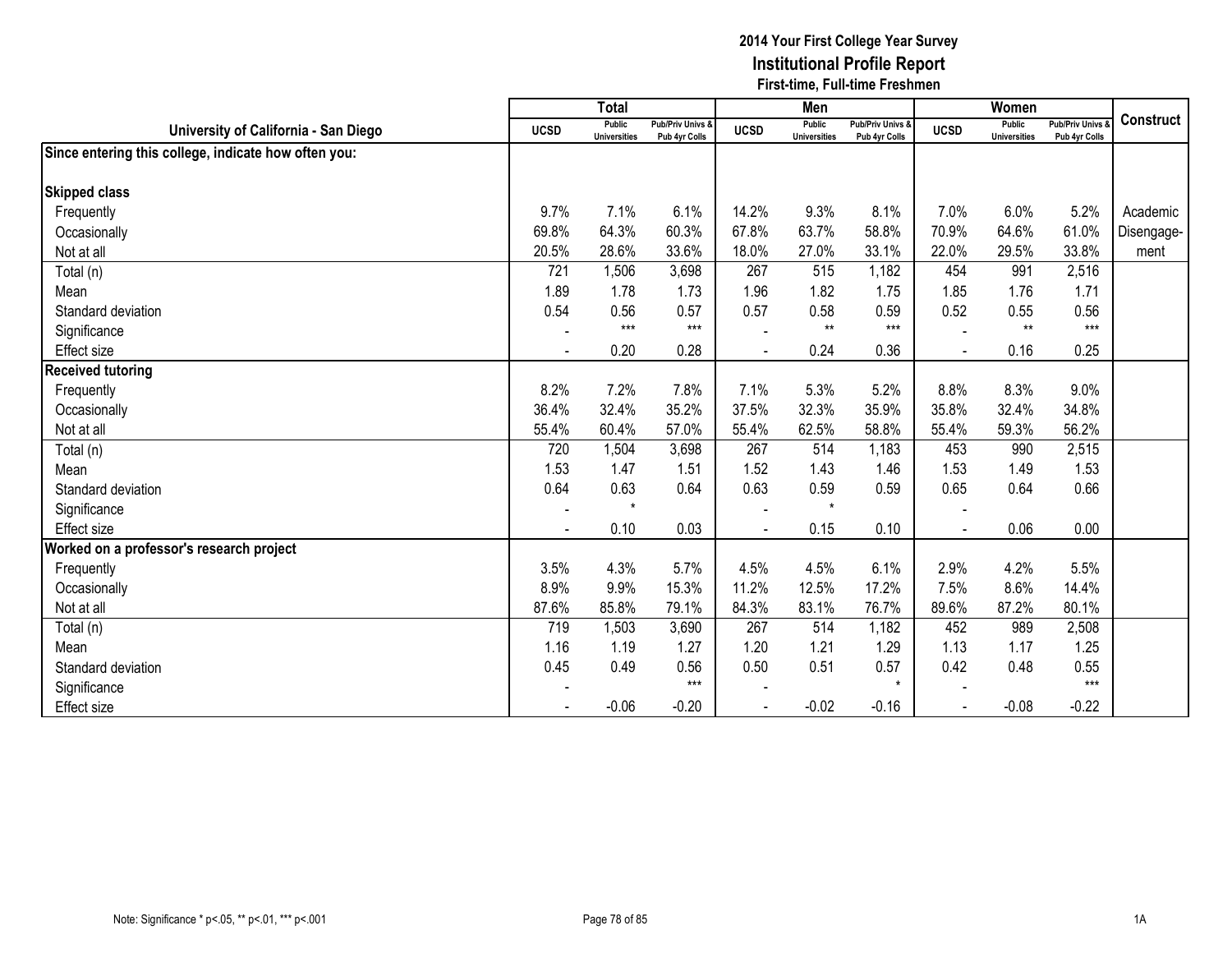|                                                      |                          | <b>Total</b>                  |                                   |                | Men                                  |                                   |                | Women                         |                                        |            |
|------------------------------------------------------|--------------------------|-------------------------------|-----------------------------------|----------------|--------------------------------------|-----------------------------------|----------------|-------------------------------|----------------------------------------|------------|
| University of California - San Diego                 | <b>UCSD</b>              | Public<br><b>Universities</b> | Pub/Priv Univs &<br>Pub 4yr Colls | <b>UCSD</b>    | <b>Public</b><br><b>Universities</b> | Pub/Priv Univs &<br>Pub 4yr Colls | <b>UCSD</b>    | Public<br><b>Universities</b> | <b>Pub/Priv Univs</b><br>Pub 4yr Colls | Construct  |
| Since entering this college, indicate how often you: |                          |                               |                                   |                |                                      |                                   |                |                               |                                        |            |
| <b>Skipped class</b>                                 |                          |                               |                                   |                |                                      |                                   |                |                               |                                        |            |
| Frequently                                           | 9.7%                     | 7.1%                          | 6.1%                              | 14.2%          | 9.3%                                 | 8.1%                              | 7.0%           | 6.0%                          | 5.2%                                   | Academic   |
| Occasionally                                         | 69.8%                    | 64.3%                         | 60.3%                             | 67.8%          | 63.7%                                | 58.8%                             | 70.9%          | 64.6%                         | 61.0%                                  | Disengage- |
| Not at all                                           | 20.5%                    | 28.6%                         | 33.6%                             | 18.0%          | 27.0%                                | 33.1%                             | 22.0%          | 29.5%                         | 33.8%                                  | ment       |
| Total (n)                                            | 721                      | 1,506                         | 3,698                             | 267            | 515                                  | 1,182                             | 454            | 991                           | 2,516                                  |            |
| Mean                                                 | 1.89                     | 1.78                          | 1.73                              | 1.96           | 1.82                                 | 1.75                              | 1.85           | 1.76                          | 1.71                                   |            |
| Standard deviation                                   | 0.54                     | 0.56                          | 0.57                              | 0.57           | 0.58                                 | 0.59                              | 0.52           | 0.55                          | 0.56                                   |            |
| Significance                                         | $\overline{\phantom{a}}$ | $***$                         | $***$                             |                | $**$                                 | $***$                             |                | $**$                          | $***$                                  |            |
| Effect size                                          | $\blacksquare$           | 0.20                          | 0.28                              |                | 0.24                                 | 0.36                              |                | 0.16                          | 0.25                                   |            |
| <b>Received tutoring</b>                             |                          |                               |                                   |                |                                      |                                   |                |                               |                                        |            |
| Frequently                                           | 8.2%                     | 7.2%                          | 7.8%                              | 7.1%           | 5.3%                                 | 5.2%                              | 8.8%           | 8.3%                          | 9.0%                                   |            |
| Occasionally                                         | 36.4%                    | 32.4%                         | 35.2%                             | 37.5%          | 32.3%                                | 35.9%                             | 35.8%          | 32.4%                         | 34.8%                                  |            |
| Not at all                                           | 55.4%                    | 60.4%                         | 57.0%                             | 55.4%          | 62.5%                                | 58.8%                             | 55.4%          | 59.3%                         | 56.2%                                  |            |
| Total (n)                                            | 720                      | 1,504                         | 3,698                             | 267            | 514                                  | 1,183                             | 453            | 990                           | 2,515                                  |            |
| Mean                                                 | 1.53                     | 1.47                          | 1.51                              | 1.52           | 1.43                                 | 1.46                              | 1.53           | 1.49                          | 1.53                                   |            |
| Standard deviation                                   | 0.64                     | 0.63                          | 0.64                              | 0.63           | 0.59                                 | 0.59                              | 0.65           | 0.64                          | 0.66                                   |            |
| Significance                                         | $\overline{\phantom{a}}$ | $\star$                       |                                   |                | $\star$                              |                                   |                |                               |                                        |            |
| Effect size                                          | $\blacksquare$           | 0.10                          | 0.03                              | $\blacksquare$ | 0.15                                 | 0.10                              | $\blacksquare$ | 0.06                          | 0.00                                   |            |
| Worked on a professor's research project             |                          |                               |                                   |                |                                      |                                   |                |                               |                                        |            |
| Frequently                                           | 3.5%                     | 4.3%                          | 5.7%                              | 4.5%           | 4.5%                                 | 6.1%                              | 2.9%           | 4.2%                          | 5.5%                                   |            |
| Occasionally                                         | 8.9%                     | 9.9%                          | 15.3%                             | 11.2%          | 12.5%                                | 17.2%                             | 7.5%           | 8.6%                          | 14.4%                                  |            |
| Not at all                                           | 87.6%                    | 85.8%                         | 79.1%                             | 84.3%          | 83.1%                                | 76.7%                             | 89.6%          | 87.2%                         | 80.1%                                  |            |
| Total (n)                                            | 719                      | 1,503                         | 3,690                             | 267            | 514                                  | 1,182                             | 452            | 989                           | 2,508                                  |            |
| Mean                                                 | 1.16                     | 1.19                          | 1.27                              | 1.20           | 1.21                                 | 1.29                              | 1.13           | 1.17                          | 1.25                                   |            |
| Standard deviation                                   | 0.45                     | 0.49                          | 0.56                              | 0.50           | 0.51                                 | 0.57                              | 0.42           | 0.48                          | 0.55                                   |            |
| Significance                                         |                          |                               | $***$                             |                |                                      | $\star$                           |                |                               | $***$                                  |            |
| <b>Effect size</b>                                   |                          | $-0.06$                       | $-0.20$                           | $\blacksquare$ | $-0.02$                              | $-0.16$                           |                | $-0.08$                       | $-0.22$                                |            |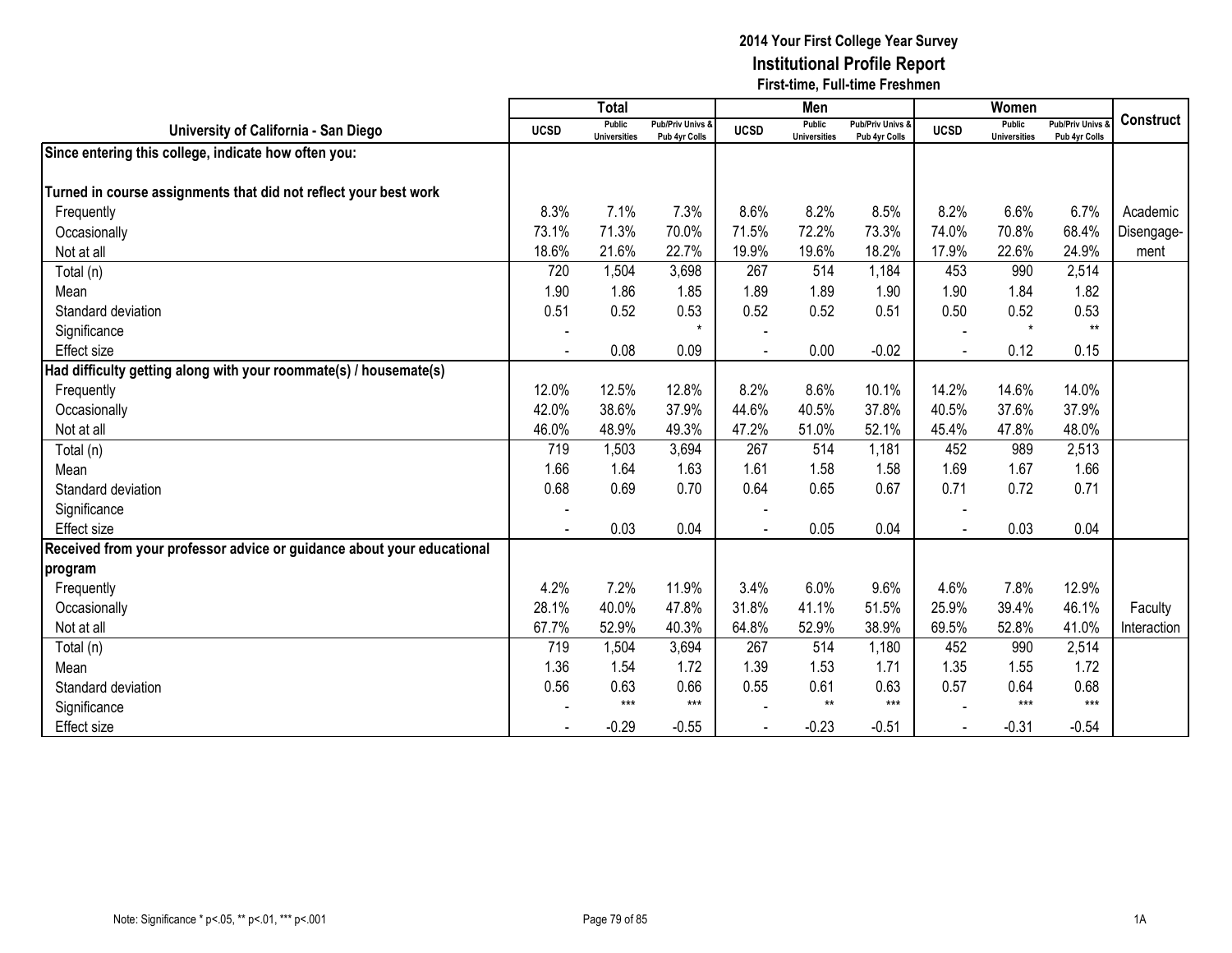|                                                                        |             | <b>Total</b>                  |                                   |             | Men                                  |                                              |             | Women                         |                                        |                  |
|------------------------------------------------------------------------|-------------|-------------------------------|-----------------------------------|-------------|--------------------------------------|----------------------------------------------|-------------|-------------------------------|----------------------------------------|------------------|
| University of California - San Diego                                   | <b>UCSD</b> | Public<br><b>Universities</b> | Pub/Priv Univs &<br>Pub 4yr Colls | <b>UCSD</b> | <b>Public</b><br><b>Universities</b> | <b>Pub/Priv Univs &amp;</b><br>Pub 4yr Colls | <b>UCSD</b> | Public<br><b>Universities</b> | <b>Pub/Priv Univs</b><br>Pub 4yr Colls | <b>Construct</b> |
| Since entering this college, indicate how often you:                   |             |                               |                                   |             |                                      |                                              |             |                               |                                        |                  |
|                                                                        |             |                               |                                   |             |                                      |                                              |             |                               |                                        |                  |
| Turned in course assignments that did not reflect your best work       |             |                               |                                   |             |                                      |                                              |             |                               |                                        |                  |
| Frequently                                                             | 8.3%        | 7.1%                          | 7.3%                              | 8.6%        | 8.2%                                 | 8.5%                                         | 8.2%        | 6.6%                          | 6.7%                                   | Academic         |
| Occasionally                                                           | 73.1%       | 71.3%                         | 70.0%                             | 71.5%       | 72.2%                                | 73.3%                                        | 74.0%       | 70.8%                         | 68.4%                                  | Disengage-       |
| Not at all                                                             | 18.6%       | 21.6%                         | 22.7%                             | 19.9%       | 19.6%                                | 18.2%                                        | 17.9%       | 22.6%                         | 24.9%                                  | ment             |
| Total (n)                                                              | 720         | 1,504                         | 3,698                             | 267         | 514                                  | 1,184                                        | 453         | 990                           | 2,514                                  |                  |
| Mean                                                                   | 1.90        | 1.86                          | 1.85                              | 1.89        | 1.89                                 | 1.90                                         | 1.90        | 1.84                          | 1.82                                   |                  |
| Standard deviation                                                     | 0.51        | 0.52                          | 0.53                              | 0.52        | 0.52                                 | 0.51                                         | 0.50        | 0.52                          | 0.53                                   |                  |
| Significance                                                           |             |                               | $\star$                           |             |                                      |                                              |             | $\star$                       | $**$                                   |                  |
| <b>Effect size</b>                                                     |             | 0.08                          | 0.09                              |             | 0.00                                 | $-0.02$                                      |             | 0.12                          | 0.15                                   |                  |
| Had difficulty getting along with your roommate(s) / housemate(s)      |             |                               |                                   |             |                                      |                                              |             |                               |                                        |                  |
| Frequently                                                             | 12.0%       | 12.5%                         | 12.8%                             | 8.2%        | 8.6%                                 | 10.1%                                        | 14.2%       | 14.6%                         | 14.0%                                  |                  |
| Occasionally                                                           | 42.0%       | 38.6%                         | 37.9%                             | 44.6%       | 40.5%                                | 37.8%                                        | 40.5%       | 37.6%                         | 37.9%                                  |                  |
| Not at all                                                             | 46.0%       | 48.9%                         | 49.3%                             | 47.2%       | 51.0%                                | 52.1%                                        | 45.4%       | 47.8%                         | 48.0%                                  |                  |
| Total (n)                                                              | 719         | 1,503                         | 3,694                             | 267         | 514                                  | 1,181                                        | 452         | 989                           | 2,513                                  |                  |
| Mean                                                                   | 1.66        | 1.64                          | 1.63                              | 1.61        | 1.58                                 | 1.58                                         | 1.69        | 1.67                          | 1.66                                   |                  |
| Standard deviation                                                     | 0.68        | 0.69                          | 0.70                              | 0.64        | 0.65                                 | 0.67                                         | 0.71        | 0.72                          | 0.71                                   |                  |
| Significance                                                           | $\sim$      |                               |                                   |             |                                      |                                              |             |                               |                                        |                  |
| <b>Effect</b> size                                                     |             | 0.03                          | 0.04                              |             | 0.05                                 | 0.04                                         |             | 0.03                          | 0.04                                   |                  |
| Received from your professor advice or guidance about your educational |             |                               |                                   |             |                                      |                                              |             |                               |                                        |                  |
| program                                                                |             |                               |                                   |             |                                      |                                              |             |                               |                                        |                  |
| Frequently                                                             | 4.2%        | 7.2%                          | 11.9%                             | 3.4%        | 6.0%                                 | 9.6%                                         | 4.6%        | 7.8%                          | 12.9%                                  |                  |
| Occasionally                                                           | 28.1%       | 40.0%                         | 47.8%                             | 31.8%       | 41.1%                                | 51.5%                                        | 25.9%       | 39.4%                         | 46.1%                                  | Faculty          |
| Not at all                                                             | 67.7%       | 52.9%                         | 40.3%                             | 64.8%       | 52.9%                                | 38.9%                                        | 69.5%       | 52.8%                         | 41.0%                                  | Interaction      |
| Total (n)                                                              | 719         | 1,504                         | 3,694                             | 267         | 514                                  | 1,180                                        | 452         | 990                           | 2,514                                  |                  |
| Mean                                                                   | 1.36        | 1.54                          | 1.72                              | 1.39        | 1.53                                 | 1.71                                         | 1.35        | 1.55                          | 1.72                                   |                  |
| Standard deviation                                                     | 0.56        | 0.63                          | 0.66                              | 0.55        | 0.61                                 | 0.63                                         | 0.57        | 0.64                          | 0.68                                   |                  |
| Significance                                                           |             | $***$                         | $***$                             |             | $**$                                 | $***$                                        |             | $***$                         | $***$                                  |                  |
| <b>Effect size</b>                                                     |             | $-0.29$                       | $-0.55$                           |             | $-0.23$                              | $-0.51$                                      |             | $-0.31$                       | $-0.54$                                |                  |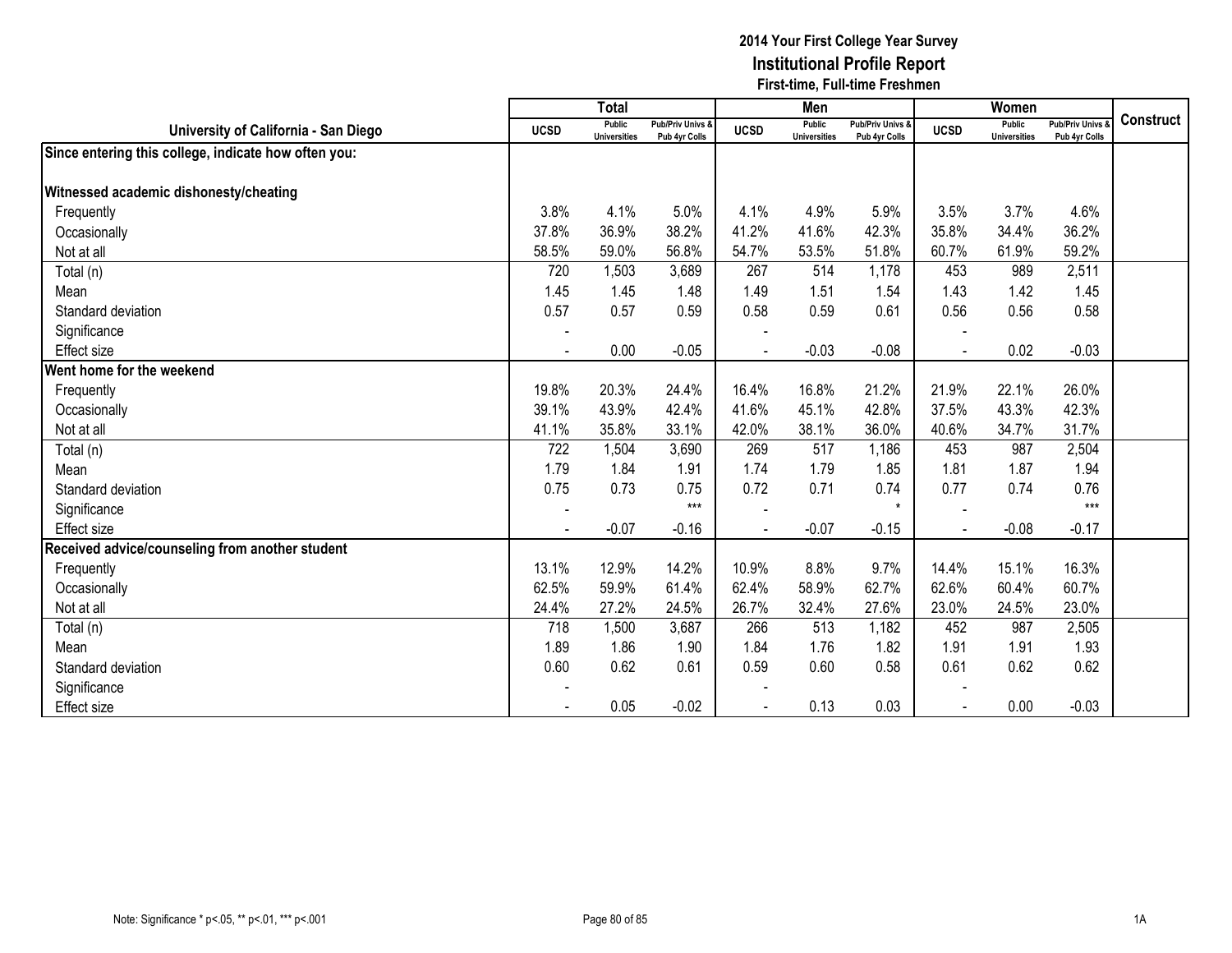|                                                      |                | $\overline{T}$ otal           |                                   |                | Men                                  |                                   |             | Women                         |                                        |                  |
|------------------------------------------------------|----------------|-------------------------------|-----------------------------------|----------------|--------------------------------------|-----------------------------------|-------------|-------------------------------|----------------------------------------|------------------|
| University of California - San Diego                 | <b>UCSD</b>    | Public<br><b>Universities</b> | Pub/Priv Univs &<br>Pub 4yr Colls | <b>UCSD</b>    | <b>Public</b><br><b>Universities</b> | Pub/Priv Univs &<br>Pub 4yr Colls | <b>UCSD</b> | Public<br><b>Universities</b> | <b>Pub/Priv Univs</b><br>Pub 4yr Colls | <b>Construct</b> |
| Since entering this college, indicate how often you: |                |                               |                                   |                |                                      |                                   |             |                               |                                        |                  |
| Witnessed academic dishonesty/cheating               |                |                               |                                   |                |                                      |                                   |             |                               |                                        |                  |
| Frequently                                           | 3.8%           | 4.1%                          | 5.0%                              | 4.1%           | 4.9%                                 | 5.9%                              | 3.5%        | 3.7%                          | 4.6%                                   |                  |
| Occasionally                                         | 37.8%          | 36.9%                         | 38.2%                             | 41.2%          | 41.6%                                | 42.3%                             | 35.8%       | 34.4%                         | 36.2%                                  |                  |
| Not at all                                           | 58.5%          | 59.0%                         | 56.8%                             | 54.7%          | 53.5%                                | 51.8%                             | 60.7%       | 61.9%                         | 59.2%                                  |                  |
| Total (n)                                            | 720            | 1,503                         | 3,689                             | 267            | 514                                  | 1,178                             | 453         | 989                           | 2,511                                  |                  |
| Mean                                                 | 1.45           | 1.45                          | 1.48                              | 1.49           | 1.51                                 | 1.54                              | 1.43        | 1.42                          | 1.45                                   |                  |
| Standard deviation                                   | 0.57           | 0.57                          | 0.59                              | 0.58           | 0.59                                 | 0.61                              | 0.56        | 0.56                          | 0.58                                   |                  |
| Significance                                         |                |                               |                                   |                |                                      |                                   |             |                               |                                        |                  |
| Effect size                                          | $\blacksquare$ | 0.00                          | $-0.05$                           | $\blacksquare$ | $-0.03$                              | $-0.08$                           | $\sim$      | 0.02                          | $-0.03$                                |                  |
| Went home for the weekend                            |                |                               |                                   |                |                                      |                                   |             |                               |                                        |                  |
| Frequently                                           | 19.8%          | 20.3%                         | 24.4%                             | 16.4%          | 16.8%                                | 21.2%                             | 21.9%       | 22.1%                         | 26.0%                                  |                  |
| Occasionally                                         | 39.1%          | 43.9%                         | 42.4%                             | 41.6%          | 45.1%                                | 42.8%                             | 37.5%       | 43.3%                         | 42.3%                                  |                  |
| Not at all                                           | 41.1%          | 35.8%                         | 33.1%                             | 42.0%          | 38.1%                                | 36.0%                             | 40.6%       | 34.7%                         | 31.7%                                  |                  |
| Total (n)                                            | 722            | 1,504                         | 3,690                             | 269            | 517                                  | 1,186                             | 453         | 987                           | 2,504                                  |                  |
| Mean                                                 | 1.79           | 1.84                          | 1.91                              | 1.74           | 1.79                                 | 1.85                              | 1.81        | 1.87                          | 1.94                                   |                  |
| Standard deviation                                   | 0.75           | 0.73                          | 0.75                              | 0.72           | 0.71                                 | 0.74                              | 0.77        | 0.74                          | 0.76                                   |                  |
| Significance                                         | $\blacksquare$ |                               | $***$                             |                |                                      | $\star$                           |             |                               | $***$                                  |                  |
| Effect size                                          |                | $-0.07$                       | $-0.16$                           |                | $-0.07$                              | $-0.15$                           |             | $-0.08$                       | $-0.17$                                |                  |
| Received advice/counseling from another student      |                |                               |                                   |                |                                      |                                   |             |                               |                                        |                  |
| Frequently                                           | 13.1%          | 12.9%                         | 14.2%                             | 10.9%          | 8.8%                                 | 9.7%                              | 14.4%       | 15.1%                         | 16.3%                                  |                  |
| Occasionally                                         | 62.5%          | 59.9%                         | 61.4%                             | 62.4%          | 58.9%                                | 62.7%                             | 62.6%       | 60.4%                         | 60.7%                                  |                  |
| Not at all                                           | 24.4%          | 27.2%                         | 24.5%                             | 26.7%          | 32.4%                                | 27.6%                             | 23.0%       | 24.5%                         | 23.0%                                  |                  |
| Total (n)                                            | 718            | 1,500                         | 3,687                             | 266            | 513                                  | 1,182                             | 452         | 987                           | 2,505                                  |                  |
| Mean                                                 | 1.89           | 1.86                          | 1.90                              | 1.84           | 1.76                                 | 1.82                              | 1.91        | 1.91                          | 1.93                                   |                  |
| Standard deviation                                   | 0.60           | 0.62                          | 0.61                              | 0.59           | 0.60                                 | 0.58                              | 0.61        | 0.62                          | 0.62                                   |                  |
| Significance                                         |                |                               |                                   |                |                                      |                                   |             |                               |                                        |                  |
| <b>Effect size</b>                                   |                | 0.05                          | $-0.02$                           |                | 0.13                                 | 0.03                              |             | 0.00                          | $-0.03$                                |                  |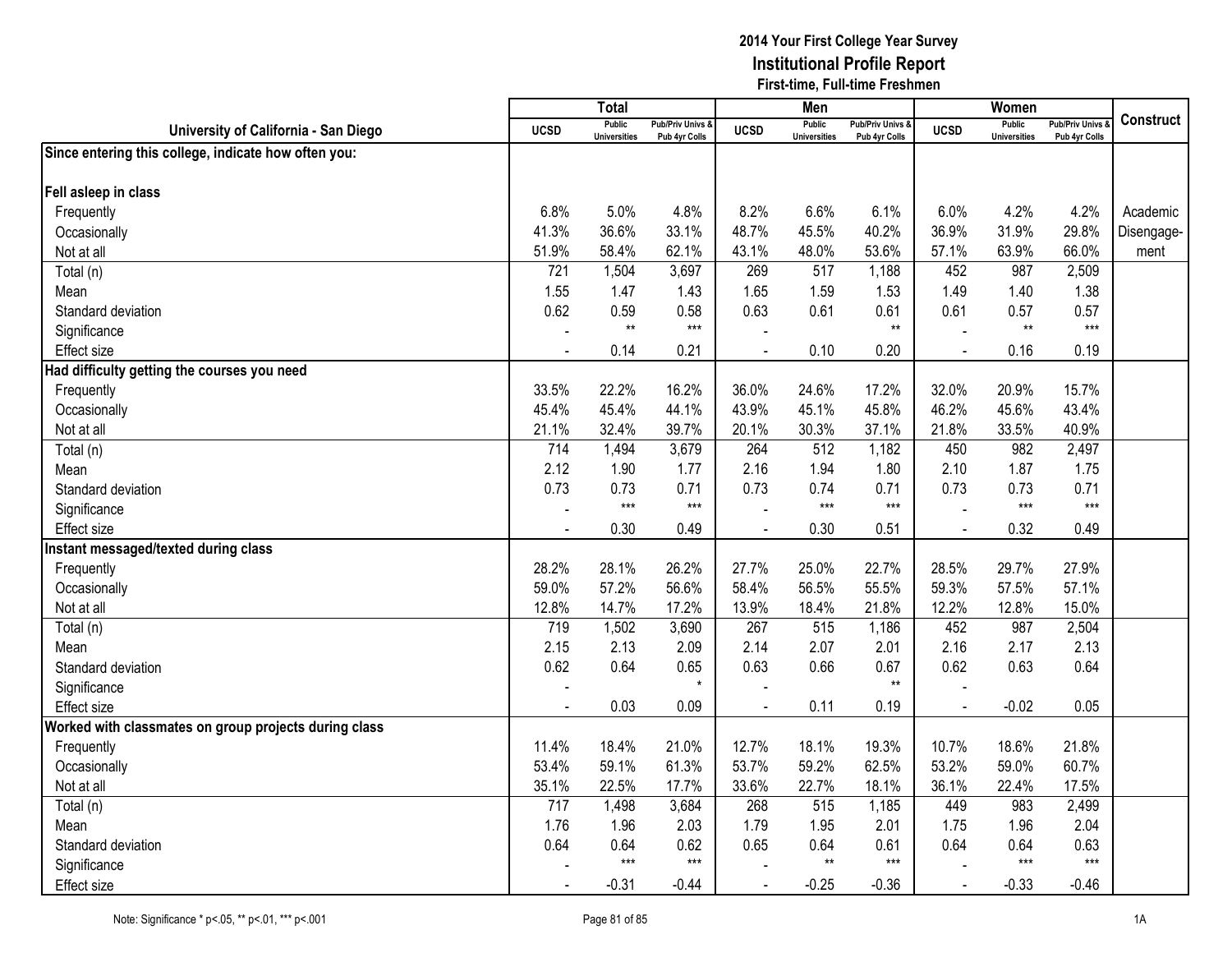|                                                       |                | <b>Total</b>                         |                                              |             | Men                                  |                                   |                | Women                                |                                        |                  |
|-------------------------------------------------------|----------------|--------------------------------------|----------------------------------------------|-------------|--------------------------------------|-----------------------------------|----------------|--------------------------------------|----------------------------------------|------------------|
| University of California - San Diego                  | <b>UCSD</b>    | <b>Public</b><br><b>Universities</b> | <b>Pub/Priv Univs &amp;</b><br>Pub 4yr Colls | <b>UCSD</b> | <b>Public</b><br><b>Universities</b> | Pub/Priv Univs &<br>Pub 4yr Colls | <b>UCSD</b>    | <b>Public</b><br><b>Universities</b> | <b>Pub/Priv Univs</b><br>Pub 4yr Colls | <b>Construct</b> |
| Since entering this college, indicate how often you:  |                |                                      |                                              |             |                                      |                                   |                |                                      |                                        |                  |
|                                                       |                |                                      |                                              |             |                                      |                                   |                |                                      |                                        |                  |
| Fell asleep in class                                  |                |                                      |                                              |             |                                      |                                   |                |                                      |                                        |                  |
| Frequently                                            | 6.8%           | 5.0%                                 | 4.8%                                         | 8.2%        | 6.6%                                 | 6.1%                              | 6.0%           | 4.2%                                 | 4.2%                                   | Academic         |
| Occasionally                                          | 41.3%          | 36.6%                                | 33.1%                                        | 48.7%       | 45.5%                                | 40.2%                             | 36.9%          | 31.9%                                | 29.8%                                  | Disengage-       |
| Not at all                                            | 51.9%          | 58.4%                                | 62.1%                                        | 43.1%       | 48.0%                                | 53.6%                             | 57.1%          | 63.9%                                | 66.0%                                  | ment             |
| Total (n)                                             | 721            | 1,504                                | 3,697                                        | 269         | 517                                  | 1,188                             | 452            | 987                                  | 2,509                                  |                  |
| Mean                                                  | 1.55           | 1.47                                 | 1.43                                         | 1.65        | 1.59                                 | 1.53                              | 1.49           | 1.40                                 | 1.38                                   |                  |
| Standard deviation                                    | 0.62           | 0.59                                 | 0.58                                         | 0.63        | 0.61                                 | 0.61                              | 0.61           | 0.57                                 | 0.57                                   |                  |
| Significance                                          |                | $**$                                 | $***$                                        |             |                                      | $**$                              |                | $**$                                 | $***$                                  |                  |
| <b>Effect size</b>                                    |                | 0.14                                 | 0.21                                         |             | 0.10                                 | 0.20                              | $\sim$         | 0.16                                 | 0.19                                   |                  |
| Had difficulty getting the courses you need           |                |                                      |                                              |             |                                      |                                   |                |                                      |                                        |                  |
| Frequently                                            | 33.5%          | 22.2%                                | 16.2%                                        | 36.0%       | 24.6%                                | 17.2%                             | 32.0%          | 20.9%                                | 15.7%                                  |                  |
| Occasionally                                          | 45.4%          | 45.4%                                | 44.1%                                        | 43.9%       | 45.1%                                | 45.8%                             | 46.2%          | 45.6%                                | 43.4%                                  |                  |
| Not at all                                            | 21.1%          | 32.4%                                | 39.7%                                        | 20.1%       | 30.3%                                | 37.1%                             | 21.8%          | 33.5%                                | 40.9%                                  |                  |
| Total (n)                                             | 714            | 1,494                                | 3,679                                        | 264         | 512                                  | 1,182                             | 450            | 982                                  | 2,497                                  |                  |
| Mean                                                  | 2.12           | 1.90                                 | 1.77                                         | 2.16        | 1.94                                 | 1.80                              | 2.10           | 1.87                                 | 1.75                                   |                  |
| Standard deviation                                    | 0.73           | 0.73                                 | 0.71                                         | 0.73        | 0.74                                 | 0.71                              | 0.73           | 0.73                                 | 0.71                                   |                  |
| Significance                                          |                | $***$                                | $***$                                        |             | $***$                                | $\star\star\star$                 |                | $***$                                | $***$                                  |                  |
| <b>Effect size</b>                                    | $\blacksquare$ | 0.30                                 | 0.49                                         |             | 0.30                                 | 0.51                              | $\blacksquare$ | 0.32                                 | 0.49                                   |                  |
| Instant messaged/texted during class                  |                |                                      |                                              |             |                                      |                                   |                |                                      |                                        |                  |
| Frequently                                            | 28.2%          | 28.1%                                | 26.2%                                        | 27.7%       | 25.0%                                | 22.7%                             | 28.5%          | 29.7%                                | 27.9%                                  |                  |
| Occasionally                                          | 59.0%          | 57.2%                                | 56.6%                                        | 58.4%       | 56.5%                                | 55.5%                             | 59.3%          | 57.5%                                | 57.1%                                  |                  |
| Not at all                                            | 12.8%          | 14.7%                                | 17.2%                                        | 13.9%       | 18.4%                                | 21.8%                             | 12.2%          | 12.8%                                | 15.0%                                  |                  |
| $\overline{T}$ otal (n)                               | 719            | 1,502                                | 3,690                                        | 267         | 515                                  | 1,186                             | 452            | 987                                  | 2,504                                  |                  |
| Mean                                                  | 2.15           | 2.13                                 | 2.09                                         | 2.14        | 2.07                                 | 2.01                              | 2.16           | 2.17                                 | 2.13                                   |                  |
| Standard deviation                                    | 0.62           | 0.64                                 | 0.65                                         | 0.63        | 0.66                                 | 0.67                              | 0.62           | 0.63                                 | 0.64                                   |                  |
| Significance                                          |                |                                      | $\star$                                      |             |                                      | $***$                             |                |                                      |                                        |                  |
| <b>Effect size</b>                                    |                | 0.03                                 | 0.09                                         |             | 0.11                                 | 0.19                              |                | $-0.02$                              | 0.05                                   |                  |
| Worked with classmates on group projects during class |                |                                      |                                              |             |                                      |                                   |                |                                      |                                        |                  |
| Frequently                                            | 11.4%          | 18.4%                                | 21.0%                                        | 12.7%       | 18.1%                                | 19.3%                             | 10.7%          | 18.6%                                | 21.8%                                  |                  |
| Occasionally                                          | 53.4%          | 59.1%                                | 61.3%                                        | 53.7%       | 59.2%                                | 62.5%                             | 53.2%          | 59.0%                                | 60.7%                                  |                  |
| Not at all                                            | 35.1%          | 22.5%                                | 17.7%                                        | 33.6%       | 22.7%                                | 18.1%                             | 36.1%          | 22.4%                                | 17.5%                                  |                  |
| Total (n)                                             | 717            | 1,498                                | 3,684                                        | 268         | 515                                  | 1,185                             | 449            | 983                                  | 2,499                                  |                  |
| Mean                                                  | 1.76           | 1.96                                 | 2.03                                         | 1.79        | 1.95                                 | 2.01                              | 1.75           | 1.96                                 | 2.04                                   |                  |
| Standard deviation                                    | 0.64           | 0.64                                 | 0.62                                         | 0.65        | 0.64                                 | 0.61                              | 0.64           | 0.64                                 | 0.63                                   |                  |
| Significance                                          |                | $***$                                | $***$                                        |             | $**$                                 | $***$                             |                | $***$                                | $***$                                  |                  |
| Effect size                                           |                | $-0.31$                              | $-0.44$                                      |             | $-0.25$                              | $-0.36$                           |                | $-0.33$                              | $-0.46$                                |                  |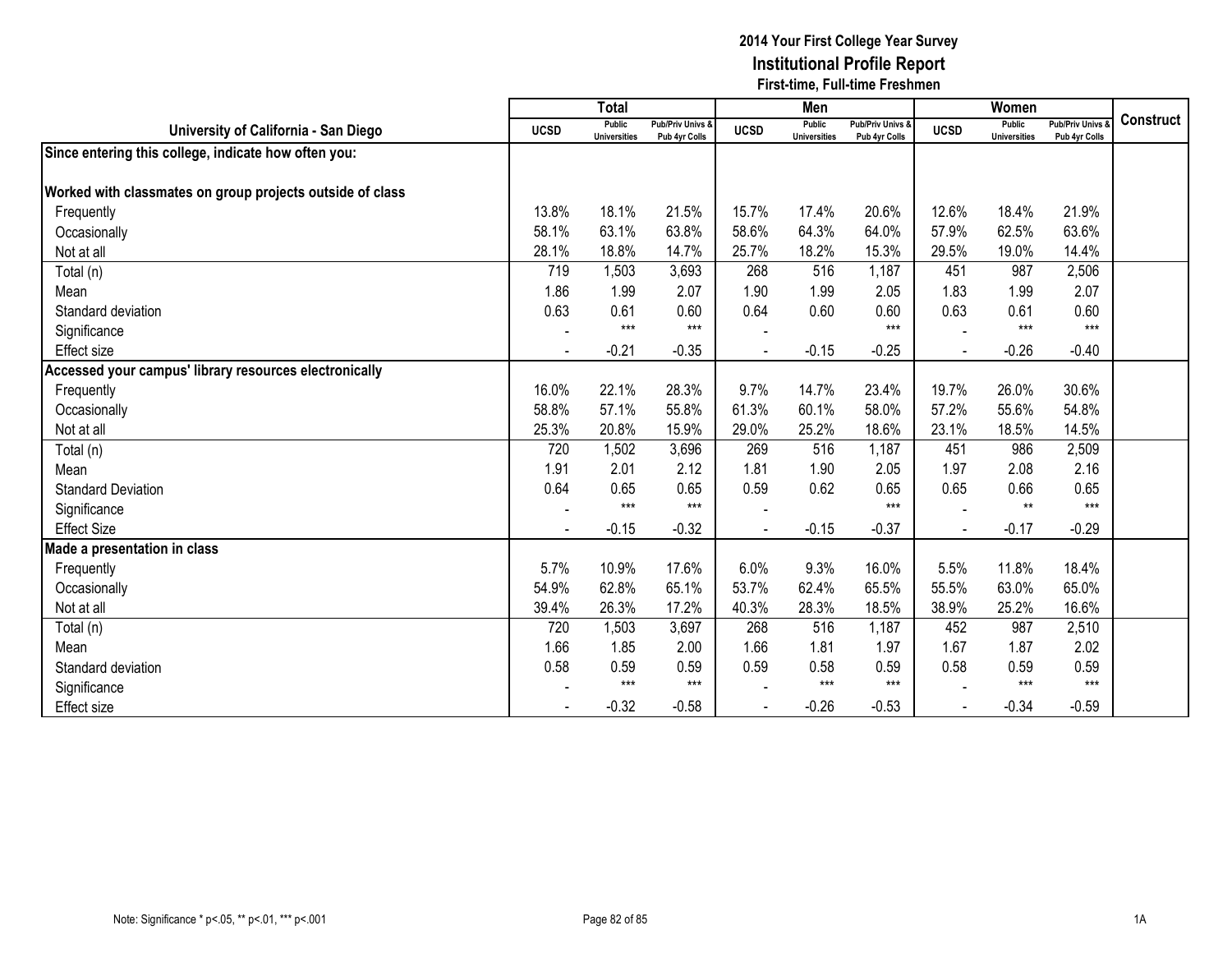|                                                           |             | <b>Total</b>                         |                                   |             | Men                           |                                              |                | Women                                |                                        |                  |
|-----------------------------------------------------------|-------------|--------------------------------------|-----------------------------------|-------------|-------------------------------|----------------------------------------------|----------------|--------------------------------------|----------------------------------------|------------------|
| University of California - San Diego                      | <b>UCSD</b> | <b>Public</b><br><b>Universities</b> | Pub/Priv Univs &<br>Pub 4yr Colls | <b>UCSD</b> | Public<br><b>Universities</b> | <b>Pub/Priv Univs &amp;</b><br>Pub 4yr Colls | <b>UCSD</b>    | <b>Public</b><br><b>Universities</b> | <b>Pub/Priv Univs</b><br>Pub 4yr Colls | <b>Construct</b> |
| Since entering this college, indicate how often you:      |             |                                      |                                   |             |                               |                                              |                |                                      |                                        |                  |
| Worked with classmates on group projects outside of class |             |                                      |                                   |             |                               |                                              |                |                                      |                                        |                  |
| Frequently                                                | 13.8%       | 18.1%                                | 21.5%                             | 15.7%       | 17.4%                         | 20.6%                                        | 12.6%          | 18.4%                                | 21.9%                                  |                  |
| Occasionally                                              | 58.1%       | 63.1%                                | 63.8%                             | 58.6%       | 64.3%                         | 64.0%                                        | 57.9%          | 62.5%                                | 63.6%                                  |                  |
| Not at all                                                | 28.1%       | 18.8%                                | 14.7%                             | 25.7%       | 18.2%                         | 15.3%                                        | 29.5%          | 19.0%                                | 14.4%                                  |                  |
| Total (n)                                                 | 719         | 1,503                                | 3,693                             | 268         | 516                           | 1,187                                        | 451            | 987                                  | 2,506                                  |                  |
| Mean                                                      | 1.86        | 1.99                                 | 2.07                              | 1.90        | 1.99                          | 2.05                                         | 1.83           | 1.99                                 | 2.07                                   |                  |
| Standard deviation                                        | 0.63        | 0.61                                 | 0.60                              | 0.64        | 0.60                          | 0.60                                         | 0.63           | 0.61                                 | 0.60                                   |                  |
| Significance                                              |             | $***$                                | $***$                             |             |                               | $***$                                        |                | $***$                                | $***$                                  |                  |
| <b>Effect size</b>                                        |             | $-0.21$                              | $-0.35$                           |             | $-0.15$                       | $-0.25$                                      | $\blacksquare$ | $-0.26$                              | $-0.40$                                |                  |
| Accessed your campus' library resources electronically    |             |                                      |                                   |             |                               |                                              |                |                                      |                                        |                  |
| Frequently                                                | 16.0%       | 22.1%                                | 28.3%                             | 9.7%        | 14.7%                         | 23.4%                                        | 19.7%          | 26.0%                                | 30.6%                                  |                  |
| Occasionally                                              | 58.8%       | 57.1%                                | 55.8%                             | 61.3%       | 60.1%                         | 58.0%                                        | 57.2%          | 55.6%                                | 54.8%                                  |                  |
| Not at all                                                | 25.3%       | 20.8%                                | 15.9%                             | 29.0%       | 25.2%                         | 18.6%                                        | 23.1%          | 18.5%                                | 14.5%                                  |                  |
| Total (n)                                                 | 720         | 1,502                                | 3,696                             | 269         | 516                           | 1,187                                        | 451            | 986                                  | 2,509                                  |                  |
| Mean                                                      | 1.91        | 2.01                                 | 2.12                              | 1.81        | 1.90                          | 2.05                                         | 1.97           | 2.08                                 | 2.16                                   |                  |
| <b>Standard Deviation</b>                                 | 0.64        | 0.65                                 | 0.65                              | 0.59        | 0.62                          | 0.65                                         | 0.65           | 0.66                                 | 0.65                                   |                  |
| Significance                                              |             | $***$                                | $***$                             |             |                               | $***$                                        |                | $**$                                 | $***$                                  |                  |
| <b>Effect Size</b>                                        |             | $-0.15$                              | $-0.32$                           |             | $-0.15$                       | $-0.37$                                      |                | $-0.17$                              | $-0.29$                                |                  |
| Made a presentation in class                              |             |                                      |                                   |             |                               |                                              |                |                                      |                                        |                  |
| Frequently                                                | 5.7%        | 10.9%                                | 17.6%                             | 6.0%        | 9.3%                          | 16.0%                                        | 5.5%           | 11.8%                                | 18.4%                                  |                  |
| Occasionally                                              | 54.9%       | 62.8%                                | 65.1%                             | 53.7%       | 62.4%                         | 65.5%                                        | 55.5%          | 63.0%                                | 65.0%                                  |                  |
| Not at all                                                | 39.4%       | 26.3%                                | 17.2%                             | 40.3%       | 28.3%                         | 18.5%                                        | 38.9%          | 25.2%                                | 16.6%                                  |                  |
| Total (n)                                                 | 720         | 1,503                                | 3,697                             | 268         | 516                           | 1,187                                        | 452            | 987                                  | 2,510                                  |                  |
| Mean                                                      | 1.66        | 1.85                                 | 2.00                              | 1.66        | 1.81                          | 1.97                                         | 1.67           | 1.87                                 | 2.02                                   |                  |
| Standard deviation                                        | 0.58        | 0.59                                 | 0.59                              | 0.59        | 0.58                          | 0.59                                         | 0.58           | 0.59                                 | 0.59                                   |                  |
| Significance                                              |             | $***$                                | $***$                             |             | $***$                         | $***$                                        |                | $***$                                | $***$                                  |                  |
| <b>Effect size</b>                                        |             | $-0.32$                              | $-0.58$                           |             | $-0.26$                       | $-0.53$                                      |                | $-0.34$                              | $-0.59$                                |                  |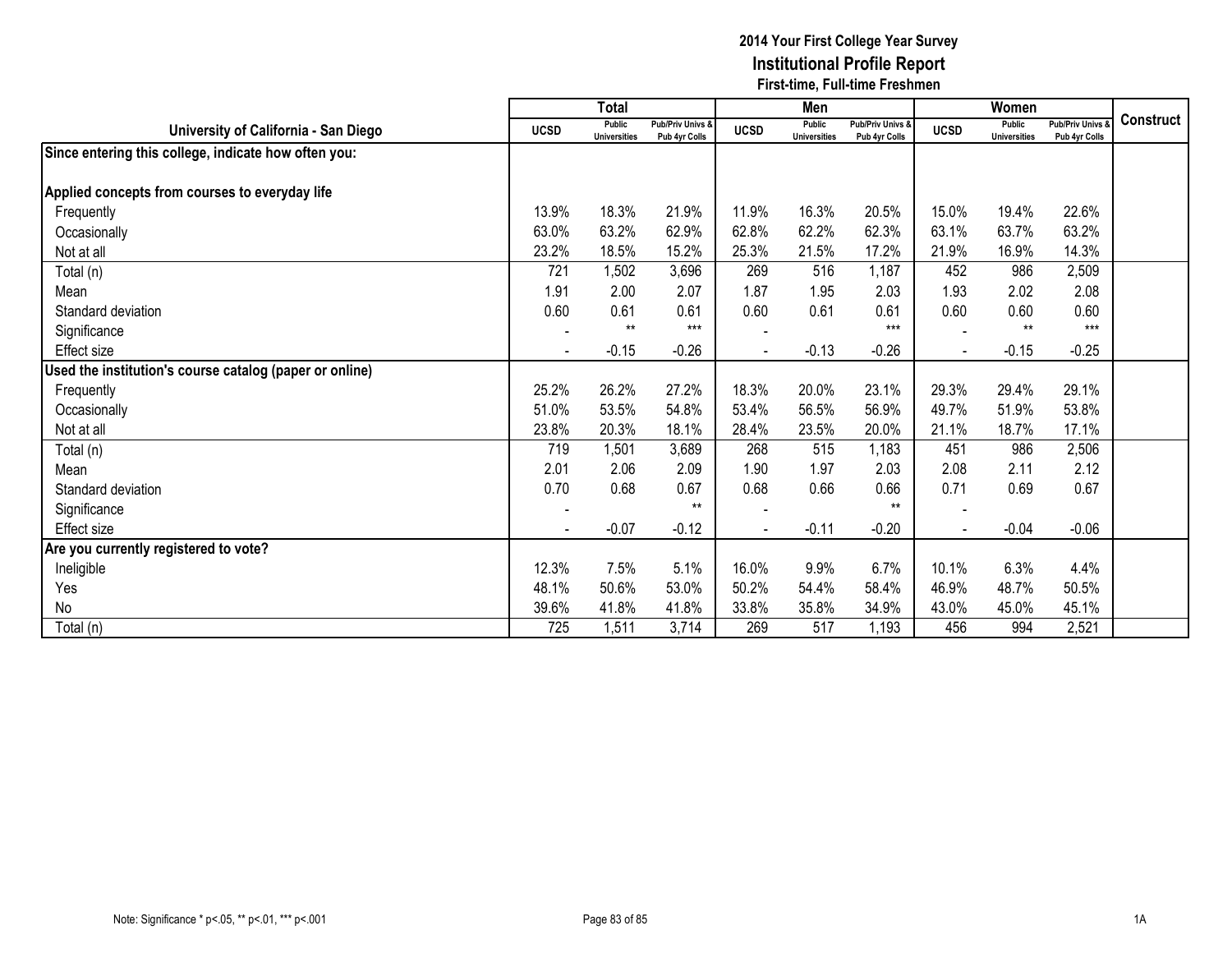|                                                         |             | <b>Total</b>                  |                                   |                | Men                                  |                                   |              | Women                                |                                 |                  |
|---------------------------------------------------------|-------------|-------------------------------|-----------------------------------|----------------|--------------------------------------|-----------------------------------|--------------|--------------------------------------|---------------------------------|------------------|
| University of California - San Diego                    | <b>UCSD</b> | Public<br><b>Universities</b> | Pub/Priv Univs &<br>Pub 4yr Colls | <b>UCSD</b>    | <b>Public</b><br><b>Universities</b> | Pub/Priv Univs &<br>Pub 4yr Colls | <b>UCSD</b>  | <b>Public</b><br><b>Universities</b> | Pub/Priv Univs<br>Pub 4yr Colls | <b>Construct</b> |
| Since entering this college, indicate how often you:    |             |                               |                                   |                |                                      |                                   |              |                                      |                                 |                  |
| Applied concepts from courses to everyday life          |             |                               |                                   |                |                                      |                                   |              |                                      |                                 |                  |
| Frequently                                              | 13.9%       | 18.3%                         | 21.9%                             | 11.9%          | 16.3%                                | 20.5%                             | 15.0%        | 19.4%                                | 22.6%                           |                  |
|                                                         |             | 63.2%                         | 62.9%                             |                | 62.2%                                |                                   | 63.1%        |                                      | 63.2%                           |                  |
| Occasionally                                            | 63.0%       |                               |                                   | 62.8%          |                                      | 62.3%                             |              | 63.7%                                |                                 |                  |
| Not at all                                              | 23.2%       | 18.5%                         | 15.2%                             | 25.3%          | 21.5%                                | 17.2%                             | 21.9%        | 16.9%                                | 14.3%                           |                  |
| Total (n)                                               | 721         | 1,502                         | 3,696                             | 269            | 516                                  | 1,187                             | 452          | 986                                  | 2,509                           |                  |
| Mean                                                    | 1.91        | 2.00                          | 2.07                              | 1.87           | 1.95                                 | 2.03                              | 1.93         | 2.02                                 | 2.08                            |                  |
| Standard deviation                                      | 0.60        | 0.61<br>$**$                  | 0.61<br>$***$                     | 0.60           | 0.61                                 | 0.61<br>$***$                     | 0.60         | 0.60<br>$**$                         | 0.60<br>$***$                   |                  |
| Significance                                            |             |                               |                                   |                |                                      |                                   |              |                                      |                                 |                  |
| Effect size                                             |             | $-0.15$                       | $-0.26$                           |                | $-0.13$                              | $-0.26$                           |              | $-0.15$                              | $-0.25$                         |                  |
| Used the institution's course catalog (paper or online) |             |                               |                                   |                |                                      |                                   |              |                                      |                                 |                  |
| Frequently                                              | 25.2%       | 26.2%                         | 27.2%                             | 18.3%          | 20.0%                                | 23.1%                             | 29.3%        | 29.4%                                | 29.1%                           |                  |
| Occasionally                                            | 51.0%       | 53.5%                         | 54.8%                             | 53.4%          | 56.5%                                | 56.9%                             | 49.7%        | 51.9%                                | 53.8%                           |                  |
| Not at all                                              | 23.8%       | 20.3%                         | 18.1%                             | 28.4%          | 23.5%                                | 20.0%                             | 21.1%        | 18.7%                                | 17.1%                           |                  |
| Total (n)                                               | 719         | 1,501                         | 3,689                             | 268            | 515                                  | 1,183                             | 451          | 986                                  | 2,506                           |                  |
| Mean                                                    | 2.01        | 2.06                          | 2.09                              | 1.90           | 1.97                                 | 2.03                              | 2.08         | 2.11                                 | 2.12                            |                  |
| Standard deviation                                      | 0.70        | 0.68                          | 0.67                              | 0.68           | 0.66                                 | 0.66                              | 0.71         | 0.69                                 | 0.67                            |                  |
| Significance                                            |             |                               | $***$                             |                |                                      | $***$                             |              |                                      |                                 |                  |
| Effect size                                             |             | $-0.07$                       | $-0.12$                           | $\blacksquare$ | $-0.11$                              | $-0.20$                           | $\mathbf{r}$ | $-0.04$                              | $-0.06$                         |                  |
| Are you currently registered to vote?                   |             |                               |                                   |                |                                      |                                   |              |                                      |                                 |                  |
| Ineligible                                              | 12.3%       | 7.5%                          | 5.1%                              | 16.0%          | 9.9%                                 | 6.7%                              | 10.1%        | 6.3%                                 | 4.4%                            |                  |
| Yes                                                     | 48.1%       | 50.6%                         | 53.0%                             | 50.2%          | 54.4%                                | 58.4%                             | 46.9%        | 48.7%                                | 50.5%                           |                  |
| No                                                      | 39.6%       | 41.8%                         | 41.8%                             | 33.8%          | 35.8%                                | 34.9%                             | 43.0%        | 45.0%                                | 45.1%                           |                  |
| Total (n)                                               | 725         | 1,511                         | 3,714                             | 269            | 517                                  | 1,193                             | 456          | 994                                  | 2,521                           |                  |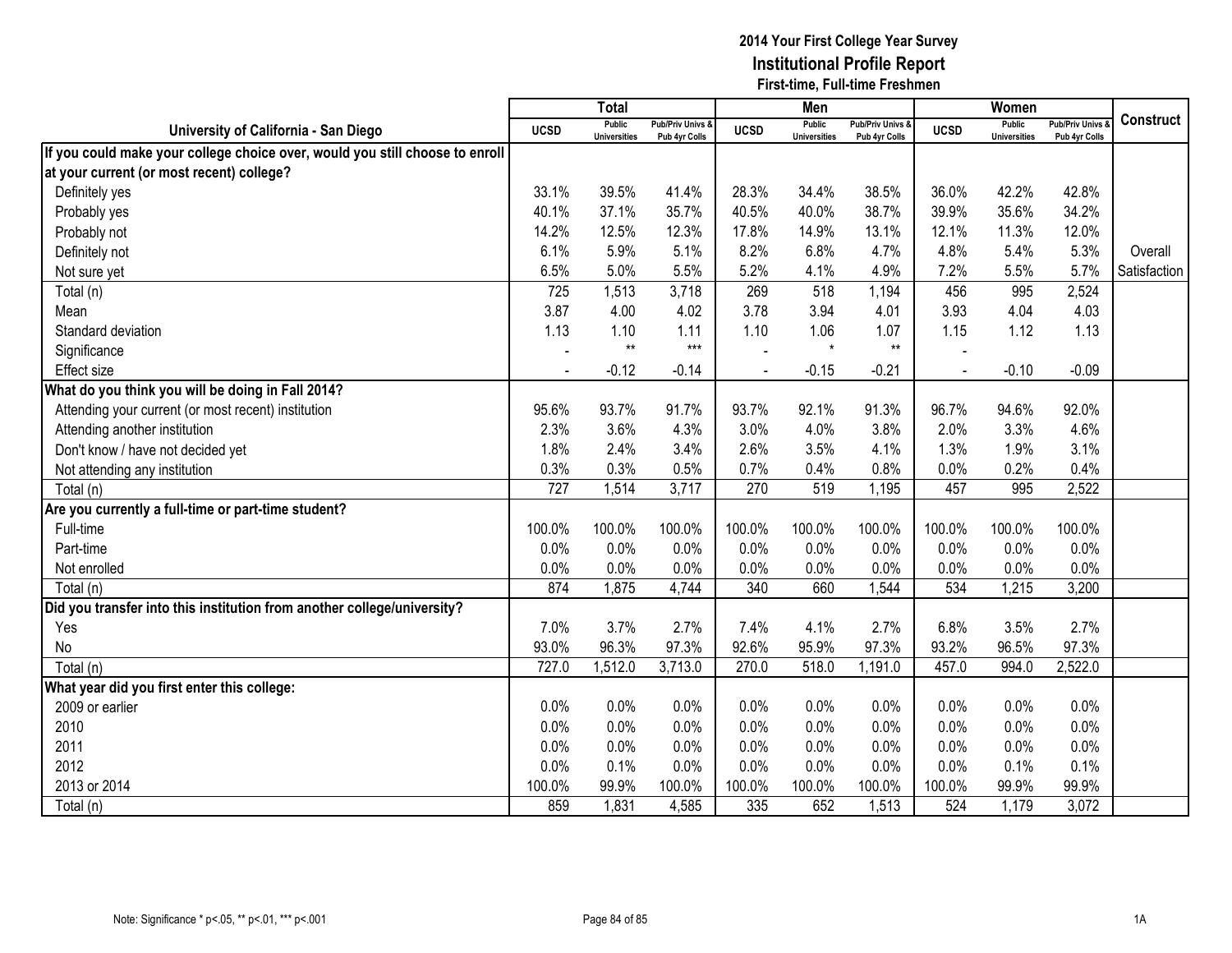|                                                                              |                | <b>Total</b>                         |                                   |             | Men                                  |                                   |                | Women                         |                                        |                  |
|------------------------------------------------------------------------------|----------------|--------------------------------------|-----------------------------------|-------------|--------------------------------------|-----------------------------------|----------------|-------------------------------|----------------------------------------|------------------|
| University of California - San Diego                                         | <b>UCSD</b>    | <b>Public</b><br><b>Universities</b> | Pub/Priv Univs &<br>Pub 4yr Colls | <b>UCSD</b> | <b>Public</b><br><b>Universities</b> | Pub/Priv Univs &<br>Pub 4yr Colls | <b>UCSD</b>    | Public<br><b>Universities</b> | <b>Pub/Priv Univs</b><br>Pub 4yr Colls | <b>Construct</b> |
| If you could make your college choice over, would you still choose to enroll |                |                                      |                                   |             |                                      |                                   |                |                               |                                        |                  |
| at your current (or most recent) college?                                    |                |                                      |                                   |             |                                      |                                   |                |                               |                                        |                  |
| Definitely yes                                                               | 33.1%          | 39.5%                                | 41.4%                             | 28.3%       | 34.4%                                | 38.5%                             | 36.0%          | 42.2%                         | 42.8%                                  |                  |
| Probably yes                                                                 | 40.1%          | 37.1%                                | 35.7%                             | 40.5%       | 40.0%                                | 38.7%                             | 39.9%          | 35.6%                         | 34.2%                                  |                  |
| Probably not                                                                 | 14.2%          | 12.5%                                | 12.3%                             | 17.8%       | 14.9%                                | 13.1%                             | 12.1%          | 11.3%                         | 12.0%                                  |                  |
| Definitely not                                                               | 6.1%           | 5.9%                                 | 5.1%                              | 8.2%        | 6.8%                                 | 4.7%                              | 4.8%           | 5.4%                          | 5.3%                                   | Overall          |
| Not sure yet                                                                 | 6.5%           | 5.0%                                 | 5.5%                              | 5.2%        | 4.1%                                 | 4.9%                              | 7.2%           | 5.5%                          | 5.7%                                   | Satisfaction     |
| Total (n)                                                                    | 725            | 1,513                                | 3,718                             | 269         | 518                                  | 1,194                             | 456            | 995                           | 2,524                                  |                  |
| Mean                                                                         | 3.87           | 4.00                                 | 4.02                              | 3.78        | 3.94                                 | 4.01                              | 3.93           | 4.04                          | 4.03                                   |                  |
| Standard deviation                                                           | 1.13           | 1.10                                 | 1.11                              | 1.10        | 1.06                                 | 1.07                              | 1.15           | 1.12                          | 1.13                                   |                  |
| Significance                                                                 |                | $**$                                 | $***$                             |             | $\star$                              | $**$                              |                |                               |                                        |                  |
| <b>Effect size</b>                                                           | $\blacksquare$ | $-0.12$                              | $-0.14$                           |             | $-0.15$                              | $-0.21$                           | $\blacksquare$ | $-0.10$                       | $-0.09$                                |                  |
| What do you think you will be doing in Fall 2014?                            |                |                                      |                                   |             |                                      |                                   |                |                               |                                        |                  |
| Attending your current (or most recent) institution                          | 95.6%          | 93.7%                                | 91.7%                             | 93.7%       | 92.1%                                | 91.3%                             | 96.7%          | 94.6%                         | 92.0%                                  |                  |
| Attending another institution                                                | 2.3%           | 3.6%                                 | 4.3%                              | 3.0%        | 4.0%                                 | 3.8%                              | 2.0%           | 3.3%                          | 4.6%                                   |                  |
| Don't know / have not decided yet                                            | 1.8%           | 2.4%                                 | 3.4%                              | 2.6%        | 3.5%                                 | 4.1%                              | 1.3%           | 1.9%                          | 3.1%                                   |                  |
| Not attending any institution                                                | 0.3%           | 0.3%                                 | 0.5%                              | 0.7%        | 0.4%                                 | 0.8%                              | 0.0%           | 0.2%                          | 0.4%                                   |                  |
| Total (n)                                                                    | 727            | 1,514                                | 3,717                             | 270         | 519                                  | 1,195                             | 457            | 995                           | 2,522                                  |                  |
| Are you currently a full-time or part-time student?                          |                |                                      |                                   |             |                                      |                                   |                |                               |                                        |                  |
| Full-time                                                                    | 100.0%         | 100.0%                               | 100.0%                            | 100.0%      | 100.0%                               | 100.0%                            | 100.0%         | 100.0%                        | 100.0%                                 |                  |
| Part-time                                                                    | 0.0%           | 0.0%                                 | 0.0%                              | 0.0%        | 0.0%                                 | 0.0%                              | 0.0%           | 0.0%                          | 0.0%                                   |                  |
| Not enrolled                                                                 | 0.0%           | 0.0%                                 | 0.0%                              | 0.0%        | 0.0%                                 | 0.0%                              | 0.0%           | 0.0%                          | 0.0%                                   |                  |
| Total (n)                                                                    | 874            | 1,875                                | 4,744                             | 340         | 660                                  | 1,544                             | 534            | 1,215                         | 3,200                                  |                  |
| Did you transfer into this institution from another college/university?      |                |                                      |                                   |             |                                      |                                   |                |                               |                                        |                  |
| Yes                                                                          | 7.0%           | 3.7%                                 | 2.7%                              | 7.4%        | 4.1%                                 | 2.7%                              | 6.8%           | 3.5%                          | 2.7%                                   |                  |
| No                                                                           | 93.0%          | 96.3%                                | 97.3%                             | 92.6%       | 95.9%                                | 97.3%                             | 93.2%          | 96.5%                         | 97.3%                                  |                  |
| Total (n)                                                                    | 727.0          | 1,512.0                              | 3,713.0                           | 270.0       | 518.0                                | 1,191.0                           | 457.0          | 994.0                         | 2,522.0                                |                  |
| What year did you first enter this college:                                  |                |                                      |                                   |             |                                      |                                   |                |                               |                                        |                  |
| 2009 or earlier                                                              | 0.0%           | 0.0%                                 | 0.0%                              | 0.0%        | 0.0%                                 | 0.0%                              | 0.0%           | 0.0%                          | 0.0%                                   |                  |
| 2010                                                                         | 0.0%           | 0.0%                                 | 0.0%                              | 0.0%        | 0.0%                                 | 0.0%                              | 0.0%           | 0.0%                          | 0.0%                                   |                  |
| 2011                                                                         | 0.0%           | 0.0%                                 | 0.0%                              | 0.0%        | 0.0%                                 | 0.0%                              | 0.0%           | 0.0%                          | 0.0%                                   |                  |
| 2012                                                                         | 0.0%           | 0.1%                                 | 0.0%                              | 0.0%        | 0.0%                                 | 0.0%                              | 0.0%           | 0.1%                          | 0.1%                                   |                  |
| 2013 or 2014                                                                 | 100.0%         | 99.9%                                | 100.0%                            | 100.0%      | 100.0%                               | 100.0%                            | 100.0%         | 99.9%                         | 99.9%                                  |                  |
| Total (n)                                                                    | 859            | 1,831                                | 4,585                             | 335         | 652                                  | 1,513                             | 524            | 1,179                         | 3,072                                  |                  |